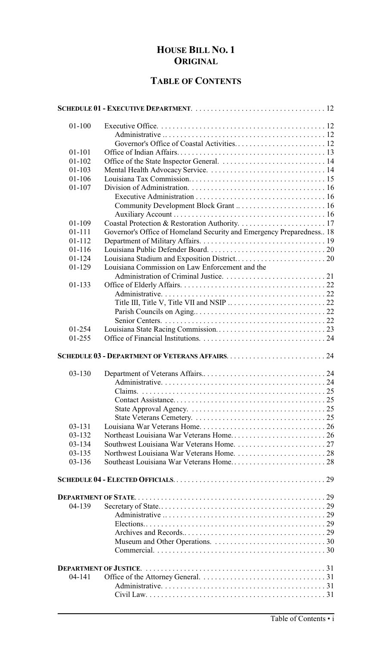# **HOUSE BILL NO. 1 ORIGINAL**

## **TABLE OF CONTENTS**

| $01 - 100$ |                                                                      |
|------------|----------------------------------------------------------------------|
|            |                                                                      |
|            |                                                                      |
| $01 - 101$ |                                                                      |
| $01 - 102$ |                                                                      |
| $01 - 103$ |                                                                      |
| $01 - 106$ |                                                                      |
| $01 - 107$ |                                                                      |
|            |                                                                      |
|            |                                                                      |
|            |                                                                      |
| 01-109     |                                                                      |
| $01 - 111$ | Governor's Office of Homeland Security and Emergency Preparedness 18 |
| $01 - 112$ |                                                                      |
| $01 - 116$ |                                                                      |
| $01 - 124$ |                                                                      |
| 01-129     | Louisiana Commission on Law Enforcement and the                      |
|            |                                                                      |
| $01 - 133$ |                                                                      |
|            |                                                                      |
|            |                                                                      |
|            |                                                                      |
|            |                                                                      |
| 01-254     |                                                                      |
| 01-255     |                                                                      |
|            |                                                                      |
| $03 - 130$ |                                                                      |
|            |                                                                      |
|            |                                                                      |
|            |                                                                      |
|            |                                                                      |
|            |                                                                      |
| $03 - 131$ |                                                                      |
| 03-132     |                                                                      |
| 03-134     |                                                                      |
| $03 - 135$ |                                                                      |
| $03 - 136$ |                                                                      |
|            |                                                                      |
|            |                                                                      |
|            |                                                                      |
| 04-139     |                                                                      |
|            |                                                                      |
|            |                                                                      |
|            |                                                                      |
|            |                                                                      |
|            |                                                                      |
|            |                                                                      |
|            |                                                                      |
| $04 - 141$ |                                                                      |
|            |                                                                      |
|            |                                                                      |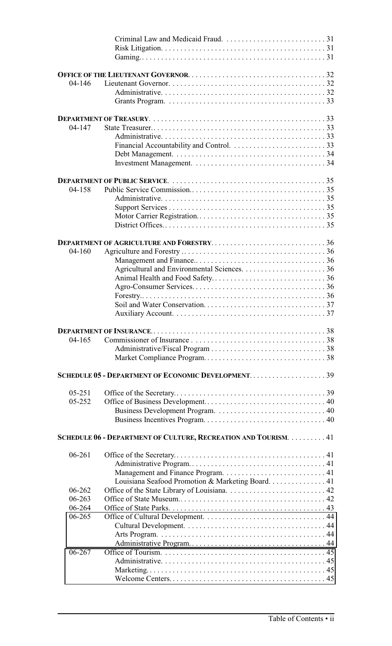| $04 - 146$ |                                                                 |
|------------|-----------------------------------------------------------------|
|            |                                                                 |
|            |                                                                 |
|            |                                                                 |
|            |                                                                 |
| $04 - 147$ |                                                                 |
|            |                                                                 |
|            |                                                                 |
|            |                                                                 |
|            |                                                                 |
|            |                                                                 |
|            |                                                                 |
| $04 - 158$ |                                                                 |
|            |                                                                 |
|            |                                                                 |
|            |                                                                 |
|            |                                                                 |
|            |                                                                 |
|            | <b>DEPARTMENT OF AGRICULTURE AND FORESTRY36</b>                 |
| 04-160     |                                                                 |
|            |                                                                 |
|            |                                                                 |
|            |                                                                 |
|            |                                                                 |
|            |                                                                 |
|            |                                                                 |
|            |                                                                 |
|            |                                                                 |
| $04 - 165$ |                                                                 |
|            |                                                                 |
|            |                                                                 |
|            |                                                                 |
|            | SCHEDULE 05 - DEPARTMENT OF ECONOMIC DEVELOPMENT39              |
|            |                                                                 |
| $05 - 251$ |                                                                 |
| 05-252     |                                                                 |
|            |                                                                 |
|            |                                                                 |
|            | SCHEDULE 06 - DEPARTMENT OF CULTURE, RECREATION AND TOURISM. 41 |
|            |                                                                 |
| $06 - 261$ |                                                                 |
|            |                                                                 |
|            |                                                                 |
|            | Louisiana Seafood Promotion & Marketing Board. 41               |
| 06-262     |                                                                 |
| $06 - 263$ |                                                                 |
| 06-264     |                                                                 |
| 06-265     |                                                                 |
|            |                                                                 |
|            |                                                                 |
|            |                                                                 |
| $06 - 267$ |                                                                 |
|            |                                                                 |
|            |                                                                 |
|            |                                                                 |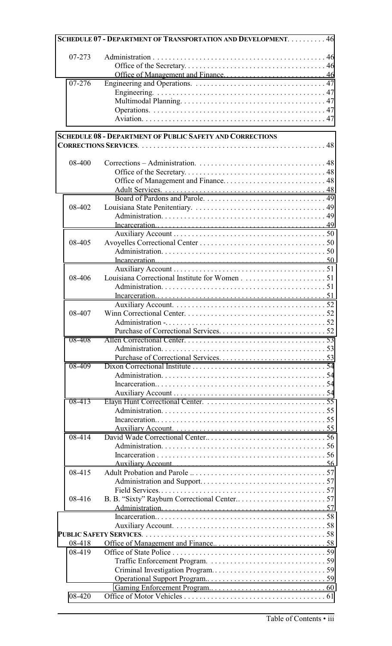|        | SCHEDULE 07 - DEPARTMENT OF TRANSPORTATION AND DEVELOPMENT. 46   |
|--------|------------------------------------------------------------------|
| 07-273 |                                                                  |
|        |                                                                  |
|        |                                                                  |
| 07-276 |                                                                  |
|        |                                                                  |
|        |                                                                  |
|        |                                                                  |
|        |                                                                  |
|        | <b>SCHEDULE 08 - DEPARTMENT OF PUBLIC SAFETY AND CORRECTIONS</b> |
|        |                                                                  |
| 08-400 |                                                                  |
|        |                                                                  |
|        |                                                                  |
|        |                                                                  |
|        |                                                                  |
| 08-402 |                                                                  |
|        |                                                                  |
|        |                                                                  |
|        |                                                                  |
| 08-405 |                                                                  |
|        |                                                                  |
|        |                                                                  |
|        |                                                                  |
| 08-406 |                                                                  |
|        |                                                                  |
|        |                                                                  |
| 08-407 |                                                                  |
|        |                                                                  |
|        |                                                                  |
| 08-408 |                                                                  |
|        |                                                                  |
|        |                                                                  |
| 08-409 |                                                                  |
|        |                                                                  |
|        |                                                                  |
|        |                                                                  |
| 08-413 |                                                                  |
|        |                                                                  |
|        |                                                                  |
|        |                                                                  |
| 08-414 |                                                                  |
|        |                                                                  |
|        |                                                                  |
|        |                                                                  |
| 08-415 |                                                                  |
|        |                                                                  |
|        |                                                                  |
| 08-416 |                                                                  |
|        |                                                                  |
|        |                                                                  |
|        |                                                                  |
|        |                                                                  |
| 08-418 |                                                                  |
| 08-419 |                                                                  |
|        |                                                                  |
|        |                                                                  |
|        |                                                                  |
|        |                                                                  |
| 08-420 |                                                                  |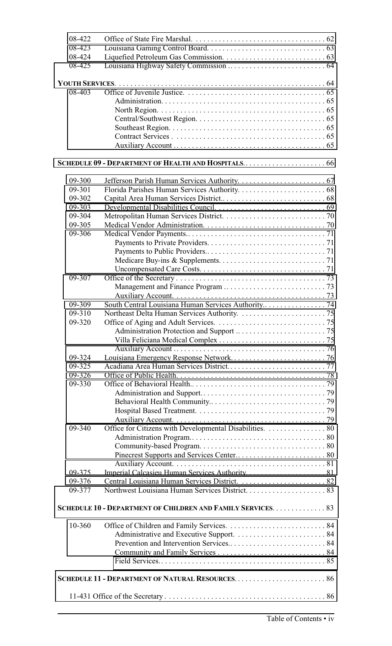| 08-422 |                                                              |  |
|--------|--------------------------------------------------------------|--|
| 08-423 |                                                              |  |
| 08-424 |                                                              |  |
| 08-425 |                                                              |  |
|        |                                                              |  |
|        |                                                              |  |
| 08-403 |                                                              |  |
|        |                                                              |  |
|        |                                                              |  |
|        |                                                              |  |
|        |                                                              |  |
|        |                                                              |  |
|        |                                                              |  |
|        |                                                              |  |
|        |                                                              |  |
| 09-300 |                                                              |  |
| 09-301 |                                                              |  |
| 09-302 |                                                              |  |
| 09-303 |                                                              |  |
| 09-304 |                                                              |  |
| 09-305 |                                                              |  |
| 09-306 |                                                              |  |
|        |                                                              |  |
|        |                                                              |  |
|        |                                                              |  |
|        |                                                              |  |
| 09-307 |                                                              |  |
|        |                                                              |  |
|        |                                                              |  |
| 09-309 |                                                              |  |
| 09-310 |                                                              |  |
| 09-320 |                                                              |  |
|        |                                                              |  |
|        |                                                              |  |
|        |                                                              |  |
| 09-324 |                                                              |  |
| 09-325 |                                                              |  |
| 09-326 |                                                              |  |
| 09-330 |                                                              |  |
|        |                                                              |  |
|        |                                                              |  |
|        |                                                              |  |
|        |                                                              |  |
| 09-340 | Office for Citizens with Developmental Disabilities. 80      |  |
|        |                                                              |  |
|        |                                                              |  |
|        |                                                              |  |
|        |                                                              |  |
| 09-375 |                                                              |  |
| 09-376 |                                                              |  |
| 09-377 |                                                              |  |
|        | SCHEDULE 10 - DEPARTMENT OF CHILDREN AND FAMILY SERVICES. 83 |  |
|        |                                                              |  |
| 10-360 |                                                              |  |
|        |                                                              |  |
|        |                                                              |  |
|        |                                                              |  |
|        |                                                              |  |
|        |                                                              |  |
|        |                                                              |  |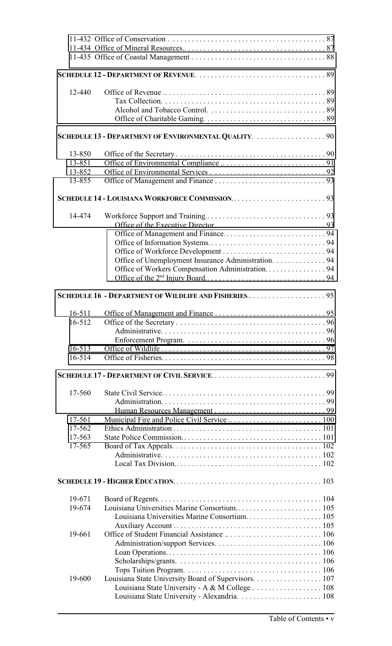| 12-440     |                                                        |  |
|------------|--------------------------------------------------------|--|
|            |                                                        |  |
|            |                                                        |  |
|            |                                                        |  |
|            |                                                        |  |
|            | SCHEDULE 13 - DEPARTMENT OF ENVIRONMENTAL QUALITY.  90 |  |
|            |                                                        |  |
| 13-850     |                                                        |  |
| 13-851     |                                                        |  |
| 13-852     |                                                        |  |
| 13-855     |                                                        |  |
|            |                                                        |  |
|            |                                                        |  |
| 14-474     |                                                        |  |
|            |                                                        |  |
|            |                                                        |  |
|            |                                                        |  |
|            |                                                        |  |
|            |                                                        |  |
|            | Office of Unemployment Insurance Administration. 94    |  |
|            | Office of Workers Compensation Administration 94       |  |
|            |                                                        |  |
|            |                                                        |  |
|            | SCHEDULE 16 - DEPARTMENT OF WILDLIFE AND FISHERIES95   |  |
|            |                                                        |  |
| $16 - 511$ |                                                        |  |
| 16-512     |                                                        |  |
|            |                                                        |  |
|            |                                                        |  |
| $16 - 513$ |                                                        |  |
| 16-514     |                                                        |  |
|            |                                                        |  |
|            |                                                        |  |
|            |                                                        |  |
| 17-560     |                                                        |  |
|            |                                                        |  |
|            |                                                        |  |
| 17-561     |                                                        |  |
| 17-562     |                                                        |  |
| 17-563     |                                                        |  |
| 17-565     |                                                        |  |
|            |                                                        |  |
|            |                                                        |  |
|            |                                                        |  |
|            |                                                        |  |
| 19-671     |                                                        |  |
| 19-674     |                                                        |  |
|            |                                                        |  |
|            |                                                        |  |
|            |                                                        |  |
| 19-661     |                                                        |  |
|            |                                                        |  |
|            |                                                        |  |
|            |                                                        |  |
|            |                                                        |  |
| 19-600     | Louisiana State University Board of Supervisors. 107   |  |
|            | Louisiana State University - A & M College 108         |  |
|            |                                                        |  |
|            |                                                        |  |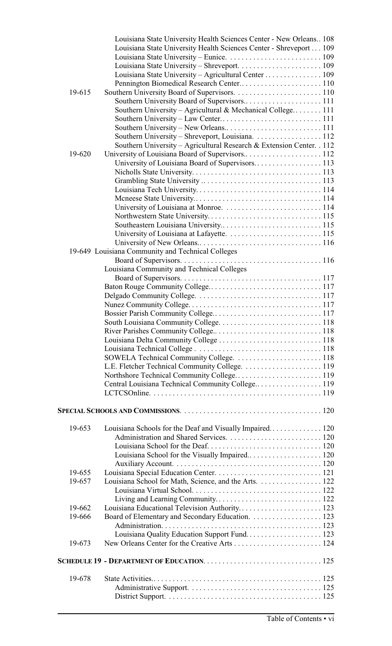|        | Louisiana State University Health Sciences Center - New Orleans 108   |  |
|--------|-----------------------------------------------------------------------|--|
|        | Louisiana State University Health Sciences Center - Shreveport 109    |  |
|        |                                                                       |  |
|        |                                                                       |  |
|        | Louisiana State University - Agricultural Center  109                 |  |
|        |                                                                       |  |
| 19-615 |                                                                       |  |
|        |                                                                       |  |
|        | Southern University – Agricultural & Mechanical College 111           |  |
|        |                                                                       |  |
|        |                                                                       |  |
|        | Southern University – Shreveport, Louisiana. 112                      |  |
|        | Southern University - Agricultural Research & Extension Center. . 112 |  |
| 19-620 |                                                                       |  |
|        |                                                                       |  |
|        |                                                                       |  |
|        |                                                                       |  |
|        |                                                                       |  |
|        |                                                                       |  |
|        |                                                                       |  |
|        |                                                                       |  |
|        |                                                                       |  |
|        |                                                                       |  |
|        |                                                                       |  |
|        | 19-649 Louisiana Community and Technical Colleges                     |  |
|        |                                                                       |  |
|        | Louisiana Community and Technical Colleges                            |  |
|        |                                                                       |  |
|        |                                                                       |  |
|        |                                                                       |  |
|        |                                                                       |  |
|        |                                                                       |  |
|        |                                                                       |  |
|        |                                                                       |  |
|        | Louisiana Delta Community College  118                                |  |
|        |                                                                       |  |
|        | SOWELA Technical Community College.  118                              |  |
|        |                                                                       |  |
|        |                                                                       |  |
|        | Central Louisiana Technical Community College 119                     |  |
|        |                                                                       |  |
|        |                                                                       |  |
|        |                                                                       |  |
|        |                                                                       |  |
| 19-653 | Louisiana Schools for the Deaf and Visually Impaired 120              |  |
|        |                                                                       |  |
|        |                                                                       |  |
|        |                                                                       |  |
|        |                                                                       |  |
| 19-655 |                                                                       |  |
| 19-657 | Louisiana School for Math, Science, and the Arts. 122                 |  |
|        |                                                                       |  |
|        |                                                                       |  |
| 19-662 | Louisiana Educational Television Authority 123                        |  |
| 19-666 |                                                                       |  |
|        |                                                                       |  |
|        |                                                                       |  |
| 19-673 |                                                                       |  |
|        |                                                                       |  |
|        |                                                                       |  |
| 19-678 |                                                                       |  |
|        |                                                                       |  |
|        |                                                                       |  |
|        |                                                                       |  |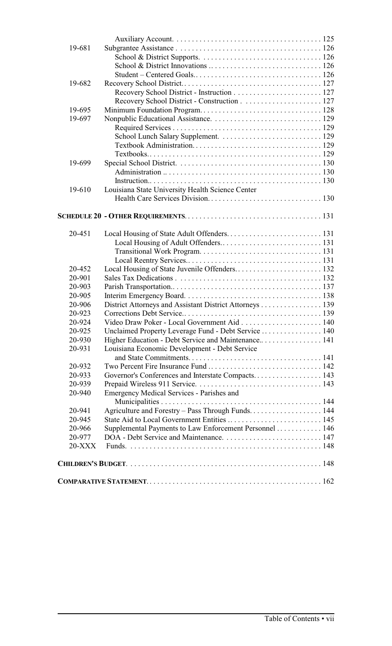| 19-681   |                                                         |  |
|----------|---------------------------------------------------------|--|
|          |                                                         |  |
|          |                                                         |  |
|          |                                                         |  |
| 19-682   |                                                         |  |
|          |                                                         |  |
|          |                                                         |  |
| 19-695   |                                                         |  |
| 19-697   |                                                         |  |
|          |                                                         |  |
|          |                                                         |  |
|          |                                                         |  |
|          |                                                         |  |
| 19-699   |                                                         |  |
|          |                                                         |  |
|          |                                                         |  |
| 19-610   | Louisiana State University Health Science Center        |  |
|          |                                                         |  |
|          |                                                         |  |
|          |                                                         |  |
| 20-451   |                                                         |  |
|          |                                                         |  |
|          |                                                         |  |
|          |                                                         |  |
| 20-452   |                                                         |  |
| 20-901   |                                                         |  |
| 20-903   |                                                         |  |
| 20-905   |                                                         |  |
| 20-906   | District Attorneys and Assistant District Attorneys 139 |  |
| 20-923   |                                                         |  |
| 20-924   | Video Draw Poker - Local Government Aid 140             |  |
| 20-925   | Unclaimed Property Leverage Fund - Debt Service  140    |  |
| 20-930   |                                                         |  |
| 20-931   | Louisiana Economic Development - Debt Service           |  |
|          |                                                         |  |
| 20-932   |                                                         |  |
| 20-933   | Governor's Conferences and Interstate Compacts 143      |  |
| 20-939   |                                                         |  |
| 20-940   | Emergency Medical Services - Parishes and               |  |
|          |                                                         |  |
| 20-941   | Agriculture and Forestry – Pass Through Funds 144       |  |
| 20-945   |                                                         |  |
| 20-966   | Supplemental Payments to Law Enforcement Personnel  146 |  |
| 20-977   |                                                         |  |
| $20-XXX$ |                                                         |  |
|          |                                                         |  |
|          |                                                         |  |
|          |                                                         |  |
|          |                                                         |  |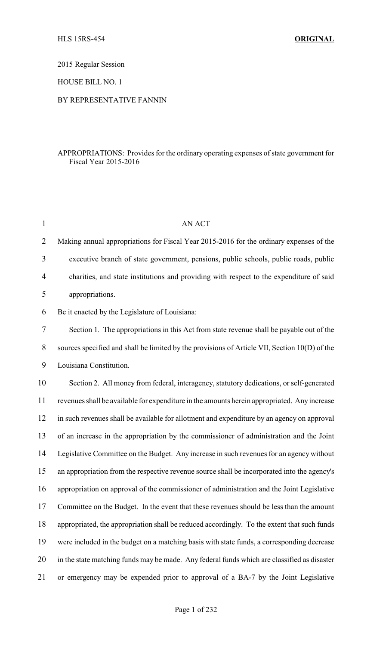2015 Regular Session

HOUSE BILL NO. 1

## BY REPRESENTATIVE FANNIN

## APPROPRIATIONS: Provides for the ordinary operating expenses of state government for Fiscal Year 2015-2016

| $\mathbf{1}$   | <b>AN ACT</b>                                                                                 |
|----------------|-----------------------------------------------------------------------------------------------|
| $\overline{2}$ | Making annual appropriations for Fiscal Year 2015-2016 for the ordinary expenses of the       |
| 3              | executive branch of state government, pensions, public schools, public roads, public          |
| 4              | charities, and state institutions and providing with respect to the expenditure of said       |
| 5              | appropriations.                                                                               |
| 6              | Be it enacted by the Legislature of Louisiana:                                                |
| $\tau$         | Section 1. The appropriations in this Act from state revenue shall be payable out of the      |
| 8              | sources specified and shall be limited by the provisions of Article VII, Section 10(D) of the |
| 9              | Louisiana Constitution.                                                                       |
| 10             | Section 2. All money from federal, interagency, statutory dedications, or self-generated      |
| 11             | revenues shall be available for expenditure in the amounts herein appropriated. Any increase  |
| 12             | in such revenues shall be available for allotment and expenditure by an agency on approval    |
| 13             | of an increase in the appropriation by the commissioner of administration and the Joint       |
| 14             | Legislative Committee on the Budget. Any increase in such revenues for an agency without      |
| 15             | an appropriation from the respective revenue source shall be incorporated into the agency's   |
| 16             | appropriation on approval of the commissioner of administration and the Joint Legislative     |
| 17             | Committee on the Budget. In the event that these revenues should be less than the amount      |
| 18             | appropriated, the appropriation shall be reduced accordingly. To the extent that such funds   |
| 19             | were included in the budget on a matching basis with state funds, a corresponding decrease    |
| 20             | in the state matching funds may be made. Any federal funds which are classified as disaster   |
| 21             | or emergency may be expended prior to approval of a BA-7 by the Joint Legislative             |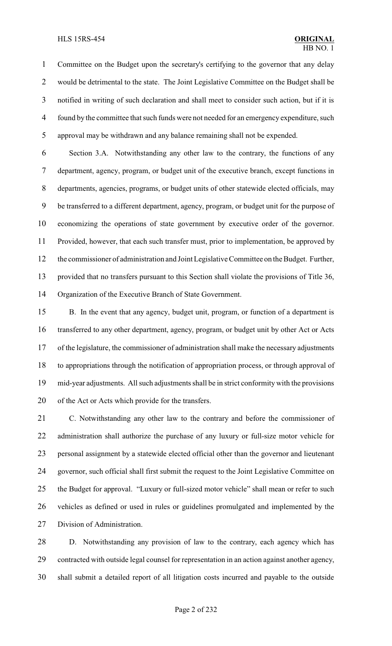Committee on the Budget upon the secretary's certifying to the governor that any delay would be detrimental to the state. The Joint Legislative Committee on the Budget shall be notified in writing of such declaration and shall meet to consider such action, but if it is found by the committee that such funds were not needed for an emergency expenditure, such approval may be withdrawn and any balance remaining shall not be expended.

 Section 3.A. Notwithstanding any other law to the contrary, the functions of any department, agency, program, or budget unit of the executive branch, except functions in departments, agencies, programs, or budget units of other statewide elected officials, may be transferred to a different department, agency, program, or budget unit for the purpose of economizing the operations of state government by executive order of the governor. Provided, however, that each such transfer must, prior to implementation, be approved by the commissioner of administration and Joint Legislative Committee on the Budget. Further, provided that no transfers pursuant to this Section shall violate the provisions of Title 36, Organization of the Executive Branch of State Government.

 B. In the event that any agency, budget unit, program, or function of a department is transferred to any other department, agency, program, or budget unit by other Act or Acts of the legislature, the commissioner of administration shall make the necessary adjustments to appropriations through the notification of appropriation process, or through approval of mid-year adjustments. All such adjustments shall be in strict conformity with the provisions of the Act or Acts which provide for the transfers.

 C. Notwithstanding any other law to the contrary and before the commissioner of administration shall authorize the purchase of any luxury or full-size motor vehicle for personal assignment by a statewide elected official other than the governor and lieutenant governor, such official shall first submit the request to the Joint Legislative Committee on the Budget for approval. "Luxury or full-sized motor vehicle" shall mean or refer to such vehicles as defined or used in rules or guidelines promulgated and implemented by the Division of Administration.

 D. Notwithstanding any provision of law to the contrary, each agency which has contracted with outside legal counsel for representation in an action against another agency, shall submit a detailed report of all litigation costs incurred and payable to the outside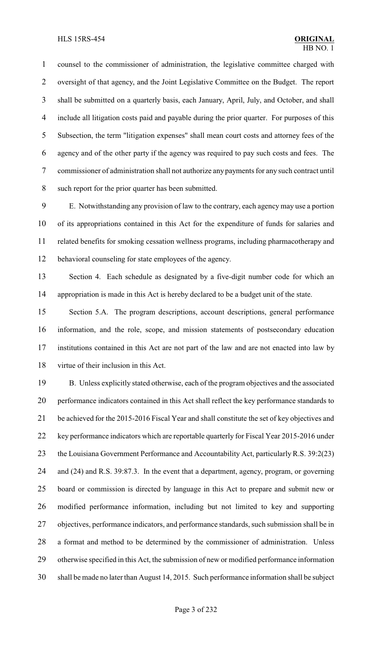counsel to the commissioner of administration, the legislative committee charged with oversight of that agency, and the Joint Legislative Committee on the Budget. The report shall be submitted on a quarterly basis, each January, April, July, and October, and shall include all litigation costs paid and payable during the prior quarter. For purposes of this Subsection, the term "litigation expenses" shall mean court costs and attorney fees of the agency and of the other party if the agency was required to pay such costs and fees. The commissioner of administration shall not authorize any payments for any such contract until such report for the prior quarter has been submitted.

 E. Notwithstanding any provision of law to the contrary, each agency may use a portion of its appropriations contained in this Act for the expenditure of funds for salaries and related benefits for smoking cessation wellness programs, including pharmacotherapy and behavioral counseling for state employees of the agency.

 Section 4. Each schedule as designated by a five-digit number code for which an appropriation is made in this Act is hereby declared to be a budget unit of the state.

 Section 5.A. The program descriptions, account descriptions, general performance information, and the role, scope, and mission statements of postsecondary education institutions contained in this Act are not part of the law and are not enacted into law by virtue of their inclusion in this Act.

 B. Unless explicitly stated otherwise, each of the program objectives and the associated performance indicators contained in this Act shall reflect the key performance standards to be achieved for the 2015-2016 Fiscal Year and shall constitute the set of key objectives and key performance indicators which are reportable quarterly for Fiscal Year 2015-2016 under 23 the Louisiana Government Performance and Accountability Act, particularly R.S. 39:2(23) and (24) and R.S. 39:87.3. In the event that a department, agency, program, or governing board or commission is directed by language in this Act to prepare and submit new or modified performance information, including but not limited to key and supporting objectives, performance indicators, and performance standards, such submission shall be in a format and method to be determined by the commissioner of administration. Unless otherwise specified in this Act, the submission of new or modified performance information shall be made no later than August 14, 2015. Such performance information shall be subject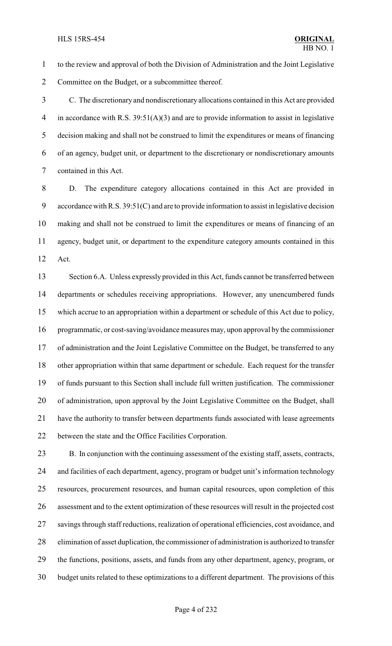to the review and approval of both the Division of Administration and the Joint Legislative Committee on the Budget, or a subcommittee thereof.

 C. The discretionary and nondiscretionary allocations contained in this Act are provided 4 in accordance with R.S. 39:51(A)(3) and are to provide information to assist in legislative decision making and shall not be construed to limit the expenditures or means of financing of an agency, budget unit, or department to the discretionary or nondiscretionary amounts contained in this Act.

 D. The expenditure category allocations contained in this Act are provided in accordance with R.S. 39:51(C) and are to provide information to assist in legislative decision making and shall not be construed to limit the expenditures or means of financing of an agency, budget unit, or department to the expenditure category amounts contained in this Act.

 Section 6.A. Unless expressly provided in this Act, funds cannot be transferred between departments or schedules receiving appropriations. However, any unencumbered funds which accrue to an appropriation within a department or schedule of this Act due to policy, programmatic, or cost-saving/avoidance measures may, upon approval by the commissioner of administration and the Joint Legislative Committee on the Budget, be transferred to any other appropriation within that same department or schedule. Each request for the transfer of funds pursuant to this Section shall include full written justification. The commissioner of administration, upon approval by the Joint Legislative Committee on the Budget, shall have the authority to transfer between departments funds associated with lease agreements between the state and the Office Facilities Corporation.

 B. In conjunction with the continuing assessment of the existing staff, assets, contracts, and facilities of each department, agency, program or budget unit's information technology resources, procurement resources, and human capital resources, upon completion of this assessment and to the extent optimization of these resources will result in the projected cost savings through staff reductions, realization of operational efficiencies, cost avoidance, and elimination of asset duplication, the commissioner of administration is authorized to transfer the functions, positions, assets, and funds from any other department, agency, program, or budget units related to these optimizations to a different department. The provisions of this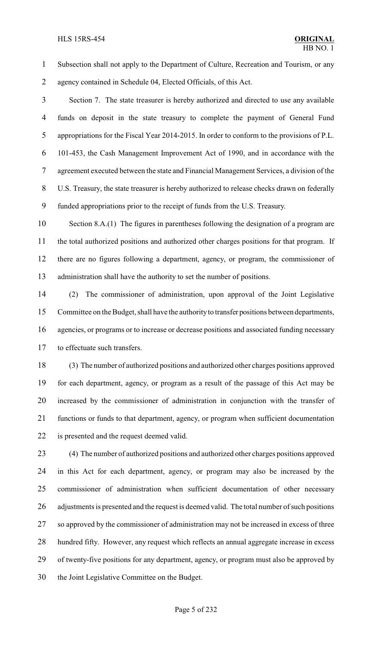#### **HLS 15RS-454**

 Subsection shall not apply to the Department of Culture, Recreation and Tourism, or any agency contained in Schedule 04, Elected Officials, of this Act.

 Section 7. The state treasurer is hereby authorized and directed to use any available funds on deposit in the state treasury to complete the payment of General Fund appropriations for the Fiscal Year 2014-2015. In order to conform to the provisions of P.L. 101-453, the Cash Management Improvement Act of 1990, and in accordance with the agreement executed between the state and Financial Management Services, a division of the U.S. Treasury, the state treasurer is hereby authorized to release checks drawn on federally funded appropriations prior to the receipt of funds from the U.S. Treasury.

 Section 8.A.(1) The figures in parentheses following the designation of a program are the total authorized positions and authorized other charges positions for that program. If there are no figures following a department, agency, or program, the commissioner of administration shall have the authority to set the number of positions.

 (2) The commissioner of administration, upon approval of the Joint Legislative Committee on the Budget, shall have the authorityto transfer positions between departments, agencies, or programs or to increase or decrease positions and associated funding necessary to effectuate such transfers.

 (3) The number of authorized positions and authorized other charges positions approved for each department, agency, or program as a result of the passage of this Act may be increased by the commissioner of administration in conjunction with the transfer of functions or funds to that department, agency, or program when sufficient documentation is presented and the request deemed valid.

 (4) The number of authorized positions and authorized other charges positions approved in this Act for each department, agency, or program may also be increased by the commissioner of administration when sufficient documentation of other necessary adjustments is presented and the request is deemed valid. The total number of such positions so approved by the commissioner of administration may not be increased in excess of three hundred fifty. However, any request which reflects an annual aggregate increase in excess of twenty-five positions for any department, agency, or program must also be approved by the Joint Legislative Committee on the Budget.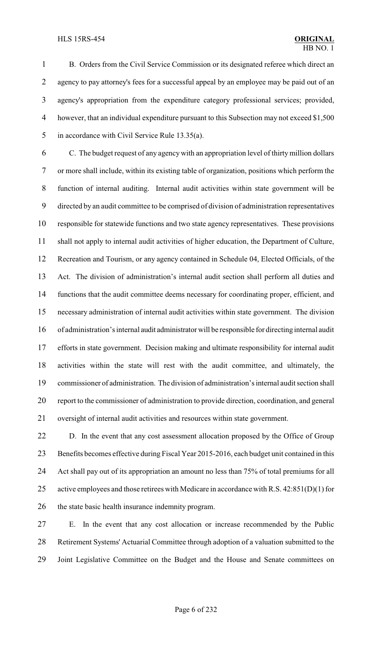B. Orders from the Civil Service Commission or its designated referee which direct an 2 agency to pay attorney's fees for a successful appeal by an employee may be paid out of an agency's appropriation from the expenditure category professional services; provided, however, that an individual expenditure pursuant to this Subsection may not exceed \$1,500 in accordance with Civil Service Rule 13.35(a).

 C. The budget request of any agency with an appropriation level of thirtymillion dollars or more shall include, within its existing table of organization, positions which perform the function of internal auditing. Internal audit activities within state government will be directed by an audit committee to be comprised of division of administration representatives responsible for statewide functions and two state agency representatives. These provisions shall not apply to internal audit activities of higher education, the Department of Culture, Recreation and Tourism, or any agency contained in Schedule 04, Elected Officials, of the Act. The division of administration's internal audit section shall perform all duties and functions that the audit committee deems necessary for coordinating proper, efficient, and necessary administration of internal audit activities within state government. The division of administration's internal audit administrator will be responsible for directing internal audit efforts in state government. Decision making and ultimate responsibility for internal audit activities within the state will rest with the audit committee, and ultimately, the commissioner of administration. The division of administration's internal audit section shall report to the commissioner of administration to provide direction, coordination, and general oversight of internal audit activities and resources within state government.

 D. In the event that any cost assessment allocation proposed by the Office of Group Benefits becomes effective during Fiscal Year 2015-2016, each budget unit contained in this Act shall pay out of its appropriation an amount no less than 75% of total premiums for all active employees and those retirees with Medicare in accordance with R.S. 42:851(D)(1) for the state basic health insurance indemnity program.

 E. In the event that any cost allocation or increase recommended by the Public Retirement Systems' Actuarial Committee through adoption of a valuation submitted to the Joint Legislative Committee on the Budget and the House and Senate committees on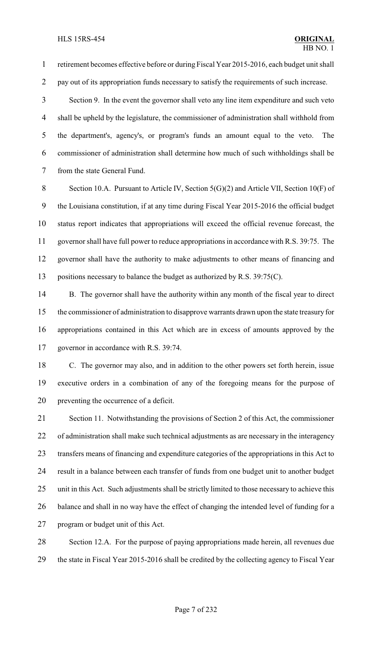retirement becomes effective before or during Fiscal Year 2015-2016, each budget unit shall pay out of its appropriation funds necessary to satisfy the requirements of such increase.

 Section 9. In the event the governor shall veto any line item expenditure and such veto shall be upheld by the legislature, the commissioner of administration shall withhold from the department's, agency's, or program's funds an amount equal to the veto. The commissioner of administration shall determine how much of such withholdings shall be from the state General Fund.

8 Section 10.A. Pursuant to Article IV, Section 5(G)(2) and Article VII, Section 10(F) of the Louisiana constitution, if at any time during Fiscal Year 2015-2016 the official budget status report indicates that appropriations will exceed the official revenue forecast, the governor shall have full power to reduce appropriations in accordance with R.S. 39:75. The governor shall have the authority to make adjustments to other means of financing and 13 positions necessary to balance the budget as authorized by R.S. 39:75(C).

 B. The governor shall have the authority within any month of the fiscal year to direct the commissioner of administration to disapprove warrants drawn upon the state treasury for appropriations contained in this Act which are in excess of amounts approved by the governor in accordance with R.S. 39:74.

 C. The governor may also, and in addition to the other powers set forth herein, issue executive orders in a combination of any of the foregoing means for the purpose of preventing the occurrence of a deficit.

 Section 11. Notwithstanding the provisions of Section 2 of this Act, the commissioner of administration shall make such technical adjustments as are necessary in the interagency transfers means of financing and expenditure categories of the appropriations in this Act to result in a balance between each transfer of funds from one budget unit to another budget unit in this Act. Such adjustments shall be strictly limited to those necessary to achieve this balance and shall in no way have the effect of changing the intended level of funding for a program or budget unit of this Act.

 Section 12.A. For the purpose of paying appropriations made herein, all revenues due the state in Fiscal Year 2015-2016 shall be credited by the collecting agency to Fiscal Year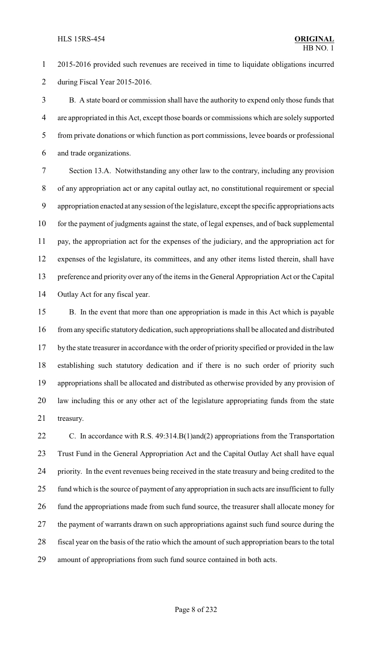2015-2016 provided such revenues are received in time to liquidate obligations incurred during Fiscal Year 2015-2016.

 B. A state board or commission shall have the authority to expend only those funds that are appropriated in this Act, except those boards or commissions which are solely supported from private donations or which function as port commissions, levee boards or professional and trade organizations.

 Section 13.A. Notwithstanding any other law to the contrary, including any provision of any appropriation act or any capital outlay act, no constitutional requirement or special appropriation enacted at anysession of the legislature, except the specific appropriations acts for the payment of judgments against the state, of legal expenses, and of back supplemental pay, the appropriation act for the expenses of the judiciary, and the appropriation act for expenses of the legislature, its committees, and any other items listed therein, shall have preference and priority over any of the items in the General Appropriation Act or the Capital Outlay Act for any fiscal year.

 B. In the event that more than one appropriation is made in this Act which is payable from any specific statutory dedication, such appropriations shall be allocated and distributed by the state treasurer in accordance with the order of priority specified or provided in the law establishing such statutory dedication and if there is no such order of priority such appropriations shall be allocated and distributed as otherwise provided by any provision of law including this or any other act of the legislature appropriating funds from the state treasury.

22 C. In accordance with R.S. 49:314.B(1)and(2) appropriations from the Transportation Trust Fund in the General Appropriation Act and the Capital Outlay Act shall have equal priority. In the event revenues being received in the state treasury and being credited to the fund which is the source of payment of any appropriation in such acts are insufficient to fully 26 fund the appropriations made from such fund source, the treasurer shall allocate money for the payment of warrants drawn on such appropriations against such fund source during the fiscal year on the basis of the ratio which the amount of such appropriation bears to the total amount of appropriations from such fund source contained in both acts.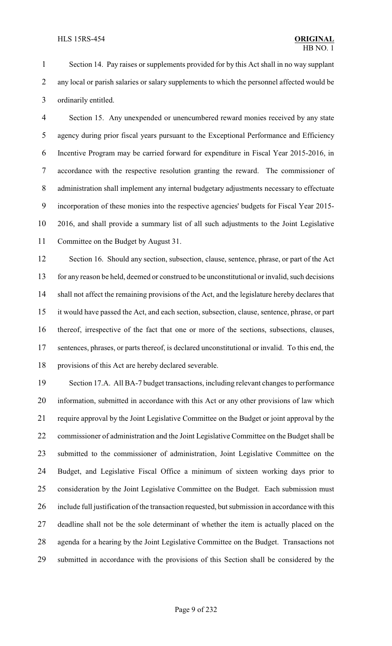Section 14. Pay raises or supplements provided for by this Act shall in no way supplant 2 any local or parish salaries or salary supplements to which the personnel affected would be ordinarily entitled.

 Section 15. Any unexpended or unencumbered reward monies received by any state agency during prior fiscal years pursuant to the Exceptional Performance and Efficiency Incentive Program may be carried forward for expenditure in Fiscal Year 2015-2016, in accordance with the respective resolution granting the reward. The commissioner of administration shall implement any internal budgetary adjustments necessary to effectuate incorporation of these monies into the respective agencies' budgets for Fiscal Year 2015- 2016, and shall provide a summary list of all such adjustments to the Joint Legislative Committee on the Budget by August 31.

12 Section 16. Should any section, subsection, clause, sentence, phrase, or part of the Act for any reason be held, deemed or construed to be unconstitutional or invalid, such decisions shall not affect the remaining provisions of the Act, and the legislature hereby declares that it would have passed the Act, and each section, subsection, clause, sentence, phrase, or part thereof, irrespective of the fact that one or more of the sections, subsections, clauses, sentences, phrases, or parts thereof, is declared unconstitutional or invalid. To this end, the provisions of this Act are hereby declared severable.

 Section 17.A. All BA-7 budget transactions, including relevant changes to performance information, submitted in accordance with this Act or any other provisions of law which require approval by the Joint Legislative Committee on the Budget or joint approval by the commissioner of administration and the Joint Legislative Committee on the Budget shall be submitted to the commissioner of administration, Joint Legislative Committee on the Budget, and Legislative Fiscal Office a minimum of sixteen working days prior to consideration by the Joint Legislative Committee on the Budget. Each submission must include full justification of the transaction requested, but submission in accordance with this deadline shall not be the sole determinant of whether the item is actually placed on the agenda for a hearing by the Joint Legislative Committee on the Budget. Transactions not submitted in accordance with the provisions of this Section shall be considered by the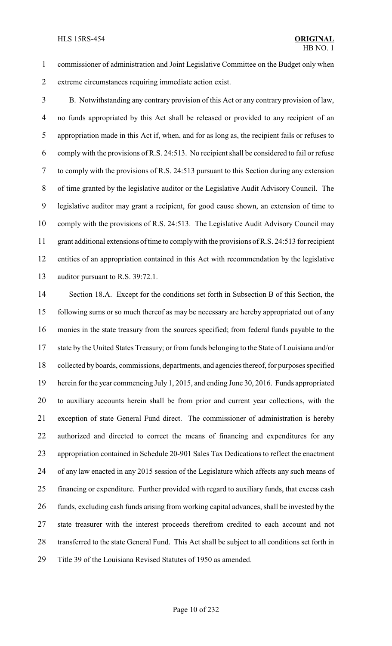commissioner of administration and Joint Legislative Committee on the Budget only when extreme circumstances requiring immediate action exist.

 B. Notwithstanding any contrary provision of this Act or any contrary provision of law, no funds appropriated by this Act shall be released or provided to any recipient of an appropriation made in this Act if, when, and for as long as, the recipient fails or refuses to comply with the provisions of R.S. 24:513. No recipient shall be considered to fail or refuse to comply with the provisions of R.S. 24:513 pursuant to this Section during any extension of time granted by the legislative auditor or the Legislative Audit Advisory Council. The legislative auditor may grant a recipient, for good cause shown, an extension of time to comply with the provisions of R.S. 24:513. The Legislative Audit Advisory Council may grant additional extensions of time to complywith the provisions of R.S. 24:513 for recipient entities of an appropriation contained in this Act with recommendation by the legislative auditor pursuant to R.S. 39:72.1.

 Section 18.A. Except for the conditions set forth in Subsection B of this Section, the following sums or so much thereof as may be necessary are hereby appropriated out of any monies in the state treasury from the sources specified; from federal funds payable to the state by the United States Treasury; or from funds belonging to the State of Louisiana and/or collected by boards, commissions, departments, and agencies thereof, for purposes specified herein for the year commencing July 1, 2015, and ending June 30, 2016. Funds appropriated to auxiliary accounts herein shall be from prior and current year collections, with the exception of state General Fund direct. The commissioner of administration is hereby authorized and directed to correct the means of financing and expenditures for any appropriation contained in Schedule 20-901 Sales Tax Dedications to reflect the enactment of any law enacted in any 2015 session of the Legislature which affects any such means of financing or expenditure. Further provided with regard to auxiliary funds, that excess cash funds, excluding cash funds arising from working capital advances, shall be invested by the state treasurer with the interest proceeds therefrom credited to each account and not transferred to the state General Fund. This Act shall be subject to all conditions set forth in Title 39 of the Louisiana Revised Statutes of 1950 as amended.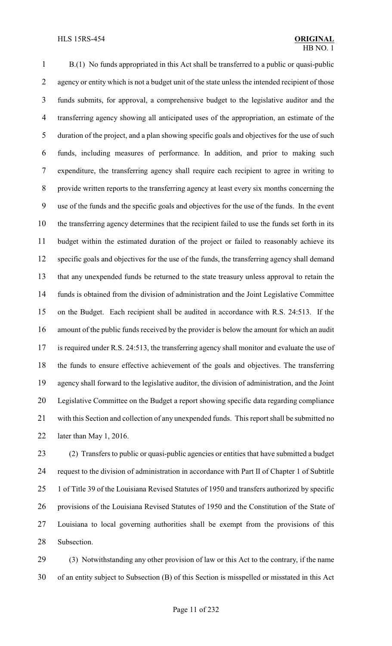B.(1) No funds appropriated in this Act shall be transferred to a public or quasi-public 2 agency or entity which is not a budget unit of the state unless the intended recipient of those funds submits, for approval, a comprehensive budget to the legislative auditor and the transferring agency showing all anticipated uses of the appropriation, an estimate of the duration of the project, and a plan showing specific goals and objectives for the use of such funds, including measures of performance. In addition, and prior to making such expenditure, the transferring agency shall require each recipient to agree in writing to provide written reports to the transferring agency at least every six months concerning the use of the funds and the specific goals and objectives for the use of the funds. In the event the transferring agency determines that the recipient failed to use the funds set forth in its budget within the estimated duration of the project or failed to reasonably achieve its specific goals and objectives for the use of the funds, the transferring agency shall demand that any unexpended funds be returned to the state treasury unless approval to retain the funds is obtained from the division of administration and the Joint Legislative Committee on the Budget. Each recipient shall be audited in accordance with R.S. 24:513. If the amount of the public funds received by the provider is below the amount for which an audit is required under R.S. 24:513, the transferring agency shall monitor and evaluate the use of the funds to ensure effective achievement of the goals and objectives. The transferring agency shall forward to the legislative auditor, the division of administration, and the Joint Legislative Committee on the Budget a report showing specific data regarding compliance with this Section and collection of any unexpended funds. This report shall be submitted no later than May 1, 2016.

 (2) Transfers to public or quasi-public agencies or entities that have submitted a budget request to the division of administration in accordance with Part II of Chapter 1 of Subtitle 1 of Title 39 of the Louisiana Revised Statutes of 1950 and transfers authorized by specific provisions of the Louisiana Revised Statutes of 1950 and the Constitution of the State of Louisiana to local governing authorities shall be exempt from the provisions of this Subsection.

 (3) Notwithstanding any other provision of law or this Act to the contrary, if the name of an entity subject to Subsection (B) of this Section is misspelled or misstated in this Act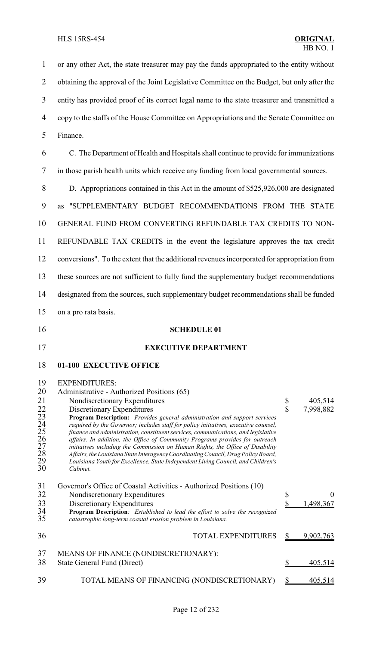<span id="page-18-0"></span> or any other Act, the state treasurer may pay the funds appropriated to the entity without 2 obtaining the approval of the Joint Legislative Committee on the Budget, but only after the entity has provided proof of its correct legal name to the state treasurer and transmitted a copy to the staffs of the House Committee on Appropriations and the Senate Committee on Finance. C. The Department of Health and Hospitals shall continue to provide for immunizations in those parish health units which receive any funding from local governmental sources. D. Appropriations contained in this Act in the amount of \$525,926,000 are designated as "SUPPLEMENTARY BUDGET RECOMMENDATIONS FROM THE STATE GENERAL FUND FROM CONVERTING REFUNDABLE TAX CREDITS TO NON- REFUNDABLE TAX CREDITS in the event the legislature approves the tax credit conversions". To the extent that the additional revenues incorporated for appropriation from these sources are not sufficient to fully fund the supplementary budget recommendations designated from the sources, such supplementary budget recommendations shall be funded on a pro rata basis. **SCHEDULE 01 EXECUTIVE DEPARTMENT 01-100 EXECUTIVE OFFICE** 19 EXPENDITURES:<br>20 Administrative - Au Administrative - Authorized Positions (65) 21 Nondiscretionary Expenditures 5 405,514<br>
22 Discretionary Expenditures 5 7,998,882<br>
23 Program Description: *Provides general administration and support services*<br>
24 *equired by the Governor; includes staff for policy*  Discretionary Expenditures \$ 7,998,882 **Program Description:** *Provides general administration and support services required by the Governor; includes staff for policy initiatives, executive counsel, finance and administration, constituent services, communications, and legislative affairs. In addition, the Office of Community Programs provides for outreach initiatives including the Commission on Human Rights, the Office of Disability Affairs, the Louisiana State InteragencyCoordinatingCouncil, Drug Policy Board, Louisiana Youth for Excellence, State Independent Living Council, and Children's* Cabinet. Governor's Office of Coastal Activities - Authorized Positions (10) 32 Nondiscretionary Expenditures \$ 0 33 Discretionary Expenditures<br>34 **Program Description**: *Established to lead the effort to solve the recognized*<br>35 *catastrophic long-term coastal erosion problem in Louisiana*. **Program Description***: Established to lead the effort to solve the recognized catastrophic long-term coastal erosion problem in Louisiana.* 36 TOTAL EXPENDITURES \$ 9,902,763 MEANS OF FINANCE (NONDISCRETIONARY): 38 State General Fund (Direct) \$ 405,514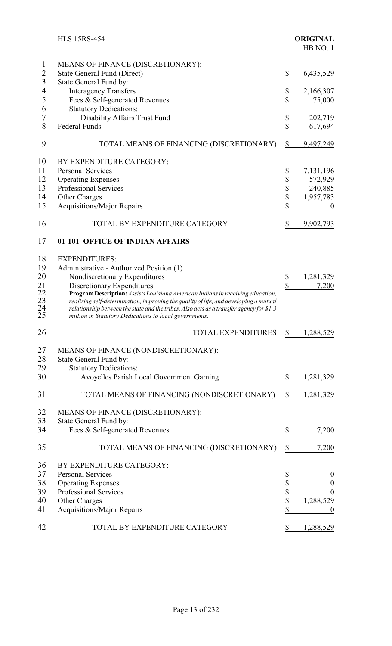<span id="page-19-0"></span>

|                            | <b>HLS 15RS-454</b>                                                                                                                               |               | <b>ORIGINAL</b><br>HB NO.1 |
|----------------------------|---------------------------------------------------------------------------------------------------------------------------------------------------|---------------|----------------------------|
| 1                          | MEANS OF FINANCE (DISCRETIONARY):                                                                                                                 |               |                            |
| $\overline{2}$             | State General Fund (Direct)                                                                                                                       | \$            | 6,435,529                  |
| $\overline{3}$             | State General Fund by:                                                                                                                            |               |                            |
| 4                          | <b>Interagency Transfers</b>                                                                                                                      | \$            | 2,166,307                  |
| 5                          | Fees & Self-generated Revenues                                                                                                                    | \$            | 75,000                     |
| 6                          | <b>Statutory Dedications:</b>                                                                                                                     |               |                            |
| $\overline{7}$             | Disability Affairs Trust Fund                                                                                                                     | \$            | 202,719                    |
| 8                          | <b>Federal Funds</b>                                                                                                                              | \$            | 617,694                    |
| 9                          | TOTAL MEANS OF FINANCING (DISCRETIONARY)                                                                                                          | $\mathbb{S}$  | 9,497,249                  |
| 10                         | BY EXPENDITURE CATEGORY:                                                                                                                          |               |                            |
| 11                         | <b>Personal Services</b>                                                                                                                          | \$            | 7,131,196                  |
| 12                         | <b>Operating Expenses</b>                                                                                                                         | \$            | 572,929                    |
| 13                         | Professional Services                                                                                                                             | \$            | 240,885                    |
| 14                         | Other Charges                                                                                                                                     | \$            | 1,957,783                  |
| 15                         | <b>Acquisitions/Major Repairs</b>                                                                                                                 | \$            | $\boldsymbol{0}$           |
| 16                         | TOTAL BY EXPENDITURE CATEGORY                                                                                                                     | $\frac{1}{2}$ | 9,902,793                  |
| 17                         | 01-101 OFFICE OF INDIAN AFFAIRS                                                                                                                   |               |                            |
|                            |                                                                                                                                                   |               |                            |
| 18                         | <b>EXPENDITURES:</b>                                                                                                                              |               |                            |
| 19                         | Administrative - Authorized Position (1)                                                                                                          |               |                            |
| 20                         | Nondiscretionary Expenditures                                                                                                                     | \$<br>\$      | 1,281,329                  |
|                            | Discretionary Expenditures<br>Program Description: Assists Louisiana American Indians in receiving education,                                     |               | 7,200                      |
|                            | realizing self-determination, improving the quality of life, and developing a mutual                                                              |               |                            |
| 21<br>22<br>23<br>24<br>25 | relationship between the state and the tribes. Also acts as a transfer agency for \$1.3<br>million in Statutory Dedications to local governments. |               |                            |
| 26                         | <b>TOTAL EXPENDITURES</b>                                                                                                                         | \$            | 1,288,529                  |
| 27                         | MEANS OF FINANCE (NONDISCRETIONARY):                                                                                                              |               |                            |
| 28                         | State General Fund by:                                                                                                                            |               |                            |
| 29                         | <b>Statutory Dedications:</b>                                                                                                                     |               |                            |
| 30                         | Avoyelles Parish Local Government Gaming                                                                                                          | \$            | 1,281,329                  |
| 31                         | TOTAL MEANS OF FINANCING (NONDISCRETIONARY)                                                                                                       | \$            | 1,281,329                  |
|                            |                                                                                                                                                   |               |                            |
| 32                         | MEANS OF FINANCE (DISCRETIONARY):                                                                                                                 |               |                            |
| 33                         | State General Fund by:                                                                                                                            |               |                            |
| 34                         | Fees & Self-generated Revenues                                                                                                                    | \$            | 7,200                      |
| 35                         | TOTAL MEANS OF FINANCING (DISCRETIONARY)                                                                                                          | \$            | 7,200                      |
| 36                         | BY EXPENDITURE CATEGORY:                                                                                                                          |               |                            |
| 37                         | <b>Personal Services</b>                                                                                                                          | \$            | $\bf{0}$                   |
| 38                         | <b>Operating Expenses</b>                                                                                                                         | \$            | $\boldsymbol{0}$           |
| 39                         | Professional Services                                                                                                                             | \$            | $\theta$                   |
| 40                         | Other Charges                                                                                                                                     | \$            | 1,288,529                  |
| 41                         | <b>Acquisitions/Major Repairs</b>                                                                                                                 | \$            | $\bf{0}$                   |
| 42                         | TOTAL BY EXPENDITURE CATEGORY                                                                                                                     | \$            | 1,288,529                  |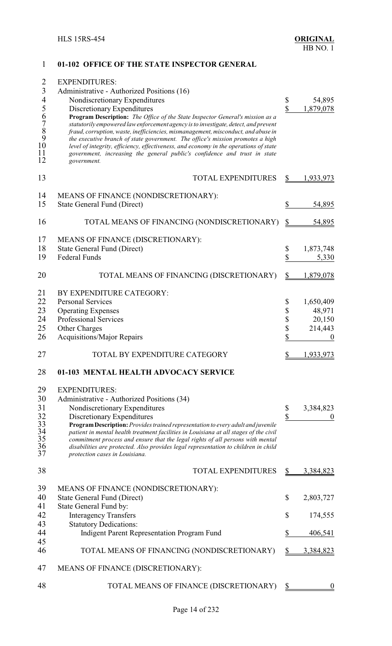<span id="page-20-0"></span>

| $\mathbf{1}$                                     | 01-102 OFFICE OF THE STATE INSPECTOR GENERAL                                                                                                                             |           |                  |
|--------------------------------------------------|--------------------------------------------------------------------------------------------------------------------------------------------------------------------------|-----------|------------------|
| $\overline{2}$                                   | <b>EXPENDITURES:</b>                                                                                                                                                     |           |                  |
| $\overline{3}$                                   |                                                                                                                                                                          |           |                  |
|                                                  | Administrative - Authorized Positions (16)                                                                                                                               |           |                  |
| $\overline{\mathcal{A}}$                         | Nondiscretionary Expenditures                                                                                                                                            | \$        | 54,895           |
| 5                                                | Discretionary Expenditures                                                                                                                                               | \$        | 1,879,078        |
| 6                                                | Program Description: The Office of the State Inspector General's mission as a                                                                                            |           |                  |
|                                                  | statutorily empowered law enforcement agency is to investigate, detect, and prevent<br>fraud, corruption, waste, inefficiencies, mismanagement, misconduct, and abuse in |           |                  |
|                                                  | the executive branch of state government. The office's mission promotes a high                                                                                           |           |                  |
| $\begin{array}{c} 7 \\ 8 \\ 9 \\ 10 \end{array}$ | level of integrity, efficiency, effectiveness, and economy in the operations of state                                                                                    |           |                  |
| 11                                               | government, increasing the general public's confidence and trust in state                                                                                                |           |                  |
| 12                                               | government.                                                                                                                                                              |           |                  |
| 13                                               | <b>TOTAL EXPENDITURES</b>                                                                                                                                                | \$        | 1,933,973        |
|                                                  |                                                                                                                                                                          |           |                  |
| 14                                               | MEANS OF FINANCE (NONDISCRETIONARY):                                                                                                                                     |           |                  |
| 15                                               | <b>State General Fund (Direct)</b>                                                                                                                                       | \$        | 54,895           |
|                                                  |                                                                                                                                                                          |           |                  |
| 16                                               | TOTAL MEANS OF FINANCING (NONDISCRETIONARY)                                                                                                                              | \$        | 54,895           |
| 17                                               | MEANS OF FINANCE (DISCRETIONARY):                                                                                                                                        |           |                  |
| 18                                               | <b>State General Fund (Direct)</b>                                                                                                                                       | \$        | 1,873,748        |
| 19                                               | <b>Federal Funds</b>                                                                                                                                                     | \$        | 5,330            |
|                                                  |                                                                                                                                                                          |           |                  |
| 20                                               | TOTAL MEANS OF FINANCING (DISCRETIONARY)                                                                                                                                 | \$        | 1,879,078        |
| 21                                               | BY EXPENDITURE CATEGORY:                                                                                                                                                 |           |                  |
| 22                                               | <b>Personal Services</b>                                                                                                                                                 | \$        | 1,650,409        |
| 23                                               | <b>Operating Expenses</b>                                                                                                                                                | \$        | 48,971           |
| 24                                               | Professional Services                                                                                                                                                    | \$        | 20,150           |
| 25                                               | Other Charges                                                                                                                                                            | \$        | 214,443          |
| 26                                               | <b>Acquisitions/Major Repairs</b>                                                                                                                                        | \$        | $\boldsymbol{0}$ |
|                                                  |                                                                                                                                                                          |           |                  |
| 27                                               | TOTAL BY EXPENDITURE CATEGORY                                                                                                                                            |           | 1,933,973        |
| 28                                               | 01-103 MENTAL HEALTH ADVOCACY SERVICE                                                                                                                                    |           |                  |
| 29                                               | <b>EXPENDITURES:</b>                                                                                                                                                     |           |                  |
| 30                                               | Administrative - Authorized Positions (34)                                                                                                                               |           |                  |
| 31                                               | Nondiscretionary Expenditures                                                                                                                                            | \$        | 3,384,823        |
| 32                                               | Discretionary Expenditures                                                                                                                                               | \$        |                  |
| 33                                               | Program Description: Provides trained representation to every adult and juvenile                                                                                         |           |                  |
|                                                  | patient in mental health treatment facilities in Louisiana at all stages of the civil                                                                                    |           |                  |
| $\frac{34}{35}$<br>$\frac{36}{35}$               | commitment process and ensure that the legal rights of all persons with mental                                                                                           |           |                  |
| 37                                               | disabilities are protected. Also provides legal representation to children in child<br>protection cases in Louisiana.                                                    |           |                  |
|                                                  |                                                                                                                                                                          |           |                  |
| 38                                               | <b>TOTAL EXPENDITURES</b>                                                                                                                                                | \$        | 3,384,823        |
| 39                                               | MEANS OF FINANCE (NONDISCRETIONARY):                                                                                                                                     |           |                  |
| 40                                               | <b>State General Fund (Direct)</b>                                                                                                                                       | \$        | 2,803,727        |
| 41                                               | State General Fund by:                                                                                                                                                   |           |                  |
| 42                                               | <b>Interagency Transfers</b>                                                                                                                                             | \$        | 174,555          |
| 43                                               | <b>Statutory Dedications:</b>                                                                                                                                            |           |                  |
| 44                                               |                                                                                                                                                                          | \$        |                  |
| 45                                               | Indigent Parent Representation Program Fund                                                                                                                              |           | 406,541          |
| 46                                               | TOTAL MEANS OF FINANCING (NONDISCRETIONARY)                                                                                                                              |           | 3,384,823        |
|                                                  |                                                                                                                                                                          |           |                  |
| 47                                               | MEANS OF FINANCE (DISCRETIONARY):                                                                                                                                        |           |                  |
| 48                                               | TOTAL MEANS OF FINANCE (DISCRETIONARY)                                                                                                                                   | <u>\$</u> |                  |
|                                                  |                                                                                                                                                                          |           |                  |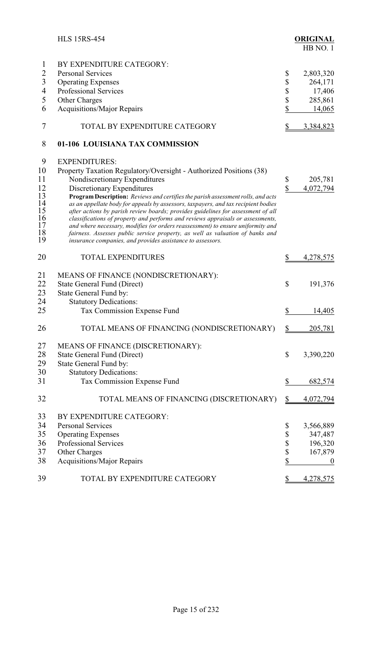<span id="page-21-0"></span>

|                          | <b>HLS 15RS-454</b>                                                                                                                                                 |                          | <b>ORIGINAL</b><br>HB NO.1 |
|--------------------------|---------------------------------------------------------------------------------------------------------------------------------------------------------------------|--------------------------|----------------------------|
| $\mathbf{1}$             | BY EXPENDITURE CATEGORY:                                                                                                                                            |                          |                            |
| $\overline{2}$           | <b>Personal Services</b>                                                                                                                                            | \$                       | 2,803,320                  |
| 3                        | <b>Operating Expenses</b>                                                                                                                                           | \$                       | 264,171                    |
| $\overline{\mathcal{A}}$ | Professional Services                                                                                                                                               |                          | 17,406                     |
| 5                        | Other Charges                                                                                                                                                       | \$<br>\$                 | 285,861                    |
| 6                        | <b>Acquisitions/Major Repairs</b>                                                                                                                                   | \$                       | 14,065                     |
| 7                        | TOTAL BY EXPENDITURE CATEGORY                                                                                                                                       | $\frac{1}{2}$            | 3,384,823                  |
| 8                        | 01-106 LOUISIANA TAX COMMISSION                                                                                                                                     |                          |                            |
| 9                        | <b>EXPENDITURES:</b>                                                                                                                                                |                          |                            |
| 10                       | Property Taxation Regulatory/Oversight - Authorized Positions (38)                                                                                                  |                          |                            |
| 11                       | Nondiscretionary Expenditures                                                                                                                                       | \$                       | 205,781                    |
| 12                       | Discretionary Expenditures                                                                                                                                          | \$                       | 4,072,794                  |
| 13                       | Program Description: Reviews and certifies the parish assessment rolls, and acts                                                                                    |                          |                            |
| 14                       | as an appellate body for appeals by assessors, taxpayers, and tax recipient bodies                                                                                  |                          |                            |
| 15<br>16                 | after actions by parish review boards; provides guidelines for assessment of all<br>classifications of property and performs and reviews appraisals or assessments, |                          |                            |
| 17                       | and where necessary, modifies (or orders reassessment) to ensure uniformity and                                                                                     |                          |                            |
| 18                       | fairness. Assesses public service property, as well as valuation of banks and                                                                                       |                          |                            |
| 19                       | insurance companies, and provides assistance to assessors.                                                                                                          |                          |                            |
| 20                       | <b>TOTAL EXPENDITURES</b>                                                                                                                                           | \$                       | 4,278,575                  |
| 21                       | MEANS OF FINANCE (NONDISCRETIONARY):                                                                                                                                |                          |                            |
| 22                       | State General Fund (Direct)                                                                                                                                         | \$                       | 191,376                    |
| 23                       | State General Fund by:                                                                                                                                              |                          |                            |
| 24                       | <b>Statutory Dedications:</b>                                                                                                                                       |                          |                            |
| 25                       | Tax Commission Expense Fund                                                                                                                                         | \$                       | 14,405                     |
|                          |                                                                                                                                                                     |                          |                            |
| 26                       | TOTAL MEANS OF FINANCING (NONDISCRETIONARY)                                                                                                                         | \$                       | 205,781                    |
| 27                       | MEANS OF FINANCE (DISCRETIONARY):                                                                                                                                   |                          |                            |
| 28                       | <b>State General Fund (Direct)</b>                                                                                                                                  | \$                       | 3,390,220                  |
| 29                       | State General Fund by:                                                                                                                                              |                          |                            |
| 30                       | <b>Statutory Dedications:</b>                                                                                                                                       |                          |                            |
| 31                       | Tax Commission Expense Fund                                                                                                                                         | \$                       | 682,574                    |
| 32                       | TOTAL MEANS OF FINANCING (DISCRETIONARY)                                                                                                                            | $\overline{\mathcal{E}}$ | 4,072,794                  |
| 33                       | BY EXPENDITURE CATEGORY:                                                                                                                                            |                          |                            |
| 34                       | <b>Personal Services</b>                                                                                                                                            | \$                       | 3,566,889                  |
| 35                       | <b>Operating Expenses</b>                                                                                                                                           | \$                       | 347,487                    |
| 36                       | Professional Services                                                                                                                                               | \$                       | 196,320                    |
| 37                       | Other Charges                                                                                                                                                       | \$                       | 167,879                    |
| 38                       | Acquisitions/Major Repairs                                                                                                                                          | \$                       | $\boldsymbol{0}$           |
| 39                       | TOTAL BY EXPENDITURE CATEGORY                                                                                                                                       | \$                       | 4,278,575                  |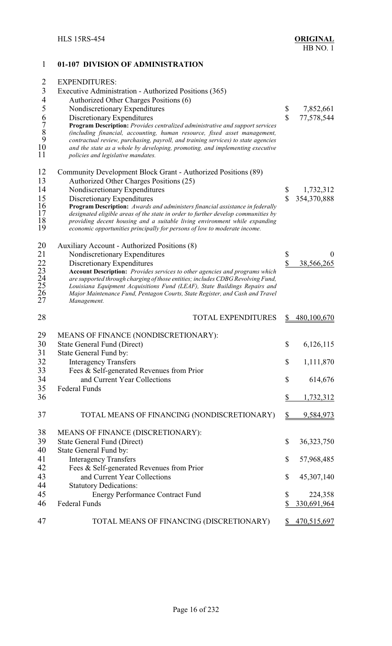<span id="page-22-0"></span>

| 1                                | 01-107 DIVISION OF ADMINISTRATION                                                                                                                                  |                         |                |
|----------------------------------|--------------------------------------------------------------------------------------------------------------------------------------------------------------------|-------------------------|----------------|
| 2                                | <b>EXPENDITURES:</b>                                                                                                                                               |                         |                |
| $\mathfrak{Z}$                   | Executive Administration - Authorized Positions (365)                                                                                                              |                         |                |
| $\overline{4}$                   | Authorized Other Charges Positions (6)                                                                                                                             |                         |                |
| 5                                | Nondiscretionary Expenditures                                                                                                                                      | \$                      | 7,852,661      |
| 6                                | Discretionary Expenditures                                                                                                                                         | $\hat{\mathbf{S}}$      | 77,578,544     |
| $\overline{7}$                   | Program Description: Provides centralized administrative and support services                                                                                      |                         |                |
| 8<br>9                           | (including financial, accounting, human resource, fixed asset management,                                                                                          |                         |                |
| 10                               | contractual review, purchasing, payroll, and training services) to state agencies<br>and the state as a whole by developing, promoting, and implementing executive |                         |                |
| 11                               | policies and legislative mandates.                                                                                                                                 |                         |                |
| 12                               | Community Development Block Grant - Authorized Positions (89)                                                                                                      |                         |                |
| 13                               | Authorized Other Charges Positions (25)                                                                                                                            |                         |                |
| 14                               | Nondiscretionary Expenditures                                                                                                                                      | \$                      | 1,732,312      |
| 15                               | Discretionary Expenditures                                                                                                                                         | $\mathbf S$             | 354,370,888    |
| 16                               | Program Description: Awards and administers financial assistance in federally                                                                                      |                         |                |
| 17<br>18                         | designated eligible areas of the state in order to further develop communities by<br>providing decent housing and a suitable living environment while expanding    |                         |                |
| 19                               | economic opportunities principally for persons of low to moderate income.                                                                                          |                         |                |
| 20                               | Auxiliary Account - Authorized Positions (8)                                                                                                                       |                         |                |
| 21                               | Nondiscretionary Expenditures                                                                                                                                      | \$                      | 0              |
|                                  | Discretionary Expenditures                                                                                                                                         | $\overline{\mathbb{S}}$ | 38,566,265     |
|                                  | Account Description: Provides services to other agencies and programs which                                                                                        |                         |                |
|                                  | are supported through charging of those entities; includes CDBG Revolving Fund,<br>Louisiana Equipment Acquisitions Fund (LEAF), State Buildings Repairs and       |                         |                |
| 22<br>23<br>24<br>25<br>26<br>27 | Major Maintenance Fund, Pentagon Courts, State Register, and Cash and Travel<br>Management.                                                                        |                         |                |
| 28                               | <b>TOTAL EXPENDITURES</b>                                                                                                                                          | \$                      | 480,100,670    |
| 29                               | MEANS OF FINANCE (NONDISCRETIONARY):                                                                                                                               |                         |                |
| 30                               | State General Fund (Direct)                                                                                                                                        | \$                      | 6,126,115      |
| 31                               | State General Fund by:                                                                                                                                             |                         |                |
| 32                               | <b>Interagency Transfers</b>                                                                                                                                       | \$                      | 1,111,870      |
| 33                               | Fees & Self-generated Revenues from Prior                                                                                                                          |                         |                |
| 34                               | and Current Year Collections                                                                                                                                       | \$                      | 614,676        |
| 35<br>36                         | <b>Federal Funds</b>                                                                                                                                               | \$                      | 1,732,312      |
|                                  |                                                                                                                                                                    |                         |                |
| 37                               | TOTAL MEANS OF FINANCING (NONDISCRETIONARY)                                                                                                                        | \$                      | 9,584,973      |
| 38                               | MEANS OF FINANCE (DISCRETIONARY):                                                                                                                                  |                         |                |
| 39                               | State General Fund (Direct)                                                                                                                                        | \$                      | 36,323,750     |
| 40                               | State General Fund by:                                                                                                                                             |                         |                |
| 41                               | <b>Interagency Transfers</b>                                                                                                                                       | \$                      | 57,968,485     |
| 42                               | Fees & Self-generated Revenues from Prior                                                                                                                          |                         |                |
| 43<br>44                         | and Current Year Collections                                                                                                                                       | \$                      | 45,307,140     |
| 45                               | <b>Statutory Dedications:</b><br><b>Energy Performance Contract Fund</b>                                                                                           | \$                      | 224,358        |
| 46                               | <b>Federal Funds</b>                                                                                                                                               |                         | 330,691,964    |
| 47                               | TOTAL MEANS OF FINANCING (DISCRETIONARY)                                                                                                                           |                         | \$ 470,515,697 |
|                                  |                                                                                                                                                                    |                         |                |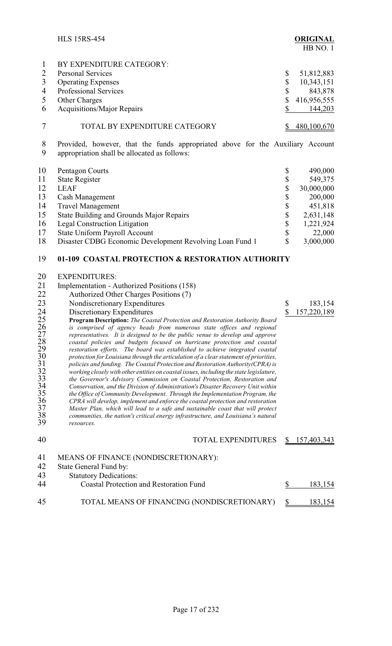<span id="page-23-0"></span>

|                          | <b>HLS 15RS-454</b>                                                                                                                                              |               | <b>ORIGINAL</b><br>HB NO.1 |
|--------------------------|------------------------------------------------------------------------------------------------------------------------------------------------------------------|---------------|----------------------------|
| 1                        | BY EXPENDITURE CATEGORY:                                                                                                                                         |               |                            |
| $\overline{2}$           | <b>Personal Services</b>                                                                                                                                         | \$            | 51,812,883                 |
| $\mathfrak{Z}$           | <b>Operating Expenses</b>                                                                                                                                        | \$            | 10,343,151                 |
| $\overline{\mathcal{A}}$ | Professional Services                                                                                                                                            | \$            | 843,878                    |
| 5                        | Other Charges                                                                                                                                                    | \$            | 416,956,555                |
| 6                        | Acquisitions/Major Repairs                                                                                                                                       | \$            | 144,203                    |
|                          |                                                                                                                                                                  |               |                            |
| 7                        | TOTAL BY EXPENDITURE CATEGORY                                                                                                                                    | \$            | 480,100,670                |
| 8<br>9                   | Provided, however, that the funds appropriated above for the Auxiliary Account<br>appropriation shall be allocated as follows:                                   |               |                            |
| 10                       | Pentagon Courts                                                                                                                                                  | \$            | 490,000                    |
| 11                       | <b>State Register</b>                                                                                                                                            |               | 549,375                    |
| 12                       | <b>LEAF</b>                                                                                                                                                      | \$<br>\$      | 30,000,000                 |
| 13                       |                                                                                                                                                                  |               |                            |
|                          | Cash Management                                                                                                                                                  |               | 200,000                    |
| 14                       | <b>Travel Management</b>                                                                                                                                         | \$<br>\$      | 451,818                    |
| 15                       | State Building and Grounds Major Repairs                                                                                                                         |               | 2,631,148                  |
| 16                       | <b>Legal Construction Litigation</b>                                                                                                                             | \$            | 1,221,924                  |
| 17                       | State Uniform Payroll Account                                                                                                                                    | \$            | 22,000                     |
| 18                       | Disaster CDBG Economic Development Revolving Loan Fund 1                                                                                                         | \$            | 3,000,000                  |
| 19                       | 01-109 COASTAL PROTECTION & RESTORATION AUTHORITY                                                                                                                |               |                            |
| 20                       | <b>EXPENDITURES:</b>                                                                                                                                             |               |                            |
| 21                       | Implementation - Authorized Positions (158)                                                                                                                      |               |                            |
| 22                       | Authorized Other Charges Positions (7)                                                                                                                           |               |                            |
| 23                       | Nondiscretionary Expenditures                                                                                                                                    | \$            | 183,154                    |
| 24                       | Discretionary Expenditures                                                                                                                                       | \$            | 157,220,189                |
|                          | <b>Program Description:</b> The Coastal Protection and Restoration Authority Board                                                                               |               |                            |
|                          | is comprised of agency heads from numerous state offices and regional                                                                                            |               |                            |
|                          | representatives. It is designed to be the public venue to develop and approve                                                                                    |               |                            |
|                          | coastal policies and budgets focused on hurricane protection and coastal<br>restoration efforts. The board was established to achieve integrated coastal         |               |                            |
|                          | protection for Louisiana through the articulation of a clear statement of priorities,                                                                            |               |                            |
|                          | policies and funding. The Coastal Protection and Restoration Authority (CPRA) is                                                                                 |               |                            |
|                          | working closely with other entities on coastal issues, including the state legislature,                                                                          |               |                            |
|                          | the Governor's Advisory Commission on Coastal Protection, Restoration and                                                                                        |               |                            |
|                          | Conservation, and the Division of Administration's Disaster Recovery Unit within<br>the Office of Community Development. Through the Implementation Program, the |               |                            |
|                          | CPRA will develop, implement and enforce the coastal protection and restoration                                                                                  |               |                            |
|                          | Master Plan, which will lead to a safe and sustainable coast that will protect                                                                                   |               |                            |
|                          | communities, the nation's critical energy infrastructure, and Louisiana's natural                                                                                |               |                            |
|                          | resources.                                                                                                                                                       |               |                            |
| 40                       | <b>TOTAL EXPENDITURES</b>                                                                                                                                        | \$            | 157,403,343                |
| 41                       | MEANS OF FINANCE (NONDISCRETIONARY):                                                                                                                             |               |                            |
| 42                       | State General Fund by:                                                                                                                                           |               |                            |
| 43                       | <b>Statutory Dedications:</b>                                                                                                                                    |               |                            |
| 44                       | <b>Coastal Protection and Restoration Fund</b>                                                                                                                   | \$            | 183,154                    |
|                          |                                                                                                                                                                  |               |                            |
| 45                       | TOTAL MEANS OF FINANCING (NONDISCRETIONARY)                                                                                                                      | $\frac{1}{2}$ | 183,154                    |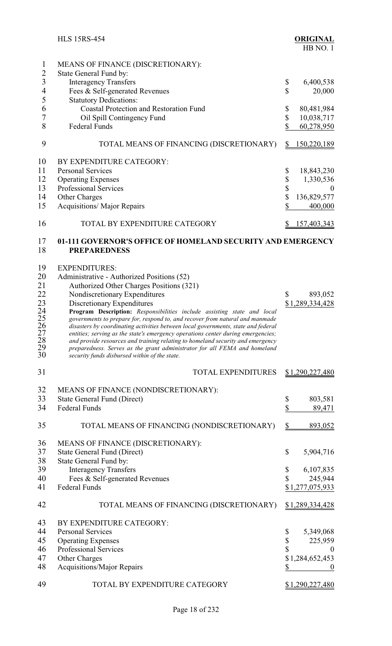<span id="page-24-0"></span>

|                                | <b>HLS 15RS-454</b>                                                                                                        | <b>ORIGINAL</b><br>HB NO.1             |
|--------------------------------|----------------------------------------------------------------------------------------------------------------------------|----------------------------------------|
| $\mathbf{1}$<br>$\overline{2}$ | MEANS OF FINANCE (DISCRETIONARY):                                                                                          |                                        |
| $\mathfrak{Z}$                 | State General Fund by:                                                                                                     |                                        |
| $\overline{\mathcal{A}}$       | <b>Interagency Transfers</b><br>Fees & Self-generated Revenues                                                             | \$<br>6,400,538<br>\$<br>20,000        |
| 5                              | <b>Statutory Dedications:</b>                                                                                              |                                        |
| 6                              | <b>Coastal Protection and Restoration Fund</b>                                                                             | 80,481,984<br>\$                       |
| $\overline{7}$                 | Oil Spill Contingency Fund                                                                                                 | \$<br>10,038,717                       |
| 8                              | <b>Federal Funds</b>                                                                                                       | \$<br>60,278,950                       |
|                                |                                                                                                                            |                                        |
| 9                              | TOTAL MEANS OF FINANCING (DISCRETIONARY)                                                                                   | 150,220,189<br><sup>S</sup>            |
| 10                             | BY EXPENDITURE CATEGORY:                                                                                                   |                                        |
| 11                             | <b>Personal Services</b>                                                                                                   | 18,843,230<br>\$                       |
| 12                             | <b>Operating Expenses</b>                                                                                                  | \$<br>1,330,536                        |
| 13                             | Professional Services                                                                                                      | \$<br>$\theta$                         |
| 14                             | <b>Other Charges</b>                                                                                                       | $\sqrt[6]{\frac{1}{2}}$<br>136,829,577 |
| 15                             | <b>Acquisitions/ Major Repairs</b>                                                                                         | \$<br>400,000                          |
| 16                             | TOTAL BY EXPENDITURE CATEGORY                                                                                              | 157,403,343<br>\$                      |
| 17<br>18                       | 01-111 GOVERNOR'S OFFICE OF HOMELAND SECURITY AND EMERGENCY<br><b>PREPAREDNESS</b>                                         |                                        |
|                                |                                                                                                                            |                                        |
| 19                             | <b>EXPENDITURES:</b>                                                                                                       |                                        |
| 20                             | Administrative - Authorized Positions (52)                                                                                 |                                        |
| 21                             | Authorized Other Charges Positions (321)                                                                                   |                                        |
| 22                             | Nondiscretionary Expenditures                                                                                              | \$<br>893,052                          |
| 23<br>24                       | Discretionary Expenditures<br>Program Description: Responsibilities include assisting state and local                      | \$1,289,334,428                        |
| 25                             | governments to prepare for, respond to, and recover from natural and manmade                                               |                                        |
|                                | disasters by coordinating activities between local governments, state and federal                                          |                                        |
|                                | entities; serving as the state's emergency operations center during emergencies;                                           |                                        |
|                                | and provide resources and training relating to homeland security and emergency                                             |                                        |
| 26<br>27<br>28<br>29<br>30     | preparedness. Serves as the grant administrator for all FEMA and homeland<br>security funds disbursed within of the state. |                                        |
| 31                             | <b>TOTAL EXPENDITURES</b>                                                                                                  | <u>\$1,290,227,480</u>                 |
|                                |                                                                                                                            |                                        |
| 32                             | MEANS OF FINANCE (NONDISCRETIONARY):                                                                                       |                                        |
| 33                             | State General Fund (Direct)                                                                                                | \$<br>803,581                          |
| 34                             | <b>Federal Funds</b>                                                                                                       | \$<br>89,471                           |
|                                |                                                                                                                            |                                        |
| 35                             | TOTAL MEANS OF FINANCING (NONDISCRETIONARY)                                                                                | $\frac{1}{2}$<br>893,052               |
| 36                             | MEANS OF FINANCE (DISCRETIONARY):                                                                                          |                                        |
| 37                             | <b>State General Fund (Direct)</b>                                                                                         | \$<br>5,904,716                        |
| 38                             | State General Fund by:                                                                                                     |                                        |
| 39                             | <b>Interagency Transfers</b>                                                                                               | 6,107,835<br>\$                        |
| 40                             | Fees & Self-generated Revenues                                                                                             | \$<br>245,944                          |
| 41                             | <b>Federal Funds</b>                                                                                                       | \$1,277,075,933                        |
| 42                             | TOTAL MEANS OF FINANCING (DISCRETIONARY)                                                                                   | <u>\$1,289,334,428</u>                 |
| 43                             | BY EXPENDITURE CATEGORY:                                                                                                   |                                        |
| 44                             | <b>Personal Services</b>                                                                                                   | 5,349,068<br>\$                        |
| 45                             | <b>Operating Expenses</b>                                                                                                  | \$<br>225,959                          |
| 46                             | Professional Services                                                                                                      | \$<br>$\mathbf{0}$                     |
| 47                             | <b>Other Charges</b>                                                                                                       | \$1,284,652,453                        |
| 48                             | <b>Acquisitions/Major Repairs</b>                                                                                          | \$                                     |
| 49                             | TOTAL BY EXPENDITURE CATEGORY                                                                                              | \$1,290,227,480                        |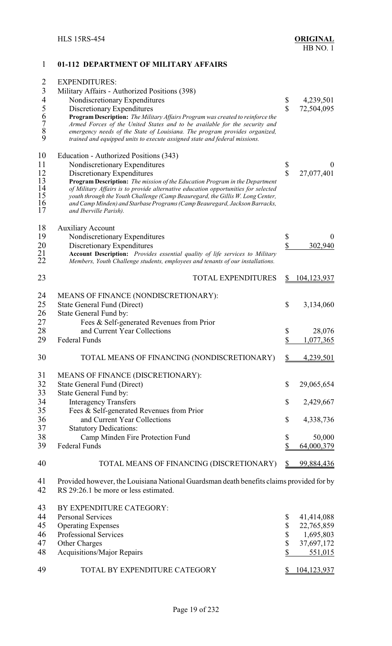## <span id="page-25-0"></span>**01-112 DEPARTMENT OF MILITARY AFFAIRS**

| $\overline{2}$<br>3 | <b>EXPENDITURES:</b><br>Military Affairs - Authorized Positions (398)                                                                                    |                    |             |
|---------------------|----------------------------------------------------------------------------------------------------------------------------------------------------------|--------------------|-------------|
| $\overline{4}$      | Nondiscretionary Expenditures                                                                                                                            | \$                 | 4,239,501   |
|                     | Discretionary Expenditures                                                                                                                               | $\hat{\mathbf{S}}$ | 72,504,095  |
|                     | Program Description: The Military Affairs Program was created to reinforce the                                                                           |                    |             |
|                     | Armed Forces of the United States and to be available for the security and                                                                               |                    |             |
| 56789               | emergency needs of the State of Louisiana. The program provides organized,<br>trained and equipped units to execute assigned state and federal missions. |                    |             |
|                     |                                                                                                                                                          |                    |             |
| 10                  | Education - Authorized Positions (343)                                                                                                                   |                    |             |
| 11                  | Nondiscretionary Expenditures                                                                                                                            | \$                 | $\theta$    |
| 12                  | Discretionary Expenditures                                                                                                                               | $\hat{\mathbf{S}}$ | 27,077,401  |
| 13                  | Program Description: The mission of the Education Program in the Department                                                                              |                    |             |
| 14                  | of Military Affairs is to provide alternative education opportunities for selected                                                                       |                    |             |
| 15                  | youth through the Youth Challenge (Camp Beauregard, the Gillis W. Long Center,                                                                           |                    |             |
| 16                  | and Camp Minden) and Starbase Programs (Camp Beauregard, Jackson Barracks,                                                                               |                    |             |
| 17                  | and Iberville Parish).                                                                                                                                   |                    |             |
| 18                  | <b>Auxiliary Account</b>                                                                                                                                 |                    |             |
| 19                  | Nondiscretionary Expenditures                                                                                                                            | \$                 | $\theta$    |
| 20                  | Discretionary Expenditures                                                                                                                               | \$                 | 302,940     |
|                     | Account Description: Provides essential quality of life services to Military                                                                             |                    |             |
| $^{21}_{22}$        | Members, Youth Challenge students, employees and tenants of our installations.                                                                           |                    |             |
| 23                  | <b>TOTAL EXPENDITURES</b>                                                                                                                                | \$                 | 104,123,937 |
| 24                  | MEANS OF FINANCE (NONDISCRETIONARY):                                                                                                                     |                    |             |
| 25                  | State General Fund (Direct)                                                                                                                              | \$                 | 3,134,060   |
|                     |                                                                                                                                                          |                    |             |
| 26                  | State General Fund by:                                                                                                                                   |                    |             |
| 27                  | Fees & Self-generated Revenues from Prior                                                                                                                |                    |             |
| 28                  | and Current Year Collections                                                                                                                             | \$                 | 28,076      |
| 29                  | <b>Federal Funds</b>                                                                                                                                     | \$                 | 1,077,365   |
| 30                  | TOTAL MEANS OF FINANCING (NONDISCRETIONARY)                                                                                                              | <u>\$</u>          | 4,239,501   |
| 31                  | MEANS OF FINANCE (DISCRETIONARY):                                                                                                                        |                    |             |
| 32                  | <b>State General Fund (Direct)</b>                                                                                                                       | $\mathbb{S}$       | 29,065,654  |
| 33                  | State General Fund by:                                                                                                                                   |                    |             |
| 34                  | <b>Interagency Transfers</b>                                                                                                                             | \$                 |             |
|                     |                                                                                                                                                          |                    | 2,429,667   |
| 35                  | Fees & Self-generated Revenues from Prior                                                                                                                |                    |             |
| 36                  | and Current Year Collections                                                                                                                             | \$                 | 4,338,736   |
| 37                  | <b>Statutory Dedications:</b>                                                                                                                            |                    |             |
| 38                  | Camp Minden Fire Protection Fund                                                                                                                         | \$                 | 50,000      |
| 39                  | <b>Federal Funds</b>                                                                                                                                     | \$                 | 64,000,379  |
| 40                  | TOTAL MEANS OF FINANCING (DISCRETIONARY)                                                                                                                 | \$                 | 99,884,436  |
| 41                  | Provided however, the Louisiana National Guardsman death benefits claims provided for by                                                                 |                    |             |
| 42                  | RS 29:26.1 be more or less estimated.                                                                                                                    |                    |             |
| 43                  | BY EXPENDITURE CATEGORY:                                                                                                                                 |                    |             |
| 44                  | <b>Personal Services</b>                                                                                                                                 | \$                 | 41,414,088  |
| 45                  | <b>Operating Expenses</b>                                                                                                                                | \$                 | 22,765,859  |
| 46                  | Professional Services                                                                                                                                    | \$                 | 1,695,803   |
| 47                  | Other Charges                                                                                                                                            | \$                 | 37,697,172  |
| 48                  |                                                                                                                                                          | \$                 |             |
|                     | Acquisitions/Major Repairs                                                                                                                               |                    | 551,015     |
| 49                  | TOTAL BY EXPENDITURE CATEGORY                                                                                                                            | S.                 | 104,123,937 |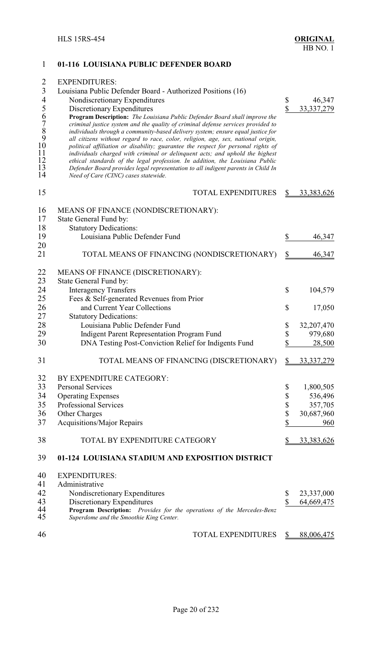<span id="page-26-0"></span>

| 1                                                                                                                          | 01-116 LOUISIANA PUBLIC DEFENDER BOARD                                                                                                                                                                                                                                                                                                                                                                                                                                                                                                                                                                                                                                                                                                                                                                                                                                       |                                 |                        |
|----------------------------------------------------------------------------------------------------------------------------|------------------------------------------------------------------------------------------------------------------------------------------------------------------------------------------------------------------------------------------------------------------------------------------------------------------------------------------------------------------------------------------------------------------------------------------------------------------------------------------------------------------------------------------------------------------------------------------------------------------------------------------------------------------------------------------------------------------------------------------------------------------------------------------------------------------------------------------------------------------------------|---------------------------------|------------------------|
| $\overline{2}$<br>$\overline{3}$<br>$\overline{\mathcal{A}}$<br>5<br>6<br>$\frac{7}{8}$<br>9<br>10<br>11<br>12<br>13<br>14 | <b>EXPENDITURES:</b><br>Louisiana Public Defender Board - Authorized Positions (16)<br>Nondiscretionary Expenditures<br>Discretionary Expenditures<br>Program Description: The Louisiana Public Defender Board shall improve the<br>criminal justice system and the quality of criminal defense services provided to<br>individuals through a community-based delivery system; ensure equal justice for<br>all citizens without regard to race, color, religion, age, sex, national origin,<br>political affiliation or disability; guarantee the respect for personal rights of<br>individuals charged with criminal or delinquent acts; and uphold the highest<br>ethical standards of the legal profession. In addition, the Louisiana Public<br>Defender Board provides legal representation to all indigent parents in Child In<br>Need of Care (CINC) cases statewide. | \$<br>$\boldsymbol{\mathsf{S}}$ | 46,347<br>33, 337, 279 |
| 15                                                                                                                         | <b>TOTAL EXPENDITURES</b>                                                                                                                                                                                                                                                                                                                                                                                                                                                                                                                                                                                                                                                                                                                                                                                                                                                    | \$                              | 33, 383, 626           |
| 16<br>17<br>18                                                                                                             | MEANS OF FINANCE (NONDISCRETIONARY):<br>State General Fund by:<br><b>Statutory Dedications:</b>                                                                                                                                                                                                                                                                                                                                                                                                                                                                                                                                                                                                                                                                                                                                                                              |                                 |                        |
| 19<br>20                                                                                                                   | Louisiana Public Defender Fund                                                                                                                                                                                                                                                                                                                                                                                                                                                                                                                                                                                                                                                                                                                                                                                                                                               | \$                              | 46,347                 |
| 21                                                                                                                         | TOTAL MEANS OF FINANCING (NONDISCRETIONARY)                                                                                                                                                                                                                                                                                                                                                                                                                                                                                                                                                                                                                                                                                                                                                                                                                                  | \$                              | 46,347                 |
| 22<br>23<br>24                                                                                                             | MEANS OF FINANCE (DISCRETIONARY):<br>State General Fund by:<br><b>Interagency Transfers</b>                                                                                                                                                                                                                                                                                                                                                                                                                                                                                                                                                                                                                                                                                                                                                                                  | \$                              | 104,579                |
| 25<br>26<br>27                                                                                                             | Fees & Self-generated Revenues from Prior<br>and Current Year Collections<br><b>Statutory Dedications:</b>                                                                                                                                                                                                                                                                                                                                                                                                                                                                                                                                                                                                                                                                                                                                                                   | \$                              | 17,050                 |
| 28                                                                                                                         | Louisiana Public Defender Fund                                                                                                                                                                                                                                                                                                                                                                                                                                                                                                                                                                                                                                                                                                                                                                                                                                               | \$                              | 32,207,470             |
| 29                                                                                                                         | Indigent Parent Representation Program Fund                                                                                                                                                                                                                                                                                                                                                                                                                                                                                                                                                                                                                                                                                                                                                                                                                                  | \$                              | 979,680                |
| 30                                                                                                                         | DNA Testing Post-Conviction Relief for Indigents Fund                                                                                                                                                                                                                                                                                                                                                                                                                                                                                                                                                                                                                                                                                                                                                                                                                        | \$                              | 28,500                 |
| 31                                                                                                                         | TOTAL MEANS OF FINANCING (DISCRETIONARY)                                                                                                                                                                                                                                                                                                                                                                                                                                                                                                                                                                                                                                                                                                                                                                                                                                     | $\mathbb{S}$                    | 33, 337, 279           |
| 32                                                                                                                         | BY EXPENDITURE CATEGORY:                                                                                                                                                                                                                                                                                                                                                                                                                                                                                                                                                                                                                                                                                                                                                                                                                                                     |                                 |                        |
| 33                                                                                                                         | <b>Personal Services</b>                                                                                                                                                                                                                                                                                                                                                                                                                                                                                                                                                                                                                                                                                                                                                                                                                                                     | \$                              | 1,800,505              |
| 34                                                                                                                         | <b>Operating Expenses</b>                                                                                                                                                                                                                                                                                                                                                                                                                                                                                                                                                                                                                                                                                                                                                                                                                                                    | \$                              | 536,496                |
| 35                                                                                                                         | Professional Services                                                                                                                                                                                                                                                                                                                                                                                                                                                                                                                                                                                                                                                                                                                                                                                                                                                        | \$                              | 357,705                |
| 36                                                                                                                         | Other Charges                                                                                                                                                                                                                                                                                                                                                                                                                                                                                                                                                                                                                                                                                                                                                                                                                                                                | \$                              | 30,687,960             |
| 37                                                                                                                         | <b>Acquisitions/Major Repairs</b>                                                                                                                                                                                                                                                                                                                                                                                                                                                                                                                                                                                                                                                                                                                                                                                                                                            | \$                              | 960                    |
| 38                                                                                                                         | TOTAL BY EXPENDITURE CATEGORY                                                                                                                                                                                                                                                                                                                                                                                                                                                                                                                                                                                                                                                                                                                                                                                                                                                | \$                              | 33,383,626             |
| 39                                                                                                                         | 01-124 LOUISIANA STADIUM AND EXPOSITION DISTRICT                                                                                                                                                                                                                                                                                                                                                                                                                                                                                                                                                                                                                                                                                                                                                                                                                             |                                 |                        |
| 40                                                                                                                         | <b>EXPENDITURES:</b>                                                                                                                                                                                                                                                                                                                                                                                                                                                                                                                                                                                                                                                                                                                                                                                                                                                         |                                 |                        |
| 41                                                                                                                         | Administrative                                                                                                                                                                                                                                                                                                                                                                                                                                                                                                                                                                                                                                                                                                                                                                                                                                                               |                                 |                        |
| 42                                                                                                                         | Nondiscretionary Expenditures                                                                                                                                                                                                                                                                                                                                                                                                                                                                                                                                                                                                                                                                                                                                                                                                                                                | \$                              | 23,337,000             |
| 43                                                                                                                         | Discretionary Expenditures                                                                                                                                                                                                                                                                                                                                                                                                                                                                                                                                                                                                                                                                                                                                                                                                                                                   | \$                              | 64,669,475             |
| 44<br>45                                                                                                                   | Program Description: Provides for the operations of the Mercedes-Benz<br>Superdome and the Smoothie King Center.                                                                                                                                                                                                                                                                                                                                                                                                                                                                                                                                                                                                                                                                                                                                                             |                                 |                        |
| 46                                                                                                                         | TOTAL EXPENDITURES                                                                                                                                                                                                                                                                                                                                                                                                                                                                                                                                                                                                                                                                                                                                                                                                                                                           | \$                              | 88,006,475             |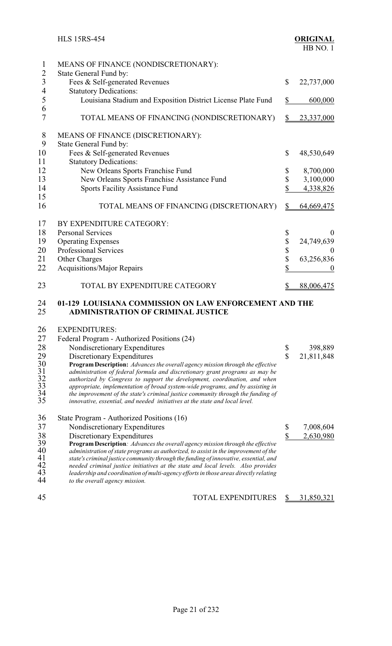<span id="page-27-0"></span>

|                | <b>HLS 15RS-454</b>                                                                                                                                                      |                         | <b>ORIGINAL</b><br>HB NO.1 |
|----------------|--------------------------------------------------------------------------------------------------------------------------------------------------------------------------|-------------------------|----------------------------|
| $\mathbf{1}$   | MEANS OF FINANCE (NONDISCRETIONARY):                                                                                                                                     |                         |                            |
| $\overline{c}$ | State General Fund by:                                                                                                                                                   |                         |                            |
| $\overline{3}$ | Fees & Self-generated Revenues                                                                                                                                           | \$                      | 22,737,000                 |
| $\overline{4}$ | <b>Statutory Dedications:</b>                                                                                                                                            |                         |                            |
| 5              | Louisiana Stadium and Exposition District License Plate Fund                                                                                                             | \$                      | 600,000                    |
| 6              |                                                                                                                                                                          |                         |                            |
| $\overline{7}$ | TOTAL MEANS OF FINANCING (NONDISCRETIONARY)                                                                                                                              | \$                      | 23,337,000                 |
| $8\,$          | MEANS OF FINANCE (DISCRETIONARY):                                                                                                                                        |                         |                            |
| 9              | State General Fund by:                                                                                                                                                   |                         |                            |
| 10             | Fees & Self-generated Revenues                                                                                                                                           | \$                      | 48,530,649                 |
| 11             | <b>Statutory Dedications:</b>                                                                                                                                            |                         |                            |
| 12             | New Orleans Sports Franchise Fund                                                                                                                                        | \$                      | 8,700,000                  |
| 13             | New Orleans Sports Franchise Assistance Fund                                                                                                                             | \$                      | 3,100,000                  |
| 14             | Sports Facility Assistance Fund                                                                                                                                          | \$                      | 4,338,826                  |
| 15             |                                                                                                                                                                          |                         |                            |
| 16             | TOTAL MEANS OF FINANCING (DISCRETIONARY)                                                                                                                                 | $\mathcal{L}$           | 64,669,475                 |
| 17             | BY EXPENDITURE CATEGORY:                                                                                                                                                 |                         |                            |
| 18             | <b>Personal Services</b>                                                                                                                                                 | \$                      | $\theta$                   |
| 19             | <b>Operating Expenses</b>                                                                                                                                                | \$                      | 24,749,639                 |
| 20             | <b>Professional Services</b>                                                                                                                                             | \$                      | $\bf{0}$                   |
| 21             | Other Charges                                                                                                                                                            | \$                      | 63,256,836                 |
| 22             | Acquisitions/Major Repairs                                                                                                                                               | \$                      | $\theta$                   |
|                |                                                                                                                                                                          |                         |                            |
| 23             | TOTAL BY EXPENDITURE CATEGORY                                                                                                                                            | \$                      | 88,006,475                 |
| 24<br>25       | 01-129 LOUISIANA COMMISSION ON LAW ENFORCEMENT AND THE<br><b>ADMINISTRATION OF CRIMINAL JUSTICE</b>                                                                      |                         |                            |
| 26             | <b>EXPENDITURES:</b>                                                                                                                                                     |                         |                            |
| 27             | Federal Program - Authorized Positions (24)                                                                                                                              |                         |                            |
| 28             | Nondiscretionary Expenditures                                                                                                                                            | \$                      | 398,889                    |
| 29             | Discretionary Expenditures                                                                                                                                               | $\overline{\mathbb{S}}$ | 21,811,848                 |
| 30             | <b>Program Description:</b> Advances the overall agency mission through the effective                                                                                    |                         |                            |
| 31             | administration of federal formula and discretionary grant programs as may be                                                                                             |                         |                            |
| $rac{32}{33}$  | authorized by Congress to support the development, coordination, and when                                                                                                |                         |                            |
| 34             | appropriate, implementation of broad system-wide programs, and by assisting in<br>the improvement of the state's criminal justice community through the funding of       |                         |                            |
| 35             | innovative, essential, and needed initiatives at the state and local level.                                                                                              |                         |                            |
| 36             | State Program - Authorized Positions (16)                                                                                                                                |                         |                            |
| 37             | Nondiscretionary Expenditures                                                                                                                                            | \$                      | 7,008,604                  |
| 38             | Discretionary Expenditures                                                                                                                                               | \$                      | 2,630,980                  |
| 39             | Program Description: Advances the overall agency mission through the effective                                                                                           |                         |                            |
| 40             | administration of state programs as authorized, to assist in the improvement of the                                                                                      |                         |                            |
| 41<br>42       | state's criminal justice community through the funding of innovative, essential, and                                                                                     |                         |                            |
| 43             | needed criminal justice initiatives at the state and local levels. Also provides<br>leadership and coordination of multi-agency efforts in those areas directly relating |                         |                            |
| 44             | to the overall agency mission.                                                                                                                                           |                         |                            |
|                |                                                                                                                                                                          |                         |                            |
| 45             | TOTAL EXPENDITURES                                                                                                                                                       | \$                      | 31,850,321                 |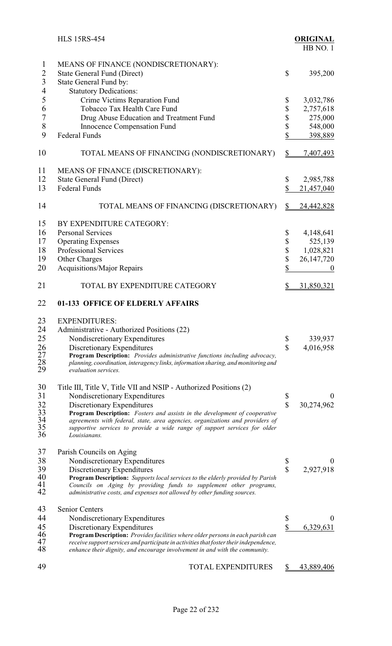<span id="page-28-0"></span>

|                                       | <b>HLS 15RS-454</b>                                                                                                                                                                                                              |                         | <b>ORIGINAL</b><br>HB NO.1 |
|---------------------------------------|----------------------------------------------------------------------------------------------------------------------------------------------------------------------------------------------------------------------------------|-------------------------|----------------------------|
| 1<br>$\overline{c}$<br>$\overline{3}$ | MEANS OF FINANCE (NONDISCRETIONARY):<br><b>State General Fund (Direct)</b><br>State General Fund by:                                                                                                                             | \$                      | 395,200                    |
| $\overline{\mathcal{A}}$<br>5         | <b>Statutory Dedications:</b>                                                                                                                                                                                                    |                         |                            |
| 6                                     | Crime Victims Reparation Fund<br>Tobacco Tax Health Care Fund                                                                                                                                                                    | \$<br>\$                | 3,032,786<br>2,757,618     |
| 7                                     | Drug Abuse Education and Treatment Fund                                                                                                                                                                                          | \$                      | 275,000                    |
| 8                                     | Innocence Compensation Fund                                                                                                                                                                                                      | \$                      | 548,000                    |
| 9                                     | <b>Federal Funds</b>                                                                                                                                                                                                             | \$                      | 398,889                    |
| 10                                    | TOTAL MEANS OF FINANCING (NONDISCRETIONARY)                                                                                                                                                                                      | $\frac{1}{2}$           | 7,407,493                  |
| 11                                    | MEANS OF FINANCE (DISCRETIONARY):                                                                                                                                                                                                |                         |                            |
| 12                                    | <b>State General Fund (Direct)</b>                                                                                                                                                                                               | \$                      | 2,985,788                  |
| 13                                    | <b>Federal Funds</b>                                                                                                                                                                                                             | \$                      | 21,457,040                 |
| 14                                    | TOTAL MEANS OF FINANCING (DISCRETIONARY)                                                                                                                                                                                         | $\frac{1}{2}$           | 24,442,828                 |
| 15                                    | BY EXPENDITURE CATEGORY:                                                                                                                                                                                                         |                         |                            |
| 16                                    | <b>Personal Services</b>                                                                                                                                                                                                         | \$                      | 4,148,641                  |
| 17                                    | <b>Operating Expenses</b>                                                                                                                                                                                                        | \$                      | 525,139                    |
| 18                                    | Professional Services                                                                                                                                                                                                            | \$                      | 1,028,821                  |
| 19                                    | Other Charges                                                                                                                                                                                                                    | \$                      | 26, 147, 720               |
| 20                                    | Acquisitions/Major Repairs                                                                                                                                                                                                       | \$                      | $\boldsymbol{0}$           |
| 21                                    | TOTAL BY EXPENDITURE CATEGORY                                                                                                                                                                                                    | \$                      | 31,850,321                 |
| 22                                    | 01-133 OFFICE OF ELDERLY AFFAIRS                                                                                                                                                                                                 |                         |                            |
| 23                                    | <b>EXPENDITURES:</b>                                                                                                                                                                                                             |                         |                            |
| 24                                    | Administrative - Authorized Positions (22)                                                                                                                                                                                       |                         |                            |
| 25                                    | Nondiscretionary Expenditures                                                                                                                                                                                                    | \$                      | 339,937                    |
| 26<br>27                              | Discretionary Expenditures<br>Program Description: Provides administrative functions including advocacy,                                                                                                                         | \$                      | 4,016,958                  |
| 28                                    | planning, coordination, interagency links, information sharing, and monitoring and                                                                                                                                               |                         |                            |
| 29                                    | evaluation services.                                                                                                                                                                                                             |                         |                            |
| 30                                    | Title III, Title V, Title VII and NSIP - Authorized Positions (2)                                                                                                                                                                |                         |                            |
| 31                                    | Nondiscretionary Expenditures                                                                                                                                                                                                    | \$                      | $\theta$                   |
| 32                                    | Discretionary Expenditures                                                                                                                                                                                                       | \$                      | 30,274,962                 |
| 33<br>34                              | Program Description: Fosters and assists in the development of cooperative<br>agreements with federal, state, area agencies, organizations and providers of                                                                      |                         |                            |
| 35                                    | supportive services to provide a wide range of support services for older                                                                                                                                                        |                         |                            |
| 36                                    | Louisianans.                                                                                                                                                                                                                     |                         |                            |
| 37                                    | Parish Councils on Aging                                                                                                                                                                                                         |                         |                            |
| 38                                    | Nondiscretionary Expenditures                                                                                                                                                                                                    | \$                      | $\theta$                   |
| 39<br>40                              | Discretionary Expenditures                                                                                                                                                                                                       | $\overline{\mathbb{S}}$ | 2,927,918                  |
| 41<br>42                              | Program Description: Supports local services to the elderly provided by Parish<br>Councils on Aging by providing funds to supplement other programs,<br>administrative costs, and expenses not allowed by other funding sources. |                         |                            |
| 43                                    | <b>Senior Centers</b>                                                                                                                                                                                                            |                         |                            |
| 44                                    | Nondiscretionary Expenditures                                                                                                                                                                                                    | \$                      | $\theta$                   |
| 45                                    | Discretionary Expenditures                                                                                                                                                                                                       | \$                      | 6,329,631                  |
| 46                                    | Program Description: Provides facilities where older persons in each parish can                                                                                                                                                  |                         |                            |
| 47<br>48                              | receive support services and participate in activities that foster their independence,<br>enhance their dignity, and encourage involvement in and with the community.                                                            |                         |                            |
| 49                                    | <b>TOTAL EXPENDITURES</b>                                                                                                                                                                                                        | <u>s</u>                | 43,889,406                 |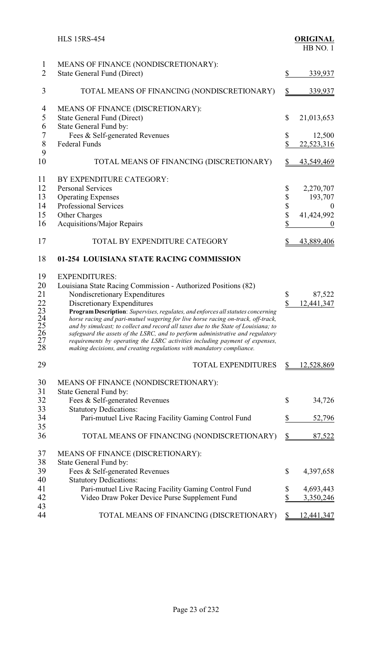<span id="page-29-0"></span>

|                                                                        | <b>HLS 15RS-454</b>                                                                                                                                                                                                                                                                                                                                                                                                                                                                                                                                                                                                                                            |                            | <b>ORIGINAL</b><br>HB NO. 1                                |
|------------------------------------------------------------------------|----------------------------------------------------------------------------------------------------------------------------------------------------------------------------------------------------------------------------------------------------------------------------------------------------------------------------------------------------------------------------------------------------------------------------------------------------------------------------------------------------------------------------------------------------------------------------------------------------------------------------------------------------------------|----------------------------|------------------------------------------------------------|
| $\mathbf{1}$<br>$\overline{2}$                                         | MEANS OF FINANCE (NONDISCRETIONARY):<br><b>State General Fund (Direct)</b>                                                                                                                                                                                                                                                                                                                                                                                                                                                                                                                                                                                     | \$                         | 339,937                                                    |
| 3                                                                      | TOTAL MEANS OF FINANCING (NONDISCRETIONARY)                                                                                                                                                                                                                                                                                                                                                                                                                                                                                                                                                                                                                    | $\frac{1}{2}$              | 339,937                                                    |
| 4<br>$\mathfrak s$<br>6<br>$\overline{7}$                              | MEANS OF FINANCE (DISCRETIONARY):<br><b>State General Fund (Direct)</b><br>State General Fund by:<br>Fees & Self-generated Revenues                                                                                                                                                                                                                                                                                                                                                                                                                                                                                                                            | $\mathbb{S}$<br>\$         | 21,013,653<br>12,500                                       |
| 8<br>9                                                                 | <b>Federal Funds</b>                                                                                                                                                                                                                                                                                                                                                                                                                                                                                                                                                                                                                                           | $\mathbb S$                | 22,523,316                                                 |
| 10                                                                     | TOTAL MEANS OF FINANCING (DISCRETIONARY)                                                                                                                                                                                                                                                                                                                                                                                                                                                                                                                                                                                                                       | $\frac{1}{2}$              | 43,549,469                                                 |
| 11<br>12<br>13<br>14<br>15<br>16                                       | BY EXPENDITURE CATEGORY:<br><b>Personal Services</b><br><b>Operating Expenses</b><br><b>Professional Services</b><br>Other Charges<br>Acquisitions/Major Repairs                                                                                                                                                                                                                                                                                                                                                                                                                                                                                               | \$<br>\$<br>\$<br>\$<br>\$ | 2,270,707<br>193,707<br>$\theta$<br>41,424,992<br>$\theta$ |
| 17                                                                     | TOTAL BY EXPENDITURE CATEGORY                                                                                                                                                                                                                                                                                                                                                                                                                                                                                                                                                                                                                                  | \$                         | 43,889,406                                                 |
| 18                                                                     | 01-254 LOUISIANA STATE RACING COMMISSION                                                                                                                                                                                                                                                                                                                                                                                                                                                                                                                                                                                                                       |                            |                                                            |
| 19<br>20<br>21<br>22<br>23<br>$\frac{24}{25}$<br>$\frac{25}{27}$<br>28 | <b>EXPENDITURES:</b><br>Louisiana State Racing Commission - Authorized Positions (82)<br>Nondiscretionary Expenditures<br>Discretionary Expenditures<br>Program Description: Supervises, regulates, and enforces all statutes concerning<br>horse racing and pari-mutuel wagering for live horse racing on-track, off-track,<br>and by simulcast; to collect and record all taxes due to the State of Louisiana; to<br>safeguard the assets of the LSRC, and to perform administrative and regulatory<br>requirements by operating the LSRC activities including payment of expenses,<br>making decisions, and creating regulations with mandatory compliance. | \$<br>\$                   | 87,522<br>12,441,347                                       |
| 29                                                                     | <b>TOTAL EXPENDITURES</b>                                                                                                                                                                                                                                                                                                                                                                                                                                                                                                                                                                                                                                      | S                          | 12,528,869                                                 |
| 30<br>31<br>32<br>33<br>34<br>35<br>36                                 | MEANS OF FINANCE (NONDISCRETIONARY):<br>State General Fund by:<br>Fees & Self-generated Revenues<br><b>Statutory Dedications:</b><br>Pari-mutuel Live Racing Facility Gaming Control Fund<br>TOTAL MEANS OF FINANCING (NONDISCRETIONARY)                                                                                                                                                                                                                                                                                                                                                                                                                       | \$<br>\$<br>$\mathcal{S}$  | 34,726<br>52,796<br>87,522                                 |
|                                                                        |                                                                                                                                                                                                                                                                                                                                                                                                                                                                                                                                                                                                                                                                |                            |                                                            |
| 37<br>38<br>39<br>40<br>41<br>42                                       | MEANS OF FINANCE (DISCRETIONARY):<br>State General Fund by:<br>Fees & Self-generated Revenues<br><b>Statutory Dedications:</b><br>Pari-mutuel Live Racing Facility Gaming Control Fund<br>Video Draw Poker Device Purse Supplement Fund                                                                                                                                                                                                                                                                                                                                                                                                                        | \$<br>\$<br>\$             | 4,397,658<br>4,693,443<br>3,350,246                        |
| 43<br>44                                                               | TOTAL MEANS OF FINANCING (DISCRETIONARY)                                                                                                                                                                                                                                                                                                                                                                                                                                                                                                                                                                                                                       | \$                         | <u>12,441,347</u>                                          |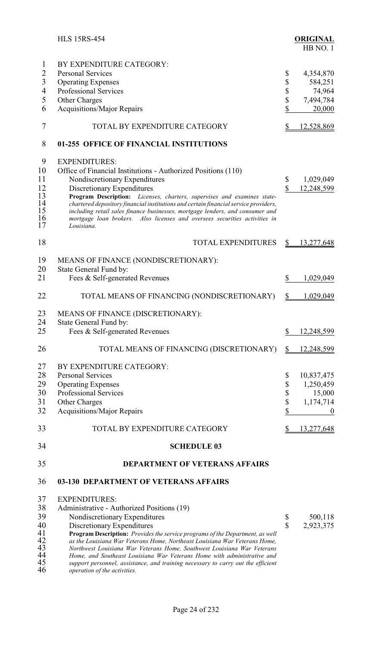<span id="page-30-0"></span>

|                | <b>HLS 15RS-454</b>                                                                      |                         | <b>ORIGINAL</b><br>HB NO.1 |
|----------------|------------------------------------------------------------------------------------------|-------------------------|----------------------------|
| $\mathbf{I}$   | BY EXPENDITURE CATEGORY:                                                                 |                         |                            |
| $\overline{2}$ | <b>Personal Services</b>                                                                 | \$                      | 4,354,870                  |
| 3              | <b>Operating Expenses</b>                                                                | \$                      | 584,251                    |
| $\overline{4}$ | <b>Professional Services</b>                                                             |                         | 74,964                     |
| 5              | Other Charges                                                                            | \$<br>\$                | 7,494,784                  |
| 6              | <b>Acquisitions/Major Repairs</b>                                                        | \$                      | 20,000                     |
|                |                                                                                          |                         |                            |
| $\tau$         | TOTAL BY EXPENDITURE CATEGORY                                                            | \$                      | 12,528,869                 |
| 8              | 01-255 OFFICE OF FINANCIAL INSTITUTIONS                                                  |                         |                            |
| 9              | <b>EXPENDITURES:</b>                                                                     |                         |                            |
| 10             | Office of Financial Institutions - Authorized Positions (110)                            |                         |                            |
| 11             | Nondiscretionary Expenditures                                                            | \$                      | 1,029,049                  |
| 12             | Discretionary Expenditures                                                               | \$                      | 12,248,599                 |
| 13             | Program Description: Licenses, charters, supervises and examines state-                  |                         |                            |
| 14             | chartered depository financial institutions and certain financial service providers,     |                         |                            |
| 15             | including retail sales finance businesses, mortgage lenders, and consumer and            |                         |                            |
| 16<br>17       | mortgage loan brokers. Also licenses and oversees securities activities in<br>Louisiana. |                         |                            |
| 18             | <b>TOTAL EXPENDITURES</b>                                                                | $\frac{S}{2}$           | 13,277,648                 |
| 19             | MEANS OF FINANCE (NONDISCRETIONARY):                                                     |                         |                            |
| 20             | State General Fund by:                                                                   |                         |                            |
| 21             | Fees & Self-generated Revenues                                                           | \$                      | 1,029,049                  |
| 22             | TOTAL MEANS OF FINANCING (NONDISCRETIONARY)                                              | $\frac{1}{2}$           | 1,029,049                  |
| 23             | MEANS OF FINANCE (DISCRETIONARY):                                                        |                         |                            |
| 24             | State General Fund by:                                                                   |                         |                            |
| 25             | Fees & Self-generated Revenues                                                           | \$                      | 12,248,599                 |
| 26             | TOTAL MEANS OF FINANCING (DISCRETIONARY)                                                 | \$                      | 12,248,599                 |
| 27             | BY EXPENDITURE CATEGORY:                                                                 |                         |                            |
| 28             | <b>Personal Services</b>                                                                 | \$                      | 10,837,475                 |
| 29             | <b>Operating Expenses</b>                                                                | \$                      | 1,250,459                  |
| 30             | Professional Services                                                                    | \$                      | 15,000                     |
| 31             | Other Charges                                                                            |                         | 1,174,714                  |
| 32             | <b>Acquisitions/Major Repairs</b>                                                        | $\frac{1}{2}$           |                            |
|                |                                                                                          |                         | $\boldsymbol{0}$           |
| 33             | TOTAL BY EXPENDITURE CATEGORY                                                            | $\frac{1}{2}$           | 13,277,648                 |
| 34             | <b>SCHEDULE 03</b>                                                                       |                         |                            |
| 35             | <b>DEPARTMENT OF VETERANS AFFAIRS</b>                                                    |                         |                            |
| 36             | 03-130 DEPARTMENT OF VETERANS AFFAIRS                                                    |                         |                            |
| 37             | <b>EXPENDITURES:</b>                                                                     |                         |                            |
| 38             | Administrative - Authorized Positions (19)                                               |                         |                            |
| 39             | Nondiscretionary Expenditures                                                            | \$                      | 500,118                    |
| 40             | Discretionary Expenditures                                                               | $\overline{\mathbb{S}}$ | 2,923,375                  |
| 41             | Program Description: Provides the service programs of the Department, as well            |                         |                            |
| 42             | as the Louisiana War Veterans Home, Northeast Louisiana War Veterans Home,               |                         |                            |
| 43             | Northwest Louisiana War Veterans Home, Southwest Louisiana War Veterans                  |                         |                            |
| 44             | Home, and Southeast Louisiana War Veterans Home with administrative and                  |                         |                            |
| 45             | support personnel, assistance, and training necessary to carry out the efficient         |                         |                            |

*operation of the activities.*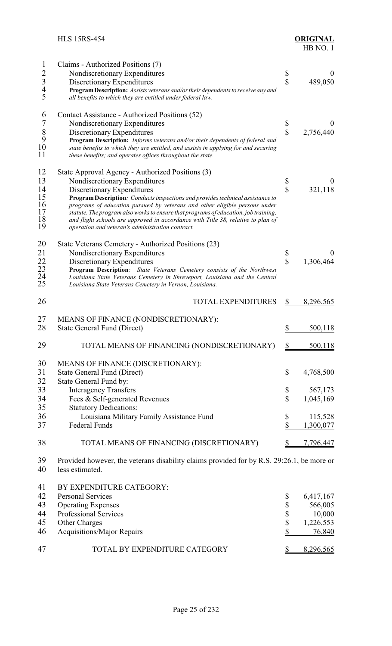<span id="page-31-0"></span>

| $\mathbf 1$<br>$\overline{2}$<br>$\begin{array}{c} 3 \\ 4 \\ 5 \end{array}$ | Claims - Authorized Positions (7)<br>Nondiscretionary Expenditures<br>Discretionary Expenditures<br>Program Description: Assists veterans and/or their dependents to receive any and<br>all benefits to which they are entitled under federal law.                                                                                                                                                                                                                                                             | \$<br>$\mathbf{\hat{S}}$        | $\boldsymbol{0}$<br>489,050                           |
|-----------------------------------------------------------------------------|----------------------------------------------------------------------------------------------------------------------------------------------------------------------------------------------------------------------------------------------------------------------------------------------------------------------------------------------------------------------------------------------------------------------------------------------------------------------------------------------------------------|---------------------------------|-------------------------------------------------------|
| 6<br>$\overline{7}$<br>$\,8\,$<br>9<br>$10\,$<br>11                         | Contact Assistance - Authorized Positions (52)<br>Nondiscretionary Expenditures<br>Discretionary Expenditures<br>Program Description: Informs veterans and/or their dependents of federal and<br>state benefits to which they are entitled, and assists in applying for and securing<br>these benefits; and operates offices throughout the state.                                                                                                                                                             | \$<br>$\hat{\mathbf{S}}$        | $\theta$<br>2,756,440                                 |
| 12<br>13<br>14<br>15<br>16<br>17<br>18<br>19                                | State Approval Agency - Authorized Positions (3)<br>Nondiscretionary Expenditures<br>Discretionary Expenditures<br>Program Description: Conducts inspections and provides technical assistance to<br>programs of education pursued by veterans and other eligible persons under<br>statute. The program also works to ensure that programs of education, job training,<br>and flight schools are approved in accordance with Title 38, relative to plan of<br>operation and veteran's administration contract. | \$<br>$\overline{\mathbb{S}}$   | $\bf{0}$<br>321,118                                   |
| 20<br>21<br>22<br>23<br>24<br>25                                            | State Veterans Cemetery - Authorized Positions (23)<br>Nondiscretionary Expenditures<br>Discretionary Expenditures<br>Program Description: State Veterans Cemetery consists of the Northwest<br>Louisiana State Veterans Cemetery in Shreveport, Louisiana and the Central<br>Louisiana State Veterans Cemetery in Vernon, Louisiana.                                                                                                                                                                          | \$<br>\$                        | $\theta$<br>1,306,464                                 |
| 26                                                                          | <b>TOTAL EXPENDITURES</b>                                                                                                                                                                                                                                                                                                                                                                                                                                                                                      |                                 | 8,296,565                                             |
| 27<br>28                                                                    | MEANS OF FINANCE (NONDISCRETIONARY):<br><b>State General Fund (Direct)</b>                                                                                                                                                                                                                                                                                                                                                                                                                                     | \$                              | 500,118                                               |
| 29                                                                          | TOTAL MEANS OF FINANCING (NONDISCRETIONARY)                                                                                                                                                                                                                                                                                                                                                                                                                                                                    |                                 | 500,118                                               |
| 30<br>31<br>32                                                              | MEANS OF FINANCE (DISCRETIONARY):<br><b>State General Fund (Direct)</b><br>State General Fund by:                                                                                                                                                                                                                                                                                                                                                                                                              | \$                              | 4,768,500                                             |
| 33<br>34<br>35                                                              | <b>Interagency Transfers</b><br>Fees & Self-generated Revenues<br><b>Statutory Dedications:</b>                                                                                                                                                                                                                                                                                                                                                                                                                | \$<br>$\mathbb S$               | 567,173<br>1,045,169                                  |
| 36<br>37                                                                    | Louisiana Military Family Assistance Fund<br><b>Federal Funds</b>                                                                                                                                                                                                                                                                                                                                                                                                                                              | \$<br>\$                        | 115,528<br>1,300,077                                  |
| 38                                                                          | TOTAL MEANS OF FINANCING (DISCRETIONARY)                                                                                                                                                                                                                                                                                                                                                                                                                                                                       | <u>\$</u>                       | 7,796,447                                             |
| 39<br>40                                                                    | Provided however, the veterans disability claims provided for by R.S. 29:26.1, be more or<br>less estimated.                                                                                                                                                                                                                                                                                                                                                                                                   |                                 |                                                       |
| 41<br>42<br>43<br>44<br>45<br>46                                            | BY EXPENDITURE CATEGORY:<br><b>Personal Services</b><br><b>Operating Expenses</b><br>Professional Services<br>Other Charges<br><b>Acquisitions/Major Repairs</b>                                                                                                                                                                                                                                                                                                                                               | \$<br>\$<br>$\frac{1}{2}$<br>\$ | 6,417,167<br>566,005<br>10,000<br>1,226,553<br>76,840 |
| 47                                                                          | TOTAL BY EXPENDITURE CATEGORY                                                                                                                                                                                                                                                                                                                                                                                                                                                                                  |                                 | 8,296,565                                             |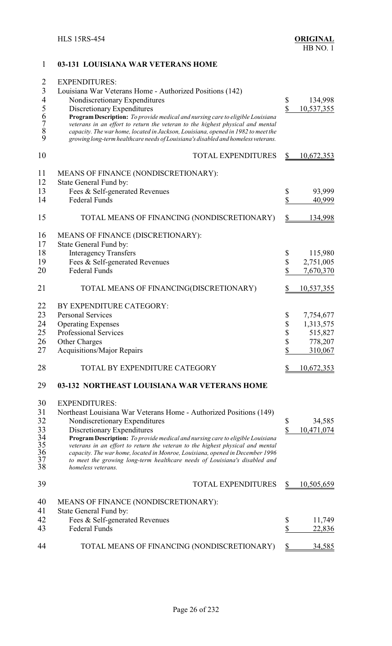## <span id="page-32-0"></span>1 **03-131 LOUISIANA WAR VETERANS HOME** 2 EXPENDITURES: 3 Louisiana War Veterans Home - Authorized Positions (142) 4 Nondiscretionary Expenditures \$ 134,998<br>5 Discretionary Expenditures \$ 10,537,355 5 Discretionary Expenditures <br> **6** Program Description: *To provide medical and nursing care to eligible Louisiana*<br> *7* veterans in an effort to return the veteran to the highest physical and mental<br> *8* capacity. The war 6 **Program Description:** *To provide medical and nursing care to eligible Louisiana* 7 *veterans in an effort to return the veteran to the highest physical and mental* 8 *capacity. The war home, located in Jackson, Louisiana, opened in 1982 to meet the* 9 *growing long-term healthcare needs of Louisiana's disabled and homeless veterans.* 10 TOTAL EXPENDITURES \$ 10,672,353 11 MEANS OF FINANCE (NONDISCRETIONARY): 12 State General Fund by: 13 Fees & Self-generated Revenues  $\qquad$  \$ 93,999 14 Federal Funds \$ 40,999 15 TOTAL MEANS OF FINANCING (NONDISCRETIONARY) \$ 134,998 16 MEANS OF FINANCE (DISCRETIONARY):<br>17 State General Fund by: 17 State General Fund by:<br>18 Interagency Transfe 18 Interagency Transfers \$ 115,980<br>19 Fees & Self-generated Revenues \$ 2,751,005 Fees & Self-generated Revenues  $\qquad$  \$ 2,751,005 20 Federal Funds \$ 7,670,370 21 TOTAL MEANS OF FINANCING(DISCRETIONARY) \$ 10,537,355 22 BY EXPENDITURE CATEGORY: 23 Personal Services \$ 7,754,677 24 Operating Expenses \$ 1,313,575<br>25 Professional Services \$ 515,827 Professional Services  $\qquad$  515,827 26 Other Charges \$ 778,207<br>27 Acquisitions/Major Repairs \$ 310,067 Acquisitions/Major Repairs  $\qquad$  310,067 28 TOTAL BY EXPENDITURE CATEGORY \$ 10,672,353 29 **03-132 NORTHEAST LOUISIANA WAR VETERANS HOME** 30 EXPENDITURES: 31 Northeast Louisiana War Veterans Home - Authorized Positions (149) 32 Nondiscretionary Expenditures \$ 34,585 33 Discretionary Expenditures<br>34 **Program Description:** *To provide medical and nursing care to eligible Louisiana* 5 10,471,074 34 **Program Description:** *To provide medical and nursing care to eligible Louisiana* 35 *veterans in an effort to return the veteran to the highest physical and mental* 36 *capacity. The war home, located in Monroe, Louisiana, opened in December 1996* 37 *to meet the growing long-term healthcare needs of Louisiana's disabled and* 38 *homeless veterans.* 39 TOTAL EXPENDITURES \$ 10,505,659 40 MEANS OF FINANCE (NONDISCRETIONARY): 41 State General Fund by: 42 Fees & Self-generated Revenues \$ 11,749 43 Federal Funds \$ 22,836 44 TOTAL MEANS OF FINANCING (NONDISCRETIONARY) \$ 34,585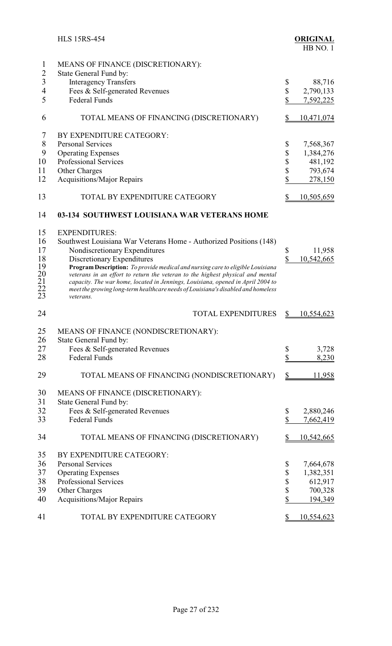<span id="page-33-0"></span>

|                                               | <b>HLS 15RS-454</b>                                                                                                                                              |                               | <b>ORIGINAL</b><br>HB NO.1 |
|-----------------------------------------------|------------------------------------------------------------------------------------------------------------------------------------------------------------------|-------------------------------|----------------------------|
| $\mathbf{1}$                                  | MEANS OF FINANCE (DISCRETIONARY):                                                                                                                                |                               |                            |
| $\overline{c}$                                | State General Fund by:                                                                                                                                           |                               |                            |
| $\overline{3}$                                | <b>Interagency Transfers</b>                                                                                                                                     | \$                            | 88,716                     |
| $\overline{4}$                                | Fees & Self-generated Revenues                                                                                                                                   | \$                            | 2,790,133                  |
| 5                                             | <b>Federal Funds</b>                                                                                                                                             | \$                            |                            |
|                                               |                                                                                                                                                                  |                               | 7,592,225                  |
| 6                                             | TOTAL MEANS OF FINANCING (DISCRETIONARY)                                                                                                                         | \$                            | 10,471,074                 |
| 7                                             | BY EXPENDITURE CATEGORY:                                                                                                                                         |                               |                            |
| 8                                             | <b>Personal Services</b>                                                                                                                                         | \$                            | 7,568,367                  |
| 9                                             | <b>Operating Expenses</b>                                                                                                                                        | \$                            | 1,384,276                  |
| 10                                            | <b>Professional Services</b>                                                                                                                                     | \$                            | 481,192                    |
| 11                                            | Other Charges                                                                                                                                                    | \$                            | 793,674                    |
| 12                                            | <b>Acquisitions/Major Repairs</b>                                                                                                                                | \$                            | 278,150                    |
| 13                                            | TOTAL BY EXPENDITURE CATEGORY                                                                                                                                    | \$                            | <u>10,505,659</u>          |
| 14                                            | 03-134 SOUTHWEST LOUISIANA WAR VETERANS HOME                                                                                                                     |                               |                            |
| 15                                            | <b>EXPENDITURES:</b>                                                                                                                                             |                               |                            |
| 16                                            |                                                                                                                                                                  |                               |                            |
|                                               | Southwest Louisiana War Veterans Home - Authorized Positions (148)                                                                                               |                               |                            |
| 17                                            | Nondiscretionary Expenditures                                                                                                                                    | \$<br>$\overline{\mathbb{S}}$ | 11,958                     |
| 18                                            | Discretionary Expenditures                                                                                                                                       |                               | 10,542,665                 |
| 19                                            | Program Description: To provide medical and nursing care to eligible Louisiana<br>veterans in an effort to return the veteran to the highest physical and mental |                               |                            |
|                                               | capacity. The war home, located in Jennings, Louisiana, opened in April 2004 to                                                                                  |                               |                            |
| $\begin{array}{c} 20 \\ 21 \\ 22 \end{array}$ | meet the growing long-term healthcare needs of Louisiana's disabled and homeless                                                                                 |                               |                            |
| 23                                            | veterans.                                                                                                                                                        |                               |                            |
| 24                                            | <b>TOTAL EXPENDITURES</b>                                                                                                                                        | $\frac{1}{2}$                 | 10,554,623                 |
| 25                                            | MEANS OF FINANCE (NONDISCRETIONARY):                                                                                                                             |                               |                            |
| 26                                            | State General Fund by:                                                                                                                                           |                               |                            |
| 27                                            | Fees & Self-generated Revenues                                                                                                                                   | \$                            | 3,728                      |
| 28                                            | <b>Federal Funds</b>                                                                                                                                             | \$                            | 8,230                      |
|                                               |                                                                                                                                                                  |                               |                            |
| 29                                            | TOTAL MEANS OF FINANCING (NONDISCRETIONARY)                                                                                                                      | \$                            | 11,958                     |
| 30                                            | MEANS OF FINANCE (DISCRETIONARY):                                                                                                                                |                               |                            |
| 31                                            | State General Fund by:                                                                                                                                           |                               |                            |
| 32                                            | Fees & Self-generated Revenues                                                                                                                                   | \$                            | 2,880,246                  |
| 33                                            | <b>Federal Funds</b>                                                                                                                                             | \$                            | 7,662,419                  |
| 34                                            | TOTAL MEANS OF FINANCING (DISCRETIONARY)                                                                                                                         | \$                            | <u>10,542,665</u>          |
| 35                                            | BY EXPENDITURE CATEGORY:                                                                                                                                         |                               |                            |
| 36                                            | <b>Personal Services</b>                                                                                                                                         | \$                            | 7,664,678                  |
| 37                                            | <b>Operating Expenses</b>                                                                                                                                        | \$                            | 1,382,351                  |
| 38                                            | <b>Professional Services</b>                                                                                                                                     | \$                            | 612,917                    |
| 39                                            | Other Charges                                                                                                                                                    | \$                            | 700,328                    |
| 40                                            | <b>Acquisitions/Major Repairs</b>                                                                                                                                | \$                            | 194,349                    |
| 41                                            | TOTAL BY EXPENDITURE CATEGORY                                                                                                                                    | \$                            | 10,554,623                 |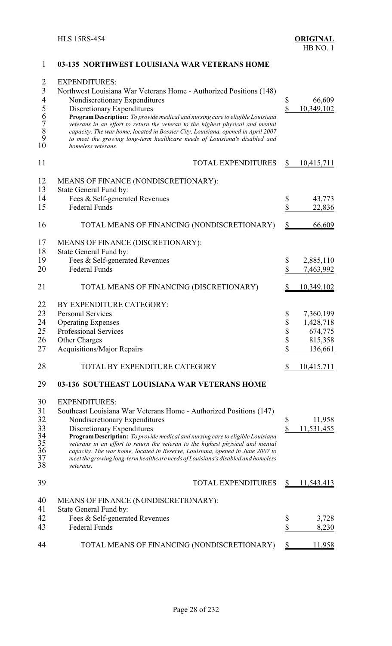<span id="page-34-0"></span>

| $\overline{2}$<br>$\mathfrak{Z}$<br>$\overline{\mathcal{A}}$<br>56789 | <b>EXPENDITURES:</b><br>Northwest Louisiana War Veterans Home - Authorized Positions (148)<br>Nondiscretionary Expenditures<br>Discretionary Expenditures<br>Program Description: To provide medical and nursing care to eligible Louisiana                            | \$<br>$\boldsymbol{\mathsf{S}}$ | 66,609<br>10,349,102 |
|-----------------------------------------------------------------------|------------------------------------------------------------------------------------------------------------------------------------------------------------------------------------------------------------------------------------------------------------------------|---------------------------------|----------------------|
| 10                                                                    | veterans in an effort to return the veteran to the highest physical and mental<br>capacity. The war home, located in Bossier City, Louisiana, opened in April 2007<br>to meet the growing long-term healthcare needs of Louisiana's disabled and<br>homeless veterans. |                                 |                      |
| 11                                                                    | <b>TOTAL EXPENDITURES</b>                                                                                                                                                                                                                                              | \$                              | <u>10,415,711</u>    |
| 12                                                                    | MEANS OF FINANCE (NONDISCRETIONARY):                                                                                                                                                                                                                                   |                                 |                      |
| 13                                                                    | State General Fund by:                                                                                                                                                                                                                                                 |                                 |                      |
| 14                                                                    | Fees & Self-generated Revenues                                                                                                                                                                                                                                         | \$                              | 43,773               |
| 15                                                                    | <b>Federal Funds</b>                                                                                                                                                                                                                                                   | \$                              | 22,836               |
| 16                                                                    | TOTAL MEANS OF FINANCING (NONDISCRETIONARY)                                                                                                                                                                                                                            |                                 | 66,609               |
| 17                                                                    | MEANS OF FINANCE (DISCRETIONARY):                                                                                                                                                                                                                                      |                                 |                      |
| 18                                                                    | State General Fund by:                                                                                                                                                                                                                                                 |                                 |                      |
| 19                                                                    | Fees & Self-generated Revenues                                                                                                                                                                                                                                         | \$                              | 2,885,110            |
| 20                                                                    | <b>Federal Funds</b>                                                                                                                                                                                                                                                   | \$                              | 7,463,992            |
| 21                                                                    | TOTAL MEANS OF FINANCING (DISCRETIONARY)                                                                                                                                                                                                                               |                                 | 10,349,102           |
| 22                                                                    | BY EXPENDITURE CATEGORY:                                                                                                                                                                                                                                               |                                 |                      |
| 23                                                                    | <b>Personal Services</b>                                                                                                                                                                                                                                               | \$                              | 7,360,199            |
| 24                                                                    | <b>Operating Expenses</b>                                                                                                                                                                                                                                              | \$                              | 1,428,718            |
| 25                                                                    | Professional Services                                                                                                                                                                                                                                                  | \$                              | 674,775              |
|                                                                       |                                                                                                                                                                                                                                                                        |                                 |                      |
| 26                                                                    | Other Charges                                                                                                                                                                                                                                                          | \$                              | 815,358              |
| 27                                                                    | <b>Acquisitions/Major Repairs</b>                                                                                                                                                                                                                                      | \$                              | 136,661              |
| 28                                                                    | TOTAL BY EXPENDITURE CATEGORY                                                                                                                                                                                                                                          |                                 | 10,415,711           |
| 29                                                                    | 03-136 SOUTHEAST LOUISIANA WAR VETERANS HOME                                                                                                                                                                                                                           |                                 |                      |
| 30                                                                    | <b>EXPENDITURES:</b>                                                                                                                                                                                                                                                   |                                 |                      |
| 31                                                                    | Southeast Louisiana War Veterans Home - Authorized Positions (147)                                                                                                                                                                                                     |                                 |                      |
| 32                                                                    | Nondiscretionary Expenditures                                                                                                                                                                                                                                          | \$                              | 11,958               |
| 33                                                                    | Discretionary Expenditures                                                                                                                                                                                                                                             | \$                              | 11,531,455           |
| 34                                                                    | Program Description: To provide medical and nursing care to eligible Louisiana                                                                                                                                                                                         |                                 |                      |
| 35                                                                    | veterans in an effort to return the veteran to the highest physical and mental                                                                                                                                                                                         |                                 |                      |
| 36                                                                    | capacity. The war home, located in Reserve, Louisiana, opened in June 2007 to                                                                                                                                                                                          |                                 |                      |
| 37<br>38                                                              | meet the growing long-term healthcare needs of Louisiana's disabled and homeless                                                                                                                                                                                       |                                 |                      |
|                                                                       | veterans.                                                                                                                                                                                                                                                              |                                 |                      |
| 39                                                                    | <b>TOTAL EXPENDITURES</b>                                                                                                                                                                                                                                              |                                 | 11,543,413           |
| 40                                                                    | MEANS OF FINANCE (NONDISCRETIONARY):                                                                                                                                                                                                                                   |                                 |                      |
| 41                                                                    | State General Fund by:                                                                                                                                                                                                                                                 |                                 |                      |
| 42                                                                    | Fees & Self-generated Revenues                                                                                                                                                                                                                                         | \$                              | 3,728                |
| 43                                                                    | <b>Federal Funds</b>                                                                                                                                                                                                                                                   | \$                              | 8,230                |
| 44                                                                    | TOTAL MEANS OF FINANCING (NONDISCRETIONARY)                                                                                                                                                                                                                            | \$                              | 11,958               |
|                                                                       |                                                                                                                                                                                                                                                                        |                                 |                      |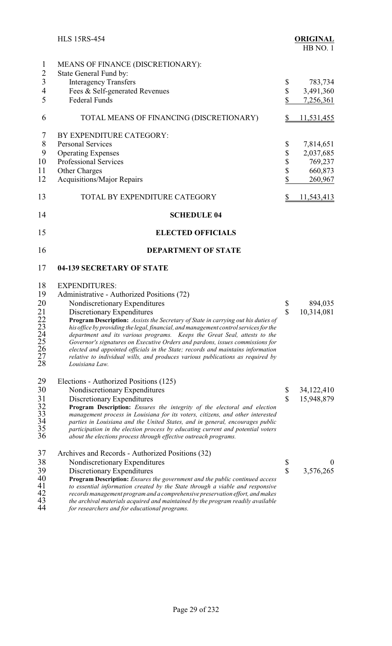<span id="page-35-0"></span>

|                                                                  | <b>HLS 15RS-454</b>                                                                                                                                                                                                                                                                                                                                                                                                                                                                                                                                                                                                                                                  |                                 | <b>ORIGINAL</b><br>HB NO.1                                            |
|------------------------------------------------------------------|----------------------------------------------------------------------------------------------------------------------------------------------------------------------------------------------------------------------------------------------------------------------------------------------------------------------------------------------------------------------------------------------------------------------------------------------------------------------------------------------------------------------------------------------------------------------------------------------------------------------------------------------------------------------|---------------------------------|-----------------------------------------------------------------------|
| $\mathbf{1}$<br>$\overline{c}$<br>$\overline{3}$<br>4<br>5       | MEANS OF FINANCE (DISCRETIONARY):<br>State General Fund by:<br><b>Interagency Transfers</b><br>Fees & Self-generated Revenues<br><b>Federal Funds</b>                                                                                                                                                                                                                                                                                                                                                                                                                                                                                                                | \$<br>\$<br>\$                  | 783,734<br>3,491,360<br>7,256,361                                     |
| 6                                                                | TOTAL MEANS OF FINANCING (DISCRETIONARY)                                                                                                                                                                                                                                                                                                                                                                                                                                                                                                                                                                                                                             | $\frac{1}{2}$                   | <u>11,531,455</u>                                                     |
| 7<br>$8\,$<br>9<br>10<br>11<br>12<br>13                          | BY EXPENDITURE CATEGORY:<br><b>Personal Services</b><br><b>Operating Expenses</b><br><b>Professional Services</b><br>Other Charges<br>Acquisitions/Major Repairs<br>TOTAL BY EXPENDITURE CATEGORY                                                                                                                                                                                                                                                                                                                                                                                                                                                                    | \$<br>\$<br>\$<br>\$<br>\$<br>S | 7,814,651<br>2,037,685<br>769,237<br>660,873<br>260,967<br>11,543,413 |
| 14                                                               | <b>SCHEDULE 04</b>                                                                                                                                                                                                                                                                                                                                                                                                                                                                                                                                                                                                                                                   |                                 |                                                                       |
| 15                                                               | <b>ELECTED OFFICIALS</b>                                                                                                                                                                                                                                                                                                                                                                                                                                                                                                                                                                                                                                             |                                 |                                                                       |
| 16                                                               | <b>DEPARTMENT OF STATE</b>                                                                                                                                                                                                                                                                                                                                                                                                                                                                                                                                                                                                                                           |                                 |                                                                       |
| 17                                                               | 04-139 SECRETARY OF STATE                                                                                                                                                                                                                                                                                                                                                                                                                                                                                                                                                                                                                                            |                                 |                                                                       |
| 18<br>19<br>20<br>21<br>22<br>23<br>24<br>25<br>26<br>27<br>28   | <b>EXPENDITURES:</b><br>Administrative - Authorized Positions (72)<br>Nondiscretionary Expenditures<br>Discretionary Expenditures<br>Program Description: Assists the Secretary of State in carrying out his duties of<br>his office by providing the legal, financial, and management control services for the<br>department and its various programs. Keeps the Great Seal, attests to the<br>Governor's signatures on Executive Orders and pardons, issues commissions for<br>elected and appointed officials in the State; records and maintains information<br>relative to individual wills, and produces various publications as required by<br>Louisiana Law. | \$<br>\$                        | 894,035<br>10,314,081                                                 |
| 29<br>30<br>31<br>32<br>$\frac{33}{33}$<br>$\frac{34}{35}$<br>36 | Elections - Authorized Positions (125)<br>Nondiscretionary Expenditures<br>Discretionary Expenditures<br>Program Description: Ensures the integrity of the electoral and election<br>management process in Louisiana for its voters, citizens, and other interested<br>parties in Louisiana and the United States, and in general, encourages public<br>participation in the election process by educating current and potential voters<br>about the elections process through effective outreach programs.                                                                                                                                                          | \$<br>$\overline{\mathbb{S}}$   | 34,122,410<br>15,948,879                                              |
| 37<br>38<br>39<br>40<br>41<br>42<br>43<br>44                     | Archives and Records - Authorized Positions (32)<br>Nondiscretionary Expenditures<br>Discretionary Expenditures<br>Program Description: Ensures the government and the public continued access<br>to essential information created by the State through a viable and responsive<br>records management program and a comprehensive preservation effort, and makes<br>the archival materials acquired and maintained by the program readily available<br>for researchers and for educational programs.                                                                                                                                                                 | \$<br>$\overline{\mathbb{S}}$   | $\boldsymbol{0}$<br>3,576,265                                         |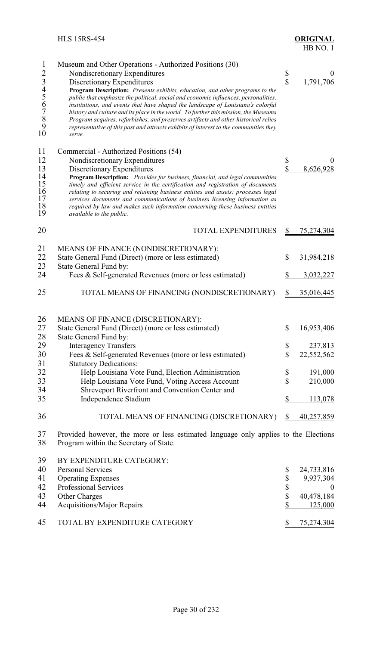| $\mathbf{1}$<br>$\overline{2}$<br>3456789<br>10    | Museum and Other Operations - Authorized Positions (30)<br>Nondiscretionary Expenditures<br>Discretionary Expenditures<br>Program Description: Presents exhibits, education, and other programs to the<br>public that emphasize the political, social and economic influences, personalities,<br>institutions, and events that have shaped the landscape of Louisiana's colorful<br>history and culture and its place in the world. To further this mission, the Museums<br>Program acquires, refurbishes, and preserves artifacts and other historical relics<br>representative of this past and attracts exhibits of interest to the communities they<br>serve. | \$<br>$\overline{\mathbb{S}}$ | $\boldsymbol{0}$<br>1,791,706                     |
|----------------------------------------------------|-------------------------------------------------------------------------------------------------------------------------------------------------------------------------------------------------------------------------------------------------------------------------------------------------------------------------------------------------------------------------------------------------------------------------------------------------------------------------------------------------------------------------------------------------------------------------------------------------------------------------------------------------------------------|-------------------------------|---------------------------------------------------|
| 11<br>12<br>13<br>14<br>15<br>16<br>17<br>18<br>19 | Commercial - Authorized Positions (54)<br>Nondiscretionary Expenditures<br>Discretionary Expenditures<br>Program Description: Provides for business, financial, and legal communities<br>timely and efficient service in the certification and registration of documents<br>relating to securing and retaining business entities and assets; processes legal<br>services documents and communications of business licensing information as<br>required by law and makes such information concerning these business entities<br>available to the public.                                                                                                           | \$<br>\$                      | $\theta$<br>8,626,928                             |
| 20                                                 | <b>TOTAL EXPENDITURES</b>                                                                                                                                                                                                                                                                                                                                                                                                                                                                                                                                                                                                                                         | $\overline{\mathcal{E}}$      | <u>75,274,304</u>                                 |
| 21<br>22<br>23                                     | MEANS OF FINANCE (NONDISCRETIONARY):<br>State General Fund (Direct) (more or less estimated)<br>State General Fund by:                                                                                                                                                                                                                                                                                                                                                                                                                                                                                                                                            | \$                            | 31,984,218                                        |
| 24                                                 | Fees & Self-generated Revenues (more or less estimated)                                                                                                                                                                                                                                                                                                                                                                                                                                                                                                                                                                                                           | \$                            | 3,032,227                                         |
| 25                                                 | TOTAL MEANS OF FINANCING (NONDISCRETIONARY)                                                                                                                                                                                                                                                                                                                                                                                                                                                                                                                                                                                                                       | \$                            | <u>35,016,445</u>                                 |
| 26<br>27<br>28                                     | MEANS OF FINANCE (DISCRETIONARY):<br>State General Fund (Direct) (more or less estimated)<br>State General Fund by:                                                                                                                                                                                                                                                                                                                                                                                                                                                                                                                                               | \$                            | 16,953,406                                        |
| 29<br>30<br>31                                     | <b>Interagency Transfers</b><br>Fees & Self-generated Revenues (more or less estimated)<br><b>Statutory Dedications:</b>                                                                                                                                                                                                                                                                                                                                                                                                                                                                                                                                          | \$<br>\$                      | 237,813<br>22,552,562                             |
| 32<br>33<br>34                                     | Help Louisiana Vote Fund, Election Administration<br>Help Louisiana Vote Fund, Voting Access Account<br>Shreveport Riverfront and Convention Center and                                                                                                                                                                                                                                                                                                                                                                                                                                                                                                           | \$<br>\$                      | 191,000<br>210,000                                |
| 35                                                 | Independence Stadium                                                                                                                                                                                                                                                                                                                                                                                                                                                                                                                                                                                                                                              | \$                            | 113,078                                           |
| 36                                                 | TOTAL MEANS OF FINANCING (DISCRETIONARY)                                                                                                                                                                                                                                                                                                                                                                                                                                                                                                                                                                                                                          | \$                            | 40,257,859                                        |
| 37<br>38                                           | Provided however, the more or less estimated language only applies to the Elections<br>Program within the Secretary of State.                                                                                                                                                                                                                                                                                                                                                                                                                                                                                                                                     |                               |                                                   |
| 39<br>40<br>41<br>42<br>43                         | BY EXPENDITURE CATEGORY:<br><b>Personal Services</b><br><b>Operating Expenses</b><br>Professional Services<br>Other Charges                                                                                                                                                                                                                                                                                                                                                                                                                                                                                                                                       | \$<br>\$<br>\$<br>\$          | 24,733,816<br>9,937,304<br>$\theta$<br>40,478,184 |
| 44                                                 | <b>Acquisitions/Major Repairs</b>                                                                                                                                                                                                                                                                                                                                                                                                                                                                                                                                                                                                                                 | \$                            | 125,000                                           |
| 45                                                 | TOTAL BY EXPENDITURE CATEGORY                                                                                                                                                                                                                                                                                                                                                                                                                                                                                                                                                                                                                                     |                               | 75,274,304                                        |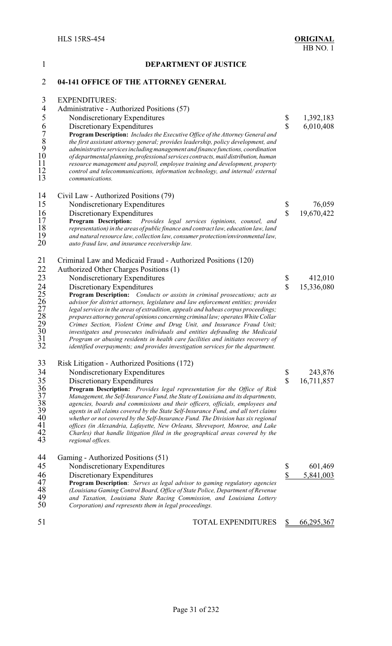| $\mathbf{1}$                                                     | <b>DEPARTMENT OF JUSTICE</b>                                                                                                                                                                                                                                                                                                                                                                                                                                                                                                                                                                                                                                                                                |                               |                        |
|------------------------------------------------------------------|-------------------------------------------------------------------------------------------------------------------------------------------------------------------------------------------------------------------------------------------------------------------------------------------------------------------------------------------------------------------------------------------------------------------------------------------------------------------------------------------------------------------------------------------------------------------------------------------------------------------------------------------------------------------------------------------------------------|-------------------------------|------------------------|
| $\overline{2}$                                                   | 04-141 OFFICE OF THE ATTORNEY GENERAL                                                                                                                                                                                                                                                                                                                                                                                                                                                                                                                                                                                                                                                                       |                               |                        |
| 3<br>$\overline{4}$<br>5                                         | <b>EXPENDITURES:</b><br>Administrative - Authorized Positions (57)<br>Nondiscretionary Expenditures<br>Discretionary Expenditures                                                                                                                                                                                                                                                                                                                                                                                                                                                                                                                                                                           | \$<br>$\overline{\mathbb{S}}$ | 1,392,183<br>6,010,408 |
| 6789<br>$10\,$<br>11<br>12<br>13                                 | Program Description: Includes the Executive Office of the Attorney General and<br>the first assistant attorney general; provides leadership, policy development, and<br>administrative services including management and finance functions, coordination<br>of departmental planning, professional services contracts, mail distribution, human<br>resource management and payroll, employee training and development, property<br>control and telecommunications, information technology, and internal/external<br>communications.                                                                                                                                                                         |                               |                        |
| 14                                                               | Civil Law - Authorized Positions (79)                                                                                                                                                                                                                                                                                                                                                                                                                                                                                                                                                                                                                                                                       |                               |                        |
| 15                                                               | Nondiscretionary Expenditures                                                                                                                                                                                                                                                                                                                                                                                                                                                                                                                                                                                                                                                                               | \$                            | 76,059                 |
| 16<br>17<br>18<br>19<br>20                                       | Discretionary Expenditures<br>Program Description: Provides legal services (opinions, counsel, and<br>representation) in the areas of public finance and contract law, education law, land<br>and natural resource law, collection law, consumer protection/environmental law,<br>auto fraud law, and insurance receivership law.                                                                                                                                                                                                                                                                                                                                                                           | $\hat{\mathbf{S}}$            | 19,670,422             |
| 21                                                               | Criminal Law and Medicaid Fraud - Authorized Positions (120)                                                                                                                                                                                                                                                                                                                                                                                                                                                                                                                                                                                                                                                |                               |                        |
| 22                                                               | Authorized Other Charges Positions (1)                                                                                                                                                                                                                                                                                                                                                                                                                                                                                                                                                                                                                                                                      |                               |                        |
| 23                                                               | Nondiscretionary Expenditures                                                                                                                                                                                                                                                                                                                                                                                                                                                                                                                                                                                                                                                                               | \$                            | 412,010                |
| 24<br>25<br>26<br>27<br>28<br>29<br>30<br>31<br>32               | Discretionary Expenditures<br>Program Description: Conducts or assists in criminal prosecutions; acts as<br>advisor for district attorneys, legislature and law enforcement entities; provides<br>legal services in the areas of extradition, appeals and habeas corpus proceedings;<br>prepares attorney general opinions concerning criminal law; operates White Collar<br>Crimes Section, Violent Crime and Drug Unit, and Insurance Fraud Unit;<br>investigates and prosecutes individuals and entities defrauding the Medicaid<br>Program or abusing residents in health care facilities and initiates recovery of<br>identified overpayments; and provides investigation services for the department. | $\overline{\mathbb{S}}$       | 15,336,080             |
| 33                                                               | Risk Litigation - Authorized Positions (172)                                                                                                                                                                                                                                                                                                                                                                                                                                                                                                                                                                                                                                                                |                               |                        |
| 34                                                               | Nondiscretionary Expenditures                                                                                                                                                                                                                                                                                                                                                                                                                                                                                                                                                                                                                                                                               | \$                            | 243,876                |
| 35<br>$\frac{36}{37}$<br>$\frac{38}{39}$<br>40<br>41<br>42<br>43 | Discretionary Expenditures<br><b>Program Description:</b> Provides legal representation for the Office of Risk<br>Management, the Self-Insurance Fund, the State of Louisiana and its departments,<br>agencies, boards and commissions and their officers, officials, employees and<br>agents in all claims covered by the State Self-Insurance Fund, and all tort claims<br>whether or not covered by the Self-Insurance Fund. The Division has six regional<br>offices (in Alexandria, Lafayette, New Orleans, Shreveport, Monroe, and Lake<br>Charles) that handle litigation filed in the geographical areas covered by the<br>regional offices.                                                        | $\mathbf{\hat{S}}$            | 16,711,857             |
| 44                                                               | Gaming - Authorized Positions (51)                                                                                                                                                                                                                                                                                                                                                                                                                                                                                                                                                                                                                                                                          |                               |                        |
| 45                                                               | Nondiscretionary Expenditures                                                                                                                                                                                                                                                                                                                                                                                                                                                                                                                                                                                                                                                                               | \$                            | 601,469                |
| 46                                                               | Discretionary Expenditures                                                                                                                                                                                                                                                                                                                                                                                                                                                                                                                                                                                                                                                                                  | \$                            | 5,841,003              |
| 47<br>48                                                         | Program Description: Serves as legal advisor to gaming regulatory agencies<br>(Louisiana Gaming Control Board, Office of State Police, Department of Revenue                                                                                                                                                                                                                                                                                                                                                                                                                                                                                                                                                |                               |                        |
| 49<br>50                                                         | and Taxation, Louisiana State Racing Commission, and Louisiana Lottery<br>Corporation) and represents them in legal proceedings.                                                                                                                                                                                                                                                                                                                                                                                                                                                                                                                                                                            |                               |                        |
|                                                                  |                                                                                                                                                                                                                                                                                                                                                                                                                                                                                                                                                                                                                                                                                                             |                               |                        |

51 TOTAL EXPENDITURES \$ 66,295,367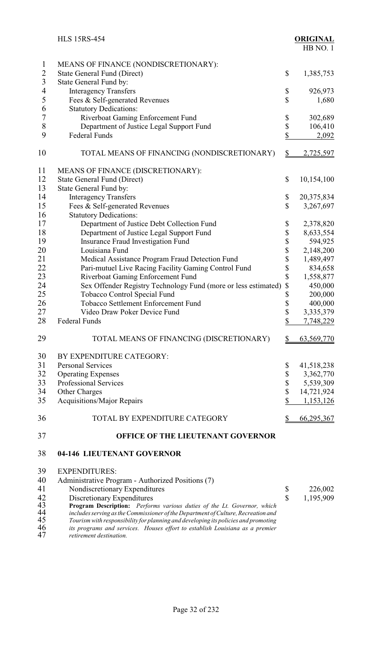|                         | <b>HLS 15RS-454</b>                                                                                                                                                                           |                         | <b>ORIGINAL</b><br>HB NO.1 |
|-------------------------|-----------------------------------------------------------------------------------------------------------------------------------------------------------------------------------------------|-------------------------|----------------------------|
| $\mathbf{l}$            | MEANS OF FINANCE (NONDISCRETIONARY):                                                                                                                                                          |                         |                            |
| $\overline{2}$          | State General Fund (Direct)                                                                                                                                                                   | \$                      | 1,385,753                  |
| $\overline{\mathbf{3}}$ | State General Fund by:                                                                                                                                                                        |                         |                            |
| $\overline{4}$          | <b>Interagency Transfers</b>                                                                                                                                                                  | \$                      | 926,973                    |
| 5                       | Fees & Self-generated Revenues                                                                                                                                                                | \$                      | 1,680                      |
| 6                       | <b>Statutory Dedications:</b>                                                                                                                                                                 |                         |                            |
| $\sqrt{ }$              | Riverboat Gaming Enforcement Fund                                                                                                                                                             | \$                      | 302,689                    |
| 8                       | Department of Justice Legal Support Fund                                                                                                                                                      | \$                      | 106,410                    |
| 9                       | <b>Federal Funds</b>                                                                                                                                                                          | \$                      | 2,092                      |
| 10                      | TOTAL MEANS OF FINANCING (NONDISCRETIONARY)                                                                                                                                                   | $\frac{1}{2}$           | 2,725,597                  |
| 11                      | MEANS OF FINANCE (DISCRETIONARY):                                                                                                                                                             |                         |                            |
| 12                      | State General Fund (Direct)                                                                                                                                                                   | \$                      | 10,154,100                 |
| 13                      | State General Fund by:                                                                                                                                                                        |                         |                            |
| 14                      | <b>Interagency Transfers</b>                                                                                                                                                                  | \$                      | 20,375,834                 |
| 15                      | Fees & Self-generated Revenues                                                                                                                                                                | \$                      | 3,267,697                  |
| 16                      | <b>Statutory Dedications:</b>                                                                                                                                                                 |                         |                            |
| 17                      | Department of Justice Debt Collection Fund                                                                                                                                                    | \$                      | 2,378,820                  |
| 18                      | Department of Justice Legal Support Fund                                                                                                                                                      | \$                      | 8,633,554                  |
| 19                      | <b>Insurance Fraud Investigation Fund</b>                                                                                                                                                     | \$                      | 594,925                    |
| 20                      | Louisiana Fund                                                                                                                                                                                | \$                      | 2,148,200                  |
| 21                      | Medical Assistance Program Fraud Detection Fund                                                                                                                                               | \$                      | 1,489,497                  |
| 22                      | Pari-mutuel Live Racing Facility Gaming Control Fund                                                                                                                                          | \$                      | 834,658                    |
| 23                      | Riverboat Gaming Enforcement Fund                                                                                                                                                             | \$                      | 1,558,877                  |
| 24                      | Sex Offender Registry Technology Fund (more or less estimated)                                                                                                                                | \$                      | 450,000                    |
| 25                      | <b>Tobacco Control Special Fund</b>                                                                                                                                                           | \$                      | 200,000                    |
| 26                      | Tobacco Settlement Enforcement Fund                                                                                                                                                           | \$                      | 400,000                    |
| 27                      | Video Draw Poker Device Fund                                                                                                                                                                  | \$                      | 3,335,379                  |
| 28                      | Federal Funds                                                                                                                                                                                 | $\overline{\mathbb{S}}$ | 7,748,229                  |
| 29                      | TOTAL MEANS OF FINANCING (DISCRETIONARY)                                                                                                                                                      | \$                      | 63,569,770                 |
| 30                      | BY EXPENDITURE CATEGORY:                                                                                                                                                                      |                         |                            |
| 31                      | <b>Personal Services</b>                                                                                                                                                                      | \$                      | 41,518,238                 |
| 32                      | <b>Operating Expenses</b>                                                                                                                                                                     | \$                      | 3,362,770                  |
| 33                      | <b>Professional Services</b>                                                                                                                                                                  | \$                      | 5,539,309                  |
| 34                      | Other Charges                                                                                                                                                                                 | \$                      | 14,721,924                 |
| 35                      | <b>Acquisitions/Major Repairs</b>                                                                                                                                                             | \$                      | 1,153,126                  |
| 36                      | TOTAL BY EXPENDITURE CATEGORY                                                                                                                                                                 | $\frac{1}{2}$           | <u>66,295,367</u>          |
| 37                      | OFFICE OF THE LIEUTENANT GOVERNOR                                                                                                                                                             |                         |                            |
| 38                      | 04-146 LIEUTENANT GOVERNOR                                                                                                                                                                    |                         |                            |
| 39                      | <b>EXPENDITURES:</b>                                                                                                                                                                          |                         |                            |
| 40                      | Administrative Program - Authorized Positions (7)                                                                                                                                             |                         |                            |
| 41                      | Nondiscretionary Expenditures                                                                                                                                                                 | \$                      | 226,002                    |
| 42                      | Discretionary Expenditures                                                                                                                                                                    | $\mathbf{\hat{S}}$      | 1,195,909                  |
| 43                      | Program Description: Performs various duties of the Lt. Governor, which                                                                                                                       |                         |                            |
| 44<br>45                | includes serving as the Commissioner of the Department of Culture, Recreation and                                                                                                             |                         |                            |
| 46<br>47                | Tourism with responsibility for planning and developing its policies and promoting<br>its programs and services. Houses effort to establish Louisiana as a premier<br>retirement destination. |                         |                            |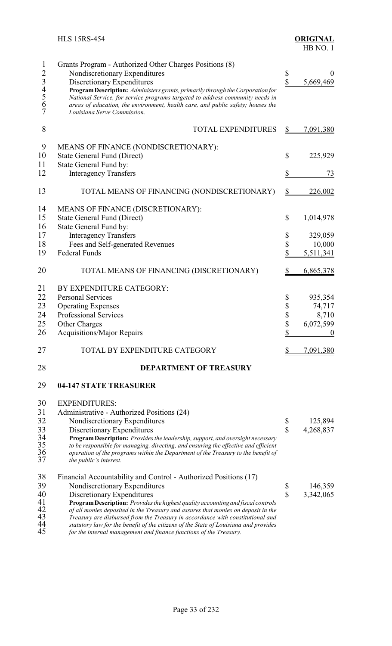|                                                     | <b>HLS 15RS-454</b>                                                                                                                                                                                                                                                                                                                                                                                                                                                                                                                                      |                                                 | <b>ORIGINAL</b><br>HB NO.1                                          |
|-----------------------------------------------------|----------------------------------------------------------------------------------------------------------------------------------------------------------------------------------------------------------------------------------------------------------------------------------------------------------------------------------------------------------------------------------------------------------------------------------------------------------------------------------------------------------------------------------------------------------|-------------------------------------------------|---------------------------------------------------------------------|
| $\mathbf{1}$<br>234567                              | Grants Program - Authorized Other Charges Positions (8)<br>Nondiscretionary Expenditures<br>Discretionary Expenditures<br>Program Description: Administers grants, primarily through the Corporation for<br>National Service, for service programs targeted to address community needs in<br>areas of education, the environment, health care, and public safety; houses the<br>Louisiana Serve Commission.                                                                                                                                              | \$<br>\$                                        | $\theta$<br>5,669,469                                               |
| 8                                                   | <b>TOTAL EXPENDITURES</b>                                                                                                                                                                                                                                                                                                                                                                                                                                                                                                                                | \$                                              | 7,091,380                                                           |
| 9<br>10<br>11<br>12                                 | MEANS OF FINANCE (NONDISCRETIONARY):<br><b>State General Fund (Direct)</b><br>State General Fund by:<br><b>Interagency Transfers</b>                                                                                                                                                                                                                                                                                                                                                                                                                     | \$<br>\$                                        | 225,929<br>73                                                       |
| 13                                                  | TOTAL MEANS OF FINANCING (NONDISCRETIONARY)                                                                                                                                                                                                                                                                                                                                                                                                                                                                                                              | $\frac{1}{2}$                                   | 226,002                                                             |
| 14<br>15<br>16<br>17<br>18<br>19                    | MEANS OF FINANCE (DISCRETIONARY):<br><b>State General Fund (Direct)</b><br>State General Fund by:<br><b>Interagency Transfers</b><br>Fees and Self-generated Revenues<br><b>Federal Funds</b>                                                                                                                                                                                                                                                                                                                                                            | \$<br>\$<br>\$<br>\$                            | 1,014,978<br>329,059<br>10,000<br>5,511,341                         |
| 20                                                  | TOTAL MEANS OF FINANCING (DISCRETIONARY)                                                                                                                                                                                                                                                                                                                                                                                                                                                                                                                 | \$                                              | 6,865,378                                                           |
| 21<br>22<br>23<br>24<br>25<br>26<br>27              | BY EXPENDITURE CATEGORY:<br><b>Personal Services</b><br><b>Operating Expenses</b><br>Professional Services<br><b>Other Charges</b><br><b>Acquisitions/Major Repairs</b><br>TOTAL BY EXPENDITURE CATEGORY                                                                                                                                                                                                                                                                                                                                                 | \$<br>\$<br>\$<br>$\boldsymbol{\$}$<br>\$<br>\$ | 935,354<br>74,717<br>8,710<br>6,072,599<br>$\mathbf 0$<br>7,091,380 |
| 28                                                  | <b>DEPARTMENT OF TREASURY</b>                                                                                                                                                                                                                                                                                                                                                                                                                                                                                                                            |                                                 |                                                                     |
| 29                                                  | <b>04-147 STATE TREASURER</b>                                                                                                                                                                                                                                                                                                                                                                                                                                                                                                                            |                                                 |                                                                     |
| 30<br>31<br>32<br>33<br>$\frac{34}{35}$<br>36<br>37 | <b>EXPENDITURES:</b><br>Administrative - Authorized Positions (24)<br>Nondiscretionary Expenditures<br>Discretionary Expenditures<br>Program Description: Provides the leadership, support, and oversight necessary<br>to be responsible for managing, directing, and ensuring the effective and efficient<br>operation of the programs within the Department of the Treasury to the benefit of<br>the public's interest.                                                                                                                                | \$<br>\$                                        | 125,894<br>4,268,837                                                |
| 38<br>39<br>40<br>41<br>42<br>43<br>44<br>45        | Financial Accountability and Control - Authorized Positions (17)<br>Nondiscretionary Expenditures<br>Discretionary Expenditures<br>Program Description: Provides the highest quality accounting and fiscal controls<br>of all monies deposited in the Treasury and assures that monies on deposit in the<br>Treasury are disbursed from the Treasury in accordance with constitutional and<br>statutory law for the benefit of the citizens of the State of Louisiana and provides<br>for the internal management and finance functions of the Treasury. | $\frac{1}{3}$                                   | 146,359<br>3,342,065                                                |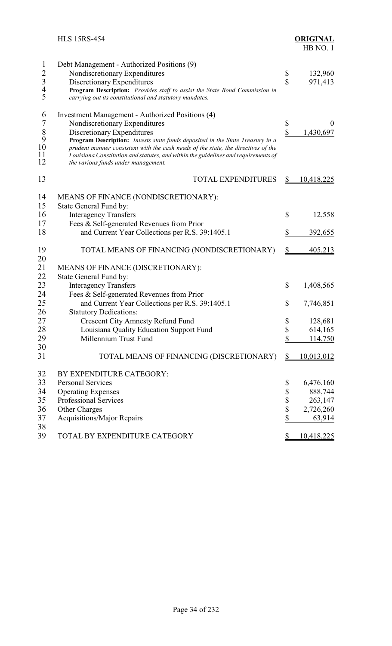|                                                 | <b>HLS 15RS-454</b>                                                                                                                                                                                                                                                                             |                    | <b>ORIGINAL</b><br>HB NO.1 |
|-------------------------------------------------|-------------------------------------------------------------------------------------------------------------------------------------------------------------------------------------------------------------------------------------------------------------------------------------------------|--------------------|----------------------------|
| $\mathbf{1}$                                    | Debt Management - Authorized Positions (9)                                                                                                                                                                                                                                                      |                    |                            |
|                                                 | Nondiscretionary Expenditures                                                                                                                                                                                                                                                                   | \$                 | 132,960                    |
|                                                 | Discretionary Expenditures                                                                                                                                                                                                                                                                      | $\hat{\mathbf{S}}$ | 971,413                    |
| $\begin{array}{c} 2 \\ 3 \\ 4 \\ 5 \end{array}$ | Program Description: Provides staff to assist the State Bond Commission in<br>carrying out its constitutional and statutory mandates.                                                                                                                                                           |                    |                            |
| 6                                               | Investment Management - Authorized Positions (4)                                                                                                                                                                                                                                                |                    |                            |
| $\overline{7}$                                  | Nondiscretionary Expenditures                                                                                                                                                                                                                                                                   | \$                 | $\theta$                   |
| $\frac{8}{9}$                                   | Discretionary Expenditures                                                                                                                                                                                                                                                                      | \$                 | 1,430,697                  |
| 10<br>11<br>12                                  | Program Description: Invests state funds deposited in the State Treasury in a<br>prudent manner consistent with the cash needs of the state, the directives of the<br>Louisiana Constitution and statutes, and within the guidelines and requirements of<br>the various funds under management. |                    |                            |
| 13                                              | <b>TOTAL EXPENDITURES</b>                                                                                                                                                                                                                                                                       | $\frac{1}{2}$      | 10,418,225                 |
| 14                                              | MEANS OF FINANCE (NONDISCRETIONARY):                                                                                                                                                                                                                                                            |                    |                            |
| 15                                              | State General Fund by:                                                                                                                                                                                                                                                                          |                    |                            |
| 16                                              | <b>Interagency Transfers</b>                                                                                                                                                                                                                                                                    | \$                 | 12,558                     |
| 17                                              | Fees & Self-generated Revenues from Prior                                                                                                                                                                                                                                                       |                    |                            |
| 18                                              | and Current Year Collections per R.S. 39:1405.1                                                                                                                                                                                                                                                 | \$                 | 392,655                    |
| 19<br>20                                        | TOTAL MEANS OF FINANCING (NONDISCRETIONARY)                                                                                                                                                                                                                                                     | <u>\$</u>          | 405,213                    |
| 21                                              | MEANS OF FINANCE (DISCRETIONARY):                                                                                                                                                                                                                                                               |                    |                            |
| 22                                              | State General Fund by:                                                                                                                                                                                                                                                                          |                    |                            |
| 23                                              | <b>Interagency Transfers</b>                                                                                                                                                                                                                                                                    | \$                 | 1,408,565                  |
| 24                                              | Fees & Self-generated Revenues from Prior                                                                                                                                                                                                                                                       |                    |                            |
| 25                                              | and Current Year Collections per R.S. 39:1405.1                                                                                                                                                                                                                                                 | \$                 | 7,746,851                  |
| 26                                              | <b>Statutory Dedications:</b>                                                                                                                                                                                                                                                                   |                    |                            |
| 27                                              | <b>Crescent City Amnesty Refund Fund</b>                                                                                                                                                                                                                                                        | \$                 | 128,681                    |
| 28                                              | Louisiana Quality Education Support Fund                                                                                                                                                                                                                                                        | \$                 | 614,165                    |
| 29                                              | Millennium Trust Fund                                                                                                                                                                                                                                                                           | \$                 | 114,750                    |
| 30                                              |                                                                                                                                                                                                                                                                                                 |                    |                            |
| 31                                              | TOTAL MEANS OF FINANCING (DISCRETIONARY)                                                                                                                                                                                                                                                        | $\frac{1}{2}$      | 10,013,012                 |
| 32                                              | BY EXPENDITURE CATEGORY:                                                                                                                                                                                                                                                                        |                    |                            |
| 33                                              | <b>Personal Services</b>                                                                                                                                                                                                                                                                        | \$                 | 6,476,160                  |
| 34                                              | <b>Operating Expenses</b>                                                                                                                                                                                                                                                                       | \$                 | 888,744                    |
| 35                                              | Professional Services                                                                                                                                                                                                                                                                           | \$                 | 263,147                    |
| 36                                              | Other Charges                                                                                                                                                                                                                                                                                   | \$                 | 2,726,260                  |
| 37                                              | <b>Acquisitions/Major Repairs</b>                                                                                                                                                                                                                                                               | \$                 | 63,914                     |
| 38<br>39                                        | TOTAL BY EXPENDITURE CATEGORY                                                                                                                                                                                                                                                                   | \$                 | 10,418,225                 |
|                                                 |                                                                                                                                                                                                                                                                                                 |                    |                            |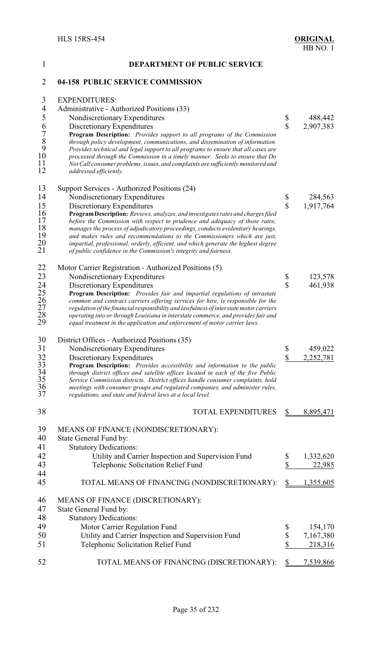| $\mathbf{1}$                                          | <b>DEPARTMENT OF PUBLIC SERVICE</b>                                                                                                                               |                         |           |
|-------------------------------------------------------|-------------------------------------------------------------------------------------------------------------------------------------------------------------------|-------------------------|-----------|
| $\overline{2}$                                        | 04-158 PUBLIC SERVICE COMMISSION                                                                                                                                  |                         |           |
| $\mathfrak{Z}$                                        | <b>EXPENDITURES:</b>                                                                                                                                              |                         |           |
| $\overline{4}$                                        | Administrative - Authorized Positions (33)                                                                                                                        |                         |           |
| 5                                                     | Nondiscretionary Expenditures                                                                                                                                     | \$                      | 488,442   |
|                                                       | Discretionary Expenditures                                                                                                                                        | $\overline{\mathbb{S}}$ | 2,907,383 |
|                                                       | Program Description: Provides support to all programs of the Commission                                                                                           |                         |           |
|                                                       | through policy development, communications, and dissemination of information.                                                                                     |                         |           |
| $\begin{array}{c} 6 \\ 7 \\ 8 \\ 9 \\ 10 \end{array}$ | Provides technical and legal support to all programs to ensure that all cases are                                                                                 |                         |           |
| 11                                                    | processed through the Commission in a timely manner. Seeks to ensure that Do<br>Not Call consumer problems, issues, and complaints are sufficiently monitored and |                         |           |
| 12                                                    | addressed efficiently.                                                                                                                                            |                         |           |
| 13                                                    | Support Services - Authorized Positions (24)                                                                                                                      |                         |           |
| 14                                                    | Nondiscretionary Expenditures                                                                                                                                     | \$                      | 284,563   |
| 15                                                    | Discretionary Expenditures                                                                                                                                        | $\mathbf{\hat{S}}$      | 1,917,764 |
| 16                                                    | Program Description: Reviews, analyzes, and investigates rates and charges filed                                                                                  |                         |           |
| 17<br>18                                              | before the Commission with respect to prudence and adequacy of those rates;                                                                                       |                         |           |
| 19                                                    | manages the process of adjudicatory proceedings, conducts evidentiary hearings,<br>and makes rules and recommendations to the Commissioners which are just,       |                         |           |
| $\substack{20\\21}$                                   | impartial, professional, orderly, efficient, and which generate the highest degree                                                                                |                         |           |
|                                                       | of public confidence in the Commission's integrity and fairness.                                                                                                  |                         |           |
| 22                                                    | Motor Carrier Registration - Authorized Positions (5)                                                                                                             |                         |           |
| 23                                                    | Nondiscretionary Expenditures                                                                                                                                     | \$                      | 123,578   |
| 24                                                    | Discretionary Expenditures                                                                                                                                        | $\overline{\mathbb{S}}$ | 461,938   |
| 25<br>26                                              | Program Description: Provides fair and impartial regulations of intrastate<br>common and contract carriers offering services for hire, is responsible for the     |                         |           |
| 27                                                    | regulation of the financial responsibility and lawfulness of interstate motor carriers                                                                            |                         |           |
| 28                                                    | operating into or through Louisiana in interstate commerce, and provides fair and                                                                                 |                         |           |
| 29                                                    | equal treatment in the application and enforcement of motor carrier laws.                                                                                         |                         |           |
| 30                                                    | District Offices - Authorized Positions (35)                                                                                                                      |                         |           |
| 31                                                    | Nondiscretionary Expenditures                                                                                                                                     | \$                      | 459,022   |
| 32                                                    | Discretionary Expenditures                                                                                                                                        | \$                      | 2,252,781 |
| 33                                                    | Program Description: Provides accessibility and information to the public                                                                                         |                         |           |
| $\frac{34}{35}$                                       | through district offices and satellite offices located in each of the five Public                                                                                 |                         |           |
| 36                                                    | Service Commission districts. District offices handle consumer complaints, hold<br>meetings with consumer groups and regulated companies, and administer rules,   |                         |           |
| 37                                                    | regulations, and state and federal laws at a local level.                                                                                                         |                         |           |
| 38                                                    | <b>TOTAL EXPENDITURES</b>                                                                                                                                         |                         | 8,895,471 |
| 39                                                    | MEANS OF FINANCE (NONDISCRETIONARY):                                                                                                                              |                         |           |
| 40                                                    | State General Fund by:                                                                                                                                            |                         |           |
| 41                                                    | <b>Statutory Dedications:</b>                                                                                                                                     |                         |           |
| 42                                                    | Utility and Carrier Inspection and Supervision Fund                                                                                                               | \$                      | 1,332,620 |
| 43                                                    | Telephonic Solicitation Relief Fund                                                                                                                               | \$                      | 22,985    |
| 44                                                    |                                                                                                                                                                   |                         |           |
| 45                                                    | TOTAL MEANS OF FINANCING (NONDISCRETIONARY):                                                                                                                      | \$                      | 1,355,605 |
| 46                                                    | MEANS OF FINANCE (DISCRETIONARY):                                                                                                                                 |                         |           |
| 47                                                    | State General Fund by:                                                                                                                                            |                         |           |
| 48                                                    | <b>Statutory Dedications:</b>                                                                                                                                     |                         |           |
| 49                                                    | Motor Carrier Regulation Fund                                                                                                                                     | \$                      | 154,170   |
| 50                                                    | Utility and Carrier Inspection and Supervision Fund                                                                                                               | \$                      | 7,167,380 |
| 51                                                    | Telephonic Solicitation Relief Fund                                                                                                                               | \$                      | 218,316   |
| 52                                                    | TOTAL MEANS OF FINANCING (DISCRETIONARY):                                                                                                                         |                         | 7,539,866 |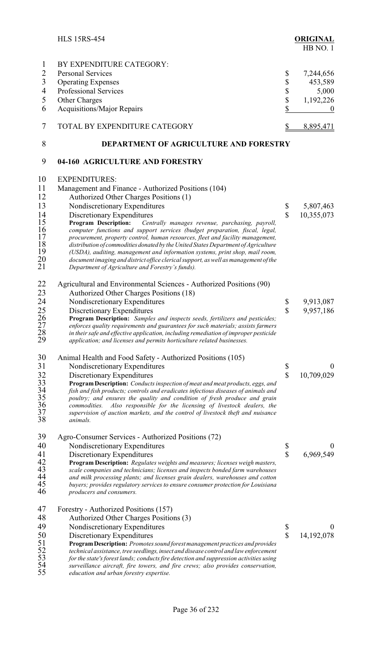|                                                                              | <b>HLS 15RS-454</b>                                                                                                                                                                                                                                                                                                                                                                                                                                                                                                                                                                                                                                                                                                                                      |                          | <b>ORIGINAL</b><br>HB NO.1                                     |
|------------------------------------------------------------------------------|----------------------------------------------------------------------------------------------------------------------------------------------------------------------------------------------------------------------------------------------------------------------------------------------------------------------------------------------------------------------------------------------------------------------------------------------------------------------------------------------------------------------------------------------------------------------------------------------------------------------------------------------------------------------------------------------------------------------------------------------------------|--------------------------|----------------------------------------------------------------|
| $\mathbf{1}$<br>$\overline{c}$<br>$\overline{3}$<br>$\overline{4}$<br>5<br>6 | BY EXPENDITURE CATEGORY:<br><b>Personal Services</b><br><b>Operating Expenses</b><br>Professional Services<br>Other Charges<br>Acquisitions/Major Repairs                                                                                                                                                                                                                                                                                                                                                                                                                                                                                                                                                                                                | \$<br>\$<br>\$<br>\$     | 7,244,656<br>453,589<br>5,000<br>1,192,226<br>$\boldsymbol{0}$ |
| 7                                                                            | TOTAL BY EXPENDITURE CATEGORY                                                                                                                                                                                                                                                                                                                                                                                                                                                                                                                                                                                                                                                                                                                            | $\frac{1}{2}$            | 8,895,471                                                      |
| 8                                                                            | DEPARTMENT OF AGRICULTURE AND FORESTRY                                                                                                                                                                                                                                                                                                                                                                                                                                                                                                                                                                                                                                                                                                                   |                          |                                                                |
| 9                                                                            | 04-160 AGRICULTURE AND FORESTRY                                                                                                                                                                                                                                                                                                                                                                                                                                                                                                                                                                                                                                                                                                                          |                          |                                                                |
| 10<br>11<br>12<br>13<br>14<br>15<br>16<br>17<br>18<br>19<br>20<br>21         | <b>EXPENDITURES:</b><br>Management and Finance - Authorized Positions (104)<br>Authorized Other Charges Positions (1)<br>Nondiscretionary Expenditures<br>Discretionary Expenditures<br><b>Program Description:</b><br>Centrally manages revenue, purchasing, payroll,<br>computer functions and support services (budget preparation, fiscal, legal,<br>procurement, property control, human resources, fleet and facility management,<br>distribution of commodities donated by the United States Department of Agriculture<br>(USDA), auditing, management and information systems, print shop, mail room,<br>document imaging and district office clerical support, as well as management of the<br>Department of Agriculture and Forestry's funds). | \$<br>$\mathbf{\hat{S}}$ | 5,807,463<br>10,355,073                                        |
| 22<br>23<br>24<br>25<br>26<br>27<br>28<br>29                                 | Agricultural and Environmental Sciences - Authorized Positions (90)<br>Authorized Other Charges Positions (18)<br>Nondiscretionary Expenditures<br>Discretionary Expenditures<br>Program Description: Samples and inspects seeds, fertilizers and pesticides;<br>enforces quality requirements and guarantees for such materials; assists farmers<br>in their safe and effective application, including remediation of improper pesticide<br>application; and licenses and permits horticulture related businesses.                                                                                                                                                                                                                                      | \$<br>\$                 | 9,913,087<br>9,957,186                                         |
| 30<br>31<br>$32\,$<br>33<br>$\frac{34}{35}$<br>$\frac{36}{37}$<br>38         | Animal Health and Food Safety - Authorized Positions (105)<br>Nondiscretionary Expenditures<br>Discretionary Expenditures<br>Program Description: Conducts inspection of meat and meat products, eggs, and<br>fish and fish products; controls and eradicates infectious diseases of animals and<br>poultry; and ensures the quality and condition of fresh produce and grain<br>Also responsible for the licensing of livestock dealers, the<br>commodities.<br>supervision of auction markets, and the control of livestock theft and nuisance<br>animals.                                                                                                                                                                                             | \$<br>\$                 | $\mathbf{0}$<br>10,709,029                                     |
| 39<br>40<br>41<br>42<br>43<br>44<br>45<br>46                                 | Agro-Consumer Services - Authorized Positions (72)<br>Nondiscretionary Expenditures<br>Discretionary Expenditures<br>Program Description: Regulates weights and measures; licenses weigh masters,<br>scale companies and technicians; licenses and inspects bonded farm warehouses<br>and milk processing plants; and licenses grain dealers, warehouses and cotton<br>buyers; provides regulatory services to ensure consumer protection for Louisiana<br>producers and consumers.                                                                                                                                                                                                                                                                      | \$<br>\$                 | $\theta$<br>6,969,549                                          |
| 47<br>48<br>49<br>50<br>51<br>52<br>53<br>54<br>55                           | Forestry - Authorized Positions (157)<br>Authorized Other Charges Positions (3)<br>Nondiscretionary Expenditures<br>Discretionary Expenditures<br>Program Description: Promotes sound forest management practices and provides<br>technical assistance, tree seedlings, insect and disease control and law enforcement<br>for the state's forest lands; conducts fire detection and suppression activities using<br>surveillance aircraft, fire towers, and fire crews; also provides conservation,<br>education and urban forestry expertise.                                                                                                                                                                                                           | \$<br>\$                 | $\theta$<br>14,192,078                                         |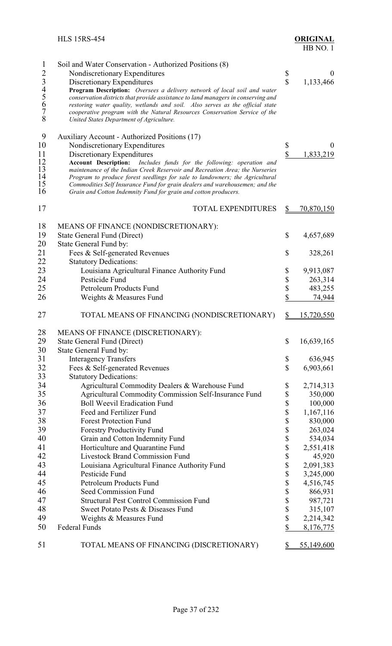|              | <b>HLS 15RS-454</b>                                                                                                                            |                        | <b>ORIGINAL</b><br>HB NO.1 |
|--------------|------------------------------------------------------------------------------------------------------------------------------------------------|------------------------|----------------------------|
| $\mathbf{1}$ | Soil and Water Conservation - Authorized Positions (8)                                                                                         |                        |                            |
|              | Nondiscretionary Expenditures                                                                                                                  | \$                     | $\bf{0}$                   |
|              | Discretionary Expenditures                                                                                                                     | $\sqrt{\frac{2}{\pi}}$ | 1,133,466                  |
|              | Program Description: Oversees a delivery network of local soil and water                                                                       |                        |                            |
|              | conservation districts that provide assistance to land managers in conserving and                                                              |                        |                            |
| 234567       | restoring water quality, wetlands and soil. Also serves as the official state                                                                  |                        |                            |
| 8            | cooperative program with the Natural Resources Conservation Service of the<br>United States Department of Agriculture.                         |                        |                            |
|              |                                                                                                                                                |                        |                            |
| 9            | Auxiliary Account - Authorized Positions (17)                                                                                                  |                        |                            |
| 10           | Nondiscretionary Expenditures                                                                                                                  | \$                     | $\overline{0}$             |
| 11           | Discretionary Expenditures                                                                                                                     | \$                     | 1,833,219                  |
| 12           | <b>Account Description:</b><br>Includes funds for the following: operation and                                                                 |                        |                            |
| 13           | maintenance of the Indian Creek Reservoir and Recreation Area; the Nurseries                                                                   |                        |                            |
| 14           | Program to produce forest seedlings for sale to landowners; the Agricultural                                                                   |                        |                            |
| 15<br>16     | Commodities Self Insurance Fund for grain dealers and warehousemen; and the<br>Grain and Cotton Indemnity Fund for grain and cotton producers. |                        |                            |
|              |                                                                                                                                                |                        |                            |
| 17           | <b>TOTAL EXPENDITURES</b>                                                                                                                      | \$                     | 70,870,150                 |
|              |                                                                                                                                                |                        |                            |
| 18           | MEANS OF FINANCE (NONDISCRETIONARY):                                                                                                           |                        |                            |
| 19           | State General Fund (Direct)                                                                                                                    | \$                     | 4,657,689                  |
| 20           | State General Fund by:                                                                                                                         |                        |                            |
| 21           | Fees & Self-generated Revenues                                                                                                                 | \$                     | 328,261                    |
| 22           | <b>Statutory Dedications:</b>                                                                                                                  |                        |                            |
| 23           | Louisiana Agricultural Finance Authority Fund                                                                                                  | \$                     | 9,913,087                  |
| 24           | Pesticide Fund                                                                                                                                 | \$                     | 263,314                    |
| 25           | Petroleum Products Fund                                                                                                                        | \$<br>$\sqrt$          | 483,255                    |
| 26           | Weights & Measures Fund                                                                                                                        |                        | 74,944                     |
| 27           | TOTAL MEANS OF FINANCING (NONDISCRETIONARY)                                                                                                    | $\frac{1}{2}$          | <u>15,720,550</u>          |
| 28           | MEANS OF FINANCE (DISCRETIONARY):                                                                                                              |                        |                            |
| 29           | <b>State General Fund (Direct)</b>                                                                                                             | \$                     | 16,639,165                 |
| 30           | State General Fund by:                                                                                                                         |                        |                            |
| 31           | <b>Interagency Transfers</b>                                                                                                                   | \$                     | 636,945                    |
| 32           | Fees & Self-generated Revenues                                                                                                                 | \$                     | 6,903,661                  |
| 33           | <b>Statutory Dedications:</b>                                                                                                                  |                        |                            |
| 34           | Agricultural Commodity Dealers & Warehouse Fund                                                                                                | \$                     | 2,714,313                  |
| 35           | Agricultural Commodity Commission Self-Insurance Fund                                                                                          | \$                     | 350,000                    |
| 36           | <b>Boll Weevil Eradication Fund</b>                                                                                                            | \$                     | 100,000                    |
| 37           | Feed and Fertilizer Fund                                                                                                                       | \$                     | 1,167,116                  |
| 38           | <b>Forest Protection Fund</b>                                                                                                                  | \$                     | 830,000                    |
| 39           | <b>Forestry Productivity Fund</b>                                                                                                              | \$                     | 263,024                    |
| 40           | Grain and Cotton Indemnity Fund                                                                                                                | \$                     | 534,034                    |
| 41           | Horticulture and Quarantine Fund                                                                                                               | \$                     | 2,551,418                  |
| 42           | <b>Livestock Brand Commission Fund</b>                                                                                                         | \$                     | 45,920                     |
| 43           | Louisiana Agricultural Finance Authority Fund                                                                                                  | \$                     | 2,091,383                  |
| 44           | Pesticide Fund                                                                                                                                 | \$                     | 3,245,000                  |
| 45           | Petroleum Products Fund                                                                                                                        | \$                     | 4,516,745                  |
| 46           | Seed Commission Fund                                                                                                                           | \$                     | 866,931                    |
| 47           | <b>Structural Pest Control Commission Fund</b>                                                                                                 | \$                     | 987,721                    |
| 48           | Sweet Potato Pests & Diseases Fund                                                                                                             | \$                     | 315,107                    |
| 49           | Weights & Measures Fund                                                                                                                        | \$                     | 2,214,342                  |
| 50           | <b>Federal Funds</b>                                                                                                                           | \$                     | 8,176,775                  |
| 51           | TOTAL MEANS OF FINANCING (DISCRETIONARY)                                                                                                       | \$                     | 55,149,600                 |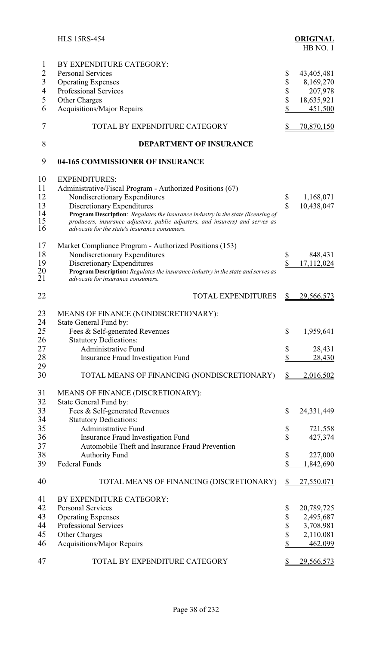|                                                                   | <b>HLS 15RS-454</b>                                                                                                                                                                                                                                                                                                                                                           |                            | <b>ORIGINAL</b><br>HB NO. 1                                  |
|-------------------------------------------------------------------|-------------------------------------------------------------------------------------------------------------------------------------------------------------------------------------------------------------------------------------------------------------------------------------------------------------------------------------------------------------------------------|----------------------------|--------------------------------------------------------------|
| 1<br>$\overline{2}$<br>$\overline{3}$<br>$\overline{4}$<br>5<br>6 | BY EXPENDITURE CATEGORY:<br><b>Personal Services</b><br><b>Operating Expenses</b><br><b>Professional Services</b><br>Other Charges<br><b>Acquisitions/Major Repairs</b>                                                                                                                                                                                                       | \$<br>\$<br>\$<br>\$<br>\$ | 43,405,481<br>8,169,270<br>207,978<br>18,635,921<br>451,500  |
| 7                                                                 | TOTAL BY EXPENDITURE CATEGORY                                                                                                                                                                                                                                                                                                                                                 | \$                         | 70,870,150                                                   |
| 8                                                                 | <b>DEPARTMENT OF INSURANCE</b>                                                                                                                                                                                                                                                                                                                                                |                            |                                                              |
| 9                                                                 | 04-165 COMMISSIONER OF INSURANCE                                                                                                                                                                                                                                                                                                                                              |                            |                                                              |
| 10<br>11<br>12<br>13<br>14<br>15<br>16                            | <b>EXPENDITURES:</b><br>Administrative/Fiscal Program - Authorized Positions (67)<br>Nondiscretionary Expenditures<br>Discretionary Expenditures<br><b>Program Description:</b> Regulates the insurance industry in the state (licensing of<br>producers, insurance adjusters, public adjusters, and insurers) and serves as<br>advocate for the state's insurance consumers. | \$<br>$\mathbf S$          | 1,168,071<br>10,438,047                                      |
| 17<br>18<br>19<br>20<br>21                                        | Market Compliance Program - Authorized Positions (153)<br>Nondiscretionary Expenditures<br>Discretionary Expenditures<br>Program Description: Regulates the insurance industry in the state and serves as<br>advocate for insurance consumers.                                                                                                                                | \$<br>\$                   | 848,431<br>17,112,024                                        |
| 22                                                                | <b>TOTAL EXPENDITURES</b>                                                                                                                                                                                                                                                                                                                                                     | $\frac{1}{2}$              | 29,566,573                                                   |
| 23<br>24<br>25<br>26                                              | MEANS OF FINANCE (NONDISCRETIONARY):<br>State General Fund by:<br>Fees & Self-generated Revenues<br><b>Statutory Dedications:</b>                                                                                                                                                                                                                                             | \$                         | 1,959,641                                                    |
| 27<br>28                                                          | <b>Administrative Fund</b><br><b>Insurance Fraud Investigation Fund</b>                                                                                                                                                                                                                                                                                                       | \$<br>\$                   | 28,431<br>28,430                                             |
| 29<br>30                                                          | TOTAL MEANS OF FINANCING (NONDISCRETIONARY)                                                                                                                                                                                                                                                                                                                                   | $\frac{1}{2}$              | <u>2,016,502</u>                                             |
| 31<br>32                                                          | MEANS OF FINANCE (DISCRETIONARY):<br>State General Fund by:                                                                                                                                                                                                                                                                                                                   |                            |                                                              |
| 33<br>34                                                          | Fees & Self-generated Revenues<br><b>Statutory Dedications:</b>                                                                                                                                                                                                                                                                                                               | \$                         | 24, 331, 449                                                 |
| 35<br>36<br>37                                                    | <b>Administrative Fund</b><br>Insurance Fraud Investigation Fund<br>Automobile Theft and Insurance Fraud Prevention                                                                                                                                                                                                                                                           | \$<br>\$                   | 721,558<br>427,374                                           |
| 38<br>39                                                          | <b>Authority Fund</b><br><b>Federal Funds</b>                                                                                                                                                                                                                                                                                                                                 | \$<br>\$                   | 227,000<br>1,842,690                                         |
| 40                                                                | TOTAL MEANS OF FINANCING (DISCRETIONARY)                                                                                                                                                                                                                                                                                                                                      | $\frac{1}{2}$              | 27,550,071                                                   |
| 41<br>42<br>43<br>44<br>45<br>46                                  | BY EXPENDITURE CATEGORY:<br><b>Personal Services</b><br><b>Operating Expenses</b><br><b>Professional Services</b><br>Other Charges<br><b>Acquisitions/Major Repairs</b>                                                                                                                                                                                                       | \$<br>\$<br>\$<br>\$<br>\$ | 20,789,725<br>2,495,687<br>3,708,981<br>2,110,081<br>462,099 |
| 47                                                                | TOTAL BY EXPENDITURE CATEGORY                                                                                                                                                                                                                                                                                                                                                 | \$                         | <u>29,566,573</u>                                            |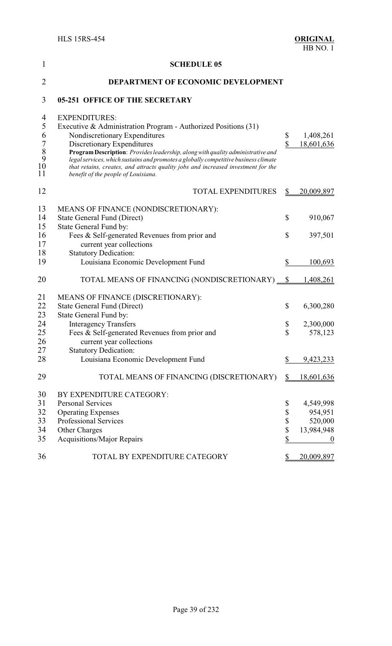| 1                                                                                 | <b>SCHEDULE 05</b>                                                                                                                                                                                                                                                                                                                                                                                                                                          |                      |                                 |
|-----------------------------------------------------------------------------------|-------------------------------------------------------------------------------------------------------------------------------------------------------------------------------------------------------------------------------------------------------------------------------------------------------------------------------------------------------------------------------------------------------------------------------------------------------------|----------------------|---------------------------------|
| $\overline{2}$                                                                    | DEPARTMENT OF ECONOMIC DEVELOPMENT                                                                                                                                                                                                                                                                                                                                                                                                                          |                      |                                 |
| 3                                                                                 | <b>05-251 OFFICE OF THE SECRETARY</b>                                                                                                                                                                                                                                                                                                                                                                                                                       |                      |                                 |
| 4<br>$\mathfrak s$<br>6<br>$\begin{array}{c} 7 \\ 8 \\ 9 \end{array}$<br>10<br>11 | <b>EXPENDITURES:</b><br>Executive & Administration Program - Authorized Positions (31)<br>Nondiscretionary Expenditures<br>Discretionary Expenditures<br>Program Description: Provides leadership, along with quality administrative and<br>legal services, which sustains and promotes a globally competitive business climate<br>that retains, creates, and attracts quality jobs and increased investment for the<br>benefit of the people of Louisiana. | \$<br>\$             | 1,408,261<br>18,601,636         |
| 12                                                                                | <b>TOTAL EXPENDITURES</b>                                                                                                                                                                                                                                                                                                                                                                                                                                   | S                    | 20,009,897                      |
| 13<br>14<br>15<br>16                                                              | MEANS OF FINANCE (NONDISCRETIONARY):<br><b>State General Fund (Direct)</b><br>State General Fund by:<br>Fees & Self-generated Revenues from prior and                                                                                                                                                                                                                                                                                                       | \$<br>\$             | 910,067<br>397,501              |
| 17<br>18<br>19                                                                    | current year collections<br><b>Statutory Dedication:</b><br>Louisiana Economic Development Fund                                                                                                                                                                                                                                                                                                                                                             | \$                   | 100,693                         |
| 20                                                                                | TOTAL MEANS OF FINANCING (NONDISCRETIONARY) _                                                                                                                                                                                                                                                                                                                                                                                                               | $\mathbb{S}$         | 1,408,261                       |
| 21<br>22<br>23                                                                    | MEANS OF FINANCE (DISCRETIONARY):<br>State General Fund (Direct)<br>State General Fund by:                                                                                                                                                                                                                                                                                                                                                                  | \$                   | 6,300,280                       |
| 24<br>25<br>26<br>27                                                              | <b>Interagency Transfers</b><br>Fees & Self-generated Revenues from prior and<br>current year collections<br><b>Statutory Dedication:</b>                                                                                                                                                                                                                                                                                                                   | \$<br>\$             | 2,300,000<br>578,123            |
| 28                                                                                | Louisiana Economic Development Fund                                                                                                                                                                                                                                                                                                                                                                                                                         | \$                   | 9,423,233                       |
| 29                                                                                | TOTAL MEANS OF FINANCING (DISCRETIONARY)                                                                                                                                                                                                                                                                                                                                                                                                                    | S.                   | 18,601,636                      |
| 30<br>31<br>32<br>33<br>34                                                        | BY EXPENDITURE CATEGORY:<br><b>Personal Services</b><br><b>Operating Expenses</b><br>Professional Services                                                                                                                                                                                                                                                                                                                                                  | \$<br>\$<br>\$<br>\$ | 4,549,998<br>954,951<br>520,000 |
| 35                                                                                | Other Charges<br><b>Acquisitions/Major Repairs</b>                                                                                                                                                                                                                                                                                                                                                                                                          | \$                   | 13,984,948<br>$\boldsymbol{0}$  |
| 36                                                                                | TOTAL BY EXPENDITURE CATEGORY                                                                                                                                                                                                                                                                                                                                                                                                                               | \$                   | 20,009,897                      |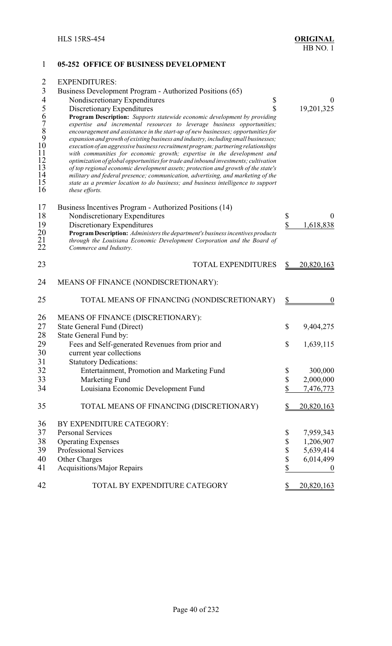## 1 **05-252 OFFICE OF BUSINESS DEVELOPMENT** 2 EXPENDITURES: 3 Business Development Program - Authorized Positions (65)<br>4 Nondiscretionary Expenditures 4 Nondiscretionary Expenditures \$ 0<br>5 Discretionary Expenditures \$ 0<br>8 0<br>9,201,325 5 Discretionary Expenditures \$ 19,201,325<br>6 **Program Description:** Supports statewide economic development by providing<br>7 expertise and incremental resources to leverage business opportunities;<br>8 encouragement and assistan 6 **Program Description:** *Supports statewide economic development by providing* 7 *expertise and incremental resources to leverage business opportunities;* 8 *encouragement and assistance in the start-up of new businesses; opportunities for* 9 *expansion and growth of existing business and industry, including small businesses;* 10 *execution of an aggressive business recruitment program; partnering relationships*<br>11 *with communities for economic growth; expertise in the development and*<br>12 *optimization of global opportunities for trade and inbo* 11 *with communities for economic growth; expertise in the development and* 12 *optimization of global opportunities for trade and inbound investments; cultivation* 13 *of top regional economic development assets; protection and growth of the state's*<br>14 *military and federal presence; communication, advertising, and marketing of the*<br>15 *state as a premier location to do business; an* 14 *military and federal presence; communication, advertising, and marketing of the* 15 *state as a premier location to do business; and business intelligence to support* these efforts. 17 Business Incentives Program - Authorized Positions (14) 18 Nondiscretionary Expenditures \$ 0<br>19 Discretionary Expenditures \$ 1.618.838 19 Discretionary Expenditures<br>20 **Program Description:** Administers the department's business incentives products 20 **ProgramDescription:** *Administers the department's business incentives products* 21 *through the Louisiana Economic Development Corporation and the Board of* Commerce and Industry. 23 TOTAL EXPENDITURES \$ 20,820,163 24 MEANS OF FINANCE (NONDISCRETIONARY): 25 TOTAL MEANS OF FINANCING (NONDISCRETIONARY) \$ 0 26 MEANS OF FINANCE (DISCRETIONARY): 27 State General Fund (Direct) \$ 9,404,275<br>28 State General Fund by: 28 State General Fund by:<br>29 Fees and Self-gener Fees and Self-generated Revenues from prior and  $$ 1,639,115$ 30 current year collections<br>31 Statutory Dedications: **Statutory Dedications:** 32 Entertainment, Promotion and Marketing Fund \$ 300,000 33 Marketing Fund \$ 2,000,000<br>34 Louisiana Economic Development Fund \$ 7,476,773 Louisiana Economic Development Fund  $\frac{\$}{1,476,773}$ 35 TOTAL MEANS OF FINANCING (DISCRETIONARY) \$ 20,820,163 36 BY EXPENDITURE CATEGORY: 37 Personal Services \$ 7,959,343 38 Operating Expenses \$ 1,206,907<br>39 Professional Services \$ 5,639,414 Professional Services  $\qquad$  \$ 5,639,414 40 Other Charges \$ 6,014,499 41 Acquisitions/Major Repairs 6 1 and 1 and 1 and 1 and 1 and 1 and 1 and 1 and 1 and 1 and 1 and 1 and 1 and 1 and 1 and 1 and 1 and 1 and 1 and 1 and 1 and 1 and 1 and 1 and 1 and 1 and 1 and 1 and 1 and 1 and 1 and 1 an 42 TOTAL BY EXPENDITURE CATEGORY \$20,820,163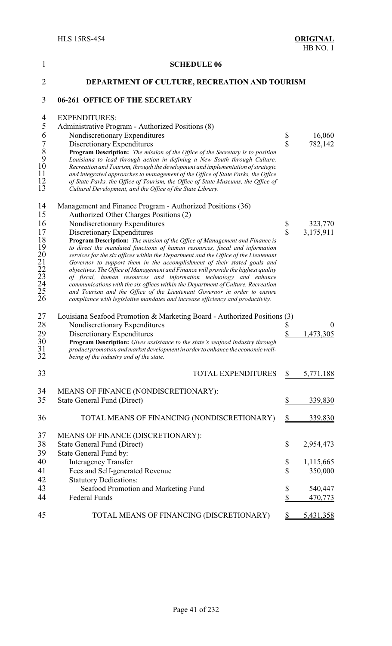| 1                                                                                                  | <b>SCHEDULE 06</b>                                                                                                                                                                                                                                                                                                                                                                                                                                                                                                                                                                                                                                                                                                                                                                                                                                                                                               |                          |                                   |
|----------------------------------------------------------------------------------------------------|------------------------------------------------------------------------------------------------------------------------------------------------------------------------------------------------------------------------------------------------------------------------------------------------------------------------------------------------------------------------------------------------------------------------------------------------------------------------------------------------------------------------------------------------------------------------------------------------------------------------------------------------------------------------------------------------------------------------------------------------------------------------------------------------------------------------------------------------------------------------------------------------------------------|--------------------------|-----------------------------------|
| $\overline{2}$                                                                                     | DEPARTMENT OF CULTURE, RECREATION AND TOURISM                                                                                                                                                                                                                                                                                                                                                                                                                                                                                                                                                                                                                                                                                                                                                                                                                                                                    |                          |                                   |
| 3                                                                                                  | 06-261 OFFICE OF THE SECRETARY                                                                                                                                                                                                                                                                                                                                                                                                                                                                                                                                                                                                                                                                                                                                                                                                                                                                                   |                          |                                   |
| 4<br>5<br>6<br>$\begin{array}{c} 7 \\ 8 \\ 9 \\ 10 \end{array}$<br>11<br>12<br>13                  | <b>EXPENDITURES:</b><br>Administrative Program - Authorized Positions (8)<br>Nondiscretionary Expenditures<br>Discretionary Expenditures<br>Program Description: The mission of the Office of the Secretary is to position<br>Louisiana to lead through action in defining a New South through Culture,<br>Recreation and Tourism, through the development and implementation of strategic<br>and integrated approaches to management of the Office of State Parks, the Office<br>of State Parks, the Office of Tourism, the Office of State Museums, the Office of<br>Cultural Development, and the Office of the State Library.                                                                                                                                                                                                                                                                                | \$<br>$\mathbf S$        | 16,060<br>782,142                 |
| 14<br>15<br>16<br>17<br>18<br>19<br>$\substack{20\\21}$<br>$\frac{22}{23}$<br>23<br>24<br>25<br>26 | Management and Finance Program - Authorized Positions (36)<br>Authorized Other Charges Positions (2)<br>Nondiscretionary Expenditures<br>Discretionary Expenditures<br>Program Description: The mission of the Office of Management and Finance is<br>to direct the mandated functions of human resources, fiscal and information<br>services for the six offices within the Department and the Office of the Lieutenant<br>Governor to support them in the accomplishment of their stated goals and<br>objectives. The Office of Management and Finance will provide the highest quality<br>of fiscal, human resources and information technology and enhance<br>communications with the six offices within the Department of Culture, Recreation<br>and Tourism and the Office of the Lieutenant Governor in order to ensure<br>compliance with legislative mandates and increase efficiency and productivity. | \$<br>$\mathbf{\hat{S}}$ | 323,770<br>3,175,911              |
| 27<br>28<br>29<br>30<br>31<br>32                                                                   | Louisiana Seafood Promotion & Marketing Board - Authorized Positions (3)<br>Nondiscretionary Expenditures<br>Discretionary Expenditures<br>Program Description: Gives assistance to the state's seafood industry through<br>product promotion and market development in order to enhance the economic well-<br>being of the industry and of the state.                                                                                                                                                                                                                                                                                                                                                                                                                                                                                                                                                           | \$<br>\$                 | $\theta$<br>1,473,305             |
| 33                                                                                                 | <b>TOTAL EXPENDITURES</b>                                                                                                                                                                                                                                                                                                                                                                                                                                                                                                                                                                                                                                                                                                                                                                                                                                                                                        | \$                       | 5,771,188                         |
| 34<br>35                                                                                           | MEANS OF FINANCE (NONDISCRETIONARY):<br><b>State General Fund (Direct)</b>                                                                                                                                                                                                                                                                                                                                                                                                                                                                                                                                                                                                                                                                                                                                                                                                                                       | \$                       | 339,830                           |
| 36                                                                                                 | TOTAL MEANS OF FINANCING (NONDISCRETIONARY)                                                                                                                                                                                                                                                                                                                                                                                                                                                                                                                                                                                                                                                                                                                                                                                                                                                                      | $\frac{1}{2}$            | 339,830                           |
| 37<br>38<br>39<br>40<br>41                                                                         | MEANS OF FINANCE (DISCRETIONARY):<br><b>State General Fund (Direct)</b><br>State General Fund by:<br><b>Interagency Transfer</b><br>Fees and Self-generated Revenue                                                                                                                                                                                                                                                                                                                                                                                                                                                                                                                                                                                                                                                                                                                                              | \$<br>\$<br>$\mathbb{S}$ | 2,954,473<br>1,115,665<br>350,000 |
| 42<br>43<br>44                                                                                     | <b>Statutory Dedications:</b><br>Seafood Promotion and Marketing Fund<br><b>Federal Funds</b>                                                                                                                                                                                                                                                                                                                                                                                                                                                                                                                                                                                                                                                                                                                                                                                                                    | \$<br>\$                 | 540,447<br>470,773                |
| 45                                                                                                 | TOTAL MEANS OF FINANCING (DISCRETIONARY)                                                                                                                                                                                                                                                                                                                                                                                                                                                                                                                                                                                                                                                                                                                                                                                                                                                                         | S                        | <u>5,431,358</u>                  |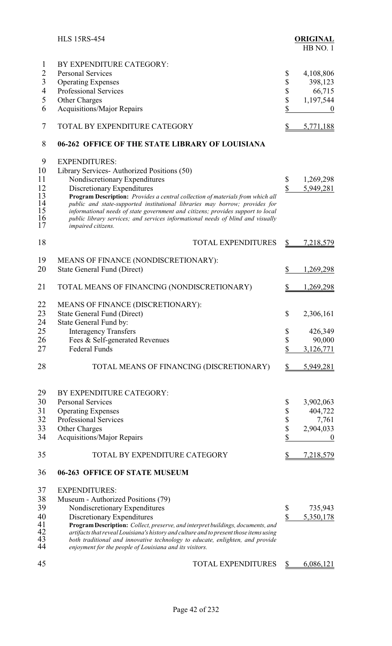|                      | <b>HLS 15RS-454</b>                                                                                                                                                                                                                                                                                                                 |                        | <b>ORIGINAL</b><br>HB NO.1 |
|----------------------|-------------------------------------------------------------------------------------------------------------------------------------------------------------------------------------------------------------------------------------------------------------------------------------------------------------------------------------|------------------------|----------------------------|
| 1                    | BY EXPENDITURE CATEGORY:                                                                                                                                                                                                                                                                                                            |                        |                            |
| $\overline{2}$       | <b>Personal Services</b>                                                                                                                                                                                                                                                                                                            | \$                     | 4,108,806                  |
| $\mathfrak{Z}$       | <b>Operating Expenses</b>                                                                                                                                                                                                                                                                                                           | \$                     | 398,123                    |
| $\overline{4}$       | Professional Services                                                                                                                                                                                                                                                                                                               | \$                     | 66,715                     |
| 5                    | Other Charges                                                                                                                                                                                                                                                                                                                       |                        | 1,197,544                  |
| 6                    | Acquisitions/Major Repairs                                                                                                                                                                                                                                                                                                          | \$                     |                            |
| 7                    | TOTAL BY EXPENDITURE CATEGORY                                                                                                                                                                                                                                                                                                       | \$                     | 5,771,188                  |
| 8                    | 06-262 OFFICE OF THE STATE LIBRARY OF LOUISIANA                                                                                                                                                                                                                                                                                     |                        |                            |
| 9                    | <b>EXPENDITURES:</b>                                                                                                                                                                                                                                                                                                                |                        |                            |
| 10                   | Library Services-Authorized Positions (50)                                                                                                                                                                                                                                                                                          |                        |                            |
| 11                   | Nondiscretionary Expenditures                                                                                                                                                                                                                                                                                                       | \$                     | 1,269,298                  |
| 12                   | Discretionary Expenditures                                                                                                                                                                                                                                                                                                          | $\sqrt{\frac{2}{\pi}}$ | 5,949,281                  |
| 13<br>14<br>15<br>16 | Program Description: Provides a central collection of materials from which all<br>public and state-supported institutional libraries may borrow; provides for<br>informational needs of state government and citizens; provides support to local<br>public library services; and services informational needs of blind and visually |                        |                            |
| 17                   | impaired citizens.                                                                                                                                                                                                                                                                                                                  |                        |                            |
| 18                   | <b>TOTAL EXPENDITURES</b>                                                                                                                                                                                                                                                                                                           | $\frac{1}{2}$          | <u>7,218,579</u>           |
| 19                   | MEANS OF FINANCE (NONDISCRETIONARY):                                                                                                                                                                                                                                                                                                |                        |                            |
| 20                   | <b>State General Fund (Direct)</b>                                                                                                                                                                                                                                                                                                  | \$                     | 1,269,298                  |
| 21                   | TOTAL MEANS OF FINANCING (NONDISCRETIONARY)                                                                                                                                                                                                                                                                                         | $\frac{1}{2}$          | 1,269,298                  |
| 22                   | MEANS OF FINANCE (DISCRETIONARY):                                                                                                                                                                                                                                                                                                   |                        |                            |
| 23                   | <b>State General Fund (Direct)</b>                                                                                                                                                                                                                                                                                                  | \$                     | 2,306,161                  |
| 24                   | State General Fund by:                                                                                                                                                                                                                                                                                                              |                        |                            |
| 25                   | <b>Interagency Transfers</b>                                                                                                                                                                                                                                                                                                        | \$                     | 426,349                    |
| 26                   | Fees & Self-generated Revenues                                                                                                                                                                                                                                                                                                      | \$                     | 90,000                     |
| 27                   | <b>Federal Funds</b>                                                                                                                                                                                                                                                                                                                | \$                     | 3,126,771                  |
| 28                   | TOTAL MEANS OF FINANCING (DISCRETIONARY)                                                                                                                                                                                                                                                                                            | \$                     | 5,949,281                  |
| 29                   | BY EXPENDITURE CATEGORY:                                                                                                                                                                                                                                                                                                            |                        |                            |
| 30                   | <b>Personal Services</b>                                                                                                                                                                                                                                                                                                            | \$                     | 3,902,063                  |
| 31                   | <b>Operating Expenses</b>                                                                                                                                                                                                                                                                                                           | \$                     | 404,722                    |
| 32                   | Professional Services                                                                                                                                                                                                                                                                                                               |                        | 7,761                      |
| 33                   | Other Charges                                                                                                                                                                                                                                                                                                                       | \$<br>\$               | 2,904,033                  |
| 34                   | <b>Acquisitions/Major Repairs</b>                                                                                                                                                                                                                                                                                                   | \$                     | $\boldsymbol{0}$           |
| 35                   | TOTAL BY EXPENDITURE CATEGORY                                                                                                                                                                                                                                                                                                       | \$                     | 7,218,579                  |
| 36                   | 06-263 OFFICE OF STATE MUSEUM                                                                                                                                                                                                                                                                                                       |                        |                            |
| 37                   | <b>EXPENDITURES:</b>                                                                                                                                                                                                                                                                                                                |                        |                            |
| 38                   | Museum - Authorized Positions (79)                                                                                                                                                                                                                                                                                                  |                        |                            |
| 39                   | Nondiscretionary Expenditures                                                                                                                                                                                                                                                                                                       | \$                     | 735,943                    |
| 40                   | Discretionary Expenditures                                                                                                                                                                                                                                                                                                          | \$                     | 5,350,178                  |
| 41                   | Program Description: Collect, preserve, and interpret buildings, documents, and                                                                                                                                                                                                                                                     |                        |                            |
| 42                   | artifacts that reveal Louisiana's history and culture and to present those items using                                                                                                                                                                                                                                              |                        |                            |
| 43<br>44             | both traditional and innovative technology to educate, enlighten, and provide<br>enjoyment for the people of Louisiana and its visitors.                                                                                                                                                                                            |                        |                            |
| 45                   | TOTAL EXPENDITURES                                                                                                                                                                                                                                                                                                                  | \$                     | 6,086,121                  |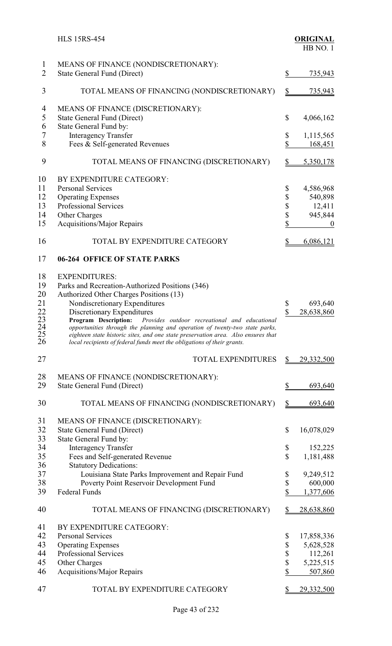|                                                           | <b>HLS 15RS-454</b>                                                                                                                                                                                                                                                                                                                                                                                                                                                                                       |                                    | <b>ORIGINAL</b><br>HB NO. 1                                   |
|-----------------------------------------------------------|-----------------------------------------------------------------------------------------------------------------------------------------------------------------------------------------------------------------------------------------------------------------------------------------------------------------------------------------------------------------------------------------------------------------------------------------------------------------------------------------------------------|------------------------------------|---------------------------------------------------------------|
| $\mathbf{1}$<br>$\overline{2}$                            | MEANS OF FINANCE (NONDISCRETIONARY):<br><b>State General Fund (Direct)</b>                                                                                                                                                                                                                                                                                                                                                                                                                                | $\$$                               | 735,943                                                       |
| 3                                                         | TOTAL MEANS OF FINANCING (NONDISCRETIONARY)                                                                                                                                                                                                                                                                                                                                                                                                                                                               | $\mathbf{\underline{\mathcal{S}}}$ | <u>735,943</u>                                                |
| 4<br>5<br>6<br>7<br>8                                     | MEANS OF FINANCE (DISCRETIONARY):<br><b>State General Fund (Direct)</b><br>State General Fund by:<br><b>Interagency Transfer</b><br>Fees & Self-generated Revenues                                                                                                                                                                                                                                                                                                                                        | \$<br>\$<br>\$                     | 4,066,162<br>1,115,565<br><u>168,451</u>                      |
| 9                                                         | TOTAL MEANS OF FINANCING (DISCRETIONARY)                                                                                                                                                                                                                                                                                                                                                                                                                                                                  | $\frac{1}{2}$                      | 5,350,178                                                     |
| 10<br>11<br>12<br>13<br>14<br>15                          | BY EXPENDITURE CATEGORY:<br><b>Personal Services</b><br><b>Operating Expenses</b><br><b>Professional Services</b><br>Other Charges<br>Acquisitions/Major Repairs                                                                                                                                                                                                                                                                                                                                          | \$<br>\$<br>\$<br>\$<br>\$         | 4,586,968<br>540,898<br>12,411<br>945,844<br>$\boldsymbol{0}$ |
| 16                                                        | TOTAL BY EXPENDITURE CATEGORY                                                                                                                                                                                                                                                                                                                                                                                                                                                                             | \$                                 | 6,086,121                                                     |
| 17                                                        | <b>06-264 OFFICE OF STATE PARKS</b>                                                                                                                                                                                                                                                                                                                                                                                                                                                                       |                                    |                                                               |
| 18<br>19<br>20<br>21<br>22<br>23<br>24<br>$\frac{25}{26}$ | <b>EXPENDITURES:</b><br>Parks and Recreation-Authorized Positions (346)<br>Authorized Other Charges Positions (13)<br>Nondiscretionary Expenditures<br>Discretionary Expenditures<br>Program Description:<br>Provides outdoor recreational and educational<br>opportunities through the planning and operation of twenty-two state parks,<br>eighteen state historic sites, and one state preservation area. Also ensures that<br>local recipients of federal funds meet the obligations of their grants. | \$<br>\$                           | 693,640<br>28,638,860                                         |
| 27                                                        | <b>TOTAL EXPENDITURES</b>                                                                                                                                                                                                                                                                                                                                                                                                                                                                                 | S                                  | 29,332,500                                                    |
| 28<br>29                                                  | MEANS OF FINANCE (NONDISCRETIONARY):<br><b>State General Fund (Direct)</b>                                                                                                                                                                                                                                                                                                                                                                                                                                | \$                                 | 693,640                                                       |
| 30                                                        | TOTAL MEANS OF FINANCING (NONDISCRETIONARY)                                                                                                                                                                                                                                                                                                                                                                                                                                                               |                                    | 693,640                                                       |
| 31<br>32<br>33<br>34                                      | MEANS OF FINANCE (DISCRETIONARY):<br><b>State General Fund (Direct)</b><br>State General Fund by:<br><b>Interagency Transfer</b>                                                                                                                                                                                                                                                                                                                                                                          | \$<br>\$                           | 16,078,029<br>152,225                                         |
| 35<br>36                                                  | Fees and Self-generated Revenue<br><b>Statutory Dedications:</b>                                                                                                                                                                                                                                                                                                                                                                                                                                          | \$                                 | 1,181,488                                                     |
| 37<br>38<br>39                                            | Louisiana State Parks Improvement and Repair Fund<br>Poverty Point Reservoir Development Fund<br><b>Federal Funds</b>                                                                                                                                                                                                                                                                                                                                                                                     | \$<br>\$<br>\$                     | 9,249,512<br>600,000<br>1,377,606                             |
| 40                                                        | TOTAL MEANS OF FINANCING (DISCRETIONARY)                                                                                                                                                                                                                                                                                                                                                                                                                                                                  | \$                                 | 28,638,860                                                    |
| 41<br>42<br>43<br>44<br>45<br>46                          | BY EXPENDITURE CATEGORY:<br><b>Personal Services</b><br><b>Operating Expenses</b><br><b>Professional Services</b><br>Other Charges<br><b>Acquisitions/Major Repairs</b>                                                                                                                                                                                                                                                                                                                                   | \$<br>\$<br>\$<br>\$<br>\$         | 17,858,336<br>5,628,528<br>112,261<br>5,225,515<br>507,860    |
| 47                                                        | TOTAL BY EXPENDITURE CATEGORY                                                                                                                                                                                                                                                                                                                                                                                                                                                                             | \$                                 | 29,332,500                                                    |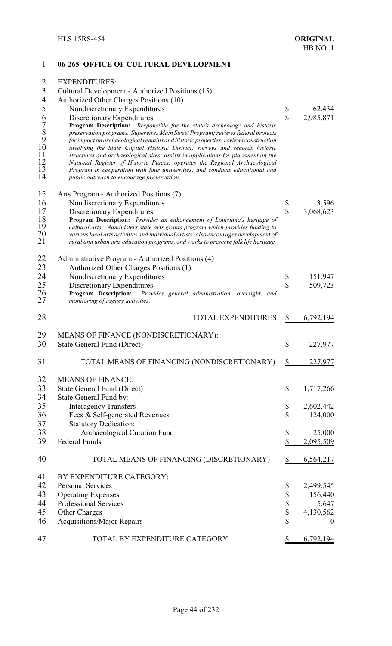| 1                                                     | 06-265 OFFICE OF CULTURAL DEVELOPMENT                                                                                                                           |               |                  |
|-------------------------------------------------------|-----------------------------------------------------------------------------------------------------------------------------------------------------------------|---------------|------------------|
| $\overline{2}$                                        | <b>EXPENDITURES:</b>                                                                                                                                            |               |                  |
| $\overline{3}$                                        | Cultural Development - Authorized Positions (15)                                                                                                                |               |                  |
| $\overline{4}$                                        | Authorized Other Charges Positions (10)                                                                                                                         |               |                  |
| 5                                                     | Nondiscretionary Expenditures                                                                                                                                   | \$            | 62,434           |
|                                                       | Discretionary Expenditures                                                                                                                                      | $\mathbf S$   | 2,985,871        |
|                                                       | Program Description: Responsible for the state's archeology and historic                                                                                        |               |                  |
| $\begin{array}{c} 6 \\ 7 \\ 8 \\ 9 \\ 10 \end{array}$ | preservation programs. Supervises Main Street Program; reviews federal projects                                                                                 |               |                  |
|                                                       | for impact on archaeological remains and historic properties; reviews construction                                                                              |               |                  |
| 11                                                    | involving the State Capitol Historic District; surveys and records historic                                                                                     |               |                  |
| 12                                                    | structures and archaeological sites; assists in applications for placement on the<br>National Register of Historic Places; operates the Regional Archaeological |               |                  |
| 13                                                    | Program in cooperation with four universities; and conducts educational and                                                                                     |               |                  |
| 14                                                    | public outreach to encourage preservation.                                                                                                                      |               |                  |
| 15                                                    | Arts Program - Authorized Positions (7)                                                                                                                         |               |                  |
| 16                                                    | Nondiscretionary Expenditures                                                                                                                                   | \$            | 13,596           |
| 17                                                    | Discretionary Expenditures                                                                                                                                      | \$            | 3,068,623        |
| 18                                                    | Program Description: Provides an enhancement of Louisiana's heritage of                                                                                         |               |                  |
| 19                                                    | cultural arts. Administers state arts grants program which provides funding to                                                                                  |               |                  |
| 20                                                    | various local arts activities and individual artists; also encourages development of                                                                            |               |                  |
| 21                                                    | rural and urban arts education programs, and works to preserve folk life heritage.                                                                              |               |                  |
| 22                                                    | Administrative Program - Authorized Positions (4)                                                                                                               |               |                  |
| 23                                                    | Authorized Other Charges Positions (1)                                                                                                                          |               |                  |
| 24                                                    | Nondiscretionary Expenditures                                                                                                                                   | \$            | 151,947          |
| 25                                                    | Discretionary Expenditures                                                                                                                                      | \$            | 509,723          |
| 26                                                    | Program Description:<br>Provides general administration, oversight, and                                                                                         |               |                  |
| 27                                                    | monitoring of agency activities.                                                                                                                                |               |                  |
| 28                                                    | <b>TOTAL EXPENDITURES</b>                                                                                                                                       | \$            | 6,792,194        |
| 29                                                    | MEANS OF FINANCE (NONDISCRETIONARY):                                                                                                                            |               |                  |
| 30                                                    | <b>State General Fund (Direct)</b>                                                                                                                              | \$            | 227,977          |
| 31                                                    | TOTAL MEANS OF FINANCING (NONDISCRETIONARY)                                                                                                                     | \$            | 227,977          |
| 32                                                    | <b>MEANS OF FINANCE:</b>                                                                                                                                        |               |                  |
| 33                                                    | State General Fund (Direct)                                                                                                                                     | $\mathcal{S}$ | 1,717,266        |
| 34                                                    | State General Fund by:                                                                                                                                          |               |                  |
| 35                                                    | <b>Interagency Transfers</b>                                                                                                                                    | \$            | 2,602,442        |
| 36                                                    | Fees & Self-generated Revenues                                                                                                                                  | $\mathcal{S}$ | 124,000          |
| 37                                                    | <b>Statutory Dedication:</b>                                                                                                                                    |               |                  |
| 38                                                    | Archaeological Curation Fund                                                                                                                                    | \$            | 25,000           |
| 39                                                    | <b>Federal Funds</b>                                                                                                                                            | \$            | 2,095,509        |
| 40                                                    | TOTAL MEANS OF FINANCING (DISCRETIONARY)                                                                                                                        | \$            | 6,564,217        |
| 41                                                    | BY EXPENDITURE CATEGORY:                                                                                                                                        |               |                  |
| 42                                                    | <b>Personal Services</b>                                                                                                                                        | \$            | 2,499,545        |
| 43                                                    | <b>Operating Expenses</b>                                                                                                                                       | \$            | 156,440          |
| 44                                                    | Professional Services                                                                                                                                           | \$            | 5,647            |
| 45                                                    | Other Charges                                                                                                                                                   | $\mathbb S$   | 4,130,562        |
| 46                                                    | <b>Acquisitions/Major Repairs</b>                                                                                                                               | \$            | $\boldsymbol{0}$ |
| 47                                                    | TOTAL BY EXPENDITURE CATEGORY                                                                                                                                   |               | 6,792,194        |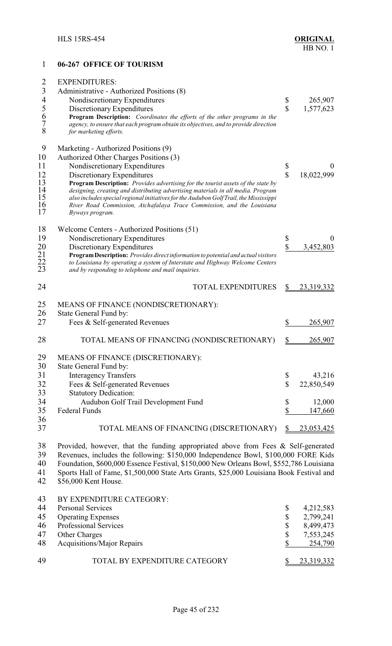| 1                        | 06-267 OFFICE OF TOURISM                                                                                                                                         |                           |                  |
|--------------------------|------------------------------------------------------------------------------------------------------------------------------------------------------------------|---------------------------|------------------|
| $\overline{2}$           | <b>EXPENDITURES:</b>                                                                                                                                             |                           |                  |
| $\overline{3}$           | Administrative - Authorized Positions (8)                                                                                                                        |                           |                  |
| $\overline{\mathcal{A}}$ | Nondiscretionary Expenditures                                                                                                                                    | \$                        | 265,907          |
| 5                        | Discretionary Expenditures                                                                                                                                       | $\mathbf{\hat{S}}$        | 1,577,623        |
| 6                        | Program Description: Coordinates the efforts of the other programs in the                                                                                        |                           |                  |
| $\overline{7}$           | agency, to ensure that each program obtain its objectives, and to provide direction                                                                              |                           |                  |
| 8                        | for marketing efforts.                                                                                                                                           |                           |                  |
| 9                        | Marketing - Authorized Positions (9)                                                                                                                             |                           |                  |
| 10                       | Authorized Other Charges Positions (3)                                                                                                                           |                           |                  |
| 11                       | Nondiscretionary Expenditures                                                                                                                                    | \$                        |                  |
| 12                       | Discretionary Expenditures                                                                                                                                       | $\overline{\mathbb{S}}$   | 18,022,999       |
| 13                       | <b>Program Description:</b> Provides advertising for the tourist assets of the state by                                                                          |                           |                  |
| 14                       | designing, creating and distributing advertising materials in all media. Program                                                                                 |                           |                  |
| 15<br>16                 | also includes special regional initiatives for the Audubon Golf Trail, the Mississippi<br>River Road Commission, Atchafalaya Trace Commission, and the Louisiana |                           |                  |
| 17                       | Byways program.                                                                                                                                                  |                           |                  |
| 18                       | Welcome Centers - Authorized Positions (51)                                                                                                                      |                           |                  |
| 19                       | Nondiscretionary Expenditures                                                                                                                                    |                           | $\boldsymbol{0}$ |
|                          |                                                                                                                                                                  | \$<br>\$                  |                  |
| 20                       | Discretionary Expenditures<br>Program Description: Provides direct information to potential and actual visitors                                                  |                           | 3,452,803        |
|                          | to Louisiana by operating a system of Interstate and Highway Welcome Centers                                                                                     |                           |                  |
| $\frac{21}{22}$<br>23    | and by responding to telephone and mail inquiries.                                                                                                               |                           |                  |
| 24                       | <b>TOTAL EXPENDITURES</b>                                                                                                                                        | \$                        | 23,319,332       |
| 25                       | MEANS OF FINANCE (NONDISCRETIONARY):                                                                                                                             |                           |                  |
| 26                       | State General Fund by:                                                                                                                                           |                           |                  |
| 27                       | Fees & Self-generated Revenues                                                                                                                                   | \$                        | 265,907          |
|                          |                                                                                                                                                                  |                           |                  |
| 28                       | TOTAL MEANS OF FINANCING (NONDISCRETIONARY)                                                                                                                      | $\frac{1}{2}$             | 265,907          |
| 29                       | MEANS OF FINANCE (DISCRETIONARY):                                                                                                                                |                           |                  |
| 30                       | State General Fund by:                                                                                                                                           |                           |                  |
| 31                       | <b>Interagency Transfers</b>                                                                                                                                     | \$                        | 43,216           |
| 32                       | Fees & Self-generated Revenues                                                                                                                                   | $\mathbb S$               | 22,850,549       |
| 33                       | <b>Statutory Dedication:</b>                                                                                                                                     |                           |                  |
| 34                       | Audubon Golf Trail Development Fund                                                                                                                              | \$                        | 12,000           |
| 35                       | <b>Federal Funds</b>                                                                                                                                             | $\boldsymbol{\mathsf{S}}$ | 147,660          |
| 36                       |                                                                                                                                                                  |                           |                  |
| 37                       | TOTAL MEANS OF FINANCING (DISCRETIONARY)                                                                                                                         | \$                        | 23,053,425       |
| 38                       | Provided, however, that the funding appropriated above from Fees & Self-generated                                                                                |                           |                  |
| 39                       | Revenues, includes the following: \$150,000 Independence Bowl, \$100,000 FORE Kids                                                                               |                           |                  |
| 40                       | Foundation, \$600,000 Essence Festival, \$150,000 New Orleans Bowl, \$552,786 Louisiana                                                                          |                           |                  |
| 41                       | Sports Hall of Fame, \$1,500,000 State Arts Grants, \$25,000 Louisiana Book Festival and                                                                         |                           |                  |
| 42                       | \$56,000 Kent House.                                                                                                                                             |                           |                  |
| 43                       | BY EXPENDITURE CATEGORY:                                                                                                                                         |                           |                  |
| 44                       | <b>Personal Services</b>                                                                                                                                         | \$                        | 4,212,583        |
| 45                       | <b>Operating Expenses</b>                                                                                                                                        | $\boldsymbol{\mathbb{S}}$ | 2,799,241        |
| 46                       | Professional Services                                                                                                                                            | \$                        | 8,499,473        |
| 47                       | Other Charges                                                                                                                                                    | \$                        | 7,553,245        |
| 48                       | <b>Acquisitions/Major Repairs</b>                                                                                                                                | \$                        | 254,790          |
|                          |                                                                                                                                                                  |                           |                  |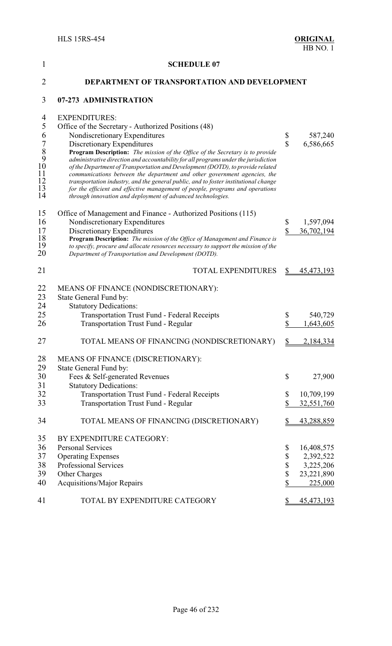| 1                                                               | <b>SCHEDULE 07</b>                                                                                                                                                                                                                                                                                                                                                                                                                                                                                                                                                                                                                                                                                                      |                                 |                                                                                    |
|-----------------------------------------------------------------|-------------------------------------------------------------------------------------------------------------------------------------------------------------------------------------------------------------------------------------------------------------------------------------------------------------------------------------------------------------------------------------------------------------------------------------------------------------------------------------------------------------------------------------------------------------------------------------------------------------------------------------------------------------------------------------------------------------------------|---------------------------------|------------------------------------------------------------------------------------|
| $\overline{2}$                                                  | DEPARTMENT OF TRANSPORTATION AND DEVELOPMENT                                                                                                                                                                                                                                                                                                                                                                                                                                                                                                                                                                                                                                                                            |                                 |                                                                                    |
| 3                                                               | 07-273 ADMINISTRATION                                                                                                                                                                                                                                                                                                                                                                                                                                                                                                                                                                                                                                                                                                   |                                 |                                                                                    |
| 4<br>5<br>6<br>$\frac{7}{8}$<br>9<br>10<br>11<br>12<br>13<br>14 | <b>EXPENDITURES:</b><br>Office of the Secretary - Authorized Positions (48)<br>Nondiscretionary Expenditures<br>Discretionary Expenditures<br>Program Description: The mission of the Office of the Secretary is to provide<br>administrative direction and accountability for all programs under the jurisdiction<br>of the Department of Transportation and Development (DOTD), to provide related<br>communications between the department and other government agencies, the<br>transportation industry, and the general public, and to foster institutional change<br>for the efficient and effective management of people, programs and operations<br>through innovation and deployment of advanced technologies. | \$<br>$\mathbf{\hat{S}}$        | 587,240<br>6,586,665                                                               |
| 15<br>16<br>17<br>18<br>19<br>20                                | Office of Management and Finance - Authorized Positions (115)<br>Nondiscretionary Expenditures<br>Discretionary Expenditures<br>Program Description: The mission of the Office of Management and Finance is<br>to specify, procure and allocate resources necessary to support the mission of the<br>Department of Transportation and Development (DOTD).                                                                                                                                                                                                                                                                                                                                                               | \$<br>\$                        | 1,597,094<br>36,702,194                                                            |
| 21                                                              | <b>TOTAL EXPENDITURES</b>                                                                                                                                                                                                                                                                                                                                                                                                                                                                                                                                                                                                                                                                                               | \$                              | 45, 473, 193                                                                       |
| 22<br>23<br>24<br>25<br>26                                      | MEANS OF FINANCE (NONDISCRETIONARY):<br>State General Fund by:<br><b>Statutory Dedications:</b><br><b>Transportation Trust Fund - Federal Receipts</b><br>Transportation Trust Fund - Regular                                                                                                                                                                                                                                                                                                                                                                                                                                                                                                                           | \$<br>\$                        | 540,729<br>1,643,605                                                               |
| 27                                                              | TOTAL MEANS OF FINANCING (NONDISCRETIONARY)                                                                                                                                                                                                                                                                                                                                                                                                                                                                                                                                                                                                                                                                             | $\frac{1}{2}$                   | 2,184,334                                                                          |
| 28<br>29<br>30<br>31<br>32<br>33                                | MEANS OF FINANCE (DISCRETIONARY):<br>State General Fund by:<br>Fees & Self-generated Revenues<br><b>Statutory Dedications:</b><br><b>Transportation Trust Fund - Federal Receipts</b><br>Transportation Trust Fund - Regular                                                                                                                                                                                                                                                                                                                                                                                                                                                                                            | \$<br>\$<br>\$                  | 27,900<br>10,709,199<br>32,551,760                                                 |
| 34                                                              | TOTAL MEANS OF FINANCING (DISCRETIONARY)                                                                                                                                                                                                                                                                                                                                                                                                                                                                                                                                                                                                                                                                                | $\mathbb{S}$                    | 43,288,859                                                                         |
| 35<br>36<br>37<br>38<br>39<br>40<br>41                          | BY EXPENDITURE CATEGORY:<br><b>Personal Services</b><br><b>Operating Expenses</b><br>Professional Services<br>Other Charges<br><b>Acquisitions/Major Repairs</b><br>TOTAL BY EXPENDITURE CATEGORY                                                                                                                                                                                                                                                                                                                                                                                                                                                                                                                       | \$<br>\$<br>\$<br>\$<br>\$<br>S | 16,408,575<br>2,392,522<br>3,225,206<br>23,221,890<br>225,000<br><u>45,473,193</u> |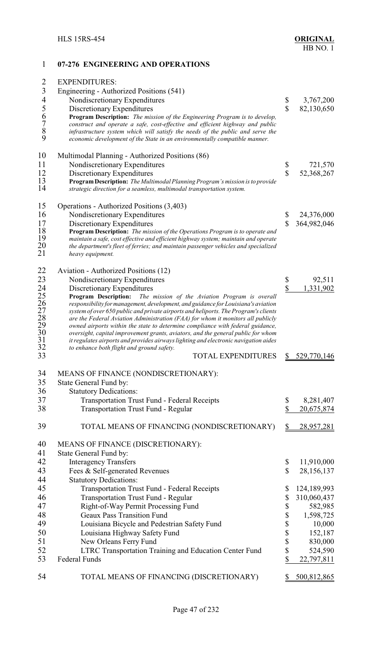#### **07-276 ENGINEERING AND OPERATIONS**

| $\overline{2}$  | <b>EXPENDITURES:</b>                                                                |                    |             |
|-----------------|-------------------------------------------------------------------------------------|--------------------|-------------|
| $\overline{3}$  | Engineering - Authorized Positions (541)                                            |                    |             |
| $\overline{4}$  | Nondiscretionary Expenditures                                                       | \$                 | 3,767,200   |
|                 | Discretionary Expenditures                                                          | $\mathbf{\hat{S}}$ | 82,130,650  |
| 56789           | Program Description: The mission of the Engineering Program is to develop,          |                    |             |
|                 | construct and operate a safe, cost-effective and efficient highway and public       |                    |             |
|                 | infrastructure system which will satisfy the needs of the public and serve the      |                    |             |
|                 | economic development of the State in an environmentally compatible manner.          |                    |             |
| 10              | Multimodal Planning - Authorized Positions (86)                                     |                    |             |
| 11              | Nondiscretionary Expenditures                                                       | \$                 | 721,570     |
| 12              | Discretionary Expenditures                                                          | \$                 | 52,368,267  |
| 13              | Program Description: The Multimodal Planning Program's mission is to provide        |                    |             |
| 14              | strategic direction for a seamless, multimodal transportation system.               |                    |             |
|                 |                                                                                     |                    |             |
| 15              | Operations - Authorized Positions (3,403)                                           |                    |             |
| 16              | Nondiscretionary Expenditures                                                       | \$                 | 24,376,000  |
| 17              | Discretionary Expenditures                                                          | $\mathbf{\hat{S}}$ | 364,982,046 |
| 18              | Program Description: The mission of the Operations Program is to operate and        |                    |             |
| 19              | maintain a safe, cost effective and efficient highway system; maintain and operate  |                    |             |
| 20              | the department's fleet of ferries; and maintain passenger vehicles and specialized  |                    |             |
| 21              | heavy equipment.                                                                    |                    |             |
| 22              | Aviation - Authorized Positions (12)                                                |                    |             |
| 23              | Nondiscretionary Expenditures                                                       | \$                 | 92,511      |
|                 | Discretionary Expenditures                                                          | \$                 | 1,331,902   |
| $\frac{24}{25}$ | Program Description:<br>The mission of the Aviation Program is overall              |                    |             |
| $\frac{26}{5}$  | responsibility for management, development, and guidance for Louisiana's aviation   |                    |             |
| $27\,$          | system of over 650 public and private airports and heliports. The Program's clients |                    |             |
| 28              | are the Federal Aviation Administration (FAA) for whom it monitors all publicly     |                    |             |
| 29              | owned airports within the state to determine compliance with federal guidance,      |                    |             |
| 30              | oversight, capital improvement grants, aviators, and the general public for whom    |                    |             |
| 31<br>32        | it regulates airports and provides airways lighting and electronic navigation aides |                    |             |
| 33              | to enhance both flight and ground safety.<br><b>TOTAL EXPENDITURES</b>              |                    | 529,770,146 |
|                 |                                                                                     |                    |             |
| 34              | MEANS OF FINANCE (NONDISCRETIONARY):                                                |                    |             |
| 35              | State General Fund by:                                                              |                    |             |
| 36              | <b>Statutory Dedications:</b>                                                       |                    |             |
| 37              | <b>Transportation Trust Fund - Federal Receipts</b>                                 | \$                 | 8,281,407   |
| 38              | <b>Transportation Trust Fund - Regular</b>                                          | \$                 | 20,675,874  |
|                 |                                                                                     |                    |             |
| 39              | TOTAL MEANS OF FINANCING (NONDISCRETIONARY)                                         | \$                 | 28,957,281  |
|                 |                                                                                     |                    |             |
| 40              | MEANS OF FINANCE (DISCRETIONARY):                                                   |                    |             |
| 41              | State General Fund by:                                                              |                    |             |
| 42              | <b>Interagency Transfers</b>                                                        | \$                 | 11,910,000  |
| 43              | Fees & Self-generated Revenues                                                      | $\mathbf S$        | 28,156,137  |
| 44              | <b>Statutory Dedications:</b>                                                       |                    |             |
| 45              | Transportation Trust Fund - Federal Receipts                                        | \$                 | 124,189,993 |
| 46              | <b>Transportation Trust Fund - Regular</b>                                          | \$                 | 310,060,437 |
| 47              | Right-of-Way Permit Processing Fund                                                 | \$                 | 582,985     |
| 48              | <b>Geaux Pass Transition Fund</b>                                                   | \$                 | 1,598,725   |
| 49              | Louisiana Bicycle and Pedestrian Safety Fund                                        | \$                 | 10,000      |
| 50              | Louisiana Highway Safety Fund                                                       | \$                 | 152,187     |
| 51              | New Orleans Ferry Fund                                                              | \$                 | 830,000     |
| 52              | LTRC Transportation Training and Education Center Fund                              | \$                 | 524,590     |
| 53              | Federal Funds                                                                       | \$                 | 22,797,811  |
|                 |                                                                                     |                    |             |
| 54              | TOTAL MEANS OF FINANCING (DISCRETIONARY)                                            | S.                 | 500,812,865 |
|                 |                                                                                     |                    |             |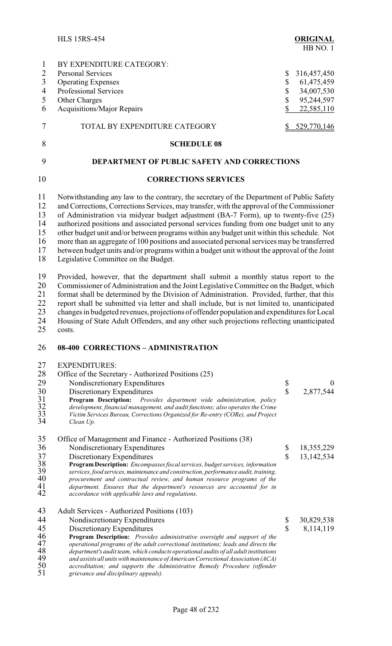HLS 15RS-454 **ORIGINAL** HB NO. 1 1 BY EXPENDITURE CATEGORY: 2 Personal Services \$ 316,457,450<br>3 Operating Expenses \$ 61.475.459 3 Operating Expenses \$ 61,475,459<br>4 Professional Services \$ 34.007.530 4 Professional Services \$ 34,007,530<br>5 Other Charges \$ 95.244.597 Other Charges  $\qquad$  95,244,597 6 Acquisitions/Major Repairs \$ 22,585,110 7 TOTAL BY EXPENDITURE CATEGORY \$529,770,146 8 **SCHEDULE 08** 9 **DEPARTMENT OF PUBLIC SAFETY AND CORRECTIONS** 10 **CORRECTIONS SERVICES** 11 Notwithstanding any law to the contrary, the secretary of the Department of Public Safety 12 and Corrections, Corrections Services, may transfer, with the approval of the Commissioner<br>13 of Administration via midyear budget adjustment (BA-7 Form), up to twenty-five (25) 13 of Administration via midyear budget adjustment (BA-7 Form), up to twenty-five (25) 14 authorized positions and associated personal services funding from one budget unit to any 15 other budget unit and/or between programs within any budget unit within this schedule. Not 16 more than an aggregate of 100 positions and associated personal services may be transferred<br>17 between budget units and/or programs within a budget unit without the approval of the Joint 17 between budget units and/or programs within a budget unit without the approval of the Joint 18 Legislative Committee on the Budget. Legislative Committee on the Budget. 19 Provided, however, that the department shall submit a monthly status report to the 20 Commissioner of Administration and the Joint Legislative Committee on the Budget, which 20 Commissioner of Administration and the Joint Legislative Committee on the Budget, which 21 format shall be determined by the Division of Administration. Provided, further, that this report shall be submitted via letter and shall include, but is not limited to, unanticipated 22 report shall be submitted via letter and shall include, but is not limited to, unanticipated 23 changes in budgeted revenues, projections of offender population and expenditures for Local 24 Housing of State Adult Offenders, and any other such projections reflecting unanticipated 25 costs. 26 **08-400 CORRECTIONS – ADMINISTRATION** 27 EXPENDITURES:<br>28 Office of the Secret 28 Office of the Secretary - Authorized Positions (25)<br>29 Nondiscretionary Expenditures 29 Nondiscretionary Expenditures \$ 0<br>30 Discretionary Expenditures \$ 2,877,544 30 Discretionary Expenditures<br>31 **Program Description:** *Provi* 31 **Program Description:** *Provides department wide administration, policy* 32 *development, financial management, and audit functions; also operates the Crime* 33 *Victim Services Bureau, Corrections Organized for Re-entry (CORe), and Project* Clean Up. 35 Office of Management and Finance - Authorized Positions (38) 36 Nondiscretionary Expenditures \$ 18,355,229<br>37 Discretionary Expenditures \$ 13,142,534 37 Discretionary Expenditures <br>38 **Program Description:** *Encompasses fiscal services, budget services, information* 38 **Program Description:** *Encompasses fiscal services, budget services, information* 39 *services, food services,maintenance and construction, performance audit, training,* 40 *procurement and contractual review, and human resource programs of the* 41 *department. Ensures that the department's resources are accounted for in* 42 *accordance with applicable laws and regulations.* 43 Adult Services - Authorized Positions (103)<br>44 Nondiscretionary Expenditures Nondiscretionary Expenditures  $\qquad$  \$ 30,829,538 45 Discretionary Expenditures<br>46 **Program Description:** *Provides administrative oversight and support of the*<br>46 46 **Program Description:** *Provides administrative oversight and support of the* 47 *operational programs of the adult correctional institutions; leads and directs the* 48 *department's audit team, which conducts operational audits of all adult institutions* 49 *and assists all units with maintenance of American Correctional Association (ACA)*<br>50 *accreditation; and supports the Administrative Remedy Procedure (offender*<br>51 *grievance and disciplinary appeals)*. 50 *accreditation; and supports the Administrative Remedy Procedure (offender*

51 *grievance and disciplinary appeals).*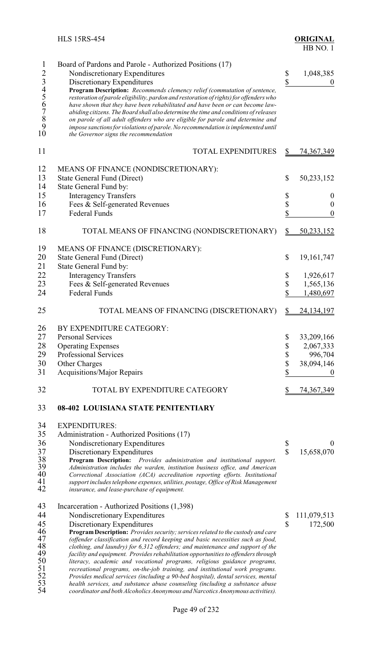|                          | <b>HLS 15RS-454</b>                                                                                                                                                                                                                                                                                                                                                            |                          | <b>ORIGINAL</b><br>HB NO.1    |
|--------------------------|--------------------------------------------------------------------------------------------------------------------------------------------------------------------------------------------------------------------------------------------------------------------------------------------------------------------------------------------------------------------------------|--------------------------|-------------------------------|
| $\mathbf{1}$<br>23456789 | Board of Pardons and Parole - Authorized Positions (17)<br>Nondiscretionary Expenditures<br>Discretionary Expenditures<br>Program Description: Recommends clemency relief (commutation of sentence,<br>restoration of parole eligibility, pardon and restoration of rights) for offenders who<br>have shown that they have been rehabilitated and have been or can become law- | \$<br>$\mathbf{\hat{S}}$ | 1,048,385<br>$\boldsymbol{0}$ |
| 10                       | abiding citizens. The Board shall also determine the time and conditions of releases<br>on parole of all adult offenders who are eligible for parole and determine and<br>impose sanctions for violations of parole. No recommendation is implemented until<br>the Governor signs the recommendation                                                                           |                          |                               |
| 11                       | <b>TOTAL EXPENDITURES</b>                                                                                                                                                                                                                                                                                                                                                      | $\frac{1}{2}$            | <u>74,367,349</u>             |
| 12                       | MEANS OF FINANCE (NONDISCRETIONARY):                                                                                                                                                                                                                                                                                                                                           |                          |                               |
| 13                       | <b>State General Fund (Direct)</b>                                                                                                                                                                                                                                                                                                                                             | \$                       | 50,233,152                    |
| 14                       | State General Fund by:                                                                                                                                                                                                                                                                                                                                                         |                          |                               |
| 15                       | <b>Interagency Transfers</b>                                                                                                                                                                                                                                                                                                                                                   | \$                       | $\bf{0}$                      |
| 16                       | Fees & Self-generated Revenues                                                                                                                                                                                                                                                                                                                                                 | \$                       | $\boldsymbol{0}$              |
| 17                       | <b>Federal Funds</b>                                                                                                                                                                                                                                                                                                                                                           | \$                       | $\boldsymbol{0}$              |
| 18                       | TOTAL MEANS OF FINANCING (NONDISCRETIONARY)                                                                                                                                                                                                                                                                                                                                    | \$                       | 50,233,152                    |
| 19                       | MEANS OF FINANCE (DISCRETIONARY):                                                                                                                                                                                                                                                                                                                                              |                          |                               |
| 20                       | <b>State General Fund (Direct)</b>                                                                                                                                                                                                                                                                                                                                             | \$                       | 19,161,747                    |
| 21                       | State General Fund by:                                                                                                                                                                                                                                                                                                                                                         |                          |                               |
| 22                       | <b>Interagency Transfers</b>                                                                                                                                                                                                                                                                                                                                                   | \$                       | 1,926,617                     |
| 23                       | Fees & Self-generated Revenues                                                                                                                                                                                                                                                                                                                                                 | \$                       | 1,565,136                     |
| 24                       | <b>Federal Funds</b>                                                                                                                                                                                                                                                                                                                                                           | \$                       | 1,480,697                     |
| 25                       | TOTAL MEANS OF FINANCING (DISCRETIONARY)                                                                                                                                                                                                                                                                                                                                       | \$                       | 24, 134, 197                  |
| 26                       | BY EXPENDITURE CATEGORY:                                                                                                                                                                                                                                                                                                                                                       |                          |                               |
| 27                       | <b>Personal Services</b>                                                                                                                                                                                                                                                                                                                                                       | \$                       | 33,209,166                    |
| 28                       | <b>Operating Expenses</b>                                                                                                                                                                                                                                                                                                                                                      | \$                       | 2,067,333                     |
| 29                       | Professional Services                                                                                                                                                                                                                                                                                                                                                          | \$                       | 996,704                       |
| 30                       | Other Charges                                                                                                                                                                                                                                                                                                                                                                  | \$                       | 38,094,146                    |
| 31                       | <b>Acquisitions/Major Repairs</b>                                                                                                                                                                                                                                                                                                                                              | \$                       |                               |
|                          |                                                                                                                                                                                                                                                                                                                                                                                |                          |                               |
| 32                       | TOTAL BY EXPENDITURE CATEGORY                                                                                                                                                                                                                                                                                                                                                  | \$                       | 74, 367, 349                  |
| 33                       | 08-402 LOUISIANA STATE PENITENTIARY                                                                                                                                                                                                                                                                                                                                            |                          |                               |
| 34                       | <b>EXPENDITURES:</b>                                                                                                                                                                                                                                                                                                                                                           |                          |                               |
| 35                       | Administration - Authorized Positions (17)                                                                                                                                                                                                                                                                                                                                     |                          |                               |
| 36                       | Nondiscretionary Expenditures                                                                                                                                                                                                                                                                                                                                                  | \$                       | $\theta$                      |
| 37                       | Discretionary Expenditures                                                                                                                                                                                                                                                                                                                                                     | $\overline{\mathbb{S}}$  | 15,658,070                    |
| 38                       | Program Description: Provides administration and institutional support.                                                                                                                                                                                                                                                                                                        |                          |                               |
| 39<br>40                 | Administration includes the warden, institution business office, and American<br>Correctional Association (ACA) accreditation reporting efforts. Institutional                                                                                                                                                                                                                 |                          |                               |
| 41                       | support includes telephone expenses, utilities, postage, Office of Risk Management                                                                                                                                                                                                                                                                                             |                          |                               |
| 42                       | insurance, and lease-purchase of equipment.                                                                                                                                                                                                                                                                                                                                    |                          |                               |
| 43                       | Incarceration - Authorized Positions (1,398)                                                                                                                                                                                                                                                                                                                                   |                          |                               |
| 44                       | Nondiscretionary Expenditures                                                                                                                                                                                                                                                                                                                                                  | \$                       | 111,079,513                   |
| 45                       | Discretionary Expenditures                                                                                                                                                                                                                                                                                                                                                     | $\mathbf S$              | 172,500                       |
| 46                       | Program Description: Provides security; services related to the custody and care                                                                                                                                                                                                                                                                                               |                          |                               |
| 47                       | (offender classification and record keeping and basic necessities such as food,                                                                                                                                                                                                                                                                                                |                          |                               |
| 48                       | clothing, and laundry) for 6,312 offenders; and maintenance and support of the                                                                                                                                                                                                                                                                                                 |                          |                               |
| 49                       | facility and equipment. Provides rehabilitation opportunities to offenders through                                                                                                                                                                                                                                                                                             |                          |                               |
| 50<br>51                 | literacy, academic and vocational programs, religious guidance programs,<br>recreational programs, on-the-job training, and institutional work programs.                                                                                                                                                                                                                       |                          |                               |
| 52                       | Provides medical services (including a 90-bed hospital), dental services, mental                                                                                                                                                                                                                                                                                               |                          |                               |
| 53                       | health services, and substance abuse counseling (including a substance abuse                                                                                                                                                                                                                                                                                                   |                          |                               |
| 54                       | coordinator and both Alcoholics Anonymous and Narcotics Anonymous activities).                                                                                                                                                                                                                                                                                                 |                          |                               |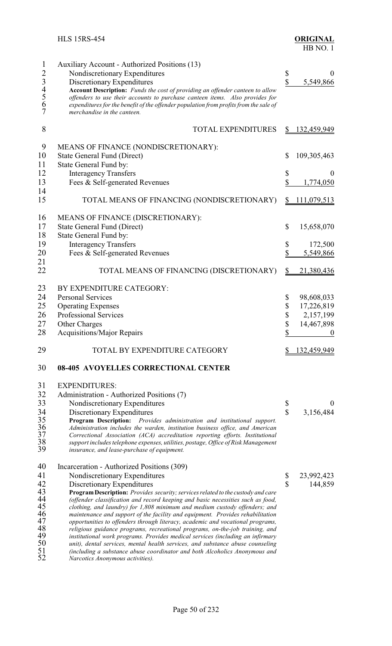| $\mathbf 1$    | Auxiliary Account - Authorized Positions (13)                                                                                                                    |                               |                  |
|----------------|------------------------------------------------------------------------------------------------------------------------------------------------------------------|-------------------------------|------------------|
| $\overline{c}$ | Nondiscretionary Expenditures                                                                                                                                    | \$                            | $\theta$         |
|                | Discretionary Expenditures                                                                                                                                       | \$                            | 5,549,866        |
| 34567          | Account Description: Funds the cost of providing an offender canteen to allow                                                                                    |                               |                  |
|                | offenders to use their accounts to purchase canteen items. Also provides for                                                                                     |                               |                  |
|                | expenditures for the benefit of the offender population from profits from the sale of                                                                            |                               |                  |
|                | merchandise in the canteen.                                                                                                                                      |                               |                  |
| 8              | <b>TOTAL EXPENDITURES</b>                                                                                                                                        |                               | 132,459,949      |
| 9              | MEANS OF FINANCE (NONDISCRETIONARY):                                                                                                                             |                               |                  |
| 10             | <b>State General Fund (Direct)</b>                                                                                                                               | \$                            | 109,305,463      |
| 11             | State General Fund by:                                                                                                                                           |                               |                  |
|                |                                                                                                                                                                  |                               |                  |
| 12             | <b>Interagency Transfers</b>                                                                                                                                     | \$                            | 0                |
| 13             | Fees & Self-generated Revenues                                                                                                                                   | \$                            | 1,774,050        |
| 14<br>15       | TOTAL MEANS OF FINANCING (NONDISCRETIONARY)                                                                                                                      |                               | 111,079,513      |
|                |                                                                                                                                                                  |                               |                  |
| 16             | MEANS OF FINANCE (DISCRETIONARY):                                                                                                                                |                               |                  |
| 17             | <b>State General Fund (Direct)</b>                                                                                                                               | $\mathbb{S}$                  | 15,658,070       |
| 18             | State General Fund by:                                                                                                                                           |                               |                  |
| 19             | <b>Interagency Transfers</b>                                                                                                                                     | \$                            | 172,500          |
| 20             | Fees & Self-generated Revenues                                                                                                                                   | $\mathbb{S}$                  | 5,549,866        |
| 21             |                                                                                                                                                                  |                               |                  |
| 22             | TOTAL MEANS OF FINANCING (DISCRETIONARY)                                                                                                                         |                               | 21,380,436       |
| 23             | BY EXPENDITURE CATEGORY:                                                                                                                                         |                               |                  |
| 24             | <b>Personal Services</b>                                                                                                                                         | \$                            | 98,608,033       |
| 25             | <b>Operating Expenses</b>                                                                                                                                        | \$                            | 17,226,819       |
| 26             | Professional Services                                                                                                                                            | \$                            | 2,157,199        |
| 27             | <b>Other Charges</b>                                                                                                                                             | \$                            | 14,467,898       |
| 28             | <b>Acquisitions/Major Repairs</b>                                                                                                                                | \$                            | $\boldsymbol{0}$ |
| 29             | TOTAL BY EXPENDITURE CATEGORY                                                                                                                                    |                               | 132,459,949      |
| 30             | 08-405 AVOYELLES CORRECTIONAL CENTER                                                                                                                             |                               |                  |
| 31             | <b>EXPENDITURES:</b>                                                                                                                                             |                               |                  |
| 32             | Administration - Authorized Positions (7)                                                                                                                        |                               |                  |
| 33             |                                                                                                                                                                  |                               | $\boldsymbol{0}$ |
| 34             | Nondiscretionary Expenditures                                                                                                                                    | \$<br>$\overline{\mathbf{s}}$ |                  |
| 35             | Discretionary Expenditures<br>Program Description:                                                                                                               |                               | 3,156,484        |
| 36             | Provides administration and institutional support.<br>Administration includes the warden, institution business office, and American                              |                               |                  |
| 37             | Correctional Association (ACA) accreditation reporting efforts. Institutional                                                                                    |                               |                  |
| 38             | support includes telephone expenses, utilities, postage, Office of Risk Management                                                                               |                               |                  |
| 39             | insurance, and lease-purchase of equipment.                                                                                                                      |                               |                  |
| 40             | Incarceration - Authorized Positions (309)                                                                                                                       |                               |                  |
| 41             | Nondiscretionary Expenditures                                                                                                                                    | \$                            | 23,992,423       |
| 42             | Discretionary Expenditures                                                                                                                                       | $\overline{\mathbb{S}}$       | 144,859          |
| 43             | Program Description: Provides security; services related to the custody and care                                                                                 |                               |                  |
| 44             | (offender classification and record keeping and basic necessities such as food,                                                                                  |                               |                  |
| 45             | clothing, and laundry) for 1,808 minimum and medium custody offenders; and                                                                                       |                               |                  |
| 46             | maintenance and support of the facility and equipment. Provides rehabilitation                                                                                   |                               |                  |
| 47             | opportunities to offenders through literacy, academic and vocational programs,                                                                                   |                               |                  |
| 48<br>49       | religious guidance programs, recreational programs, on-the-job training, and                                                                                     |                               |                  |
| 50             | institutional work programs. Provides medical services (including an infirmary<br>unit), dental services, mental health services, and substance abuse counseling |                               |                  |
| 51             | (including a substance abuse coordinator and both Alcoholics Anonymous and                                                                                       |                               |                  |
| 52             | Narcotics Anonymous activities).                                                                                                                                 |                               |                  |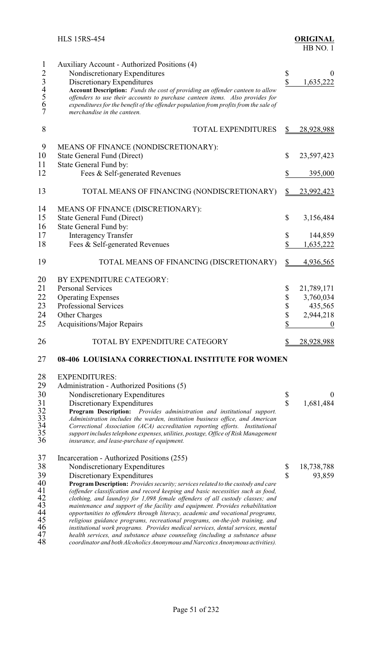| 1               | Auxiliary Account - Authorized Positions (4)                                                                                                                        |                         |                  |
|-----------------|---------------------------------------------------------------------------------------------------------------------------------------------------------------------|-------------------------|------------------|
| $\overline{c}$  | Nondiscretionary Expenditures                                                                                                                                       | \$                      | $_{0}$           |
| 34567           | Discretionary Expenditures                                                                                                                                          | $\mathbf{\hat{S}}$      | 1,635,222        |
|                 | Account Description: Funds the cost of providing an offender canteen to allow                                                                                       |                         |                  |
|                 | offenders to use their accounts to purchase canteen items. Also provides for                                                                                        |                         |                  |
|                 | expenditures for the benefit of the offender population from profits from the sale of                                                                               |                         |                  |
|                 | merchandise in the canteen.                                                                                                                                         |                         |                  |
| 8               | <b>TOTAL EXPENDITURES</b>                                                                                                                                           | \$                      | 28,928,988       |
| 9               | MEANS OF FINANCE (NONDISCRETIONARY):                                                                                                                                |                         |                  |
|                 |                                                                                                                                                                     |                         |                  |
| 10              | <b>State General Fund (Direct)</b>                                                                                                                                  | \$                      | 23,597,423       |
| 11              | State General Fund by:                                                                                                                                              |                         |                  |
| 12              | Fees & Self-generated Revenues                                                                                                                                      | \$                      | 395,000          |
| 13              | TOTAL MEANS OF FINANCING (NONDISCRETIONARY)                                                                                                                         | \$                      | 23,992,423       |
| 14              | MEANS OF FINANCE (DISCRETIONARY):                                                                                                                                   |                         |                  |
| 15              | <b>State General Fund (Direct)</b>                                                                                                                                  | \$                      | 3,156,484        |
|                 |                                                                                                                                                                     |                         |                  |
| 16              | State General Fund by:                                                                                                                                              |                         |                  |
| 17              | <b>Interagency Transfer</b>                                                                                                                                         | \$                      | 144,859          |
| 18              | Fees & Self-generated Revenues                                                                                                                                      | \$                      | 1,635,222        |
| 19              | TOTAL MEANS OF FINANCING (DISCRETIONARY)                                                                                                                            | \$                      | 4,936,565        |
| 20              | BY EXPENDITURE CATEGORY:                                                                                                                                            |                         |                  |
| 21              | <b>Personal Services</b>                                                                                                                                            | \$                      | 21,789,171       |
| 22              |                                                                                                                                                                     |                         |                  |
|                 | <b>Operating Expenses</b>                                                                                                                                           | \$                      | 3,760,034        |
| 23              | <b>Professional Services</b>                                                                                                                                        | \$                      | 435,565          |
| 24              | Other Charges                                                                                                                                                       | \$                      | 2,944,218        |
| 25              | <b>Acquisitions/Major Repairs</b>                                                                                                                                   | \$                      |                  |
| 26              | TOTAL BY EXPENDITURE CATEGORY                                                                                                                                       |                         | 28,928,988       |
| 27              | 08-406 LOUISIANA CORRECTIONAL INSTITUTE FOR WOMEN                                                                                                                   |                         |                  |
| 28              | <b>EXPENDITURES:</b>                                                                                                                                                |                         |                  |
| 29              | Administration - Authorized Positions (5)                                                                                                                           |                         |                  |
| 30              | Nondiscretionary Expenditures                                                                                                                                       | \$                      | $\boldsymbol{0}$ |
| 31              |                                                                                                                                                                     | $\overline{\mathbb{S}}$ |                  |
| 32              | Discretionary Expenditures<br>Program Description: Provides administration and institutional support.                                                               |                         | 1,681,484        |
|                 | Administration includes the warden, institution business office, and American                                                                                       |                         |                  |
| $\frac{33}{34}$ | Correctional Association (ACA) accreditation reporting efforts. Institutional                                                                                       |                         |                  |
| 35              | support includes telephone expenses, utilities, postage, Office of Risk Management                                                                                  |                         |                  |
| 36              | insurance, and lease-purchase of equipment.                                                                                                                         |                         |                  |
| 37              | Incarceration - Authorized Positions (255)                                                                                                                          |                         |                  |
| 38              | Nondiscretionary Expenditures                                                                                                                                       | \$                      | 18,738,788       |
| 39              | Discretionary Expenditures                                                                                                                                          | $\overline{\mathbb{S}}$ | 93,859           |
| 40              |                                                                                                                                                                     |                         |                  |
| 41              | Program Description: Provides security; services related to the custody and care<br>(offender classification and record keeping and basic necessities such as food, |                         |                  |
| 42              | clothing, and laundry) for 1,098 female offenders of all custody classes; and                                                                                       |                         |                  |
| 43              | maintenance and support of the facility and equipment. Provides rehabilitation                                                                                      |                         |                  |
| 44              | opportunities to offenders through literacy, academic and vocational programs,                                                                                      |                         |                  |
| 45              | religious guidance programs, recreational programs, on-the-job training, and                                                                                        |                         |                  |
| 46              | institutional work programs. Provides medical services, dental services, mental                                                                                     |                         |                  |
| 47              | health services, and substance abuse counseling (including a substance abuse                                                                                        |                         |                  |
| 48              | coordinator and both Alcoholics Anonymous and Narcotics Anonymous activities).                                                                                      |                         |                  |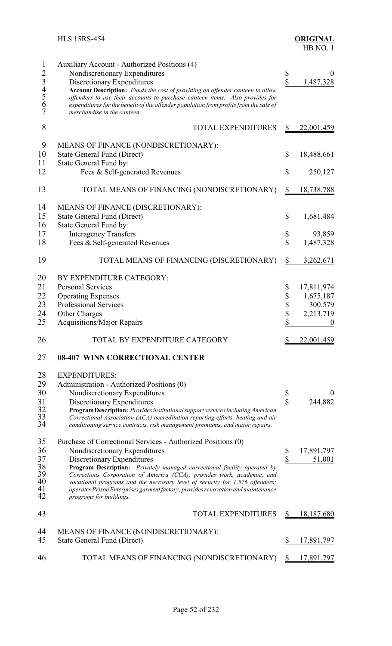| 1              | Auxiliary Account - Authorized Positions (4)                                                                |             |                   |
|----------------|-------------------------------------------------------------------------------------------------------------|-------------|-------------------|
| $\overline{2}$ | Nondiscretionary Expenditures                                                                               | \$          | 0                 |
|                | Discretionary Expenditures                                                                                  | \$          | 1,487,328         |
|                | Account Description: Funds the cost of providing an offender canteen to allow                               |             |                   |
|                | offenders to use their accounts to purchase canteen items. Also provides for                                |             |                   |
| 34567          | expenditures for the benefit of the offender population from profits from the sale of                       |             |                   |
|                | merchandise in the canteen.                                                                                 |             |                   |
| 8              | <b>TOTAL EXPENDITURES</b>                                                                                   | \$          | 22,001,459        |
|                |                                                                                                             |             |                   |
| 9              | MEANS OF FINANCE (NONDISCRETIONARY):                                                                        |             |                   |
| 10             | State General Fund (Direct)                                                                                 | \$          | 18,488,661        |
| 11             | State General Fund by:                                                                                      |             |                   |
| 12             | Fees & Self-generated Revenues                                                                              | \$          | 250,127           |
| 13             | TOTAL MEANS OF FINANCING (NONDISCRETIONARY)                                                                 | \$          | <u>18,738,788</u> |
| 14             | MEANS OF FINANCE (DISCRETIONARY):                                                                           |             |                   |
| 15             | <b>State General Fund (Direct)</b>                                                                          | \$          | 1,681,484         |
| 16             | State General Fund by:                                                                                      |             |                   |
| 17             | <b>Interagency Transfers</b>                                                                                | \$          | 93,859            |
| 18             | Fees & Self-generated Revenues                                                                              | \$          | 1,487,328         |
|                |                                                                                                             |             |                   |
| 19             | TOTAL MEANS OF FINANCING (DISCRETIONARY)                                                                    |             | 3,262,671         |
| 20             | BY EXPENDITURE CATEGORY:                                                                                    |             |                   |
| 21             | <b>Personal Services</b>                                                                                    | \$          | 17,811,974        |
| 22             | <b>Operating Expenses</b>                                                                                   | \$          | 1,675,187         |
| 23             | <b>Professional Services</b>                                                                                | \$          | 300,579           |
| 24             |                                                                                                             | \$          | 2,213,719         |
| 25             | Other Charges                                                                                               | \$          |                   |
|                | <b>Acquisitions/Major Repairs</b>                                                                           |             |                   |
| 26             | TOTAL BY EXPENDITURE CATEGORY                                                                               |             | 22,001,459        |
| 27             | 08-407 WINN CORRECTIONAL CENTER                                                                             |             |                   |
| 28             | <b>EXPENDITURES:</b>                                                                                        |             |                   |
| 29             | Administration - Authorized Positions (0)                                                                   |             |                   |
| 30             | Nondiscretionary Expenditures                                                                               | \$          |                   |
| 31             | Discretionary Expenditures                                                                                  | $\mathbf S$ | 244,882           |
| 32             | Program Description: Provides institutional support services including American                             |             |                   |
| 33             | Correctional Association (ACA) accreditation reporting efforts, heating and air                             |             |                   |
| 34             | conditioning service contracts, risk management premiums, and major repairs.                                |             |                   |
| 35             | Purchase of Correctional Services - Authorized Positions (0)                                                |             |                   |
| 36             | Nondiscretionary Expenditures                                                                               | \$          | 17,891,797        |
| 37             | Discretionary Expenditures                                                                                  | \$          | 51,001            |
| 38             | Program Description: Privately managed correctional facility operated by                                    |             |                   |
| 39             | Corrections Corporation of America (CCA); provides work, academic, and                                      |             |                   |
| 40             | vocational programs and the necessary level of security for 1,576 offenders;                                |             |                   |
| 41<br>42       | operates Prison Enterprises garment factory; provides renovation and maintenance<br>programs for buildings. |             |                   |
| 43             | <b>TOTAL EXPENDITURES</b>                                                                                   |             | 18,187,680        |
|                |                                                                                                             |             |                   |
| 44             | MEANS OF FINANCE (NONDISCRETIONARY):                                                                        |             |                   |
| 45             | State General Fund (Direct)                                                                                 | \$          | 17,891,797        |
| 46             | TOTAL MEANS OF FINANCING (NONDISCRETIONARY)                                                                 | \$          | 17,891,797        |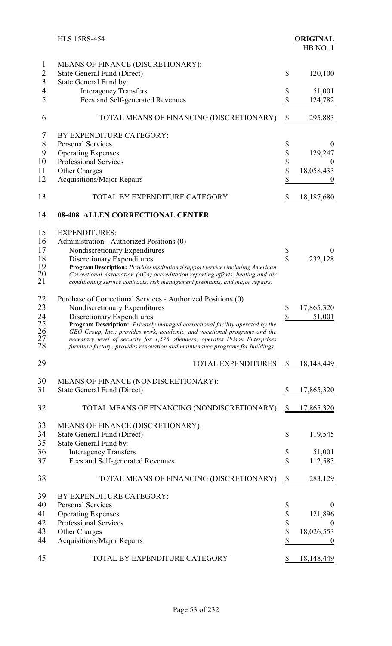|                      | <b>HLS 15RS-454</b>                                                                                                                                             |                                    | <b>ORIGINAL</b><br>HB NO.1 |
|----------------------|-----------------------------------------------------------------------------------------------------------------------------------------------------------------|------------------------------------|----------------------------|
| $\mathbf{1}$         | MEANS OF FINANCE (DISCRETIONARY):                                                                                                                               |                                    |                            |
| $\overline{2}$       | <b>State General Fund (Direct)</b>                                                                                                                              | $\mathcal{S}$                      | 120,100                    |
| 3                    | State General Fund by:                                                                                                                                          |                                    |                            |
| $\overline{4}$       | <b>Interagency Transfers</b>                                                                                                                                    | \$                                 | 51,001                     |
| 5                    | Fees and Self-generated Revenues                                                                                                                                | \$                                 | 124,782                    |
| 6                    | TOTAL MEANS OF FINANCING (DISCRETIONARY)                                                                                                                        | $\mathbf{\underline{\mathcal{S}}}$ | 295,883                    |
| 7                    | BY EXPENDITURE CATEGORY:                                                                                                                                        |                                    |                            |
| $8\,$                | <b>Personal Services</b>                                                                                                                                        | \$                                 | $\theta$                   |
| 9                    | <b>Operating Expenses</b>                                                                                                                                       | \$                                 | 129,247                    |
| 10                   | Professional Services                                                                                                                                           | \$                                 | $\bf{0}$                   |
| 11                   | <b>Other Charges</b>                                                                                                                                            | \$                                 | 18,058,433                 |
| 12                   | <b>Acquisitions/Major Repairs</b>                                                                                                                               | \$                                 |                            |
| 13                   | TOTAL BY EXPENDITURE CATEGORY                                                                                                                                   | \$                                 | 18,187,680                 |
| 14                   | 08-408 ALLEN CORRECTIONAL CENTER                                                                                                                                |                                    |                            |
| 15                   | <b>EXPENDITURES:</b>                                                                                                                                            |                                    |                            |
| 16                   | Administration - Authorized Positions (0)                                                                                                                       |                                    |                            |
| 17                   | Nondiscretionary Expenditures                                                                                                                                   | \$                                 | $\theta$                   |
| 18                   | Discretionary Expenditures                                                                                                                                      | $\hat{\mathbf{S}}$                 | 232,128                    |
| 19                   | Program Description: Provides institutional support services including American                                                                                 |                                    |                            |
| 20<br>21             | Correctional Association (ACA) accreditation reporting efforts, heating and air<br>conditioning service contracts, risk management premiums, and major repairs. |                                    |                            |
| 22                   | Purchase of Correctional Services - Authorized Positions (0)                                                                                                    |                                    |                            |
| 23                   | Nondiscretionary Expenditures                                                                                                                                   | \$                                 | 17,865,320                 |
| 24                   | Discretionary Expenditures                                                                                                                                      | $\mathbf{\hat{S}}$                 | 51,001                     |
| 25                   | Program Description: Privately managed correctional facility operated by the                                                                                    |                                    |                            |
| $\frac{26}{1}$<br>27 | GEO Group, Inc.; provides work, academic, and vocational programs and the                                                                                       |                                    |                            |
| 28                   | necessary level of security for 1,576 offenders; operates Prison Enterprises<br>furniture factory; provides renovation and maintenance programs for buildings.  |                                    |                            |
| 29                   | <b>TOTAL EXPENDITURES</b>                                                                                                                                       | S                                  | 18,148,449                 |
| 30                   | MEANS OF FINANCE (NONDISCRETIONARY):                                                                                                                            |                                    |                            |
| 31                   | State General Fund (Direct)                                                                                                                                     | \$                                 | 17,865,320                 |
| 32                   | TOTAL MEANS OF FINANCING (NONDISCRETIONARY)                                                                                                                     | $\frac{1}{2}$                      | <u>17,865,320</u>          |
| 33                   | MEANS OF FINANCE (DISCRETIONARY):                                                                                                                               |                                    |                            |
| 34                   | <b>State General Fund (Direct)</b>                                                                                                                              | \$                                 | 119,545                    |
| 35                   | State General Fund by:                                                                                                                                          |                                    |                            |
| 36                   | <b>Interagency Transfers</b>                                                                                                                                    | \$                                 | 51,001                     |
| 37                   | Fees and Self-generated Revenues                                                                                                                                | \$                                 | 112,583                    |
| 38                   | TOTAL MEANS OF FINANCING (DISCRETIONARY)                                                                                                                        | \$                                 | 283,129                    |
| 39                   | BY EXPENDITURE CATEGORY:                                                                                                                                        |                                    |                            |
| 40                   | <b>Personal Services</b>                                                                                                                                        | \$                                 | $\theta$                   |
| 41                   | <b>Operating Expenses</b>                                                                                                                                       | \$                                 | 121,896                    |
| 42                   | Professional Services                                                                                                                                           | \$                                 | $\theta$                   |
| 43                   | Other Charges                                                                                                                                                   | \$                                 | 18,026,553                 |
| 44                   | <b>Acquisitions/Major Repairs</b>                                                                                                                               | \$                                 | $\boldsymbol{0}$           |
| 45                   | TOTAL BY EXPENDITURE CATEGORY                                                                                                                                   |                                    | 18,148,449                 |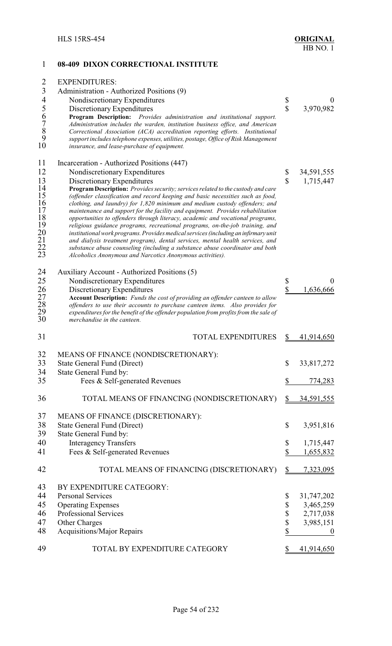| 1                                  | 08-409 DIXON CORRECTIONAL INSTITUTE                                                                                                                            |                         |                   |
|------------------------------------|----------------------------------------------------------------------------------------------------------------------------------------------------------------|-------------------------|-------------------|
| $\overline{2}$                     | <b>EXPENDITURES:</b>                                                                                                                                           |                         |                   |
| $\overline{3}$                     | Administration - Authorized Positions (9)                                                                                                                      |                         |                   |
| $\overline{4}$                     | Nondiscretionary Expenditures                                                                                                                                  | \$                      | 0                 |
| 5                                  | Discretionary Expenditures                                                                                                                                     | $\overline{\mathbb{S}}$ | 3,970,982         |
|                                    | Program Description: Provides administration and institutional support.                                                                                        |                         |                   |
|                                    | Administration includes the warden, institution business office, and American                                                                                  |                         |                   |
| 6789                               | Correctional Association (ACA) accreditation reporting efforts. Institutional                                                                                  |                         |                   |
|                                    | support includes telephone expenses, utilities, postage, Office of Risk Management                                                                             |                         |                   |
| 10                                 | insurance, and lease-purchase of equipment.                                                                                                                    |                         |                   |
| 11                                 | Incarceration - Authorized Positions (447)                                                                                                                     |                         |                   |
| 12                                 | Nondiscretionary Expenditures                                                                                                                                  | \$                      | 34,591,555        |
| 13                                 | Discretionary Expenditures                                                                                                                                     | $\mathbf{\hat{S}}$      | 1,715,447         |
| 14                                 | Program Description: Provides security; services related to the custody and care                                                                               |                         |                   |
| 15                                 | (offender classification and record keeping and basic necessities such as food,                                                                                |                         |                   |
| 16                                 | clothing, and laundry) for 1,820 minimum and medium custody offenders; and                                                                                     |                         |                   |
| 17<br>18                           | maintenance and support for the facility and equipment. Provides rehabilitation                                                                                |                         |                   |
| 19                                 | opportunities to offenders through literacy, academic and vocational programs,<br>religious guidance programs, recreational programs, on-the-job training, and |                         |                   |
|                                    | institutional work programs. Provides medical services (including an infirmary unit                                                                            |                         |                   |
|                                    | and dialysis treatment program), dental services, mental health services, and                                                                                  |                         |                   |
| $\frac{20}{21}$<br>$\frac{22}{23}$ | substance abuse counseling (including a substance abuse coordinator and both                                                                                   |                         |                   |
|                                    | Alcoholics Anonymous and Narcotics Anonymous activities).                                                                                                      |                         |                   |
| 24                                 | Auxiliary Account - Authorized Positions (5)                                                                                                                   |                         |                   |
| 25                                 | Nondiscretionary Expenditures                                                                                                                                  | \$                      | $\theta$          |
| 26                                 | Discretionary Expenditures                                                                                                                                     | \$                      | 1,636,666         |
| 27                                 | Account Description: Funds the cost of providing an offender canteen to allow                                                                                  |                         |                   |
| 28                                 | offenders to use their accounts to purchase canteen items. Also provides for                                                                                   |                         |                   |
| 29                                 | expenditures for the benefit of the offender population from profits from the sale of                                                                          |                         |                   |
| 30                                 | merchandise in the canteen.                                                                                                                                    |                         |                   |
| 31                                 | <b>TOTAL EXPENDITURES</b>                                                                                                                                      | \$                      | 41,914,650        |
| 32                                 | MEANS OF FINANCE (NONDISCRETIONARY):                                                                                                                           |                         |                   |
| 33                                 | State General Fund (Direct)                                                                                                                                    | \$                      | 33,817,272        |
| 34                                 | State General Fund by:                                                                                                                                         |                         |                   |
| 35                                 | Fees & Self-generated Revenues                                                                                                                                 | \$                      | 774,283           |
| 36                                 | TOTAL MEANS OF FINANCING (NONDISCRETIONARY)                                                                                                                    | \$                      | 34,591,555        |
|                                    |                                                                                                                                                                |                         |                   |
| 37                                 | MEANS OF FINANCE (DISCRETIONARY):                                                                                                                              |                         |                   |
| 38                                 | <b>State General Fund (Direct)</b>                                                                                                                             | \$                      | 3,951,816         |
| 39                                 | State General Fund by:                                                                                                                                         |                         |                   |
| 40                                 | <b>Interagency Transfers</b>                                                                                                                                   | \$                      | 1,715,447         |
| 41                                 | Fees & Self-generated Revenues                                                                                                                                 | \$                      | 1,655,832         |
|                                    |                                                                                                                                                                |                         |                   |
| 42                                 | TOTAL MEANS OF FINANCING (DISCRETIONARY)                                                                                                                       | \$                      | 7,323,095         |
| 43                                 | BY EXPENDITURE CATEGORY:                                                                                                                                       |                         |                   |
| 44                                 | <b>Personal Services</b>                                                                                                                                       | \$                      | 31,747,202        |
| 45                                 | <b>Operating Expenses</b>                                                                                                                                      | \$                      | 3,465,259         |
| 46                                 | <b>Professional Services</b>                                                                                                                                   | \$                      | 2,717,038         |
| 47                                 | Other Charges                                                                                                                                                  | \$                      | 3,985,151         |
| 48                                 | <b>Acquisitions/Major Repairs</b>                                                                                                                              | \$                      | 0                 |
| 49                                 | TOTAL BY EXPENDITURE CATEGORY                                                                                                                                  |                         | <u>41,914,650</u> |
|                                    |                                                                                                                                                                |                         |                   |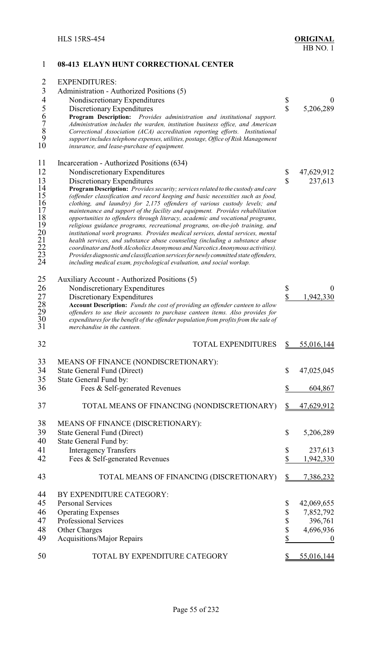### 1 **08-413 ELAYN HUNT CORRECTIONAL CENTER** 2 EXPENDITURES: 3 Administration - Authorized Positions (5)<br>4 Nondiscretionary Expenditures 4 Nondiscretionary Expenditures \$ 0<br>5 Discretionary Expenditures \$ 5,206,289 5 Discretionary Expenditures \$ 5,206,289<br>6 **Program Description:** *Provides administration and institutional support.*<br>7 *Administration includes the warden, institution business office, and American*<br>8 *Correctional Assoc* 6 **Program Description:** *Provides administration and institutional support.* 7 *Administration includes the warden, institution business office, and American* 8 *Correctional Association (ACA) accreditation reporting efforts. Institutional* 9 *support includes telephone expenses, utilities, postage, Office of Risk Management* insurance, and lease-purchase of equipment. 11 Incarceration - Authorized Positions (634)<br>12 Nondiscretionary Expenditures 12 Nondiscretionary Expenditures \$ 47,629,912<br>13 Discretionary Expenditures \$ 47,629,912 13 Discretionary Expenditures <br>14 **Program Description:** *Provides security; services related to the custody and care* **14 Program Description:** *Provides security; services related to the custody and care*<br>15 *(offender classification and record keeping and basic necessities such as food,* 15 *(offender classification and record keeping and basic necessities such as food, clothing, and laundry) for 2,175 offenders of various custody levels; and 17 maintenance and support of the facility and equipment. Provid* 16 *clothing, and laundry) for 2,175 offenders of various custody levels; and* 17 maintenance and support of the facility and equipment. Provides rehabilitation<br>
18 opportunities to offenders through literacy, academic and vocational programs,<br>
19 religious guidance programs, recreational programs, o 18 *opportunities to offenders through literacy, academic and vocational programs,* 19 *religious guidance programs, recreational programs, on-the-job training, and* 20 *institutional work programs. Provides medical services, dental services, mental* 21 *health services, and substance abuse counseling (including a substance abuse* 22 *coordinator and bothAlcoholics Anonymous andNarcotics Anonymous activities).*  23 *Provides diagnostic and classification servicesfor newly committed state offenders,* 24 *including medical exam, psychological evaluation, and social workup.* 25 Auxiliary Account - Authorized Positions (5)<br>26 Nondiscretionary Expenditures 26 Nondiscretionary Expenditures \$ 0<br>27 Discretionary Expenditures \$ 1,942,330 27 Discretionary Expenditures<br>28 Account Description: *Funds the cost of providing an offender canteen to allow* 28 **Account Description:** *Funds the cost of providing an offender canteen to allow* 29 *offenders to use their accounts to purchase canteen items. Also provides for* expenditures for the benefit of the offender population from profits from the sale of merchandise in the canteen. 32 TOTAL EXPENDITURES \$5,016,144 33 MEANS OF FINANCE (NONDISCRETIONARY):<br>34 State General Fund (Direct) State General Fund (Direct)  $$ 47,025,045$ 35 State General Fund by: 36 Fees & Self-generated Revenues \$ 604,867 37 TOTAL MEANS OF FINANCING (NONDISCRETIONARY) \$47,629,912 38 MEANS OF FINANCE (DISCRETIONARY): 39 State General Fund (Direct) \$ 5,206,289 40 State General Fund by: 41 Interagency Transfers \$ 237,613<br>42 Fees & Self-generated Revenues \$ 1942,330 Fees & Self-generated Revenues  $\qquad \qquad$  \$ 1,942,330 43 TOTAL MEANS OF FINANCING (DISCRETIONARY) \$ 7,386,232 44 BY EXPENDITURE CATEGORY:<br>45 Personal Services Personal Services  $\qquad$  42,069,655 46 Operating Expenses \$ 7,852,792 47 Professional Services \$ 396,761 48 Other Charges \$ 4,696,936 49 Acquisitions/Major Repairs  $\qquad \qquad$  8 0 50 TOTAL BY EXPENDITURE CATEGORY \$55,016,144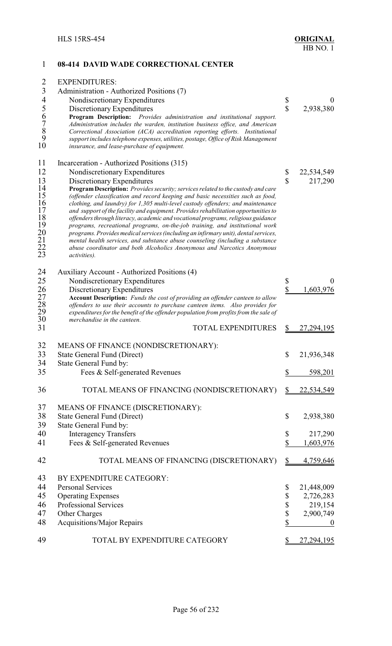| 1                                                         | 08-414 DAVID WADE CORRECTIONAL CENTER                                                                                                                                 |                         |                  |
|-----------------------------------------------------------|-----------------------------------------------------------------------------------------------------------------------------------------------------------------------|-------------------------|------------------|
| 2                                                         | <b>EXPENDITURES:</b>                                                                                                                                                  |                         |                  |
| $\overline{3}$                                            | Administration - Authorized Positions (7)                                                                                                                             |                         |                  |
| $\overline{4}$                                            | Nondiscretionary Expenditures                                                                                                                                         | \$                      | $\boldsymbol{0}$ |
| 5                                                         | Discretionary Expenditures                                                                                                                                            | $\overline{\mathbb{S}}$ | 2,938,380        |
| 6                                                         | Program Description: Provides administration and institutional support.                                                                                               |                         |                  |
| $\frac{7}{8}$                                             | Administration includes the warden, institution business office, and American                                                                                         |                         |                  |
|                                                           | Correctional Association (ACA) accreditation reporting efforts. Institutional                                                                                         |                         |                  |
| 9<br>10                                                   | support includes telephone expenses, utilities, postage, Office of Risk Management<br>insurance, and lease-purchase of equipment.                                     |                         |                  |
| 11                                                        | Incarceration - Authorized Positions (315)                                                                                                                            |                         |                  |
| 12                                                        | Nondiscretionary Expenditures                                                                                                                                         | \$                      | 22,534,549       |
| 13                                                        | Discretionary Expenditures                                                                                                                                            | $\overline{\mathbb{S}}$ | 217,290          |
| 14                                                        | Program Description: Provides security; services related to the custody and care                                                                                      |                         |                  |
| 15                                                        | (offender classification and record keeping and basic necessities such as food,                                                                                       |                         |                  |
| 16                                                        | clothing, and laundry) for 1,305 multi-level custody offenders; and maintenance                                                                                       |                         |                  |
| 17                                                        | and support of the facility and equipment. Provides rehabilitation opportunities to                                                                                   |                         |                  |
| 18                                                        | offenders through literacy, academic and vocational programs, religious guidance                                                                                      |                         |                  |
| 19                                                        | programs, recreational programs, on-the-job training, and institutional work<br>programs. Provides medical services (including an infirmary unit), dental services,   |                         |                  |
|                                                           | mental health services, and substance abuse counseling (including a substance                                                                                         |                         |                  |
| $\begin{smallmatrix} 20 \ 21 \ 22 \ 23 \end{smallmatrix}$ | abuse coordinator and both Alcoholics Anonymous and Narcotics Anonymous                                                                                               |                         |                  |
|                                                           | activities).                                                                                                                                                          |                         |                  |
| 24                                                        | Auxiliary Account - Authorized Positions (4)                                                                                                                          |                         |                  |
| 25                                                        | Nondiscretionary Expenditures                                                                                                                                         | \$                      | $\boldsymbol{0}$ |
|                                                           | Discretionary Expenditures                                                                                                                                            | $\overline{\mathbb{S}}$ | 1,603,976        |
|                                                           | Account Description: Funds the cost of providing an offender canteen to allow                                                                                         |                         |                  |
|                                                           | offenders to use their accounts to purchase canteen items. Also provides for<br>expenditures for the benefit of the offender population from profits from the sale of |                         |                  |
| 26<br>27<br>28<br>29<br>30                                | merchandise in the canteen.                                                                                                                                           |                         |                  |
| 31                                                        | <b>TOTAL EXPENDITURES</b>                                                                                                                                             | \$                      | 27,294,195       |
| 32                                                        | MEANS OF FINANCE (NONDISCRETIONARY):                                                                                                                                  |                         |                  |
| 33                                                        | State General Fund (Direct)                                                                                                                                           | \$                      | 21,936,348       |
| 34                                                        | State General Fund by:                                                                                                                                                |                         |                  |
| 35                                                        | Fees & Self-generated Revenues                                                                                                                                        | \$                      | 598,201          |
| 36                                                        | TOTAL MEANS OF FINANCING (NONDISCRETIONARY)                                                                                                                           | S                       | 22,534,549       |
| 37                                                        | MEANS OF FINANCE (DISCRETIONARY):                                                                                                                                     |                         |                  |
| 38                                                        | State General Fund (Direct)                                                                                                                                           | \$                      | 2,938,380        |
| 39                                                        | State General Fund by:                                                                                                                                                |                         |                  |
| 40                                                        | <b>Interagency Transfers</b>                                                                                                                                          | \$                      | 217,290          |
| 41                                                        | Fees & Self-generated Revenues                                                                                                                                        | \$                      | 1,603,976        |
| 42                                                        | TOTAL MEANS OF FINANCING (DISCRETIONARY)                                                                                                                              | \$                      | 4,759,646        |
| 43                                                        | BY EXPENDITURE CATEGORY:                                                                                                                                              |                         |                  |
| 44                                                        | <b>Personal Services</b>                                                                                                                                              | \$                      | 21,448,009       |
| 45                                                        | <b>Operating Expenses</b>                                                                                                                                             | \$                      | 2,726,283        |
| 46                                                        | Professional Services                                                                                                                                                 | \$                      | 219,154          |
| 47                                                        | <b>Other Charges</b>                                                                                                                                                  | \$                      | 2,900,749        |
| 48                                                        | <b>Acquisitions/Major Repairs</b>                                                                                                                                     | \$                      | $\boldsymbol{0}$ |
|                                                           |                                                                                                                                                                       |                         |                  |

49 TOTAL BY EXPENDITURE CATEGORY \$27,294,195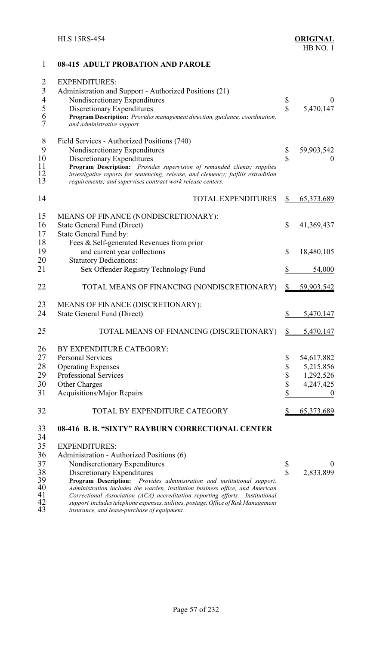## 1 **08-415 ADULT PROBATION AND PAROLE** 2 EXPENDITURES: 3 Administration and Support - Authorized Positions (21)<br>4 Nondiscretionary Expenditures 4 Nondiscretionary Expenditures \$ 0<br>5 Discretionary Expenditures \$ 5,470,147 5 Discretionary Expenditures <br>6 **Program Description:** *Provides management direction, guidance, coordination,*<br>7 *and administrative support.* 6 **Program Description:** *Provides management direction, guidance, coordination,*  $and$  *administrative support.* 8 Field Services - Authorized Positions (740)<br>9 Nondiscretionary Expenditures 9 Nondiscretionary Expenditures \$ 59,903,542<br>10 Discretionary Expenditures \$ 59,903,542 10 Discretionary Expenditures<br>11 **Program Description:** Provides supervision of remanded clients; supplies **\$** 0 11 **Program Description:** *Provides supervision of remanded clients; supplies* 12 *investigative reports for sentencing, release, and clemency; fulfills extradition* 13 *requirements; and supervises contract work release centers.* 14 TOTAL EXPENDITURES \$ 65,373,689 15 MEANS OF FINANCE (NONDISCRETIONARY): 16 State General Fund (Direct) \$ 41,369,437 17 State General Fund by: 18 Fees & Self-generated Revenues from prior 19 and current year collections \$ 18,480,105 20 Statutory Dedications: 21 Sex Offender Registry Technology Fund  $\qquad \qquad$  \$ 54,000 22 TOTAL MEANS OF FINANCING (NONDISCRETIONARY) \$59,903,542 23 MEANS OF FINANCE (DISCRETIONARY): 24 State General Fund (Direct) \$ 5,470,147 25 TOTAL MEANS OF FINANCING (DISCRETIONARY) \$ 5,470,147 26 BY EXPENDITURE CATEGORY: 27 Personal Services \$ 54,617,882<br>28 Operating Expenses \$ 5.215,856 28 Operating Expenses \$ 5,215,856<br>29 Professional Services \$ 1,292,526 29 Professional Services  $\begin{array}{cccc} 30 & \text{Other Charges} \end{array}$   $\begin{array}{cccc} 1,292,526 \\ 1,292,526 \end{array}$ 30 Other Charges<br>31 Acquisitions/M Acquisitions/Major Repairs  $\frac{1}{2}$  0 32 TOTAL BY EXPENDITURE CATEGORY \$ 65,373,689 33 **08-416 B. B. "SIXTY" RAYBURN CORRECTIONAL CENTER** 34 35 EXPENDITURES: 36 Administration - Authorized Positions (6)<br>37 Nondiscretionary Expenditures 37 Nondiscretionary Expenditures \$ 0<br>38 Discretionary Expenditures \$ 2,833,899 38 Discretionary Expenditures<br>39 **Program Description:** *Provides administration and institutional support.* **S** 2,833,899 39 **Program Description:** *Provides administration and institutional support.*  40 *Administration includes the warden, institution business office, and American* 41 *Correctional Association (ACA) accreditation reporting efforts. Institutional* 42 *support includes telephone expenses, utilities, postage, Office of Risk Management* 43 *insurance, and lease-purchase of equipment.*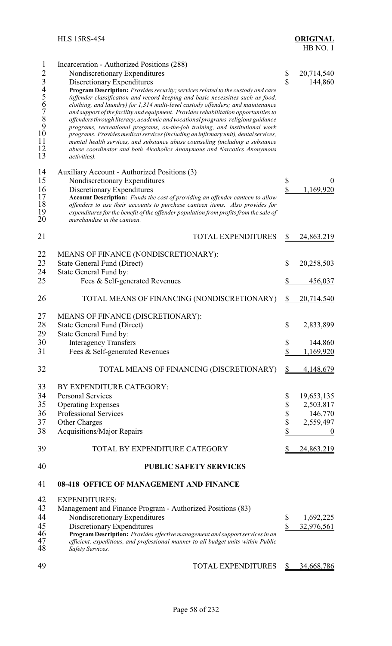| $\mathbf{1}$   | Incarceration - Authorized Positions (288)                                                                  |                         |            |
|----------------|-------------------------------------------------------------------------------------------------------------|-------------------------|------------|
| $\overline{2}$ | Nondiscretionary Expenditures                                                                               | \$                      | 20,714,540 |
| 3456789        | Discretionary Expenditures                                                                                  | $\mathbf S$             | 144,860    |
|                | Program Description: Provides security; services related to the custody and care                            |                         |            |
|                | (offender classification and record keeping and basic necessities such as food,                             |                         |            |
|                | clothing, and laundry) for 1,314 multi-level custody offenders; and maintenance                             |                         |            |
|                | and support of the facility and equipment. Provides rehabilitation opportunities to                         |                         |            |
|                | offenders through literacy, academic and vocational programs, religious guidance                            |                         |            |
|                | programs, recreational programs, on-the-job training, and institutional work                                |                         |            |
| 10             | programs. Provides medical services (including an infirmary unit), dental services,                         |                         |            |
| 11<br>12       | mental health services, and substance abuse counseling (including a substance                               |                         |            |
| 13             | abuse coordinator and both Alcoholics Anonymous and Narcotics Anonymous<br><i>activities</i> ).             |                         |            |
|                |                                                                                                             |                         |            |
| 14             | Auxiliary Account - Authorized Positions (3)                                                                |                         |            |
| 15             | Nondiscretionary Expenditures                                                                               | \$                      | $\theta$   |
| 16             |                                                                                                             | $\overline{\mathbb{S}}$ | 1,169,920  |
| 17             | Discretionary Expenditures<br>Account Description: Funds the cost of providing an offender canteen to allow |                         |            |
| 18             | offenders to use their accounts to purchase canteen items. Also provides for                                |                         |            |
| 19             | expenditures for the benefit of the offender population from profits from the sale of                       |                         |            |
| 20             | merchandise in the canteen.                                                                                 |                         |            |
|                |                                                                                                             |                         |            |
| 21             | <b>TOTAL EXPENDITURES</b>                                                                                   | \$                      | 24,863,219 |
|                |                                                                                                             |                         |            |
| 22             | MEANS OF FINANCE (NONDISCRETIONARY):                                                                        |                         |            |
| 23             | <b>State General Fund (Direct)</b>                                                                          | \$                      | 20,258,503 |
| 24             | State General Fund by:                                                                                      |                         |            |
| 25             | Fees & Self-generated Revenues                                                                              | \$                      | 456,037    |
|                |                                                                                                             |                         |            |
| 26             | TOTAL MEANS OF FINANCING (NONDISCRETIONARY)                                                                 | <u>\$</u>               | 20,714,540 |
| 27             | MEANS OF FINANCE (DISCRETIONARY):                                                                           |                         |            |
|                |                                                                                                             |                         |            |
| 28             | <b>State General Fund (Direct)</b>                                                                          | \$                      | 2,833,899  |
| 29             | State General Fund by:                                                                                      |                         |            |
| 30             | <b>Interagency Transfers</b>                                                                                | \$                      | 144,860    |
| 31             | Fees & Self-generated Revenues                                                                              | \$                      | 1,169,920  |
| 32             | TOTAL MEANS OF FINANCING (DISCRETIONARY)                                                                    | \$                      | 4,148,679  |
|                |                                                                                                             |                         |            |
| 33             | BY EXPENDITURE CATEGORY:                                                                                    |                         |            |
| 34             | <b>Personal Services</b>                                                                                    | \$                      | 19,653,135 |
| 35             | <b>Operating Expenses</b>                                                                                   | \$                      | 2,503,817  |
| 36             | Professional Services                                                                                       | \$                      | 146,770    |
| 37             | Other Charges                                                                                               | \$                      | 2,559,497  |
| 38             | <b>Acquisitions/Major Repairs</b>                                                                           | \$                      | U          |
| 39             | TOTAL BY EXPENDITURE CATEGORY                                                                               |                         | 24,863,219 |
|                |                                                                                                             |                         |            |
| 40             | <b>PUBLIC SAFETY SERVICES</b>                                                                               |                         |            |
| 41             | 08-418 OFFICE OF MANAGEMENT AND FINANCE                                                                     |                         |            |
| 42             | <b>EXPENDITURES:</b>                                                                                        |                         |            |
| 43             | Management and Finance Program - Authorized Positions (83)                                                  |                         |            |
| 44             | Nondiscretionary Expenditures                                                                               | \$                      | 1,692,225  |
| 45             | Discretionary Expenditures                                                                                  | \$                      | 32,976,561 |
| 46             | Program Description: Provides effective management and support services in an                               |                         |            |
| 47             | efficient, expeditious, and professional manner to all budget units within Public                           |                         |            |
| 48             | Safety Services.                                                                                            |                         |            |
|                |                                                                                                             |                         |            |
| 49             | TOTAL EXPENDITURES                                                                                          | S                       | 34,668,786 |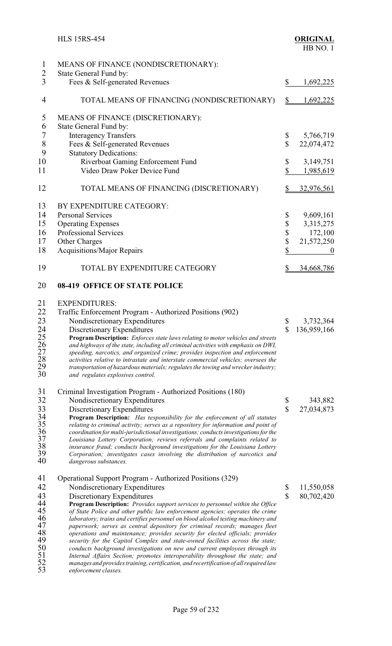|                                  | <b>HLS 15RS-454</b>                                                                                                                                          |                         | <b>ORIGINAL</b><br>HB NO.1 |
|----------------------------------|--------------------------------------------------------------------------------------------------------------------------------------------------------------|-------------------------|----------------------------|
| $\mathbf{1}$                     | MEANS OF FINANCE (NONDISCRETIONARY):                                                                                                                         |                         |                            |
| $\overline{2}$                   | State General Fund by:                                                                                                                                       |                         |                            |
| 3                                | Fees & Self-generated Revenues                                                                                                                               | \$                      | 1,692,225                  |
| 4                                | TOTAL MEANS OF FINANCING (NONDISCRETIONARY)                                                                                                                  | $\mathbb{S}$            | <u>1,692,225</u>           |
| 5                                | MEANS OF FINANCE (DISCRETIONARY):                                                                                                                            |                         |                            |
| 6                                | State General Fund by:                                                                                                                                       |                         |                            |
| $\sqrt{ }$                       | <b>Interagency Transfers</b>                                                                                                                                 | \$                      | 5,766,719                  |
| $8\,$                            | Fees & Self-generated Revenues                                                                                                                               | $\overline{\mathbb{S}}$ | 22,074,472                 |
| 9                                | <b>Statutory Dedications:</b>                                                                                                                                |                         |                            |
| 10                               | Riverboat Gaming Enforcement Fund                                                                                                                            | \$                      | 3,149,751                  |
| 11                               | Video Draw Poker Device Fund                                                                                                                                 | \$                      | 1,985,619                  |
| 12                               | TOTAL MEANS OF FINANCING (DISCRETIONARY)                                                                                                                     | S                       | 32,976,561                 |
| 13                               | BY EXPENDITURE CATEGORY:                                                                                                                                     |                         |                            |
| 14                               | <b>Personal Services</b>                                                                                                                                     | \$                      | 9,609,161                  |
| 15                               | <b>Operating Expenses</b>                                                                                                                                    | \$                      | 3,315,275                  |
| 16                               | <b>Professional Services</b>                                                                                                                                 |                         | 172,100                    |
| 17                               | Other Charges                                                                                                                                                | \$<br>\$                | 21,572,250                 |
|                                  |                                                                                                                                                              | \$                      |                            |
| 18                               | <b>Acquisitions/Major Repairs</b>                                                                                                                            |                         | $\boldsymbol{0}$           |
| 19                               | TOTAL BY EXPENDITURE CATEGORY                                                                                                                                | \$                      | 34,668,786                 |
| 20                               | <b>08-419 OFFICE OF STATE POLICE</b>                                                                                                                         |                         |                            |
| 21                               | <b>EXPENDITURES:</b>                                                                                                                                         |                         |                            |
| 22                               | Traffic Enforcement Program - Authorized Positions (902)                                                                                                     |                         |                            |
| 23                               | Nondiscretionary Expenditures                                                                                                                                | \$                      | 3,732,364                  |
| 24                               | Discretionary Expenditures                                                                                                                                   | \$                      | 136,959,166                |
|                                  | Program Description: Enforces state laws relating to motor vehicles and streets                                                                              |                         |                            |
|                                  | and highways of the state, including all criminal activities with emphasis on DWI,                                                                           |                         |                            |
|                                  | speeding, narcotics, and organized crime; provides inspection and enforcement                                                                                |                         |                            |
|                                  | activities relative to intrastate and interstate commercial vehicles; oversees the                                                                           |                         |                            |
| 25<br>26<br>27<br>28<br>29<br>30 | transportation of hazardous materials; regulates the towing and wrecker industry;<br>and regulates explosives control.                                       |                         |                            |
| 31                               | Criminal Investigation Program - Authorized Positions (180)                                                                                                  |                         |                            |
| 32                               | Nondiscretionary Expenditures                                                                                                                                | \$                      | 343,882                    |
| 33                               | Discretionary Expenditures                                                                                                                                   | \$                      | 27,034,873                 |
|                                  | <b>Program Description:</b> Has responsibility for the enforcement of all statutes                                                                           |                         |                            |
|                                  | relating to criminal activity; serves as a repository for information and point of                                                                           |                         |                            |
| 34<br>35<br>36<br>37<br>38<br>39 | coordination for multi-jurisdictional investigations; conducts investigations for the                                                                        |                         |                            |
|                                  | Louisiana Lottery Corporation; reviews referrals and complaints related to                                                                                   |                         |                            |
|                                  | insurance fraud; conducts background investigations for the Louisiana Lottery                                                                                |                         |                            |
| 40                               | Corporation; investigates cases involving the distribution of narcotics and<br>dangerous substances.                                                         |                         |                            |
| 41                               | Operational Support Program - Authorized Positions (329)                                                                                                     |                         |                            |
| 42                               | Nondiscretionary Expenditures                                                                                                                                | \$                      | 11,550,058                 |
| 43                               | Discretionary Expenditures                                                                                                                                   | \$                      | 80,702,420                 |
|                                  | Program Description: Provides support services to personnel within the Office                                                                                |                         |                            |
| 44<br>45                         | of State Police and other public law enforcement agencies; operates the crime                                                                                |                         |                            |
| 46<br>47                         | laboratory; trains and certifies personnel on blood alcohol testing machinery and                                                                            |                         |                            |
|                                  | paperwork; serves as central depository for criminal records; manages fleet                                                                                  |                         |                            |
| 48                               | operations and maintenance; provides security for elected officials; provides                                                                                |                         |                            |
| 49<br>50                         | security for the Capitol Complex and state-owned facilities across the state;                                                                                |                         |                            |
| 51                               | conducts background investigations on new and current employees through its<br>Internal Affairs Section; promotes interoperability throughout the state; and |                         |                            |

 *manages and provides training, certification, and recertification of all required law enforcement classes.*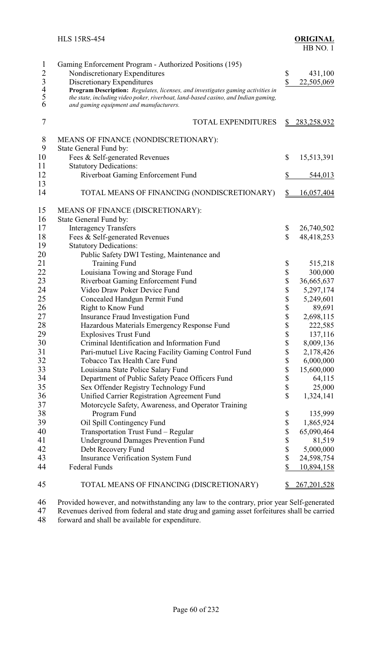|                                                           | <b>HLS 15RS-454</b>                                                                                                                                                                                                                                                                                                                        |               | <b>ORIGINAL</b><br>HB NO.1 |
|-----------------------------------------------------------|--------------------------------------------------------------------------------------------------------------------------------------------------------------------------------------------------------------------------------------------------------------------------------------------------------------------------------------------|---------------|----------------------------|
| $\mathbf{1}$<br>$2\overline{3}$<br>$4\overline{5}$<br>$6$ | Gaming Enforcement Program - Authorized Positions (195)<br>Nondiscretionary Expenditures<br>Discretionary Expenditures<br>Program Description: Regulates, licenses, and investigates gaming activities in<br>the state, including video poker, riverboat, land-based casino, and Indian gaming,<br>and gaming equipment and manufacturers. | \$<br>\$      | 431,100<br>22,505,069      |
| 7                                                         | <b>TOTAL EXPENDITURES</b>                                                                                                                                                                                                                                                                                                                  | S             | <u>283,258,932</u>         |
| 8                                                         | MEANS OF FINANCE (NONDISCRETIONARY):                                                                                                                                                                                                                                                                                                       |               |                            |
| 9                                                         | State General Fund by:                                                                                                                                                                                                                                                                                                                     |               |                            |
| 10                                                        | Fees & Self-generated Revenues                                                                                                                                                                                                                                                                                                             | \$            | 15,513,391                 |
| 11                                                        | <b>Statutory Dedications:</b>                                                                                                                                                                                                                                                                                                              |               |                            |
| 12                                                        | Riverboat Gaming Enforcement Fund                                                                                                                                                                                                                                                                                                          | \$            | 544,013                    |
| 13                                                        |                                                                                                                                                                                                                                                                                                                                            |               |                            |
| 14                                                        | TOTAL MEANS OF FINANCING (NONDISCRETIONARY)                                                                                                                                                                                                                                                                                                | $\frac{1}{2}$ | 16,057,404                 |
| 15                                                        | MEANS OF FINANCE (DISCRETIONARY):                                                                                                                                                                                                                                                                                                          |               |                            |
| 16                                                        | State General Fund by:                                                                                                                                                                                                                                                                                                                     |               |                            |
| 17                                                        | <b>Interagency Transfers</b>                                                                                                                                                                                                                                                                                                               | \$            | 26,740,502                 |
| 18                                                        | Fees & Self-generated Revenues                                                                                                                                                                                                                                                                                                             | $\mathbb{S}$  | 48,418,253                 |
| 19                                                        | <b>Statutory Dedications:</b>                                                                                                                                                                                                                                                                                                              |               |                            |
| 20                                                        | Public Safety DWI Testing, Maintenance and                                                                                                                                                                                                                                                                                                 |               |                            |
| 21                                                        | <b>Training Fund</b>                                                                                                                                                                                                                                                                                                                       | \$            | 515,218                    |
| 22                                                        | Louisiana Towing and Storage Fund                                                                                                                                                                                                                                                                                                          | \$            | 300,000                    |
| 23                                                        | Riverboat Gaming Enforcement Fund                                                                                                                                                                                                                                                                                                          | \$            | 36,665,637                 |
| 24                                                        | Video Draw Poker Device Fund                                                                                                                                                                                                                                                                                                               | \$            | 5,297,174                  |
| 25                                                        | Concealed Handgun Permit Fund                                                                                                                                                                                                                                                                                                              | \$            | 5,249,601                  |
| 26                                                        | <b>Right to Know Fund</b>                                                                                                                                                                                                                                                                                                                  | \$            | 89,691                     |
| 27                                                        | <b>Insurance Fraud Investigation Fund</b>                                                                                                                                                                                                                                                                                                  | Φ             | 2,698,115                  |
| 28                                                        | Hazardous Materials Emergency Response Fund                                                                                                                                                                                                                                                                                                | \$            | 222,585                    |
| 29                                                        | <b>Explosives Trust Fund</b>                                                                                                                                                                                                                                                                                                               | \$            | 137,116                    |
| 30                                                        | Criminal Identification and Information Fund                                                                                                                                                                                                                                                                                               | \$            | 8,009,136                  |
| 31                                                        | Pari-mutuel Live Racing Facility Gaming Control Fund                                                                                                                                                                                                                                                                                       | \$            | 2,178,426                  |
| 32                                                        | Tobacco Tax Health Care Fund                                                                                                                                                                                                                                                                                                               | \$            | 6,000,000                  |
| 33                                                        | Louisiana State Police Salary Fund                                                                                                                                                                                                                                                                                                         | \$            | 15,600,000                 |
| 34                                                        | Department of Public Safety Peace Officers Fund                                                                                                                                                                                                                                                                                            | \$            | 64,115                     |
| 35                                                        | Sex Offender Registry Technology Fund                                                                                                                                                                                                                                                                                                      | \$            | 25,000                     |
| 36                                                        | Unified Carrier Registration Agreement Fund                                                                                                                                                                                                                                                                                                | \$            | 1,324,141                  |
| 37                                                        | Motorcycle Safety, Awareness, and Operator Training                                                                                                                                                                                                                                                                                        |               |                            |

| ں ر | $\text{SCA}$ Offender Registry Technology Fund      | ۰υ | 2.000         |
|-----|-----------------------------------------------------|----|---------------|
| 36  | Unified Carrier Registration Agreement Fund         |    | 1,324,141     |
| 37  | Motorcycle Safety, Awareness, and Operator Training |    |               |
| 38  | Program Fund                                        |    | 135,999       |
| 39  | Oil Spill Contingency Fund                          |    | 1,865,924     |
| 40  | Transportation Trust Fund - Regular                 |    | 65,090,464    |
| 41  | <b>Underground Damages Prevention Fund</b>          |    | 81,519        |
| 42  | Debt Recovery Fund                                  |    | 5,000,000     |
| 43  | <b>Insurance Verification System Fund</b>           |    | 24,598,754    |
| 44  | Federal Funds                                       |    | 10,894,158    |
| 45  | TOTAL MEANS OF FINANCING (DISCRETIONARY)            |    | 267, 201, 528 |

<sup>46</sup> Provided however, and notwithstanding any law to the contrary, prior year Self-generated Revenues derived from federal and state drug and gaming asset forfeitures shall be carried 47 Revenues derived from federal and state drug and gaming asset forfeitures shall be carried 48 forward and shall be available for expenditure.

forward and shall be available for expenditure.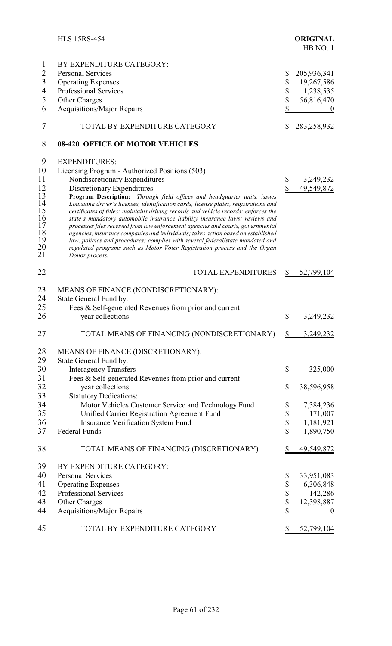|                          | <b>HLS 15RS-454</b>                                                                                                                                             |                    | <b>ORIGINAL</b><br>HB NO.1 |
|--------------------------|-----------------------------------------------------------------------------------------------------------------------------------------------------------------|--------------------|----------------------------|
| $\mathbf{1}$             | BY EXPENDITURE CATEGORY:                                                                                                                                        |                    |                            |
| $\overline{2}$           | <b>Personal Services</b>                                                                                                                                        | \$                 | 205,936,341                |
| 3                        | <b>Operating Expenses</b>                                                                                                                                       | \$                 | 19,267,586                 |
| $\overline{\mathcal{A}}$ | <b>Professional Services</b>                                                                                                                                    | \$                 | 1,238,535                  |
| 5                        | <b>Other Charges</b>                                                                                                                                            | \$                 | 56,816,470                 |
| 6                        | <b>Acquisitions/Major Repairs</b>                                                                                                                               | \$                 | $\bf{0}$                   |
| 7                        | TOTAL BY EXPENDITURE CATEGORY                                                                                                                                   | $\frac{1}{2}$      | <u>283,258,932</u>         |
| 8                        | <b>08-420 OFFICE OF MOTOR VEHICLES</b>                                                                                                                          |                    |                            |
| 9                        | <b>EXPENDITURES:</b>                                                                                                                                            |                    |                            |
| 10                       | Licensing Program - Authorized Positions (503)                                                                                                                  |                    |                            |
| 11                       | Nondiscretionary Expenditures                                                                                                                                   | \$                 | 3,249,232                  |
| 12                       | Discretionary Expenditures                                                                                                                                      | $\mathbf{\hat{S}}$ | 49,549,872                 |
| 13                       | Program Description: Through field offices and headquarter units, issues                                                                                        |                    |                            |
| $\frac{14}{1}$           | Louisiana driver's licenses, identification cards, license plates, registrations and                                                                            |                    |                            |
| 15                       | certificates of titles; maintains driving records and vehicle records; enforces the                                                                             |                    |                            |
| 16<br>17                 | state's mandatory automobile insurance liability insurance laws; reviews and<br>processes files received from law enforcement agencies and courts, governmental |                    |                            |
| 18                       | agencies, insurance companies and individuals; takes action based on established                                                                                |                    |                            |
| $\frac{19}{20}$          | law, policies and procedures; complies with several federal/state mandated and                                                                                  |                    |                            |
|                          | regulated programs such as Motor Voter Registration process and the Organ                                                                                       |                    |                            |
| 21                       | Donor process.                                                                                                                                                  |                    |                            |
| 22                       | <b>TOTAL EXPENDITURES</b>                                                                                                                                       | \$                 | 52,799,104                 |
| 23                       | MEANS OF FINANCE (NONDISCRETIONARY):                                                                                                                            |                    |                            |
| 24                       | State General Fund by:                                                                                                                                          |                    |                            |
| 25                       | Fees & Self-generated Revenues from prior and current                                                                                                           |                    |                            |
| 26                       | year collections                                                                                                                                                | $\frac{1}{2}$      | 3,249,232                  |
|                          |                                                                                                                                                                 |                    |                            |
| 27                       | TOTAL MEANS OF FINANCING (NONDISCRETIONARY)                                                                                                                     | $\frac{1}{2}$      | 3,249,232                  |
| 28                       | MEANS OF FINANCE (DISCRETIONARY):                                                                                                                               |                    |                            |
| 29                       | State General Fund by:                                                                                                                                          |                    |                            |
| 30                       | <b>Interagency Transfers</b>                                                                                                                                    | \$                 | 325,000                    |
| 31                       | Fees & Self-generated Revenues from prior and current                                                                                                           |                    |                            |
| 32                       | year collections                                                                                                                                                | \$                 | 38,596,958                 |
| 33                       | <b>Statutory Dedications:</b>                                                                                                                                   |                    |                            |
| 34                       | Motor Vehicles Customer Service and Technology Fund                                                                                                             | \$                 | 7,384,236                  |
| 35                       | Unified Carrier Registration Agreement Fund                                                                                                                     | \$                 | 171,007                    |
| 36                       | <b>Insurance Verification System Fund</b>                                                                                                                       | \$                 | 1,181,921                  |
| 37                       | <b>Federal Funds</b>                                                                                                                                            | \$                 | 1,890,750                  |
| 38                       | TOTAL MEANS OF FINANCING (DISCRETIONARY)                                                                                                                        | \$                 | 49,549,872                 |
| 39                       | BY EXPENDITURE CATEGORY:                                                                                                                                        |                    |                            |
| 40                       | <b>Personal Services</b>                                                                                                                                        | \$                 | 33,951,083                 |
| 41                       | <b>Operating Expenses</b>                                                                                                                                       | \$                 | 6,306,848                  |
| 42                       | Professional Services                                                                                                                                           | \$                 | 142,286                    |
| 43                       | Other Charges                                                                                                                                                   | \$                 | 12,398,887                 |
| 44                       | <b>Acquisitions/Major Repairs</b>                                                                                                                               | \$                 | $\boldsymbol{0}$           |
| 45                       | TOTAL BY EXPENDITURE CATEGORY                                                                                                                                   | S.                 | 52,799,104                 |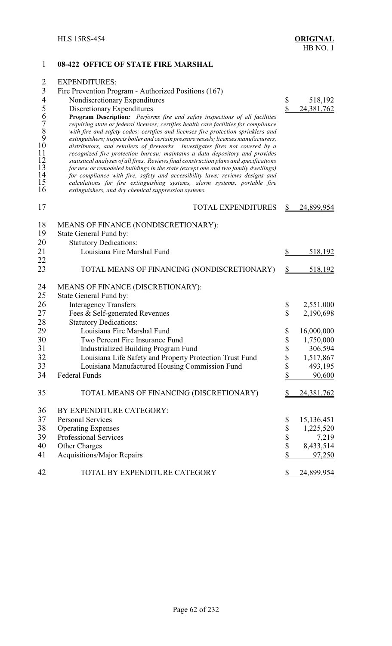### **08-422 OFFICE OF STATE FIRE MARSHAL**

| $\overline{2}$ | <b>EXPENDITURES:</b>                                                                                                                                         |                           |                   |
|----------------|--------------------------------------------------------------------------------------------------------------------------------------------------------------|---------------------------|-------------------|
| $\mathfrak{Z}$ | Fire Prevention Program - Authorized Positions (167)                                                                                                         |                           |                   |
| $\overline{4}$ | Nondiscretionary Expenditures                                                                                                                                | \$                        | 518,192           |
|                | Discretionary Expenditures                                                                                                                                   | \$                        | 24,381,762        |
| 56789          | Program Description: Performs fire and safety inspections of all facilities                                                                                  |                           |                   |
|                | requiring state or federal licenses; certifies health care facilities for compliance                                                                         |                           |                   |
|                | with fire and safety codes; certifies and licenses fire protection sprinklers and                                                                            |                           |                   |
|                | extinguishers; inspects boiler and certain pressure vessels; licenses manufacturers,                                                                         |                           |                   |
| 10<br>11       | distributors, and retailers of fireworks. Investigates fires not covered by a<br>recognized fire protection bureau; maintains a data depository and provides |                           |                   |
| 12             | statistical analyses of all fires. Reviews final construction plans and specifications                                                                       |                           |                   |
| 13             | for new or remodeled buildings in the state (except one and two family dwellings)                                                                            |                           |                   |
| 14             | for compliance with fire, safety and accessibility laws; reviews designs and                                                                                 |                           |                   |
| 15             | calculations for fire extinguishing systems, alarm systems, portable fire                                                                                    |                           |                   |
| 16             | extinguishers, and dry chemical suppression systems.                                                                                                         |                           |                   |
| 17             | <b>TOTAL EXPENDITURES</b>                                                                                                                                    | S                         | 24,899,954        |
| 18             | MEANS OF FINANCE (NONDISCRETIONARY):                                                                                                                         |                           |                   |
| 19             | State General Fund by:                                                                                                                                       |                           |                   |
| 20             | <b>Statutory Dedications:</b>                                                                                                                                |                           |                   |
| 21             | Louisiana Fire Marshal Fund                                                                                                                                  | \$                        | 518,192           |
| 22             |                                                                                                                                                              |                           |                   |
| 23             | TOTAL MEANS OF FINANCING (NONDISCRETIONARY)                                                                                                                  | $\frac{1}{2}$             | 518,192           |
| 24             | MEANS OF FINANCE (DISCRETIONARY):                                                                                                                            |                           |                   |
| 25             | State General Fund by:                                                                                                                                       |                           |                   |
| 26             | <b>Interagency Transfers</b>                                                                                                                                 | \$                        | 2,551,000         |
| 27             | Fees & Self-generated Revenues                                                                                                                               | $\boldsymbol{\mathsf{S}}$ | 2,190,698         |
| 28             | <b>Statutory Dedications:</b>                                                                                                                                |                           |                   |
| 29             | Louisiana Fire Marshal Fund                                                                                                                                  | \$                        | 16,000,000        |
| 30             | Two Percent Fire Insurance Fund                                                                                                                              | $\boldsymbol{\mathsf{S}}$ | 1,750,000         |
| 31             | Industrialized Building Program Fund                                                                                                                         | \$                        | 306,594           |
| 32             | Louisiana Life Safety and Property Protection Trust Fund                                                                                                     | \$                        | 1,517,867         |
| 33             | Louisiana Manufactured Housing Commission Fund                                                                                                               | \$                        | 493,195           |
| 34             | Federal Funds                                                                                                                                                | \$                        | 90,600            |
|                |                                                                                                                                                              |                           |                   |
| 35             | TOTAL MEANS OF FINANCING (DISCRETIONARY)                                                                                                                     | \$                        | <u>24,381,762</u> |
| 36             | BY EXPENDITURE CATEGORY:                                                                                                                                     |                           |                   |
| 37             | <b>Personal Services</b>                                                                                                                                     | \$                        | 15,136,451        |
| 38             | <b>Operating Expenses</b>                                                                                                                                    | \$                        | 1,225,520         |
| 39             | Professional Services                                                                                                                                        | \$                        | 7,219             |
| 40             | Other Charges                                                                                                                                                | \$                        | 8,433,514         |
| 41             | <b>Acquisitions/Major Repairs</b>                                                                                                                            | \$                        | 97,250            |
| 42             | TOTAL BY EXPENDITURE CATEGORY                                                                                                                                | \$                        | 24,899,954        |
|                |                                                                                                                                                              |                           |                   |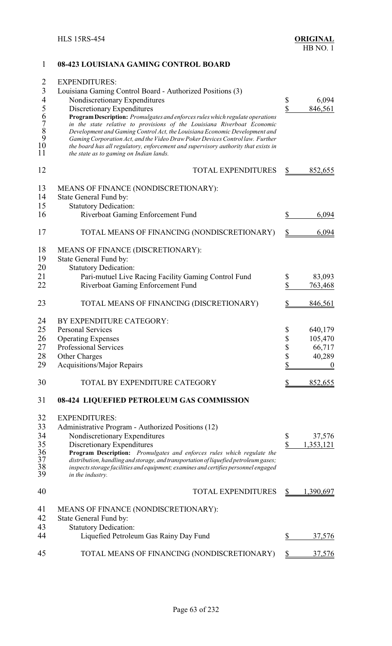# 1 **08-423 LOUISIANA GAMING CONTROL BOARD** 2 EXPENDITURES: 3 Louisiana Gaming Control Board - Authorized Positions (3) 4 Nondiscretionary Expenditures \$ 6,094<br>5 Discretionary Expenditures \$ 846,561 5 Discretionary Expenditures<br>
6 **Program Description:** *Promulgates and enforces rules which regulate operations*<br> *in the state relative to provisions of the Louisiana Riverboat Economic*<br> *Bevelopment and Gaming Control* 6 **ProgramDescription:** *Promulgates and enforces rules which regulate operations* 7 *in the state relative to provisions of the Louisiana Riverboat Economic* 8 *Development and Gaming Control Act, the Louisiana Economic Development and* 9 *GamingCorporationAct, and the Video Draw Poker Devices Control law. Further* 10 *the board has all regulatory, enforcement and supervisory authority that exists in* 11 *the state as to gaming on Indian lands.* 12 TOTAL EXPENDITURES \$ 852,655 13 MEANS OF FINANCE (NONDISCRETIONARY):<br>14 State General Fund by: State General Fund by: 15 Statutory Dedication: 16 Riverboat Gaming Enforcement Fund  $\qquad \qquad$  \$ 6,094 17 TOTAL MEANS OF FINANCING (NONDISCRETIONARY) \$6,094 18 MEANS OF FINANCE (DISCRETIONARY): 19 State General Fund by:<br>20 Statutory Dedication Statutory Dedication: 21 Pari-mutuel Live Racing Facility Gaming Control Fund \$ 83,093<br>22 Riverboat Gaming Enforcement Fund \$ 763,468 22 Riverboat Gaming Enforcement Fund \$ 763,468 23 TOTAL MEANS OF FINANCING (DISCRETIONARY) \$846,561 24 BY EXPENDITURE CATEGORY:<br>25 Personal Services Personal Services  $\qquad \qquad$  25  $640,179$ 26 Operating Expenses \$ 105,470 27 Professional Services \$ 66,717<br>28 Other Charges \$ 40,289 28 Other Charges \$ 40,289 29 Acquisitions/Major Repairs \$ 0 30 TOTAL BY EXPENDITURE CATEGORY \$ 852,655 31 **08-424 LIQUEFIED PETROLEUM GAS COMMISSION** 32 EXPENDITURES: 33 Administrative Program - Authorized Positions (12) 34 Nondiscretionary Expenditures \$ 37,576<br>35 Discretionary Expenditures \$ 37,576 35 Discretionary Expenditures<br>36 **Program Description:** *Promulgates and enforces rules which regulate the*  $\frac{\$ 1,353,121}{\$}$ 36 **Program Description:** *Promulgates and enforces rules which regulate the* 37 *distribution, handling and storage, and transportation of liquefied petroleum gases;* 38 *inspects storage facilities and equipment; examines and certifies personnel engaged* in the industry. 40 TOTAL EXPENDITURES \$ 1,390,697 41 MEANS OF FINANCE (NONDISCRETIONARY):<br>42 State General Fund by: State General Fund by: 43 Statutory Dedication:<br>44 Liquefied Petroleu Liquefied Petroleum Gas Rainy Day Fund  $$37,576$ 45 TOTAL MEANS OF FINANCING (NONDISCRETIONARY) \$37,576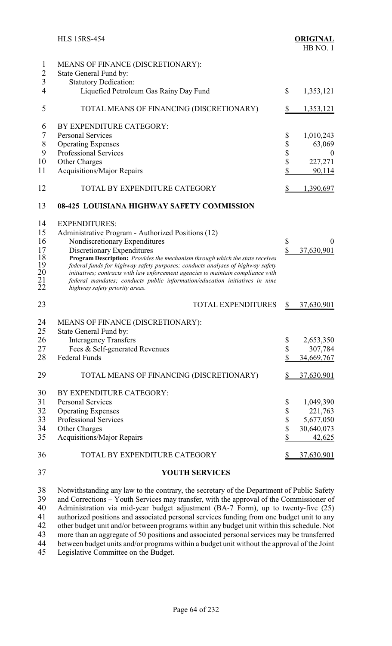|                                                    | <b>HLS 15RS-454</b>                                                                                                                                                                                                                                                                                                                                                                                                                                                                                              |                            | <b>ORIGINAL</b><br>HB NO.1                                 |
|----------------------------------------------------|------------------------------------------------------------------------------------------------------------------------------------------------------------------------------------------------------------------------------------------------------------------------------------------------------------------------------------------------------------------------------------------------------------------------------------------------------------------------------------------------------------------|----------------------------|------------------------------------------------------------|
| 1<br>$\overline{c}$<br>$\overline{\mathbf{3}}$     | MEANS OF FINANCE (DISCRETIONARY):<br>State General Fund by:<br><b>Statutory Dedication:</b>                                                                                                                                                                                                                                                                                                                                                                                                                      |                            |                                                            |
| 4                                                  | Liquefied Petroleum Gas Rainy Day Fund                                                                                                                                                                                                                                                                                                                                                                                                                                                                           | \$                         | 1,353,121                                                  |
| 5                                                  | TOTAL MEANS OF FINANCING (DISCRETIONARY)                                                                                                                                                                                                                                                                                                                                                                                                                                                                         | \$                         | 1,353,121                                                  |
| 6<br>7<br>8<br>9<br>10<br>11                       | BY EXPENDITURE CATEGORY:<br><b>Personal Services</b><br><b>Operating Expenses</b><br><b>Professional Services</b><br>Other Charges<br><b>Acquisitions/Major Repairs</b>                                                                                                                                                                                                                                                                                                                                          | \$<br>\$<br>\$<br>\$<br>\$ | 1,010,243<br>63,069<br>$\overline{0}$<br>227,271<br>90,114 |
| 12                                                 | TOTAL BY EXPENDITURE CATEGORY                                                                                                                                                                                                                                                                                                                                                                                                                                                                                    | \$                         | 1,390,697                                                  |
| 13                                                 | 08-425 LOUISIANA HIGHWAY SAFETY COMMISSION                                                                                                                                                                                                                                                                                                                                                                                                                                                                       |                            |                                                            |
| 14<br>15<br>16<br>17<br>18<br>19<br>20<br>21<br>22 | <b>EXPENDITURES:</b><br>Administrative Program - Authorized Positions (12)<br>Nondiscretionary Expenditures<br>Discretionary Expenditures<br>Program Description: Provides the mechanism through which the state receives<br>federal funds for highway safety purposes; conducts analyses of highway safety<br>initiatives; contracts with law enforcement agencies to maintain compliance with<br>federal mandates; conducts public information/education initiatives in nine<br>highway safety priority areas. | \$<br>\$                   | $\Omega$<br>37,630,901                                     |
| 23                                                 | <b>TOTAL EXPENDITURES</b>                                                                                                                                                                                                                                                                                                                                                                                                                                                                                        | \$                         | 37,630,901                                                 |
| 24<br>25                                           | MEANS OF FINANCE (DISCRETIONARY):<br>State General Fund by:                                                                                                                                                                                                                                                                                                                                                                                                                                                      |                            |                                                            |
| 26<br>27                                           | <b>Interagency Transfers</b><br>Fees & Self-generated Revenues                                                                                                                                                                                                                                                                                                                                                                                                                                                   | \$<br>\$                   | 2,653,350<br>307,784                                       |
| 28                                                 | <b>Federal Funds</b>                                                                                                                                                                                                                                                                                                                                                                                                                                                                                             | \$                         | 34,669,767                                                 |
| 29                                                 | TOTAL MEANS OF FINANCING (DISCRETIONARY)                                                                                                                                                                                                                                                                                                                                                                                                                                                                         | \$                         | 37,630,901                                                 |
| 30<br>31                                           | BY EXPENDITURE CATEGORY:<br><b>Personal Services</b>                                                                                                                                                                                                                                                                                                                                                                                                                                                             | \$                         | 1,049,390                                                  |
| 32                                                 | <b>Operating Expenses</b>                                                                                                                                                                                                                                                                                                                                                                                                                                                                                        | \$                         | 221,763                                                    |
| 33                                                 | Professional Services                                                                                                                                                                                                                                                                                                                                                                                                                                                                                            | \$<br>\$                   | 5,677,050                                                  |
| 34                                                 | Other Charges                                                                                                                                                                                                                                                                                                                                                                                                                                                                                                    |                            | 30,640,073                                                 |
| 35                                                 | Acquisitions/Major Repairs                                                                                                                                                                                                                                                                                                                                                                                                                                                                                       | \$                         | 42,625                                                     |
| 36                                                 | TOTAL BY EXPENDITURE CATEGORY                                                                                                                                                                                                                                                                                                                                                                                                                                                                                    | \$                         | 37,630,901                                                 |
| 37                                                 | <b>YOUTH SERVICES</b>                                                                                                                                                                                                                                                                                                                                                                                                                                                                                            |                            |                                                            |
| 38<br>39<br>40                                     | Notwithstanding any law to the contrary, the secretary of the Department of Public Safety<br>and Corrections - Youth Services may transfer, with the approval of the Commissioner of<br>Administration via mid-year budget adjustment (BA-7 Form), up to twenty-five (25)                                                                                                                                                                                                                                        |                            |                                                            |

41 authorized positions and associated personal services funding from one budget unit to any<br>42 other budget unit and/or between programs within any budget unit within this schedule. Not 42 other budget unit and/or between programs within any budget unit within this schedule. Not<br>43 more than an aggregate of 50 positions and associated personal services may be transferred 43 more than an aggregate of 50 positions and associated personal services may be transferred<br>44 between budget units and/or programs within a budget unit without the approval of the Joint

44 between budget units and/or programs within a budget unit without the approval of the Joint 45 Legislative Committee on the Budget.

Legislative Committee on the Budget.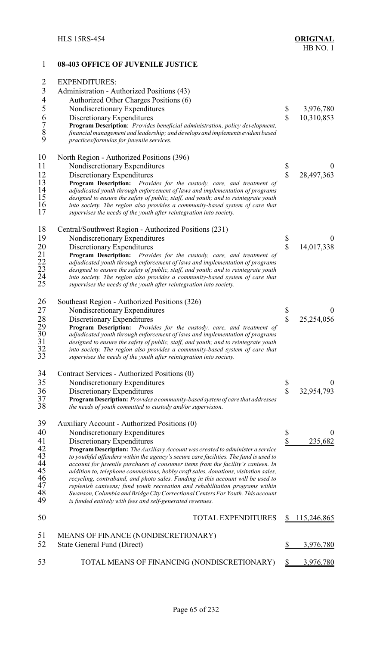### 1 **08-403 OFFICE OF JUVENILE JUSTICE** 2 EXPENDITURES: 3 Administration - Authorized Positions (43)<br>4 Authorized Other Charges Positions (6) 4 Authorized Other Charges Positions (6)<br>5 Nondiscretionary Expenditures 5 Nondiscretionary Expenditures \$ 3,976,780 6 Discretionary Expenditures <br> **6 10,310,853**<br> **10,310,853**<br> **Program Description**: *Provides beneficial administration, policy development.* 7 **Program Description**: *Provides beneficial administration, policy development,* 8 *financial management and leadership; and develops and implements evident based* 9 *practices/formulas for juvenile services.* 10 North Region - Authorized Positions (396) 11 Nondiscretionary Expenditures \$ 0 12 Discretionary Expenditures <br>13 **Program Description:** *Provides for the custody, care, and treatment of* \$28,497,363 **Program Description:** *Provides for the custody, care, and treatment of* 14 *adjudicated youth through enforcement of laws and implementation of programs designed to ensure the safety of public, staff, and youth; and to* 14 *adjudicated youth through enforcement of laws and implementation of programs* 15 *designed to ensure the safety of public, staff, and youth; and to reintegrate youth* 16 *into society. The region also provides a community-based system of care that* supervises the needs of the youth after reintegration into society. 18 Central/Southwest Region - Authorized Positions (231)<br>19 Nondiscretionary Expenditures 19 Nondiscretionary Expenditures \$ 0<br>
20 Discretionary Expenditures \$ 14,017,338<br>
21 **Program Description:** *Provides for the custody, care, and treatment of*<br>
22 *adjudicated youth through enforcement of laws and implemen* Discretionary Expenditures  $\qquad \qquad$  14,017,338 21 **Program Description:** *Provides for the custody, care, and treatment of* adjudicated youth through enforcement of laws and implementation of programs 23 *designed to ensure the safety of public, staff, and youth; and to reintegrate youth* 24 *into society. The region also provides a community-based system of care that* 25 *supervises the needs of the youth after reintegration into society.* 26 Southeast Region - Authorized Positions (326) 27 Nondiscretionary Expenditures 5 6 0<br>28 Discretionary Expenditures 5 25,254,056<br>29 **Program Description:** *Provides for the custody, care, and treatment of* Discretionary Expenditures  $\qquad$  25,254,056 29 **Program Description:** *Provides for the custody, care, and treatment of* 30 *adjudicated youth through enforcement of laws and implementation of programs* 31 *designed to ensure the safety of public, staff, and youth; and to reintegrate youth* 32 *into society. The region also provides a community-based system of care that* 33 *supervises the needs of the youth after reintegration into society.* 34 Contract Services - Authorized Positions (0)<br>35 Nondiscretionary Expenditures Nondiscretionary Expenditures  $\qquad \qquad \S$  0 36 Discretionary Expenditures<br>37 **Program Description:** *Provides a community-based system of care that addresses* 37 **ProgramDescription:** *Provides a community-based system of care that addresses* 38 *the needs of youth committed to custody and/or supervision.* 39 Auxiliary Account - Authorized Positions (0)<br>40 Nondiscretionary Expenditures 40 Nondiscretionary Expenditures \$ 0<br>41 Discretionary Expenditures \$ 235,682 41 Discretionary Expenditures<br>42 **Program Description:** The Auxiliary Account was created to administer a service 42 **Program Description:** *The Auxiliary Account was created to administer a service* 43 *to youthful offenders within the agency's secure care facilities. The fund is used to* 44 *account for juvenile purchases of consumer items from the facility's canteen. In* 45 *addition to, telephone commissions, hobby craft sales, donations, visitation sales,* 46 *recycling, contraband, and photo sales. Funding in this account will be used to* 47 *replenish canteens; fund youth recreation and rehabilitation programs within* 48 *Swanson, Columbia and Bridge City Correctional Centers For Youth. This account* is funded entirely with fees and self-generated revenues. 50 TOTAL EXPENDITURES \$ 115,246,865 51 MEANS OF FINANCE (NONDISCRETIONARY) 52 State General Fund (Direct) \$ 3,976,780 53 TOTAL MEANS OF FINANCING (NONDISCRETIONARY) \$3,976,780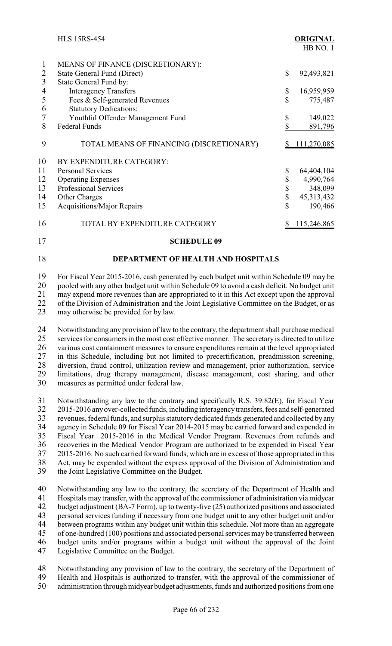|    | <b>HLS 15RS-454</b>                      |    | <b>ORIGINAL</b><br>HB NO.1 |
|----|------------------------------------------|----|----------------------------|
| 1  | MEANS OF FINANCE (DISCRETIONARY):        |    |                            |
| 2  | <b>State General Fund (Direct)</b>       | \$ | 92,493,821                 |
| 3  | State General Fund by:                   |    |                            |
| 4  | <b>Interagency Transfers</b>             | \$ | 16,959,959                 |
| 5  | Fees & Self-generated Revenues           | \$ | 775,487                    |
| 6  | <b>Statutory Dedications:</b>            |    |                            |
|    | Youthful Offender Management Fund        | \$ | 149,022                    |
| 8  | <b>Federal Funds</b>                     | \$ | 891,796                    |
| 9  | TOTAL MEANS OF FINANCING (DISCRETIONARY) | S. | 111,270,085                |
| 10 | BY EXPENDITURE CATEGORY:                 |    |                            |
| 11 | <b>Personal Services</b>                 | \$ | 64,404,104                 |
| 12 | <b>Operating Expenses</b>                | \$ | 4,990,764                  |
| 13 | Professional Services                    | \$ | 348,099                    |
| 14 | Other Charges                            | \$ | 45,313,432                 |
| 15 | <b>Acquisitions/Major Repairs</b>        | \$ | 190,466                    |
| 16 | TOTAL BY EXPENDITURE CATEGORY            |    | 115,246,865                |
| 17 | <b>SCHEDULE 09</b>                       |    |                            |

# 18 **DEPARTMENT OF HEALTH AND HOSPITALS**

19 For Fiscal Year 2015-2016, cash generated by each budget unit within Schedule 09 may be 20 pooled with any other budget unit within Schedule 09 to avoid a cash deficit. No budget unit 21 may expend more revenues than are appropriated to it in this Act except upon the approval<br>22 of the Division of Administration and the Joint Legislative Committee on the Budget, or as 22 of the Division of Administration and the Joint Legislative Committee on the Budget, or as<br>23 may otherwise be provided for by law. may otherwise be provided for by law.

24 Notwithstanding any provision of law to the contrary, the department shall purchase medical<br>25 services for consumers in the most cost effective manner. The secretary is directed to utilize 25 services for consumers in the most cost effective manner. The secretary is directed to utilize<br>26 various cost containment measures to ensure expenditures remain at the level appropriated 26 various cost containment measures to ensure expenditures remain at the level appropriated<br>27 in this Schedule, including but not limited to precertification, preadmission screening, 27 in this Schedule, including but not limited to precertification, preadmission screening,<br>28 diversion, fraud control, utilization review and management, prior authorization, service 28 diversion, fraud control, utilization review and management, prior authorization, service<br>29 limitations, drug therapy management, disease management, cost sharing, and other 29 limitations, drug therapy management, disease management, cost sharing, and other measures as permitted under federal law.

31 Notwithstanding any law to the contrary and specifically R.S. 39:82(E), for Fiscal Year 32 2015-2016 any over-collected funds, including interagency transfers, fees and self-generated<br>33 revenues, federal funds, and surplus statutory dedicated funds generated and collected by any revenues, federal funds, and surplus statutory dedicated funds generated and collected by any 34 agency in Schedule 09 for Fiscal Year 2014-2015 may be carried forward and expended in<br>35 Fiscal Year 2015-2016 in the Medical Vendor Program. Revenues from refunds and Fiscal Year 2015-2016 in the Medical Vendor Program. Revenues from refunds and 36 recoveries in the Medical Vendor Program are authorized to be expended in Fiscal Year 37 2015-2016. No such carried forward funds, which are in excess of those appropriated in this 38 Act, may be expended without the express approval of the Division of Administration and 39 the Joint Legislative Committee on the Budget.

40 Notwithstanding any law to the contrary, the secretary of the Department of Health and 41 Hospitals may transfer, with the approval of the commissioner of administration via midyear<br>42 budget adjustment (BA-7 Form), up to twenty-five (25) authorized positions and associated budget adjustment (BA-7 Form), up to twenty-five (25) authorized positions and associated 43 personal services funding if necessary from one budget unit to any other budget unit and/or<br>44 between programs within any budget unit within this schedule. Not more than an aggregate 44 between programs within any budget unit within this schedule. Not more than an aggregate<br>45 of one-hundred (100) positions and associated personal services may be transferred between of one-hundred (100) positions and associated personal services may be transferred between 46 budget units and/or programs within a budget unit without the approval of the Joint 47 Legislative Committee on the Budget.

48 Notwithstanding any provision of law to the contrary, the secretary of the Department of Health and Hospitals is authorized to transfer, with the approval of the commissioner of 49 Health and Hospitals is authorized to transfer, with the approval of the commissioner of administration through midvear budget adjustments, funds and authorized positions from one administration through midyear budget adjustments, funds and authorized positions from one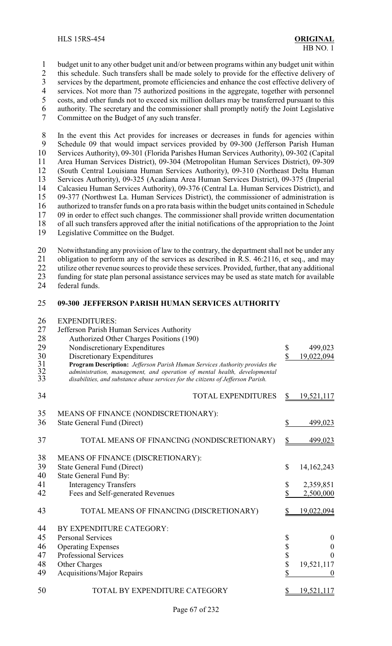budget unit to any other budget unit and/or between programs within any budget unit within

2 this schedule. Such transfers shall be made solely to provide for the effective delivery of services by the department, promote efficiencies and enhance the cost effective delivery of

3 services by the department, promote efficiencies and enhance the cost effective delivery of<br>4 services. Not more than 75 authorized positions in the aggregate, together with personnel

4 services. Not more than 75 authorized positions in the aggregate, together with personnel<br>5 costs, and other funds not to exceed six million dollars may be transferred pursuant to this

- costs, and other funds not to exceed six million dollars may be transferred pursuant to this authority. The secretary and the commissioner shall promptly notify the Joint Legislative
- Committee on the Budget of any such transfer.

 In the event this Act provides for increases or decreases in funds for agencies within 9 Schedule 09 that would impact services provided by 09-300 (Jefferson Parish Human 10 Services Authority), 09-301 (Florida Parishes Human Services Authority), 09-302 (Capital Services Authority), 09-301 (Florida Parishes Human Services Authority), 09-302 (Capital 11 Area Human Services District), 09-304 (Metropolitan Human Services District), 09-309<br>12 (South Central Louisiana Human Services Authority), 09-310 (Northeast Delta Human (South Central Louisiana Human Services Authority), 09-310 (Northeast Delta Human Services Authority), 09-325 (Acadiana Area Human Services District), 09-375 (Imperial Calcasieu Human Services Authority), 09-376 (Central La. Human Services District), and 09-377 (Northwest La. Human Services District), the commissioner of administration is authorized to transfer funds on a pro rata basis within the budget units contained in Schedule 09 in order to effect such changes. The commissioner shall provide written documentation of all such transfers approved after the initial notifications of the appropriation to the Joint Legislative Committee on the Budget.

20 Notwithstanding any provision of law to the contrary, the department shall not be under any<br>21 obligation to perform any of the services as described in R.S. 46:2116, et seq., and may 21 obligation to perform any of the services as described in R.S. 46:2116, et seq., and may<br>22 utilize other revenue sources to provide these services. Provided, further, that any additional

22 utilize other revenue sources to provide these services. Provided, further, that any additional<br>23 funding for state plan personal assistance services may be used as state match for available

23 funding for state plan personal assistance services may be used as state match for available federal funds. federal funds.

### **09-300 JEFFERSON PARISH HUMAN SERVICES AUTHORITY**

| 26                   | <b>EXPENDITURES:</b>                                                                                                                                                                                                                                                       |              |                  |
|----------------------|----------------------------------------------------------------------------------------------------------------------------------------------------------------------------------------------------------------------------------------------------------------------------|--------------|------------------|
| 27                   | Jefferson Parish Human Services Authority                                                                                                                                                                                                                                  |              |                  |
| 28                   | Authorized Other Charges Positions (190)                                                                                                                                                                                                                                   |              |                  |
| 29                   | Nondiscretionary Expenditures                                                                                                                                                                                                                                              | \$           | 499,023          |
| 30<br>31<br>32<br>33 | Discretionary Expenditures<br>Program Description: Jefferson Parish Human Services Authority provides the<br>administration, management, and operation of mental health, developmental<br>disabilities, and substance abuse services for the citizens of Jefferson Parish. | \$           | 19,022,094       |
| 34                   | <b>TOTAL EXPENDITURES</b>                                                                                                                                                                                                                                                  | \$           | 19,521,117       |
| 35                   | MEANS OF FINANCE (NONDISCRETIONARY):                                                                                                                                                                                                                                       |              |                  |
| 36                   | <b>State General Fund (Direct)</b>                                                                                                                                                                                                                                         | \$           | 499,023          |
| 37                   | TOTAL MEANS OF FINANCING (NONDISCRETIONARY)                                                                                                                                                                                                                                | \$           | 499,023          |
| 38                   | MEANS OF FINANCE (DISCRETIONARY):                                                                                                                                                                                                                                          |              |                  |
| 39                   | <b>State General Fund (Direct)</b>                                                                                                                                                                                                                                         | $\mathbb{S}$ | 14,162,243       |
| 40                   | <b>State General Fund By:</b>                                                                                                                                                                                                                                              |              |                  |
| 41                   | <b>Interagency Transfers</b>                                                                                                                                                                                                                                               | \$           | 2,359,851        |
| 42                   | Fees and Self-generated Revenues                                                                                                                                                                                                                                           | \$           | 2,500,000        |
| 43                   | TOTAL MEANS OF FINANCING (DISCRETIONARY)                                                                                                                                                                                                                                   |              | 19,022,094       |
| 44                   | BY EXPENDITURE CATEGORY:                                                                                                                                                                                                                                                   |              |                  |
| 45                   | <b>Personal Services</b>                                                                                                                                                                                                                                                   | \$           | $\boldsymbol{0}$ |
| 46                   | <b>Operating Expenses</b>                                                                                                                                                                                                                                                  | \$           | $\boldsymbol{0}$ |
| 47                   | <b>Professional Services</b>                                                                                                                                                                                                                                               | \$           | $\theta$         |
| 48                   | Other Charges                                                                                                                                                                                                                                                              | \$           | 19,521,117       |
| 49                   | Acquisitions/Major Repairs                                                                                                                                                                                                                                                 | \$           | $\boldsymbol{0}$ |
| 50                   | TOTAL BY EXPENDITURE CATEGORY                                                                                                                                                                                                                                              |              | 19,521,117       |
|                      |                                                                                                                                                                                                                                                                            |              |                  |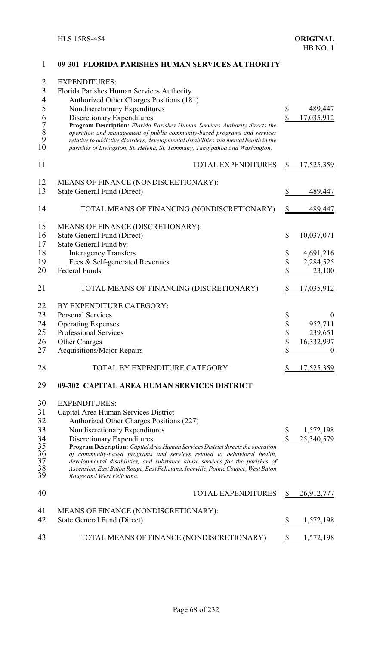| $\overline{2}$<br>3<br>$\overline{\mathcal{A}}$ | <b>EXPENDITURES:</b><br>Florida Parishes Human Services Authority<br>Authorized Other Charges Positions (181)                                                                                                                                                                                                                 |              |                   |
|-------------------------------------------------|-------------------------------------------------------------------------------------------------------------------------------------------------------------------------------------------------------------------------------------------------------------------------------------------------------------------------------|--------------|-------------------|
| 5                                               | Nondiscretionary Expenditures                                                                                                                                                                                                                                                                                                 | \$           | 489,447           |
|                                                 | Discretionary Expenditures                                                                                                                                                                                                                                                                                                    | \$           | 17,035,912        |
| 6789<br>10                                      | Program Description: Florida Parishes Human Services Authority directs the<br>operation and management of public community-based programs and services<br>relative to addictive disorders, developmental disabilities and mental health in the<br>parishes of Livingston, St. Helena, St. Tammany, Tangipahoa and Washington. |              |                   |
| 11                                              | <b>TOTAL EXPENDITURES</b>                                                                                                                                                                                                                                                                                                     | \$           | 17,525,359        |
| 12                                              | MEANS OF FINANCE (NONDISCRETIONARY):                                                                                                                                                                                                                                                                                          |              |                   |
| 13                                              | <b>State General Fund (Direct)</b>                                                                                                                                                                                                                                                                                            | \$           | 489.447           |
| 14                                              | TOTAL MEANS OF FINANCING (NONDISCRETIONARY)                                                                                                                                                                                                                                                                                   | \$           | 489,447           |
| 15<br>16                                        | MEANS OF FINANCE (DISCRETIONARY):<br><b>State General Fund (Direct)</b>                                                                                                                                                                                                                                                       | \$           | 10,037,071        |
| 17                                              | State General Fund by:                                                                                                                                                                                                                                                                                                        |              |                   |
| 18                                              | <b>Interagency Transfers</b>                                                                                                                                                                                                                                                                                                  | \$           | 4,691,216         |
| 19                                              | Fees & Self-generated Revenues                                                                                                                                                                                                                                                                                                | \$           | 2,284,525         |
| 20                                              | <b>Federal Funds</b>                                                                                                                                                                                                                                                                                                          | \$           | 23,100            |
| 21                                              | TOTAL MEANS OF FINANCING (DISCRETIONARY)                                                                                                                                                                                                                                                                                      | \$           | <u>17,035,912</u> |
| 22                                              | BY EXPENDITURE CATEGORY:                                                                                                                                                                                                                                                                                                      |              |                   |
| 23                                              | <b>Personal Services</b>                                                                                                                                                                                                                                                                                                      |              | $\boldsymbol{0}$  |
| 24                                              | <b>Operating Expenses</b>                                                                                                                                                                                                                                                                                                     | \$<br>\$     | 952,711           |
| 25                                              | <b>Professional Services</b>                                                                                                                                                                                                                                                                                                  | \$           | 239,651           |
| 26                                              | Other Charges                                                                                                                                                                                                                                                                                                                 | \$           | 16,332,997        |
| 27                                              | Acquisitions/Major Repairs                                                                                                                                                                                                                                                                                                    | \$           | 0                 |
|                                                 |                                                                                                                                                                                                                                                                                                                               |              |                   |
| 28                                              | TOTAL BY EXPENDITURE CATEGORY                                                                                                                                                                                                                                                                                                 |              | 17,525,359        |
| 29                                              | 09-302 CAPITAL AREA HUMAN SERVICES DISTRICT                                                                                                                                                                                                                                                                                   |              |                   |
| 30                                              | <b>EXPENDITURES:</b>                                                                                                                                                                                                                                                                                                          |              |                   |
| 31                                              | Capital Area Human Services District                                                                                                                                                                                                                                                                                          |              |                   |
| 32                                              | Authorized Other Charges Positions (227)                                                                                                                                                                                                                                                                                      |              |                   |
| 33                                              | Nondiscretionary Expenditures                                                                                                                                                                                                                                                                                                 | \$           | 1,572,198         |
| 34                                              | Discretionary Expenditures                                                                                                                                                                                                                                                                                                    | $\mathbb{S}$ | 25,340,579        |
| 35                                              | Program Description: Capital Area Human Services District directs the operation                                                                                                                                                                                                                                               |              |                   |
| 36<br>37                                        | of community-based programs and services related to behavioral health,                                                                                                                                                                                                                                                        |              |                   |
| 38<br>39                                        | developmental disabilities, and substance abuse services for the parishes of<br>Ascension, East Baton Rouge, East Feliciana, Iberville, Pointe Coupee, West Baton<br>Rouge and West Feliciana.                                                                                                                                |              |                   |
| 40                                              | <b>TOTAL EXPENDITURES</b>                                                                                                                                                                                                                                                                                                     |              | 26,912,777        |
|                                                 |                                                                                                                                                                                                                                                                                                                               |              |                   |
| 41<br>42                                        | MEANS OF FINANCE (NONDISCRETIONARY):<br>State General Fund (Direct)                                                                                                                                                                                                                                                           | \$           | 1,572,198         |
| 43                                              | TOTAL MEANS OF FINANCE (NONDISCRETIONARY)                                                                                                                                                                                                                                                                                     |              | 1,572,198         |
|                                                 |                                                                                                                                                                                                                                                                                                                               |              |                   |

### **09-301 FLORIDA PARISHES HUMAN SERVICES AUTHORITY**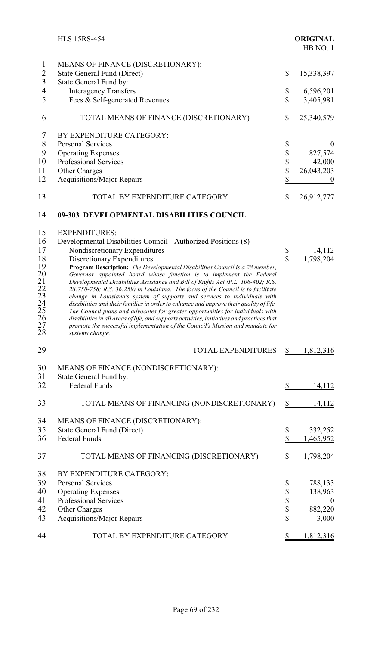|                                                                                  | <b>HLS 15RS-454</b>                                                                                                                                                                                                                                                                                                                                                                                                                                                                                                                                                                                                                                                                                                                                                                                                                                                                                                                            |                                                  | <b>ORIGINAL</b><br>HB NO.1                                  |
|----------------------------------------------------------------------------------|------------------------------------------------------------------------------------------------------------------------------------------------------------------------------------------------------------------------------------------------------------------------------------------------------------------------------------------------------------------------------------------------------------------------------------------------------------------------------------------------------------------------------------------------------------------------------------------------------------------------------------------------------------------------------------------------------------------------------------------------------------------------------------------------------------------------------------------------------------------------------------------------------------------------------------------------|--------------------------------------------------|-------------------------------------------------------------|
| $\mathbf{1}$<br>$\sqrt{2}$<br>$\overline{\mathbf{3}}$                            | MEANS OF FINANCE (DISCRETIONARY):<br><b>State General Fund (Direct)</b><br>State General Fund by:                                                                                                                                                                                                                                                                                                                                                                                                                                                                                                                                                                                                                                                                                                                                                                                                                                              | \$                                               | 15,338,397                                                  |
| $\overline{4}$<br>5                                                              | <b>Interagency Transfers</b><br>Fees & Self-generated Revenues                                                                                                                                                                                                                                                                                                                                                                                                                                                                                                                                                                                                                                                                                                                                                                                                                                                                                 | \$<br>\$                                         | 6,596,201<br>3,405,981                                      |
| 6                                                                                | TOTAL MEANS OF FINANCE (DISCRETIONARY)                                                                                                                                                                                                                                                                                                                                                                                                                                                                                                                                                                                                                                                                                                                                                                                                                                                                                                         | \$                                               | 25,340,579                                                  |
| 7<br>8<br>9<br>10<br>11<br>12                                                    | BY EXPENDITURE CATEGORY:<br><b>Personal Services</b><br><b>Operating Expenses</b><br>Professional Services<br>Other Charges<br><b>Acquisitions/Major Repairs</b>                                                                                                                                                                                                                                                                                                                                                                                                                                                                                                                                                                                                                                                                                                                                                                               | \$<br>\$<br>$\frac{1}{2}$<br>$\hat{\mathcal{E}}$ | $\mathbf{0}$<br>827,574<br>42,000<br>26,043,203<br>$\theta$ |
| 13                                                                               | TOTAL BY EXPENDITURE CATEGORY                                                                                                                                                                                                                                                                                                                                                                                                                                                                                                                                                                                                                                                                                                                                                                                                                                                                                                                  | \$                                               | <u>26,912,777</u>                                           |
| 14                                                                               | 09-303 DEVELOPMENTAL DISABILITIES COUNCIL                                                                                                                                                                                                                                                                                                                                                                                                                                                                                                                                                                                                                                                                                                                                                                                                                                                                                                      |                                                  |                                                             |
| 15<br>16<br>17<br>18<br>19<br>20<br>21<br>22<br>23<br>24<br>25<br>26<br>27<br>28 | <b>EXPENDITURES:</b><br>Developmental Disabilities Council - Authorized Positions (8)<br>Nondiscretionary Expenditures<br>Discretionary Expenditures<br>Program Description: The Developmental Disabilities Council is a 28 member,<br>Governor appointed board whose function is to implement the Federal<br>Developmental Disabilities Assistance and Bill of Rights Act (P.L. 106-402; R.S.<br>28:750-758; R.S. 36:259) in Louisiana. The focus of the Council is to facilitate<br>change in Louisiana's system of supports and services to individuals with<br>disabilities and their families in order to enhance and improve their quality of life.<br>The Council plans and advocates for greater opportunities for individuals with<br>disabilities in all areas of life, and supports activities, initiatives and practices that<br>promote the successful implementation of the Council's Mission and mandate for<br>systems change. | \$<br>\$                                         | 14,112<br>1,798,204                                         |
| 29                                                                               | <b>TOTAL EXPENDITURES</b>                                                                                                                                                                                                                                                                                                                                                                                                                                                                                                                                                                                                                                                                                                                                                                                                                                                                                                                      | $\mathbb{S}$                                     | 1,812,316                                                   |
| 30<br>31<br>32                                                                   | MEANS OF FINANCE (NONDISCRETIONARY):<br>State General Fund by:<br>Federal Funds                                                                                                                                                                                                                                                                                                                                                                                                                                                                                                                                                                                                                                                                                                                                                                                                                                                                | \$                                               | 14,112                                                      |
| 33                                                                               | TOTAL MEANS OF FINANCING (NONDISCRETIONARY)                                                                                                                                                                                                                                                                                                                                                                                                                                                                                                                                                                                                                                                                                                                                                                                                                                                                                                    | $\frac{1}{2}$                                    | 14,112                                                      |
| 34<br>35<br>36                                                                   | MEANS OF FINANCE (DISCRETIONARY):<br><b>State General Fund (Direct)</b><br><b>Federal Funds</b>                                                                                                                                                                                                                                                                                                                                                                                                                                                                                                                                                                                                                                                                                                                                                                                                                                                | \$<br>\$                                         | 332,252<br>1,465,952                                        |
| 37                                                                               | TOTAL MEANS OF FINANCING (DISCRETIONARY)                                                                                                                                                                                                                                                                                                                                                                                                                                                                                                                                                                                                                                                                                                                                                                                                                                                                                                       | \$                                               | 1,798,204                                                   |
| 38<br>39<br>40<br>41<br>42<br>43                                                 | BY EXPENDITURE CATEGORY:<br><b>Personal Services</b><br><b>Operating Expenses</b><br>Professional Services<br>Other Charges<br><b>Acquisitions/Major Repairs</b>                                                                                                                                                                                                                                                                                                                                                                                                                                                                                                                                                                                                                                                                                                                                                                               | \$<br>\$<br>\$<br>\$<br>\$                       | 788,133<br>138,963<br>$\theta$<br>882,220<br>3,000          |
| 44                                                                               | TOTAL BY EXPENDITURE CATEGORY                                                                                                                                                                                                                                                                                                                                                                                                                                                                                                                                                                                                                                                                                                                                                                                                                                                                                                                  | \$                                               | 1,812,316                                                   |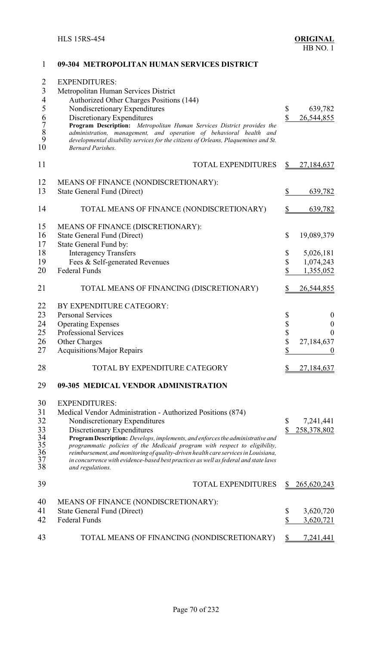| 2<br>$\mathfrak{Z}$<br>$\overline{4}$ | <b>EXPENDITURES:</b><br>Metropolitan Human Services District<br>Authorized Other Charges Positions (144)                                                                                                                                                       |                    |                    |
|---------------------------------------|----------------------------------------------------------------------------------------------------------------------------------------------------------------------------------------------------------------------------------------------------------------|--------------------|--------------------|
| 5                                     | Nondiscretionary Expenditures                                                                                                                                                                                                                                  | \$                 | 639,782            |
|                                       | Discretionary Expenditures                                                                                                                                                                                                                                     | $\mathbf{\hat{S}}$ | 26,544,855         |
| 6789<br>10                            | Program Description: Metropolitan Human Services District provides the<br>administration, management, and operation of behavioral health and<br>developmental disability services for the citizens of Orleans, Plaquemines and St.<br><b>Bernard Parishes.</b> |                    |                    |
| 11                                    | TOTAL EXPENDITURES                                                                                                                                                                                                                                             |                    | 27,184,637         |
| 12                                    | MEANS OF FINANCE (NONDISCRETIONARY):                                                                                                                                                                                                                           |                    |                    |
| 13                                    | <b>State General Fund (Direct)</b>                                                                                                                                                                                                                             | \$                 | 639,782            |
|                                       |                                                                                                                                                                                                                                                                |                    |                    |
| 14                                    | TOTAL MEANS OF FINANCE (NONDISCRETIONARY)                                                                                                                                                                                                                      | S                  | 639,782            |
| 15                                    | MEANS OF FINANCE (DISCRETIONARY):                                                                                                                                                                                                                              |                    |                    |
| 16                                    | State General Fund (Direct)                                                                                                                                                                                                                                    | \$                 | 19,089,379         |
| 17                                    | State General Fund by:                                                                                                                                                                                                                                         |                    |                    |
| 18                                    | <b>Interagency Transfers</b>                                                                                                                                                                                                                                   | \$                 | 5,026,181          |
| 19                                    | Fees & Self-generated Revenues                                                                                                                                                                                                                                 | $\mathbb S$        | 1,074,243          |
| 20                                    | <b>Federal Funds</b>                                                                                                                                                                                                                                           | \$                 | 1,355,052          |
| 21                                    | TOTAL MEANS OF FINANCING (DISCRETIONARY)                                                                                                                                                                                                                       |                    | 26,544,855         |
| 22                                    | BY EXPENDITURE CATEGORY:                                                                                                                                                                                                                                       |                    |                    |
| 23                                    | <b>Personal Services</b>                                                                                                                                                                                                                                       | \$                 | $\boldsymbol{0}$   |
| 24                                    | <b>Operating Expenses</b>                                                                                                                                                                                                                                      |                    | $\boldsymbol{0}$   |
| 25                                    | Professional Services                                                                                                                                                                                                                                          | \$<br>\$           | $\boldsymbol{0}$   |
| 26                                    | Other Charges                                                                                                                                                                                                                                                  | $\mathbb S$        | 27,184,637         |
| 27                                    | Acquisitions/Major Repairs                                                                                                                                                                                                                                     | \$                 | $\theta$           |
| 28                                    | TOTAL BY EXPENDITURE CATEGORY                                                                                                                                                                                                                                  |                    | 27,184,637         |
| 29                                    | 09-305 MEDICAL VENDOR ADMINISTRATION                                                                                                                                                                                                                           |                    |                    |
| 30                                    | <b>EXPENDITURES:</b>                                                                                                                                                                                                                                           |                    |                    |
| 31                                    | Medical Vendor Administration - Authorized Positions (874)                                                                                                                                                                                                     |                    |                    |
| 32                                    | Nondiscretionary Expenditures                                                                                                                                                                                                                                  | \$                 | 7,241,441          |
| 33                                    | Discretionary Expenditures                                                                                                                                                                                                                                     | \$                 | 258,378,802        |
|                                       | Program Description: Develops, implements, and enforces the administrative and                                                                                                                                                                                 |                    |                    |
| $\frac{34}{35}$                       | programmatic policies of the Medicaid program with respect to eligibility,                                                                                                                                                                                     |                    |                    |
| $\frac{36}{37}$                       | reimbursement, and monitoring of quality-driven health care services in Louisiana,                                                                                                                                                                             |                    |                    |
| 38                                    | in concurrence with evidence-based best practices as well as federal and state laws<br>and regulations.                                                                                                                                                        |                    |                    |
| 39                                    | <b>TOTAL EXPENDITURES</b>                                                                                                                                                                                                                                      |                    | <u>265,620,243</u> |
| 40                                    | MEANS OF FINANCE (NONDISCRETIONARY):                                                                                                                                                                                                                           |                    |                    |
| 41                                    | <b>State General Fund (Direct)</b>                                                                                                                                                                                                                             | \$                 | 3,620,720          |
| 42                                    | Federal Funds                                                                                                                                                                                                                                                  | \$                 | 3,620,721          |
|                                       |                                                                                                                                                                                                                                                                |                    |                    |
| 43                                    | TOTAL MEANS OF FINANCING (NONDISCRETIONARY)                                                                                                                                                                                                                    | \$                 | 7,241,441          |

### **09-304 METROPOLITAN HUMAN SERVICES DISTRICT**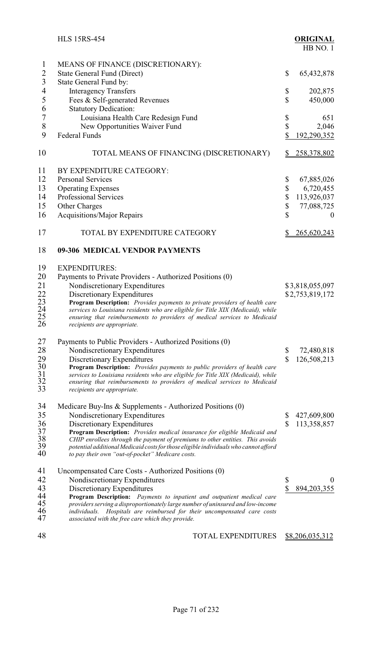|                                   | <b>HLS 15RS-454</b>                                                                                            |                         | <b>ORIGINAL</b><br>HB NO.1 |
|-----------------------------------|----------------------------------------------------------------------------------------------------------------|-------------------------|----------------------------|
| $\mathbf{1}$                      | MEANS OF FINANCE (DISCRETIONARY):                                                                              |                         |                            |
| $\overline{2}$                    | <b>State General Fund (Direct)</b>                                                                             | \$                      | 65, 432, 878               |
| $\mathfrak{Z}$                    | State General Fund by:                                                                                         |                         |                            |
| 4                                 | <b>Interagency Transfers</b>                                                                                   | \$                      | 202,875                    |
| 5                                 |                                                                                                                | \$                      | 450,000                    |
| 6                                 | Fees & Self-generated Revenues                                                                                 |                         |                            |
| $\sqrt{ }$                        | <b>Statutory Dedication:</b>                                                                                   |                         |                            |
|                                   | Louisiana Health Care Redesign Fund                                                                            | \$                      | 651                        |
| $8\,$                             | New Opportunities Waiver Fund                                                                                  | \$                      | 2,046                      |
| 9                                 | <b>Federal Funds</b>                                                                                           | \$                      | 192,290,352                |
| 10                                | TOTAL MEANS OF FINANCING (DISCRETIONARY)                                                                       | \$                      | <u>258,378,802</u>         |
| 11                                | BY EXPENDITURE CATEGORY:                                                                                       |                         |                            |
| 12                                | <b>Personal Services</b>                                                                                       | \$                      | 67,885,026                 |
| 13                                | <b>Operating Expenses</b>                                                                                      | \$                      | 6,720,455                  |
| 14                                | <b>Professional Services</b>                                                                                   | \$                      | 113,926,037                |
| 15                                | Other Charges                                                                                                  | \$                      | 77,088,725                 |
| 16                                | <b>Acquisitions/Major Repairs</b>                                                                              | \$                      | $\theta$                   |
|                                   |                                                                                                                |                         |                            |
| 17                                | TOTAL BY EXPENDITURE CATEGORY                                                                                  |                         | 265,620,243                |
| 18                                | 09-306 MEDICAL VENDOR PAYMENTS                                                                                 |                         |                            |
| 19                                | <b>EXPENDITURES:</b>                                                                                           |                         |                            |
| 20                                | Payments to Private Providers - Authorized Positions (0)                                                       |                         |                            |
| 21                                | Nondiscretionary Expenditures                                                                                  |                         | \$3,818,055,097            |
|                                   | Discretionary Expenditures                                                                                     |                         | \$2,753,819,172            |
| $\frac{22}{23}$<br>$\frac{24}{1}$ | Program Description: Provides payments to private providers of health care                                     |                         |                            |
|                                   | services to Louisiana residents who are eligible for Title XIX (Medicaid), while                               |                         |                            |
| 25<br>26                          | ensuring that reimbursements to providers of medical services to Medicaid<br>recipients are appropriate.       |                         |                            |
| 27                                |                                                                                                                |                         |                            |
|                                   | Payments to Public Providers - Authorized Positions (0)                                                        |                         |                            |
| 28                                | Nondiscretionary Expenditures                                                                                  | \$<br>$\mathbf S$       | 72,480,818                 |
| 29<br>30<br>31<br>32<br>33        | Discretionary Expenditures<br><b>Program Description:</b> Provides payments to public providers of health care |                         | 126,508,213                |
|                                   | services to Louisiana residents who are eligible for Title XIX (Medicaid), while                               |                         |                            |
|                                   | ensuring that reimbursements to providers of medical services to Medicaid                                      |                         |                            |
|                                   | recipients are appropriate.                                                                                    |                         |                            |
| 34                                | Medicare Buy-Ins $&$ Supplements - Authorized Positions $(0)$                                                  |                         |                            |
| 35                                | Nondiscretionary Expenditures                                                                                  | \$                      | 427,609,800                |
|                                   | Discretionary Expenditures                                                                                     | $\mathbf{\$}$           | 113,358,857                |
| 36                                | Program Description: Provides medical insurance for eligible Medicaid and                                      |                         |                            |
| 37<br>38                          | CHIP enrollees through the payment of premiums to other entities. This avoids                                  |                         |                            |
| 39                                | potential additional Medicaid costs for those eligible individuals who cannot afford                           |                         |                            |
| 40                                | to pay their own "out-of-pocket" Medicare costs.                                                               |                         |                            |
| 41                                | Uncompensated Care Costs - Authorized Positions (0)                                                            |                         |                            |
| 42                                | Nondiscretionary Expenditures                                                                                  | \$                      | $\theta$                   |
| 43                                | Discretionary Expenditures                                                                                     | $\overline{\mathbb{S}}$ | 894, 203, 355              |
| 44                                | Program Description: Payments to inpatient and outpatient medical care                                         |                         |                            |
| 45                                | providers serving a disproportionately large number of uninsured and low-income                                |                         |                            |
| 46                                | Hospitals are reimbursed for their uncompensated care costs<br><i>individuals.</i>                             |                         |                            |
| 47                                | associated with the free care which they provide.                                                              |                         |                            |
| 48                                | TOTAL EXPENDITURES                                                                                             |                         |                            |
|                                   |                                                                                                                |                         | \$8,206,035,312            |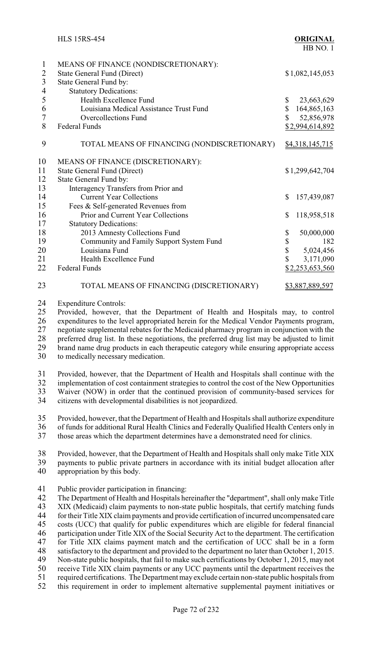|                                                                         | <b>HLS 15RS-454</b>                                                                                                                   |              | <b>ORIGINAL</b><br>HB NO.1 |
|-------------------------------------------------------------------------|---------------------------------------------------------------------------------------------------------------------------------------|--------------|----------------------------|
| $\mathbf{1}$<br>$\sqrt{2}$<br>$\overline{3}$<br>$\overline{\mathbf{4}}$ | MEANS OF FINANCE (NONDISCRETIONARY):<br><b>State General Fund (Direct)</b><br>State General Fund by:<br><b>Statutory Dedications:</b> |              | \$1,082,145,053            |
| 5                                                                       | Health Excellence Fund                                                                                                                | \$           | 23,663,629                 |
| 6                                                                       | Louisiana Medical Assistance Trust Fund                                                                                               | $\mathbb{S}$ | 164,865,163                |
| $\overline{7}$                                                          | <b>Overcollections Fund</b>                                                                                                           | $\mathbb{S}$ | 52,856,978                 |
| 8                                                                       | <b>Federal Funds</b>                                                                                                                  |              | \$2,994,614,892            |
| 9                                                                       | TOTAL MEANS OF FINANCING (NONDISCRETIONARY)                                                                                           |              | \$4,318,145,715            |
| 10                                                                      | MEANS OF FINANCE (DISCRETIONARY):                                                                                                     |              |                            |
| 11                                                                      | <b>State General Fund (Direct)</b>                                                                                                    |              | \$1,299,642,704            |
| 12                                                                      | State General Fund by:                                                                                                                |              |                            |
| 13                                                                      | Interagency Transfers from Prior and                                                                                                  |              |                            |
| 14                                                                      | <b>Current Year Collections</b>                                                                                                       | $\mathbb{S}$ | 157,439,087                |
| 15                                                                      | Fees & Self-generated Revenues from                                                                                                   |              |                            |
| 16                                                                      | Prior and Current Year Collections                                                                                                    | \$           | 118,958,518                |
| 17                                                                      | <b>Statutory Dedications:</b>                                                                                                         |              |                            |
| 18                                                                      | 2013 Amnesty Collections Fund                                                                                                         | \$           | 50,000,000                 |
| 19                                                                      | Community and Family Support System Fund                                                                                              | \$           | 182                        |
| 20                                                                      | Louisiana Fund                                                                                                                        | \$           | 5,024,456                  |
| 21                                                                      | Health Excellence Fund                                                                                                                | \$           | 3,171,090                  |
| 22                                                                      | <b>Federal Funds</b>                                                                                                                  |              | \$2,253,653,560            |
| 23                                                                      | TOTAL MEANS OF FINANCING (DISCRETIONARY)                                                                                              |              | \$3,887,889,597            |
| 24                                                                      | <b>Expenditure Controls:</b>                                                                                                          |              |                            |
| 25                                                                      | Provided, however, that the Department of Health and Hospitals may, to control                                                        |              |                            |
| 26                                                                      | expenditures to the level appropriated herein for the Medical Vendor Payments program,                                                |              |                            |
| 27                                                                      | negotiate supplemental rebates for the Medicaid pharmacy program in conjunction with the                                              |              |                            |
| 28                                                                      | preferred drug list. In these negotiations, the preferred drug list may be adjusted to limit                                          |              |                            |
| 29                                                                      | brand name drug products in each therapeutic category while ensuring appropriate access                                               |              |                            |
| 30                                                                      | to medically necessary medication.                                                                                                    |              |                            |

 Provided, however, that the Department of Health and Hospitals shall continue with the 32 implementation of cost containment strategies to control the cost of the New Opportunities<br>33 Waiver (NOW) in order that the continued provision of community-based services for Waiver (NOW) in order that the continued provision of community-based services for citizens with developmental disabilities is not jeopardized.

 Provided, however, that the Department of Health and Hospitals shall authorize expenditure 36 of funds for additional Rural Health Clinics and Federally Qualified Health Centers only in<br>37 those areas which the department determines have a demonstrated need for clinics

those areas which the department determines have a demonstrated need for clinics.

38 Provided, however, that the Department of Health and Hospitals shall only make Title XIX<br>39 payments to public private partners in accordance with its initial budget allocation after payments to public private partners in accordance with its initial budget allocation after appropriation by this body.

Public provider participation in financing:

 The Department of Health and Hospitals hereinafter the "department", shall onlymake Title XIX (Medicaid) claim payments to non-state public hospitals, that certify matching funds 44 for their Title XIX claim payments and provide certification of incurred uncompensated care<br>45 costs (UCC) that qualify for public expenditures which are eligible for federal financial costs (UCC) that qualify for public expenditures which are eligible for federal financial participation under Title XIX of the Social Security Act to the department. The certification for Title XIX claims payment match and the certification of UCC shall be in a form 48 satisfactory to the department and provided to the department no later than October 1, 2015.<br>49 Non-state public hospitals, that fail to make such certifications by October 1, 2015, may not Non-state public hospitals, that fail to make such certifications by October 1, 2015, may not 50 receive Title XIX claim payments or any UCC payments until the department receives the required certifications. The Department may exclude certain non-state public hospitals from 51 required certifications. The Department may exclude certain non-state public hospitals from<br>52 this requirement in order to implement alternative supplemental payment initiatives or this requirement in order to implement alternative supplemental payment initiatives or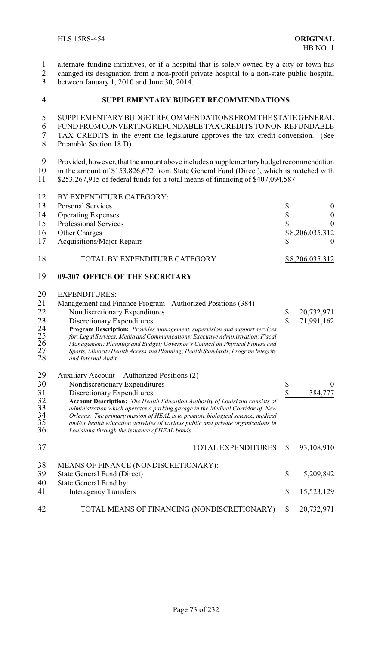alternate funding initiatives, or if a hospital that is solely owned by a city or town has

2 changed its designation from a non-profit private hospital to a non-state public hospital<br>3 between January 1, 2010 and June 30, 2014.

between January 1, 2010 and June 30, 2014.

## **SUPPLEMENTARY BUDGET RECOMMENDATIONS**

# SUPPLEMENTARYBUDGETRECOMMENDATIONS FROM THE STATE GENERAL

- FUNDFROMCONVERTING REFUNDABLE TAX CREDITS TO NON-REFUNDABLE TAX CREDITS in the event the legislature approves the tax credit conversion. (See
- Preamble Section 18 D).

9 Provided, however, that the amount above includes a supplementary budget recommendation<br>10 in the amount of \$153,826,672 from State General Fund (Direct), which is matched with 10 in the amount of \$153,826,672 from State General Fund (Direct), which is matched with<br>11 \$253.267.915 of federal funds for a total means of financing of \$407.094.587.  $$253,267,915$  of federal funds for a total means of financing of  $$407,094,587$ .

| 12                         | BY EXPENDITURE CATEGORY:                                                                                                                                                                                                                                                                                                                                                              |                         |                  |
|----------------------------|---------------------------------------------------------------------------------------------------------------------------------------------------------------------------------------------------------------------------------------------------------------------------------------------------------------------------------------------------------------------------------------|-------------------------|------------------|
| 13                         | <b>Personal Services</b>                                                                                                                                                                                                                                                                                                                                                              | \$                      | $\boldsymbol{0}$ |
| 14                         | <b>Operating Expenses</b>                                                                                                                                                                                                                                                                                                                                                             | \$                      | $\boldsymbol{0}$ |
| 15                         | Professional Services                                                                                                                                                                                                                                                                                                                                                                 | $\overline{\mathbb{S}}$ | $\boldsymbol{0}$ |
| 16                         | Other Charges                                                                                                                                                                                                                                                                                                                                                                         |                         | \$8,206,035,312  |
| 17                         | <b>Acquisitions/Major Repairs</b>                                                                                                                                                                                                                                                                                                                                                     | \$                      |                  |
| 18                         | TOTAL BY EXPENDITURE CATEGORY                                                                                                                                                                                                                                                                                                                                                         |                         | \$8,206,035,312  |
| 19                         | 09-307 OFFICE OF THE SECRETARY                                                                                                                                                                                                                                                                                                                                                        |                         |                  |
| 20<br>21                   | <b>EXPENDITURES:</b><br>Management and Finance Program - Authorized Positions (384)                                                                                                                                                                                                                                                                                                   |                         |                  |
| 22                         | Nondiscretionary Expenditures                                                                                                                                                                                                                                                                                                                                                         | \$                      | 20,732,971       |
| 23                         | Discretionary Expenditures                                                                                                                                                                                                                                                                                                                                                            | \$                      | 71,991,162       |
| 24<br>25<br>26<br>27<br>28 | Program Description: Provides management, supervision and support services<br>for: Legal Services; Media and Communications; Executive Administration; Fiscal<br>Management; Planning and Budget; Governor's Council on Physical Fitness and<br>Sports; Minority Health Access and Planning; Health Standards; Program Integrity<br>and Internal Audit.                               |                         |                  |
| 29                         | Auxiliary Account - Authorized Positions (2)                                                                                                                                                                                                                                                                                                                                          |                         |                  |
| 30                         | Nondiscretionary Expenditures                                                                                                                                                                                                                                                                                                                                                         | \$                      | $\theta$         |
| 31                         | Discretionary Expenditures                                                                                                                                                                                                                                                                                                                                                            | \$                      | 384,777          |
| 32<br>33<br>34<br>35<br>36 | Account Description: The Health Education Authority of Louisiana consists of<br>administration which operates a parking garage in the Medical Corridor of New<br>Orleans. The primary mission of HEAL is to promote biological science, medical<br>and/or health education activities of various public and private organizations in<br>Louisiana through the issuance of HEAL bonds. |                         |                  |
| 37                         | <b>TOTAL EXPENDITURES</b>                                                                                                                                                                                                                                                                                                                                                             |                         | 93,108,910       |
| 38<br>39                   | MEANS OF FINANCE (NONDISCRETIONARY):                                                                                                                                                                                                                                                                                                                                                  | \$                      |                  |
| 40                         | <b>State General Fund (Direct)</b><br>State General Fund by:                                                                                                                                                                                                                                                                                                                          |                         | 5,209,842        |
| 41                         | <b>Interagency Transfers</b>                                                                                                                                                                                                                                                                                                                                                          | \$                      | 15,523,129       |
| 42                         | TOTAL MEANS OF FINANCING (NONDISCRETIONARY)                                                                                                                                                                                                                                                                                                                                           | \$                      | 20,732,971       |
|                            |                                                                                                                                                                                                                                                                                                                                                                                       |                         |                  |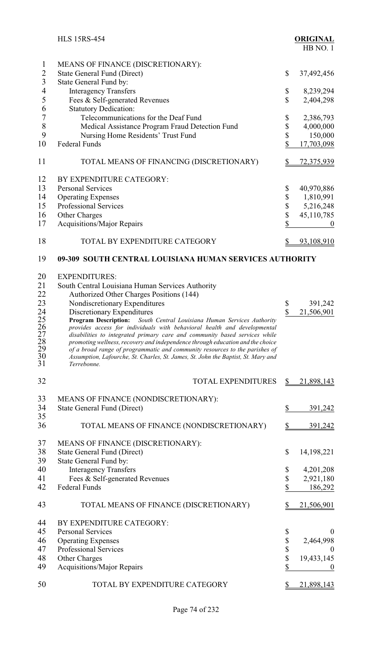|                                                                             | <b>HLS 15RS-454</b>                                                                                                                                                                                                                                                                                                                                                                                                                                                                                                                                                                                                                                                                                |                                            | <b>ORIGINAL</b><br>HB NO.1                                           |
|-----------------------------------------------------------------------------|----------------------------------------------------------------------------------------------------------------------------------------------------------------------------------------------------------------------------------------------------------------------------------------------------------------------------------------------------------------------------------------------------------------------------------------------------------------------------------------------------------------------------------------------------------------------------------------------------------------------------------------------------------------------------------------------------|--------------------------------------------|----------------------------------------------------------------------|
| $\mathbf 1$<br>$\overline{2}$<br>$\overline{3}$                             | MEANS OF FINANCE (DISCRETIONARY):<br><b>State General Fund (Direct)</b><br>State General Fund by:                                                                                                                                                                                                                                                                                                                                                                                                                                                                                                                                                                                                  | \$                                         | 37,492,456                                                           |
| $\overline{4}$<br>5<br>6                                                    | <b>Interagency Transfers</b><br>Fees & Self-generated Revenues<br><b>Statutory Dedication:</b>                                                                                                                                                                                                                                                                                                                                                                                                                                                                                                                                                                                                     | \$<br>\$                                   | 8,239,294<br>2,404,298                                               |
| $\overline{7}$<br>8<br>9<br>10                                              | Telecommunications for the Deaf Fund<br>Medical Assistance Program Fraud Detection Fund<br>Nursing Home Residents' Trust Fund<br><b>Federal Funds</b>                                                                                                                                                                                                                                                                                                                                                                                                                                                                                                                                              | \$<br>\$<br>\$<br>\$                       | 2,386,793<br>4,000,000<br>150,000                                    |
| 11                                                                          | TOTAL MEANS OF FINANCING (DISCRETIONARY)                                                                                                                                                                                                                                                                                                                                                                                                                                                                                                                                                                                                                                                           | $\frac{1}{2}$                              | 17,703,098<br><u>72,375,939</u>                                      |
| 12<br>13<br>14<br>15                                                        | BY EXPENDITURE CATEGORY:<br><b>Personal Services</b><br><b>Operating Expenses</b><br>Professional Services                                                                                                                                                                                                                                                                                                                                                                                                                                                                                                                                                                                         | \$<br>\$                                   | 40,970,886<br>1,810,991<br>5,216,248                                 |
| 16<br>17                                                                    | Other Charges<br><b>Acquisitions/Major Repairs</b>                                                                                                                                                                                                                                                                                                                                                                                                                                                                                                                                                                                                                                                 | $\begin{array}{c} 8 \\ 8 \\ 8 \end{array}$ | 45,110,785                                                           |
| 18                                                                          | TOTAL BY EXPENDITURE CATEGORY                                                                                                                                                                                                                                                                                                                                                                                                                                                                                                                                                                                                                                                                      | \$                                         | 93,108,910                                                           |
| 19                                                                          | 09-309 SOUTH CENTRAL LOUISIANA HUMAN SERVICES AUTHORITY                                                                                                                                                                                                                                                                                                                                                                                                                                                                                                                                                                                                                                            |                                            |                                                                      |
| 20<br>21<br>22<br>23<br>24<br>25<br>26<br>27<br>28<br>$\frac{29}{30}$<br>30 | <b>EXPENDITURES:</b><br>South Central Louisiana Human Services Authority<br>Authorized Other Charges Positions (144)<br>Nondiscretionary Expenditures<br>Discretionary Expenditures<br><b>Program Description:</b> South Central Louisiana Human Services Authority<br>provides access for individuals with behavioral health and developmental<br>disabilities to integrated primary care and community based services while<br>promoting wellness, recovery and independence through education and the choice<br>of a broad range of programmatic and community resources to the parishes of<br>Assumption, Lafourche, St. Charles, St. James, St. John the Baptist, St. Mary and<br>Terrebonne. | \$<br>\$                                   | 391,242<br>21,506,901                                                |
| 32                                                                          | <b>TOTAL EXPENDITURES</b>                                                                                                                                                                                                                                                                                                                                                                                                                                                                                                                                                                                                                                                                          | \$                                         | 21,898,143                                                           |
| 33<br>34<br>35                                                              | MEANS OF FINANCE (NONDISCRETIONARY):<br><b>State General Fund (Direct)</b>                                                                                                                                                                                                                                                                                                                                                                                                                                                                                                                                                                                                                         | \$                                         | 391,242                                                              |
| 36                                                                          | TOTAL MEANS OF FINANCE (NONDISCRETIONARY)                                                                                                                                                                                                                                                                                                                                                                                                                                                                                                                                                                                                                                                          | $\frac{1}{2}$                              | 391,242                                                              |
| 37<br>38<br>39                                                              | MEANS OF FINANCE (DISCRETIONARY):<br><b>State General Fund (Direct)</b><br>State General Fund by:                                                                                                                                                                                                                                                                                                                                                                                                                                                                                                                                                                                                  | \$                                         | 14,198,221                                                           |
| 40<br>41<br>42                                                              | <b>Interagency Transfers</b><br>Fees & Self-generated Revenues<br><b>Federal Funds</b>                                                                                                                                                                                                                                                                                                                                                                                                                                                                                                                                                                                                             | \$<br>\$<br>\$                             | 4,201,208<br>2,921,180<br>186,292                                    |
| 43                                                                          | TOTAL MEANS OF FINANCE (DISCRETIONARY)                                                                                                                                                                                                                                                                                                                                                                                                                                                                                                                                                                                                                                                             |                                            | <u>21,506,901</u>                                                    |
| 44<br>45<br>46<br>47<br>48<br>49                                            | BY EXPENDITURE CATEGORY:<br><b>Personal Services</b><br><b>Operating Expenses</b><br>Professional Services<br>Other Charges<br><b>Acquisitions/Major Repairs</b>                                                                                                                                                                                                                                                                                                                                                                                                                                                                                                                                   | \$<br>\$\$\$<br>\$                         | $\boldsymbol{0}$<br>2,464,998<br>0<br>19,433,145<br>$\boldsymbol{0}$ |
| 50                                                                          | TOTAL BY EXPENDITURE CATEGORY                                                                                                                                                                                                                                                                                                                                                                                                                                                                                                                                                                                                                                                                      | \$                                         | 21,898,143                                                           |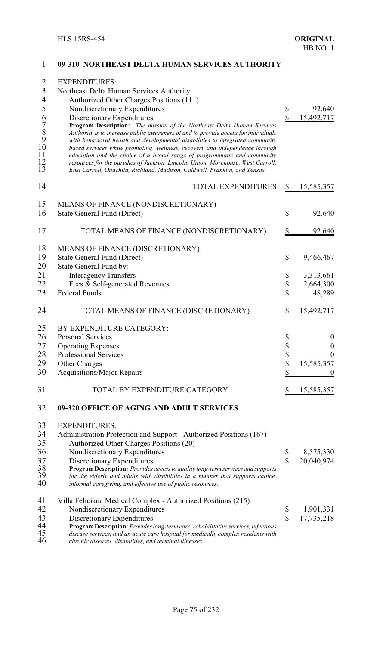| $\overline{2}$<br>$\mathfrak{Z}$<br>$rac{4}{5}$<br>6789<br>10<br>11<br>12<br>13 | <b>EXPENDITURES:</b><br>Northeast Delta Human Services Authority<br>Authorized Other Charges Positions (111)<br>Nondiscretionary Expenditures<br>Discretionary Expenditures<br>Program Description: The mission of the Northeast Delta Human Services<br>Authority is to increase public awareness of and to provide access for individuals<br>with behavioral health and developmental disabilities to integrated community<br>based services while promoting wellness, recovery and independence through<br>education and the choice of a broad range of programmatic and community<br>resources for the parishes of Jackson, Lincoln, Union, Morehouse, West Carroll,<br>East Carroll, Ouachita, Richland, Madison, Caldwell, Franklin, and Tensas. | \$<br>\$    | 92,640<br>15,492,717   |
|---------------------------------------------------------------------------------|--------------------------------------------------------------------------------------------------------------------------------------------------------------------------------------------------------------------------------------------------------------------------------------------------------------------------------------------------------------------------------------------------------------------------------------------------------------------------------------------------------------------------------------------------------------------------------------------------------------------------------------------------------------------------------------------------------------------------------------------------------|-------------|------------------------|
| 14                                                                              | <b>TOTAL EXPENDITURES</b>                                                                                                                                                                                                                                                                                                                                                                                                                                                                                                                                                                                                                                                                                                                              | <u>\$</u>   | <u>15,585,357</u>      |
| 15<br>16                                                                        | MEANS OF FINANCE (NONDISCRETIONARY)<br>State General Fund (Direct)                                                                                                                                                                                                                                                                                                                                                                                                                                                                                                                                                                                                                                                                                     | \$          | 92,640                 |
| 17                                                                              | TOTAL MEANS OF FINANCE (NONDISCRETIONARY)                                                                                                                                                                                                                                                                                                                                                                                                                                                                                                                                                                                                                                                                                                              |             | 92,640                 |
| 18<br>19<br>20                                                                  | MEANS OF FINANCE (DISCRETIONARY):<br>State General Fund (Direct)<br>State General Fund by:                                                                                                                                                                                                                                                                                                                                                                                                                                                                                                                                                                                                                                                             | \$          | 9,466,467              |
| 21<br>22                                                                        | <b>Interagency Transfers</b><br>Fees & Self-generated Revenues                                                                                                                                                                                                                                                                                                                                                                                                                                                                                                                                                                                                                                                                                         | \$<br>\$    | 3,313,661<br>2,664,300 |
| 23                                                                              | <b>Federal Funds</b>                                                                                                                                                                                                                                                                                                                                                                                                                                                                                                                                                                                                                                                                                                                                   | \$          | 48,289                 |
| 24                                                                              | TOTAL MEANS OF FINANCE (DISCRETIONARY)                                                                                                                                                                                                                                                                                                                                                                                                                                                                                                                                                                                                                                                                                                                 |             | 15,492,717             |
| 25<br>26                                                                        | BY EXPENDITURE CATEGORY:<br><b>Personal Services</b>                                                                                                                                                                                                                                                                                                                                                                                                                                                                                                                                                                                                                                                                                                   | \$          | $\boldsymbol{0}$       |
| 27                                                                              | <b>Operating Expenses</b>                                                                                                                                                                                                                                                                                                                                                                                                                                                                                                                                                                                                                                                                                                                              | \$          | $\boldsymbol{0}$       |
| 28                                                                              | Professional Services                                                                                                                                                                                                                                                                                                                                                                                                                                                                                                                                                                                                                                                                                                                                  | ¢<br>Ψ      | $\boldsymbol{0}$       |
| 29                                                                              | <b>Other Charges</b>                                                                                                                                                                                                                                                                                                                                                                                                                                                                                                                                                                                                                                                                                                                                   | \$          | 15,585,357             |
| 30                                                                              | <b>Acquisitions/Major Repairs</b>                                                                                                                                                                                                                                                                                                                                                                                                                                                                                                                                                                                                                                                                                                                      | \$          | O                      |
| 31                                                                              | TOTAL BY EXPENDITURE CATEGORY                                                                                                                                                                                                                                                                                                                                                                                                                                                                                                                                                                                                                                                                                                                          |             | 15,585,357             |
| 32                                                                              | 09-320 OFFICE OF AGING AND ADULT SERVICES                                                                                                                                                                                                                                                                                                                                                                                                                                                                                                                                                                                                                                                                                                              |             |                        |
| 33                                                                              | <b>EXPENDITURES:</b>                                                                                                                                                                                                                                                                                                                                                                                                                                                                                                                                                                                                                                                                                                                                   |             |                        |
| 34                                                                              | Administration Protection and Support - Authorized Positions (167)                                                                                                                                                                                                                                                                                                                                                                                                                                                                                                                                                                                                                                                                                     |             |                        |
| 35                                                                              | Authorized Other Charges Positions (20)                                                                                                                                                                                                                                                                                                                                                                                                                                                                                                                                                                                                                                                                                                                |             |                        |
| 36                                                                              | Nondiscretionary Expenditures                                                                                                                                                                                                                                                                                                                                                                                                                                                                                                                                                                                                                                                                                                                          | \$          | 8,575,330              |
| 37                                                                              | Discretionary Expenditures                                                                                                                                                                                                                                                                                                                                                                                                                                                                                                                                                                                                                                                                                                                             | $\mathbf S$ | 20,040,974             |
| 38<br>39<br>40                                                                  | Program Description: Provides access to quality long-term services and supports<br>for the elderly and adults with disabilities in a manner that supports choice,<br>informal caregiving, and effective use of public resources.                                                                                                                                                                                                                                                                                                                                                                                                                                                                                                                       |             |                        |
| 41                                                                              | Villa Feliciana Medical Complex - Authorized Positions (215)                                                                                                                                                                                                                                                                                                                                                                                                                                                                                                                                                                                                                                                                                           |             |                        |
| 42                                                                              | Nondiscretionary Expenditures                                                                                                                                                                                                                                                                                                                                                                                                                                                                                                                                                                                                                                                                                                                          | \$          | 1,901,331              |
| 43                                                                              | Discretionary Expenditures                                                                                                                                                                                                                                                                                                                                                                                                                                                                                                                                                                                                                                                                                                                             | \$          | 17,735,218             |
| 44                                                                              | Program Description: Provides long-term care, rehabilitative services, infectious                                                                                                                                                                                                                                                                                                                                                                                                                                                                                                                                                                                                                                                                      |             |                        |
| 45<br>46                                                                        | disease services, and an acute care hospital for medically complex residents with<br>chronic diseases, disabilities, and terminal illnesses.                                                                                                                                                                                                                                                                                                                                                                                                                                                                                                                                                                                                           |             |                        |

#### **09-310 NORTHEAST DELTA HUMAN SERVICES AUTHORITY**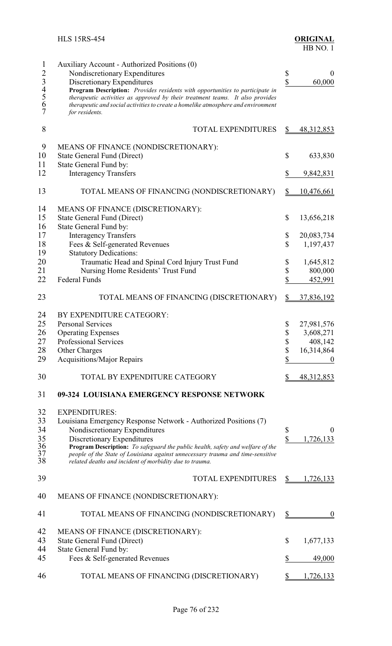| $\mathbf{1}$   | Auxiliary Account - Authorized Positions (0)                                                                                              |               |                  |
|----------------|-------------------------------------------------------------------------------------------------------------------------------------------|---------------|------------------|
| $\overline{2}$ | Nondiscretionary Expenditures                                                                                                             | \$            | $\boldsymbol{0}$ |
| 34567          | Discretionary Expenditures                                                                                                                | \$            | 60,000           |
|                | Program Description: Provides residents with opportunities to participate in                                                              |               |                  |
|                | therapeutic activities as approved by their treatment teams. It also provides                                                             |               |                  |
|                | therapeutic and social activities to create a homelike atmosphere and environment                                                         |               |                  |
|                | for residents.                                                                                                                            |               |                  |
| 8              | <b>TOTAL EXPENDITURES</b>                                                                                                                 | \$            | 48, 312, 853     |
|                |                                                                                                                                           |               |                  |
| 9              | MEANS OF FINANCE (NONDISCRETIONARY):                                                                                                      |               |                  |
| 10             | State General Fund (Direct)                                                                                                               | \$            | 633,830          |
| 11             | State General Fund by:                                                                                                                    |               |                  |
| 12             | <b>Interagency Transfers</b>                                                                                                              | \$            | 9,842,831        |
| 13             | TOTAL MEANS OF FINANCING (NONDISCRETIONARY)                                                                                               | $\frac{1}{2}$ | 10,476,661       |
| 14             | MEANS OF FINANCE (DISCRETIONARY):                                                                                                         |               |                  |
| 15             | <b>State General Fund (Direct)</b>                                                                                                        | \$            | 13,656,218       |
| 16             | State General Fund by:                                                                                                                    |               |                  |
| 17             |                                                                                                                                           |               |                  |
|                | <b>Interagency Transfers</b>                                                                                                              | \$            | 20,083,734       |
| 18             | Fees & Self-generated Revenues                                                                                                            | \$            | 1,197,437        |
| 19             | <b>Statutory Dedications:</b>                                                                                                             |               |                  |
| 20             | Traumatic Head and Spinal Cord Injury Trust Fund                                                                                          | \$            | 1,645,812        |
| 21             | Nursing Home Residents' Trust Fund                                                                                                        | \$            | 800,000          |
| 22             | <b>Federal Funds</b>                                                                                                                      | \$            | 452,991          |
| 23             | TOTAL MEANS OF FINANCING (DISCRETIONARY)                                                                                                  | \$            | 37,836,192       |
| 24             | BY EXPENDITURE CATEGORY:                                                                                                                  |               |                  |
| 25             | <b>Personal Services</b>                                                                                                                  | \$            | 27,981,576       |
| 26             | <b>Operating Expenses</b>                                                                                                                 | \$            | 3,608,271        |
| 27             | Professional Services                                                                                                                     | \$            | 408,142          |
| 28             | Other Charges                                                                                                                             | \$            | 16,314,864       |
| 29             | Acquisitions/Major Repairs                                                                                                                | \$            |                  |
|                |                                                                                                                                           |               | 0                |
| 30             | TOTAL BY EXPENDITURE CATEGORY                                                                                                             |               | 48, 312, 853     |
| 31             | 09-324 LOUISIANA EMERGENCY RESPONSE NETWORK                                                                                               |               |                  |
| 32             | <b>EXPENDITURES:</b>                                                                                                                      |               |                  |
| 33             | Louisiana Emergency Response Network - Authorized Positions (7)                                                                           |               |                  |
| 34             | Nondiscretionary Expenditures                                                                                                             | \$            | 0                |
| 35             | Discretionary Expenditures                                                                                                                | \$            | 1,726,133        |
| 36             | Program Description: To safeguard the public health, safety and welfare of the                                                            |               |                  |
| 37<br>38       | people of the State of Louisiana against unnecessary trauma and time-sensitive<br>related deaths and incident of morbidity due to trauma. |               |                  |
|                |                                                                                                                                           |               |                  |
| 39             | <b>TOTAL EXPENDITURES</b>                                                                                                                 | S             | 1,726,133        |
| 40             | MEANS OF FINANCE (NONDISCRETIONARY):                                                                                                      |               |                  |
| 41             | TOTAL MEANS OF FINANCING (NONDISCRETIONARY)                                                                                               | \$            | $\boldsymbol{0}$ |
| 42             | MEANS OF FINANCE (DISCRETIONARY):                                                                                                         |               |                  |
| 43             | <b>State General Fund (Direct)</b>                                                                                                        | \$            | 1,677,133        |
| 44             | State General Fund by:                                                                                                                    |               |                  |
| 45             | Fees & Self-generated Revenues                                                                                                            | \$            | 49,000           |
|                |                                                                                                                                           |               |                  |
| 46             | TOTAL MEANS OF FINANCING (DISCRETIONARY)                                                                                                  |               | ,726,133         |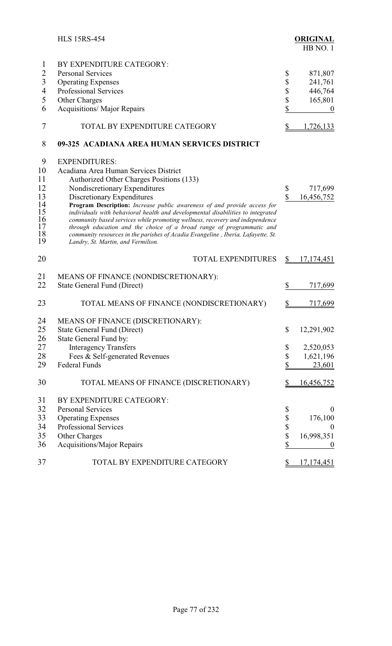|                                  | <b>HLS 15RS-454</b>                                                                                                                                                                                                                                                                                                                                                                                                                            |                           | <b>ORIGINAL</b><br>HB NO.1  |
|----------------------------------|------------------------------------------------------------------------------------------------------------------------------------------------------------------------------------------------------------------------------------------------------------------------------------------------------------------------------------------------------------------------------------------------------------------------------------------------|---------------------------|-----------------------------|
| 1<br>$\overline{2}$              | BY EXPENDITURE CATEGORY:<br><b>Personal Services</b>                                                                                                                                                                                                                                                                                                                                                                                           | \$                        | 871,807                     |
| $\overline{3}$                   | <b>Operating Expenses</b>                                                                                                                                                                                                                                                                                                                                                                                                                      | \$                        | 241,761                     |
| $\overline{4}$<br>5              | <b>Professional Services</b>                                                                                                                                                                                                                                                                                                                                                                                                                   | \$                        | 446,764                     |
| 6                                | Other Charges<br><b>Acquisitions/ Major Repairs</b>                                                                                                                                                                                                                                                                                                                                                                                            | \$<br>\$                  | 165,801<br>$\boldsymbol{0}$ |
|                                  |                                                                                                                                                                                                                                                                                                                                                                                                                                                |                           |                             |
| 7                                | TOTAL BY EXPENDITURE CATEGORY                                                                                                                                                                                                                                                                                                                                                                                                                  | \$                        | 1,726,133                   |
| 8                                | 09-325 ACADIANA AREA HUMAN SERVICES DISTRICT                                                                                                                                                                                                                                                                                                                                                                                                   |                           |                             |
| 9                                | <b>EXPENDITURES:</b>                                                                                                                                                                                                                                                                                                                                                                                                                           |                           |                             |
| 10                               | Acadiana Area Human Services District                                                                                                                                                                                                                                                                                                                                                                                                          |                           |                             |
| 11                               | Authorized Other Charges Positions (133)                                                                                                                                                                                                                                                                                                                                                                                                       |                           |                             |
| 12                               | Nondiscretionary Expenditures                                                                                                                                                                                                                                                                                                                                                                                                                  | \$                        | 717,699                     |
| 13                               | Discretionary Expenditures                                                                                                                                                                                                                                                                                                                                                                                                                     | $\overline{\mathbb{S}}$   | 16,456,752                  |
| 14<br>15<br>16<br>17<br>18<br>19 | Program Description: Increase public awareness of and provide access for<br>individuals with behavioral health and developmental disabilities to integrated<br>community based services while promoting wellness, recovery and independence<br>through education and the choice of a broad range of programmatic and<br>community resources in the parishes of Acadia Evangeline, Iberia, Lafayette, St.<br>Landry, St. Martin, and Vermilion. |                           |                             |
| 20                               | <b>TOTAL EXPENDITURES</b>                                                                                                                                                                                                                                                                                                                                                                                                                      | \$                        | 17, 174, 451                |
| 21                               | MEANS OF FINANCE (NONDISCRETIONARY):                                                                                                                                                                                                                                                                                                                                                                                                           |                           |                             |
| 22                               | <b>State General Fund (Direct)</b>                                                                                                                                                                                                                                                                                                                                                                                                             | \$                        | 717,699                     |
| 23                               | TOTAL MEANS OF FINANCE (NONDISCRETIONARY)                                                                                                                                                                                                                                                                                                                                                                                                      |                           | 717,699                     |
| 24                               | MEANS OF FINANCE (DISCRETIONARY):                                                                                                                                                                                                                                                                                                                                                                                                              |                           |                             |
| 25                               | <b>State General Fund (Direct)</b>                                                                                                                                                                                                                                                                                                                                                                                                             | \$                        | 12,291,902                  |
| 26                               | State General Fund by:                                                                                                                                                                                                                                                                                                                                                                                                                         |                           |                             |
| 27                               | <b>Interagency Transfers</b>                                                                                                                                                                                                                                                                                                                                                                                                                   | \$                        | 2,520,053                   |
| 28                               | Fees & Self-generated Revenues                                                                                                                                                                                                                                                                                                                                                                                                                 | $\boldsymbol{\mathsf{S}}$ | 1,621,196                   |
| 29                               | <b>Federal Funds</b>                                                                                                                                                                                                                                                                                                                                                                                                                           | \$                        | 23,601                      |
| 30                               | TOTAL MEANS OF FINANCE (DISCRETIONARY)                                                                                                                                                                                                                                                                                                                                                                                                         | $\mathbb{S}$              | 16,456,752                  |
| 31                               | BY EXPENDITURE CATEGORY:                                                                                                                                                                                                                                                                                                                                                                                                                       |                           |                             |
| 32                               | <b>Personal Services</b>                                                                                                                                                                                                                                                                                                                                                                                                                       | \$                        | $\theta$                    |
| 33                               | <b>Operating Expenses</b>                                                                                                                                                                                                                                                                                                                                                                                                                      | $\boldsymbol{\$}$         | 176,100                     |
| 34                               | <b>Professional Services</b>                                                                                                                                                                                                                                                                                                                                                                                                                   | \$                        | $\mathbf{0}$                |
| 35                               | Other Charges                                                                                                                                                                                                                                                                                                                                                                                                                                  | \$                        | 16,998,351                  |
| 36                               | <b>Acquisitions/Major Repairs</b>                                                                                                                                                                                                                                                                                                                                                                                                              | \$                        | $\boldsymbol{0}$            |
| 37                               | TOTAL BY EXPENDITURE CATEGORY                                                                                                                                                                                                                                                                                                                                                                                                                  | \$                        | 17,174,451                  |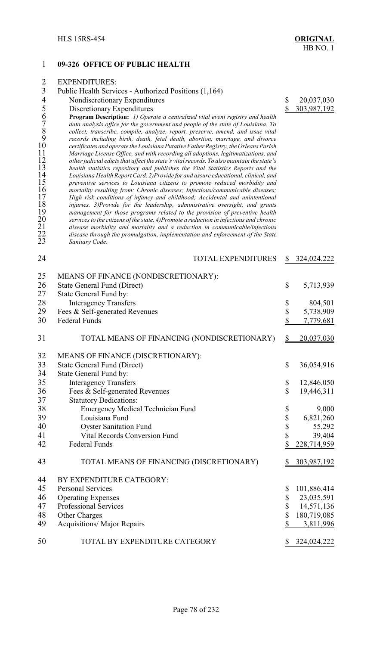### 1 **09-326 OFFICE OF PUBLIC HEALTH**

Sanitary Code.

|                | <b>EXPENDITURES:</b>                                                                 |             |
|----------------|--------------------------------------------------------------------------------------|-------------|
|                | Public Health Services - Authorized Positions (1,164)                                |             |
| 4              | Nondiscretionary Expenditures                                                        | 20,037,030  |
| 5              | Discretionary Expenditures                                                           | 303,987,192 |
| 6              | <b>Program Description:</b> 1) Operate a centralized vital event registry and health |             |
| $\overline{7}$ | data analysis office for the government and people of the state of Louisiana. To     |             |
| 8              | collect, transcribe, compile, analyze, report, preserve, amend, and issue vital      |             |
| 9              | records including birth, death, fetal death, abortion, marriage, and divorce         |             |

9 *records including birth, death, fetal death, abortion, marriage, and divorce* 10 *certificates and operate the Louisiana Putative Father Registry, the Orleans Parish*<br>11 *Marriage License Office, and with recording all adoptions, legitimatizations, and*<br>12 *other judicial edicts that affect the stat* 

other judicial edicts that affect the state's vital records. To also maintain the state's<br>
13 health statistics repository and publishes the Vital Statistics Reports and the<br>
14 Louisiana Health Report Card. 2)Provide for

20 *services to the citizens of the state. 4)Promote a reduction in infectious and chronic* 21 *disease morbidity and mortality and a reduction in communicable/infectious*

11 *Marriage License Office, and with recording all adoptions, legitimatizations, and*

 *health statistics repository and publishes the Vital Statistics Reports and the Louisiana Health Report Card. 2)Provide for and assure educational, clinical, and preventive services to Louisiana citizens to promote reduced morbidity and mortality resulting from: Chronic diseases; Infectious/communicable diseases; High risk conditions of infancy and childhood; Accidental and unintentional injuries. 3)Provide for the leadership, administrative oversight, and grants management for those programs related to the provision of preventive health*

22 *disease through the promulgation, implementation and enforcement of the State*

24 TOTAL EXPENDITURES \$ 324,024,222 25 MEANS OF FINANCE (NONDISCRETIONARY): 26 State General Fund (Direct) \$ 5,713,939<br>27 State General Fund by: State General Fund by: 28 Interagency Transfers \$ 804,501 29 Fees & Self-generated Revenues  $\begin{array}{cc} 30 & \text{Federal Funds} \\ 30 & \text{Federal Funds} \end{array}$  5,738,909 30 Federal Funds \$ 7,779,681 31 TOTAL MEANS OF FINANCING (NONDISCRETIONARY) \$ 20,037,030 32 MEANS OF FINANCE (DISCRETIONARY):<br>33 State General Fund (Direct) 33 State General Fund (Direct) \$ 36,054,916<br>34 State General Fund by: 34 State General Fund by:<br>35 Interagency Transfe Interagency Transfers  $\qquad$  12,846,050 36 Fees & Self-generated Revenues \$ 19,446,311 37 Statutory Dedications: 38 Emergency Medical Technician Fund \$ 9,000 39 Louisiana Fund \$ 6,821,260 40 Oyster Sanitation Fund \$ 55,292 41 Vital Records Conversion Fund \$ 39,404 42 Federal Funds \$ 228,714,959 43 TOTAL MEANS OF FINANCING (DISCRETIONARY) \$303,987,192 44 BY EXPENDITURE CATEGORY: 45 Personal Services  $\qquad$  8  $101,886,414$ 46 Operating Expenses \$ 23,035,591 47 Professional Services \$ 14,571,136 48 Other Charges \$ 180,719,085 49 Acquisitions/Major Repairs \$ 3,811,996 50 TOTAL BY EXPENDITURE CATEGORY \$324,024,222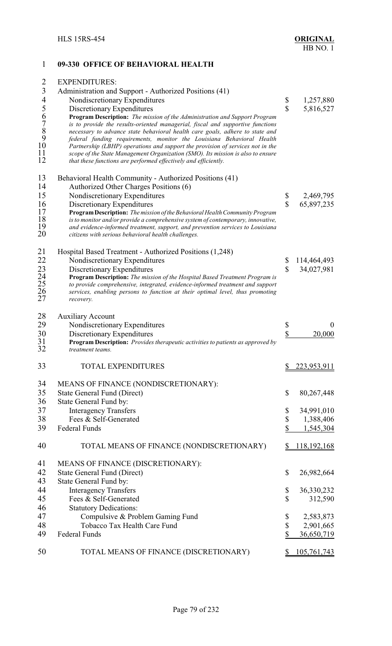## 1 **09-330 OFFICE OF BEHAVIORAL HEALTH** 2 EXPENDITURES: 3 Administration and Support - Authorized Positions (41)<br>4 Nondiscretionary Expenditures 4 Nondiscretionary Expenditures \$ 1,257,880<br>5 Discretionary Expenditures \$ 5,816,527 5 Discretionary Expenditures \$ 5,816,527<br>6 **Program Description:** *The mission of the Administration and Support Program*<br>7 *is to provide the results-oriented managerial, fiscal and supportive functions*<br>8 *necessary to a* 6 **Program Description:** *The mission of the Administration and Support Program* 7 *is to provide the results-oriented managerial, fiscal and supportive functions* 8 *necessary to advance state behavioral health care goals, adhere to state and* 9 *federal funding requirements, monitor the Louisiana Behavioral Health* 10 *Partnership (LBHP) operations and support the provision of services not in the* 11 *scope of the State Management Organization (SMO). Its mission is also to ensure* that these functions are performed effectively and efficiently. 13 Behavioral Health Community - Authorized Positions (41)<br>14 Authorized Other Charges Positions (6) 14 Authorized Other Charges Positions (6)<br>15 Nondiscretionary Expenditures Nondiscretionary Expenditures  $\qquad$   $\qquad$  2,469,795 16 Discretionary Expenditures <br>17 Program Description: *The mission of the Behavioral Health Community Program* 5 65,897,235 17 **ProgramDescription:** *The mission of the Behavioral HealthCommunity Program* 18 *is to monitor and/or provide a comprehensive system of contemporary, innovative,* 19 *and evidence-informed treatment, support, and prevention services to Louisiana*  $c$ itizens with serious behavioral health challenges. 21 Hospital Based Treatment - Authorized Positions (1,248) 22 Nondiscretionary Expenditures \$ 114,464,493<br>23 Discretionary Expenditures \$ 34,027,981 23 Discretionary Expenditures \$ 34,027,981<br>24 **Program Description:** *The mission of the Hospital Based Treatment Program is*<br>25 *to provide comprehensive, integrated, evidence-informed treatment and support* 24 **Program Description:** *The mission of the Hospital Based Treatment Program is* 25 *to provide comprehensive, integrated, evidence-informed treatment and support*<br>26 *services, enabling persons to function at their optimal level, thus promoting recovery.* 26 *services, enabling persons to function at their optimal level, thus promoting*  $recovery.$ 28 Auxiliary Account 29 Nondiscretionary Expenditures \$ 0 30 Discretionary Expenditures<br>31 **Program Description:** *Provides therapeutic activities to patients as approved by*  $\frac{\$ 20,000}{\$}$ 31 **Program Description:** *Provides therapeutic activities to patients as approved by* 32 *treatment teams.* 33 TOTAL EXPENDITURES \$ 223,953,911 34 MEANS OF FINANCE (NONDISCRETIONARY):<br>35 State General Fund (Direct) State General Fund (Direct)  $$80,267,448$ 36 State General Fund by: 37 Interagency Transfers \$ 34,991,010 38 Fees & Self-Generated \$ 1,388,406<br>39 Federal Funds \$ 1,545.304 39 Federal Funds \$ 1,545,304 40 TOTAL MEANS OF FINANCE (NONDISCRETIONARY) \$ 118,192,168 41 MEANS OF FINANCE (DISCRETIONARY):<br>42 State General Fund (Direct) 42 State General Fund (Direct) \$ 26,982,664<br>43 State General Fund by: 43 State General Fund by:<br>44 Interagency Transfe Interagency Transfers \$ 36,330,232 45 Fees & Self-Generated \$ 312,590 46 Statutory Dedications: 47 Compulsive & Problem Gaming Fund \$ 2,583,873 48 Tobacco Tax Health Care Fund \$ 2,901,665 49 Federal Funds \$ 36,650,719

50 TOTAL MEANS OF FINANCE (DISCRETIONARY) \$ 105,761,743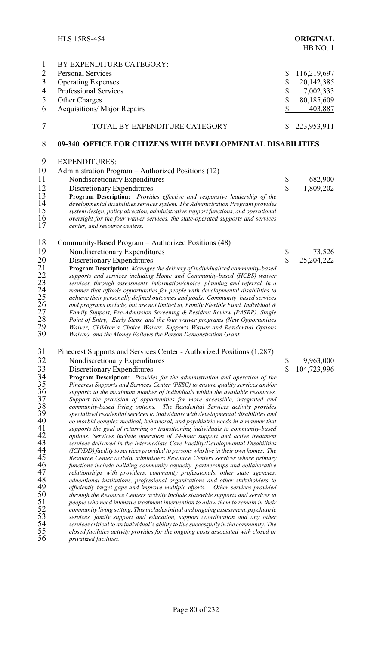|                                        | <b>HLS 15RS-454</b>                                                                                                                                                      |                         | <b>ORIGINAL</b><br>HB NO. 1 |  |
|----------------------------------------|--------------------------------------------------------------------------------------------------------------------------------------------------------------------------|-------------------------|-----------------------------|--|
| $\mathbf{1}$                           | BY EXPENDITURE CATEGORY:                                                                                                                                                 |                         |                             |  |
| $\overline{c}$                         | <b>Personal Services</b>                                                                                                                                                 | \$                      | 116,219,697                 |  |
| $\overline{3}$                         | <b>Operating Expenses</b>                                                                                                                                                | \$                      | 20,142,385                  |  |
| $\overline{4}$                         | Professional Services                                                                                                                                                    | \$                      | 7,002,333                   |  |
| 5                                      | Other Charges                                                                                                                                                            | \$                      | 80,185,609                  |  |
| 6                                      |                                                                                                                                                                          | \$                      |                             |  |
|                                        | <b>Acquisitions/ Major Repairs</b>                                                                                                                                       |                         | 403,887                     |  |
| 7                                      | TOTAL BY EXPENDITURE CATEGORY                                                                                                                                            |                         | 223,953,911                 |  |
| 8                                      | 09-340 OFFICE FOR CITIZENS WITH DEVELOPMENTAL DISABILITIES                                                                                                               |                         |                             |  |
| 9                                      | <b>EXPENDITURES:</b>                                                                                                                                                     |                         |                             |  |
| 10                                     | Administration Program - Authorized Positions (12)                                                                                                                       |                         |                             |  |
| 11                                     | Nondiscretionary Expenditures                                                                                                                                            | \$                      | 682,900                     |  |
| 12                                     | Discretionary Expenditures                                                                                                                                               | $\mathbf{\hat{S}}$      | 1,809,202                   |  |
| 13                                     | Program Description: Provides effective and responsive leadership of the                                                                                                 |                         |                             |  |
| 14                                     | developmental disabilities services system. The Administration Program provides                                                                                          |                         |                             |  |
| 15                                     | system design, policy direction, administrative support functions, and operational                                                                                       |                         |                             |  |
| 16<br>17                               | oversight for the four waiver services, the state-operated supports and services<br>center, and resource centers.                                                        |                         |                             |  |
|                                        |                                                                                                                                                                          |                         |                             |  |
| 18                                     | Community-Based Program – Authorized Positions (48)                                                                                                                      |                         |                             |  |
| 19                                     | Nondiscretionary Expenditures                                                                                                                                            | \$                      | 73,526                      |  |
| 20                                     | Discretionary Expenditures                                                                                                                                               | $\overline{\mathbb{S}}$ | 25,204,222                  |  |
| 21<br>22<br>23<br>24<br>25<br>25<br>27 | Program Description: Manages the delivery of individualized community-based<br>supports and services including Home and Community-based (HCBS) waiver                    |                         |                             |  |
|                                        | services, through assessments, information/choice, planning and referral, in a                                                                                           |                         |                             |  |
|                                        | manner that affords opportunities for people with developmental disabilities to                                                                                          |                         |                             |  |
|                                        | achieve their personally defined outcomes and goals. Community-based services                                                                                            |                         |                             |  |
|                                        | and programs include, but are not limited to, Family Flexible Fund, Individual &                                                                                         |                         |                             |  |
| 28                                     | Family Support, Pre-Admission Screening & Resident Review (PASRR), Single                                                                                                |                         |                             |  |
| 29                                     | Point of Entry, Early Steps, and the four waiver programs (New Opportunities<br>Waiver, Children's Choice Waiver, Supports Waiver and Residential Options                |                         |                             |  |
| 30                                     | Waiver), and the Money Follows the Person Demonstration Grant.                                                                                                           |                         |                             |  |
| 31                                     | Pinecrest Supports and Services Center - Authorized Positions (1,287)                                                                                                    |                         |                             |  |
| 32                                     | Nondiscretionary Expenditures                                                                                                                                            | \$                      | 9,963,000                   |  |
| 33                                     | Discretionary Expenditures                                                                                                                                               | $\mathbf S$             | 104,723,996                 |  |
| 34                                     | Program Description: Provides for the administration and operation of the                                                                                                |                         |                             |  |
| 35                                     | Pinecrest Supports and Services Center (PSSC) to ensure quality services and/or                                                                                          |                         |                             |  |
| 36                                     | supports to the maximum number of individuals within the available resources.                                                                                            |                         |                             |  |
| $\frac{37}{38}$                        | Support the provision of opportunities for more accessible, integrated and<br>community-based living options. The Residential Services activity provides                 |                         |                             |  |
| 39                                     | specialized residential services to individuals with developmental disabilities and                                                                                      |                         |                             |  |
| 40                                     | co morbid complex medical, behavioral, and psychiatric needs in a manner that                                                                                            |                         |                             |  |
| 41                                     | supports the goal of returning or transitioning individuals to community-based                                                                                           |                         |                             |  |
| 42                                     | options. Services include operation of 24-hour support and active treatment                                                                                              |                         |                             |  |
| 43<br>44                               | services delivered in the Intermediate Care Facility/Developmental Disabilities                                                                                          |                         |                             |  |
| 45                                     | (ICF/DD) facility to services provided to persons who live in their own homes. The<br>Resource Center activity administers Resource Centers services whose primary       |                         |                             |  |
| 46                                     | functions include building community capacity, partnerships and collaborative                                                                                            |                         |                             |  |
| 47                                     | relationships with providers, community professionals, other state agencies,                                                                                             |                         |                             |  |
| 48                                     | educational institutions, professional organizations and other stakeholders to                                                                                           |                         |                             |  |
| 49                                     | efficiently target gaps and improve multiple efforts. Other services provided                                                                                            |                         |                             |  |
| 50                                     | through the Resource Centers activity include statewide supports and services to                                                                                         |                         |                             |  |
| $\frac{51}{52}$                        | people who need intensive treatment intervention to allow them to remain in their<br>community living setting. This includes initial and ongoing assessment, psychiatric |                         |                             |  |
| 53                                     | services, family support and education, support coordination and any other                                                                                               |                         |                             |  |
| 54                                     | services critical to an individual's ability to live successfully in the community. The                                                                                  |                         |                             |  |
| 55                                     | closed facilities activity provides for the ongoing costs associated with closed or                                                                                      |                         |                             |  |
| 56                                     | privatized facilities.                                                                                                                                                   |                         |                             |  |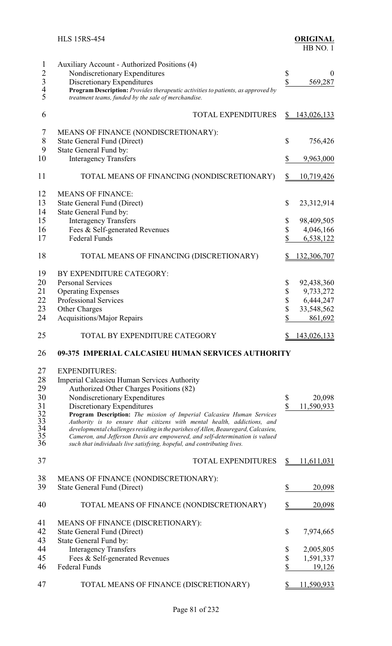|                                                                   | <b>HLS 15RS-454</b>                                                                                                                                                                                                                                                                                                       |               | <b>ORIGINAL</b><br>HB NO.1 |
|-------------------------------------------------------------------|---------------------------------------------------------------------------------------------------------------------------------------------------------------------------------------------------------------------------------------------------------------------------------------------------------------------------|---------------|----------------------------|
| $\mathbf{1}$<br>$\begin{array}{c}\n2 \\ 3 \\ 4 \\ 5\n\end{array}$ | Auxiliary Account - Authorized Positions (4)<br>Nondiscretionary Expenditures<br>Discretionary Expenditures<br>Program Description: Provides therapeutic activities to patients, as approved by<br>treatment teams, funded by the sale of merchandise.                                                                    | \$<br>\$      | $\theta$<br>569,287        |
| 6                                                                 | <b>TOTAL EXPENDITURES</b>                                                                                                                                                                                                                                                                                                 | <u>\$</u>     | <u>143,026,133</u>         |
| 7<br>8<br>9                                                       | MEANS OF FINANCE (NONDISCRETIONARY):<br>State General Fund (Direct)<br>State General Fund by:                                                                                                                                                                                                                             | \$            | 756,426                    |
| 10                                                                | <b>Interagency Transfers</b>                                                                                                                                                                                                                                                                                              | \$            | 9,963,000                  |
| 11                                                                | TOTAL MEANS OF FINANCING (NONDISCRETIONARY)                                                                                                                                                                                                                                                                               | $\frac{1}{2}$ | 10,719,426                 |
| 12<br>13<br>14<br>15                                              | <b>MEANS OF FINANCE:</b><br><b>State General Fund (Direct)</b><br>State General Fund by:<br><b>Interagency Transfers</b>                                                                                                                                                                                                  | \$<br>\$      | 23,312,914<br>98,409,505   |
| 16                                                                | Fees & Self-generated Revenues                                                                                                                                                                                                                                                                                            | \$            | 4,046,166                  |
| 17                                                                | <b>Federal Funds</b>                                                                                                                                                                                                                                                                                                      | \$            | 6,538,122                  |
| 18                                                                | TOTAL MEANS OF FINANCING (DISCRETIONARY)                                                                                                                                                                                                                                                                                  | \$            | 132,306,707                |
| 19                                                                | BY EXPENDITURE CATEGORY:                                                                                                                                                                                                                                                                                                  |               |                            |
| 20                                                                | <b>Personal Services</b>                                                                                                                                                                                                                                                                                                  | \$            | 92,438,360                 |
| 21                                                                | <b>Operating Expenses</b>                                                                                                                                                                                                                                                                                                 | \$            | 9,733,272                  |
| 22                                                                | Professional Services                                                                                                                                                                                                                                                                                                     | \$            | 6,444,247                  |
| 23                                                                | Other Charges                                                                                                                                                                                                                                                                                                             | \$            | 33,548,562                 |
| 24                                                                | Acquisitions/Major Repairs                                                                                                                                                                                                                                                                                                | J             | 861,692                    |
| 25                                                                | TOTAL BY EXPENDITURE CATEGORY                                                                                                                                                                                                                                                                                             |               | <u>143,026,133</u>         |
| 26                                                                | 09-375 IMPERIAL CALCASIEU HUMAN SERVICES AUTHORITY                                                                                                                                                                                                                                                                        |               |                            |
| 27                                                                | <b>EXPENDITURES:</b>                                                                                                                                                                                                                                                                                                      |               |                            |
| 28                                                                | Imperial Calcasieu Human Services Authority                                                                                                                                                                                                                                                                               |               |                            |
| 29                                                                | Authorized Other Charges Positions (82)                                                                                                                                                                                                                                                                                   |               |                            |
| 30                                                                | Nondiscretionary Expenditures                                                                                                                                                                                                                                                                                             | \$            | 20,098                     |
| 31                                                                | Discretionary Expenditures<br>Program Description: The mission of Imperial Calcasieu Human Services                                                                                                                                                                                                                       | \$            | 11,590,933                 |
| $\frac{32}{33}$<br>34<br>35<br>36                                 | Authority is to ensure that citizens with mental health, addictions, and<br>developmental challenges residing in the parishes of Allen, Beauregard, Calcasieu,<br>Cameron, and Jefferson Davis are empowered, and self-determination is valued<br>such that individuals live satisfying, hopeful, and contributing lives. |               |                            |
| 37                                                                | <b>TOTAL EXPENDITURES</b>                                                                                                                                                                                                                                                                                                 | \$            | <u>11,611,031</u>          |
| 38<br>39                                                          | MEANS OF FINANCE (NONDISCRETIONARY):<br>State General Fund (Direct)                                                                                                                                                                                                                                                       | \$            | 20,098                     |
| 40                                                                | TOTAL MEANS OF FINANCE (NONDISCRETIONARY)                                                                                                                                                                                                                                                                                 | \$            | 20,098                     |
| 41                                                                | MEANS OF FINANCE (DISCRETIONARY):                                                                                                                                                                                                                                                                                         |               |                            |
| 42                                                                | State General Fund (Direct)                                                                                                                                                                                                                                                                                               | \$            | 7,974,665                  |
| 43                                                                | State General Fund by:                                                                                                                                                                                                                                                                                                    |               |                            |
| 44                                                                | <b>Interagency Transfers</b>                                                                                                                                                                                                                                                                                              | \$            | 2,005,805                  |
| 45                                                                | Fees & Self-generated Revenues                                                                                                                                                                                                                                                                                            | \$            | 1,591,337                  |
| 46                                                                | <b>Federal Funds</b>                                                                                                                                                                                                                                                                                                      | \$            | 19,126                     |
| 47                                                                | TOTAL MEANS OF FINANCE (DISCRETIONARY)                                                                                                                                                                                                                                                                                    | S             | 11,590,933                 |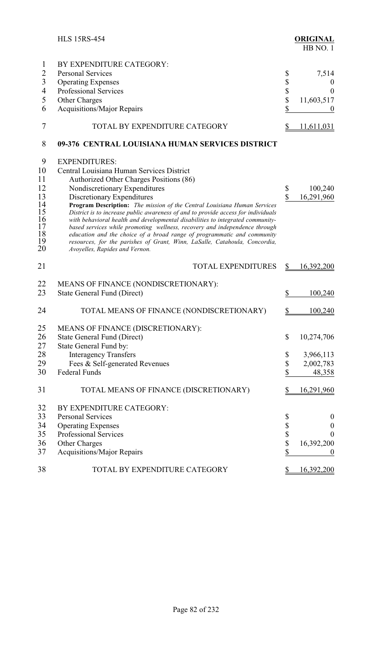|                | <b>HLS 15RS-454</b>                                                                                                                                   |          | <b>ORIGINAL</b><br>HB NO.1 |
|----------------|-------------------------------------------------------------------------------------------------------------------------------------------------------|----------|----------------------------|
| 1              | BY EXPENDITURE CATEGORY:                                                                                                                              |          |                            |
| $\overline{2}$ | <b>Personal Services</b>                                                                                                                              | \$       | 7,514                      |
| 3              | <b>Operating Expenses</b>                                                                                                                             | \$       | U                          |
| $\overline{4}$ | <b>Professional Services</b>                                                                                                                          |          | $\theta$                   |
| 5              | Other Charges                                                                                                                                         | \$<br>\$ | 11,603,517                 |
| 6              | <b>Acquisitions/Major Repairs</b>                                                                                                                     | \$       | $\boldsymbol{0}$           |
| 7              | TOTAL BY EXPENDITURE CATEGORY                                                                                                                         | S        | 11,611,031                 |
| 8              | 09-376 CENTRAL LOUISIANA HUMAN SERVICES DISTRICT                                                                                                      |          |                            |
| 9              | <b>EXPENDITURES:</b>                                                                                                                                  |          |                            |
| 10             | Central Louisiana Human Services District                                                                                                             |          |                            |
| 11             | Authorized Other Charges Positions (86)                                                                                                               |          |                            |
| 12             | Nondiscretionary Expenditures                                                                                                                         | \$       | 100,240                    |
| 13             | Discretionary Expenditures                                                                                                                            | \$       | 16,291,960                 |
| 14             | Program Description: The mission of the Central Louisiana Human Services                                                                              |          |                            |
| 15             | District is to increase public awareness of and to provide access for individuals                                                                     |          |                            |
| 16<br>17       | with behavioral health and developmental disabilities to integrated community-                                                                        |          |                            |
| 18             | based services while promoting wellness, recovery and independence through<br>education and the choice of a broad range of programmatic and community |          |                            |
| 19             | resources, for the parishes of Grant, Winn, LaSalle, Catahoula, Concordia,                                                                            |          |                            |
| 20             | Avoyelles, Rapides and Vernon.                                                                                                                        |          |                            |
| 21             | <b>TOTAL EXPENDITURES</b>                                                                                                                             | \$       | 16,392,200                 |
| 22             | MEANS OF FINANCE (NONDISCRETIONARY):                                                                                                                  |          |                            |
| 23             | State General Fund (Direct)                                                                                                                           | \$       | 100,240                    |
| 24             | TOTAL MEANS OF FINANCE (NONDISCRETIONARY)                                                                                                             | \$       | 100,240                    |
| 25             | MEANS OF FINANCE (DISCRETIONARY):                                                                                                                     |          |                            |
| 26             | State General Fund (Direct)                                                                                                                           | \$       | 10,274,706                 |
| 27             | State General Fund by:                                                                                                                                |          |                            |
| 28             | <b>Interagency Transfers</b>                                                                                                                          | \$       | 3,966,113                  |
| 29             | Fees & Self-generated Revenues                                                                                                                        | \$       | 2,002,783                  |
| 30             | Federal Funds                                                                                                                                         | \$       | 48,358                     |
|                |                                                                                                                                                       |          |                            |
| 31             | TOTAL MEANS OF FINANCE (DISCRETIONARY)                                                                                                                | \$       | 16,291,960                 |
| 32             | BY EXPENDITURE CATEGORY:                                                                                                                              |          |                            |
| 33             | <b>Personal Services</b>                                                                                                                              | \$       | $\boldsymbol{0}$           |
| 34             | <b>Operating Expenses</b>                                                                                                                             |          | $\boldsymbol{0}$           |
| 35             | Professional Services                                                                                                                                 | \$<br>\$ | $\theta$                   |
| 36             | Other Charges                                                                                                                                         |          | 16,392,200                 |
| 37             | <b>Acquisitions/Major Repairs</b>                                                                                                                     | \$       | $\boldsymbol{0}$           |
| 38             | TOTAL BY EXPENDITURE CATEGORY                                                                                                                         | S        | <u>16,392,200</u>          |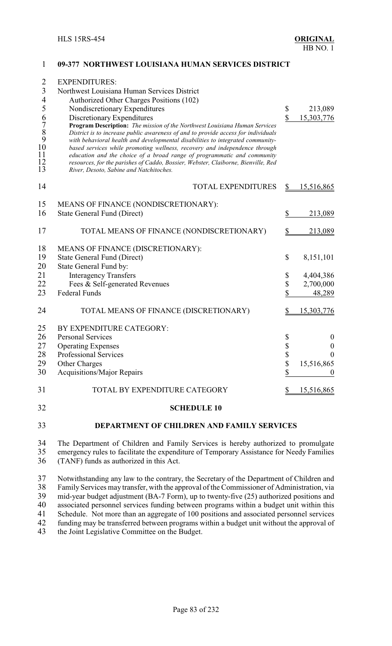| $\overline{2}$<br>$\mathfrak{Z}$                                        | <b>EXPENDITURES:</b><br>Northwest Louisiana Human Services District                                                                                                                                                                                                                                                                                                                                                                                                                                                                                                      |          |                     |
|-------------------------------------------------------------------------|--------------------------------------------------------------------------------------------------------------------------------------------------------------------------------------------------------------------------------------------------------------------------------------------------------------------------------------------------------------------------------------------------------------------------------------------------------------------------------------------------------------------------------------------------------------------------|----------|---------------------|
| $\overline{4}$                                                          | Authorized Other Charges Positions (102)                                                                                                                                                                                                                                                                                                                                                                                                                                                                                                                                 |          |                     |
| 5                                                                       | Nondiscretionary Expenditures                                                                                                                                                                                                                                                                                                                                                                                                                                                                                                                                            | \$       | 213,089             |
| $\begin{array}{c} 6 \\ 7 \\ 8 \\ 9 \\ 10 \end{array}$<br>11<br>12<br>13 | Discretionary Expenditures<br>Program Description: The mission of the Northwest Louisiana Human Services<br>District is to increase public awareness of and to provide access for individuals<br>with behavioral health and developmental disabilities to integrated community-<br>based services while promoting wellness, recovery and independence through<br>education and the choice of a broad range of programmatic and community<br>resources, for the parishes of Caddo, Bossier, Webster, Claiborne, Bienville, Red<br>River, Desoto, Sabine and Natchitoches. | \$       | 15,303,776          |
| 14                                                                      | <b>TOTAL EXPENDITURES</b>                                                                                                                                                                                                                                                                                                                                                                                                                                                                                                                                                | \$       | 15,516,865          |
| 15                                                                      | MEANS OF FINANCE (NONDISCRETIONARY):                                                                                                                                                                                                                                                                                                                                                                                                                                                                                                                                     |          |                     |
| 16                                                                      | <b>State General Fund (Direct)</b>                                                                                                                                                                                                                                                                                                                                                                                                                                                                                                                                       | \$       | 213,089             |
| 17                                                                      | TOTAL MEANS OF FINANCE (NONDISCRETIONARY)                                                                                                                                                                                                                                                                                                                                                                                                                                                                                                                                |          | 213,089             |
| 18                                                                      | MEANS OF FINANCE (DISCRETIONARY):                                                                                                                                                                                                                                                                                                                                                                                                                                                                                                                                        |          |                     |
| 19                                                                      | <b>State General Fund (Direct)</b>                                                                                                                                                                                                                                                                                                                                                                                                                                                                                                                                       | \$       | 8,151,101           |
| 20                                                                      | State General Fund by:                                                                                                                                                                                                                                                                                                                                                                                                                                                                                                                                                   |          |                     |
| 21                                                                      | <b>Interagency Transfers</b>                                                                                                                                                                                                                                                                                                                                                                                                                                                                                                                                             | \$       | 4,404,386           |
| 22<br>23                                                                | Fees & Self-generated Revenues<br><b>Federal Funds</b>                                                                                                                                                                                                                                                                                                                                                                                                                                                                                                                   | \$<br>\$ | 2,700,000<br>48,289 |
|                                                                         |                                                                                                                                                                                                                                                                                                                                                                                                                                                                                                                                                                          |          |                     |
| 24                                                                      | TOTAL MEANS OF FINANCE (DISCRETIONARY)                                                                                                                                                                                                                                                                                                                                                                                                                                                                                                                                   |          | <u>15,303,776</u>   |
| 25                                                                      | BY EXPENDITURE CATEGORY:                                                                                                                                                                                                                                                                                                                                                                                                                                                                                                                                                 |          |                     |
| 26                                                                      | <b>Personal Services</b>                                                                                                                                                                                                                                                                                                                                                                                                                                                                                                                                                 | \$       | $\boldsymbol{0}$    |
| 27                                                                      | <b>Operating Expenses</b>                                                                                                                                                                                                                                                                                                                                                                                                                                                                                                                                                | \$       | $\boldsymbol{0}$    |
| 28                                                                      | <b>Professional Services</b>                                                                                                                                                                                                                                                                                                                                                                                                                                                                                                                                             | \$       | $\overline{0}$      |
| 29<br>30                                                                | Other Charges<br><b>Acquisitions/Major Repairs</b>                                                                                                                                                                                                                                                                                                                                                                                                                                                                                                                       | \$<br>\$ | 15,516,865          |
|                                                                         |                                                                                                                                                                                                                                                                                                                                                                                                                                                                                                                                                                          |          |                     |
| 31                                                                      | TOTAL BY EXPENDITURE CATEGORY                                                                                                                                                                                                                                                                                                                                                                                                                                                                                                                                            | \$       | 15,516,865          |
| 32                                                                      | <b>SCHEDULE 10</b>                                                                                                                                                                                                                                                                                                                                                                                                                                                                                                                                                       |          |                     |
| 33                                                                      | DEPARTMENT OF CHILDREN AND FAMILY SERVICES                                                                                                                                                                                                                                                                                                                                                                                                                                                                                                                               |          |                     |

**09-377 NORTHWEST LOUISIANA HUMAN SERVICES DISTRICT**

34 The Department of Children and Family Services is hereby authorized to promulgate emergency rules to facilitate the expenditure of Temporary Assistance for Needy Families 35 emergency rules to facilitate the expenditure of Temporary Assistance for Needy Families<br>36 (TANF) funds as authorized in this Act. (TANF) funds as authorized in this Act.

37 Notwithstanding any law to the contrary, the Secretary of the Department of Children and<br>38 Family Services may transfer, with the approval of the Commissioner of Administration, via 38 Family Services may transfer, with the approval of the Commissioner of Administration, via<br>39 mid-vear budget adjustment (BA-7 Form), up to twenty-five (25) authorized positions and 39 mid-year budget adjustment (BA-7 Form), up to twenty-five (25) authorized positions and<br>40 associated personnel services funding between programs within a budget unit within this 40 associated personnel services funding between programs within a budget unit within this <br>41 Schedule. Not more than an aggregate of 100 positions and associated personnel services 41 Schedule. Not more than an aggregate of 100 positions and associated personnel services<br>42 funding may be transferred between programs within a budget unit without the approval of 42 funding may be transferred between programs within a budget unit without the approval of the Joint Legislative Committee on the Budget. the Joint Legislative Committee on the Budget.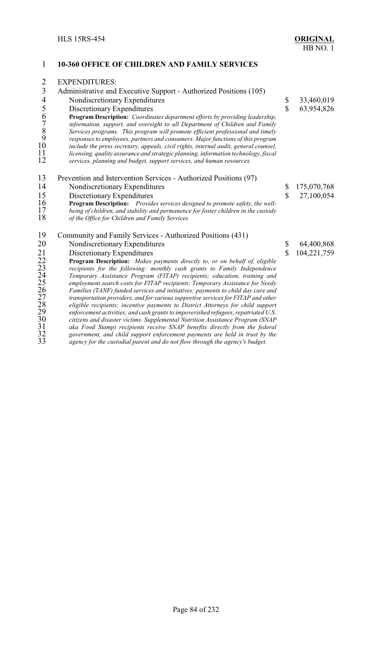| $\mathbf{1}$            | <b>10-360 OFFICE OF CHILDREN AND FAMILY SERVICES</b>                                                                                                                                                                                                                                                                                                                                                                                                                                                                                                                                             |              |             |
|-------------------------|--------------------------------------------------------------------------------------------------------------------------------------------------------------------------------------------------------------------------------------------------------------------------------------------------------------------------------------------------------------------------------------------------------------------------------------------------------------------------------------------------------------------------------------------------------------------------------------------------|--------------|-------------|
| $\overline{2}$          | <b>EXPENDITURES:</b>                                                                                                                                                                                                                                                                                                                                                                                                                                                                                                                                                                             |              |             |
| $\overline{3}$          | Administrative and Executive Support - Authorized Positions (105)                                                                                                                                                                                                                                                                                                                                                                                                                                                                                                                                |              |             |
| $\overline{4}$          | Nondiscretionary Expenditures                                                                                                                                                                                                                                                                                                                                                                                                                                                                                                                                                                    | \$           | 33,460,019  |
|                         | Discretionary Expenditures                                                                                                                                                                                                                                                                                                                                                                                                                                                                                                                                                                       | $\mathbf S$  | 63,954,826  |
| 56789<br>10<br>11<br>12 | <b>Program Description:</b> Coordinates department efforts by providing leadership,<br>information, support, and oversight to all Department of Children and Family<br>Services programs. This program will promote efficient professional and timely<br>responses to employees, partners and consumers. Major functions of this program<br>include the press secretary, appeals, civil rights, internal audit, general counsel,<br>licensing, quality assurance and strategic planning, information technology, fiscal<br>services, planning and budget, support services, and human resources. |              |             |
| 13                      | Prevention and Intervention Services - Authorized Positions (97)                                                                                                                                                                                                                                                                                                                                                                                                                                                                                                                                 |              |             |
| 14                      | Nondiscretionary Expenditures                                                                                                                                                                                                                                                                                                                                                                                                                                                                                                                                                                    | \$           | 175,070,768 |
| 15                      | Discretionary Expenditures                                                                                                                                                                                                                                                                                                                                                                                                                                                                                                                                                                       | $\mathbb{S}$ | 27,100,054  |
| 16<br>17<br>18          | <b>Program Description:</b> Provides services designed to promote safety, the well-<br>being of children, and stability and permanence for foster children in the custody<br>of the Office for Children and Family Services                                                                                                                                                                                                                                                                                                                                                                      |              |             |
| 19                      | Community and Family Services - Authorized Positions (431)                                                                                                                                                                                                                                                                                                                                                                                                                                                                                                                                       |              |             |
| 20                      | Nondiscretionary Expenditures                                                                                                                                                                                                                                                                                                                                                                                                                                                                                                                                                                    | \$           | 64,400,868  |
| 21                      | Discretionary Expenditures                                                                                                                                                                                                                                                                                                                                                                                                                                                                                                                                                                       | $\mathbf S$  | 104,221,759 |
| 22                      | Program Description: Makes payments directly to, or on behalf of, eligible                                                                                                                                                                                                                                                                                                                                                                                                                                                                                                                       |              |             |
| 23<br>24                | recipients for the following: monthly cash grants to Family Independence                                                                                                                                                                                                                                                                                                                                                                                                                                                                                                                         |              |             |
| 25                      | Temporary Assistance Program (FITAP) recipients; education, training and<br>employment search costs for FITAP recipients; Temporary Assistance for Needy                                                                                                                                                                                                                                                                                                                                                                                                                                         |              |             |
| 26                      | Families (TANF) funded services and initiatives; payments to child day care and                                                                                                                                                                                                                                                                                                                                                                                                                                                                                                                  |              |             |
| 27                      | transportation providers, and for various supportive services for FITAP and other                                                                                                                                                                                                                                                                                                                                                                                                                                                                                                                |              |             |
| 28                      | eligible recipients; incentive payments to District Attorneys for child support                                                                                                                                                                                                                                                                                                                                                                                                                                                                                                                  |              |             |
| 29<br>30                | enforcement activities; and cash grants to impoverished refugees, repatriated U.S.<br>citizens and disaster victims. Supplemental Nutrition Assistance Program (SNAP                                                                                                                                                                                                                                                                                                                                                                                                                             |              |             |
| 31                      | aka Food Stamp) recipients receive SNAP benefits directly from the federal                                                                                                                                                                                                                                                                                                                                                                                                                                                                                                                       |              |             |
| 32                      | government, and child support enforcement payments are held in trust by the                                                                                                                                                                                                                                                                                                                                                                                                                                                                                                                      |              |             |

*agency for the custodial parent and do not flow through the agency's budget.*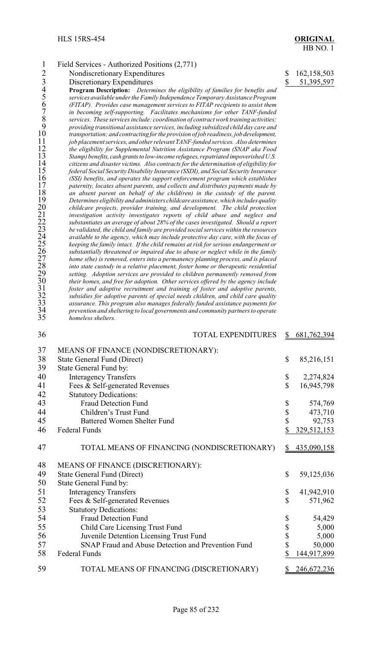| $\mathbf{1}$    | Field Services - Authorized Positions (2,771)                                                                                                                                |                          |               |
|-----------------|------------------------------------------------------------------------------------------------------------------------------------------------------------------------------|--------------------------|---------------|
| $\overline{2}$  | Nondiscretionary Expenditures                                                                                                                                                | \$                       | 162,158,503   |
|                 | Discretionary Expenditures                                                                                                                                                   | $\overline{\mathcal{L}}$ | 51,395,597    |
| 34567890        | Program Description: Determines the eligibility of families for benefits and                                                                                                 |                          |               |
|                 | services available under the Family Independence Temporary Assistance Program                                                                                                |                          |               |
|                 | (FITAP). Provides case management services to FITAP recipients to assist them                                                                                                |                          |               |
|                 | in becoming self-supporting. Facilitates mechanisms for other TANF-funded                                                                                                    |                          |               |
|                 | services. These services include: coordination of contract work training activities;                                                                                         |                          |               |
|                 | providing transitional assistance services, including subsidized child day care and                                                                                          |                          |               |
|                 | transportation; and contracting for the provision of job readiness, job development,                                                                                         |                          |               |
| 11<br>12        | job placement services, and other relevant TANF-funded services. Also determines                                                                                             |                          |               |
| 13              | the eligibility for Supplemental Nutrition Assistance Program (SNAP aka Food                                                                                                 |                          |               |
| 14              | Stamp) benefits, cash grants to low-income refugees, repatriated impoverished U.S.<br>citizens and disaster victims. Also contracts for the determination of eligibility for |                          |               |
| 15              | federal Social Security Disability Insurance (SSDI), and Social Security Insurance                                                                                           |                          |               |
| 16              | (SSI) benefits, and operates the support enforcement program which establishes                                                                                               |                          |               |
| 17              | paternity, locates absent parents, and collects and distributes payments made by                                                                                             |                          |               |
| 18              | an absent parent on behalf of the child(ren) in the custody of the parent.                                                                                                   |                          |               |
| 19              | Determines eligibility and administers childcare assistance, which includes quality                                                                                          |                          |               |
| 20              | childcare projects, provider training, and development. The child protection                                                                                                 |                          |               |
| 21              | investigation activity investigates reports of child abuse and neglect and                                                                                                   |                          |               |
| $\frac{22}{23}$ | substantiates an average of about 28% of the cases investigated. Should a report                                                                                             |                          |               |
|                 | be validated, the child and family are provided social services within the resources                                                                                         |                          |               |
| 24              | available to the agency, which may include protective day care, with the focus of                                                                                            |                          |               |
| 25              | keeping the family intact. If the child remains at risk for serious endangerment or                                                                                          |                          |               |
| 26              | substantially threatened or impaired due to abuse or neglect while in the family                                                                                             |                          |               |
| 27<br>28        | home s(he) is removed, enters into a permanency planning process, and is placed                                                                                              |                          |               |
| 29              | into state custody in a relative placement, foster home or therapeutic residential                                                                                           |                          |               |
| 30              | setting. Adoption services are provided to children permanently removed from<br>their homes, and free for adoption. Other services offered by the agency include             |                          |               |
|                 | foster and adoptive recruitment and training of foster and adoptive parents,                                                                                                 |                          |               |
| $\frac{31}{32}$ | subsidies for adoptive parents of special needs children, and child care quality                                                                                             |                          |               |
| 33              | assurance. This program also manages federally funded assistance payments for                                                                                                |                          |               |
| 34              | prevention and sheltering to local governments and community partners to operate                                                                                             |                          |               |
| 35              | homeless shelters.                                                                                                                                                           |                          |               |
| 36              | <b>TOTAL EXPENDITURES</b>                                                                                                                                                    | \$                       | 681,762,394   |
|                 |                                                                                                                                                                              |                          |               |
| 37              | MEANS OF FINANCE (NONDISCRETIONARY):                                                                                                                                         |                          |               |
| 38              | <b>State General Fund (Direct)</b>                                                                                                                                           | \$                       | 85,216,151    |
| 39              | State General Fund by:                                                                                                                                                       |                          |               |
| 40              |                                                                                                                                                                              |                          | 2,274,824     |
|                 | <b>Interagency Transfers</b>                                                                                                                                                 | \$                       |               |
| 41              | Fees & Self-generated Revenues                                                                                                                                               | \$                       | 16,945,798    |
| 42              | <b>Statutory Dedications:</b>                                                                                                                                                |                          |               |
| 43              | <b>Fraud Detection Fund</b>                                                                                                                                                  | \$                       | 574,769       |
| 44              | Children's Trust Fund                                                                                                                                                        | \$                       | 473,710       |
| 45              | <b>Battered Women Shelter Fund</b>                                                                                                                                           | \$                       | 92,753        |
| 46              | Federal Funds                                                                                                                                                                | \$                       | 329, 512, 153 |
|                 |                                                                                                                                                                              |                          |               |
| 47              | TOTAL MEANS OF FINANCING (NONDISCRETIONARY)                                                                                                                                  | $\mathbb{S}$             | 435,090,158   |
| 48              | MEANS OF FINANCE (DISCRETIONARY):                                                                                                                                            |                          |               |
| 49              |                                                                                                                                                                              | \$                       |               |
|                 | State General Fund (Direct)                                                                                                                                                  |                          | 59,125,036    |
| 50              | State General Fund by:                                                                                                                                                       |                          |               |
| 51              | <b>Interagency Transfers</b>                                                                                                                                                 | \$                       | 41,942,910    |
| 52              | Fees & Self-generated Revenues                                                                                                                                               | $\mathbb S$              | 571,962       |
| 53              | <b>Statutory Dedications:</b>                                                                                                                                                |                          |               |
| 54              | Fraud Detection Fund                                                                                                                                                         | \$                       | 54,429        |
| 55              | Child Care Licensing Trust Fund                                                                                                                                              | \$                       | 5,000         |
| 56              | Juvenile Detention Licensing Trust Fund                                                                                                                                      | \$                       | 5,000         |
| 57              | SNAP Fraud and Abuse Detection and Prevention Fund                                                                                                                           | \$                       | 50,000        |
|                 |                                                                                                                                                                              |                          |               |
| 58              | Federal Funds                                                                                                                                                                | \$                       | 144,917,899   |
| 59              | TOTAL MEANS OF FINANCING (DISCRETIONARY)                                                                                                                                     |                          | 246,672,236   |
|                 |                                                                                                                                                                              |                          |               |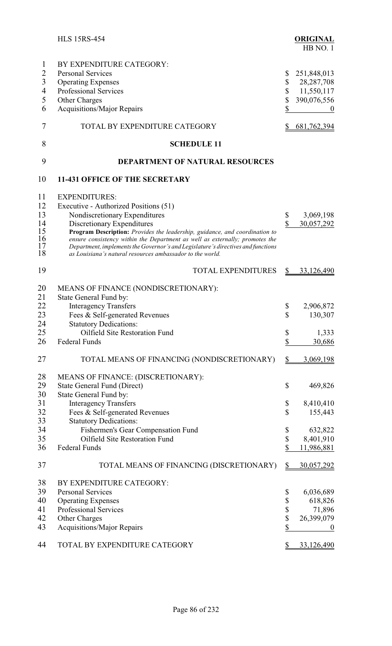|                                                                   | <b>HLS 15RS-454</b>                                                                                                                                                                                                                                                                                                                                                                                                                          |                                                                          | <b>ORIGINAL</b><br>HB NO.1                                                    |
|-------------------------------------------------------------------|----------------------------------------------------------------------------------------------------------------------------------------------------------------------------------------------------------------------------------------------------------------------------------------------------------------------------------------------------------------------------------------------------------------------------------------------|--------------------------------------------------------------------------|-------------------------------------------------------------------------------|
| 1<br>$\overline{2}$<br>$\mathfrak{Z}$<br>$\overline{4}$<br>5<br>6 | BY EXPENDITURE CATEGORY:<br><b>Personal Services</b><br><b>Operating Expenses</b><br><b>Professional Services</b><br>Other Charges<br>Acquisitions/Major Repairs                                                                                                                                                                                                                                                                             | \$<br>\$<br>$\boldsymbol{\mathsf{S}}$<br>$\boldsymbol{\mathbb{S}}$<br>\$ | 251,848,013<br>28, 287, 708<br>11,550,117<br>390,076,556<br>$\boldsymbol{0}$  |
| 7                                                                 | TOTAL BY EXPENDITURE CATEGORY                                                                                                                                                                                                                                                                                                                                                                                                                | \$                                                                       | <u>681,762,394</u>                                                            |
| 8                                                                 | <b>SCHEDULE 11</b>                                                                                                                                                                                                                                                                                                                                                                                                                           |                                                                          |                                                                               |
| 9                                                                 | <b>DEPARTMENT OF NATURAL RESOURCES</b>                                                                                                                                                                                                                                                                                                                                                                                                       |                                                                          |                                                                               |
| 10                                                                | <b>11-431 OFFICE OF THE SECRETARY</b>                                                                                                                                                                                                                                                                                                                                                                                                        |                                                                          |                                                                               |
| 11<br>12<br>13<br>14<br>15<br>16<br>17<br>18                      | <b>EXPENDITURES:</b><br>Executive - Authorized Positions (51)<br>Nondiscretionary Expenditures<br>Discretionary Expenditures<br>Program Description: Provides the leadership, guidance, and coordination to<br>ensure consistency within the Department as well as externally; promotes the<br>Department, implements the Governor's and Legislature's directives and functions<br>as Louisiana's natural resources ambassador to the world. | \$<br>$\mathbf S$                                                        | 3,069,198<br>30,057,292                                                       |
| 19                                                                | <b>TOTAL EXPENDITURES</b>                                                                                                                                                                                                                                                                                                                                                                                                                    | $\frac{1}{2}$                                                            | 33,126,490                                                                    |
| 20<br>21                                                          | MEANS OF FINANCE (NONDISCRETIONARY):<br>State General Fund by:                                                                                                                                                                                                                                                                                                                                                                               |                                                                          |                                                                               |
| 22<br>23<br>24<br>25                                              | <b>Interagency Transfers</b><br>Fees & Self-generated Revenues<br><b>Statutory Dedications:</b><br>Oilfield Site Restoration Fund                                                                                                                                                                                                                                                                                                            | \$<br>$\mathcal{S}$<br>\$                                                | 2,906,872<br>130,307<br>1,333                                                 |
| 26                                                                | Federal Funds                                                                                                                                                                                                                                                                                                                                                                                                                                | $\overline{\mathcal{L}}$                                                 | 30,686                                                                        |
| 27                                                                | TOTAL MEANS OF FINANCING (NONDISCRETIONARY)                                                                                                                                                                                                                                                                                                                                                                                                  | $\mathcal{S}$                                                            | 3,069,198                                                                     |
| 28<br>29<br>30<br>31<br>32                                        | MEANS OF FINANCE: (DISCRETIONARY):<br><b>State General Fund (Direct)</b><br>State General Fund by:<br><b>Interagency Transfers</b><br>Fees & Self-generated Revenues                                                                                                                                                                                                                                                                         | \$<br>\$<br>\$                                                           | 469,826<br>8,410,410<br>155,443                                               |
| 33<br>34<br>35<br>36                                              | <b>Statutory Dedications:</b><br>Fishermen's Gear Compensation Fund<br>Oilfield Site Restoration Fund<br>Federal Funds                                                                                                                                                                                                                                                                                                                       | \$<br>$\boldsymbol{\mathsf{S}}$<br>\$                                    | 632,822<br>8,401,910<br>11,986,881                                            |
| 37                                                                | TOTAL MEANS OF FINANCING (DISCRETIONARY)                                                                                                                                                                                                                                                                                                                                                                                                     | $\frac{S}{2}$                                                            | 30,057,292                                                                    |
| 38<br>39<br>40<br>41<br>42<br>43<br>44                            | BY EXPENDITURE CATEGORY:<br><b>Personal Services</b><br><b>Operating Expenses</b><br>Professional Services<br>Other Charges<br><b>Acquisitions/Major Repairs</b><br>TOTAL BY EXPENDITURE CATEGORY                                                                                                                                                                                                                                            | \$<br>\$<br>\$<br>\$<br>\$<br>\$                                         | 6,036,689<br>618,826<br>71,896<br>26,399,079<br>$\bf{0}$<br><u>33,126,490</u> |
|                                                                   |                                                                                                                                                                                                                                                                                                                                                                                                                                              |                                                                          |                                                                               |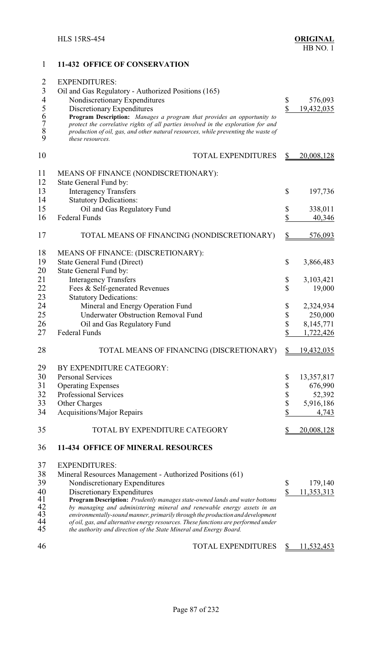1 **11-432 OFFICE OF CONSERVATION**

## 2 EXPENDITURES: 3 Oil and Gas Regulatory - Authorized Positions (165)<br>4 Nondiscretionary Expenditures 4 Nondiscretionary Expenditures \$ 576,093<br>5 Discretionary Expenditures \$ 19,432,035 5 Discretionary Expenditures <br> **6** Program Description: Manages a program that provides an opportunity to<br> *7* protect the correlative rights of all parties involved in the exploration for and<br>
8 production of oil, gas, an 6 **Program Description:** *Manages a program that provides an opportunity to* 7 *protect the correlative rights of all parties involved in the exploration for and* 8 *production of oil, gas, and other natural resources, while preventing the waste of* 9 *these resources.* 10 TOTAL EXPENDITURES \$ 20,008,128 11 MEANS OF FINANCE (NONDISCRETIONARY): 12 State General Fund by: 13 Interagency Transfers \$ 197,736 14 Statutory Dedications: 15 Oil and Gas Regulatory Fund  $\begin{array}{cc} 15 & 338,011 \\ 16 & \text{Federal Funds} \end{array}$   $\begin{array}{cc} 338,011 & 100 \\ 1 & 1000 \\ 1 & 1000 \end{array}$ Federal Funds \$ 40,346 17 TOTAL MEANS OF FINANCING (NONDISCRETIONARY) \$576,093 18 MEANS OF FINANCE: (DISCRETIONARY):<br>19 State General Fund (Direct) State General Fund (Direct)  $\qquad$   $\qquad$  3,866,483 20 State General Fund by: 21 Interagency Transfers \$ 3,103,421 22 Fees & Self-generated Revenues \$ 19,000 23 Statutory Dedications:<br>24 Mineral and Energ Mineral and Energy Operation Fund  $\qquad \qquad$  \$ 2,324,934 25 Underwater Obstruction Removal Fund \$ 250,000 26 Oil and Gas Regulatory Fund \$ 8,145,771<br>27 Federal Funds \$ 1.722.426 Federal Funds  $\frac{\$}{2}$  1,722,426 28 TOTAL MEANS OF FINANCING (DISCRETIONARY) \$ 19,432,035 29 BY EXPENDITURE CATEGORY: 30 Personal Services \$ 13,357,817 31 Operating Expenses \$ 676,990<br>32 Professional Services \$ 52,392 32 Professional Services \$ 52,392 33 Other Charges \$ 5,916,186 34 Acquisitions/Major Repairs \$ 4,743 35 TOTAL BY EXPENDITURE CATEGORY \$ 20,008,128 36 **11-434 OFFICE OF MINERAL RESOURCES** 37 EXPENDITURES: 38 Mineral Resources Management - Authorized Positions (61)<br>39 Nondiscretionary Expenditures 39 Nondiscretionary Expenditures \$ 179,140<br>40 Discretionary Expenditures \$ 11.353.313 40 Discretionary Expenditures<br>41 Program Description: *Prudently manages state-owned lands and water bottoms* \$ 11,353,313 41 **Program Description:** *Prudently manages state-owned lands and water bottoms* 42 *by managing and administering mineral and renewable energy assets in an* 43 *environmentally-sound manner, primarily through the production and development* 44 *of oil, gas, and alternative energy resources. These functions are performed under* 45 *the authority and direction of the State Mineral and Energy Board.*

46 TOTAL EXPENDITURES \$ 11,532,453

Page 87 of 232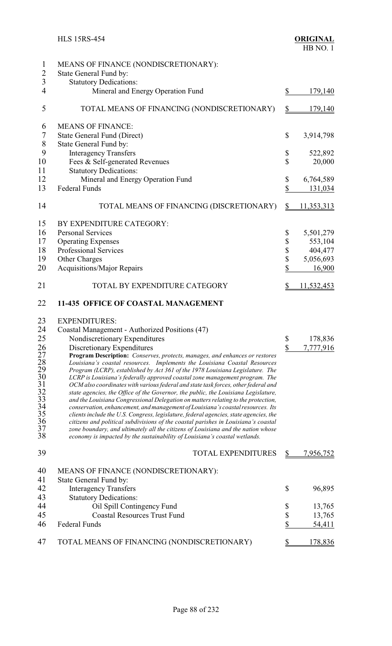| $\mathbf{1}$<br>$\overline{2}$<br>$\overline{3}$ | MEANS OF FINANCE (NONDISCRETIONARY):<br>State General Fund by:<br><b>Statutory Dedications:</b>                                                                      |                          |                   |
|--------------------------------------------------|----------------------------------------------------------------------------------------------------------------------------------------------------------------------|--------------------------|-------------------|
| $\overline{4}$                                   | Mineral and Energy Operation Fund                                                                                                                                    | \$                       | 179,140           |
| 5                                                | TOTAL MEANS OF FINANCING (NONDISCRETIONARY)                                                                                                                          | $\frac{1}{2}$            | 179,140           |
| 6                                                | <b>MEANS OF FINANCE:</b>                                                                                                                                             |                          |                   |
| $\tau$                                           | <b>State General Fund (Direct)</b>                                                                                                                                   | \$                       | 3,914,798         |
| 8                                                | State General Fund by:                                                                                                                                               |                          |                   |
| 9                                                | <b>Interagency Transfers</b>                                                                                                                                         | \$                       | 522,892           |
| 10<br>11                                         | Fees & Self-generated Revenues                                                                                                                                       | $\mathbb S$              | 20,000            |
| 12                                               | <b>Statutory Dedications:</b><br>Mineral and Energy Operation Fund                                                                                                   | \$                       | 6,764,589         |
| 13                                               | <b>Federal Funds</b>                                                                                                                                                 | \$                       | 131,034           |
|                                                  |                                                                                                                                                                      |                          |                   |
| 14                                               | TOTAL MEANS OF FINANCING (DISCRETIONARY)                                                                                                                             | $\frac{1}{2}$            | <u>11,353,313</u> |
| 15                                               | BY EXPENDITURE CATEGORY:                                                                                                                                             |                          |                   |
| 16                                               | <b>Personal Services</b>                                                                                                                                             | \$                       | 5,501,279         |
| 17                                               | <b>Operating Expenses</b>                                                                                                                                            | \$                       | 553,104           |
| 18                                               | Professional Services                                                                                                                                                | \$                       | 404,477           |
| 19                                               | Other Charges                                                                                                                                                        | \$                       | 5,056,693         |
| 20                                               | Acquisitions/Major Repairs                                                                                                                                           | \$                       | 16,900            |
| 21                                               | TOTAL BY EXPENDITURE CATEGORY                                                                                                                                        | \$                       | 11,532,453        |
| 22                                               | <b>11-435 OFFICE OF COASTAL MANAGEMENT</b>                                                                                                                           |                          |                   |
| 23                                               | <b>EXPENDITURES:</b>                                                                                                                                                 |                          |                   |
| 24                                               | Coastal Management - Authorized Positions (47)                                                                                                                       |                          |                   |
| 25                                               | Nondiscretionary Expenditures                                                                                                                                        | \$                       | 178,836           |
| 26                                               | Discretionary Expenditures                                                                                                                                           | \$                       | 7,777,916         |
| 27                                               | Program Description: Conserves, protects, manages, and enhances or restores                                                                                          |                          |                   |
| 28                                               | Louisiana's coastal resources. Implements the Louisiana Coastal Resources<br>Program (LCRP), established by Act 361 of the 1978 Louisiana Legislature. The           |                          |                   |
| 2930132333333333333333                           | LCRP is Louisiana's federally approved coastal zone management program. The                                                                                          |                          |                   |
|                                                  | OCM also coordinates with various federal and state task forces, other federal and                                                                                   |                          |                   |
|                                                  | state agencies, the Office of the Governor, the public, the Louisiana Legislature,                                                                                   |                          |                   |
|                                                  | and the Louisiana Congressional Delegation on matters relating to the protection,<br>conservation, enhancement, and management of Louisiana's coastal resources. Its |                          |                   |
|                                                  | clients include the U.S. Congress, legislature, federal agencies, state agencies, the                                                                                |                          |                   |
|                                                  | citizens and political subdivisions of the coastal parishes in Louisiana's coastal                                                                                   |                          |                   |
| 38                                               | zone boundary, and ultimately all the citizens of Louisiana and the nation whose<br>economy is impacted by the sustainability of Louisiana's coastal wetlands.       |                          |                   |
| 39                                               | <b>TOTAL EXPENDITURES</b>                                                                                                                                            | $\mathbf{\Omega}$        | 7,956,752         |
| 40                                               | MEANS OF FINANCE (NONDISCRETIONARY):                                                                                                                                 |                          |                   |
| 41                                               | State General Fund by:                                                                                                                                               |                          |                   |
| 42                                               | <b>Interagency Transfers</b>                                                                                                                                         | \$                       | 96,895            |
| 43                                               | <b>Statutory Dedications:</b>                                                                                                                                        |                          |                   |
| 44                                               | Oil Spill Contingency Fund                                                                                                                                           | \$                       | 13,765            |
| 45                                               | <b>Coastal Resources Trust Fund</b>                                                                                                                                  | \$                       | 13,765            |
| 46                                               | Federal Funds                                                                                                                                                        | $\overline{\mathcal{L}}$ | 54,411            |
| 47                                               | TOTAL MEANS OF FINANCING (NONDISCRETIONARY)                                                                                                                          | <u>\$</u>                | 178,836           |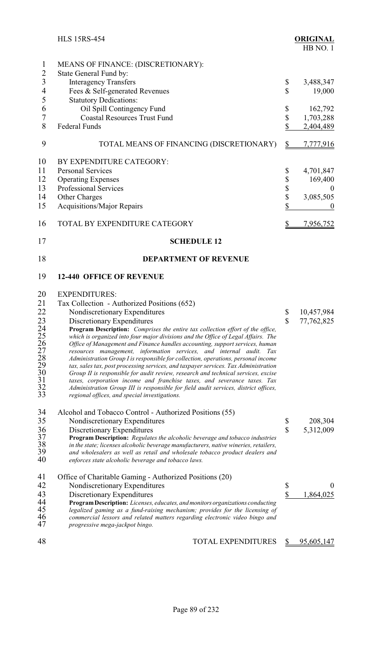|                                                            | <b>HLS 15RS-454</b>                                                                                                                                                                                                                                                                                                                                                                                                                                                                                                                                                                                                                                                                                                                                                                                                                                                                                                                                  |                               | <b>ORIGINAL</b><br>HB NO.1                                                            |
|------------------------------------------------------------|------------------------------------------------------------------------------------------------------------------------------------------------------------------------------------------------------------------------------------------------------------------------------------------------------------------------------------------------------------------------------------------------------------------------------------------------------------------------------------------------------------------------------------------------------------------------------------------------------------------------------------------------------------------------------------------------------------------------------------------------------------------------------------------------------------------------------------------------------------------------------------------------------------------------------------------------------|-------------------------------|---------------------------------------------------------------------------------------|
| $\mathbf{1}$<br>$\overline{2}$<br>$\overline{3}$<br>4<br>5 | MEANS OF FINANCE: (DISCRETIONARY):<br>State General Fund by:<br><b>Interagency Transfers</b><br>Fees & Self-generated Revenues<br><b>Statutory Dedications:</b>                                                                                                                                                                                                                                                                                                                                                                                                                                                                                                                                                                                                                                                                                                                                                                                      | \$<br>$\mathbf{\hat{S}}$      | 3,488,347<br>19,000                                                                   |
| 6<br>$\tau$<br>8                                           | Oil Spill Contingency Fund<br><b>Coastal Resources Trust Fund</b><br><b>Federal Funds</b>                                                                                                                                                                                                                                                                                                                                                                                                                                                                                                                                                                                                                                                                                                                                                                                                                                                            | \$<br>\$<br>\$                | 162,792<br>1,703,288<br>2,404,489                                                     |
| 9                                                          | TOTAL MEANS OF FINANCING (DISCRETIONARY)                                                                                                                                                                                                                                                                                                                                                                                                                                                                                                                                                                                                                                                                                                                                                                                                                                                                                                             | \$                            | 7,777,916                                                                             |
| 10<br>11<br>12<br>13<br>14<br>15<br>16                     | BY EXPENDITURE CATEGORY:<br><b>Personal Services</b><br><b>Operating Expenses</b><br><b>Professional Services</b><br>Other Charges<br><b>Acquisitions/Major Repairs</b><br>TOTAL BY EXPENDITURE CATEGORY                                                                                                                                                                                                                                                                                                                                                                                                                                                                                                                                                                                                                                                                                                                                             | \$<br>\$\$\$\$<br>\$          | 4,701,847<br>169,400<br>$\theta$<br>3,085,505<br>$\boldsymbol{0}$<br><u>7,956,752</u> |
| 17                                                         | <b>SCHEDULE 12</b>                                                                                                                                                                                                                                                                                                                                                                                                                                                                                                                                                                                                                                                                                                                                                                                                                                                                                                                                   |                               |                                                                                       |
| 18                                                         | <b>DEPARTMENT OF REVENUE</b>                                                                                                                                                                                                                                                                                                                                                                                                                                                                                                                                                                                                                                                                                                                                                                                                                                                                                                                         |                               |                                                                                       |
| 19                                                         | <b>12-440 OFFICE OF REVENUE</b>                                                                                                                                                                                                                                                                                                                                                                                                                                                                                                                                                                                                                                                                                                                                                                                                                                                                                                                      |                               |                                                                                       |
| 20<br>21<br>22<br>23                                       | <b>EXPENDITURES:</b><br>Tax Collection - Authorized Positions (652)<br>Nondiscretionary Expenditures<br>Discretionary Expenditures<br>Program Description: Comprises the entire tax collection effort of the office,<br>which is organized into four major divisions and the Office of Legal Affairs. The<br>Office of Management and Finance handles accounting, support services, human<br>resources management, information services, and internal audit. Tax<br>Administration Group I is responsible for collection, operations, personal income<br>tax, sales tax, post processing services, and taxpayer services. Tax Administration<br>Group II is responsible for audit review, research and technical services, excise<br>taxes, corporation income and franchise taxes, and severance taxes. Tax<br>Administration Group III is responsible for field audit services, district offices,<br>regional offices, and special investigations. | \$<br>\$                      | 10,457,984<br>77,762,825                                                              |
| 34<br>35<br>36<br>37<br>38<br>39<br>40                     | Alcohol and Tobacco Control - Authorized Positions (55)<br>Nondiscretionary Expenditures<br>Discretionary Expenditures<br>Program Description: Regulates the alcoholic beverage and tobacco industries<br>in the state; licenses alcoholic beverage manufacturers, native wineries, retailers,<br>and wholesalers as well as retail and wholesale tobacco product dealers and<br>enforces state alcoholic beverage and tobacco laws.                                                                                                                                                                                                                                                                                                                                                                                                                                                                                                                 | \$<br>$\overline{\mathbb{S}}$ | 208,304<br>5,312,009                                                                  |
| 41<br>42<br>43<br>44<br>45<br>46<br>47                     | Office of Charitable Gaming - Authorized Positions (20)<br>Nondiscretionary Expenditures<br>Discretionary Expenditures<br>Program Description: Licenses, educates, and monitors organizations conducting<br>legalized gaming as a fund-raising mechanism; provides for the licensing of<br>commercial lessors and related matters regarding electronic video bingo and<br>progressive mega-jackpot bingo.                                                                                                                                                                                                                                                                                                                                                                                                                                                                                                                                            | \$<br>\$                      | $\theta$<br>1,864,025                                                                 |
| 48                                                         | <b>TOTAL EXPENDITURES</b>                                                                                                                                                                                                                                                                                                                                                                                                                                                                                                                                                                                                                                                                                                                                                                                                                                                                                                                            | S                             | 95,605,147                                                                            |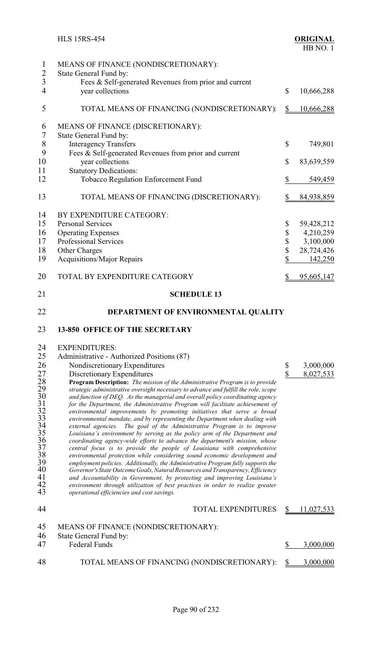| 1<br>$\overline{2}$                          | MEANS OF FINANCE (NONDISCRETIONARY):<br>State General Fund by:                                                                                                                                           |               |            |
|----------------------------------------------|----------------------------------------------------------------------------------------------------------------------------------------------------------------------------------------------------------|---------------|------------|
| $\overline{3}$<br>$\overline{4}$             | Fees & Self-generated Revenues from prior and current<br>year collections                                                                                                                                | $\mathbb{S}$  | 10,666,288 |
| 5                                            | TOTAL MEANS OF FINANCING (NONDISCRETIONARY):                                                                                                                                                             | \$            | 10,666,288 |
| 6<br>$\overline{7}$                          | MEANS OF FINANCE (DISCRETIONARY):<br>State General Fund by:                                                                                                                                              |               |            |
| $8\,$<br>9                                   | <b>Interagency Transfers</b><br>Fees & Self-generated Revenues from prior and current                                                                                                                    | \$            | 749,801    |
| 10<br>11                                     | year collections<br><b>Statutory Dedications:</b>                                                                                                                                                        | \$            | 83,639,559 |
| 12                                           | Tobacco Regulation Enforcement Fund                                                                                                                                                                      | \$            | 549,459    |
| 13                                           | TOTAL MEANS OF FINANCING (DISCRETIONARY):                                                                                                                                                                | \$            | 84,938,859 |
| 14                                           | BY EXPENDITURE CATEGORY:                                                                                                                                                                                 |               |            |
| 15                                           | <b>Personal Services</b>                                                                                                                                                                                 | \$            | 59,428,212 |
| 16                                           | <b>Operating Expenses</b>                                                                                                                                                                                | \$            | 4,210,259  |
|                                              |                                                                                                                                                                                                          |               |            |
| 17                                           | Professional Services                                                                                                                                                                                    | \$            | 3,100,000  |
| 18                                           | Other Charges                                                                                                                                                                                            | \$            | 28,724,426 |
| 19                                           | <b>Acquisitions/Major Repairs</b>                                                                                                                                                                        | $\mathbb S$   | 142,250    |
| 20                                           | TOTAL BY EXPENDITURE CATEGORY                                                                                                                                                                            | \$            | 95,605,147 |
| 21                                           | <b>SCHEDULE 13</b>                                                                                                                                                                                       |               |            |
| 22                                           | DEPARTMENT OF ENVIRONMENTAL QUALITY                                                                                                                                                                      |               |            |
| 23                                           | <b>13-850 OFFICE OF THE SECRETARY</b>                                                                                                                                                                    |               |            |
| 24                                           | <b>EXPENDITURES:</b>                                                                                                                                                                                     |               |            |
| 25                                           | Administrative - Authorized Positions (87)                                                                                                                                                               |               |            |
|                                              |                                                                                                                                                                                                          |               |            |
| 26                                           | Nondiscretionary Expenditures                                                                                                                                                                            |               |            |
| 27                                           |                                                                                                                                                                                                          | \$            | 3,000,000  |
|                                              | Discretionary Expenditures                                                                                                                                                                               | \$            | 8,027,533  |
|                                              | Program Description: The mission of the Administrative Program is to provide                                                                                                                             |               |            |
|                                              | strategic administrative oversight necessary to advance and fulfill the role, scope                                                                                                                      |               |            |
|                                              | and function of DEQ. As the managerial and overall policy coordinating agency                                                                                                                            |               |            |
|                                              | for the Department, the Administrative Program will facilitate achievement of                                                                                                                            |               |            |
|                                              | environmental improvements by promoting initiatives that serve a broad                                                                                                                                   |               |            |
|                                              | environmental mandate, and by representing the Department when dealing with                                                                                                                              |               |            |
|                                              | The goal of the Administrative Program is to improve<br>external agencies.                                                                                                                               |               |            |
| 28<br>29<br>30<br>31<br>32<br>33<br>33<br>35 | Louisiana's environment by serving as the policy arm of the Department and                                                                                                                               |               |            |
|                                              | coordinating agency-wide efforts to advance the department's mission, whose                                                                                                                              |               |            |
| $\frac{36}{37}$                              | central focus is to provide the people of Louisiana with comprehensive                                                                                                                                   |               |            |
| 38                                           | environmental protection while considering sound economic development and                                                                                                                                |               |            |
| 39                                           | employment policies. Additionally, the Administrative Program fully supports the                                                                                                                         |               |            |
| 40                                           | Governor's State Outcome Goals, Natural Resources and Transparency, Efficiency                                                                                                                           |               |            |
| 41<br>42<br>43                               | and Accountability in Government, by protecting and improving Louisiana's<br>environment through utilization of best practices in order to realize greater<br>operational efficiencies and cost savings. |               |            |
| 44                                           | <b>TOTAL EXPENDITURES</b>                                                                                                                                                                                | $\frac{1}{2}$ | 11,027,533 |
| 45                                           | MEANS OF FINANCE (NONDISCRETIONARY):                                                                                                                                                                     |               |            |
| 46<br>47                                     | State General Fund by:<br><b>Federal Funds</b>                                                                                                                                                           | \$            | 3,000,000  |
| 48                                           | TOTAL MEANS OF FINANCING (NONDISCRETIONARY):                                                                                                                                                             | \$            | 3,000,000  |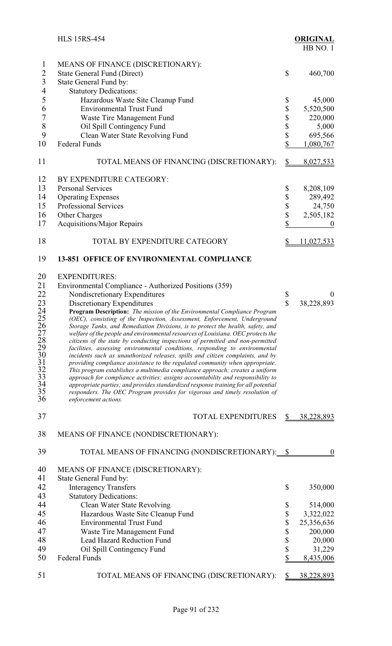|                | <b>HLS 15RS-454</b>                                                                                                                                            |                    | <b>ORIGINAL</b><br>HB NO.1 |
|----------------|----------------------------------------------------------------------------------------------------------------------------------------------------------------|--------------------|----------------------------|
| $\mathbf{1}$   | MEANS OF FINANCE (DISCRETIONARY):                                                                                                                              |                    |                            |
| 2              | <b>State General Fund (Direct)</b>                                                                                                                             | \$                 | 460,700                    |
| $\mathfrak{Z}$ | State General Fund by:                                                                                                                                         |                    |                            |
| $\overline{4}$ | <b>Statutory Dedications:</b>                                                                                                                                  |                    |                            |
| 5              | Hazardous Waste Site Cleanup Fund                                                                                                                              | \$                 | 45,000                     |
| 6              | <b>Environmental Trust Fund</b>                                                                                                                                | \$                 | 5,520,500                  |
| $\sqrt{ }$     | Waste Tire Management Fund                                                                                                                                     | \$                 | 220,000                    |
| $\,$ $\,$      | Oil Spill Contingency Fund                                                                                                                                     | \$                 | 5,000                      |
| 9              | Clean Water State Revolving Fund                                                                                                                               | \$                 | 695,566                    |
| 10             | <b>Federal Funds</b>                                                                                                                                           | \$                 | 1,080,767                  |
| 11             | TOTAL MEANS OF FINANCING (DISCRETIONARY):                                                                                                                      | $\frac{1}{2}$      | 8,027,533                  |
| 12             | BY EXPENDITURE CATEGORY:                                                                                                                                       |                    |                            |
| 13             | <b>Personal Services</b>                                                                                                                                       | \$                 | 8,208,109                  |
| 14             | <b>Operating Expenses</b>                                                                                                                                      | \$                 | 289,492                    |
| 15             | <b>Professional Services</b>                                                                                                                                   | \$                 | 24,750                     |
| 16             | Other Charges                                                                                                                                                  | \$                 | 2,505,182                  |
| 17             | <b>Acquisitions/Major Repairs</b>                                                                                                                              | \$                 | $\boldsymbol{0}$           |
| 18             | TOTAL BY EXPENDITURE CATEGORY                                                                                                                                  | \$                 | <u>11,027,533</u>          |
| 19             | <b>13-851 OFFICE OF ENVIRONMENTAL COMPLIANCE</b>                                                                                                               |                    |                            |
| 20             | <b>EXPENDITURES:</b>                                                                                                                                           |                    |                            |
| 21             | Environmental Compliance - Authorized Positions (359)                                                                                                          |                    |                            |
| 22             | Nondiscretionary Expenditures                                                                                                                                  | \$                 | $\overline{0}$             |
| 23             | Discretionary Expenditures                                                                                                                                     | $\mathbf{\hat{S}}$ | 38,228,893                 |
| 24             | Program Description: The mission of the Environmental Compliance Program                                                                                       |                    |                            |
| 25             | (OEC), consisting of the Inspection, Assessment, Enforcement, Underground<br>Storage Tanks, and Remediation Divisions, is to protect the health, safety, and   |                    |                            |
|                | welfare of the people and environmental resources of Louisiana. OEC protects the                                                                               |                    |                            |
|                | citizens of the state by conducting inspections of permitted and non-permitted                                                                                 |                    |                            |
|                | facilities, assessing environmental conditions, responding to environmental                                                                                    |                    |                            |
|                | incidents such as unauthorized releases, spills and citizen complaints, and by<br>providing compliance assistance to the regulated community when appropriate. |                    |                            |
|                | This program establishes a multimedia compliance approach; creates a uniform                                                                                   |                    |                            |
|                | approach for compliance activities; assigns accountability and responsibility to                                                                               |                    |                            |
|                | appropriate parties; and provides standardized response training for all potential                                                                             |                    |                            |
| 36             | responders. The OEC Program provides for vigorous and timely resolution of<br>enforcement actions.                                                             |                    |                            |
| 37             | <b>TOTAL EXPENDITURES</b>                                                                                                                                      | \$                 | 38,228,893                 |
| 38             | MEANS OF FINANCE (NONDISCRETIONARY):                                                                                                                           |                    |                            |
| 39             | TOTAL MEANS OF FINANCING (NONDISCRETIONARY): \$                                                                                                                |                    | $\mathbf{0}$               |
| 40             | <b>MEANS OF FINANCE (DISCRETIONARY):</b>                                                                                                                       |                    |                            |
| 41             | State General Fund by:                                                                                                                                         |                    |                            |
| 42             | <b>Interagency Transfers</b>                                                                                                                                   | \$                 | 350,000                    |
| 43             | <b>Statutory Dedications:</b>                                                                                                                                  |                    |                            |
| 44             | Clean Water State Revolving                                                                                                                                    | \$                 | 514,000                    |
| 45             | Hazardous Waste Site Cleanup Fund                                                                                                                              | \$                 | 3,322,022                  |
| 46             | <b>Environmental Trust Fund</b>                                                                                                                                | \$                 | 25,356,636                 |
| 47             | Waste Tire Management Fund                                                                                                                                     | \$                 | 200,000                    |
| 48             | <b>Lead Hazard Reduction Fund</b>                                                                                                                              | \$                 | 20,000                     |
| 49             | Oil Spill Contingency Fund                                                                                                                                     | \$                 | 31,229                     |
| 50             | <b>Federal Funds</b>                                                                                                                                           | \$                 | 8,435,006                  |
| 51             | TOTAL MEANS OF FINANCING (DISCRETIONARY):                                                                                                                      | \$                 | 38,228,893                 |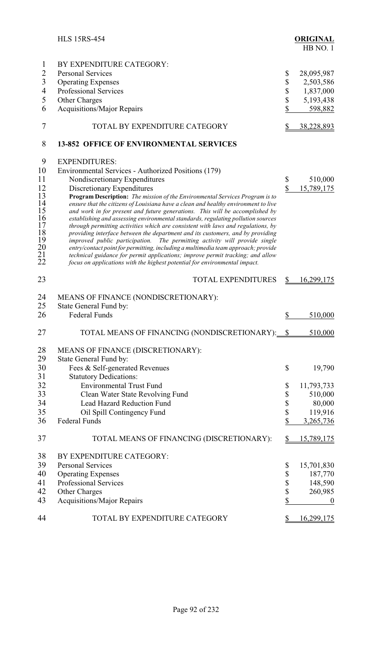|                | <b>HLS 15RS-454</b>                                                                                                                                                |                    | <b>ORIGINAL</b><br>HB NO.1 |
|----------------|--------------------------------------------------------------------------------------------------------------------------------------------------------------------|--------------------|----------------------------|
| $\mathbf{I}$   | BY EXPENDITURE CATEGORY:                                                                                                                                           |                    |                            |
| $\overline{2}$ | <b>Personal Services</b>                                                                                                                                           | \$                 | 28,095,987                 |
| $\overline{3}$ | <b>Operating Expenses</b>                                                                                                                                          | \$                 | 2,503,586                  |
| $\overline{4}$ | <b>Professional Services</b>                                                                                                                                       |                    | 1,837,000                  |
| 5              |                                                                                                                                                                    | \$                 |                            |
| 6              | Other Charges                                                                                                                                                      | \$                 | 5,193,438                  |
|                | <b>Acquisitions/Major Repairs</b>                                                                                                                                  |                    | 598,882                    |
| 7              | TOTAL BY EXPENDITURE CATEGORY                                                                                                                                      | \$                 | 38,228,893                 |
| 8              | <b>13-852 OFFICE OF ENVIRONMENTAL SERVICES</b>                                                                                                                     |                    |                            |
| 9              | <b>EXPENDITURES:</b>                                                                                                                                               |                    |                            |
| 10             | Environmental Services - Authorized Positions (179)                                                                                                                |                    |                            |
| 11             | Nondiscretionary Expenditures                                                                                                                                      | \$                 | 510,000                    |
| 12             | Discretionary Expenditures                                                                                                                                         | $\mathbf{\hat{S}}$ | 15,789,175                 |
| 13             | <b>Program Description:</b> The mission of the Environmental Services Program is to                                                                                |                    |                            |
| 14<br>15       | ensure that the citizens of Louisiana have a clean and healthy environment to live<br>and work in for present and future generations. This will be accomplished by |                    |                            |
| 16             | establishing and assessing environmental standards, regulating pollution sources                                                                                   |                    |                            |
| 17             | through permitting activities which are consistent with laws and regulations, by                                                                                   |                    |                            |
| 18             | providing interface between the department and its customers, and by providing                                                                                     |                    |                            |
| 19             | improved public participation. The permitting activity will provide single                                                                                         |                    |                            |
| 20             | entry/contact point for permitting, including a multimedia team approach; provide                                                                                  |                    |                            |
| $^{21}_{22}$   | technical guidance for permit applications; improve permit tracking; and allow<br>focus on applications with the highest potential for environmental impact.       |                    |                            |
|                |                                                                                                                                                                    |                    |                            |
| 23             | <b>TOTAL EXPENDITURES</b>                                                                                                                                          | \$                 | 16,299,175                 |
| 24             | MEANS OF FINANCE (NONDISCRETIONARY):                                                                                                                               |                    |                            |
| 25             | State General Fund by:                                                                                                                                             |                    |                            |
| 26             | <b>Federal Funds</b>                                                                                                                                               |                    |                            |
|                |                                                                                                                                                                    | \$                 | 510,000                    |
| 27             | TOTAL MEANS OF FINANCING (NONDISCRETIONARY): \[\]                                                                                                                  |                    | 510,000                    |
| 28             | MEANS OF FINANCE (DISCRETIONARY):                                                                                                                                  |                    |                            |
| 29             | State General Fund by:                                                                                                                                             |                    |                            |
| 30             | Fees & Self-generated Revenues                                                                                                                                     | \$                 | 19,790                     |
| 31             | <b>Statutory Dedications:</b>                                                                                                                                      |                    |                            |
| 32             | <b>Environmental Trust Fund</b>                                                                                                                                    | \$                 | 11,793,733                 |
| 33             | Clean Water State Revolving Fund                                                                                                                                   | \$                 | 510,000                    |
| 34             | Lead Hazard Reduction Fund                                                                                                                                         | \$                 | 80,000                     |
| 35             | Oil Spill Contingency Fund                                                                                                                                         | \$                 | 119,916                    |
| 36             | <b>Federal Funds</b>                                                                                                                                               | \$                 | 3,265,736                  |
|                |                                                                                                                                                                    |                    |                            |
| 37             | TOTAL MEANS OF FINANCING (DISCRETIONARY):                                                                                                                          | \$                 | <u>15,789,175</u>          |
| 38             | BY EXPENDITURE CATEGORY:                                                                                                                                           |                    |                            |
| 39             | <b>Personal Services</b>                                                                                                                                           | \$                 | 15,701,830                 |
| 40             | <b>Operating Expenses</b>                                                                                                                                          | \$                 | 187,770                    |
| 41             | Professional Services                                                                                                                                              | \$                 | 148,590                    |
| 42             | Other Charges                                                                                                                                                      | \$                 | 260,985                    |
| 43             | Acquisitions/Major Repairs                                                                                                                                         | \$                 | $\boldsymbol{0}$           |
|                |                                                                                                                                                                    |                    |                            |
| 44             | TOTAL BY EXPENDITURE CATEGORY                                                                                                                                      | \$                 | <u>16,299,175</u>          |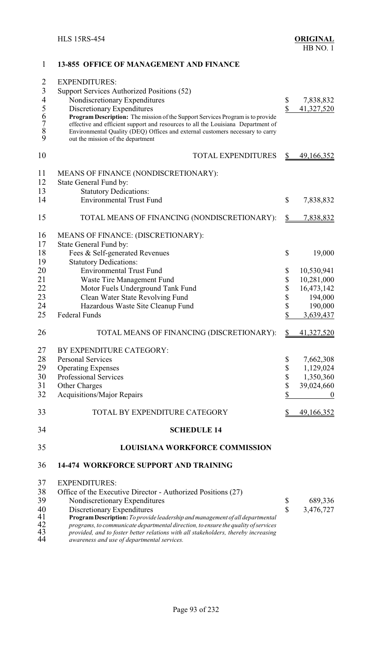| 1                                          | <b>13-855 OFFICE OF MANAGEMENT AND FINANCE</b>                                                                                                                           |              |                   |
|--------------------------------------------|--------------------------------------------------------------------------------------------------------------------------------------------------------------------------|--------------|-------------------|
| $\overline{2}$                             | <b>EXPENDITURES:</b>                                                                                                                                                     |              |                   |
| $\mathfrak{Z}$                             | Support Services Authorized Positions (52)                                                                                                                               |              |                   |
| $\overline{\mathcal{A}}$                   | Nondiscretionary Expenditures                                                                                                                                            | \$           | 7,838,832         |
| 5                                          | Discretionary Expenditures                                                                                                                                               | \$           | 41,327,520        |
|                                            | Program Description: The mission of the Support Services Program is to provide                                                                                           |              |                   |
| $\begin{array}{c} 6 \\ 7 \\ 8 \end{array}$ | effective and efficient support and resources to all the Louisiana Department of                                                                                         |              |                   |
|                                            | Environmental Quality (DEQ) Offices and external customers necessary to carry                                                                                            |              |                   |
| 9                                          | out the mission of the department                                                                                                                                        |              |                   |
| 10                                         | <b>TOTAL EXPENDITURES</b>                                                                                                                                                |              | <u>49,166,352</u> |
| 11                                         | MEANS OF FINANCE (NONDISCRETIONARY):                                                                                                                                     |              |                   |
| 12                                         | State General Fund by:                                                                                                                                                   |              |                   |
| 13                                         | <b>Statutory Dedications:</b>                                                                                                                                            |              |                   |
| 14                                         | <b>Environmental Trust Fund</b>                                                                                                                                          | \$           | 7,838,832         |
|                                            |                                                                                                                                                                          |              |                   |
| 15                                         | TOTAL MEANS OF FINANCING (NONDISCRETIONARY):                                                                                                                             | \$           | 7,838,832         |
| 16                                         | MEANS OF FINANCE: (DISCRETIONARY):                                                                                                                                       |              |                   |
| 17                                         | State General Fund by:                                                                                                                                                   |              |                   |
| 18                                         | Fees & Self-generated Revenues                                                                                                                                           | \$           | 19,000            |
| 19                                         | <b>Statutory Dedications:</b>                                                                                                                                            |              |                   |
| 20                                         | <b>Environmental Trust Fund</b>                                                                                                                                          | \$           | 10,530,941        |
| 21                                         | Waste Tire Management Fund                                                                                                                                               | \$           | 10,281,000        |
| 22                                         | Motor Fuels Underground Tank Fund                                                                                                                                        | \$           | 16,473,142        |
| 23                                         | Clean Water State Revolving Fund                                                                                                                                         | \$           | 194,000           |
| 24                                         | Hazardous Waste Site Cleanup Fund                                                                                                                                        | \$           | 190,000           |
| 25                                         | <b>Federal Funds</b>                                                                                                                                                     | \$           | 3,639,437         |
|                                            |                                                                                                                                                                          |              |                   |
| 26                                         | TOTAL MEANS OF FINANCING (DISCRETIONARY):                                                                                                                                | S            | 41,327,520        |
| 27                                         | BY EXPENDITURE CATEGORY:                                                                                                                                                 |              |                   |
| 28                                         | <b>Personal Services</b>                                                                                                                                                 | \$           | 7,662,308         |
| 29                                         | <b>Operating Expenses</b>                                                                                                                                                | \$           | 1,129,024         |
| 30                                         | <b>Professional Services</b>                                                                                                                                             | \$           | 1,350,360         |
| 31                                         | Other Charges                                                                                                                                                            | \$           | 39,024,660        |
| 32                                         | <b>Acquisitions/Major Repairs</b>                                                                                                                                        | \$           | $\boldsymbol{0}$  |
| 33                                         | TOTAL BY EXPENDITURE CATEGORY                                                                                                                                            |              | 49,166,352        |
| 34                                         | <b>SCHEDULE 14</b>                                                                                                                                                       |              |                   |
|                                            |                                                                                                                                                                          |              |                   |
| 35                                         | <b>LOUISIANA WORKFORCE COMMISSION</b>                                                                                                                                    |              |                   |
| 36                                         | <b>14-474 WORKFORCE SUPPORT AND TRAINING</b>                                                                                                                             |              |                   |
| 37                                         | <b>EXPENDITURES:</b>                                                                                                                                                     |              |                   |
| 38                                         | Office of the Executive Director - Authorized Positions (27)                                                                                                             |              |                   |
| 39                                         | Nondiscretionary Expenditures                                                                                                                                            | \$           | 689,336           |
| 40                                         | Discretionary Expenditures                                                                                                                                               | $\mathbb{S}$ | 3,476,727         |
| 41<br>42                                   | Program Description: To provide leadership and management of all departmental                                                                                            |              |                   |
| 43                                         | programs, to communicate departmental direction, to ensure the quality of services<br>provided, and to foster better relations with all stakeholders, thereby increasing |              |                   |
| 44                                         | awareness and use of departmental services.                                                                                                                              |              |                   |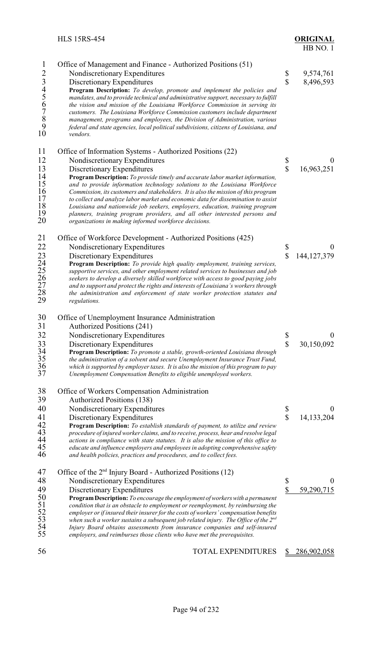| <b>ORIGINAL</b> |  |
|-----------------|--|
| HB NO. 1        |  |

| $\mathbf{1}$<br>23456789<br>10                           | Office of Management and Finance - Authorized Positions (51)<br>Nondiscretionary Expenditures<br>Discretionary Expenditures<br>Program Description: To develop, promote and implement the policies and<br>mandates, and to provide technical and administrative support, necessary to fulfill<br>the vision and mission of the Louisiana Workforce Commission in serving its<br>customers. The Louisiana Workforce Commission customers include department<br>management, programs and employees, the Division of Administration, various<br>federal and state agencies, local political subdivisions, citizens of Louisiana, and<br>vendors.                                             | \$<br>\$                      | 9,574,761<br>8,496,593         |
|----------------------------------------------------------|-------------------------------------------------------------------------------------------------------------------------------------------------------------------------------------------------------------------------------------------------------------------------------------------------------------------------------------------------------------------------------------------------------------------------------------------------------------------------------------------------------------------------------------------------------------------------------------------------------------------------------------------------------------------------------------------|-------------------------------|--------------------------------|
| 11<br>12<br>13<br>14<br>15<br>16<br>17<br>18<br>19<br>20 | Office of Information Systems - Authorized Positions (22)<br>Nondiscretionary Expenditures<br>Discretionary Expenditures<br>Program Description: To provide timely and accurate labor market information,<br>and to provide information technology solutions to the Louisiana Workforce<br>Commission, its customers and stakeholders. It is also the mission of this program<br>to collect and analyze labor market and economic data for dissemination to assist<br>Louisiana and nationwide job seekers, employers, education, training program<br>planners, training program providers, and all other interested persons and<br>organizations in making informed workforce decisions. | \$<br>$\overline{\mathbb{S}}$ | 16,963,251                     |
| 21<br>22<br>23<br>24<br>25<br>26<br>27<br>28<br>29       | Office of Workforce Development - Authorized Positions (425)<br>Nondiscretionary Expenditures<br>Discretionary Expenditures<br>Program Description: To provide high quality employment, training services,<br>supportive services, and other employment related services to businesses and job<br>seekers to develop a diversely skilled workforce with access to good paying jobs<br>and to support and protect the rights and interests of Louisiana's workers through<br>the administration and enforcement of state worker protection statutes and<br>regulations.                                                                                                                    | \$<br>$\overline{\mathbb{S}}$ | $\theta$<br>144, 127, 379      |
| 30<br>31<br>32<br>33<br>34<br>35<br>36<br>37             | Office of Unemployment Insurance Administration<br>Authorized Positions (241)<br>Nondiscretionary Expenditures<br>Discretionary Expenditures<br>Program Description: To promote a stable, growth-oriented Louisiana through<br>the administration of a solvent and secure Unemployment Insurance Trust Fund,<br>which is supported by employer taxes. It is also the mission of this program to pay<br>Unemployment Compensation Benefits to eligible unemployed workers.                                                                                                                                                                                                                 | \$<br>\$                      | $\boldsymbol{0}$<br>30,150,092 |
| 38<br>39<br>40<br>41<br>42<br>43<br>44<br>45<br>46       | Office of Workers Compensation Administration<br><b>Authorized Positions (138)</b><br>Nondiscretionary Expenditures<br>Discretionary Expenditures<br><b>Program Description:</b> To establish standards of payment, to utilize and review<br>procedure of injured worker claims, and to receive, process, hear and resolve legal<br>actions in compliance with state statutes. It is also the mission of this office to<br>educate and influence employers and employees in adopting comprehensive safety<br>and health policies, practices and procedures, and to collect fees.                                                                                                          | \$<br>\$                      | $\theta$<br>14,133,204         |
| 47<br>48<br>49<br>50<br>51<br>52<br>53<br>54<br>55       | Office of the 2 <sup>nd</sup> Injury Board - Authorized Positions (12)<br>Nondiscretionary Expenditures<br>Discretionary Expenditures<br>Program Description: To encourage the employment of workers with a permanent<br>condition that is an obstacle to employment or reemployment, by reimbursing the<br>employer or if insured their insurer for the costs of workers' compensation benefits<br>when such a worker sustains a subsequent job related injury. The Office of the $2^{nd}$<br>Injury Board obtains assessments from insurance companies and self-insured<br>employers, and reimburses those clients who have met the prerequisites.                                      | \$<br>\$                      | $\boldsymbol{0}$<br>59,290,715 |
| 56                                                       | <b>TOTAL EXPENDITURES</b>                                                                                                                                                                                                                                                                                                                                                                                                                                                                                                                                                                                                                                                                 | S                             | 286,902,058                    |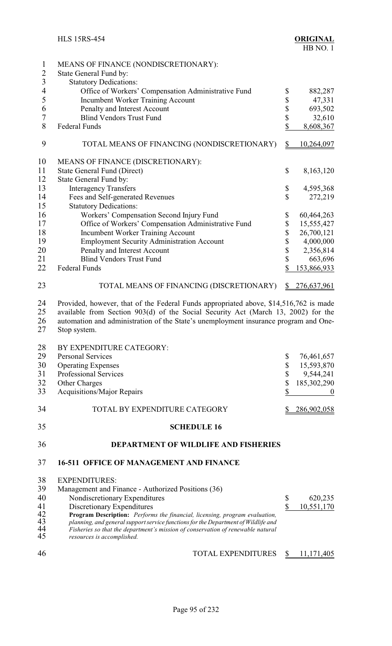| $\mathbf{1}$<br>$\overline{2}$ | MEANS OF FINANCE (NONDISCRETIONARY):<br>State General Fund by:                                                                                                                                                                                                                     |                    |                    |
|--------------------------------|------------------------------------------------------------------------------------------------------------------------------------------------------------------------------------------------------------------------------------------------------------------------------------|--------------------|--------------------|
| $\overline{3}$                 | <b>Statutory Dedications:</b>                                                                                                                                                                                                                                                      |                    |                    |
| 4                              | Office of Workers' Compensation Administrative Fund                                                                                                                                                                                                                                | \$                 | 882,287            |
| 5                              |                                                                                                                                                                                                                                                                                    |                    |                    |
| 6                              | <b>Incumbent Worker Training Account</b>                                                                                                                                                                                                                                           | \$                 | 47,331             |
|                                | Penalty and Interest Account                                                                                                                                                                                                                                                       | \$                 | 693,502            |
| $\boldsymbol{7}$               | <b>Blind Vendors Trust Fund</b>                                                                                                                                                                                                                                                    | \$                 | 32,610             |
| 8                              | Federal Funds                                                                                                                                                                                                                                                                      | \$                 | 8,608,367          |
| 9                              | TOTAL MEANS OF FINANCING (NONDISCRETIONARY)                                                                                                                                                                                                                                        | $\mathbb{S}$       | 10,264,097         |
| 10                             | MEANS OF FINANCE (DISCRETIONARY):                                                                                                                                                                                                                                                  |                    |                    |
| 11                             | State General Fund (Direct)                                                                                                                                                                                                                                                        | \$                 | 8,163,120          |
| 12                             | State General Fund by:                                                                                                                                                                                                                                                             |                    |                    |
| 13                             | <b>Interagency Transfers</b>                                                                                                                                                                                                                                                       | \$                 | 4,595,368          |
| 14                             | Fees and Self-generated Revenues                                                                                                                                                                                                                                                   | \$                 | 272,219            |
| 15                             | <b>Statutory Dedications:</b>                                                                                                                                                                                                                                                      |                    |                    |
| 16                             | Workers' Compensation Second Injury Fund                                                                                                                                                                                                                                           | \$                 | 60,464,263         |
| 17                             |                                                                                                                                                                                                                                                                                    |                    |                    |
|                                | Office of Workers' Compensation Administrative Fund                                                                                                                                                                                                                                | \$                 | 15,555,427         |
| 18                             | <b>Incumbent Worker Training Account</b>                                                                                                                                                                                                                                           | \$                 | 26,700,121         |
| 19                             | <b>Employment Security Administration Account</b>                                                                                                                                                                                                                                  | \$                 | 4,000,000          |
| 20                             | Penalty and Interest Account                                                                                                                                                                                                                                                       | \$                 | 2,356,814          |
| 21                             | <b>Blind Vendors Trust Fund</b>                                                                                                                                                                                                                                                    | \$                 | 663,696            |
| 22                             | Federal Funds                                                                                                                                                                                                                                                                      | \$                 | 153,866,933        |
| 23                             | TOTAL MEANS OF FINANCING (DISCRETIONARY)                                                                                                                                                                                                                                           | S.                 | <u>276,637,961</u> |
| 24<br>25<br>26<br>27           | Provided, however, that of the Federal Funds appropriated above, \$14,516,762 is made<br>available from Section 903(d) of the Social Security Act (March 13, 2002) for the<br>automation and administration of the State's unemployment insurance program and One-<br>Stop system. |                    |                    |
| 28                             | BY EXPENDITURE CATEGORY:                                                                                                                                                                                                                                                           |                    |                    |
| 29                             | <b>Personal Services</b>                                                                                                                                                                                                                                                           | \$                 | 76,461,657         |
| 30                             |                                                                                                                                                                                                                                                                                    |                    | 15,593,870         |
|                                | <b>Operating Expenses</b>                                                                                                                                                                                                                                                          | \$                 |                    |
| 31                             | Professional Services                                                                                                                                                                                                                                                              | \$                 | 9,544,241          |
| 32                             | Other Charges                                                                                                                                                                                                                                                                      | \$                 | 185,302,290        |
| 33                             | <b>Acquisitions/Major Repairs</b>                                                                                                                                                                                                                                                  | \$                 | $\boldsymbol{0}$   |
| 34                             | TOTAL BY EXPENDITURE CATEGORY                                                                                                                                                                                                                                                      |                    | 286,902,058        |
| 35                             | <b>SCHEDULE 16</b>                                                                                                                                                                                                                                                                 |                    |                    |
| 36                             | <b>DEPARTMENT OF WILDLIFE AND FISHERIES</b>                                                                                                                                                                                                                                        |                    |                    |
| 37                             | <b>16-511 OFFICE OF MANAGEMENT AND FINANCE</b>                                                                                                                                                                                                                                     |                    |                    |
| 38                             | <b>EXPENDITURES:</b>                                                                                                                                                                                                                                                               |                    |                    |
|                                |                                                                                                                                                                                                                                                                                    |                    |                    |
| 39                             | Management and Finance - Authorized Positions (36)                                                                                                                                                                                                                                 |                    |                    |
| 40                             | Nondiscretionary Expenditures                                                                                                                                                                                                                                                      | \$                 | 620,235            |
| 41                             | Discretionary Expenditures                                                                                                                                                                                                                                                         | $\mathbf{\hat{S}}$ | 10,551,170         |
| 42                             | Program Description: Performs the financial, licensing, program evaluation,                                                                                                                                                                                                        |                    |                    |
| 43<br>44                       | planning, and general support service functions for the Department of Wildlife and<br>Fisheries so that the department's mission of conservation of renewable natural                                                                                                              |                    |                    |
| 45                             | resources is accomplished.                                                                                                                                                                                                                                                         |                    |                    |
|                                |                                                                                                                                                                                                                                                                                    |                    |                    |
| 46                             | TOTAL EXPENDITURES                                                                                                                                                                                                                                                                 | \$                 | 11,171,405         |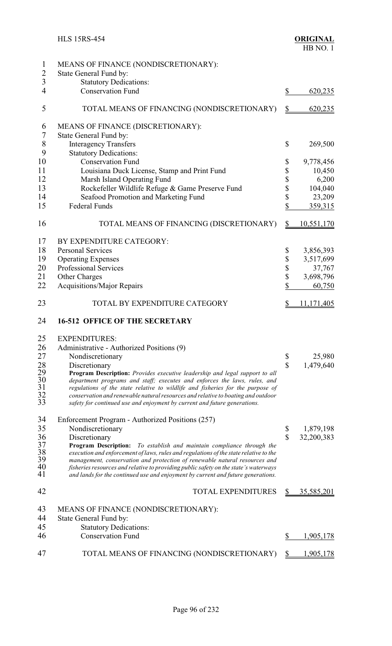| $\mathbf{1}$                            | MEANS OF FINANCE (NONDISCRETIONARY):                                                                                                                          |                    |                         |
|-----------------------------------------|---------------------------------------------------------------------------------------------------------------------------------------------------------------|--------------------|-------------------------|
| $\overline{c}$                          | State General Fund by:                                                                                                                                        |                    |                         |
| $\overline{3}$                          | <b>Statutory Dedications:</b>                                                                                                                                 |                    |                         |
| $\overline{4}$                          | <b>Conservation Fund</b>                                                                                                                                      | \$                 | 620,235                 |
| 5                                       | TOTAL MEANS OF FINANCING (NONDISCRETIONARY)                                                                                                                   | $\mathbb{S}$       | 620,235                 |
| 6                                       | MEANS OF FINANCE (DISCRETIONARY):                                                                                                                             |                    |                         |
| $\tau$                                  | State General Fund by:                                                                                                                                        |                    |                         |
| 8                                       | <b>Interagency Transfers</b>                                                                                                                                  | \$                 | 269,500                 |
| 9                                       | <b>Statutory Dedications:</b>                                                                                                                                 |                    |                         |
| 10                                      | <b>Conservation Fund</b>                                                                                                                                      | \$                 | 9,778,456               |
| 11                                      | Louisiana Duck License, Stamp and Print Fund                                                                                                                  | \$                 | 10,450                  |
| 12                                      | Marsh Island Operating Fund                                                                                                                                   | \$                 | 6,200                   |
| 13                                      | Rockefeller Wildlife Refuge & Game Preserve Fund                                                                                                              | \$                 | 104,040                 |
| 14                                      | Seafood Promotion and Marketing Fund                                                                                                                          | \$                 | 23,209                  |
| 15                                      | <b>Federal Funds</b>                                                                                                                                          | \$                 | 359,315                 |
|                                         |                                                                                                                                                               |                    |                         |
| 16                                      | TOTAL MEANS OF FINANCING (DISCRETIONARY)                                                                                                                      | $\mathbb{S}$       | <u>10,551,170</u>       |
| 17                                      | BY EXPENDITURE CATEGORY:                                                                                                                                      |                    |                         |
| 18                                      | <b>Personal Services</b>                                                                                                                                      | \$                 | 3,856,393               |
| 19                                      | <b>Operating Expenses</b>                                                                                                                                     | \$                 | 3,517,699               |
| 20                                      | <b>Professional Services</b>                                                                                                                                  | \$                 | 37,767                  |
| 21                                      | Other Charges                                                                                                                                                 | \$                 | 3,698,796               |
| 22                                      | <b>Acquisitions/Major Repairs</b>                                                                                                                             | \$                 | 60,750                  |
| 23                                      | TOTAL BY EXPENDITURE CATEGORY                                                                                                                                 | \$                 | 11,171,405              |
| 24                                      | <b>16-512 OFFICE OF THE SECRETARY</b>                                                                                                                         |                    |                         |
| 25                                      | <b>EXPENDITURES:</b>                                                                                                                                          |                    |                         |
| 26                                      | Administrative - Authorized Positions (9)                                                                                                                     |                    |                         |
| 27                                      | Nondiscretionary                                                                                                                                              | \$                 | 25,980                  |
| 28                                      | Discretionary                                                                                                                                                 | $\mathbb{S}$       | 1,479,640               |
| 29                                      | Program Description: Provides executive leadership and legal support to all                                                                                   |                    |                         |
| $\begin{array}{c} 30 \\ 31 \end{array}$ | department programs and staff; executes and enforces the laws, rules, and                                                                                     |                    |                         |
| 32                                      | regulations of the state relative to wildlife and fisheries for the purpose of                                                                                |                    |                         |
| 33                                      | conservation and renewable natural resources and relative to boating and outdoor<br>safety for continued use and enjoyment by current and future generations. |                    |                         |
| 34                                      |                                                                                                                                                               |                    |                         |
| 35                                      | Enforcement Program - Authorized Positions (257)                                                                                                              |                    |                         |
| 36                                      | Nondiscretionary<br>Discretionary                                                                                                                             | \$<br>$\mathbb{S}$ | 1,879,198<br>32,200,383 |
| 37                                      | Program Description: To establish and maintain compliance through the                                                                                         |                    |                         |
| 38                                      | execution and enforcement of laws, rules and regulations of the state relative to the                                                                         |                    |                         |
| 39                                      | management, conservation and protection of renewable natural resources and                                                                                    |                    |                         |
| 40                                      | fisheries resources and relative to providing public safety on the state's waterways                                                                          |                    |                         |
| 41                                      | and lands for the continued use and enjoyment by current and future generations.                                                                              |                    |                         |
| 42                                      | <b>TOTAL EXPENDITURES</b>                                                                                                                                     | $\frac{S}{2}$      | 35,585,201              |
| 43                                      | MEANS OF FINANCE (NONDISCRETIONARY):                                                                                                                          |                    |                         |
| 44                                      | State General Fund by:                                                                                                                                        |                    |                         |
| 45                                      | <b>Statutory Dedications:</b>                                                                                                                                 |                    |                         |
| 46                                      | <b>Conservation Fund</b>                                                                                                                                      | \$                 | 1,905,178               |
| 47                                      | TOTAL MEANS OF FINANCING (NONDISCRETIONARY)                                                                                                                   | S                  | 1,905,178               |
|                                         |                                                                                                                                                               |                    |                         |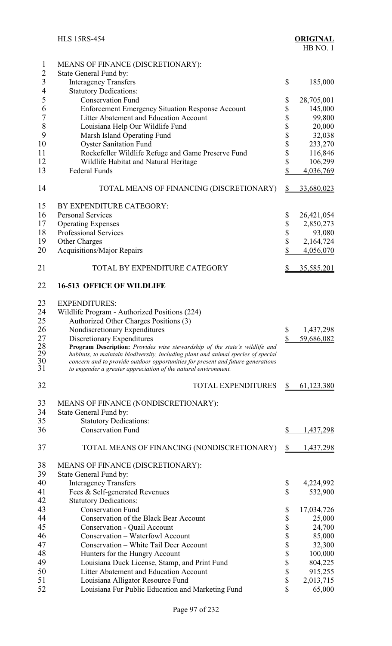| $\mathbf{1}$<br>$\overline{2}$ | MEANS OF FINANCE (DISCRETIONARY):<br>State General Fund by:                                                                                                          |          |                     |
|--------------------------------|----------------------------------------------------------------------------------------------------------------------------------------------------------------------|----------|---------------------|
| $\overline{3}$                 | <b>Interagency Transfers</b>                                                                                                                                         | \$       | 185,000             |
| $\overline{4}$                 | <b>Statutory Dedications:</b>                                                                                                                                        |          |                     |
| 5                              | <b>Conservation Fund</b>                                                                                                                                             | \$       | 28,705,001          |
| 6                              | <b>Enforcement Emergency Situation Response Account</b>                                                                                                              | \$       | 145,000             |
| $\overline{7}$<br>8            | Litter Abatement and Education Account                                                                                                                               | \$       | 99,800              |
| 9                              | Louisiana Help Our Wildlife Fund                                                                                                                                     | \$       | 20,000<br>32,038    |
| 10                             | Marsh Island Operating Fund<br><b>Oyster Sanitation Fund</b>                                                                                                         | \$<br>\$ | 233,270             |
| 11                             | Rockefeller Wildlife Refuge and Game Preserve Fund                                                                                                                   | \$       | 116,846             |
| 12                             | Wildlife Habitat and Natural Heritage                                                                                                                                | \$       | 106,299             |
| 13                             | <b>Federal Funds</b>                                                                                                                                                 | \$       | 4,036,769           |
|                                |                                                                                                                                                                      |          |                     |
| 14                             | TOTAL MEANS OF FINANCING (DISCRETIONARY)                                                                                                                             | \$       | 33,680,023          |
| 15                             | BY EXPENDITURE CATEGORY:                                                                                                                                             |          |                     |
| 16                             | <b>Personal Services</b>                                                                                                                                             | \$       | 26,421,054          |
| 17                             | <b>Operating Expenses</b>                                                                                                                                            | \$       | 2,850,273           |
| 18                             | <b>Professional Services</b>                                                                                                                                         | \$       | 93,080              |
| 19                             | Other Charges                                                                                                                                                        | \$       | 2,164,724           |
| 20                             | <b>Acquisitions/Major Repairs</b>                                                                                                                                    | \$       | 4,056,070           |
| 21                             | TOTAL BY EXPENDITURE CATEGORY                                                                                                                                        | \$       | <u>35,585,201</u>   |
| 22                             | <b>16-513 OFFICE OF WILDLIFE</b>                                                                                                                                     |          |                     |
| 23                             | <b>EXPENDITURES:</b>                                                                                                                                                 |          |                     |
| 24                             | Wildlife Program - Authorized Positions (224)                                                                                                                        |          |                     |
| 25                             | Authorized Other Charges Positions (3)                                                                                                                               |          |                     |
| 26                             | Nondiscretionary Expenditures                                                                                                                                        | \$       | 1,437,298           |
| 27                             | Discretionary Expenditures                                                                                                                                           | \$       | 59,686,082          |
| 28                             | <b>Program Description:</b> Provides wise stewardship of the state's wildlife and                                                                                    |          |                     |
| 29<br>30                       | habitats, to maintain biodiversity, including plant and animal species of special<br>concern and to provide outdoor opportunities for present and future generations |          |                     |
| 31                             | to engender a greater appreciation of the natural environment.                                                                                                       |          |                     |
| 32                             | <b>TOTAL EXPENDITURES</b>                                                                                                                                            | \$       | 61,123,380          |
| 33                             | MEANS OF FINANCE (NONDISCRETIONARY):                                                                                                                                 |          |                     |
| 34                             | State General Fund by:                                                                                                                                               |          |                     |
| 35                             | <b>Statutory Dedications:</b>                                                                                                                                        |          |                     |
| 36                             | <b>Conservation Fund</b>                                                                                                                                             | \$       | 1,437,298           |
| 37                             | TOTAL MEANS OF FINANCING (NONDISCRETIONARY)                                                                                                                          | \$       | 1,437,298           |
| 38                             | MEANS OF FINANCE (DISCRETIONARY):                                                                                                                                    |          |                     |
| 39                             | State General Fund by:                                                                                                                                               |          |                     |
| 40                             | <b>Interagency Transfers</b>                                                                                                                                         | \$       | 4,224,992           |
| 41                             | Fees & Self-generated Revenues                                                                                                                                       | \$       | 532,900             |
| 42                             | <b>Statutory Dedications:</b>                                                                                                                                        |          |                     |
| 43                             | <b>Conservation Fund</b>                                                                                                                                             | \$       | 17,034,726          |
| 44                             | <b>Conservation of the Black Bear Account</b>                                                                                                                        | \$       | 25,000              |
| 45                             | Conservation - Quail Account                                                                                                                                         | \$       | 24,700              |
| 46                             | Conservation – Waterfowl Account                                                                                                                                     | \$       | 85,000              |
| 47                             | Conservation - White Tail Deer Account                                                                                                                               | \$       | 32,300              |
| 48                             | Hunters for the Hungry Account                                                                                                                                       | \$       | 100,000             |
| 49                             | Louisiana Duck License, Stamp, and Print Fund                                                                                                                        | \$       | 804,225             |
| 50                             | Litter Abatement and Education Account                                                                                                                               | \$       | 915,255             |
| 51<br>52                       | Louisiana Alligator Resource Fund<br>Louisiana Fur Public Education and Marketing Fund                                                                               | \$<br>\$ | 2,013,715<br>65,000 |
|                                |                                                                                                                                                                      |          |                     |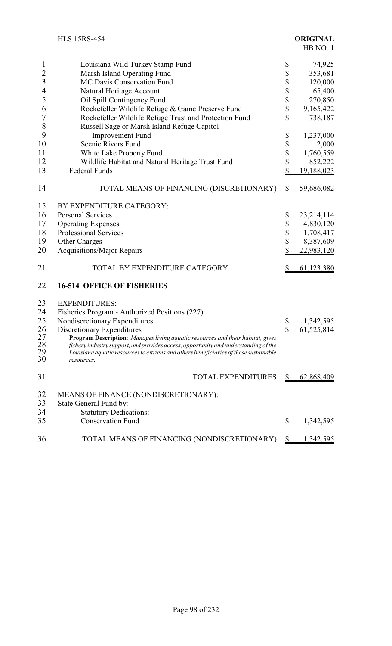|                             | <b>HLS 15RS-454</b>                                                                                                                                                                                                                                                          |              | <b>ORIGINAL</b><br>HB NO.1 |
|-----------------------------|------------------------------------------------------------------------------------------------------------------------------------------------------------------------------------------------------------------------------------------------------------------------------|--------------|----------------------------|
| 1                           | Louisiana Wild Turkey Stamp Fund                                                                                                                                                                                                                                             | \$           | 74,925                     |
| $\overline{c}$              | Marsh Island Operating Fund                                                                                                                                                                                                                                                  | \$           | 353,681                    |
| $\overline{3}$              | MC Davis Conservation Fund                                                                                                                                                                                                                                                   | \$           | 120,000                    |
| $\overline{4}$              | Natural Heritage Account                                                                                                                                                                                                                                                     | \$           | 65,400                     |
| 5                           | Oil Spill Contingency Fund                                                                                                                                                                                                                                                   | \$           | 270,850                    |
| 6                           | Rockefeller Wildlife Refuge & Game Preserve Fund                                                                                                                                                                                                                             | \$           | 9,165,422                  |
| $\overline{7}$              | Rockefeller Wildlife Refuge Trust and Protection Fund                                                                                                                                                                                                                        | \$           | 738,187                    |
| 8                           | Russell Sage or Marsh Island Refuge Capitol                                                                                                                                                                                                                                  |              |                            |
| 9                           | <b>Improvement Fund</b>                                                                                                                                                                                                                                                      | \$           | 1,237,000                  |
| 10                          | Scenic Rivers Fund                                                                                                                                                                                                                                                           | \$           | 2,000                      |
| 11                          | White Lake Property Fund                                                                                                                                                                                                                                                     | \$           | 1,760,559                  |
| 12                          | Wildlife Habitat and Natural Heritage Trust Fund                                                                                                                                                                                                                             | \$           | 852,222                    |
| 13                          | <b>Federal Funds</b>                                                                                                                                                                                                                                                         | \$           | 19,188,023                 |
| 14                          | TOTAL MEANS OF FINANCING (DISCRETIONARY)                                                                                                                                                                                                                                     | \$           | 59,686,082                 |
| 15                          | BY EXPENDITURE CATEGORY:                                                                                                                                                                                                                                                     |              |                            |
| 16                          | <b>Personal Services</b>                                                                                                                                                                                                                                                     | \$           | 23, 214, 114               |
| 17                          | <b>Operating Expenses</b>                                                                                                                                                                                                                                                    | \$           | 4,830,120                  |
| 18                          | Professional Services                                                                                                                                                                                                                                                        | \$           | 1,708,417                  |
| 19                          | <b>Other Charges</b>                                                                                                                                                                                                                                                         | \$           | 8,387,609                  |
| 20                          | <b>Acquisitions/Major Repairs</b>                                                                                                                                                                                                                                            | \$           | 22,983,120                 |
| 21                          | TOTAL BY EXPENDITURE CATEGORY                                                                                                                                                                                                                                                | \$           | 61,123,380                 |
| 22                          | <b>16-514 OFFICE OF FISHERIES</b>                                                                                                                                                                                                                                            |              |                            |
| 23                          | <b>EXPENDITURES:</b>                                                                                                                                                                                                                                                         |              |                            |
| 24                          | Fisheries Program - Authorized Positions (227)                                                                                                                                                                                                                               |              |                            |
| 25                          | Nondiscretionary Expenditures                                                                                                                                                                                                                                                | \$           | 1,342,595                  |
| 26                          | Discretionary Expenditures                                                                                                                                                                                                                                                   | \$           | 61,525,814                 |
| 27<br>$\frac{28}{29}$<br>30 | Program Description: Manages living aquatic resources and their habitat, gives<br>fishery industry support, and provides access, opportunity and understanding of the<br>Louisiana aquatic resources to citizens and others beneficiaries of these sustainable<br>resources. |              |                            |
| 31                          | <b>TOTAL EXPENDITURES</b>                                                                                                                                                                                                                                                    | S            | 62,868,409                 |
| 32<br>33                    | <b>MEANS OF FINANCE (NONDISCRETIONARY):</b><br>State General Fund by:                                                                                                                                                                                                        |              |                            |
| 34                          | <b>Statutory Dedications:</b>                                                                                                                                                                                                                                                |              |                            |
| 35                          | <b>Conservation Fund</b>                                                                                                                                                                                                                                                     | \$           | 1,342,595                  |
| 36                          | TOTAL MEANS OF FINANCING (NONDISCRETIONARY)                                                                                                                                                                                                                                  | $\mathbb{S}$ | 1,342,595                  |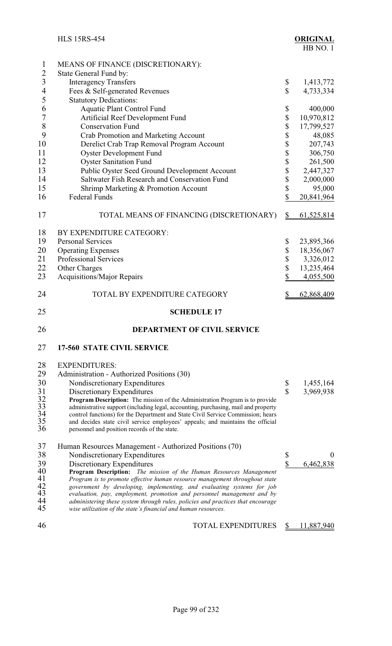|                 | <b>HLS 15RS-454</b>                                                                                                                              |                           | <b>ORIGINAL</b><br>HB NO.1 |
|-----------------|--------------------------------------------------------------------------------------------------------------------------------------------------|---------------------------|----------------------------|
| $\mathbf{1}$    | MEANS OF FINANCE (DISCRETIONARY):                                                                                                                |                           |                            |
| $\overline{c}$  | State General Fund by:                                                                                                                           |                           |                            |
| 3               | <b>Interagency Transfers</b>                                                                                                                     | \$                        | 1,413,772                  |
| $\overline{4}$  | Fees & Self-generated Revenues                                                                                                                   | \$                        | 4,733,334                  |
| 5               | <b>Statutory Dedications:</b>                                                                                                                    |                           |                            |
| 6               | <b>Aquatic Plant Control Fund</b>                                                                                                                | \$                        | 400,000                    |
| 7               | Artificial Reef Development Fund                                                                                                                 | \$                        | 10,970,812                 |
| 8               | <b>Conservation Fund</b>                                                                                                                         | \$                        | 17,799,527                 |
| 9               | Crab Promotion and Marketing Account                                                                                                             | \$                        | 48,085                     |
| 10<br>11        | Derelict Crab Trap Removal Program Account                                                                                                       | \$                        | 207,743                    |
| 12              | <b>Oyster Development Fund</b>                                                                                                                   | \$                        | 306,750                    |
| 13              | <b>Oyster Sanitation Fund</b>                                                                                                                    | \$                        | 261,500                    |
| 14              | Public Oyster Seed Ground Development Account<br>Saltwater Fish Research and Conservation Fund                                                   | \$                        | 2,447,327                  |
| 15              |                                                                                                                                                  | \$                        | 2,000,000                  |
| 16              | Shrimp Marketing & Promotion Account<br><b>Federal Funds</b>                                                                                     | \$<br>\$                  | 95,000                     |
|                 |                                                                                                                                                  |                           | 20,841,964                 |
| 17              | TOTAL MEANS OF FINANCING (DISCRETIONARY)                                                                                                         | $\boldsymbol{\mathsf{S}}$ | 61,525,814                 |
| 18              | BY EXPENDITURE CATEGORY:                                                                                                                         |                           |                            |
| 19              | <b>Personal Services</b>                                                                                                                         | \$                        | 23,895,366                 |
| 20              | <b>Operating Expenses</b>                                                                                                                        | \$                        | 18,356,067                 |
| 21              | <b>Professional Services</b>                                                                                                                     | \$                        | 3,326,012                  |
| 22              | Other Charges                                                                                                                                    | \$                        | 13,235,464                 |
| 23              | <b>Acquisitions/Major Repairs</b>                                                                                                                | \$                        | 4,055,500                  |
| 24              | TOTAL BY EXPENDITURE CATEGORY                                                                                                                    | \$                        | 62,868,409                 |
| 25              | <b>SCHEDULE 17</b>                                                                                                                               |                           |                            |
| 26              | <b>DEPARTMENT OF CIVIL SERVICE</b>                                                                                                               |                           |                            |
| 27              | <b>17-560 STATE CIVIL SERVICE</b>                                                                                                                |                           |                            |
|                 |                                                                                                                                                  |                           |                            |
| 28              | <b>EXPENDITURES:</b>                                                                                                                             |                           |                            |
| 29<br>30        | Administration - Authorized Positions (30)                                                                                                       |                           |                            |
| 31              | Nondiscretionary Expenditures<br>Discretionary Expenditures                                                                                      | \$<br>$\mathbf S$         | 1,455,164<br>3,969,938     |
|                 | Program Description: The mission of the Administration Program is to provide                                                                     |                           |                            |
| $\frac{32}{33}$ | administrative support (including legal, accounting, purchasing, mail and property                                                               |                           |                            |
| 34              | control functions) for the Department and State Civil Service Commission; hears                                                                  |                           |                            |
| 35<br>36        | and decides state civil service employees' appeals; and maintains the official                                                                   |                           |                            |
|                 | personnel and position records of the state.                                                                                                     |                           |                            |
| 37              | Human Resources Management - Authorized Positions (70)                                                                                           |                           |                            |
| 38              | Nondiscretionary Expenditures                                                                                                                    | \$                        | $\boldsymbol{0}$           |
| 39              | Discretionary Expenditures                                                                                                                       | \$                        | 6,462,838                  |
| 40              | Program Description: The mission of the Human Resources Management                                                                               |                           |                            |
| 41              | Program is to promote effective human resource management throughout state                                                                       |                           |                            |
| 42<br>43        | government by developing, implementing, and evaluating systems for job<br>evaluation, pay, employment, promotion and personnel management and by |                           |                            |
| 44              | administering these system through rules, policies and practices that encourage                                                                  |                           |                            |
| 45              | wise utilization of the state's financial and human resources.                                                                                   |                           |                            |
| 46              | <b>TOTAL EXPENDITURES</b>                                                                                                                        | \$                        | 11,887,940                 |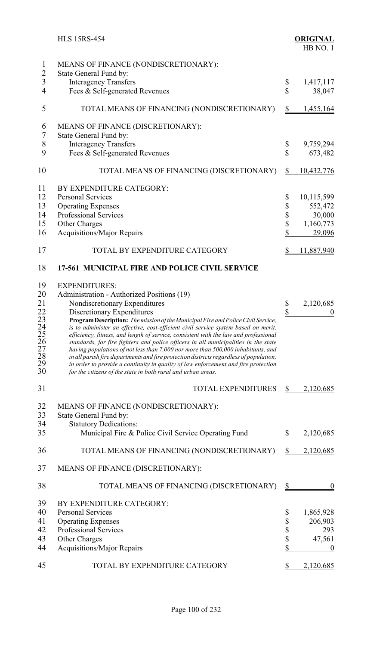|                                  | <b>HLS 15RS-454</b>                                                                                                                                                        |              | <b>ORIGINAL</b><br>HB NO.1 |
|----------------------------------|----------------------------------------------------------------------------------------------------------------------------------------------------------------------------|--------------|----------------------------|
| $\mathbf{1}$<br>$\overline{2}$   | MEANS OF FINANCE (NONDISCRETIONARY):<br>State General Fund by:                                                                                                             |              |                            |
| $\overline{3}$<br>$\overline{4}$ | <b>Interagency Transfers</b><br>Fees & Self-generated Revenues                                                                                                             | \$<br>\$     | 1,417,117<br>38,047        |
| 5                                | TOTAL MEANS OF FINANCING (NONDISCRETIONARY)                                                                                                                                | \$           | 1,455,164                  |
| 6<br>$\overline{7}$              | MEANS OF FINANCE (DISCRETIONARY):<br>State General Fund by:                                                                                                                |              |                            |
| 8<br>9                           | <b>Interagency Transfers</b><br>Fees & Self-generated Revenues                                                                                                             | \$<br>\$     | 9,759,294<br>673,482       |
| 10                               | TOTAL MEANS OF FINANCING (DISCRETIONARY)                                                                                                                                   | \$           | <u>10,432,776</u>          |
| 11                               | BY EXPENDITURE CATEGORY:                                                                                                                                                   |              |                            |
| 12                               | <b>Personal Services</b>                                                                                                                                                   | \$           | 10,115,599                 |
| 13                               | <b>Operating Expenses</b>                                                                                                                                                  | \$           | 552,472                    |
| 14                               | Professional Services                                                                                                                                                      | \$<br>\$     | 30,000                     |
| 15                               | Other Charges                                                                                                                                                              |              | 1,160,773                  |
| 16                               | Acquisitions/Major Repairs                                                                                                                                                 | \$           | 29,096                     |
| 17                               | TOTAL BY EXPENDITURE CATEGORY                                                                                                                                              | \$           | 11,887,940                 |
| 18                               | 17-561 MUNICIPAL FIRE AND POLICE CIVIL SERVICE                                                                                                                             |              |                            |
| 19                               | <b>EXPENDITURES:</b>                                                                                                                                                       |              |                            |
| 20                               | Administration - Authorized Positions (19)                                                                                                                                 |              |                            |
| 21                               | Nondiscretionary Expenditures                                                                                                                                              |              | 2,120,685                  |
|                                  |                                                                                                                                                                            | \$           |                            |
| 22                               | Discretionary Expenditures                                                                                                                                                 | \$           | $\boldsymbol{0}$           |
| 23                               | Program Description: The mission of the Municipal Fire and Police Civil Service,                                                                                           |              |                            |
| $\frac{24}{25}$                  | is to administer an effective, cost-efficient civil service system based on merit,                                                                                         |              |                            |
|                                  | efficiency, fitness, and length of service, consistent with the law and professional                                                                                       |              |                            |
|                                  | standards, for fire fighters and police officers in all municipalities in the state                                                                                        |              |                            |
| $\frac{26}{27}$                  | having populations of not less than 7,000 nor more than 500,000 inhabitants, and<br>in all parish fire departments and fire protection districts regardless of population, |              |                            |
| 29                               | in order to provide a continuity in quality of law enforcement and fire protection                                                                                         |              |                            |
| 30                               | for the citizens of the state in both rural and urban areas.                                                                                                               |              |                            |
| 31                               | TOTAL EXPENDITURES                                                                                                                                                         | \$           | 2,120,685                  |
| 32                               | MEANS OF FINANCE (NONDISCRETIONARY):                                                                                                                                       |              |                            |
| 33                               | State General Fund by:                                                                                                                                                     |              |                            |
| 34                               | <b>Statutory Dedications:</b>                                                                                                                                              |              |                            |
| 35                               |                                                                                                                                                                            |              |                            |
|                                  | Municipal Fire & Police Civil Service Operating Fund                                                                                                                       | \$           | 2,120,685                  |
| 36                               | TOTAL MEANS OF FINANCING (NONDISCRETIONARY)                                                                                                                                | \$           | 2,120,685                  |
| 37                               | MEANS OF FINANCE (DISCRETIONARY):                                                                                                                                          |              |                            |
| 38                               | TOTAL MEANS OF FINANCING (DISCRETIONARY)                                                                                                                                   | $\mathbb{S}$ | $\theta$                   |
| 39                               | BY EXPENDITURE CATEGORY:                                                                                                                                                   |              |                            |
| 40                               | <b>Personal Services</b>                                                                                                                                                   | \$           | 1,865,928                  |
| 41                               | <b>Operating Expenses</b>                                                                                                                                                  | \$           | 206,903                    |
| 42                               | <b>Professional Services</b>                                                                                                                                               |              | 293                        |
| 43                               |                                                                                                                                                                            | \$<br>\$     |                            |
|                                  | Other Charges                                                                                                                                                              |              | 47,561                     |
| 44                               | <b>Acquisitions/Major Repairs</b>                                                                                                                                          | \$           | $\boldsymbol{0}$           |
| 45                               | TOTAL BY EXPENDITURE CATEGORY                                                                                                                                              | \$           | 2,120,685                  |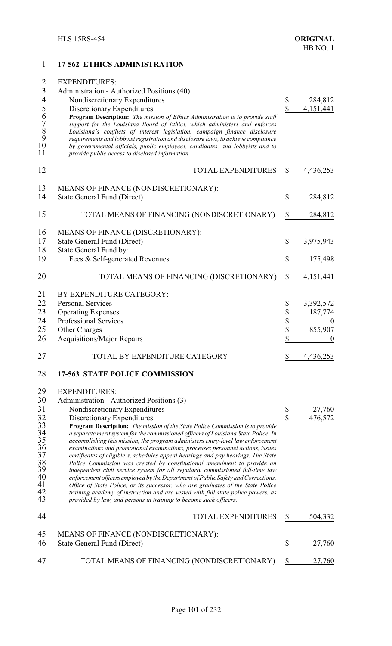| $\overline{2}$<br><b>EXPENDITURES:</b><br>$\overline{3}$<br>Administration - Authorized Positions (40)<br>$\frac{4}{5}$<br>Nondiscretionary Expenditures<br>284,812<br>\$<br>\$<br>Discretionary Expenditures<br>4,151,441<br>$\begin{array}{c} 6 \\ 7 \\ 8 \\ 9 \\ 10 \end{array}$<br>Program Description: The mission of Ethics Administration is to provide staff<br>support for the Louisiana Board of Ethics, which administers and enforces<br>Louisiana's conflicts of interest legislation, campaign finance disclosure<br>requirements and lobbyist registration and disclosure laws, to achieve compliance<br>by governmental officials, public employees, candidates, and lobbyists and to<br>11<br>provide public access to disclosed information.<br>12<br><b>TOTAL EXPENDITURES</b><br>4,436,253<br>\$<br>13<br>MEANS OF FINANCE (NONDISCRETIONARY):<br>14<br>\$<br><b>State General Fund (Direct)</b><br>284,812<br>15<br>TOTAL MEANS OF FINANCING (NONDISCRETIONARY)<br>$\frac{1}{2}$<br>284,812<br>16<br>MEANS OF FINANCE (DISCRETIONARY):<br>17<br><b>State General Fund (Direct)</b><br>$\mathbb{S}$<br>3,975,943<br>18<br>State General Fund by:<br>19<br>\$<br>Fees & Self-generated Revenues<br>175,498<br>20<br>TOTAL MEANS OF FINANCING (DISCRETIONARY)<br>\$<br>4,151,441<br>21<br>BY EXPENDITURE CATEGORY:<br>22<br><b>Personal Services</b><br>3,392,572<br>\$<br>23<br>\$<br><b>Operating Expenses</b><br>187,774<br>\$<br>24<br>Professional Services<br>$\boldsymbol{0}$<br>\$<br>25<br>855,907<br>Other Charges<br>\$<br>26<br><b>Acquisitions/Major Repairs</b><br>$\boldsymbol{0}$<br>TOTAL BY EXPENDITURE CATEGORY<br>27<br>4,436,253<br>28<br>17-563 STATE POLICE COMMISSION<br>29<br><b>EXPENDITURES:</b><br>30<br>Administration - Authorized Positions (3)<br>31<br>Nondiscretionary Expenditures<br>\$<br>27,760<br>\$<br>32<br>Discretionary Expenditures<br>476,572<br>33<br>Program Description: The mission of the State Police Commission is to provide<br>34<br>a separate merit system for the commissioned officers of Louisiana State Police. In<br>35<br>accomplishing this mission, the program administers entry-level law enforcement<br>36<br>examinations and promotional examinations, processes personnel actions, issues<br>37<br>certificates of eligible's, schedules appeal hearings and pay hearings. The State<br>38<br>Police Commission was created by constitutional amendment to provide an<br>39<br>independent civil service system for all regularly commissioned full-time law<br>40<br>enforcement officers employed by the Department of Public Safety and Corrections,<br>41<br>Office of State Police, or its successor, who are graduates of the State Police<br>42<br>training academy of instruction and are vested with full state police powers, as<br>43<br>provided by law, and persons in training to become such officers.<br>44<br><b>TOTAL EXPENDITURES</b><br>504,332<br>\$<br>45<br>MEANS OF FINANCE (NONDISCRETIONARY):<br>46<br><b>State General Fund (Direct)</b><br>$\mathbb{S}$<br>27,760<br>47<br>TOTAL MEANS OF FINANCING (NONDISCRETIONARY)<br>27,760<br>\$ | 1 | 17-562 ETHICS ADMINISTRATION |  |
|------------------------------------------------------------------------------------------------------------------------------------------------------------------------------------------------------------------------------------------------------------------------------------------------------------------------------------------------------------------------------------------------------------------------------------------------------------------------------------------------------------------------------------------------------------------------------------------------------------------------------------------------------------------------------------------------------------------------------------------------------------------------------------------------------------------------------------------------------------------------------------------------------------------------------------------------------------------------------------------------------------------------------------------------------------------------------------------------------------------------------------------------------------------------------------------------------------------------------------------------------------------------------------------------------------------------------------------------------------------------------------------------------------------------------------------------------------------------------------------------------------------------------------------------------------------------------------------------------------------------------------------------------------------------------------------------------------------------------------------------------------------------------------------------------------------------------------------------------------------------------------------------------------------------------------------------------------------------------------------------------------------------------------------------------------------------------------------------------------------------------------------------------------------------------------------------------------------------------------------------------------------------------------------------------------------------------------------------------------------------------------------------------------------------------------------------------------------------------------------------------------------------------------------------------------------------------------------------------------------------------------------------------------------------------------------------------------------------------------------------------------------------------------------------------------------------------------------------------------------------------------------------------------------------------------------------------------------------------------------------------------------------------------------------------------------------------------------------------------------------------------------------------------|---|------------------------------|--|
|                                                                                                                                                                                                                                                                                                                                                                                                                                                                                                                                                                                                                                                                                                                                                                                                                                                                                                                                                                                                                                                                                                                                                                                                                                                                                                                                                                                                                                                                                                                                                                                                                                                                                                                                                                                                                                                                                                                                                                                                                                                                                                                                                                                                                                                                                                                                                                                                                                                                                                                                                                                                                                                                                                                                                                                                                                                                                                                                                                                                                                                                                                                                                            |   |                              |  |
|                                                                                                                                                                                                                                                                                                                                                                                                                                                                                                                                                                                                                                                                                                                                                                                                                                                                                                                                                                                                                                                                                                                                                                                                                                                                                                                                                                                                                                                                                                                                                                                                                                                                                                                                                                                                                                                                                                                                                                                                                                                                                                                                                                                                                                                                                                                                                                                                                                                                                                                                                                                                                                                                                                                                                                                                                                                                                                                                                                                                                                                                                                                                                            |   |                              |  |
|                                                                                                                                                                                                                                                                                                                                                                                                                                                                                                                                                                                                                                                                                                                                                                                                                                                                                                                                                                                                                                                                                                                                                                                                                                                                                                                                                                                                                                                                                                                                                                                                                                                                                                                                                                                                                                                                                                                                                                                                                                                                                                                                                                                                                                                                                                                                                                                                                                                                                                                                                                                                                                                                                                                                                                                                                                                                                                                                                                                                                                                                                                                                                            |   |                              |  |
|                                                                                                                                                                                                                                                                                                                                                                                                                                                                                                                                                                                                                                                                                                                                                                                                                                                                                                                                                                                                                                                                                                                                                                                                                                                                                                                                                                                                                                                                                                                                                                                                                                                                                                                                                                                                                                                                                                                                                                                                                                                                                                                                                                                                                                                                                                                                                                                                                                                                                                                                                                                                                                                                                                                                                                                                                                                                                                                                                                                                                                                                                                                                                            |   |                              |  |
|                                                                                                                                                                                                                                                                                                                                                                                                                                                                                                                                                                                                                                                                                                                                                                                                                                                                                                                                                                                                                                                                                                                                                                                                                                                                                                                                                                                                                                                                                                                                                                                                                                                                                                                                                                                                                                                                                                                                                                                                                                                                                                                                                                                                                                                                                                                                                                                                                                                                                                                                                                                                                                                                                                                                                                                                                                                                                                                                                                                                                                                                                                                                                            |   |                              |  |
|                                                                                                                                                                                                                                                                                                                                                                                                                                                                                                                                                                                                                                                                                                                                                                                                                                                                                                                                                                                                                                                                                                                                                                                                                                                                                                                                                                                                                                                                                                                                                                                                                                                                                                                                                                                                                                                                                                                                                                                                                                                                                                                                                                                                                                                                                                                                                                                                                                                                                                                                                                                                                                                                                                                                                                                                                                                                                                                                                                                                                                                                                                                                                            |   |                              |  |
|                                                                                                                                                                                                                                                                                                                                                                                                                                                                                                                                                                                                                                                                                                                                                                                                                                                                                                                                                                                                                                                                                                                                                                                                                                                                                                                                                                                                                                                                                                                                                                                                                                                                                                                                                                                                                                                                                                                                                                                                                                                                                                                                                                                                                                                                                                                                                                                                                                                                                                                                                                                                                                                                                                                                                                                                                                                                                                                                                                                                                                                                                                                                                            |   |                              |  |
|                                                                                                                                                                                                                                                                                                                                                                                                                                                                                                                                                                                                                                                                                                                                                                                                                                                                                                                                                                                                                                                                                                                                                                                                                                                                                                                                                                                                                                                                                                                                                                                                                                                                                                                                                                                                                                                                                                                                                                                                                                                                                                                                                                                                                                                                                                                                                                                                                                                                                                                                                                                                                                                                                                                                                                                                                                                                                                                                                                                                                                                                                                                                                            |   |                              |  |
|                                                                                                                                                                                                                                                                                                                                                                                                                                                                                                                                                                                                                                                                                                                                                                                                                                                                                                                                                                                                                                                                                                                                                                                                                                                                                                                                                                                                                                                                                                                                                                                                                                                                                                                                                                                                                                                                                                                                                                                                                                                                                                                                                                                                                                                                                                                                                                                                                                                                                                                                                                                                                                                                                                                                                                                                                                                                                                                                                                                                                                                                                                                                                            |   |                              |  |
|                                                                                                                                                                                                                                                                                                                                                                                                                                                                                                                                                                                                                                                                                                                                                                                                                                                                                                                                                                                                                                                                                                                                                                                                                                                                                                                                                                                                                                                                                                                                                                                                                                                                                                                                                                                                                                                                                                                                                                                                                                                                                                                                                                                                                                                                                                                                                                                                                                                                                                                                                                                                                                                                                                                                                                                                                                                                                                                                                                                                                                                                                                                                                            |   |                              |  |
|                                                                                                                                                                                                                                                                                                                                                                                                                                                                                                                                                                                                                                                                                                                                                                                                                                                                                                                                                                                                                                                                                                                                                                                                                                                                                                                                                                                                                                                                                                                                                                                                                                                                                                                                                                                                                                                                                                                                                                                                                                                                                                                                                                                                                                                                                                                                                                                                                                                                                                                                                                                                                                                                                                                                                                                                                                                                                                                                                                                                                                                                                                                                                            |   |                              |  |
|                                                                                                                                                                                                                                                                                                                                                                                                                                                                                                                                                                                                                                                                                                                                                                                                                                                                                                                                                                                                                                                                                                                                                                                                                                                                                                                                                                                                                                                                                                                                                                                                                                                                                                                                                                                                                                                                                                                                                                                                                                                                                                                                                                                                                                                                                                                                                                                                                                                                                                                                                                                                                                                                                                                                                                                                                                                                                                                                                                                                                                                                                                                                                            |   |                              |  |
|                                                                                                                                                                                                                                                                                                                                                                                                                                                                                                                                                                                                                                                                                                                                                                                                                                                                                                                                                                                                                                                                                                                                                                                                                                                                                                                                                                                                                                                                                                                                                                                                                                                                                                                                                                                                                                                                                                                                                                                                                                                                                                                                                                                                                                                                                                                                                                                                                                                                                                                                                                                                                                                                                                                                                                                                                                                                                                                                                                                                                                                                                                                                                            |   |                              |  |
|                                                                                                                                                                                                                                                                                                                                                                                                                                                                                                                                                                                                                                                                                                                                                                                                                                                                                                                                                                                                                                                                                                                                                                                                                                                                                                                                                                                                                                                                                                                                                                                                                                                                                                                                                                                                                                                                                                                                                                                                                                                                                                                                                                                                                                                                                                                                                                                                                                                                                                                                                                                                                                                                                                                                                                                                                                                                                                                                                                                                                                                                                                                                                            |   |                              |  |
|                                                                                                                                                                                                                                                                                                                                                                                                                                                                                                                                                                                                                                                                                                                                                                                                                                                                                                                                                                                                                                                                                                                                                                                                                                                                                                                                                                                                                                                                                                                                                                                                                                                                                                                                                                                                                                                                                                                                                                                                                                                                                                                                                                                                                                                                                                                                                                                                                                                                                                                                                                                                                                                                                                                                                                                                                                                                                                                                                                                                                                                                                                                                                            |   |                              |  |
|                                                                                                                                                                                                                                                                                                                                                                                                                                                                                                                                                                                                                                                                                                                                                                                                                                                                                                                                                                                                                                                                                                                                                                                                                                                                                                                                                                                                                                                                                                                                                                                                                                                                                                                                                                                                                                                                                                                                                                                                                                                                                                                                                                                                                                                                                                                                                                                                                                                                                                                                                                                                                                                                                                                                                                                                                                                                                                                                                                                                                                                                                                                                                            |   |                              |  |
|                                                                                                                                                                                                                                                                                                                                                                                                                                                                                                                                                                                                                                                                                                                                                                                                                                                                                                                                                                                                                                                                                                                                                                                                                                                                                                                                                                                                                                                                                                                                                                                                                                                                                                                                                                                                                                                                                                                                                                                                                                                                                                                                                                                                                                                                                                                                                                                                                                                                                                                                                                                                                                                                                                                                                                                                                                                                                                                                                                                                                                                                                                                                                            |   |                              |  |
|                                                                                                                                                                                                                                                                                                                                                                                                                                                                                                                                                                                                                                                                                                                                                                                                                                                                                                                                                                                                                                                                                                                                                                                                                                                                                                                                                                                                                                                                                                                                                                                                                                                                                                                                                                                                                                                                                                                                                                                                                                                                                                                                                                                                                                                                                                                                                                                                                                                                                                                                                                                                                                                                                                                                                                                                                                                                                                                                                                                                                                                                                                                                                            |   |                              |  |
|                                                                                                                                                                                                                                                                                                                                                                                                                                                                                                                                                                                                                                                                                                                                                                                                                                                                                                                                                                                                                                                                                                                                                                                                                                                                                                                                                                                                                                                                                                                                                                                                                                                                                                                                                                                                                                                                                                                                                                                                                                                                                                                                                                                                                                                                                                                                                                                                                                                                                                                                                                                                                                                                                                                                                                                                                                                                                                                                                                                                                                                                                                                                                            |   |                              |  |
|                                                                                                                                                                                                                                                                                                                                                                                                                                                                                                                                                                                                                                                                                                                                                                                                                                                                                                                                                                                                                                                                                                                                                                                                                                                                                                                                                                                                                                                                                                                                                                                                                                                                                                                                                                                                                                                                                                                                                                                                                                                                                                                                                                                                                                                                                                                                                                                                                                                                                                                                                                                                                                                                                                                                                                                                                                                                                                                                                                                                                                                                                                                                                            |   |                              |  |
|                                                                                                                                                                                                                                                                                                                                                                                                                                                                                                                                                                                                                                                                                                                                                                                                                                                                                                                                                                                                                                                                                                                                                                                                                                                                                                                                                                                                                                                                                                                                                                                                                                                                                                                                                                                                                                                                                                                                                                                                                                                                                                                                                                                                                                                                                                                                                                                                                                                                                                                                                                                                                                                                                                                                                                                                                                                                                                                                                                                                                                                                                                                                                            |   |                              |  |
|                                                                                                                                                                                                                                                                                                                                                                                                                                                                                                                                                                                                                                                                                                                                                                                                                                                                                                                                                                                                                                                                                                                                                                                                                                                                                                                                                                                                                                                                                                                                                                                                                                                                                                                                                                                                                                                                                                                                                                                                                                                                                                                                                                                                                                                                                                                                                                                                                                                                                                                                                                                                                                                                                                                                                                                                                                                                                                                                                                                                                                                                                                                                                            |   |                              |  |
|                                                                                                                                                                                                                                                                                                                                                                                                                                                                                                                                                                                                                                                                                                                                                                                                                                                                                                                                                                                                                                                                                                                                                                                                                                                                                                                                                                                                                                                                                                                                                                                                                                                                                                                                                                                                                                                                                                                                                                                                                                                                                                                                                                                                                                                                                                                                                                                                                                                                                                                                                                                                                                                                                                                                                                                                                                                                                                                                                                                                                                                                                                                                                            |   |                              |  |
|                                                                                                                                                                                                                                                                                                                                                                                                                                                                                                                                                                                                                                                                                                                                                                                                                                                                                                                                                                                                                                                                                                                                                                                                                                                                                                                                                                                                                                                                                                                                                                                                                                                                                                                                                                                                                                                                                                                                                                                                                                                                                                                                                                                                                                                                                                                                                                                                                                                                                                                                                                                                                                                                                                                                                                                                                                                                                                                                                                                                                                                                                                                                                            |   |                              |  |
|                                                                                                                                                                                                                                                                                                                                                                                                                                                                                                                                                                                                                                                                                                                                                                                                                                                                                                                                                                                                                                                                                                                                                                                                                                                                                                                                                                                                                                                                                                                                                                                                                                                                                                                                                                                                                                                                                                                                                                                                                                                                                                                                                                                                                                                                                                                                                                                                                                                                                                                                                                                                                                                                                                                                                                                                                                                                                                                                                                                                                                                                                                                                                            |   |                              |  |
|                                                                                                                                                                                                                                                                                                                                                                                                                                                                                                                                                                                                                                                                                                                                                                                                                                                                                                                                                                                                                                                                                                                                                                                                                                                                                                                                                                                                                                                                                                                                                                                                                                                                                                                                                                                                                                                                                                                                                                                                                                                                                                                                                                                                                                                                                                                                                                                                                                                                                                                                                                                                                                                                                                                                                                                                                                                                                                                                                                                                                                                                                                                                                            |   |                              |  |
|                                                                                                                                                                                                                                                                                                                                                                                                                                                                                                                                                                                                                                                                                                                                                                                                                                                                                                                                                                                                                                                                                                                                                                                                                                                                                                                                                                                                                                                                                                                                                                                                                                                                                                                                                                                                                                                                                                                                                                                                                                                                                                                                                                                                                                                                                                                                                                                                                                                                                                                                                                                                                                                                                                                                                                                                                                                                                                                                                                                                                                                                                                                                                            |   |                              |  |
|                                                                                                                                                                                                                                                                                                                                                                                                                                                                                                                                                                                                                                                                                                                                                                                                                                                                                                                                                                                                                                                                                                                                                                                                                                                                                                                                                                                                                                                                                                                                                                                                                                                                                                                                                                                                                                                                                                                                                                                                                                                                                                                                                                                                                                                                                                                                                                                                                                                                                                                                                                                                                                                                                                                                                                                                                                                                                                                                                                                                                                                                                                                                                            |   |                              |  |
|                                                                                                                                                                                                                                                                                                                                                                                                                                                                                                                                                                                                                                                                                                                                                                                                                                                                                                                                                                                                                                                                                                                                                                                                                                                                                                                                                                                                                                                                                                                                                                                                                                                                                                                                                                                                                                                                                                                                                                                                                                                                                                                                                                                                                                                                                                                                                                                                                                                                                                                                                                                                                                                                                                                                                                                                                                                                                                                                                                                                                                                                                                                                                            |   |                              |  |
|                                                                                                                                                                                                                                                                                                                                                                                                                                                                                                                                                                                                                                                                                                                                                                                                                                                                                                                                                                                                                                                                                                                                                                                                                                                                                                                                                                                                                                                                                                                                                                                                                                                                                                                                                                                                                                                                                                                                                                                                                                                                                                                                                                                                                                                                                                                                                                                                                                                                                                                                                                                                                                                                                                                                                                                                                                                                                                                                                                                                                                                                                                                                                            |   |                              |  |
|                                                                                                                                                                                                                                                                                                                                                                                                                                                                                                                                                                                                                                                                                                                                                                                                                                                                                                                                                                                                                                                                                                                                                                                                                                                                                                                                                                                                                                                                                                                                                                                                                                                                                                                                                                                                                                                                                                                                                                                                                                                                                                                                                                                                                                                                                                                                                                                                                                                                                                                                                                                                                                                                                                                                                                                                                                                                                                                                                                                                                                                                                                                                                            |   |                              |  |
|                                                                                                                                                                                                                                                                                                                                                                                                                                                                                                                                                                                                                                                                                                                                                                                                                                                                                                                                                                                                                                                                                                                                                                                                                                                                                                                                                                                                                                                                                                                                                                                                                                                                                                                                                                                                                                                                                                                                                                                                                                                                                                                                                                                                                                                                                                                                                                                                                                                                                                                                                                                                                                                                                                                                                                                                                                                                                                                                                                                                                                                                                                                                                            |   |                              |  |
|                                                                                                                                                                                                                                                                                                                                                                                                                                                                                                                                                                                                                                                                                                                                                                                                                                                                                                                                                                                                                                                                                                                                                                                                                                                                                                                                                                                                                                                                                                                                                                                                                                                                                                                                                                                                                                                                                                                                                                                                                                                                                                                                                                                                                                                                                                                                                                                                                                                                                                                                                                                                                                                                                                                                                                                                                                                                                                                                                                                                                                                                                                                                                            |   |                              |  |
|                                                                                                                                                                                                                                                                                                                                                                                                                                                                                                                                                                                                                                                                                                                                                                                                                                                                                                                                                                                                                                                                                                                                                                                                                                                                                                                                                                                                                                                                                                                                                                                                                                                                                                                                                                                                                                                                                                                                                                                                                                                                                                                                                                                                                                                                                                                                                                                                                                                                                                                                                                                                                                                                                                                                                                                                                                                                                                                                                                                                                                                                                                                                                            |   |                              |  |
|                                                                                                                                                                                                                                                                                                                                                                                                                                                                                                                                                                                                                                                                                                                                                                                                                                                                                                                                                                                                                                                                                                                                                                                                                                                                                                                                                                                                                                                                                                                                                                                                                                                                                                                                                                                                                                                                                                                                                                                                                                                                                                                                                                                                                                                                                                                                                                                                                                                                                                                                                                                                                                                                                                                                                                                                                                                                                                                                                                                                                                                                                                                                                            |   |                              |  |
|                                                                                                                                                                                                                                                                                                                                                                                                                                                                                                                                                                                                                                                                                                                                                                                                                                                                                                                                                                                                                                                                                                                                                                                                                                                                                                                                                                                                                                                                                                                                                                                                                                                                                                                                                                                                                                                                                                                                                                                                                                                                                                                                                                                                                                                                                                                                                                                                                                                                                                                                                                                                                                                                                                                                                                                                                                                                                                                                                                                                                                                                                                                                                            |   |                              |  |
|                                                                                                                                                                                                                                                                                                                                                                                                                                                                                                                                                                                                                                                                                                                                                                                                                                                                                                                                                                                                                                                                                                                                                                                                                                                                                                                                                                                                                                                                                                                                                                                                                                                                                                                                                                                                                                                                                                                                                                                                                                                                                                                                                                                                                                                                                                                                                                                                                                                                                                                                                                                                                                                                                                                                                                                                                                                                                                                                                                                                                                                                                                                                                            |   |                              |  |
|                                                                                                                                                                                                                                                                                                                                                                                                                                                                                                                                                                                                                                                                                                                                                                                                                                                                                                                                                                                                                                                                                                                                                                                                                                                                                                                                                                                                                                                                                                                                                                                                                                                                                                                                                                                                                                                                                                                                                                                                                                                                                                                                                                                                                                                                                                                                                                                                                                                                                                                                                                                                                                                                                                                                                                                                                                                                                                                                                                                                                                                                                                                                                            |   |                              |  |
|                                                                                                                                                                                                                                                                                                                                                                                                                                                                                                                                                                                                                                                                                                                                                                                                                                                                                                                                                                                                                                                                                                                                                                                                                                                                                                                                                                                                                                                                                                                                                                                                                                                                                                                                                                                                                                                                                                                                                                                                                                                                                                                                                                                                                                                                                                                                                                                                                                                                                                                                                                                                                                                                                                                                                                                                                                                                                                                                                                                                                                                                                                                                                            |   |                              |  |
|                                                                                                                                                                                                                                                                                                                                                                                                                                                                                                                                                                                                                                                                                                                                                                                                                                                                                                                                                                                                                                                                                                                                                                                                                                                                                                                                                                                                                                                                                                                                                                                                                                                                                                                                                                                                                                                                                                                                                                                                                                                                                                                                                                                                                                                                                                                                                                                                                                                                                                                                                                                                                                                                                                                                                                                                                                                                                                                                                                                                                                                                                                                                                            |   |                              |  |
|                                                                                                                                                                                                                                                                                                                                                                                                                                                                                                                                                                                                                                                                                                                                                                                                                                                                                                                                                                                                                                                                                                                                                                                                                                                                                                                                                                                                                                                                                                                                                                                                                                                                                                                                                                                                                                                                                                                                                                                                                                                                                                                                                                                                                                                                                                                                                                                                                                                                                                                                                                                                                                                                                                                                                                                                                                                                                                                                                                                                                                                                                                                                                            |   |                              |  |
|                                                                                                                                                                                                                                                                                                                                                                                                                                                                                                                                                                                                                                                                                                                                                                                                                                                                                                                                                                                                                                                                                                                                                                                                                                                                                                                                                                                                                                                                                                                                                                                                                                                                                                                                                                                                                                                                                                                                                                                                                                                                                                                                                                                                                                                                                                                                                                                                                                                                                                                                                                                                                                                                                                                                                                                                                                                                                                                                                                                                                                                                                                                                                            |   |                              |  |
|                                                                                                                                                                                                                                                                                                                                                                                                                                                                                                                                                                                                                                                                                                                                                                                                                                                                                                                                                                                                                                                                                                                                                                                                                                                                                                                                                                                                                                                                                                                                                                                                                                                                                                                                                                                                                                                                                                                                                                                                                                                                                                                                                                                                                                                                                                                                                                                                                                                                                                                                                                                                                                                                                                                                                                                                                                                                                                                                                                                                                                                                                                                                                            |   |                              |  |
|                                                                                                                                                                                                                                                                                                                                                                                                                                                                                                                                                                                                                                                                                                                                                                                                                                                                                                                                                                                                                                                                                                                                                                                                                                                                                                                                                                                                                                                                                                                                                                                                                                                                                                                                                                                                                                                                                                                                                                                                                                                                                                                                                                                                                                                                                                                                                                                                                                                                                                                                                                                                                                                                                                                                                                                                                                                                                                                                                                                                                                                                                                                                                            |   |                              |  |
|                                                                                                                                                                                                                                                                                                                                                                                                                                                                                                                                                                                                                                                                                                                                                                                                                                                                                                                                                                                                                                                                                                                                                                                                                                                                                                                                                                                                                                                                                                                                                                                                                                                                                                                                                                                                                                                                                                                                                                                                                                                                                                                                                                                                                                                                                                                                                                                                                                                                                                                                                                                                                                                                                                                                                                                                                                                                                                                                                                                                                                                                                                                                                            |   |                              |  |
|                                                                                                                                                                                                                                                                                                                                                                                                                                                                                                                                                                                                                                                                                                                                                                                                                                                                                                                                                                                                                                                                                                                                                                                                                                                                                                                                                                                                                                                                                                                                                                                                                                                                                                                                                                                                                                                                                                                                                                                                                                                                                                                                                                                                                                                                                                                                                                                                                                                                                                                                                                                                                                                                                                                                                                                                                                                                                                                                                                                                                                                                                                                                                            |   |                              |  |
|                                                                                                                                                                                                                                                                                                                                                                                                                                                                                                                                                                                                                                                                                                                                                                                                                                                                                                                                                                                                                                                                                                                                                                                                                                                                                                                                                                                                                                                                                                                                                                                                                                                                                                                                                                                                                                                                                                                                                                                                                                                                                                                                                                                                                                                                                                                                                                                                                                                                                                                                                                                                                                                                                                                                                                                                                                                                                                                                                                                                                                                                                                                                                            |   |                              |  |
|                                                                                                                                                                                                                                                                                                                                                                                                                                                                                                                                                                                                                                                                                                                                                                                                                                                                                                                                                                                                                                                                                                                                                                                                                                                                                                                                                                                                                                                                                                                                                                                                                                                                                                                                                                                                                                                                                                                                                                                                                                                                                                                                                                                                                                                                                                                                                                                                                                                                                                                                                                                                                                                                                                                                                                                                                                                                                                                                                                                                                                                                                                                                                            |   |                              |  |
|                                                                                                                                                                                                                                                                                                                                                                                                                                                                                                                                                                                                                                                                                                                                                                                                                                                                                                                                                                                                                                                                                                                                                                                                                                                                                                                                                                                                                                                                                                                                                                                                                                                                                                                                                                                                                                                                                                                                                                                                                                                                                                                                                                                                                                                                                                                                                                                                                                                                                                                                                                                                                                                                                                                                                                                                                                                                                                                                                                                                                                                                                                                                                            |   |                              |  |
|                                                                                                                                                                                                                                                                                                                                                                                                                                                                                                                                                                                                                                                                                                                                                                                                                                                                                                                                                                                                                                                                                                                                                                                                                                                                                                                                                                                                                                                                                                                                                                                                                                                                                                                                                                                                                                                                                                                                                                                                                                                                                                                                                                                                                                                                                                                                                                                                                                                                                                                                                                                                                                                                                                                                                                                                                                                                                                                                                                                                                                                                                                                                                            |   |                              |  |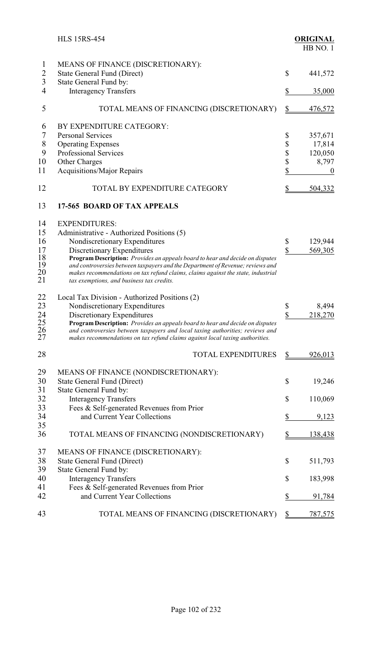|                | <b>HLS 15RS-454</b>                                                              |                        | <b>ORIGINAL</b><br>HB NO.1 |
|----------------|----------------------------------------------------------------------------------|------------------------|----------------------------|
| $\mathbf{1}$   | MEANS OF FINANCE (DISCRETIONARY):                                                |                        |                            |
| $\overline{2}$ | State General Fund (Direct)                                                      | \$                     | 441,572                    |
| $\overline{3}$ | State General Fund by:                                                           |                        |                            |
| $\overline{4}$ | <b>Interagency Transfers</b>                                                     | \$                     | 35,000                     |
| 5              | TOTAL MEANS OF FINANCING (DISCRETIONARY)                                         | $\frac{1}{2}$          | <u>476,572</u>             |
| 6              | BY EXPENDITURE CATEGORY:                                                         |                        |                            |
| 7              | <b>Personal Services</b>                                                         | \$                     | 357,671                    |
| $\,$ $\,$      | <b>Operating Expenses</b>                                                        | \$                     | 17,814                     |
| 9              | <b>Professional Services</b>                                                     | \$                     | 120,050                    |
| 10             | Other Charges                                                                    | \$                     | 8,797                      |
| 11             | <b>Acquisitions/Major Repairs</b>                                                | \$                     | $\boldsymbol{0}$           |
| 12             | TOTAL BY EXPENDITURE CATEGORY                                                    | \$                     | <u>504,332</u>             |
| 13             | 17-565 BOARD OF TAX APPEALS                                                      |                        |                            |
| 14             | <b>EXPENDITURES:</b>                                                             |                        |                            |
| 15             | Administrative - Authorized Positions (5)                                        |                        |                            |
| 16             | Nondiscretionary Expenditures                                                    | \$                     | 129,944                    |
| 17             | Discretionary Expenditures                                                       | $\sqrt{\frac{2}{\pi}}$ | 569,305                    |
| 18             | Program Description: Provides an appeals board to hear and decide on disputes    |                        |                            |
| 19             | and controversies between taxpayers and the Department of Revenue; reviews and   |                        |                            |
| 20             | makes recommendations on tax refund claims, claims against the state, industrial |                        |                            |
| 21             | tax exemptions, and business tax credits.                                        |                        |                            |
| 22             | Local Tax Division - Authorized Positions (2)                                    |                        |                            |
| 23             | Nondiscretionary Expenditures                                                    | \$                     | 8,494                      |
| 24             | Discretionary Expenditures                                                       | \$                     | 218,270                    |
|                | Program Description: Provides an appeals board to hear and decide on disputes    |                        |                            |
| 25<br>26<br>27 | and controversies between taxpayers and local taxing authorities; reviews and    |                        |                            |
|                | makes recommendations on tax refund claims against local taxing authorities.     |                        |                            |
| 28             | <b>TOTAL EXPENDITURES</b>                                                        | $\mathbf{\Omega}$      | <u>926,013</u>             |
| 29             | MEANS OF FINANCE (NONDISCRETIONARY):                                             |                        |                            |
| 30             | State General Fund (Direct)                                                      | \$                     | 19,246                     |
| 31             | State General Fund by:                                                           |                        |                            |
| 32             | <b>Interagency Transfers</b>                                                     | \$                     | 110,069                    |
| 33             | Fees & Self-generated Revenues from Prior                                        |                        |                            |
| 34             | and Current Year Collections                                                     | \$                     | 9,123                      |
| 35             |                                                                                  |                        |                            |
| 36             | TOTAL MEANS OF FINANCING (NONDISCRETIONARY)                                      | \$                     | 138,438                    |
| 37             | MEANS OF FINANCE (DISCRETIONARY):                                                |                        |                            |
| 38             | <b>State General Fund (Direct)</b>                                               | \$                     | 511,793                    |
| 39             | State General Fund by:                                                           |                        |                            |
| 40             | <b>Interagency Transfers</b>                                                     | \$                     | 183,998                    |
| 41             | Fees & Self-generated Revenues from Prior                                        |                        |                            |
| 42             | and Current Year Collections                                                     | \$                     | 91,784                     |
| 43             | TOTAL MEANS OF FINANCING (DISCRETIONARY)                                         | \$                     | 787,575                    |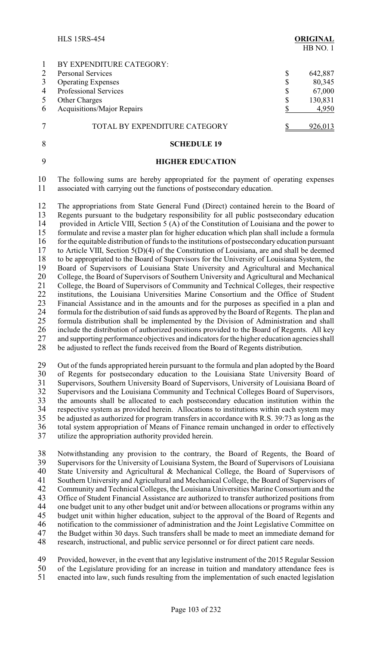|                | <b>HLS 15RS-454</b>           | <b>ORIGINAL</b><br>HB NO.1 |
|----------------|-------------------------------|----------------------------|
| $\mathbf{1}$   | BY EXPENDITURE CATEGORY:      |                            |
| 2              | <b>Personal Services</b>      | \$<br>642,887              |
| 3              | <b>Operating Expenses</b>     | \$<br>80,345               |
| $\overline{4}$ | <b>Professional Services</b>  | \$<br>67,000               |
| 5              | <b>Other Charges</b>          | \$<br>130,831              |
| 6              | Acquisitions/Major Repairs    | 4,950                      |
| 7              | TOTAL BY EXPENDITURE CATEGORY | 926,013                    |
| 8              | <b>SCHEDULE 19</b>            |                            |

- 
- 

## 9 **HIGHER EDUCATION**

10 The following sums are hereby appropriated for the payment of operating expenses 11 associated with carrying out the functions of postsecondary education.

12 The appropriations from State General Fund (Direct) contained herein to the Board of 13 Regents pursuant to the budgetary responsibility for all public postsecondary education Regents pursuant to the budgetary responsibility for all public postsecondary education 14 provided in Article VIII, Section 5 (A) of the Constitution of Louisiana and the power to 15 formulate and revise a master plan for higher education which plan shall include a formula 16 for the equitable distribution of funds to the institutions of postsecondary education pursuant<br>17 to Article VIII. Section 5(D)(4) of the Constitution of Louisiana, are and shall be deemed 17 to Article VIII, Section 5(D)(4) of the Constitution of Louisiana, are and shall be deemed to be appropriated to the Board of Supervisors for the University of Louisiana System, the 18 to be appropriated to the Board of Supervisors for the University of Louisiana System, the 19 Board of Supervisors of Louisiana State University and Agricultural and Mechanical 19 Board of Supervisors of Louisiana State University and Agricultural and Mechanical<br>20 College, the Board of Supervisors of Southern University and Agricultural and Mechanical 20 College, the Board of Supervisors of Southern University and Agricultural and Mechanical<br>21 College, the Board of Supervisors of Community and Technical Colleges, their respective 21 College, the Board of Supervisors of Community and Technical Colleges, their respective 22 institutions, the Louisiana Universities Marine Consortium and the Office of Student 23 Financial Assistance and in the amounts and for the purposes as specified in a plan and Financial Assistance and in the amounts and for the purposes as specified in a plan and 24 formula for the distribution of said funds as approved by the Board of Regents. The plan and 25 formula distribution shall be implemented by the Division of Administration and shall 26 include the distribution of authorized positions provided to the Board of Regents. All key<br>27 and supporting performance objectives and indicators for the higher education agencies shall 27 and supporting performance objectives and indicators for the higher education agencies shall<br>28 be adjusted to reflect the funds received from the Board of Regents distribution. be adjusted to reflect the funds received from the Board of Regents distribution.

29 Out of the funds appropriated herein pursuant to the formula and plan adopted by the Board<br>30 of Regents for postsecondary education to the Louisiana State University Board of of Regents for postsecondary education to the Louisiana State University Board of 31 Supervisors, Southern University Board of Supervisors, University of Louisiana Board of<br>32 Supervisors and the Louisiana Community and Technical Colleges Board of Supervisors. Supervisors and the Louisiana Community and Technical Colleges Board of Supervisors, 33 the amounts shall be allocated to each postsecondary education institution within the 34 respective system as provided herein. Allocations to institutions within each system may<br>35 be adjusted as authorized for program transfers in accordance with R.S. 39:73 as long as the be adjusted as authorized for program transfers in accordance with R.S. 39:73 as long as the 36 total system appropriation of Means of Finance remain unchanged in order to effectively<br>37 utilize the appropriation authority provided herein utilize the appropriation authority provided herein.

38 Notwithstanding any provision to the contrary, the Board of Regents, the Board of Supervisors for the University of Louisiana System, the Board of Supervisors of Louisiana Supervisors for the University of Louisiana System, the Board of Supervisors of Louisiana State University and Agricultural & Mechanical College, the Board of Supervisors of Southern University and Agricultural and Mechanical College, the Board of Supervisors of Community and Technical Colleges, the Louisiana Universities Marine Consortium and the Office of Student Financial Assistance are authorized to transfer authorized positions from one budget unit to any other budget unit and/or between allocations or programs within any 45 budget unit within higher education, subject to the approval of the Board of Regents and<br>46 notification to the commissioner of administration and the Joint Legislative Committee on notification to the commissioner of administration and the Joint Legislative Committee on the Budget within 30 days. Such transfers shall be made to meet an immediate demand for research, instructional, and public service personnel or for direct patient care needs.

49 Provided, however, in the event that any legislative instrument of the 2015 Regular Session 50 of the Legislature providing for an increase in tuition and mandatory attendance fees is<br>51 enacted into law, such funds resulting from the implementation of such enacted legislation 51 enacted into law, such funds resulting from the implementation of such enacted legislation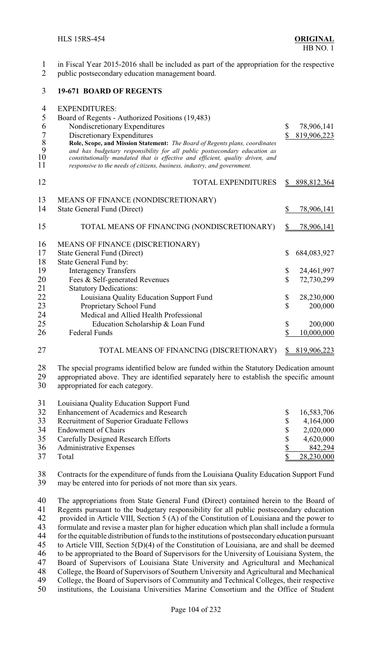- in Fiscal Year 2015-2016 shall be included as part of the appropriation for the respective
- public postsecondary education management board.

### **19-671 BOARD OF REGENTS**

| 4<br>5                                 | <b>EXPENDITURES:</b><br>Board of Regents - Authorized Positions (19,483)                                                                                                                                                                                                                                                                              |               |                   |
|----------------------------------------|-------------------------------------------------------------------------------------------------------------------------------------------------------------------------------------------------------------------------------------------------------------------------------------------------------------------------------------------------------|---------------|-------------------|
| 6                                      | Nondiscretionary Expenditures                                                                                                                                                                                                                                                                                                                         | \$            | 78,906,141        |
| $\boldsymbol{7}$<br>8<br>9<br>10<br>11 | Discretionary Expenditures<br>Role, Scope, and Mission Statement: The Board of Regents plans, coordinates<br>and has budgetary responsibility for all public postsecondary education as<br>constitutionally mandated that is effective and efficient, quality driven, and<br>responsive to the needs of citizens, business, industry, and government. | \$            | 819,906,223       |
| 12                                     | TOTAL EXPENDITURES                                                                                                                                                                                                                                                                                                                                    |               | 898,812,364       |
| 13                                     | MEANS OF FINANCE (NONDISCRETIONARY)                                                                                                                                                                                                                                                                                                                   |               |                   |
| 14                                     | <b>State General Fund (Direct)</b>                                                                                                                                                                                                                                                                                                                    | \$            | 78,906,141        |
| 15                                     | TOTAL MEANS OF FINANCING (NONDISCRETIONARY)                                                                                                                                                                                                                                                                                                           | $\frac{1}{2}$ | <u>78,906,141</u> |
| 16                                     | MEANS OF FINANCE (DISCRETIONARY)                                                                                                                                                                                                                                                                                                                      |               |                   |
| 17                                     | <b>State General Fund (Direct)</b>                                                                                                                                                                                                                                                                                                                    | \$            | 684,083,927       |
| 18                                     | State General Fund by:                                                                                                                                                                                                                                                                                                                                |               |                   |
| 19                                     | <b>Interagency Transfers</b>                                                                                                                                                                                                                                                                                                                          | \$            | 24,461,997        |
| 20                                     | Fees & Self-generated Revenues                                                                                                                                                                                                                                                                                                                        | $\mathbb S$   | 72,730,299        |
| 21                                     | <b>Statutory Dedications:</b>                                                                                                                                                                                                                                                                                                                         |               |                   |
| 22                                     | Louisiana Quality Education Support Fund                                                                                                                                                                                                                                                                                                              | \$            | 28,230,000        |
| 23                                     | Proprietary School Fund                                                                                                                                                                                                                                                                                                                               | \$            | 200,000           |
| 24                                     | Medical and Allied Health Professional                                                                                                                                                                                                                                                                                                                |               |                   |
| 25                                     | Education Scholarship & Loan Fund                                                                                                                                                                                                                                                                                                                     | \$            | 200,000           |
| 26                                     | <b>Federal Funds</b>                                                                                                                                                                                                                                                                                                                                  | \$            | 10,000,000        |
| 27                                     | TOTAL MEANS OF FINANCING (DISCRETIONARY)                                                                                                                                                                                                                                                                                                              | \$            | 819,906,223       |
| 28<br>29<br>30                         | The special programs identified below are funded within the Statutory Dedication amount<br>appropriated above. They are identified separately here to establish the specific amount<br>appropriated for each category.                                                                                                                                |               |                   |
| 31                                     | Louisiana Quality Education Support Fund                                                                                                                                                                                                                                                                                                              |               |                   |
| 32                                     | Enhancement of Academics and Research                                                                                                                                                                                                                                                                                                                 | \$            | 16,583,706        |
| 22                                     | Decryptional of Sypanior Graduate Follows                                                                                                                                                                                                                                                                                                             | ¢             | (1.16100)         |

33 Recruitment of Superior Graduate Fellows  $\begin{array}{cc} 33 & 4,164,000 \\ -8 & 4,164,000 \end{array}$ <br>34 Endowment of Chairs Endowment of Chairs \$ 2,020,000 Carefully Designed Research Efforts \$ 4,620,000 36 Administrative Expenses  $\frac{\$}{\$}$  842,294 37 Total <u>\$ 28,230,000</u>

38 Contracts for the expenditure of funds from the Louisiana Quality Education Support Fund<br>39 may be entered into for periods of not more than six years. may be entered into for periods of not more than six years.

40 The appropriations from State General Fund (Direct) contained herein to the Board of 41 Regents pursuant to the budgetary responsibility for all public postsecondary education 41 Regents pursuant to the budgetary responsibility for all public postsecondary education<br>42 provided in Article VIII, Section 5 (A) of the Constitution of Louisiana and the power to 42 provided in Article VIII, Section 5 (A) of the Constitution of Louisiana and the power to<br>43 formulate and revise a master plan for higher education which plan shall include a formula formulate and revise a master plan for higher education which plan shall include a formula for the equitable distribution of funds to the institutions of postsecondary education pursuant to Article VIII, Section 5(D)(4) of the Constitution of Louisiana, are and shall be deemed 46 to be appropriated to the Board of Supervisors for the University of Louisiana System, the 47 Board of Supervisors of Louisiana State University and Agricultural and Mechanical 47 Board of Supervisors of Louisiana State University and Agricultural and Mechanical<br>48 College, the Board of Supervisors of Southern University and Agricultural and Mechanical 48 College, the Board of Supervisors of Southern University and Agricultural and Mechanical<br>49 College, the Board of Supervisors of Community and Technical Colleges, their respective 49 College, the Board of Supervisors of Community and Technical Colleges, their respective<br>50 institutions, the Louisiana Universities Marine Consortium and the Office of Student institutions, the Louisiana Universities Marine Consortium and the Office of Student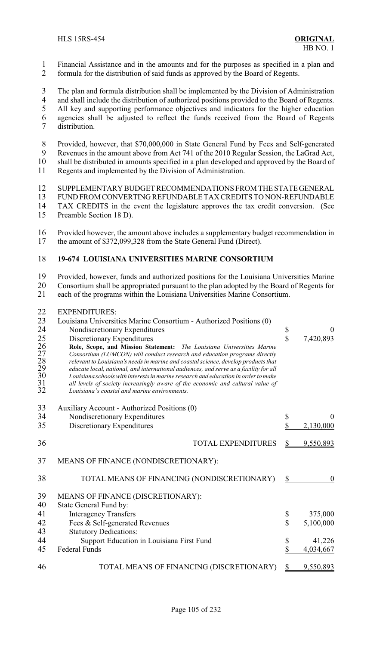- Financial Assistance and in the amounts and for the purposes as specified in a plan and
- formula for the distribution of said funds as approved by the Board of Regents.
- 3 The plan and formula distribution shall be implemented by the Division of Administration<br>4 and shall include the distribution of authorized positions provided to the Board of Regents
- 4 and shall include the distribution of authorized positions provided to the Board of Regents.<br>5 All key and supporting performance objectives and indicators for the higher education
- All key and supporting performance objectives and indicators for the higher education
- agencies shall be adjusted to reflect the funds received from the Board of Regents
- distribution.
- Provided, however, that \$70,000,000 in State General Fund by Fees and Self-generated
- Revenues in the amount above from Act 741 of the 2010 Regular Session, the LaGrad Act,
- 10 shall be distributed in amounts specified in a plan developed and approved by the Board of 11 Regents and implemented by the Division of Administration.
- Regents and implemented by the Division of Administration.
- SUPPLEMENTARY BUDGET RECOMMENDATIONS FROM THE STATEGENERAL
- 13 FUND FROM CONVERTING REFUNDABLE TAX CREDITS TO NON-REFUNDABLE<br>14 TAX CREDITS in the event the legislature approves the tax credit conversion. (See TAX CREDITS in the event the legislature approves the tax credit conversion. (See
- Preamble Section 18 D).
- Provided however, the amount above includes a supplementary budget recommendation in the amount of \$372,099,328 from the State General Fund (Direct).

## **19-674 LOUISIANA UNIVERSITIES MARINE CONSORTIUM**

Provided, however, funds and authorized positions for the Louisiana Universities Marine

Consortium shall be appropriated pursuant to the plan adopted by the Board of Regents for

each of the programs within the Louisiana Universities Marine Consortium.

## EXPENDITURES:

| 23<br>24<br>25<br>26<br>27<br>28<br>29<br>30<br>31<br>32 | Louisiana Universities Marine Consortium - Authorized Positions (0)<br>Nondiscretionary Expenditures<br>Discretionary Expenditures<br>Role, Scope, and Mission Statement: The Louisiana Universities Marine<br>Consortium (LUMCON) will conduct research and education programs directly<br>relevant to Louisiana's needs in marine and coastal science, develop products that<br>educate local, national, and international audiences, and serve as a facility for all<br>Louisiana schools with interests in marine research and education in order to make<br>all levels of society increasingly aware of the economic and cultural value of<br>Louisiana's coastal and marine environments. | \$<br>$\overline{\mathbb{S}}$ | $\mathbf{0}$<br>7,420,893                   |
|----------------------------------------------------------|-------------------------------------------------------------------------------------------------------------------------------------------------------------------------------------------------------------------------------------------------------------------------------------------------------------------------------------------------------------------------------------------------------------------------------------------------------------------------------------------------------------------------------------------------------------------------------------------------------------------------------------------------------------------------------------------------|-------------------------------|---------------------------------------------|
| 33<br>34<br>35                                           | Auxiliary Account - Authorized Positions (0)<br>Nondiscretionary Expenditures<br>Discretionary Expenditures                                                                                                                                                                                                                                                                                                                                                                                                                                                                                                                                                                                     | \$<br>\$                      | $\Omega$<br>2,130,000                       |
| 36                                                       | <b>TOTAL EXPENDITURES</b>                                                                                                                                                                                                                                                                                                                                                                                                                                                                                                                                                                                                                                                                       | \$                            | 9,550,893                                   |
| 37                                                       | MEANS OF FINANCE (NONDISCRETIONARY):                                                                                                                                                                                                                                                                                                                                                                                                                                                                                                                                                                                                                                                            |                               |                                             |
| 38                                                       | TOTAL MEANS OF FINANCING (NONDISCRETIONARY)                                                                                                                                                                                                                                                                                                                                                                                                                                                                                                                                                                                                                                                     | \$                            | $\theta$                                    |
| 39<br>40<br>41<br>42<br>43<br>44<br>45                   | MEANS OF FINANCE (DISCRETIONARY):<br>State General Fund by:<br><b>Interagency Transfers</b><br>Fees & Self-generated Revenues<br><b>Statutory Dedications:</b><br>Support Education in Louisiana First Fund<br><b>Federal Funds</b>                                                                                                                                                                                                                                                                                                                                                                                                                                                             | \$<br>\$<br>\$<br>\$          | 375,000<br>5,100,000<br>41,226<br>4,034,667 |
| 46                                                       | TOTAL MEANS OF FINANCING (DISCRETIONARY)                                                                                                                                                                                                                                                                                                                                                                                                                                                                                                                                                                                                                                                        | S                             | 9,550,893                                   |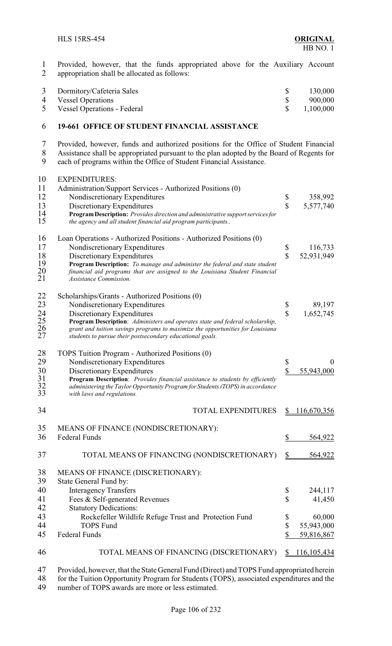1 Provided, however, that the funds appropriated above for the Auxiliary Account appropriation shall be allocated as follows: appropriation shall be allocated as follows:

| 3 Dormitory/Cafeteria Sales   | 130,000          |
|-------------------------------|------------------|
| 4 Vessel Operations           | 900,000          |
| 5 Vessel Operations - Federal | $\$\,$ 1,100,000 |

#### **19-661 OFFICE OF STUDENT FINANCIAL ASSISTANCE**

 Provided, however, funds and authorized positions for the Office of Student Financial 8 Assistance shall be appropriated pursuant to the plan adopted by the Board of Regents for each of programs within the Office of Student Financial Assistance.

each of programs within the Office of Student Financial Assistance.

| 10<br>11<br>12<br>13<br>14<br>15        | <b>EXPENDITURES:</b><br>Administration/Support Services - Authorized Positions (0)<br>Nondiscretionary Expenditures<br>Discretionary Expenditures<br>Program Description: Provides direction and administrative support services for<br>the agency and all student financial aid program participants                                        | \$<br>$\mathbf{\hat{S}}$      | 358,992<br>5,577,740               |
|-----------------------------------------|----------------------------------------------------------------------------------------------------------------------------------------------------------------------------------------------------------------------------------------------------------------------------------------------------------------------------------------------|-------------------------------|------------------------------------|
| 16<br>17<br>18<br>19<br>20<br>21        | Loan Operations - Authorized Positions - Authorized Positions (0)<br>Nondiscretionary Expenditures<br>Discretionary Expenditures<br>Program Description: To manage and administer the federal and state student<br>financial aid programs that are assigned to the Louisiana Student Financial<br><b>Assistance Commission.</b>              | \$<br>$\mathbf{\hat{S}}$      | 116,733<br>52,931,949              |
| 22<br>23<br>24<br>$\frac{25}{26}$<br>27 | Scholarships/Grants - Authorized Positions (0)<br>Nondiscretionary Expenditures<br>Discretionary Expenditures<br>Program Description: Administers and operates state and federal scholarship,<br>grant and tuition savings programs to maximize the opportunities for Louisiana<br>students to pursue their postsecondary educational goals. | \$<br>$\overline{\mathbb{S}}$ | 89,197<br>1,652,745                |
| 28<br>29<br>30<br>31<br>32<br>33        | TOPS Tuition Program - Authorized Positions (0)<br>Nondiscretionary Expenditures<br>Discretionary Expenditures<br>Program Description: Provides financial assistance to students by efficiently<br>administering the Taylor Opportunity Program for Students (TOPS) in accordance<br>with laws and regulations.                              | \$<br>\$                      | 55,943,000                         |
| 34                                      | <b>TOTAL EXPENDITURES</b>                                                                                                                                                                                                                                                                                                                    | $\frac{S}{2}$                 | 116,670,356                        |
| 35<br>36                                | MEANS OF FINANCE (NONDISCRETIONARY):<br><b>Federal Funds</b>                                                                                                                                                                                                                                                                                 | \$                            | 564,922                            |
| 37                                      | TOTAL MEANS OF FINANCING (NONDISCRETIONARY)                                                                                                                                                                                                                                                                                                  | $\frac{1}{2}$                 | 564,922                            |
| 38<br>39                                | MEANS OF FINANCE (DISCRETIONARY):<br>State General Fund by:                                                                                                                                                                                                                                                                                  |                               |                                    |
| 40<br>41<br>42                          | <b>Interagency Transfers</b><br>Fees & Self-generated Revenues<br><b>Statutory Dedications:</b>                                                                                                                                                                                                                                              | \$<br>\$                      | 244,117<br>41,450                  |
| 43<br>44<br>45                          | Rockefeller Wildlife Refuge Trust and Protection Fund<br><b>TOPS Fund</b><br><b>Federal Funds</b>                                                                                                                                                                                                                                            | \$<br>\$<br>\$                | 60,000<br>55,943,000<br>59,816,867 |
| 46                                      | TOTAL MEANS OF FINANCING (DISCRETIONARY)                                                                                                                                                                                                                                                                                                     | \$                            | <u>116,105,434</u>                 |
|                                         |                                                                                                                                                                                                                                                                                                                                              |                               |                                    |

47 Provided, however, that the State General Fund (Direct) and TOPS Fund appropriated herein<br>48 for the Tuition Opportunity Program for Students (TOPS), associated expenditures and the 48 for the Tuition Opportunity Program for Students (TOPS), associated expenditures and the number of TOPS awards are more or less estimated. number of TOPS awards are more or less estimated.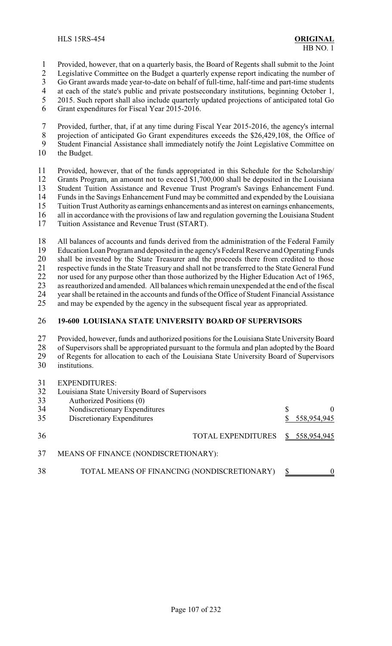1 Provided, however, that on a quarterly basis, the Board of Regents shall submit to the Joint

2 Legislative Committee on the Budget a quarterly expense report indicating the number of<br>3 Go Grant awards made vear-to-date on behalf of full-time, half-time and part-time students

3 Go Grant awards made year-to-date on behalf of full-time, half-time and part-time students<br>4 at each of the state's public and private postsecondary institutions, beginning October 1.

4 at each of the state's public and private postsecondary institutions, beginning October 1,<br>5 2015. Such report shall also include quarterly updated projections of anticipated total Go

- 5 2015. Such report shall also include quarterly updated projections of anticipated total Go Grant expenditures for Fiscal Year 2015-2016.
- 6 Grant expenditures for Fiscal Year 2015-2016.

7 Provided, further, that, if at any time during Fiscal Year 2015-2016, the agency's internal 8 projection of anticipated Go Grant expenditures exceeds the \$26,429,108, the Office of 9 Student Financial Assistance shall immediately notify the Joint Legislative Committee on

10 the Budget.

 Provided, however, that of the funds appropriated in this Schedule for the Scholarship/ Grants Program, an amount not to exceed \$1,700,000 shall be deposited in the Louisiana 13 Student Tuition Assistance and Revenue Trust Program's Savings Enhancement Fund.<br>14 Funds in the Savings Enhancement Fund may be committed and expended by the Louisiana Funds in the Savings Enhancement Fund may be committed and expended by the Louisiana Tuition Trust Authority as earnings enhancements and as interest on earnings enhancements, all in accordance with the provisions of law and regulation governing the Louisiana Student Tuition Assistance and Revenue Trust (START).

18 All balances of accounts and funds derived from the administration of the Federal Family<br>19 Education Loan Program and deposited in the agency's Federal Reserve and Operating Funds 19 Education Loan Program and deposited in the agency's Federal Reserve and Operating Funds<br>20 shall be invested by the State Treasurer and the proceeds there from credited to those 20 shall be invested by the State Treasurer and the proceeds there from credited to those<br>21 respective funds in the State Treasury and shall not be transferred to the State General Fund 21 respective funds in the State Treasury and shall not be transferred to the State General Fund<br>22 nor used for any purpose other than those authorized by the Higher Education Act of 1965. 22 nor used for any purpose other than those authorized by the Higher Education Act of 1965,<br>23 as reauthorized and amended. All balances which remain unexpended at the end of the fiscal as reauthorized and amended. All balances which remain unexpended at the end of the fiscal 24 year shall be retained in the accounts and funds of the Office of Student Financial Assistance<br>25 and may be expended by the agency in the subsequent fiscal year as appropriated.

and may be expended by the agency in the subsequent fiscal year as appropriated.

## 26 **19-600 LOUISIANA STATE UNIVERSITY BOARD OF SUPERVISORS**

27 Provided, however, funds and authorized positions for the Louisiana State University Board<br>28 of Supervisors shall be appropriated pursuant to the formula and plan adopted by the Board 28 of Supervisors shall be appropriated pursuant to the formula and plan adopted by the Board<br>29 of Regents for allocation to each of the Louisiana State University Board of Supervisors of Regents for allocation to each of the Louisiana State University Board of Supervisors 30 institutions.

 $21$  EXPENDITURES

| .3 I | EXPENDITURES:                                   |               |
|------|-------------------------------------------------|---------------|
| 32   | Louisiana State University Board of Supervisors |               |
| 33   | Authorized Positions (0)                        |               |
| 34   | Nondiscretionary Expenditures                   | 0             |
| 35   | Discretionary Expenditures                      | 558,954,945   |
| 36   | TOTAL EXPENDITURES                              | \$558,954,945 |
| 37   | MEANS OF FINANCE (NONDISCRETIONARY):            |               |
| 38   | TOTAL MEANS OF FINANCING (NONDISCRETIONARY)     | $\Omega$      |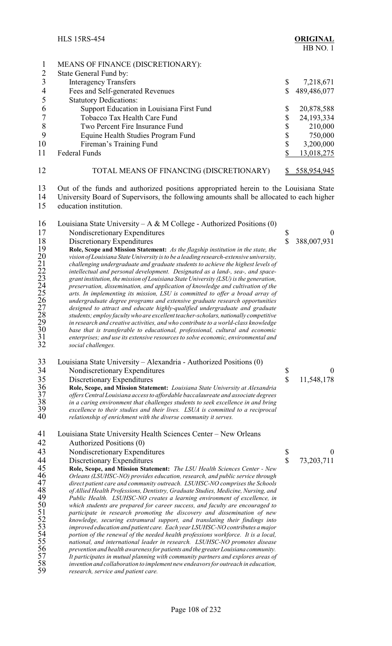|    | <b>HLS 15RS-454</b>                                         | <b>ORIGINAL</b><br>HB NO.1 |
|----|-------------------------------------------------------------|----------------------------|
|    | MEANS OF FINANCE (DISCRETIONARY):<br>State General Fund by: |                            |
| 3  | <b>Interagency Transfers</b>                                | \$<br>7,218,671            |
|    | Fees and Self-generated Revenues                            | \$<br>489,486,077          |
|    | <b>Statutory Dedications:</b>                               |                            |
| 6  | Support Education in Louisiana First Fund                   | \$<br>20,878,588           |
|    | Tobacco Tax Health Care Fund                                | \$<br>24, 193, 334         |
| 8  | Two Percent Fire Insurance Fund                             | \$<br>210,000              |
|    | Equine Health Studies Program Fund                          | \$<br>750,000              |
| 10 | Fireman's Training Fund                                     | \$<br>3,200,000            |
| 11 | <b>Federal Funds</b>                                        | \$<br>13,018,275           |
|    |                                                             |                            |

 Out of the funds and authorized positions appropriated herein to the Louisiana State University Board of Supervisors, the following amounts shall be allocated to each higher

education institution.

12 TOTAL MEANS OF FINANCING (DISCRETIONARY) \$558,954,945

16 Louisiana State University – A & M College - Authorized Positions  $(0)$ 17 Nondiscretionary Expenditures \$ 0 18 Discretionary Expenditures **18** S388,007,931<br>
19 Role, Scope and Mission Statement: As the flagship institution in the state, the<br>
vision of Louisiana State University is to be a leading research-extensive university,<br> **Role, Scope and Mission Statement:** *As the flagship institution in the state, the vision of Louisiana State University is to be a leading research-extensive university, challenging undergraduate and graduate students to achieve the highest levels of intellectual and personal development. Designated as a land-, sea-, and space- grant institution, the mission of Louisiana State University (LSU)is the generation, preservation, dissemination, and application of knowledge and cultivation of the arts. In implementing its mission, LSU is committed to offer a broad array of undergraduate degree programs and extensive graduate research opportunities designed to attract and educate highly-qualified undergraduate and graduate students; employ faculty who are excellent teacher-scholars, nationally competitive in research and creative activities, and who contribute to a world-class knowledge base that is transferable to educational, professional, cultural and economic enterprises; and use its extensive resources to solve economic, environmental and social challenges.*

 Louisiana State University – Alexandria - Authorized Positions (0) 34 Nondiscretionary Expenditures \$ 0<br>35 Discretionary Expenditures \$ 11,548,178 35 Discretionary Expenditures<br>36 Role, Scope, and Mission Statement: Louisiana State University at Alexandria<br>37 offers Central Louisiana access to affordable baccalaureate and associate degrees **Role, Scope, and Mission Statement:** *Louisiana State University at Alexandria offers Central Louisiana access to affordable baccalaureate and associate degrees in a caring environment that challenges students to seek excellence in and bring excellence to their studies and their lives. LSUA is committed to a reciprocal* relationship of enrichment with the diverse community it serves. 41 Louisiana State University Health Sciences Center – New Orleans<br>42 Authorized Positions (0) 42 Authorized Positions (0)<br>43 Nondiscretionary Expend 43 Nondiscretionary Expenditures \$ 0<br>44 Discretionary Expenditures \$ 73,203,711 44 Discretionary Expenditures \$ 73,203,711<br>45 Role, Scope, and Mission Statement: The LSU Health Sciences Center - New **Role, Scope, and Mission Statement:** *The LSU Health Sciences Center - New*<br>46 *Orleans (LSUHSC-NO) provides education, research, and public service through*<br>47 *direct patient care and community outreach. LSUHSC-NO compr Orleans (LSUHSC-NO) provides education, research, and public service through direct patient care and community outreach. LSUHSC-NO comprises the Schools* of Allied Health Professions, Dentistry, Graduate Studies, Medicine, Nursing, and<br>
49 *Public Health. LSUHSC-NO creates a learning environment of excellence, in*<br>
which students are prepared for career success, and faculty *Public Health. LSUHSC-NO creates a learning environment of excellence, in which students are prepared for career success, and faculty are encouraged to*

 *participate in research promoting the discovery and dissemination of new knowledge, securing extramural support, and translating their findings into improved education and patient care. Each year LSUHSC-NO contributes a major portion of the renewal of the needed health professions workforce. It is a local, national, and international leader in research. LSUHSC-NO promotes disease prevention and health awareness for patients and the greaterLouisiana community. It participates in mutual planning with community partners and explores areas of invention and collaboration to implement new endeavors for outreach in education,*

*research, service and patient care.*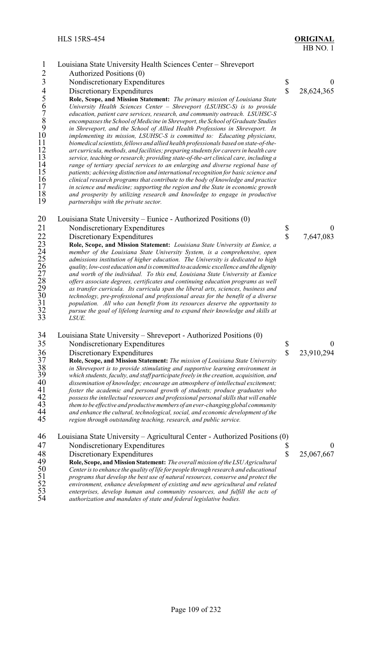| $\mathbf{1}$<br>$\overline{2}$<br>$\overline{\mathbf{3}}$<br>456789<br>10<br>11<br>12<br>13<br>14<br>15<br>16<br>17<br>18<br>19 | Louisiana State University Health Sciences Center - Shreveport<br>Authorized Positions (0)<br>Nondiscretionary Expenditures<br>Discretionary Expenditures<br>Role, Scope, and Mission Statement: The primary mission of Louisiana State<br>University Health Sciences Center - Shreveport (LSUHSC-S) is to provide<br>education, patient care services, research, and community outreach. LSUHSC-S<br>encompasses the School of Medicine in Shreveport, the School of Graduate Studies<br>in Shreveport, and the School of Allied Health Professions in Shreveport. In<br>implementing its mission, LSUHSC-S is committed to: Educating physicians,<br>biomedical scientists, fellows and allied health professionals based on state-of-the-<br>art curricula, methods, and facilities; preparing students for careers in health care<br>service, teaching or research; providing state-of-the-art clinical care, including a<br>range of tertiary special services to an enlarging and diverse regional base of<br>patients; achieving distinction and international recognition for basic science and<br>clinical research programs that contribute to the body of knowledge and practice<br>in science and medicine; supporting the region and the State in economic growth<br>and prosperity by utilizing research and knowledge to engage in productive<br>partnerships with the private sector. | \$<br>$\mathbf{\hat{S}}$ | $\theta$<br>28,624,365         |
|---------------------------------------------------------------------------------------------------------------------------------|-------------------------------------------------------------------------------------------------------------------------------------------------------------------------------------------------------------------------------------------------------------------------------------------------------------------------------------------------------------------------------------------------------------------------------------------------------------------------------------------------------------------------------------------------------------------------------------------------------------------------------------------------------------------------------------------------------------------------------------------------------------------------------------------------------------------------------------------------------------------------------------------------------------------------------------------------------------------------------------------------------------------------------------------------------------------------------------------------------------------------------------------------------------------------------------------------------------------------------------------------------------------------------------------------------------------------------------------------------------------------------------------------------|--------------------------|--------------------------------|
| 20<br>21<br>22<br>23<br>24<br>25<br>26<br>27<br>28<br>29<br>30<br>31<br>32<br>33                                                | Louisiana State University – Eunice - Authorized Positions (0)<br>Nondiscretionary Expenditures<br>Discretionary Expenditures<br>Role, Scope, and Mission Statement: Louisiana State University at Eunice, a<br>member of the Louisiana State University System, is a comprehensive, open<br>admissions institution of higher education. The University is dedicated to high<br>quality, low-cost education and is committed to academic excellence and the dignity<br>and worth of the individual. To this end, Louisiana State University at Eunice<br>offers associate degrees, certificates and continuing education programs as well<br>as transfer curricula. Its curricula span the liberal arts, sciences, business and<br>technology, pre-professional and professional areas for the benefit of a diverse<br>population. All who can benefit from its resources deserve the opportunity to<br>pursue the goal of lifelong learning and to expand their knowledge and skills at<br>LSUE.                                                                                                                                                                                                                                                                                                                                                                                                     | \$<br>$\hat{\mathbf{S}}$ | $\theta$<br>7,647,083          |
| 34<br>35<br>36<br>37<br>38<br>39<br>40<br>41<br>42<br>43<br>44<br>45                                                            | Louisiana State University – Shreveport - Authorized Positions (0)<br>Nondiscretionary Expenditures<br>Discretionary Expenditures<br>Role, Scope, and Mission Statement: The mission of Louisiana State University<br>in Shreveport is to provide stimulating and supportive learning environment in<br>which students, faculty, and staff participate freely in the creation, acquisition, and<br>dissemination of knowledge; encourage an atmosphere of intellectual excitement;<br>foster the academic and personal growth of students; produce graduates who<br>possess the intellectual resources and professional personal skills that will enable<br>them to be effective and productive members of an ever-changing global community<br>and enhance the cultural, technological, social, and economic development of the<br>region through outstanding teaching, research, and public service.                                                                                                                                                                                                                                                                                                                                                                                                                                                                                                | \$<br>\$                 | $\theta$<br>23,910,294         |
| 46<br>47<br>48<br>49<br>50<br>$\frac{51}{52}$                                                                                   | Louisiana State University – Agricultural Center - Authorized Positions (0)<br>Nondiscretionary Expenditures<br>Discretionary Expenditures<br>Role, Scope, and Mission Statement: The overall mission of the LSU Agricultural<br>Center is to enhance the quality of life for people through research and educational<br>programs that develop the best use of natural resources, conserve and protect the<br>environment, enhance development of existing and new agricultural and related                                                                                                                                                                                                                                                                                                                                                                                                                                                                                                                                                                                                                                                                                                                                                                                                                                                                                                           | \$<br>\$                 | $\boldsymbol{0}$<br>25,067,667 |

*enterprises, develop human and community resources, and fulfill the acts of*

*authorization and mandates of state and federal legislative bodies.*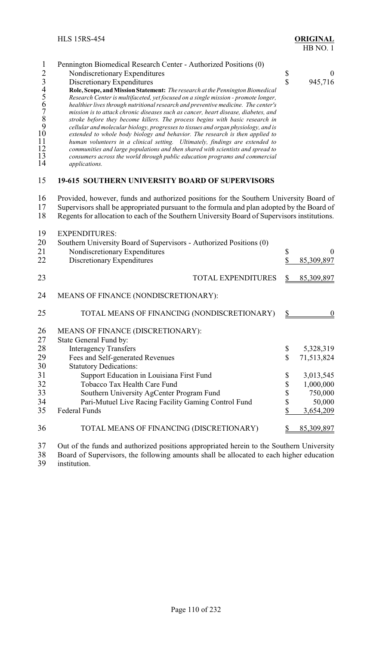| $\mathbf{1}$<br>23456789<br>$10\,$<br>11<br>12<br>13<br>14 | Pennington Biomedical Research Center - Authorized Positions (0)<br>Nondiscretionary Expenditures<br>Discretionary Expenditures<br>Role, Scope, and Mission Statement: The research at the Pennington Biomedical<br>Research Center is multifaceted, yet focused on a single mission - promote longer,<br>healthier lives through nutritional research and preventive medicine. The center's<br>mission is to attack chronic diseases such as cancer, heart disease, diabetes, and<br>stroke before they become killers. The process begins with basic research in<br>cellular and molecular biology, progresses to tissues and organ physiology, and is<br>extended to whole body biology and behavior. The research is then applied to<br>human volunteers in a clinical setting. Ultimately, findings are extended to<br>communities and large populations and then shared with scientists and spread to<br>consumers across the world through public education programs and commercial<br>applications. | $\frac{1}{2}$ | $\theta$<br>945,716    |
|------------------------------------------------------------|-------------------------------------------------------------------------------------------------------------------------------------------------------------------------------------------------------------------------------------------------------------------------------------------------------------------------------------------------------------------------------------------------------------------------------------------------------------------------------------------------------------------------------------------------------------------------------------------------------------------------------------------------------------------------------------------------------------------------------------------------------------------------------------------------------------------------------------------------------------------------------------------------------------------------------------------------------------------------------------------------------------|---------------|------------------------|
| 15                                                         | 19-615 SOUTHERN UNIVERSITY BOARD OF SUPERVISORS                                                                                                                                                                                                                                                                                                                                                                                                                                                                                                                                                                                                                                                                                                                                                                                                                                                                                                                                                             |               |                        |
| 16<br>17<br>18                                             | Provided, however, funds and authorized positions for the Southern University Board of<br>Supervisors shall be appropriated pursuant to the formula and plan adopted by the Board of<br>Regents for allocation to each of the Southern University Board of Supervisors institutions.                                                                                                                                                                                                                                                                                                                                                                                                                                                                                                                                                                                                                                                                                                                        |               |                        |
| 19<br>20<br>21<br>22                                       | <b>EXPENDITURES:</b><br>Southern University Board of Supervisors - Authorized Positions (0)<br>Nondiscretionary Expenditures<br>Discretionary Expenditures                                                                                                                                                                                                                                                                                                                                                                                                                                                                                                                                                                                                                                                                                                                                                                                                                                                  | \$<br>\$      | $\theta$<br>85,309,897 |
| 23                                                         | <b>TOTAL EXPENDITURES</b>                                                                                                                                                                                                                                                                                                                                                                                                                                                                                                                                                                                                                                                                                                                                                                                                                                                                                                                                                                                   | \$            | 85,309,897             |
| 24                                                         | MEANS OF FINANCE (NONDISCRETIONARY):                                                                                                                                                                                                                                                                                                                                                                                                                                                                                                                                                                                                                                                                                                                                                                                                                                                                                                                                                                        |               |                        |
| 25                                                         | TOTAL MEANS OF FINANCING (NONDISCRETIONARY)                                                                                                                                                                                                                                                                                                                                                                                                                                                                                                                                                                                                                                                                                                                                                                                                                                                                                                                                                                 | $\frac{1}{2}$ | $\boldsymbol{0}$       |
| 26<br>27                                                   | MEANS OF FINANCE (DISCRETIONARY):<br>State General Fund by:                                                                                                                                                                                                                                                                                                                                                                                                                                                                                                                                                                                                                                                                                                                                                                                                                                                                                                                                                 |               |                        |
| 28                                                         | <b>Interagency Transfers</b>                                                                                                                                                                                                                                                                                                                                                                                                                                                                                                                                                                                                                                                                                                                                                                                                                                                                                                                                                                                | \$            | 5,328,319              |
| 29                                                         | Fees and Self-generated Revenues                                                                                                                                                                                                                                                                                                                                                                                                                                                                                                                                                                                                                                                                                                                                                                                                                                                                                                                                                                            | \$            | 71,513,824             |
| 30                                                         | <b>Statutory Dedications:</b>                                                                                                                                                                                                                                                                                                                                                                                                                                                                                                                                                                                                                                                                                                                                                                                                                                                                                                                                                                               |               |                        |
| 31                                                         | Support Education in Louisiana First Fund                                                                                                                                                                                                                                                                                                                                                                                                                                                                                                                                                                                                                                                                                                                                                                                                                                                                                                                                                                   | \$            | 3,013,545              |
| 32                                                         | Tobacco Tax Health Care Fund                                                                                                                                                                                                                                                                                                                                                                                                                                                                                                                                                                                                                                                                                                                                                                                                                                                                                                                                                                                | \$            | 1,000,000              |
| 33                                                         | Southern University AgCenter Program Fund                                                                                                                                                                                                                                                                                                                                                                                                                                                                                                                                                                                                                                                                                                                                                                                                                                                                                                                                                                   | \$            | 750,000                |
| 34                                                         | Pari-Mutuel Live Racing Facility Gaming Control Fund                                                                                                                                                                                                                                                                                                                                                                                                                                                                                                                                                                                                                                                                                                                                                                                                                                                                                                                                                        | \$            | 50,000                 |
| 35                                                         | <b>Federal Funds</b>                                                                                                                                                                                                                                                                                                                                                                                                                                                                                                                                                                                                                                                                                                                                                                                                                                                                                                                                                                                        | \$            | 3,654,209              |
| 36                                                         | TOTAL MEANS OF FINANCING (DISCRETIONARY)                                                                                                                                                                                                                                                                                                                                                                                                                                                                                                                                                                                                                                                                                                                                                                                                                                                                                                                                                                    | \$            | 85,309,897             |
| 37                                                         | Out of the funds and authorized positions appropriated herein to the Southern University                                                                                                                                                                                                                                                                                                                                                                                                                                                                                                                                                                                                                                                                                                                                                                                                                                                                                                                    |               |                        |
| 38                                                         | Board of Supervisors, the following amounts shall be allocated to each higher education                                                                                                                                                                                                                                                                                                                                                                                                                                                                                                                                                                                                                                                                                                                                                                                                                                                                                                                     |               |                        |

institution.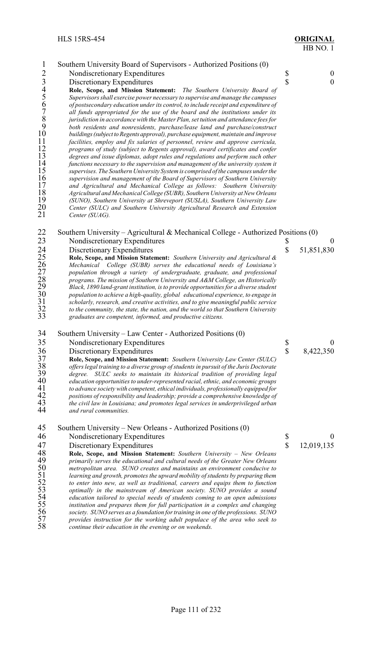|                                            |                                                                                                                                                                  |             | FIB NU. I        |
|--------------------------------------------|------------------------------------------------------------------------------------------------------------------------------------------------------------------|-------------|------------------|
| $\mathbf{1}$                               | Southern University Board of Supervisors - Authorized Positions (0)                                                                                              |             |                  |
| $\overline{2}$                             | Nondiscretionary Expenditures                                                                                                                                    | \$          | $\boldsymbol{0}$ |
| $\overline{\mathbf{3}}$                    | Discretionary Expenditures                                                                                                                                       | \$          | $\boldsymbol{0}$ |
| $\frac{4}{5}$                              | Role, Scope, and Mission Statement: The Southern University Board of                                                                                             |             |                  |
|                                            | Supervisors shall exercise power necessary to supervise and manage the campuses                                                                                  |             |                  |
|                                            | of postsecondary education under its control, to include receipt and expenditure of                                                                              |             |                  |
| $\begin{array}{c} 6 \\ 7 \\ 8 \end{array}$ | all funds appropriated for the use of the board and the institutions under its                                                                                   |             |                  |
|                                            | jurisdiction in accordance with the Master Plan, set tuition and attendance fees for                                                                             |             |                  |
| 9                                          | both residents and nonresidents, purchase/lease land and purchase/construct                                                                                      |             |                  |
| 10                                         | buildings (subject to Regents approval), purchase equipment, maintain and improve                                                                                |             |                  |
| 11<br>12                                   | facilities, employ and fix salaries of personnel, review and approve curricula,                                                                                  |             |                  |
| 13                                         | programs of study (subject to Regents approval), award certificates and confer<br>degrees and issue diplomas, adopt rules and regulations and perform such other |             |                  |
| 14                                         | functions necessary to the supervision and management of the university system it                                                                                |             |                  |
| 15                                         | supervises. The Southern University System is comprised of the campuses under the                                                                                |             |                  |
| 16                                         | supervision and management of the Board of Supervisors of Southern University                                                                                    |             |                  |
| 17                                         | and Agricultural and Mechanical College as follows: Southern University                                                                                          |             |                  |
| 18                                         | Agricultural and Mechanical College (SUBR), Southern University at New Orleans                                                                                   |             |                  |
| 19                                         | (SUNO), Southern University at Shreveport (SUSLA), Southern University Law                                                                                       |             |                  |
| 20<br>21                                   | Center (SULC) and Southern University Agricultural Research and Extension                                                                                        |             |                  |
|                                            | Center (SUAG).                                                                                                                                                   |             |                  |
| 22                                         | Southern University – Agricultural & Mechanical College - Authorized Positions (0)                                                                               |             |                  |
| 23                                         | Nondiscretionary Expenditures                                                                                                                                    | \$          | $\boldsymbol{0}$ |
|                                            | Discretionary Expenditures                                                                                                                                       | $\mathbf S$ | 51,851,830       |
|                                            | Role, Scope, and Mission Statement: Southern University and Agricultural &                                                                                       |             |                  |
|                                            | Mechanical College (SUBR) serves the educational needs of Louisiana's                                                                                            |             |                  |
|                                            | population through a variety of undergraduate, graduate, and professional                                                                                        |             |                  |
|                                            | programs. The mission of Southern University and A&M College, an Historically                                                                                    |             |                  |
|                                            | Black, 1890 land-grant institution, is to provide opportunities for a diverse student                                                                            |             |                  |
|                                            | population to achieve a high-quality, global educational experience, to engage in                                                                                |             |                  |
|                                            | scholarly, research, and creative activities, and to give meaningful public service                                                                              |             |                  |
|                                            | to the community, the state, the nation, and the world so that Southern University                                                                               |             |                  |
|                                            | graduates are competent, informed, and productive citizens.                                                                                                      |             |                  |
| $\sim$ $\lambda$                           |                                                                                                                                                                  |             |                  |

- Southern University Law Center Authorized Positions (0)
- 35 Nondiscretionary Expenditures \$ 0<br>36 Discretionary Expenditures \$ 8,422,350
- 

36 Discretionary Expenditures<br>37 Role, Scope, and Mission States<br>38 offers legal training to a diverse g **Role, Scope, and Mission Statement:** *Southern University Law Center (SULC) offers legal training to a diverse group of students in pursuit of the Juris Doctorate degree. SULC seeks to maintain its historical tradition of providing legal education opportunities to under-represented racial, ethnic, and economic groups to advance society with competent, ethical individuals, professionally equipped for positions of responsibility and leadership; provide a comprehensive knowledge of the civil law in Louisiana; and promotes legal services in underprivileged urban and rural communities.*

- 45 Southern University New Orleans Authorized Positions (0)<br>46 Nondiscretionary Expenditures
- 46 Nondiscretionary Expenditures \$ 0<br>47 Discretionary Expenditures \$ 12,019,135
- 

47 Discretionary Expenditures S<br> **48** Role, Scope, and Mission Statement: Southern University – New Orleans<br>
49 primarily serves the educational and cultural needs of the Greater New Orleans **Role, Scope, and Mission Statement:** *Southern University – New Orleans* primarily serves the educational and cultural needs of the Greater New Orleans<br>50 *metropolitan area.* SUNO creates and maintains an environment conducive to<br>51 *learning and growth, promotes the upward mobility of student metropolitan area. SUNO creates and maintains an environment conducive to learning and growth, promotes the upward mobility of students by preparing them to enter into new, as well as traditional, careers and equips them to function optimally in the mainstream of American society. SUNO provides a sound education tailored to special needs of students coming to an open admissions institution and prepares them for full participation in a complex and changing society. SUNO serves as a foundation fortraining in one of the professions. SUNO provides instruction for the working adult populace of the area who seek to continue their education in the evening or on weekends.*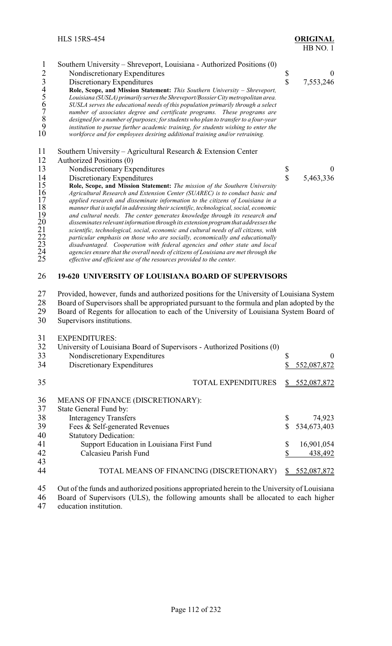| 1<br>$\overline{2}$<br>$\mathfrak{Z}$<br>456789<br>10 | Southern University – Shreveport, Louisiana - Authorized Positions (0)<br>Nondiscretionary Expenditures<br>Discretionary Expenditures<br>Role, Scope, and Mission Statement: This Southern University - Shreveport,<br>Louisiana (SUSLA) primarily serves the Shreveport/Bossier City metropolitan area.<br>SUSLA serves the educational needs of this population primarily through a select<br>number of associates degree and certificate programs. These programs are<br>designed for a number of purposes; for students who plan to transfer to a four-year<br>institution to pursue further academic training, for students wishing to enter the<br>workforce and for employees desiring additional training and/or retraining. | \$<br>\$           | $\boldsymbol{0}$<br>7,553,246 |
|-------------------------------------------------------|--------------------------------------------------------------------------------------------------------------------------------------------------------------------------------------------------------------------------------------------------------------------------------------------------------------------------------------------------------------------------------------------------------------------------------------------------------------------------------------------------------------------------------------------------------------------------------------------------------------------------------------------------------------------------------------------------------------------------------------|--------------------|-------------------------------|
| 11                                                    | Southern University – Agricultural Research & Extension Center                                                                                                                                                                                                                                                                                                                                                                                                                                                                                                                                                                                                                                                                       |                    |                               |
| 12                                                    | Authorized Positions (0)                                                                                                                                                                                                                                                                                                                                                                                                                                                                                                                                                                                                                                                                                                             |                    |                               |
| 13                                                    | Nondiscretionary Expenditures                                                                                                                                                                                                                                                                                                                                                                                                                                                                                                                                                                                                                                                                                                        | \$                 | $\theta$                      |
| 14                                                    | Discretionary Expenditures                                                                                                                                                                                                                                                                                                                                                                                                                                                                                                                                                                                                                                                                                                           | $\mathbf{\hat{S}}$ | 5,463,336                     |
| 15<br>16                                              | Role, Scope, and Mission Statement: The mission of the Southern University<br>Agricultural Research and Extension Center (SUAREC) is to conduct basic and                                                                                                                                                                                                                                                                                                                                                                                                                                                                                                                                                                            |                    |                               |
| 17                                                    | applied research and disseminate information to the citizens of Louisiana in a                                                                                                                                                                                                                                                                                                                                                                                                                                                                                                                                                                                                                                                       |                    |                               |
| 18                                                    | manner that is useful in addressing their scientific, technological, social, economic                                                                                                                                                                                                                                                                                                                                                                                                                                                                                                                                                                                                                                                |                    |                               |
| 19                                                    | and cultural needs. The center generates knowledge through its research and                                                                                                                                                                                                                                                                                                                                                                                                                                                                                                                                                                                                                                                          |                    |                               |
| 20                                                    | disseminates relevant information through its extension program that addresses the                                                                                                                                                                                                                                                                                                                                                                                                                                                                                                                                                                                                                                                   |                    |                               |
|                                                       | scientific, technological, social, economic and cultural needs of all citizens, with<br>particular emphasis on those who are socially, economically and educationally                                                                                                                                                                                                                                                                                                                                                                                                                                                                                                                                                                |                    |                               |
| $\frac{21}{22}$<br>23                                 | disadvantaged. Cooperation with federal agencies and other state and local                                                                                                                                                                                                                                                                                                                                                                                                                                                                                                                                                                                                                                                           |                    |                               |
| 24                                                    | agencies ensure that the overall needs of citizens of Louisiana are met through the                                                                                                                                                                                                                                                                                                                                                                                                                                                                                                                                                                                                                                                  |                    |                               |
| 25                                                    | effective and efficient use of the resources provided to the center.                                                                                                                                                                                                                                                                                                                                                                                                                                                                                                                                                                                                                                                                 |                    |                               |

# **19-620 UNIVERSITY OF LOUISIANA BOARD OF SUPERVISORS**

27 Provided, however, funds and authorized positions for the University of Louisiana System<br>28 Board of Supervisors shall be appropriated pursuant to the formula and plan adopted by the

28 Board of Supervisors shall be appropriated pursuant to the formula and plan adopted by the<br>29 Board of Regents for allocation to each of the University of Louisiana System Board of 29 Board of Regents for allocation to each of the University of Louisiana System Board of Supervisors institutions.

Supervisors institutions.

#### EXPENDITURES:

| 32 | University of Louisiana Board of Supervisors - Authorized Positions (0) |    |             |
|----|-------------------------------------------------------------------------|----|-------------|
| 33 | Nondiscretionary Expenditures                                           | \$ | $\theta$    |
| 34 | Discretionary Expenditures                                              |    | 552,087,872 |
| 35 | <b>TOTAL EXPENDITURES</b>                                               | S. | 552,087,872 |
| 36 | MEANS OF FINANCE (DISCRETIONARY):                                       |    |             |
| 37 | State General Fund by:                                                  |    |             |
| 38 | <b>Interagency Transfers</b>                                            | \$ | 74,923      |
| 39 | Fees & Self-generated Revenues                                          |    | 534,673,403 |
| 40 | <b>Statutory Dedication:</b>                                            |    |             |
| 41 | Support Education in Louisiana First Fund                               | \$ | 16,901,054  |
| 42 | Calcasieu Parish Fund                                                   |    | 438,492     |
| 43 |                                                                         |    |             |
| 44 | TOTAL MEANS OF FINANCING (DISCRETIONARY)                                |    | 552,087,872 |

45 Out of the funds and authorized positions appropriated herein to the University of Louisiana<br>46 Board of Supervisors (ULS), the following amounts shall be allocated to each higher Board of Supervisors (ULS), the following amounts shall be allocated to each higher

education institution.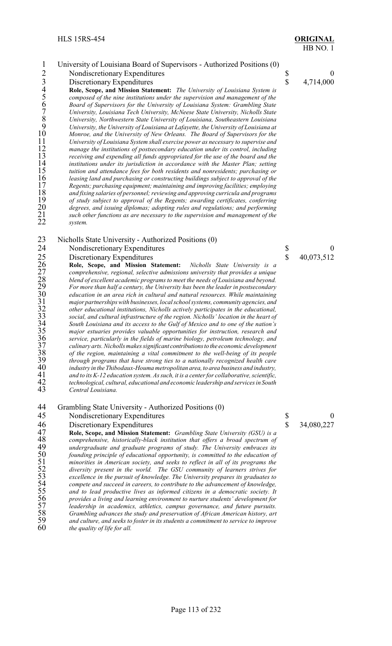system.

# HB NO. 1

## 1 University of Louisiana Board of Supervisors - Authorized Positions (0)<br>2 Nondiscretionary Expenditures 3 Discretionary Expenditures 5 6 0<br>
13 Discretionary Expenditures 5 4,714,000<br>
14 Role, Scope, and Mission Statement: The University of Louisiana System is<br>
5 composed of the nine institutions under the supervision and man Discretionary Expenditures **Role, Scope, and Mission Statement:** *The University of Louisiana System is composed of the nine institutions under the supervision and management of the Board of Supervisors for the University of Louisiana System: Grambling State University, Louisiana Tech University, McNeese State University, Nicholls State University, Northwestern State University of Louisiana, Southeastern Louisiana University, the University of Louisiana at Lafayette, the University of Louisiana at Monroe, and the University of New Orleans. The Board of Supervisors for the University of Louisiana System shall exercise power as necessary to supervise and manage the institutions of postsecondary education under its control, including receiving and expending all funds appropriated for the use of the board and the institutions under its jurisdiction in accordance with the Master Plan; setting tuition and attendance fees for both residents and nonresidents; purchasing or leasing land and purchasing or constructing buildings subject to approval of the Regents; purchasing equipment; maintaining and improving facilities; employing and fixing salaries of personnel; reviewing and approving curricula and programs* 19 of study subject to approval of the Regents; awarding certificates, conferring<br>20 degrees, and issuing diplomas; adopting rules and regulations; and performing<br>21 such other functions as are necessary to the supervision

 *degrees, and issuing diplomas; adopting rules and regulations; and performing such other functions as are necessary to the supervision and management of the*

24 Nondiscretionary Expenditures \$ 0<br>
25 Discretionary Expenditures \$ 40,073,512<br>
26 Role, Scope, and Mission Statement: Nicholls State University is a<br>
27 comprehensive, regional, selective admissions university that prov Discretionary Expenditures<br> **Role, Scope, and Mission Statement:** Nicholls State University is a **Role, Scope, and Mission Statement:** *Nicholls State University is a comprehensive, regional, selective admissions university that provides a unique blend of excellent academic programs to meet the needs of Louisiana and beyond. For more than half a century, the University has been the leader in postsecondary*<br>
20 *education in an area rich in cultural and natural resources. While maintaining*<br>
21 *major partnerships with businesses, local sch education in an area rich in cultural and natural resources. While maintaining major partnerships with businesses, local school systems, community agencies, and other educational institutions, Nicholls actively participates in the educational,* 33 social, and cultural infrastructure of the region. Nicholls' location in the heart of<br>34 South Louisiana and its access to the Gulf of Mexico and to one of the nation's<br>35 major estuaries provides valuable opportunities *South Louisiana and its access to the Gulf of Mexico and to one of the nation's major estuaries provides valuable opportunities for instruction, research and service, particularly in the fields of marine biology, petroleum technology, and culinary arts. Nicholls makes significant contributionsto the economic development of the region, maintaining a vital commitment to the well-being of its people through programs that have strong ties to a nationally recognized health care industry in the Thibodaux-Houma metropolitan area,to area business and industry, and to its K-12 education system. As such, it is a center for collaborative, scientific, technological, cultural, educational and economic leadership and services in South Central Louisiana.*

23 Nicholls State University - Authorized Positions (0)<br>24 Nondiscretionary Expenditures

45 Nondiscretionary Expenditures \$ 0<br>46 Discretionary Expenditures \$ 34,080,227

46 Discretionary Expenditures <br>47 Role, Scope, and Mission Statement: Grambling State University (GSU) is a **Role, Scope, and Mission Statement:** *Grambling State University (GSU) is a* comprehensive, historically-black institution that offers a broad spectrum of undergraduate and graduate programs of study. The University em *comprehensive, historically-black institution that offers a broad spectrum of undergraduate and graduate programs of study. The University embraces its*<br>50 *founding principle of educational opportunity, is committed to the education of*<br>51 *minorities in American society, and seeks to reflect i founding principle of educational opportunity, is committed to the education of minorities in American society, and seeks to reflect in all of its programs the diversity present in the world. The GSU community of learners strives for excellence in the pursuit of knowledge. The University prepares its graduates to compete and succeed in careers, to contribute to the advancement of knowledge, and to lead productive lives as informed citizens in a democratic society. It provides a living and learning environment to nurture students' development for leadership in academics, athletics, campus governance, and future pursuits.* Grambling advances the study and preservation of African American history, art *and culture, and seeks to foster in its students a commitment to service to improve* the quality of life for all.

<sup>44</sup> Grambling State University - Authorized Positions (0)<br>45 Nondiscretionary Expenditures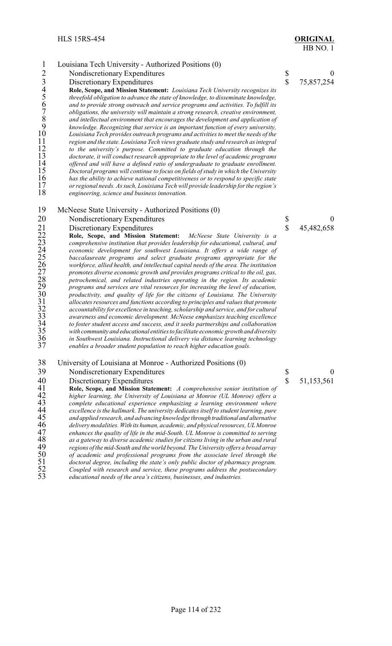| $\mathbf{1}$                                                                              | Louisiana Tech University - Authorized Positions (0)                                                                                                                                                                                                                                                                                                                                                                                                                                                                                                                                                                                                                                                                                                                                                                                                                                                                                                                                                                                                                                                                                                                                                                                                                      |                         |                  |
|-------------------------------------------------------------------------------------------|---------------------------------------------------------------------------------------------------------------------------------------------------------------------------------------------------------------------------------------------------------------------------------------------------------------------------------------------------------------------------------------------------------------------------------------------------------------------------------------------------------------------------------------------------------------------------------------------------------------------------------------------------------------------------------------------------------------------------------------------------------------------------------------------------------------------------------------------------------------------------------------------------------------------------------------------------------------------------------------------------------------------------------------------------------------------------------------------------------------------------------------------------------------------------------------------------------------------------------------------------------------------------|-------------------------|------------------|
| $\overline{2}$                                                                            | Nondiscretionary Expenditures                                                                                                                                                                                                                                                                                                                                                                                                                                                                                                                                                                                                                                                                                                                                                                                                                                                                                                                                                                                                                                                                                                                                                                                                                                             | \$                      | $\boldsymbol{0}$ |
| $\overline{\mathbf{3}}$                                                                   | Discretionary Expenditures                                                                                                                                                                                                                                                                                                                                                                                                                                                                                                                                                                                                                                                                                                                                                                                                                                                                                                                                                                                                                                                                                                                                                                                                                                                | $\hat{\mathbf{S}}$      | 75,857,254       |
| $rac{4}{5}$ 67<br>$\frac{8}{9}$<br>$10\,$<br>11<br>12<br>13<br>14<br>15<br>16<br>17<br>18 | Role, Scope, and Mission Statement: Louisiana Tech University recognizes its<br>threefold obligation to advance the state of knowledge, to disseminate knowledge,<br>and to provide strong outreach and service programs and activities. To fulfill its<br>obligations, the university will maintain a strong research, creative environment,<br>and intellectual environment that encourages the development and application of<br>knowledge. Recognizing that service is an important function of every university,<br>Louisiana Tech provides outreach programs and activities to meet the needs of the<br>region and the state. Louisiana Tech views graduate study and research as integral<br>to the university's purpose. Committed to graduate education through the<br>doctorate, it will conduct research appropriate to the level of academic programs<br>offered and will have a defined ratio of undergraduate to graduate enrollment.<br>Doctoral programs will continue to focus on fields of study in which the University<br>has the ability to achieve national competitiveness or to respond to specific state<br>or regional needs. As such, Louisiana Tech will provide leadership for the region's<br>engineering, science and business innovation. |                         |                  |
| 19                                                                                        | McNeese State University - Authorized Positions (0)                                                                                                                                                                                                                                                                                                                                                                                                                                                                                                                                                                                                                                                                                                                                                                                                                                                                                                                                                                                                                                                                                                                                                                                                                       |                         |                  |
| 20                                                                                        | Nondiscretionary Expenditures                                                                                                                                                                                                                                                                                                                                                                                                                                                                                                                                                                                                                                                                                                                                                                                                                                                                                                                                                                                                                                                                                                                                                                                                                                             |                         | $\boldsymbol{0}$ |
|                                                                                           | Discretionary Expenditures                                                                                                                                                                                                                                                                                                                                                                                                                                                                                                                                                                                                                                                                                                                                                                                                                                                                                                                                                                                                                                                                                                                                                                                                                                                | $\frac{1}{3}$           | 45,482,658       |
|                                                                                           | Role, Scope, and Mission Statement:<br>McNeese State University is a                                                                                                                                                                                                                                                                                                                                                                                                                                                                                                                                                                                                                                                                                                                                                                                                                                                                                                                                                                                                                                                                                                                                                                                                      |                         |                  |
|                                                                                           | comprehensive institution that provides leadership for educational, cultural, and                                                                                                                                                                                                                                                                                                                                                                                                                                                                                                                                                                                                                                                                                                                                                                                                                                                                                                                                                                                                                                                                                                                                                                                         |                         |                  |
|                                                                                           | economic development for southwest Louisiana. It offers a wide range of                                                                                                                                                                                                                                                                                                                                                                                                                                                                                                                                                                                                                                                                                                                                                                                                                                                                                                                                                                                                                                                                                                                                                                                                   |                         |                  |
|                                                                                           | baccalaureate programs and select graduate programs appropriate for the                                                                                                                                                                                                                                                                                                                                                                                                                                                                                                                                                                                                                                                                                                                                                                                                                                                                                                                                                                                                                                                                                                                                                                                                   |                         |                  |
|                                                                                           | workforce, allied health, and intellectual capital needs of the area. The institution                                                                                                                                                                                                                                                                                                                                                                                                                                                                                                                                                                                                                                                                                                                                                                                                                                                                                                                                                                                                                                                                                                                                                                                     |                         |                  |
|                                                                                           | promotes diverse economic growth and provides programs critical to the oil, gas,                                                                                                                                                                                                                                                                                                                                                                                                                                                                                                                                                                                                                                                                                                                                                                                                                                                                                                                                                                                                                                                                                                                                                                                          |                         |                  |
|                                                                                           | petrochemical, and related industries operating in the region. Its academic                                                                                                                                                                                                                                                                                                                                                                                                                                                                                                                                                                                                                                                                                                                                                                                                                                                                                                                                                                                                                                                                                                                                                                                               |                         |                  |
|                                                                                           | programs and services are vital resources for increasing the level of education,                                                                                                                                                                                                                                                                                                                                                                                                                                                                                                                                                                                                                                                                                                                                                                                                                                                                                                                                                                                                                                                                                                                                                                                          |                         |                  |
|                                                                                           | productivity, and quality of life for the citizens of Louisiana. The University                                                                                                                                                                                                                                                                                                                                                                                                                                                                                                                                                                                                                                                                                                                                                                                                                                                                                                                                                                                                                                                                                                                                                                                           |                         |                  |
|                                                                                           | allocates resources and functions according to principles and values that promote                                                                                                                                                                                                                                                                                                                                                                                                                                                                                                                                                                                                                                                                                                                                                                                                                                                                                                                                                                                                                                                                                                                                                                                         |                         |                  |
|                                                                                           | accountability for excellence in teaching, scholarship and service, and for cultural                                                                                                                                                                                                                                                                                                                                                                                                                                                                                                                                                                                                                                                                                                                                                                                                                                                                                                                                                                                                                                                                                                                                                                                      |                         |                  |
|                                                                                           | awareness and economic development. McNeese emphasizes teaching excellence                                                                                                                                                                                                                                                                                                                                                                                                                                                                                                                                                                                                                                                                                                                                                                                                                                                                                                                                                                                                                                                                                                                                                                                                |                         |                  |
|                                                                                           | to foster student access and success, and it seeks partnerships and collaboration                                                                                                                                                                                                                                                                                                                                                                                                                                                                                                                                                                                                                                                                                                                                                                                                                                                                                                                                                                                                                                                                                                                                                                                         |                         |                  |
|                                                                                           | with community and educational entities to facilitate economic growth and diversity                                                                                                                                                                                                                                                                                                                                                                                                                                                                                                                                                                                                                                                                                                                                                                                                                                                                                                                                                                                                                                                                                                                                                                                       |                         |                  |
| 36                                                                                        | in Southwest Louisiana. Instructional delivery via distance learning technology                                                                                                                                                                                                                                                                                                                                                                                                                                                                                                                                                                                                                                                                                                                                                                                                                                                                                                                                                                                                                                                                                                                                                                                           |                         |                  |
| 37                                                                                        | enables a broader student population to reach higher education goals.                                                                                                                                                                                                                                                                                                                                                                                                                                                                                                                                                                                                                                                                                                                                                                                                                                                                                                                                                                                                                                                                                                                                                                                                     |                         |                  |
| 38                                                                                        | University of Louisiana at Monroe - Authorized Positions (0)                                                                                                                                                                                                                                                                                                                                                                                                                                                                                                                                                                                                                                                                                                                                                                                                                                                                                                                                                                                                                                                                                                                                                                                                              |                         |                  |
| 39                                                                                        | Nondiscretionary Expenditures                                                                                                                                                                                                                                                                                                                                                                                                                                                                                                                                                                                                                                                                                                                                                                                                                                                                                                                                                                                                                                                                                                                                                                                                                                             | \$                      | $\boldsymbol{0}$ |
| 40                                                                                        | Discretionary Expenditures                                                                                                                                                                                                                                                                                                                                                                                                                                                                                                                                                                                                                                                                                                                                                                                                                                                                                                                                                                                                                                                                                                                                                                                                                                                | $\overline{\mathbb{S}}$ | 51,153,561       |
| 41                                                                                        | Role, Scope, and Mission Statement: A comprehensive senior institution of                                                                                                                                                                                                                                                                                                                                                                                                                                                                                                                                                                                                                                                                                                                                                                                                                                                                                                                                                                                                                                                                                                                                                                                                 |                         |                  |
| 42                                                                                        | higher learning, the University of Louisiana at Monroe (UL Monroe) offers a                                                                                                                                                                                                                                                                                                                                                                                                                                                                                                                                                                                                                                                                                                                                                                                                                                                                                                                                                                                                                                                                                                                                                                                               |                         |                  |
| 43                                                                                        | complete educational experience emphasizing a learning environment where                                                                                                                                                                                                                                                                                                                                                                                                                                                                                                                                                                                                                                                                                                                                                                                                                                                                                                                                                                                                                                                                                                                                                                                                  |                         |                  |
|                                                                                           | excellence is the hallmark. The university dedicates itself to student learning, pure                                                                                                                                                                                                                                                                                                                                                                                                                                                                                                                                                                                                                                                                                                                                                                                                                                                                                                                                                                                                                                                                                                                                                                                     |                         |                  |
| 44<br>45                                                                                  | and applied research, and advancing knowledge through traditional and alternative                                                                                                                                                                                                                                                                                                                                                                                                                                                                                                                                                                                                                                                                                                                                                                                                                                                                                                                                                                                                                                                                                                                                                                                         |                         |                  |
|                                                                                           | delivery modalities. With its human, academic, and physical resources, UL Monroe                                                                                                                                                                                                                                                                                                                                                                                                                                                                                                                                                                                                                                                                                                                                                                                                                                                                                                                                                                                                                                                                                                                                                                                          |                         |                  |
|                                                                                           | enhances the quality of life in the mid-South. UL Monroe is committed to serving                                                                                                                                                                                                                                                                                                                                                                                                                                                                                                                                                                                                                                                                                                                                                                                                                                                                                                                                                                                                                                                                                                                                                                                          |                         |                  |
|                                                                                           | as a gateway to diverse academic studies for citizens living in the urban and rural                                                                                                                                                                                                                                                                                                                                                                                                                                                                                                                                                                                                                                                                                                                                                                                                                                                                                                                                                                                                                                                                                                                                                                                       |                         |                  |
|                                                                                           | regions of the mid-South and the world beyond. The University offers a broad array                                                                                                                                                                                                                                                                                                                                                                                                                                                                                                                                                                                                                                                                                                                                                                                                                                                                                                                                                                                                                                                                                                                                                                                        |                         |                  |
| 46<br>47<br>48<br>49<br>50<br>51                                                          | of academic and professional programs from the associate level through the<br>doctoral degree, including the state's only public doctor of pharmacy program.                                                                                                                                                                                                                                                                                                                                                                                                                                                                                                                                                                                                                                                                                                                                                                                                                                                                                                                                                                                                                                                                                                              |                         |                  |

 *Coupled with research and service, these programs address the postsecondary educational needs of the area's citizens, businesses, and industries.*

Page 114 of 232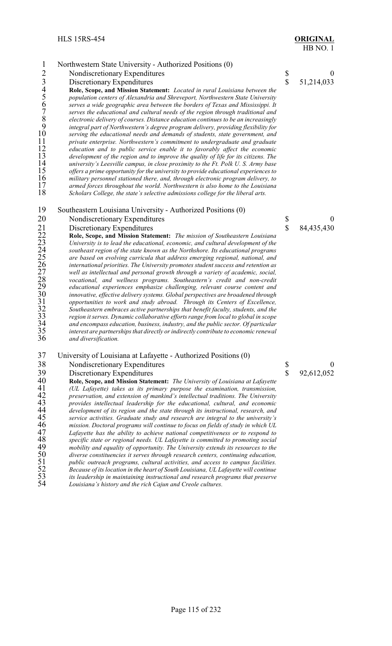- 1 Northwestern State University Authorized Positions (0)<br>2 Nondiscretionary Expenditures 2 Nondiscretionary Expenditures \$ 0<br>
13 Discretionary Expenditures \$ 51,214,033<br>
14 Role, Scope, and Mission Statement: *Located in rural Louisiana between the*<br>
5 *population centers of Alexandria and Shreveport. Northwes* Discretionary Expenditures **Role, Scope, and Mission Statement:** *Located in rural Louisiana between the population centers of Alexandria and Shreveport, Northwestern State University serves a wide geographic area between the borders of Texas and Mississippi. It serves the educational and cultural needs of the region through traditional and electronic delivery of courses. Distance education continues to be an increasingly integral part of Northwestern's degree program delivery, providing flexibility for serving the educational needs and demands of students, state government, and private enterprise. Northwestern's commitment to undergraduate and graduate education and to public service enable it to favorably affect the economic development of the region and to improve the quality of life for its citizens. The university's Leesville campus, in close proximity to the Ft. Polk U. S. Army base offers a prime opportunity for the university to provide educational experiences to military personnel stationed there, and, through electronic program delivery, to armed forces throughout the world. Northwestern is also home to the Louisiana* Scholars College, the state's selective admissions college for the liberal arts. Southeastern Louisiana University - Authorized Positions (0)
	- Discretionary Expenditures  $\qquad$  84,435,430

20 Nondiscretionary Expenditures \$ 0<br>
21 Discretionary Expenditures \$ 84,435,430<br>
22 Role, Scope, and Mission Statement: *The mission of Southeastern Louisiana*<br>
22 University is to lead the educational, economic, and cult **Role, Scope, and Mission Statement:** *The mission of Southeastern Louisiana University is to lead the educational, economic, and cultural development of the southeast region of the state known as the Northshore. Its educational programs are based on evolving curricula that address emerging regional, national, and international priorities. The University promotes student success and retention as well as intellectual and personal growth through a variety of academic, social, vocational, and wellness programs. Southeastern's credit and non-credit educational experiences emphasize challenging, relevant course content and innovative, effective delivery systems. Global perspectives are broadened through opportunities to work and study abroad. Through its Centers of Excellence, Southeastern embraces active partnerships that benefit faculty, students, and the region it serves. Dynamic collaborative efforts range from local to global in scope*<br>34 *and encompass education, business, industry, and the public sector. Of particular*<br>35 *interest are partnerships that directly or and encompass education, business, industry, and the public sector. Of particular interest are partnerships that directly or indirectly contribute to economic renewal and diversification.*

# University of Louisiana at Lafayette - Authorized Positions (0)

# 38 Nondiscretionary Expenditures \$ 0<br>39 Discretionary Expenditures \$ 92.612.052

39 Discretionary Expenditures <br> **39 Bole, Scope, and Mission Statement:** The University of Louisiana at Lafayette <br> **39 Bole, Scope, and Mission Statement:** The University of Louisiana at Lafayette **Role, Scope, and Mission Statement:** *The University of Louisiana at Lafayette*<br>
41 (UL Lafayette) takes as its primary purpose the examination, transmission,<br>
42 preservation, and extension of mankind's intellectual trad *(UL Lafayette) takes as its primary purpose the examination, transmission, preservation, and extension of mankind's intellectual traditions. The University provides intellectual leadership for the educational, cultural, and economic development of its region and the state through its instructional, research, and service activities. Graduate study and research are integral to the university's mission. Doctoral programs will continue to focus on fields of study in which UL* Lafayette has the ability to achieve national competitiveness or to respond to<br>48 specific state or regional needs. UL Lafayette is committed to promoting social<br>49 mobility and equality of opportunity. The University exte *specific state or regional needs. UL Lafayette is committed to promoting social mobility and equality of opportunity. The University extends its resources to the diverse constituencies it serves through research centers, continuing education, public outreach programs, cultural activities, and access to campus facilities. Because of its location in the heart of South Louisiana, UL Lafayette will continue its leadership in maintaining instructional and research programs that preserve Louisiana's history and the rich Cajun and Creole cultures.*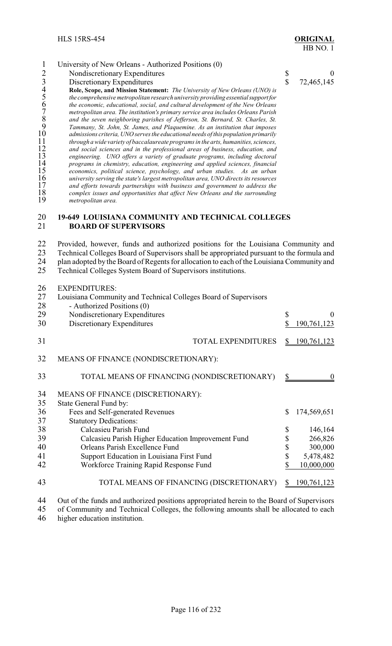|                                                                        | University of New Orleans - Authorized Positions (0)                                                                                                                                                                                                                                                                                                                                                                                                                                                                                                                                                                                                                                                                                                                                                                                                                                                                                                                                                                                                                                                                                                                                                                                                                      |              |            |
|------------------------------------------------------------------------|---------------------------------------------------------------------------------------------------------------------------------------------------------------------------------------------------------------------------------------------------------------------------------------------------------------------------------------------------------------------------------------------------------------------------------------------------------------------------------------------------------------------------------------------------------------------------------------------------------------------------------------------------------------------------------------------------------------------------------------------------------------------------------------------------------------------------------------------------------------------------------------------------------------------------------------------------------------------------------------------------------------------------------------------------------------------------------------------------------------------------------------------------------------------------------------------------------------------------------------------------------------------------|--------------|------------|
|                                                                        | Nondiscretionary Expenditures                                                                                                                                                                                                                                                                                                                                                                                                                                                                                                                                                                                                                                                                                                                                                                                                                                                                                                                                                                                                                                                                                                                                                                                                                                             | \$           | $\theta$   |
|                                                                        | Discretionary Expenditures                                                                                                                                                                                                                                                                                                                                                                                                                                                                                                                                                                                                                                                                                                                                                                                                                                                                                                                                                                                                                                                                                                                                                                                                                                                | $\mathbb{S}$ | 72,465,145 |
| 4<br>6<br>8<br>9<br>10<br>11<br>12<br>13<br>14<br>15<br>16<br>17<br>18 | Role, Scope, and Mission Statement: The University of New Orleans (UNO) is<br>the comprehensive metropolitan research university providing essential support for<br>the economic, educational, social, and cultural development of the New Orleans<br>metropolitan area. The institution's primary service area includes Orleans Parish<br>and the seven neighboring parishes of Jefferson, St. Bernard, St. Charles, St.<br>Tammany, St. John, St. James, and Plaquemine. As an institution that imposes<br>admissions criteria, UNO serves the educational needs of this population primarily<br>through a wide variety of baccalaureate programs in the arts, humanities, sciences,<br>and social sciences and in the professional areas of business, education, and<br>engineering. UNO offers a variety of graduate programs, including doctoral<br>programs in chemistry, education, engineering and applied sciences, financial<br>economics, political science, psychology, and urban studies. As an urban<br>university serving the state's largest metropolitan area, UNO directs its resources<br>and efforts towards partnerships with business and government to address the<br>complex issues and opportunities that affect New Orleans and the surrounding |              |            |
| 19                                                                     | metropolitan area.                                                                                                                                                                                                                                                                                                                                                                                                                                                                                                                                                                                                                                                                                                                                                                                                                                                                                                                                                                                                                                                                                                                                                                                                                                                        |              |            |

#### **19-649 LOUISIANA COMMUNITY AND TECHNICAL COLLEGES BOARD OF SUPERVISORS**

22 Provided, however, funds and authorized positions for the Louisiana Community and<br>23 Technical Colleges Board of Supervisors shall be appropriated pursuant to the formula and 23 Technical Colleges Board of Supervisors shall be appropriated pursuant to the formula and<br>24 plan adopted by the Board of Regents for allocation to each of the Louisiana Community and 24 plan adopted by the Board of Regents for allocation to each of the Louisiana Community and<br>25 Technical Colleges System Board of Supervisors institutions. Technical Colleges System Board of Supervisors institutions.

EXPENDITURES:

|    | ети енен опер                                                   |                          |
|----|-----------------------------------------------------------------|--------------------------|
| 27 | Louisiana Community and Technical Colleges Board of Supervisors |                          |
| 28 | - Authorized Positions (0)                                      |                          |
| 29 | Nondiscretionary Expenditures                                   | \$<br>0                  |
| 30 | Discretionary Expenditures                                      | \$<br>190,761,123        |
| 31 | TOTAL EXPENDITURES                                              | \$<br><u>190,761,123</u> |
| 32 | MEANS OF FINANCE (NONDISCRETIONARY):                            |                          |
| 33 | TOTAL MEANS OF FINANCING (NONDISCRETIONARY)                     |                          |
| 34 | MEANS OF FINANCE (DISCRETIONARY):                               |                          |
| 35 | State General Fund by:                                          |                          |
| 36 | Fees and Self-generated Revenues                                | \$<br>174,569,651        |
| 37 | <b>Statutory Dedications:</b>                                   |                          |
| 38 | Calcasieu Parish Fund                                           | \$<br>146,164            |
| 39 | Calcasieu Parish Higher Education Improvement Fund              | \$<br>266,826            |
| 40 | Orleans Parish Excellence Fund                                  | \$<br>300,000            |
| 41 | Support Education in Louisiana First Fund                       | \$<br>5,478,482          |
| 42 | Workforce Training Rapid Response Fund                          | 10,000,000               |
| 43 | TOTAL MEANS OF FINANCING (DISCRETIONARY)                        | \$<br>190,761,123        |

44 Out of the funds and authorized positions appropriated herein to the Board of Supervisors<br>45 of Community and Technical Colleges, the following amounts shall be allocated to each 45 of Community and Technical Colleges, the following amounts shall be allocated to each higher education institution. higher education institution.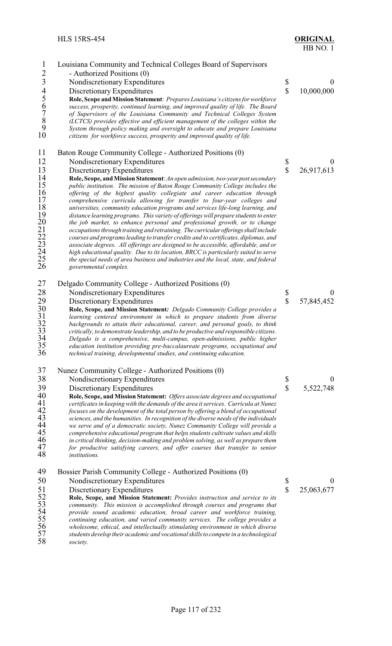| $\mathbf{1}$                                                                                | Louisiana Community and Technical Colleges Board of Supervisors                                                                                                           |               |                  |
|---------------------------------------------------------------------------------------------|---------------------------------------------------------------------------------------------------------------------------------------------------------------------------|---------------|------------------|
| $2\overline{3}$<br>$4\overline{5}$<br>$6\overline{7}$<br>$8\overline{9}$<br>$9\overline{0}$ | - Authorized Positions (0)                                                                                                                                                |               |                  |
|                                                                                             | Nondiscretionary Expenditures                                                                                                                                             | \$            | $\mathbf{0}$     |
|                                                                                             | Discretionary Expenditures                                                                                                                                                | \$            | 10,000,000       |
|                                                                                             | Role, Scope and Mission Statement: Prepares Louisiana's citizens for workforce                                                                                            |               |                  |
|                                                                                             | success, prosperity, continued learning, and improved quality of life. The Board                                                                                          |               |                  |
|                                                                                             | of Supervisors of the Louisiana Community and Technical Colleges System                                                                                                   |               |                  |
|                                                                                             | (LCTCS) provides effective and efficient management of the colleges within the                                                                                            |               |                  |
|                                                                                             | System through policy making and oversight to educate and prepare Louisiana                                                                                               |               |                  |
|                                                                                             | citizens for workforce success, prosperity and improved quality of life.                                                                                                  |               |                  |
| 11                                                                                          | Baton Rouge Community College - Authorized Positions (0)                                                                                                                  |               |                  |
| 12                                                                                          | Nondiscretionary Expenditures                                                                                                                                             |               | $\boldsymbol{0}$ |
| 13                                                                                          | Discretionary Expenditures                                                                                                                                                | $\frac{1}{3}$ | 26,917,613       |
| 14                                                                                          | Role, Scope, and Mission Statement: An open admission, two-year post secondary                                                                                            |               |                  |
| 15                                                                                          | public institution. The mission of Baton Rouge Community College includes the                                                                                             |               |                  |
| 16                                                                                          | offering of the highest quality collegiate and career education through                                                                                                   |               |                  |
| 17                                                                                          | comprehensive curricula allowing for transfer to four-year colleges and                                                                                                   |               |                  |
| 18                                                                                          | universities, community education programs and services life-long learning, and                                                                                           |               |                  |
| 19                                                                                          | distance learning programs. This variety of offerings will prepare students to enter                                                                                      |               |                  |
| 20                                                                                          | the job market, to enhance personal and professional growth, or to change                                                                                                 |               |                  |
| $^{21}_{22}$                                                                                | occupations through training and retraining. The curricular offerings shall include                                                                                       |               |                  |
| 23                                                                                          | courses and programs leading to transfer credits and to certificates, diplomas, and<br>associate degrees. All offerings are designed to be accessible, affordable, and or |               |                  |
|                                                                                             | high educational quality. Due to its location, BRCC is particularly suited to serve                                                                                       |               |                  |
| $^{24}_{25}$                                                                                | the special needs of area business and industries and the local, state, and federal                                                                                       |               |                  |
| 26                                                                                          | governmental complex.                                                                                                                                                     |               |                  |
|                                                                                             |                                                                                                                                                                           |               |                  |
| 27                                                                                          | Delgado Community College - Authorized Positions (0)                                                                                                                      |               |                  |
| 28                                                                                          | Nondiscretionary Expenditures                                                                                                                                             | Տ<br>Տ        | $\boldsymbol{0}$ |
| 29                                                                                          | Discretionary Expenditures                                                                                                                                                |               | 57,845,452       |
| $\begin{array}{c} 30 \\ 31 \end{array}$                                                     | Role, Scope, and Mission Statement: Delgado Community College provides a                                                                                                  |               |                  |
|                                                                                             | learning centered environment in which to prepare students from diverse<br>backgrounds to attain their educational, career, and personal goals, to think                  |               |                  |
| $rac{32}{33}$                                                                               | critically, to demonstrate leadership, and to be productive and responsible citizens.                                                                                     |               |                  |
|                                                                                             | Delgado is a comprehensive, multi-campus, open-admissions, public higher                                                                                                  |               |                  |
| $\frac{34}{35}$                                                                             | education institution providing pre-baccalaureate programs, occupational and                                                                                              |               |                  |
| 36                                                                                          | technical training, developmental studies, and continuing education.                                                                                                      |               |                  |
| 37                                                                                          | Nunez Community College - Authorized Positions (0)                                                                                                                        |               |                  |
| 38                                                                                          | Nondiscretionary Expenditures                                                                                                                                             | \$            | $\bf{0}$         |
| 39                                                                                          | Discretionary Expenditures                                                                                                                                                | \$            | 5,522,748        |
| 40                                                                                          | Role, Scope, and Mission Statement: Offers associate degrees and occupational                                                                                             |               |                  |
| 41                                                                                          | certificates in keeping with the demands of the area it services. Curricula at Nunez                                                                                      |               |                  |
| 42                                                                                          | focuses on the development of the total person by offering a blend of occupational                                                                                        |               |                  |
| 43                                                                                          | sciences, and the humanities. In recognition of the diverse needs of the individuals                                                                                      |               |                  |
| 44                                                                                          | we serve and of a democratic society, Nunez Community College will provide a                                                                                              |               |                  |
| 45                                                                                          | comprehensive educational program that helps students cultivate values and skills                                                                                         |               |                  |
| 46                                                                                          | in critical thinking, decision-making and problem solving, as well as prepare them                                                                                        |               |                  |
| 47<br>48                                                                                    | for productive satisfying careers, and offer courses that transfer to senior<br><i>institutions.</i>                                                                      |               |                  |
|                                                                                             |                                                                                                                                                                           |               |                  |
| 49                                                                                          | Bossier Parish Community College - Authorized Positions (0)                                                                                                               |               |                  |
| 50                                                                                          | Nondiscretionary Expenditures                                                                                                                                             | \$<br>\$      | $\boldsymbol{0}$ |
| 51                                                                                          | Discretionary Expenditures                                                                                                                                                |               | 25,063,677       |
| 52                                                                                          | Role, Scope, and Mission Statement: Provides instruction and service to its                                                                                               |               |                  |
| 53<br>54                                                                                    | community. This mission is accomplished through courses and programs that                                                                                                 |               |                  |
| 55                                                                                          | provide sound academic education, broad career and workforce training,<br>continuing education, and varied community services. The college provides a                     |               |                  |
| 56                                                                                          | wholesome, ethical, and intellectually stimulating environment in which diverse                                                                                           |               |                  |

 *students develop their academic and vocational skills to compete in a technological society.*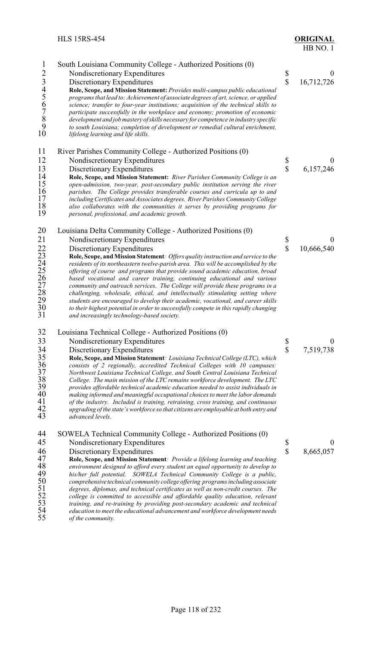| $\mathbf{1}$<br>$2\overline{3}$<br>$4\overline{5}$<br>$6\overline{7}$<br>$8\overline{9}$<br>$9\overline{0}$ | South Louisiana Community College - Authorized Positions (0)<br>Nondiscretionary Expenditures<br>Discretionary Expenditures<br>Role, Scope, and Mission Statement: Provides multi-campus public educational<br>programs that lead to: Achievement of associate degrees of art, science, or applied<br>science; transfer to four-year institutions; acquisition of the technical skills to<br>participate successfully in the workplace and economy; promotion of economic<br>development and job mastery of skills necessary for competence in industry specific<br>to south Louisiana; completion of development or remedial cultural enrichment,<br>lifelong learning and life skills.                                                                                                                                                                       | \$<br>\$                      | $\boldsymbol{0}$<br>16,712,726 |
|-------------------------------------------------------------------------------------------------------------|----------------------------------------------------------------------------------------------------------------------------------------------------------------------------------------------------------------------------------------------------------------------------------------------------------------------------------------------------------------------------------------------------------------------------------------------------------------------------------------------------------------------------------------------------------------------------------------------------------------------------------------------------------------------------------------------------------------------------------------------------------------------------------------------------------------------------------------------------------------|-------------------------------|--------------------------------|
| 11<br>12<br>13<br>14<br>15<br>16<br>17<br>18<br>19                                                          | River Parishes Community College - Authorized Positions (0)<br>Nondiscretionary Expenditures<br>Discretionary Expenditures<br>Role, Scope, and Mission Statement: River Parishes Community College is an<br>open-admission, two-year, post-secondary public institution serving the river<br>parishes. The College provides transferable courses and curricula up to and<br>including Certificates and Associates degrees. River Parishes Community College<br>also collaborates with the communities it serves by providing programs for<br>personal, professional, and academic growth.                                                                                                                                                                                                                                                                      | $\frac{1}{2}$                 | 0<br>6,157,246                 |
| 20<br>21<br>$\frac{22}{23}$<br>24<br>25<br>26<br>27<br>28<br>$\begin{array}{c} 29 \\ 30 \end{array}$<br>31  | Louisiana Delta Community College - Authorized Positions (0)<br>Nondiscretionary Expenditures<br>Discretionary Expenditures<br>Role, Scope, and Mission Statement: Offers quality instruction and service to the<br>residents of its northeastern twelve-parish area. This will be accomplished by the<br>offering of course and programs that provide sound academic education, broad<br>based vocational and career training, continuing educational and various<br>community and outreach services. The College will provide these programs in a<br>challenging, wholesale, ethical, and intellectually stimulating setting where<br>students are encouraged to develop their academic, vocational, and career skills<br>to their highest potential in order to successfully compete in this rapidly changing<br>and increasingly technology-based society. | \$<br>\$                      | $\theta$<br>10,666,540         |
| 32<br>33<br>34<br>35<br>36<br>37<br>38<br>39<br>40<br>41<br>42<br>43                                        | Louisiana Technical College - Authorized Positions (0)<br>Nondiscretionary Expenditures<br>Discretionary Expenditures<br>Role, Scope, and Mission Statement: Louisiana Technical College (LTC), which<br>consists of 2 regionally, accredited Technical Colleges with 10 campuses:<br>Northwest Louisiana Technical College, and South Central Louisiana Technical<br>College. The main mission of the LTC remains workforce development. The LTC<br>provides affordable technical academic education needed to assist individuals in<br>making informed and meaningful occupational choices to meet the labor demands<br>of the industry. Included is training, retraining, cross training, and continuous<br>upgrading of the state's workforce so that citizens are employable at both entry and<br>advanced levels.                                        | \$<br>$\mathbf S$             | $\boldsymbol{0}$<br>7,519,738  |
| 44<br>45<br>46<br>47<br>48<br>49<br>50<br>51<br>$\frac{52}{53}$                                             | SOWELA Technical Community College - Authorized Positions (0)<br>Nondiscretionary Expenditures<br>Discretionary Expenditures<br>Role, Scope, and Mission Statement: Provide a lifelong learning and teaching<br>environment designed to afford every student an equal opportunity to develop to<br>his/her full potential. SOWELA Technical Community College is a public,<br>comprehensive technical community college offering programs including associate<br>degrees, diplomas, and technical certificates as well as non-credit courses. The<br>college is committed to accessible and affordable quality education, relevant<br>training, and re-training by providing post-secondary academic and technical                                                                                                                                             | \$<br>$\overline{\mathbb{S}}$ | $\boldsymbol{0}$<br>8,665,057  |

 *education to meet the educational advancement and workforce development needs of the community.*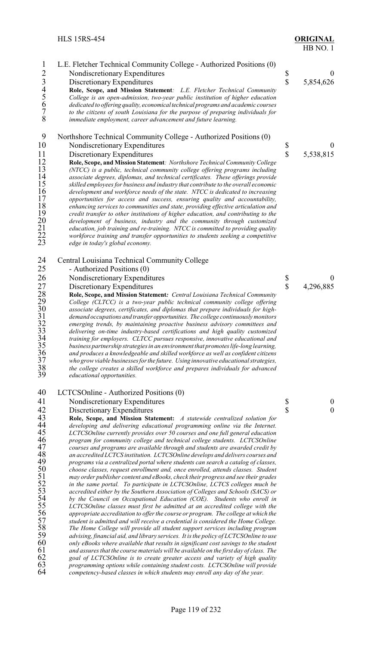| $\mathbf{1}$<br>$\overline{2}$<br>345678                                                                                               | L.E. Fletcher Technical Community College - Authorized Positions (0)<br>Nondiscretionary Expenditures<br>Discretionary Expenditures<br>Role, Scope, and Mission Statement: L.E. Fletcher Technical Community<br>College is an open-admission, two-year public institution of higher education<br>dedicated to offering quality, economical technical programs and academic courses<br>to the citizens of south Louisiana for the purpose of preparing individuals for<br>immediate employment, career advancement and future learning.                                                                                                                                                                                                                                                                                                                                                                                                                                                                                                                                                                                                                                                                                                                                                                                                                                                                                                                                                                                                                                                                                                                                                                                                                                                                                                                                                         | \$<br>\$                | $\boldsymbol{0}$<br>5,854,626 |
|----------------------------------------------------------------------------------------------------------------------------------------|------------------------------------------------------------------------------------------------------------------------------------------------------------------------------------------------------------------------------------------------------------------------------------------------------------------------------------------------------------------------------------------------------------------------------------------------------------------------------------------------------------------------------------------------------------------------------------------------------------------------------------------------------------------------------------------------------------------------------------------------------------------------------------------------------------------------------------------------------------------------------------------------------------------------------------------------------------------------------------------------------------------------------------------------------------------------------------------------------------------------------------------------------------------------------------------------------------------------------------------------------------------------------------------------------------------------------------------------------------------------------------------------------------------------------------------------------------------------------------------------------------------------------------------------------------------------------------------------------------------------------------------------------------------------------------------------------------------------------------------------------------------------------------------------------------------------------------------------------------------------------------------------|-------------------------|-------------------------------|
| 9<br>10<br>11<br>12<br>13<br>14<br>15<br>16<br>17<br>18<br>19<br>20<br>21<br>22<br>23                                                  | Northshore Technical Community College - Authorized Positions (0)<br>Nondiscretionary Expenditures<br>Discretionary Expenditures<br>Role, Scope, and Mission Statement: Northshore Technical Community College<br>(NTCC) is a public, technical community college offering programs including<br>associate degrees, diplomas, and technical certificates. These offerings provide<br>skilled employees for business and industry that contribute to the overall economic<br>development and workforce needs of the state. NTCC is dedicated to increasing<br>opportunities for access and success, ensuring quality and accountability,<br>enhancing services to communities and state, providing effective articulation and<br>credit transfer to other institutions of higher education, and contributing to the<br>development of business, industry and the community through customized<br>education, job training and re-training. NTCC is committed to providing quality<br>workforce training and transfer opportunities to students seeking a competitive<br>edge in today's global economy.                                                                                                                                                                                                                                                                                                                                                                                                                                                                                                                                                                                                                                                                                                                                                                                          | \$<br>\$                | $\boldsymbol{0}$<br>5,538,815 |
| 24                                                                                                                                     | Central Louisiana Technical Community College                                                                                                                                                                                                                                                                                                                                                                                                                                                                                                                                                                                                                                                                                                                                                                                                                                                                                                                                                                                                                                                                                                                                                                                                                                                                                                                                                                                                                                                                                                                                                                                                                                                                                                                                                                                                                                                  |                         |                               |
| 25<br>26                                                                                                                               | - Authorized Positions (0)<br>Nondiscretionary Expenditures                                                                                                                                                                                                                                                                                                                                                                                                                                                                                                                                                                                                                                                                                                                                                                                                                                                                                                                                                                                                                                                                                                                                                                                                                                                                                                                                                                                                                                                                                                                                                                                                                                                                                                                                                                                                                                    | \$                      | $\theta$                      |
| 27<br>28<br>29<br>30<br>31<br>$\frac{32}{33}$<br>34<br>35<br>36<br>$37\,$<br>38<br>39                                                  | Discretionary Expenditures<br>Role, Scope, and Mission Statement: Central Louisiana Technical Community<br>College (CLTCC) is a two-year public technical community college offering<br>associate degrees, certificates, and diplomas that prepare individuals for high-<br>demand occupations and transfer opportunities. The college continuously monitors<br>emerging trends, by maintaining proactive business advisory committees and<br>delivering on-time industry-based certifications and high quality customized<br>training for employers. CLTCC pursues responsive, innovative educational and<br>business partnership strategies in an environment that promotes life-long learning,<br>and produces a knowledgeable and skilled workforce as well as confident citizens<br>who grow viable businesses for the future. Using innovative educational strategies,<br>the college creates a skilled workforce and prepares individuals for advanced<br>educational opportunities.                                                                                                                                                                                                                                                                                                                                                                                                                                                                                                                                                                                                                                                                                                                                                                                                                                                                                                    | $\overline{\mathbb{S}}$ | 4,296,885                     |
| 40                                                                                                                                     | LCTCSOnline - Authorized Positions (0)                                                                                                                                                                                                                                                                                                                                                                                                                                                                                                                                                                                                                                                                                                                                                                                                                                                                                                                                                                                                                                                                                                                                                                                                                                                                                                                                                                                                                                                                                                                                                                                                                                                                                                                                                                                                                                                         |                         |                               |
| 41                                                                                                                                     | Nondiscretionary Expenditures                                                                                                                                                                                                                                                                                                                                                                                                                                                                                                                                                                                                                                                                                                                                                                                                                                                                                                                                                                                                                                                                                                                                                                                                                                                                                                                                                                                                                                                                                                                                                                                                                                                                                                                                                                                                                                                                  | \$                      | $\mathbf{0}$                  |
| 42<br>43<br>44<br>45<br>46<br>47<br>48<br>49<br>50<br>51<br>52<br>53<br>54<br>55<br>56<br>57<br>58<br>59<br>60<br>61<br>62<br>63<br>64 | Discretionary Expenditures<br>Role, Scope, and Mission Statement: A statewide centralized solution for<br>developing and delivering educational programming online via the Internet.<br>LCTCSOnline currently provides over 50 courses and one full general education<br>program for community college and technical college students. LCTCSOnline<br>courses and programs are available through and students are awarded credit by<br>an accredited LCTCS institution. LCTCSOnline develops and delivers courses and<br>programs via a centralized portal where students can search a catalog of classes,<br>choose classes, request enrollment and, once enrolled, attends classes. Student<br>may order publisher content and eBooks, check their progress and see their grades<br>in the same portal. To participate in LCTCSOnline, LCTCS colleges much be<br>accredited either by the Southern Association of Colleges and Schools (SACS) or<br>by the Council on Occupational Education (COE). Students who enroll in<br>LCTCSOnline classes must first be admitted at an accredited college with the<br>appropriate accreditation to offer the course or program. The college at which the<br>student is admitted and will receive a credential is considered the Home College.<br>The Home College will provide all student support services including program<br>advising, financial aid, and library services. It is the policy of LCTCSOnline to use<br>only eBooks where available that results in significant cost savings to the student<br>and assures that the course materials will be available on the first day of class. The<br>goal of LCTCSOnline is to create greater access and variety of high quality<br>programming options while containing student costs. LCTCSOnline will provide<br>competency-based classes in which students may enroll any day of the year. | $\overline{\mathbb{S}}$ | $\mathbf{0}$                  |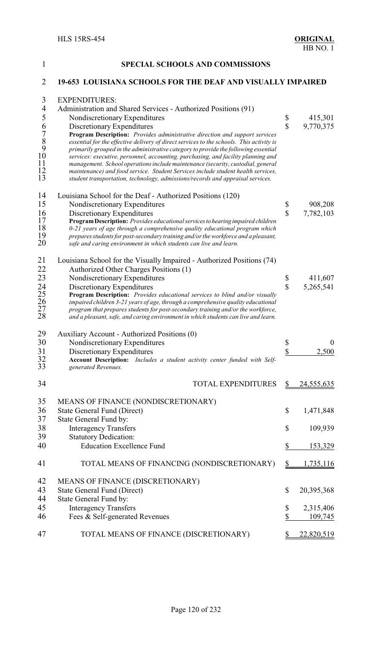| $\mathbf{1}$         | <b>SPECIAL SCHOOLS AND COMMISSIONS</b>                                                                                                                            |                         |                   |
|----------------------|-------------------------------------------------------------------------------------------------------------------------------------------------------------------|-------------------------|-------------------|
| 2                    | <b>19-653 LOUISIANA SCHOOLS FOR THE DEAF AND VISUALLY IMPAIRED</b>                                                                                                |                         |                   |
| 3                    | <b>EXPENDITURES:</b>                                                                                                                                              |                         |                   |
| $\overline{4}$       | Administration and Shared Services - Authorized Positions (91)                                                                                                    |                         |                   |
| 5                    | Nondiscretionary Expenditures                                                                                                                                     | \$                      | 415,301           |
|                      | Discretionary Expenditures                                                                                                                                        | $\hat{\mathbf{S}}$      | 9,770,375         |
| 6789                 | Program Description: Provides administrative direction and support services                                                                                       |                         |                   |
|                      | essential for the effective delivery of direct services to the schools. This activity is                                                                          |                         |                   |
|                      | primarily grouped in the administrative category to provide the following essential                                                                               |                         |                   |
| 10                   | services: executive, personnel, accounting, purchasing, and facility planning and                                                                                 |                         |                   |
| 11                   | management. School operations include maintenance (security, custodial, general                                                                                   |                         |                   |
| 12<br>13             | maintenance) and food service. Student Services include student health services,                                                                                  |                         |                   |
|                      | student transportation, technology, admissions/records and appraisal services.                                                                                    |                         |                   |
| 14                   | Louisiana School for the Deaf - Authorized Positions (120)                                                                                                        |                         |                   |
| 15                   | Nondiscretionary Expenditures                                                                                                                                     | \$                      | 908,208           |
| 16                   | Discretionary Expenditures                                                                                                                                        | $\overline{\mathbb{S}}$ | 7,782,103         |
| 17                   | Program Description: Provides educational services to hearing impaired children                                                                                   |                         |                   |
| 18<br>19             | 0-21 years of age through a comprehensive quality educational program which<br>prepares students for post-secondary training and/or the workforce and a pleasant, |                         |                   |
| 20                   | safe and caring environment in which students can live and learn.                                                                                                 |                         |                   |
| 21                   | Louisiana School for the Visually Impaired - Authorized Positions (74)                                                                                            |                         |                   |
| 22                   | Authorized Other Charges Positions (1)                                                                                                                            |                         |                   |
| 23                   | Nondiscretionary Expenditures                                                                                                                                     | \$                      | 411,607           |
|                      | Discretionary Expenditures                                                                                                                                        | $\overline{\mathbb{S}}$ | 5,265,541         |
| 24<br>25<br>26<br>27 | Program Description: Provides educational services to blind and/or visually                                                                                       |                         |                   |
|                      | impaired children 3-21 years of age, through a comprehensive quality educational                                                                                  |                         |                   |
|                      | program that prepares students for post-secondary training and/or the workforce,                                                                                  |                         |                   |
| 28                   | and a pleasant, safe, and caring environment in which students can live and learn.                                                                                |                         |                   |
| 29                   | Auxiliary Account - Authorized Positions (0)                                                                                                                      |                         |                   |
| 30                   | Nondiscretionary Expenditures                                                                                                                                     | \$                      | $\boldsymbol{0}$  |
| 31                   | Discretionary Expenditures                                                                                                                                        | \$                      | 2,500             |
| $\frac{32}{5}$       | <b>Account Description:</b><br>Includes a student activity center funded with Self-                                                                               |                         |                   |
| 33                   | generated Revenues.                                                                                                                                               |                         |                   |
| 34                   | <b>TOTAL EXPENDITURES</b>                                                                                                                                         | \$                      | <u>24,555,635</u> |
| 35                   | MEANS OF FINANCE (NONDISCRETIONARY)                                                                                                                               |                         |                   |
| 36                   | State General Fund (Direct)                                                                                                                                       | \$                      | 1,471,848         |
| 37                   | State General Fund by:                                                                                                                                            |                         |                   |
| 38                   | <b>Interagency Transfers</b>                                                                                                                                      | \$                      | 109,939           |
| 39                   | <b>Statutory Dedication:</b>                                                                                                                                      |                         |                   |
| 40                   | <b>Education Excellence Fund</b>                                                                                                                                  | \$                      | 153,329           |
| 41                   | TOTAL MEANS OF FINANCING (NONDISCRETIONARY)                                                                                                                       |                         | 1,735,116         |
| 42                   | MEANS OF FINANCE (DISCRETIONARY)                                                                                                                                  |                         |                   |
| 43                   | <b>State General Fund (Direct)</b>                                                                                                                                | \$                      | 20,395,368        |
| 44                   | State General Fund by:                                                                                                                                            |                         |                   |
| 45                   | <b>Interagency Transfers</b>                                                                                                                                      | \$                      | 2,315,406         |
| 46                   | Fees & Self-generated Revenues                                                                                                                                    | \$                      | 109,745           |
|                      |                                                                                                                                                                   |                         |                   |
| 47                   | TOTAL MEANS OF FINANCE (DISCRETIONARY)                                                                                                                            | S                       | 22,820,519        |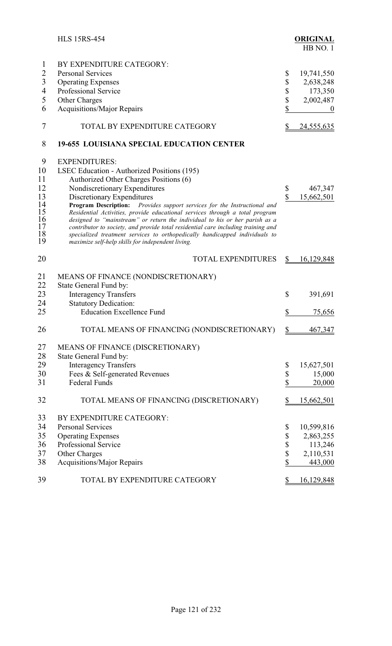|                                                               | <b>HLS 15RS-454</b>                                                                                                                                                                                                                                                                                                                                                                                                                                                                                                                                                                                                                              |                                 | <b>ORIGINAL</b><br>HB NO.1                                               |
|---------------------------------------------------------------|--------------------------------------------------------------------------------------------------------------------------------------------------------------------------------------------------------------------------------------------------------------------------------------------------------------------------------------------------------------------------------------------------------------------------------------------------------------------------------------------------------------------------------------------------------------------------------------------------------------------------------------------------|---------------------------------|--------------------------------------------------------------------------|
| 1<br>$\overline{2}$<br>3<br>$\overline{4}$<br>5<br>6          | BY EXPENDITURE CATEGORY:<br><b>Personal Services</b><br><b>Operating Expenses</b><br>Professional Service<br><b>Other Charges</b><br>Acquisitions/Major Repairs                                                                                                                                                                                                                                                                                                                                                                                                                                                                                  | \$<br>\$<br>\$<br>\$<br>\$      | 19,741,550<br>2,638,248<br>173,350<br>2,002,487<br>$\boldsymbol{0}$      |
| 7                                                             | TOTAL BY EXPENDITURE CATEGORY                                                                                                                                                                                                                                                                                                                                                                                                                                                                                                                                                                                                                    | \$                              | 24,555,635                                                               |
| 8                                                             | <b>19-655 LOUISIANA SPECIAL EDUCATION CENTER</b>                                                                                                                                                                                                                                                                                                                                                                                                                                                                                                                                                                                                 |                                 |                                                                          |
| 9<br>10<br>11<br>12<br>13<br>14<br>15<br>16<br>17<br>18<br>19 | <b>EXPENDITURES:</b><br>LSEC Education - Authorized Positions (195)<br>Authorized Other Charges Positions (6)<br>Nondiscretionary Expenditures<br>Discretionary Expenditures<br>Program Description: Provides support services for the Instructional and<br>Residential Activities, provide educational services through a total program<br>designed to "mainstream" or return the individual to his or her parish as a<br>contributor to society, and provide total residential care including training and<br>specialized treatment services to orthopedically handicapped individuals to<br>maximize self-help skills for independent living. | \$<br>$\mathbf{\hat{S}}$        | 467,347<br>15,662,501                                                    |
| 20                                                            | <b>TOTAL EXPENDITURES</b>                                                                                                                                                                                                                                                                                                                                                                                                                                                                                                                                                                                                                        | \$                              | 16,129,848                                                               |
| 21<br>22<br>23<br>24<br>25                                    | MEANS OF FINANCE (NONDISCRETIONARY)<br>State General Fund by:<br><b>Interagency Transfers</b><br><b>Statutory Dedication:</b><br><b>Education Excellence Fund</b>                                                                                                                                                                                                                                                                                                                                                                                                                                                                                | $\mathbb{S}$<br>\$              | 391,691<br>75,656                                                        |
| 26                                                            | TOTAL MEANS OF FINANCING (NONDISCRETIONARY)                                                                                                                                                                                                                                                                                                                                                                                                                                                                                                                                                                                                      | \$                              | 467,347                                                                  |
| 27<br>28<br>29<br>30<br>31                                    | MEANS OF FINANCE (DISCRETIONARY)<br>State General Fund by:<br><b>Interagency Transfers</b><br>Fees & Self-generated Revenues<br><b>Federal Funds</b>                                                                                                                                                                                                                                                                                                                                                                                                                                                                                             | \$<br>\$<br>\$                  | 15,627,501<br>15,000<br>20,000                                           |
| 32                                                            | TOTAL MEANS OF FINANCING (DISCRETIONARY)                                                                                                                                                                                                                                                                                                                                                                                                                                                                                                                                                                                                         | \$                              | <u>15,662,501</u>                                                        |
| 33<br>34<br>35<br>36<br>37<br>38<br>39                        | BY EXPENDITURE CATEGORY:<br><b>Personal Services</b><br><b>Operating Expenses</b><br>Professional Service<br>Other Charges<br>Acquisitions/Major Repairs<br>TOTAL BY EXPENDITURE CATEGORY                                                                                                                                                                                                                                                                                                                                                                                                                                                        | \$<br>\$<br>\$<br>\$<br>\$<br>S | 10,599,816<br>2,863,255<br>113,246<br>2,110,531<br>443,000<br>16,129,848 |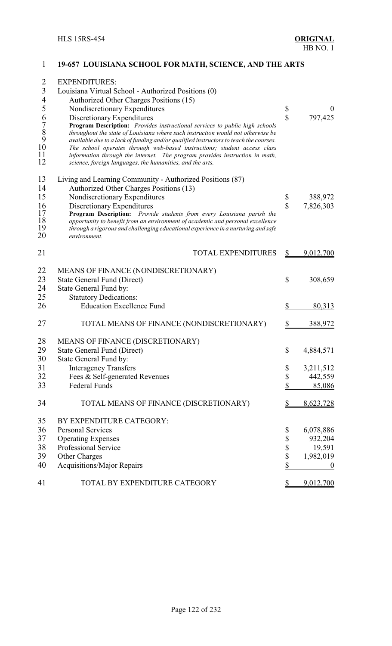| $\overline{2}$<br>$\overline{\mathbf{3}}$<br>$\overline{\mathcal{A}}$<br>5<br>$\begin{array}{c} 6 \\ 7 \\ 8 \\ 9 \\ 10 \end{array}$<br>11<br>12 | <b>EXPENDITURES:</b><br>Louisiana Virtual School - Authorized Positions (0)<br>Authorized Other Charges Positions (15)<br>Nondiscretionary Expenditures<br>Discretionary Expenditures<br>Program Description: Provides instructional services to public high schools<br>throughout the state of Louisiana where such instruction would not otherwise be<br>available due to a lack of funding and/or qualified instructors to teach the courses.<br>The school operates through web-based instructions; student access class<br>information through the internet. The program provides instruction in math,<br>science, foreign languages, the humanities, and the arts. | \$<br>$\overline{\mathbb{S}}$ | $\boldsymbol{0}$<br>797,425 |
|-------------------------------------------------------------------------------------------------------------------------------------------------|--------------------------------------------------------------------------------------------------------------------------------------------------------------------------------------------------------------------------------------------------------------------------------------------------------------------------------------------------------------------------------------------------------------------------------------------------------------------------------------------------------------------------------------------------------------------------------------------------------------------------------------------------------------------------|-------------------------------|-----------------------------|
| 13<br>14<br>15<br>16<br>17                                                                                                                      | Living and Learning Community - Authorized Positions (87)<br>Authorized Other Charges Positions (13)<br>Nondiscretionary Expenditures<br>Discretionary Expenditures<br>Program Description: Provide students from every Louisiana parish the                                                                                                                                                                                                                                                                                                                                                                                                                             | \$<br>\$                      | 388,972<br>7,826,303        |
| 18<br>19<br>20                                                                                                                                  | opportunity to benefit from an environment of academic and personal excellence<br>through a rigorous and challenging educational experience in a nurturing and safe<br>environment.                                                                                                                                                                                                                                                                                                                                                                                                                                                                                      |                               |                             |
| 21                                                                                                                                              | <b>TOTAL EXPENDITURES</b>                                                                                                                                                                                                                                                                                                                                                                                                                                                                                                                                                                                                                                                | \$                            | 9,012,700                   |
| 22<br>23<br>24                                                                                                                                  | MEANS OF FINANCE (NONDISCRETIONARY)<br><b>State General Fund (Direct)</b><br>State General Fund by:                                                                                                                                                                                                                                                                                                                                                                                                                                                                                                                                                                      | \$                            | 308,659                     |
| 25<br>26                                                                                                                                        | <b>Statutory Dedications:</b><br><b>Education Excellence Fund</b>                                                                                                                                                                                                                                                                                                                                                                                                                                                                                                                                                                                                        | \$                            | 80,313                      |
| 27                                                                                                                                              | TOTAL MEANS OF FINANCE (NONDISCRETIONARY)                                                                                                                                                                                                                                                                                                                                                                                                                                                                                                                                                                                                                                | \$                            | 388,972                     |
| 28                                                                                                                                              | MEANS OF FINANCE (DISCRETIONARY)                                                                                                                                                                                                                                                                                                                                                                                                                                                                                                                                                                                                                                         |                               |                             |
| 29                                                                                                                                              | <b>State General Fund (Direct)</b>                                                                                                                                                                                                                                                                                                                                                                                                                                                                                                                                                                                                                                       | \$                            | 4,884,571                   |
| 30                                                                                                                                              | State General Fund by:                                                                                                                                                                                                                                                                                                                                                                                                                                                                                                                                                                                                                                                   |                               |                             |
| 31                                                                                                                                              | <b>Interagency Transfers</b>                                                                                                                                                                                                                                                                                                                                                                                                                                                                                                                                                                                                                                             | \$                            | 3,211,512                   |
| 32                                                                                                                                              | Fees & Self-generated Revenues                                                                                                                                                                                                                                                                                                                                                                                                                                                                                                                                                                                                                                           | \$                            | 442,559                     |
| 33                                                                                                                                              | Federal Funds                                                                                                                                                                                                                                                                                                                                                                                                                                                                                                                                                                                                                                                            | \$                            | 85,086                      |
| 34                                                                                                                                              | TOTAL MEANS OF FINANCE (DISCRETIONARY)                                                                                                                                                                                                                                                                                                                                                                                                                                                                                                                                                                                                                                   |                               | 8,623,728                   |
| 35                                                                                                                                              | BY EXPENDITURE CATEGORY:                                                                                                                                                                                                                                                                                                                                                                                                                                                                                                                                                                                                                                                 |                               |                             |
| 36                                                                                                                                              | <b>Personal Services</b>                                                                                                                                                                                                                                                                                                                                                                                                                                                                                                                                                                                                                                                 | \$                            | 6,078,886                   |
| 37                                                                                                                                              | <b>Operating Expenses</b>                                                                                                                                                                                                                                                                                                                                                                                                                                                                                                                                                                                                                                                | \$                            | 932,204                     |
| 38                                                                                                                                              | Professional Service                                                                                                                                                                                                                                                                                                                                                                                                                                                                                                                                                                                                                                                     | \$                            | 19,591                      |
| 39                                                                                                                                              | Other Charges                                                                                                                                                                                                                                                                                                                                                                                                                                                                                                                                                                                                                                                            | \$                            | 1,982,019                   |
| 40                                                                                                                                              | <b>Acquisitions/Major Repairs</b>                                                                                                                                                                                                                                                                                                                                                                                                                                                                                                                                                                                                                                        | \$                            | $\boldsymbol{0}$            |
| 41                                                                                                                                              | TOTAL BY EXPENDITURE CATEGORY                                                                                                                                                                                                                                                                                                                                                                                                                                                                                                                                                                                                                                            | S                             | 9,012,700                   |

# **19-657 LOUISIANA SCHOOL FOR MATH, SCIENCE, AND THE ARTS**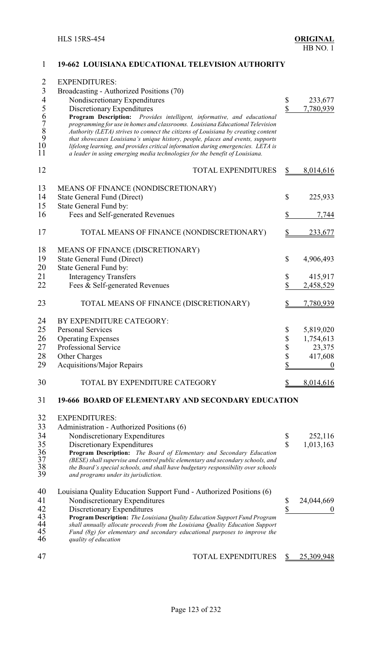| $\overline{2}$<br>$\overline{\mathbf{3}}$<br>$\overline{\mathcal{L}}$ | <b>EXPENDITURES:</b><br>Broadcasting - Authorized Positions (70)<br>Nondiscretionary Expenditures                                                                                                                                                                                                                                                                                                                                                                                                  | \$<br>233,677          |
|-----------------------------------------------------------------------|----------------------------------------------------------------------------------------------------------------------------------------------------------------------------------------------------------------------------------------------------------------------------------------------------------------------------------------------------------------------------------------------------------------------------------------------------------------------------------------------------|------------------------|
|                                                                       | Discretionary Expenditures                                                                                                                                                                                                                                                                                                                                                                                                                                                                         | \$<br>7,780,939        |
| 56789<br>10<br>11                                                     | Program Description: Provides intelligent, informative, and educational<br>programming for use in homes and classrooms. Louisiana Educational Television<br>Authority (LETA) strives to connect the citizens of Louisiana by creating content<br>that showcases Louisiana's unique history, people, places and events, supports<br>lifelong learning, and provides critical information during emergencies. LETA is<br>a leader in using emerging media technologies for the benefit of Louisiana. |                        |
| 12                                                                    | <b>TOTAL EXPENDITURES</b>                                                                                                                                                                                                                                                                                                                                                                                                                                                                          | \$<br>8,014,616        |
| 13                                                                    | MEANS OF FINANCE (NONDISCRETIONARY)                                                                                                                                                                                                                                                                                                                                                                                                                                                                |                        |
| 14                                                                    | <b>State General Fund (Direct)</b>                                                                                                                                                                                                                                                                                                                                                                                                                                                                 | \$<br>225,933          |
| 15                                                                    | State General Fund by:                                                                                                                                                                                                                                                                                                                                                                                                                                                                             |                        |
| 16                                                                    | Fees and Self-generated Revenues                                                                                                                                                                                                                                                                                                                                                                                                                                                                   | \$<br>7,744            |
| 17                                                                    | TOTAL MEANS OF FINANCE (NONDISCRETIONARY)                                                                                                                                                                                                                                                                                                                                                                                                                                                          | \$<br>233,677          |
| 18                                                                    | MEANS OF FINANCE (DISCRETIONARY)                                                                                                                                                                                                                                                                                                                                                                                                                                                                   |                        |
| 19                                                                    | <b>State General Fund (Direct)</b>                                                                                                                                                                                                                                                                                                                                                                                                                                                                 | \$<br>4,906,493        |
| 20                                                                    | State General Fund by:                                                                                                                                                                                                                                                                                                                                                                                                                                                                             |                        |
| 21                                                                    | <b>Interagency Transfers</b>                                                                                                                                                                                                                                                                                                                                                                                                                                                                       | \$<br>415,917          |
| 22                                                                    | Fees & Self-generated Revenues                                                                                                                                                                                                                                                                                                                                                                                                                                                                     | \$<br><u>2,458,529</u> |
| 23                                                                    | TOTAL MEANS OF FINANCE (DISCRETIONARY)                                                                                                                                                                                                                                                                                                                                                                                                                                                             | 7,780,939              |
| 24                                                                    | BY EXPENDITURE CATEGORY:                                                                                                                                                                                                                                                                                                                                                                                                                                                                           |                        |
| 25                                                                    | <b>Personal Services</b>                                                                                                                                                                                                                                                                                                                                                                                                                                                                           | \$<br>5,819,020        |
| 26                                                                    | <b>Operating Expenses</b>                                                                                                                                                                                                                                                                                                                                                                                                                                                                          | \$<br>1,754,613        |
| 27                                                                    | Professional Service                                                                                                                                                                                                                                                                                                                                                                                                                                                                               | \$<br>23,375           |
| 28                                                                    | <b>Other Charges</b>                                                                                                                                                                                                                                                                                                                                                                                                                                                                               | \$<br>417,608          |
| 29                                                                    | <b>Acquisitions/Major Repairs</b>                                                                                                                                                                                                                                                                                                                                                                                                                                                                  | \$<br>$\boldsymbol{0}$ |
| 30                                                                    | TOTAL BY EXPENDITURE CATEGORY                                                                                                                                                                                                                                                                                                                                                                                                                                                                      | 8,014,616              |
| 31                                                                    | <b>19-666 BOARD OF ELEMENTARY AND SECONDARY EDUCATION</b>                                                                                                                                                                                                                                                                                                                                                                                                                                          |                        |
| 32                                                                    | <b>EXPENDITURES:</b>                                                                                                                                                                                                                                                                                                                                                                                                                                                                               |                        |
| 33                                                                    | Administration - Authorized Positions (6)                                                                                                                                                                                                                                                                                                                                                                                                                                                          |                        |
| 34                                                                    | Nondiscretionary Expenditures                                                                                                                                                                                                                                                                                                                                                                                                                                                                      | \$<br>252,116          |
| 35                                                                    | Discretionary Expenditures                                                                                                                                                                                                                                                                                                                                                                                                                                                                         | \$<br>1,013,163        |
| 36<br>37<br>38<br>39                                                  | Program Description: The Board of Elementary and Secondary Education<br>(BESE) shall supervise and control public elementary and secondary schools, and<br>the Board's special schools, and shall have budgetary responsibility over schools<br>and programs under its jurisdiction.                                                                                                                                                                                                               |                        |
| 40                                                                    | Louisiana Quality Education Support Fund - Authorized Positions (6)                                                                                                                                                                                                                                                                                                                                                                                                                                |                        |
| 41                                                                    | Nondiscretionary Expenditures                                                                                                                                                                                                                                                                                                                                                                                                                                                                      | \$<br>24,044,669       |
| 42                                                                    | Discretionary Expenditures                                                                                                                                                                                                                                                                                                                                                                                                                                                                         | \$<br>$\boldsymbol{0}$ |
| 43                                                                    | Program Description: The Louisiana Quality Education Support Fund Program                                                                                                                                                                                                                                                                                                                                                                                                                          |                        |
| 44                                                                    | shall annually allocate proceeds from the Louisiana Quality Education Support                                                                                                                                                                                                                                                                                                                                                                                                                      |                        |
| 45<br>46                                                              | Fund (8g) for elementary and secondary educational purposes to improve the<br>quality of education                                                                                                                                                                                                                                                                                                                                                                                                 |                        |
|                                                                       |                                                                                                                                                                                                                                                                                                                                                                                                                                                                                                    |                        |
| 47                                                                    | TOTAL EXPENDITURES                                                                                                                                                                                                                                                                                                                                                                                                                                                                                 | 25,309,948             |

# **19-662 LOUISIANA EDUCATIONAL TELEVISION AUTHORITY**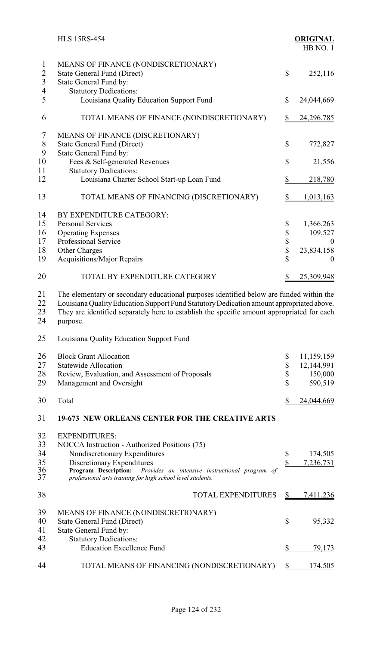|                                                       | <b>HLS 15RS-454</b>                                                                                                                                                                                                                                                                           |                               | <b>ORIGINAL</b><br>HB NO.1 |
|-------------------------------------------------------|-----------------------------------------------------------------------------------------------------------------------------------------------------------------------------------------------------------------------------------------------------------------------------------------------|-------------------------------|----------------------------|
| $\mathbf{1}$<br>$\overline{2}$<br>$\mathfrak{Z}$<br>4 | MEANS OF FINANCE (NONDISCRETIONARY)<br><b>State General Fund (Direct)</b><br>State General Fund by:<br><b>Statutory Dedications:</b>                                                                                                                                                          | \$                            | 252,116                    |
| 5                                                     | Louisiana Quality Education Support Fund                                                                                                                                                                                                                                                      | \$                            | 24,044,669                 |
| 6                                                     | TOTAL MEANS OF FINANCE (NONDISCRETIONARY)                                                                                                                                                                                                                                                     | $\frac{1}{2}$                 | 24,296,785                 |
| 7<br>$\,$ $\,$<br>9                                   | MEANS OF FINANCE (DISCRETIONARY)<br><b>State General Fund (Direct)</b><br>State General Fund by:                                                                                                                                                                                              | \$                            | 772,827                    |
| 10                                                    | Fees & Self-generated Revenues                                                                                                                                                                                                                                                                | \$                            | 21,556                     |
| 11<br>12                                              | <b>Statutory Dedications:</b><br>Louisiana Charter School Start-up Loan Fund                                                                                                                                                                                                                  | \$                            | 218,780                    |
| 13                                                    | TOTAL MEANS OF FINANCING (DISCRETIONARY)                                                                                                                                                                                                                                                      | \$                            | <u>1,013,163</u>           |
| 14                                                    | BY EXPENDITURE CATEGORY:                                                                                                                                                                                                                                                                      |                               |                            |
| 15                                                    | <b>Personal Services</b>                                                                                                                                                                                                                                                                      | \$                            | 1,366,263                  |
| 16                                                    | <b>Operating Expenses</b>                                                                                                                                                                                                                                                                     | \$                            | 109,527                    |
| 17                                                    | Professional Service                                                                                                                                                                                                                                                                          | \$<br>\$                      | $\theta$                   |
| 18                                                    | Other Charges                                                                                                                                                                                                                                                                                 | \$                            | 23,834,158                 |
| 19                                                    | <b>Acquisitions/Major Repairs</b>                                                                                                                                                                                                                                                             |                               | $\boldsymbol{0}$           |
| 20                                                    | TOTAL BY EXPENDITURE CATEGORY                                                                                                                                                                                                                                                                 | \$                            | 25,309,948                 |
| 21<br>22<br>23<br>24                                  | The elementary or secondary educational purposes identified below are funded within the<br>Louisiana Quality Education Support Fund Statutory Dedication amount appropriated above.<br>They are identified separately here to establish the specific amount appropriated for each<br>purpose. |                               |                            |
| 25                                                    | Louisiana Quality Education Support Fund                                                                                                                                                                                                                                                      |                               |                            |
| 26                                                    | <b>Block Grant Allocation</b>                                                                                                                                                                                                                                                                 | \$                            | 11,159,159                 |
| 27                                                    | <b>Statewide Allocation</b>                                                                                                                                                                                                                                                                   | \$                            | 12,144,991                 |
| 28                                                    | Review, Evaluation, and Assessment of Proposals                                                                                                                                                                                                                                               | \$                            | 150,000                    |
| 29                                                    | Management and Oversight                                                                                                                                                                                                                                                                      | \$                            | 590,519                    |
| 30                                                    | Total                                                                                                                                                                                                                                                                                         | \$                            | 24,044,669                 |
| 31                                                    | <b>19-673 NEW ORLEANS CENTER FOR THE CREATIVE ARTS</b>                                                                                                                                                                                                                                        |                               |                            |
| 32<br>33<br>34<br>35<br>36<br>37                      | <b>EXPENDITURES:</b><br>NOCCA Instruction - Authorized Positions (75)<br>Nondiscretionary Expenditures<br>Discretionary Expenditures<br>Program Description: Provides an intensive instructional program of<br>professional arts training for high school level students.                     | \$<br>$\overline{\mathbb{S}}$ | 174,505<br>7,236,731       |
| 38                                                    | <b>TOTAL EXPENDITURES</b>                                                                                                                                                                                                                                                                     | $\frac{1}{2}$                 | <u>7,411,236</u>           |
| 39<br>40<br>41                                        | MEANS OF FINANCE (NONDISCRETIONARY)<br><b>State General Fund (Direct)</b><br>State General Fund by:                                                                                                                                                                                           | $\mathbb{S}$                  | 95,332                     |
| 42<br>43                                              | <b>Statutory Dedications:</b><br><b>Education Excellence Fund</b>                                                                                                                                                                                                                             | \$                            | 79,173                     |
| 44                                                    | TOTAL MEANS OF FINANCING (NONDISCRETIONARY)                                                                                                                                                                                                                                                   | $\frac{1}{2}$                 | <u>174,505</u>             |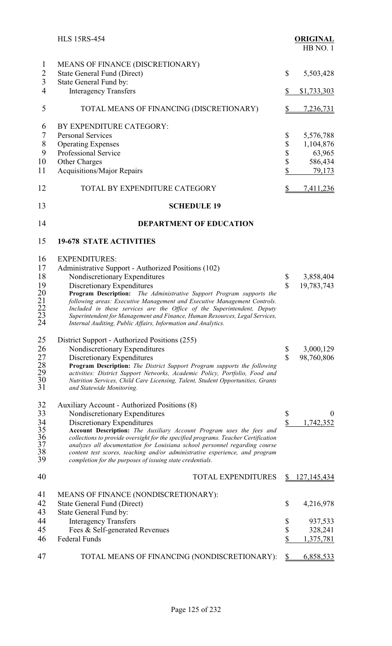|                                                                    | <b>HLS 15RS-454</b>                                                                                                                                                                                                                                                                                                                                                                                                                                                                                                       |                               | <b>ORIGINAL</b><br>HB NO.1                            |
|--------------------------------------------------------------------|---------------------------------------------------------------------------------------------------------------------------------------------------------------------------------------------------------------------------------------------------------------------------------------------------------------------------------------------------------------------------------------------------------------------------------------------------------------------------------------------------------------------------|-------------------------------|-------------------------------------------------------|
| $\mathbf{1}$<br>$\overline{2}$<br>$\overline{3}$<br>$\overline{4}$ | MEANS OF FINANCE (DISCRETIONARY)<br><b>State General Fund (Direct)</b><br>State General Fund by:<br><b>Interagency Transfers</b>                                                                                                                                                                                                                                                                                                                                                                                          | \$<br>\$                      | 5,503,428<br>\$1,733,303                              |
| 5                                                                  | TOTAL MEANS OF FINANCING (DISCRETIONARY)                                                                                                                                                                                                                                                                                                                                                                                                                                                                                  | $\frac{1}{2}$                 | 7,236,731                                             |
|                                                                    |                                                                                                                                                                                                                                                                                                                                                                                                                                                                                                                           |                               |                                                       |
| 6<br>7<br>$\,$ $\,$<br>9<br>10<br>11                               | BY EXPENDITURE CATEGORY:<br><b>Personal Services</b><br><b>Operating Expenses</b><br><b>Professional Service</b><br>Other Charges<br><b>Acquisitions/Major Repairs</b>                                                                                                                                                                                                                                                                                                                                                    | \$<br>\$<br>\$<br>\$<br>\$    | 5,576,788<br>1,104,876<br>63,965<br>586,434<br>79,173 |
| 12                                                                 | TOTAL BY EXPENDITURE CATEGORY                                                                                                                                                                                                                                                                                                                                                                                                                                                                                             |                               | <u>7,411,236</u>                                      |
| 13                                                                 | <b>SCHEDULE 19</b>                                                                                                                                                                                                                                                                                                                                                                                                                                                                                                        |                               |                                                       |
| 14                                                                 | <b>DEPARTMENT OF EDUCATION</b>                                                                                                                                                                                                                                                                                                                                                                                                                                                                                            |                               |                                                       |
| 15                                                                 | <b>19-678 STATE ACTIVITIES</b>                                                                                                                                                                                                                                                                                                                                                                                                                                                                                            |                               |                                                       |
| 16<br>17<br>18<br>19<br>$\frac{20}{21}$<br>$\frac{21}{23}$<br>24   | <b>EXPENDITURES:</b><br>Administrative Support - Authorized Positions (102)<br>Nondiscretionary Expenditures<br>Discretionary Expenditures<br>Program Description: The Administrative Support Program supports the<br>following areas: Executive Management and Executive Management Controls.<br>Included in these services are the Office of the Superintendent, Deputy<br>Superintendent for Management and Finance, Human Resources, Legal Services,<br>Internal Auditing, Public Affairs, Information and Analytics. | \$<br>$\mathbf S$             | 3,858,404<br>19,783,743                               |
| 25<br>26<br>27<br>28<br>29<br>30<br>31                             | District Support - Authorized Positions (255)<br>Nondiscretionary Expenditures<br>Discretionary Expenditures<br><b>Program Description:</b> The District Support Program supports the following<br>activities: District Support Networks, Academic Policy, Portfolio, Food and<br>Nutrition Services, Child Care Licensing, Talent, Student Opportunities, Grants<br>and Statewide Monitoring.                                                                                                                            | \$<br>$\overline{\mathbb{S}}$ | 3,000,129<br>98,760,806                               |
| 32<br>33<br>34<br>35<br>36<br>37<br>38<br>39                       | Auxiliary Account - Authorized Positions (8)<br>Nondiscretionary Expenditures<br>Discretionary Expenditures<br>Account Description: The Auxiliary Account Program uses the fees and<br>collections to provide oversight for the specified programs. Teacher Certification<br>analyzes all documentation for Louisiana school personnel regarding course<br>content test scores, teaching and/or administrative experience, and program<br>completion for the purposes of issuing state credentials.                       | \$<br>$\sqrt{\frac{2}{\pi}}$  | $\overline{0}$<br>1,742,352                           |
| 40                                                                 | <b>TOTAL EXPENDITURES</b>                                                                                                                                                                                                                                                                                                                                                                                                                                                                                                 | S                             | <u>127, 145, 434</u>                                  |
| 41<br>42<br>43                                                     | MEANS OF FINANCE (NONDISCRETIONARY):<br>State General Fund (Direct)<br>State General Fund by:                                                                                                                                                                                                                                                                                                                                                                                                                             | \$                            | 4,216,978                                             |
| 44                                                                 | <b>Interagency Transfers</b>                                                                                                                                                                                                                                                                                                                                                                                                                                                                                              | \$                            | 937,533                                               |
| 45<br>46                                                           | Fees & Self-generated Revenues<br><b>Federal Funds</b>                                                                                                                                                                                                                                                                                                                                                                                                                                                                    | \$<br>\$                      | 328,241<br>1,375,781                                  |
|                                                                    |                                                                                                                                                                                                                                                                                                                                                                                                                                                                                                                           |                               |                                                       |
| 47                                                                 | TOTAL MEANS OF FINANCING (NONDISCRETIONARY):                                                                                                                                                                                                                                                                                                                                                                                                                                                                              | \$                            | 6,858,533                                             |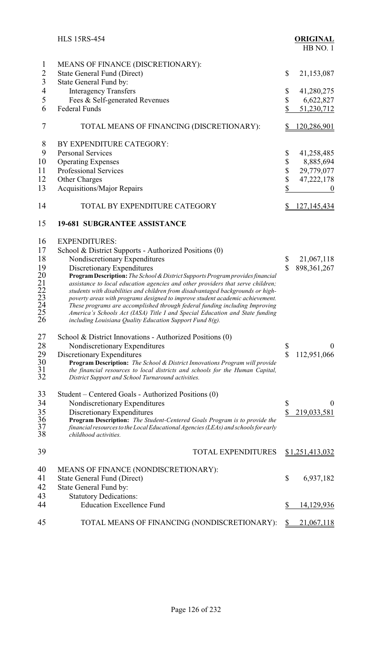|                                                                | <b>HLS 15RS-454</b>                                                                                                                                                                                                                                                                                                                                                                                                                                                                                                                                                                                                                                                                                                 | <b>ORIGINAL</b><br>HB NO.1                                                                            |
|----------------------------------------------------------------|---------------------------------------------------------------------------------------------------------------------------------------------------------------------------------------------------------------------------------------------------------------------------------------------------------------------------------------------------------------------------------------------------------------------------------------------------------------------------------------------------------------------------------------------------------------------------------------------------------------------------------------------------------------------------------------------------------------------|-------------------------------------------------------------------------------------------------------|
| $\mathbf{1}$<br>$\overline{2}$<br>$\overline{3}$               | MEANS OF FINANCE (DISCRETIONARY):<br>State General Fund (Direct)<br>State General Fund by:                                                                                                                                                                                                                                                                                                                                                                                                                                                                                                                                                                                                                          | \$<br>21,153,087                                                                                      |
| $\overline{4}$<br>5<br>6                                       | <b>Interagency Transfers</b><br>Fees & Self-generated Revenues<br><b>Federal Funds</b>                                                                                                                                                                                                                                                                                                                                                                                                                                                                                                                                                                                                                              | \$<br>41,280,275<br>\$<br>6,622,827<br>\$<br>51,230,712                                               |
| 7                                                              | TOTAL MEANS OF FINANCING (DISCRETIONARY):                                                                                                                                                                                                                                                                                                                                                                                                                                                                                                                                                                                                                                                                           | <u>120,286,901</u><br>\$                                                                              |
| 8<br>9<br>10<br>11<br>12<br>13                                 | BY EXPENDITURE CATEGORY:<br><b>Personal Services</b><br><b>Operating Expenses</b><br>Professional Services<br>Other Charges<br><b>Acquisitions/Major Repairs</b>                                                                                                                                                                                                                                                                                                                                                                                                                                                                                                                                                    | \$<br>41,258,485<br>\$<br>8,885,694<br>\$<br>29,779,077<br>\$<br>47,222,178<br>\$<br>$\boldsymbol{0}$ |
| 14                                                             | TOTAL BY EXPENDITURE CATEGORY                                                                                                                                                                                                                                                                                                                                                                                                                                                                                                                                                                                                                                                                                       | S<br><u>127, 145, 434</u>                                                                             |
| 15                                                             | <b>19-681 SUBGRANTEE ASSISTANCE</b>                                                                                                                                                                                                                                                                                                                                                                                                                                                                                                                                                                                                                                                                                 |                                                                                                       |
| 16<br>17<br>18<br>19<br>20<br>21<br>22<br>23<br>24<br>25<br>26 | <b>EXPENDITURES:</b><br>School & District Supports - Authorized Positions (0)<br>Nondiscretionary Expenditures<br>Discretionary Expenditures<br>Program Description: The School & District Supports Program provides financial<br>assistance to local education agencies and other providers that serve children;<br>students with disabilities and children from disadvantaged backgrounds or high-<br>poverty areas with programs designed to improve student academic achievement.<br>These programs are accomplished through federal funding including Improving<br>America's Schools Act (IASA) Title I and Special Education and State funding<br>including Louisiana Quality Education Support Fund $8(g)$ . | \$<br>21,067,118<br>$\mathbf S$<br>898, 361, 267                                                      |
| 27<br>28<br>29<br>30<br>31<br>32                               | School & District Innovations - Authorized Positions (0)<br>Nondiscretionary Expenditures<br>Discretionary Expenditures<br>Program Description: The School & District Innovations Program will provide<br>the financial resources to local districts and schools for the Human Capital,<br>District Support and School Turnaround activities.                                                                                                                                                                                                                                                                                                                                                                       | \$<br>$\boldsymbol{0}$<br>\$<br>112,951,066                                                           |
| 33<br>34<br>35<br>36<br>37<br>38                               | Student – Centered Goals - Authorized Positions (0)<br>Nondiscretionary Expenditures<br>Discretionary Expenditures<br>Program Description: The Student-Centered Goals Program is to provide the<br>financial resources to the Local Educational Agencies (LEAs) and schools for early<br>childhood activities.                                                                                                                                                                                                                                                                                                                                                                                                      | $\boldsymbol{\$}$<br>$\overline{0}$<br>$\sqrt{\frac{2}{\pi}}$<br>219,033,581                          |
| 39                                                             | <b>TOTAL EXPENDITURES</b>                                                                                                                                                                                                                                                                                                                                                                                                                                                                                                                                                                                                                                                                                           | <u>\$1,251,413,032</u>                                                                                |
| 40<br>41<br>42                                                 | MEANS OF FINANCE (NONDISCRETIONARY):<br><b>State General Fund (Direct)</b><br>State General Fund by:                                                                                                                                                                                                                                                                                                                                                                                                                                                                                                                                                                                                                | \$<br>6,937,182                                                                                       |
| 43<br>44                                                       | <b>Statutory Dedications:</b><br><b>Education Excellence Fund</b>                                                                                                                                                                                                                                                                                                                                                                                                                                                                                                                                                                                                                                                   | \$<br>14,129,936                                                                                      |
| 45                                                             | TOTAL MEANS OF FINANCING (NONDISCRETIONARY):                                                                                                                                                                                                                                                                                                                                                                                                                                                                                                                                                                                                                                                                        | $\mathcal{S}_{\mathcal{D}}$<br><u>21,067,118</u>                                                      |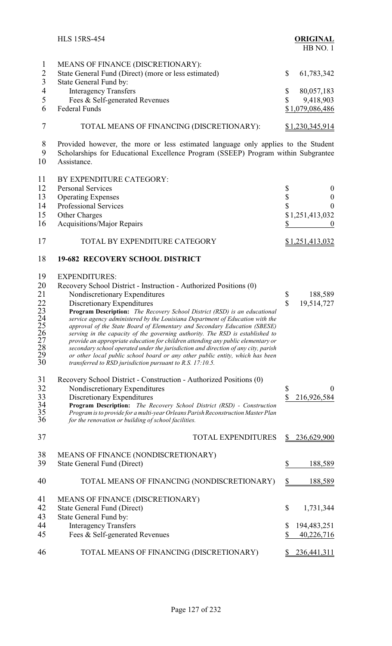|                                                                                  | <b>HLS 15RS-454</b>                                                                                                                                                                                                                                                                                                                                                                                                                                                                                                                                                                                                                                                                                                                                                                                                                                                                                                          | <b>ORIGINAL</b><br>HB NO.1                                                                             |
|----------------------------------------------------------------------------------|------------------------------------------------------------------------------------------------------------------------------------------------------------------------------------------------------------------------------------------------------------------------------------------------------------------------------------------------------------------------------------------------------------------------------------------------------------------------------------------------------------------------------------------------------------------------------------------------------------------------------------------------------------------------------------------------------------------------------------------------------------------------------------------------------------------------------------------------------------------------------------------------------------------------------|--------------------------------------------------------------------------------------------------------|
| $\mathbf{1}$<br>$\overline{2}$<br>$\overline{3}$<br>$\overline{4}$<br>5<br>6     | MEANS OF FINANCE (DISCRETIONARY):<br>State General Fund (Direct) (more or less estimated)<br>State General Fund by:<br><b>Interagency Transfers</b><br>Fees & Self-generated Revenues<br><b>Federal Funds</b>                                                                                                                                                                                                                                                                                                                                                                                                                                                                                                                                                                                                                                                                                                                | \$<br>61,783,342<br>\$<br>80,057,183<br>\$<br>9,418,903<br>\$1,079,086,486                             |
| 7                                                                                | TOTAL MEANS OF FINANCING (DISCRETIONARY):                                                                                                                                                                                                                                                                                                                                                                                                                                                                                                                                                                                                                                                                                                                                                                                                                                                                                    | <u>\$1,230,345,914</u>                                                                                 |
| 8<br>9<br>10                                                                     | Provided however, the more or less estimated language only applies to the Student<br>Scholarships for Educational Excellence Program (SSEEP) Program within Subgrantee<br>Assistance.                                                                                                                                                                                                                                                                                                                                                                                                                                                                                                                                                                                                                                                                                                                                        |                                                                                                        |
| 11<br>12<br>13<br>14<br>15<br>16                                                 | BY EXPENDITURE CATEGORY:<br><b>Personal Services</b><br><b>Operating Expenses</b><br><b>Professional Services</b><br>Other Charges<br><b>Acquisitions/Major Repairs</b>                                                                                                                                                                                                                                                                                                                                                                                                                                                                                                                                                                                                                                                                                                                                                      | \$<br>$\boldsymbol{0}$<br>$\frac{1}{2}$<br>$\boldsymbol{0}$<br>$\overline{0}$<br>\$1,251,413,032<br>\$ |
| 17                                                                               | TOTAL BY EXPENDITURE CATEGORY                                                                                                                                                                                                                                                                                                                                                                                                                                                                                                                                                                                                                                                                                                                                                                                                                                                                                                | \$1,251,413,032                                                                                        |
| 18<br>19<br>20<br>21<br>22<br>23<br>24<br>25<br>26<br>27<br>28<br>29<br>30<br>31 | <b>19-682 RECOVERY SCHOOL DISTRICT</b><br><b>EXPENDITURES:</b><br>Recovery School District - Instruction - Authorized Positions (0)<br>Nondiscretionary Expenditures<br>Discretionary Expenditures<br>Program Description: The Recovery School District (RSD) is an educational<br>service agency administered by the Louisiana Department of Education with the<br>approval of the State Board of Elementary and Secondary Education (SBESE)<br>serving in the capacity of the governing authority. The RSD is established to<br>provide an appropriate education for children attending any public elementary or<br>secondary school operated under the jurisdiction and direction of any city, parish<br>or other local public school board or any other public entity, which has been<br>transferred to RSD jurisdiction pursuant to R.S. 17:10.5.<br>Recovery School District - Construction - Authorized Positions (0) | \$<br>188,589<br>\$<br>19,514,727                                                                      |
| 32<br>33<br>34<br>35<br>36                                                       | Nondiscretionary Expenditures<br>Discretionary Expenditures<br><b>Program Description:</b><br>The Recovery School District (RSD) - Construction<br>Program is to provide for a multi-year Orleans Parish Reconstruction Master Plan<br>for the renovation or building of school facilities.                                                                                                                                                                                                                                                                                                                                                                                                                                                                                                                                                                                                                                  | \$<br>$\boldsymbol{0}$<br>$\overline{\mathbb{S}}$<br>216,926,584                                       |
| 37                                                                               | <b>TOTAL EXPENDITURES</b>                                                                                                                                                                                                                                                                                                                                                                                                                                                                                                                                                                                                                                                                                                                                                                                                                                                                                                    | 236,629,900                                                                                            |
| 38<br>39                                                                         | MEANS OF FINANCE (NONDISCRETIONARY)<br>State General Fund (Direct)                                                                                                                                                                                                                                                                                                                                                                                                                                                                                                                                                                                                                                                                                                                                                                                                                                                           | \$<br>188,589                                                                                          |
| 40                                                                               | TOTAL MEANS OF FINANCING (NONDISCRETIONARY)                                                                                                                                                                                                                                                                                                                                                                                                                                                                                                                                                                                                                                                                                                                                                                                                                                                                                  | $\frac{1}{2}$<br>188,589                                                                               |
| 41<br>42<br>43<br>44<br>45                                                       | MEANS OF FINANCE (DISCRETIONARY)<br>State General Fund (Direct)<br>State General Fund by:<br><b>Interagency Transfers</b><br>Fees & Self-generated Revenues                                                                                                                                                                                                                                                                                                                                                                                                                                                                                                                                                                                                                                                                                                                                                                  | \$<br>1,731,344<br>\$<br>194,483,251<br>\$<br>40,226,716                                               |
| 46                                                                               | TOTAL MEANS OF FINANCING (DISCRETIONARY)                                                                                                                                                                                                                                                                                                                                                                                                                                                                                                                                                                                                                                                                                                                                                                                                                                                                                     | 236,441,311                                                                                            |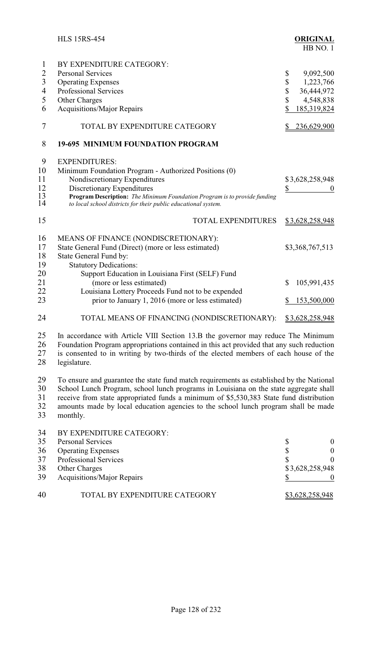|                                                                             | <b>HLS 15RS-454</b>                                                                                                                                                                                                                                                                                                                                                           | <b>ORIGINAL</b><br>HB NO.1                                                                     |
|-----------------------------------------------------------------------------|-------------------------------------------------------------------------------------------------------------------------------------------------------------------------------------------------------------------------------------------------------------------------------------------------------------------------------------------------------------------------------|------------------------------------------------------------------------------------------------|
| 1<br>$\overline{2}$<br>$\overline{3}$<br>$\overline{\mathcal{A}}$<br>5<br>6 | BY EXPENDITURE CATEGORY:<br><b>Personal Services</b><br><b>Operating Expenses</b><br><b>Professional Services</b><br>Other Charges<br><b>Acquisitions/Major Repairs</b>                                                                                                                                                                                                       | \$<br>9,092,500<br>\$<br>1,223,766<br>\$<br>36,444,972<br>\$<br>4,548,838<br>\$<br>185,319,824 |
| 7                                                                           | TOTAL BY EXPENDITURE CATEGORY                                                                                                                                                                                                                                                                                                                                                 | 236,629,900                                                                                    |
| 8                                                                           | <b>19-695 MINIMUM FOUNDATION PROGRAM</b>                                                                                                                                                                                                                                                                                                                                      |                                                                                                |
| 9<br>10<br>11<br>12<br>13<br>14                                             | <b>EXPENDITURES:</b><br>Minimum Foundation Program - Authorized Positions (0)<br>Nondiscretionary Expenditures<br>Discretionary Expenditures<br>Program Description: The Minimum Foundation Program is to provide funding<br>to local school districts for their public educational system.                                                                                   | \$3,628,258,948<br>\$                                                                          |
| 15                                                                          | <b>TOTAL EXPENDITURES</b>                                                                                                                                                                                                                                                                                                                                                     | <u>\$3,628,258,948</u>                                                                         |
| 16<br>17<br>18<br>19                                                        | MEANS OF FINANCE (NONDISCRETIONARY):<br>State General Fund (Direct) (more or less estimated)<br>State General Fund by:<br><b>Statutory Dedications:</b>                                                                                                                                                                                                                       | \$3,368,767,513                                                                                |
| 20<br>21<br>22<br>23                                                        | Support Education in Louisiana First (SELF) Fund<br>(more or less estimated)<br>Louisiana Lottery Proceeds Fund not to be expended<br>prior to January 1, 2016 (more or less estimated)                                                                                                                                                                                       | \$<br>105,991,435<br>153,500,000<br>\$                                                         |
| 24                                                                          | TOTAL MEANS OF FINANCING (NONDISCRETIONARY):                                                                                                                                                                                                                                                                                                                                  | \$3,628,258,948                                                                                |
| 25<br>26<br>27<br>28                                                        | In accordance with Article VIII Section 13.B the governor may reduce The Minimum<br>Foundation Program appropriations contained in this act provided that any such reduction<br>is consented to in writing by two-thirds of the elected members of each house of the<br>legislature.                                                                                          |                                                                                                |
| 29<br>30<br>31<br>32<br>33                                                  | To ensure and guarantee the state fund match requirements as established by the National<br>School Lunch Program, school lunch programs in Louisiana on the state aggregate shall<br>receive from state appropriated funds a minimum of \$5,530,383 State fund distribution<br>amounts made by local education agencies to the school lunch program shall be made<br>monthly. |                                                                                                |
| 34<br>25                                                                    | BY EXPENDITURE CATEGORY:<br>Dorsonal Corrigge                                                                                                                                                                                                                                                                                                                                 |                                                                                                |

| 35 | <b>Personal Services</b>          |                 |  |
|----|-----------------------------------|-----------------|--|
| 36 | <b>Operating Expenses</b>         |                 |  |
| 37 | <b>Professional Services</b>      |                 |  |
| 38 | <b>Other Charges</b>              | \$3,628,258,948 |  |
| 39 | <b>Acquisitions/Major Repairs</b> |                 |  |
| 40 | TOTAL BY EXPENDITURE CATEGORY     | \$3,628,258,948 |  |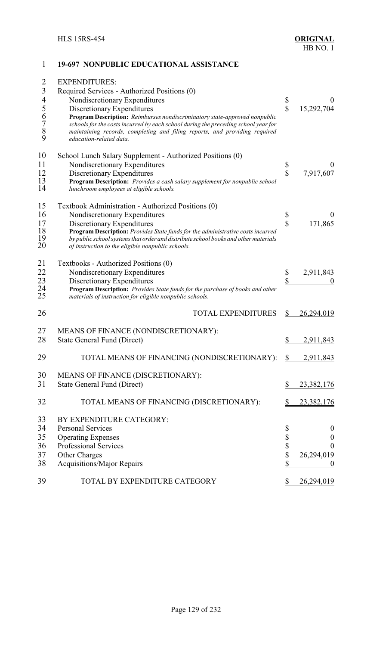#### **19-697 NONPUBLIC EDUCATIONAL ASSISTANCE**

| $\overline{2}$                                  | <b>EXPENDITURES:</b>                                                                                                                                                                                                                                                      |                         |                   |
|-------------------------------------------------|---------------------------------------------------------------------------------------------------------------------------------------------------------------------------------------------------------------------------------------------------------------------------|-------------------------|-------------------|
| 3                                               | Required Services - Authorized Positions (0)                                                                                                                                                                                                                              |                         |                   |
| $\overline{4}$                                  | Nondiscretionary Expenditures                                                                                                                                                                                                                                             | \$                      | 0                 |
| 5                                               | Discretionary Expenditures                                                                                                                                                                                                                                                | $\overline{\mathbb{S}}$ | 15,292,704        |
| $\begin{array}{c} 6 \\ 7 \\ 8 \end{array}$<br>9 | Program Description: Reimburses nondiscriminatory state-approved nonpublic<br>schools for the costs incurred by each school during the preceding school year for<br>maintaining records, completing and filing reports, and providing required<br>education-related data. |                         |                   |
| 10                                              | School Lunch Salary Supplement - Authorized Positions (0)                                                                                                                                                                                                                 |                         |                   |
| 11                                              | Nondiscretionary Expenditures                                                                                                                                                                                                                                             | \$                      | 0                 |
| 12                                              | Discretionary Expenditures                                                                                                                                                                                                                                                | \$                      | 7,917,607         |
| 13<br>14                                        | Program Description: Provides a cash salary supplement for nonpublic school<br>lunchroom employees at eligible schools.                                                                                                                                                   |                         |                   |
| 15                                              | Textbook Administration - Authorized Positions (0)                                                                                                                                                                                                                        |                         |                   |
| 16                                              | Nondiscretionary Expenditures                                                                                                                                                                                                                                             | \$                      |                   |
| 17                                              | Discretionary Expenditures                                                                                                                                                                                                                                                | $\overline{\mathbb{S}}$ | 171,865           |
| 18<br>19<br>20                                  | Program Description: Provides State funds for the administrative costs incurred<br>by public school systems that order and distribute school books and other materials<br>of instruction to the eligible nonpublic schools.                                               |                         |                   |
| 21                                              | Textbooks - Authorized Positions (0)                                                                                                                                                                                                                                      |                         |                   |
| 22                                              | Nondiscretionary Expenditures                                                                                                                                                                                                                                             | \$                      | 2,911,843         |
| 23<br>24<br>25                                  | Discretionary Expenditures<br>Program Description: Provides State funds for the purchase of books and other<br>materials of instruction for eligible nonpublic schools.                                                                                                   | \$                      |                   |
| 26                                              | <b>TOTAL EXPENDITURES</b>                                                                                                                                                                                                                                                 | \$                      | 26,294,019        |
| 27                                              | MEANS OF FINANCE (NONDISCRETIONARY):                                                                                                                                                                                                                                      |                         |                   |
| 28                                              | State General Fund (Direct)                                                                                                                                                                                                                                               | \$                      | 2,911,843         |
| 29                                              | TOTAL MEANS OF FINANCING (NONDISCRETIONARY):                                                                                                                                                                                                                              |                         | 2,911,843         |
| 30                                              | MEANS OF FINANCE (DISCRETIONARY):                                                                                                                                                                                                                                         |                         |                   |
| 31                                              | State General Fund (Direct)                                                                                                                                                                                                                                               | \$                      | 23,382,176        |
| 32                                              | TOTAL MEANS OF FINANCING (DISCRETIONARY):                                                                                                                                                                                                                                 |                         | <u>23,382,176</u> |
| 33                                              | BY EXPENDITURE CATEGORY:                                                                                                                                                                                                                                                  |                         |                   |
| 34                                              | <b>Personal Services</b>                                                                                                                                                                                                                                                  | \$                      | $\boldsymbol{0}$  |
| 35                                              | <b>Operating Expenses</b>                                                                                                                                                                                                                                                 | \$                      | $\boldsymbol{0}$  |
| 36                                              | Professional Services                                                                                                                                                                                                                                                     | \$                      | $\boldsymbol{0}$  |
| 37                                              | Other Charges                                                                                                                                                                                                                                                             | \$                      | 26,294,019        |
| 38                                              | <b>Acquisitions/Major Repairs</b>                                                                                                                                                                                                                                         | \$                      | $\boldsymbol{0}$  |
| 39                                              | TOTAL BY EXPENDITURE CATEGORY                                                                                                                                                                                                                                             | \$                      | 26,294,019        |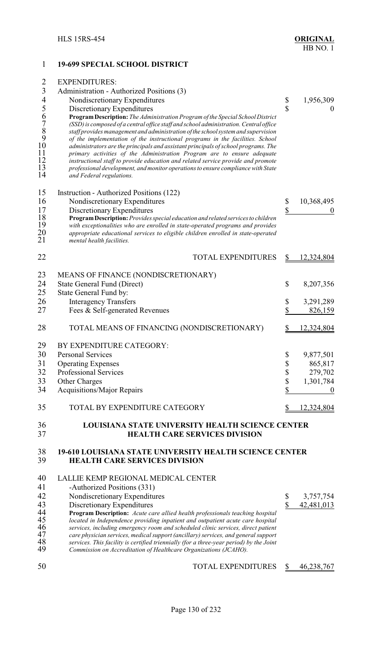# 1 **19-699 SPECIAL SCHOOL DISTRICT** 2 EXPENDITURES: 3 Administration - Authorized Positions (3)<br>4 Nondiscretionary Expenditures 4 Nondiscretionary Expenditures \$ 1,956,309<br>5 Discretionary Expenditures \$ 1,956,309 5 Discretionary Expenditures \$ 0<br>6 **Program Description:** *The Administration Program of the Special School District*<br>7 (SSD) is composed of a central office staff and school administration. Central office<br>8 staff provides 6 **ProgramDescription:** *The Administration Program of the Special School District* 7 *(SSD)is composed of a central office staff and school administration. Central office* 8 *staff provides management and administration ofthe schoolsystem and supervision* 9 *of the implementation of the instructional programs in the facilities. School* 10 *administrators are the principals and assistant principals of school programs. The* 11 *primary activities of the Administration Program are to ensure adequate* 12 *instructional staff to provide education and related service provide and promote* 13 *professional development, and monitor operations to ensure compliance with State*  $and Federal regulations.$ 15 Instruction - Authorized Positions (122)<br>16 Nondiscretionary Expenditures Nondiscretionary Expenditures  $\qquad$  \$ 10,368,495 17 Discretionary Expenditures<br>18 **Program Description:** *Provides special education and related services to children*  $\frac{\$}{\$}$ 18 **ProgramDescription:** *Provides special education and related services to children* 19 *with exceptionalities who are enrolled in state-operated programs and provides* 20 *appropriate educational services to eligible children enrolled in state-operated*  $m$ *ental health facilities.* 22 TOTAL EXPENDITURES \$ 12,324,804 23 MEANS OF FINANCE (NONDISCRETIONARY) 24 State General Fund (Direct) \$ 8,207,356<br>25 State General Fund by: State General Fund by: 26 Interagency Transfers \$ 3,291,289 27 Fees & Self-generated Revenues \$ 826,159 28 TOTAL MEANS OF FINANCING (NONDISCRETIONARY) \$12,324,804 29 BY EXPENDITURE CATEGORY: 30 Personal Services \$ 9,877,501 31 Operating Expenses  $\frac{1}{2}$  865,817 32 Professional Services \$ 279,702 33 Other Charges  $\qquad \qquad$  1,301,784 34 Acquisitions/Major Repairs 6 0 35 TOTAL BY EXPENDITURE CATEGORY \$12,324,804 36 **LOUISIANA STATE UNIVERSITY HEALTH SCIENCE CENTER** 37 **HEALTH CARE SERVICES DIVISION**  38 **19-610 LOUISIANA STATE UNIVERSITY HEALTH SCIENCE CENTER** 39 **HEALTH CARE SERVICES DIVISION** 40 LALLIE KEMP REGIONAL MEDICAL CENTER 41 -Authorized Positions (331)<br>42 Nondiscretionary Expenditu 42 Nondiscretionary Expenditures \$ 3,757,754<br>43 Discretionary Expenditures \$ 42.481.013 43 Discretionary Expenditures<br>44 **Program Description:** Acute care allied health professionals teaching hospital 44 **Program Description:** *Acute care allied health professionals teaching hospital* 45 *located in Independence providing inpatient and outpatient acute care hospital* 46 *services, including emergency room and scheduled clinic services, direct patient* 47 *care physician services, medicalsupport (ancillary)services, and general support* 48 *services. This facility is certified triennially (for a three-year period) by the Joint* 49 *Commission on Accreditation of Healthcare Organizations (JCAHO).*

50 TOTAL EXPENDITURES \$46,238,767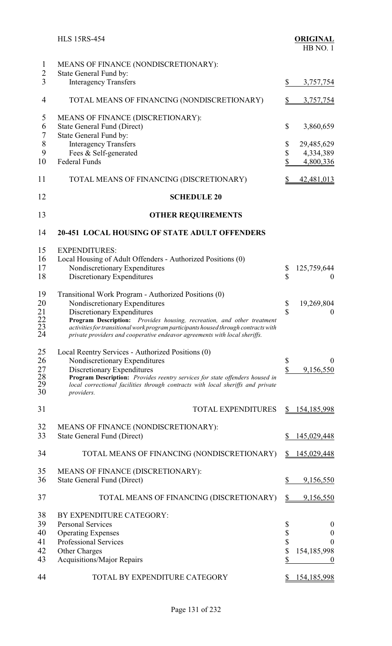|                                        | <b>HLS 15RS-454</b>                                                                                                                                                                                                                                                                                                                                                |                                 | <b>ORIGINAL</b><br>HB NO.1                                      |
|----------------------------------------|--------------------------------------------------------------------------------------------------------------------------------------------------------------------------------------------------------------------------------------------------------------------------------------------------------------------------------------------------------------------|---------------------------------|-----------------------------------------------------------------|
| $\mathbf{1}$                           | MEANS OF FINANCE (NONDISCRETIONARY):                                                                                                                                                                                                                                                                                                                               |                                 |                                                                 |
| $\overline{2}$<br>3                    | State General Fund by:<br><b>Interagency Transfers</b>                                                                                                                                                                                                                                                                                                             | \$                              | 3,757,754                                                       |
| $\overline{4}$                         | TOTAL MEANS OF FINANCING (NONDISCRETIONARY)                                                                                                                                                                                                                                                                                                                        | $\frac{1}{2}$                   | 3,757,754                                                       |
| 5<br>6<br>$\overline{7}$<br>$8\,$<br>9 | MEANS OF FINANCE (DISCRETIONARY):<br><b>State General Fund (Direct)</b><br>State General Fund by:<br><b>Interagency Transfers</b><br>Fees & Self-generated                                                                                                                                                                                                         | \$<br>\$<br>\$                  | 3,860,659<br>29,485,629<br>4,334,389                            |
| 10                                     | <b>Federal Funds</b>                                                                                                                                                                                                                                                                                                                                               | $\boldsymbol{\mathsf{S}}$       | 4,800,336                                                       |
| 11                                     | TOTAL MEANS OF FINANCING (DISCRETIONARY)                                                                                                                                                                                                                                                                                                                           | \$                              | 42,481,013                                                      |
| 12                                     | <b>SCHEDULE 20</b>                                                                                                                                                                                                                                                                                                                                                 |                                 |                                                                 |
| 13                                     | <b>OTHER REQUIREMENTS</b>                                                                                                                                                                                                                                                                                                                                          |                                 |                                                                 |
| 14                                     | <b>20-451 LOCAL HOUSING OF STATE ADULT OFFENDERS</b>                                                                                                                                                                                                                                                                                                               |                                 |                                                                 |
| 15<br>16<br>17<br>18                   | <b>EXPENDITURES:</b><br>Local Housing of Adult Offenders - Authorized Positions (0)<br>Nondiscretionary Expenditures<br>Discretionary Expenditures                                                                                                                                                                                                                 | \$<br>\$                        | 125,759,644<br>$\theta$                                         |
| 19<br>20<br>21<br>$^{22}_{23}$<br>24   | Transitional Work Program - Authorized Positions (0)<br>Nondiscretionary Expenditures<br>Discretionary Expenditures<br>Program Description: Provides housing, recreation, and other treatment<br>activities for transitional work program participants housed through contracts with<br>private providers and cooperative endeavor agreements with local sheriffs. | \$<br>\$                        | 19,269,804<br>$\boldsymbol{0}$                                  |
| 25<br>26<br>27<br>28<br>29<br>30       | Local Reentry Services - Authorized Positions (0)<br>Nondiscretionary Expenditures<br>Discretionary Expenditures<br>Program Description: Provides reentry services for state offenders housed in<br>local correctional facilities through contracts with local sheriffs and private<br>providers.                                                                  | $\boldsymbol{\$}$<br>$\sqrt$    | $\theta$<br>9,156,550                                           |
| 31                                     | <b>TOTAL EXPENDITURES</b>                                                                                                                                                                                                                                                                                                                                          | S                               | 154,185,998                                                     |
| 32<br>33                               | MEANS OF FINANCE (NONDISCRETIONARY):<br>State General Fund (Direct)                                                                                                                                                                                                                                                                                                | S                               | 145,029,448                                                     |
| 34                                     | TOTAL MEANS OF FINANCING (NONDISCRETIONARY)                                                                                                                                                                                                                                                                                                                        | \$                              | <u>145,029,448</u>                                              |
| 35<br>36                               | MEANS OF FINANCE (DISCRETIONARY):<br>State General Fund (Direct)                                                                                                                                                                                                                                                                                                   | \$                              | 9,156,550                                                       |
| 37                                     | TOTAL MEANS OF FINANCING (DISCRETIONARY)                                                                                                                                                                                                                                                                                                                           | $\frac{1}{2}$                   | 9,156,550                                                       |
| 38<br>39<br>40<br>41<br>42<br>43       | BY EXPENDITURE CATEGORY:<br><b>Personal Services</b><br><b>Operating Expenses</b><br>Professional Services<br>Other Charges<br><b>Acquisitions/Major Repairs</b>                                                                                                                                                                                                   | \$<br>$\frac{1}{2}$<br>\$<br>\$ | $\boldsymbol{0}$<br>$\boldsymbol{0}$<br>$\Omega$<br>154,185,998 |
| 44                                     | TOTAL BY EXPENDITURE CATEGORY                                                                                                                                                                                                                                                                                                                                      | <sup>8</sup>                    | <u>154,185,998</u>                                              |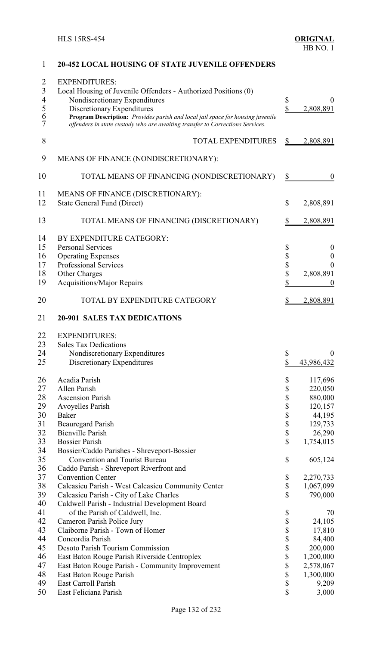|                | ель посято от этите ос селг                                                    |               |                  |
|----------------|--------------------------------------------------------------------------------|---------------|------------------|
| $\overline{2}$ | <b>EXPENDITURES:</b>                                                           |               |                  |
|                |                                                                                |               |                  |
| $\overline{3}$ | Local Housing of Juvenile Offenders - Authorized Positions (0)                 |               |                  |
| $\overline{4}$ | Nondiscretionary Expenditures                                                  | \$            | $\boldsymbol{0}$ |
| 5              | Discretionary Expenditures                                                     | \$            | 2,808,891        |
| 6              | Program Description: Provides parish and local jail space for housing juvenile |               |                  |
| 7              | offenders in state custody who are awaiting transfer to Corrections Services.  |               |                  |
| 8              | <b>TOTAL EXPENDITURES</b>                                                      | \$            | 2,808,891        |
|                |                                                                                |               |                  |
| 9              | MEANS OF FINANCE (NONDISCRETIONARY):                                           |               |                  |
| 10             | TOTAL MEANS OF FINANCING (NONDISCRETIONARY)                                    | $\frac{1}{2}$ | $\boldsymbol{0}$ |
| 11             | MEANS OF FINANCE (DISCRETIONARY):                                              |               |                  |
| 12             | State General Fund (Direct)                                                    | \$            | 2,808,891        |
|                |                                                                                |               |                  |
| 13             | TOTAL MEANS OF FINANCING (DISCRETIONARY)                                       | \$            | 2,808,891        |
| 14             | BY EXPENDITURE CATEGORY:                                                       |               |                  |
| 15             | <b>Personal Services</b>                                                       | \$            | $\boldsymbol{0}$ |
| 16             | <b>Operating Expenses</b>                                                      | \$            | $\boldsymbol{0}$ |
| 17             | <b>Professional Services</b>                                                   | \$            | $\theta$         |
| 18             | Other Charges                                                                  | \$            | 2,808,891        |
| 19             | <b>Acquisitions/Major Repairs</b>                                              | \$            | $\theta$         |
| 20             | TOTAL BY EXPENDITURE CATEGORY                                                  | <u>\$</u>     | 2,808,891        |
| 21             | 20-901 SALES TAX DEDICATIONS                                                   |               |                  |
|                |                                                                                |               |                  |
| 22             | <b>EXPENDITURES:</b>                                                           |               |                  |
| 23             | <b>Sales Tax Dedications</b>                                                   |               |                  |
| 24             | Nondiscretionary Expenditures                                                  | \$            | $\overline{0}$   |
| 25             | Discretionary Expenditures                                                     | \$            | 43,986,432       |
| 26             | Acadia Parish                                                                  | \$            | 117,696          |
| 27             | <b>Allen Parish</b>                                                            | \$            | 220,050          |
| 28             | <b>Ascension Parish</b>                                                        | \$            | 880,000          |
| 29             | Avoyelles Parish                                                               | \$            | 120,157          |
| 30             | <b>Baker</b>                                                                   | \$            | 44,195           |
| 31             | <b>Beauregard Parish</b>                                                       | \$            | 129,733          |
| 32             | <b>Bienville Parish</b>                                                        | \$            | 26,290           |
| 33             | <b>Bossier Parish</b>                                                          | \$            | 1,754,015        |
| 34             |                                                                                |               |                  |
|                | Bossier/Caddo Parishes - Shreveport-Bossier                                    |               |                  |
| 35             | <b>Convention and Tourist Bureau</b>                                           | \$            | 605,124          |
| 36             | Caddo Parish - Shreveport Riverfront and                                       |               |                  |
| 37             | <b>Convention Center</b>                                                       | \$            | 2,270,733        |
| 38             | Calcasieu Parish - West Calcasieu Community Center                             | \$            | 1,067,099        |
| 39             | Calcasieu Parish - City of Lake Charles                                        | \$            | 790,000          |
| 40             | Caldwell Parish - Industrial Development Board                                 |               |                  |
| 41             | of the Parish of Caldwell, Inc.                                                | \$            | 70               |
| 42             | Cameron Parish Police Jury                                                     | \$            | 24,105           |
| 43             | Claiborne Parish - Town of Homer                                               | \$            | 17,810           |
| 44             | Concordia Parish                                                               | \$            | 84,400           |
| 45             | Desoto Parish Tourism Commission                                               | \$            | 200,000          |
| 46             | East Baton Rouge Parish Riverside Centroplex                                   | \$            | 1,200,000        |
| 47             | East Baton Rouge Parish - Community Improvement                                | \$            | 2,578,067        |
| 48             | East Baton Rouge Parish                                                        | \$            | 1,300,000        |
| 49             | East Carroll Parish                                                            | \$            | 9,209            |
| 50             | East Feliciana Parish                                                          | \$            | 3,000            |
|                |                                                                                |               |                  |

## **20-452 LOCAL HOUSING OF STATE JUVENILE OFFENDERS**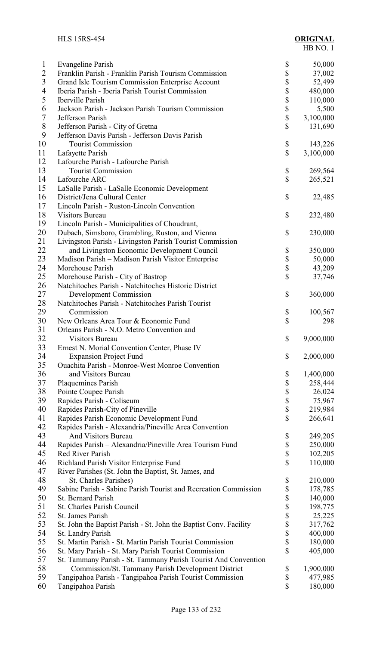| $\mathbf{1}$   | Evangeline Parish                                                 | \$<br>50,000    |
|----------------|-------------------------------------------------------------------|-----------------|
| $\overline{2}$ | Franklin Parish - Franklin Parish Tourism Commission              | \$<br>37,002    |
| $\overline{3}$ | Grand Isle Tourism Commission Enterprise Account                  | \$<br>52,499    |
| $\overline{4}$ | Iberia Parish - Iberia Parish Tourist Commission                  | \$<br>480,000   |
| 5              | <b>Iberville Parish</b>                                           | \$<br>110,000   |
| 6              | Jackson Parish - Jackson Parish Tourism Commission                | \$<br>5,500     |
| $\overline{7}$ | Jefferson Parish                                                  | \$<br>3,100,000 |
| $8\,$          |                                                                   | \$<br>131,690   |
| 9              | Jefferson Parish - City of Gretna                                 |                 |
|                | Jefferson Davis Parish - Jefferson Davis Parish                   |                 |
| 10             | <b>Tourist Commission</b>                                         | \$<br>143,226   |
| 11             | Lafayette Parish                                                  | \$<br>3,100,000 |
| 12             | Lafourche Parish - Lafourche Parish                               |                 |
| 13             | <b>Tourist Commission</b>                                         | \$<br>269,564   |
| 14             | Lafourche ARC                                                     | \$<br>265,521   |
| 15             | LaSalle Parish - LaSalle Economic Development                     |                 |
| 16             | District/Jena Cultural Center                                     | \$<br>22,485    |
| 17             | Lincoln Parish - Ruston-Lincoln Convention                        |                 |
|                |                                                                   |                 |
| 18             | <b>Visitors Bureau</b>                                            | \$<br>232,480   |
| 19             | Lincoln Parish - Municipalities of Choudrant,                     |                 |
| 20             | Dubach, Simsboro, Grambling, Ruston, and Vienna                   | \$<br>230,000   |
| 21             | Livingston Parish - Livingston Parish Tourist Commission          |                 |
| 22             | and Livingston Economic Development Council                       | \$<br>350,000   |
| 23             | Madison Parish – Madison Parish Visitor Enterprise                | \$<br>50,000    |
| 24             | Morehouse Parish                                                  | \$<br>43,209    |
| 25             | Morehouse Parish - City of Bastrop                                | \$<br>37,746    |
| 26             | Natchitoches Parish - Natchitoches Historic District              |                 |
|                |                                                                   |                 |
| 27             | <b>Development Commission</b>                                     | \$<br>360,000   |
| 28             | Natchitoches Parish - Natchitoches Parish Tourist                 |                 |
| 29             | Commission                                                        | \$<br>100,567   |
| 30             | New Orleans Area Tour & Economic Fund                             | \$<br>298       |
| 31             | Orleans Parish - N.O. Metro Convention and                        |                 |
| 32             | <b>Visitors Bureau</b>                                            | \$<br>9,000,000 |
| 33             | Ernest N. Morial Convention Center, Phase IV                      |                 |
| 34             | <b>Expansion Project Fund</b>                                     | \$<br>2,000,000 |
| 35             | Ouachita Parish - Monroe-West Monroe Convention                   |                 |
|                |                                                                   |                 |
| 36             | and Visitors Bureau                                               | \$<br>1,400,000 |
| 37             | <b>Plaquemines Parish</b>                                         | \$<br>258,444   |
| 38             | Pointe Coupee Parish                                              | \$<br>26,024    |
| 39             | Rapides Parish - Coliseum                                         | \$<br>75,967    |
| 40             | Rapides Parish-City of Pineville                                  | \$<br>219,984   |
| 41             | Rapides Parish Economic Development Fund                          | \$<br>266,641   |
| 42             | Rapides Parish - Alexandria/Pineville Area Convention             |                 |
| 43             | <b>And Visitors Bureau</b>                                        | \$<br>249,205   |
| 44             | Rapides Parish - Alexandria/Pineville Area Tourism Fund           | \$<br>250,000   |
| 45             | <b>Red River Parish</b>                                           | \$              |
|                |                                                                   | 102,205         |
| 46             | Richland Parish Visitor Enterprise Fund                           | \$<br>110,000   |
| 47             | River Parishes (St. John the Baptist, St. James, and              |                 |
| 48             | St. Charles Parishes)                                             | \$<br>210,000   |
| 49             | Sabine Parish - Sabine Parish Tourist and Recreation Commission   | \$<br>178,785   |
| 50             | St. Bernard Parish                                                | \$<br>140,000   |
| 51             | St. Charles Parish Council                                        | \$<br>198,775   |
| 52             | St. James Parish                                                  | \$<br>25,225    |
| 53             | St. John the Baptist Parish - St. John the Baptist Conv. Facility | \$<br>317,762   |
|                |                                                                   |                 |
| 54             | St. Landry Parish                                                 | \$<br>400,000   |
| 55             | St. Martin Parish - St. Martin Parish Tourist Commission          | \$<br>180,000   |
| 56             | St. Mary Parish - St. Mary Parish Tourist Commission              | \$<br>405,000   |
| 57             | St. Tammany Parish - St. Tammany Parish Tourist And Convention    |                 |
| 58             | Commission/St. Tammany Parish Development District                | \$<br>1,900,000 |
| 59             | Tangipahoa Parish - Tangipahoa Parish Tourist Commission          | \$<br>477,985   |
| 60             | Tangipahoa Parish                                                 | \$<br>180,000   |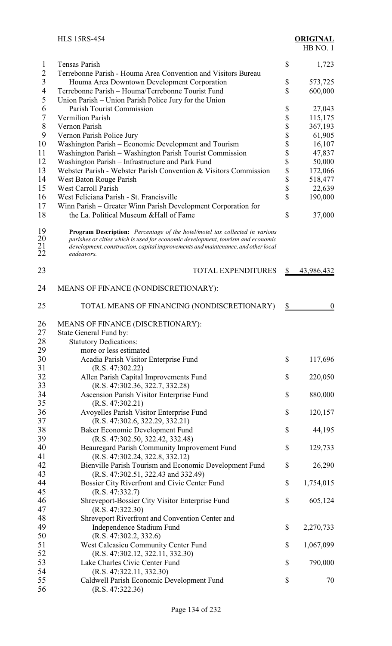|                             | <b>HLS 15RS-454</b>                                                                                                                                                                                                                                              |               | <b>ORIGINAL</b><br>HB NO.1 |
|-----------------------------|------------------------------------------------------------------------------------------------------------------------------------------------------------------------------------------------------------------------------------------------------------------|---------------|----------------------------|
| 1                           | <b>Tensas Parish</b>                                                                                                                                                                                                                                             | \$            | 1,723                      |
| $\overline{2}$              | Terrebonne Parish - Houma Area Convention and Visitors Bureau                                                                                                                                                                                                    |               |                            |
| 3                           | Houma Area Downtown Development Corporation                                                                                                                                                                                                                      | \$            | 573,725                    |
| 4                           | Terrebonne Parish - Houma/Terrebonne Tourist Fund                                                                                                                                                                                                                | \$            | 600,000                    |
| 5                           | Union Parish – Union Parish Police Jury for the Union                                                                                                                                                                                                            |               |                            |
| 6                           | Parish Tourist Commission                                                                                                                                                                                                                                        | \$            | 27,043                     |
| 7                           | <b>Vermilion Parish</b>                                                                                                                                                                                                                                          | \$            | 115,175                    |
| $8\,$                       | Vernon Parish                                                                                                                                                                                                                                                    | \$            | 367,193                    |
| 9<br>10                     | Vernon Parish Police Jury                                                                                                                                                                                                                                        | \$            | 61,905                     |
| 11                          | Washington Parish - Economic Development and Tourism<br>Washington Parish - Washington Parish Tourist Commission                                                                                                                                                 | \$<br>\$      | 16,107<br>47,837           |
| 12                          | Washington Parish - Infrastructure and Park Fund                                                                                                                                                                                                                 | \$            | 50,000                     |
| 13                          | Webster Parish - Webster Parish Convention & Visitors Commission                                                                                                                                                                                                 | \$            | 172,066                    |
| 14                          | West Baton Rouge Parish                                                                                                                                                                                                                                          | \$            | 518,477                    |
| 15                          | <b>West Carroll Parish</b>                                                                                                                                                                                                                                       | \$            | 22,639                     |
| 16                          | West Feliciana Parish - St. Francisville                                                                                                                                                                                                                         | \$            | 190,000                    |
| 17                          | Winn Parish - Greater Winn Parish Development Corporation for                                                                                                                                                                                                    |               |                            |
| 18                          | the La. Political Museum & Hall of Fame                                                                                                                                                                                                                          | \$            | 37,000                     |
| 19<br>20<br>$\frac{21}{22}$ | Program Description: Percentage of the hotel/motel tax collected in various<br>parishes or cities which is used for economic development, tourism and economic<br>development, construction, capital improvements and maintenance, and other local<br>endeavors. |               |                            |
| 23                          | <b>TOTAL EXPENDITURES</b>                                                                                                                                                                                                                                        | \$            | 43,986,432                 |
| 24                          | MEANS OF FINANCE (NONDISCRETIONARY):                                                                                                                                                                                                                             |               |                            |
| 25                          | TOTAL MEANS OF FINANCING (NONDISCRETIONARY)                                                                                                                                                                                                                      | $\frac{S}{2}$ | $\theta$                   |
| 26                          | MEANS OF FINANCE (DISCRETIONARY):                                                                                                                                                                                                                                |               |                            |
| 27                          | State General Fund by:                                                                                                                                                                                                                                           |               |                            |
| 28                          | <b>Statutory Dedications:</b>                                                                                                                                                                                                                                    |               |                            |
| 29                          | more or less estimated                                                                                                                                                                                                                                           |               |                            |
| 30                          | Acadia Parish Visitor Enterprise Fund                                                                                                                                                                                                                            | \$            | 117,696                    |
| 31                          | (R.S. 47:302.22)                                                                                                                                                                                                                                                 |               |                            |
| 32                          | Allen Parish Capital Improvements Fund                                                                                                                                                                                                                           | \$            | 220,050                    |
| 33                          | (R.S. 47:302.36, 322.7, 332.28)                                                                                                                                                                                                                                  |               |                            |
| 34<br>35                    | Ascension Parish Visitor Enterprise Fund<br>(R.S. 47:302.21)                                                                                                                                                                                                     | \$            | 880,000                    |
| 36                          | Avoyelles Parish Visitor Enterprise Fund                                                                                                                                                                                                                         | \$            | 120,157                    |
| 37                          | (R.S. 47:302.6, 322.29, 332.21)                                                                                                                                                                                                                                  |               |                            |
| 38                          | Baker Economic Development Fund                                                                                                                                                                                                                                  | \$            | 44,195                     |
| 39                          | (R.S. 47:302.50, 322.42, 332.48)                                                                                                                                                                                                                                 |               |                            |
| 40                          | Beauregard Parish Community Improvement Fund                                                                                                                                                                                                                     | \$            | 129,733                    |
| 41                          | (R.S. 47:302.24, 322.8, 332.12)                                                                                                                                                                                                                                  |               |                            |
| 42                          | Bienville Parish Tourism and Economic Development Fund                                                                                                                                                                                                           | \$            | 26,290                     |
| 43                          | (R.S. 47:302.51, 322.43 and 332.49)                                                                                                                                                                                                                              |               |                            |
| 44                          | Bossier City Riverfront and Civic Center Fund                                                                                                                                                                                                                    | \$            | 1,754,015                  |
| 45                          | (R.S. 47:332.7)                                                                                                                                                                                                                                                  |               |                            |
| 46<br>47                    | Shreveport-Bossier City Visitor Enterprise Fund<br>(R.S. 47:322.30)                                                                                                                                                                                              | \$            | 605,124                    |
| 48                          | Shreveport Riverfront and Convention Center and                                                                                                                                                                                                                  |               |                            |
| 49                          | Independence Stadium Fund                                                                                                                                                                                                                                        | \$            | 2,270,733                  |
| 50                          | (R.S. 47:302.2, 332.6)                                                                                                                                                                                                                                           |               |                            |
| 51                          | West Calcasieu Community Center Fund                                                                                                                                                                                                                             | \$            | 1,067,099                  |
| 52                          | (R.S. 47:302.12, 322.11, 332.30)                                                                                                                                                                                                                                 |               |                            |
| 53                          | Lake Charles Civic Center Fund                                                                                                                                                                                                                                   | \$            | 790,000                    |
| 54                          | (R.S. 47:322.11, 332.30)                                                                                                                                                                                                                                         |               |                            |
| 55                          | Caldwell Parish Economic Development Fund                                                                                                                                                                                                                        | \$            | 70                         |
| 56                          | (R.S. 47:322.36)                                                                                                                                                                                                                                                 |               |                            |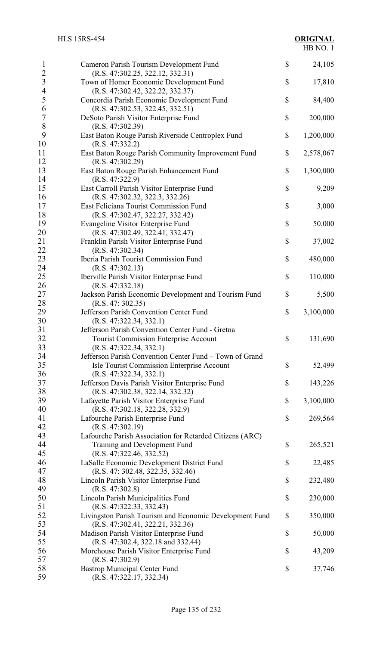| $\mathbf{l}$                     | Cameron Parish Tourism Development Fund                                             | \$<br>24,105    |
|----------------------------------|-------------------------------------------------------------------------------------|-----------------|
| $\overline{2}$<br>$\mathfrak{Z}$ | (R.S. 47:302.25, 322.12, 332.31)<br>Town of Homer Economic Development Fund         | \$<br>17,810    |
| $\overline{4}$                   | (R.S. 47:302.42, 322.22, 332.37)                                                    |                 |
| 5<br>6                           | Concordia Parish Economic Development Fund<br>(R.S. 47:302.53, 322.45, 332.51)      | \$<br>84,400    |
| $\sqrt{ }$                       | DeSoto Parish Visitor Enterprise Fund                                               | \$<br>200,000   |
| 8                                | (R.S. 47:302.39)                                                                    |                 |
| 9                                | East Baton Rouge Parish Riverside Centroplex Fund                                   | \$<br>1,200,000 |
| 10<br>11                         | (R.S. 47:332.2)<br>East Baton Rouge Parish Community Improvement Fund               | \$<br>2,578,067 |
| 12                               | (R.S. 47:302.29)                                                                    |                 |
| 13                               | East Baton Rouge Parish Enhancement Fund                                            | \$<br>1,300,000 |
| 14                               | (R.S. 47:322.9)                                                                     |                 |
| 15<br>16                         | East Carroll Parish Visitor Enterprise Fund<br>(R.S. 47:302.32, 322.3, 332.26)      | \$<br>9,209     |
| 17                               | East Feliciana Tourist Commission Fund                                              | \$<br>3,000     |
| 18                               | (R.S. 47:302.47, 322.27, 332.42)                                                    |                 |
| 19                               | <b>Evangeline Visitor Enterprise Fund</b>                                           | \$<br>50,000    |
| 20                               | (R.S. 47:302.49, 322.41, 332.47)                                                    |                 |
| 21                               | Franklin Parish Visitor Enterprise Fund                                             | \$<br>37,002    |
| 22<br>23                         | (R.S. 47:302.34)<br>Iberia Parish Tourist Commission Fund                           | \$<br>480,000   |
| 24                               | (R.S. 47:302.13)                                                                    |                 |
| 25                               | Iberville Parish Visitor Enterprise Fund                                            | \$<br>110,000   |
| 26                               | (R.S. 47:332.18)                                                                    |                 |
| 27                               | Jackson Parish Economic Development and Tourism Fund                                | \$<br>5,500     |
| 28                               | (R.S. 47: 302.35)                                                                   |                 |
| 29                               | Jefferson Parish Convention Center Fund                                             | \$<br>3,100,000 |
| 30<br>31                         | (R.S. 47:322.34, 332.1)<br>Jefferson Parish Convention Center Fund - Gretna         |                 |
| 32                               | <b>Tourist Commission Enterprise Account</b>                                        | \$<br>131,690   |
| 33                               | (R.S. 47:322.34, 332.1)                                                             |                 |
| 34                               | Jefferson Parish Convention Center Fund - Town of Grand                             |                 |
| 35                               | Isle Tourist Commission Enterprise Account                                          | \$<br>52,499    |
| 36                               | (R.S. 47:322.34, 332.1)                                                             |                 |
| 37<br>38                         | Jefferson Davis Parish Visitor Enterprise Fund<br>(R.S. 47:302.38, 322.14, 332.32)  | \$<br>143,226   |
| 39                               | Lafayette Parish Visitor Enterprise Fund                                            | \$<br>3,100,000 |
| 40                               | (R.S. 47:302.18, 322.28, 332.9)                                                     |                 |
| 41                               | Lafourche Parish Enterprise Fund                                                    | \$<br>269,564   |
| 42                               | (R.S. 47:302.19)                                                                    |                 |
| 43                               | Lafourche Parish Association for Retarded Citizens (ARC)                            |                 |
| 44<br>45                         | Training and Development Fund                                                       | \$<br>265,521   |
| 46                               | (R.S. 47:322.46, 332.52)<br>LaSalle Economic Development District Fund              | \$<br>22,485    |
| 47                               | (R.S. 47: 302.48, 322.35, 332.46)                                                   |                 |
| 48                               | Lincoln Parish Visitor Enterprise Fund                                              | \$<br>232,480   |
| 49                               | (R.S. 47:302.8)                                                                     |                 |
| 50                               | Lincoln Parish Municipalities Fund                                                  | \$<br>230,000   |
| 51<br>52                         | (R.S. 47:322.33, 332.43)<br>Livingston Parish Tourism and Economic Development Fund | \$<br>350,000   |
| 53                               | (R.S. 47:302.41, 322.21, 332.36)                                                    |                 |
| 54                               | Madison Parish Visitor Enterprise Fund                                              | \$<br>50,000    |
| 55                               | (R.S. 47:302.4, 322.18 and 332.44)                                                  |                 |
| 56                               | Morehouse Parish Visitor Enterprise Fund                                            | \$<br>43,209    |
| 57                               | (R.S. 47:302.9)                                                                     |                 |
| 58<br>59                         | <b>Bastrop Municipal Center Fund</b><br>(R.S. 47:322.17, 332.34)                    | \$<br>37,746    |
|                                  |                                                                                     |                 |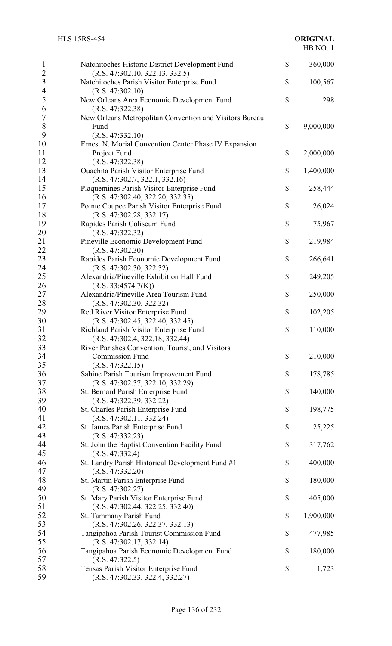| 1<br>$\overline{2}$              | Natchitoches Historic District Development Fund<br>(R.S. 47:302.10, 322.13, 332.5)                           | \$<br>360,000   |
|----------------------------------|--------------------------------------------------------------------------------------------------------------|-----------------|
| $\overline{3}$<br>$\overline{4}$ | Natchitoches Parish Visitor Enterprise Fund<br>(R.S. 47:302.10)                                              | \$<br>100,567   |
| 5<br>6                           | New Orleans Area Economic Development Fund<br>(R.S. 47:322.38)                                               | \$<br>298       |
| 7<br>$8\,$<br>9                  | New Orleans Metropolitan Convention and Visitors Bureau<br>Fund<br>(R.S. 47:332.10)                          | \$<br>9,000,000 |
| 10<br>11                         | Ernest N. Morial Convention Center Phase IV Expansion<br>Project Fund                                        | \$<br>2,000,000 |
| 12<br>13                         | (R.S. 47:322.38)<br><b>Ouachita Parish Visitor Enterprise Fund</b>                                           | \$<br>1,400,000 |
| 14<br>15<br>16                   | (R.S. 47:302.7, 322.1, 332.16)<br>Plaquemines Parish Visitor Enterprise Fund                                 | \$<br>258,444   |
| 17<br>18                         | (R.S. 47:302.40, 322.20, 332.35)<br>Pointe Coupee Parish Visitor Enterprise Fund<br>(R.S. 47:302.28, 332.17) | \$<br>26,024    |
| 19<br>20                         | Rapides Parish Coliseum Fund<br>(R.S. 47:322.32)                                                             | \$<br>75,967    |
| 21<br>22                         | Pineville Economic Development Fund<br>(R.S. 47:302.30)                                                      | \$<br>219,984   |
| 23<br>24                         | Rapides Parish Economic Development Fund<br>(R.S. 47:302.30, 322.32)                                         | \$<br>266,641   |
| 25<br>26                         | Alexandria/Pineville Exhibition Hall Fund<br>(R.S. 33:4574.7(K))                                             | \$<br>249,205   |
| 27<br>28                         | Alexandria/Pineville Area Tourism Fund<br>(R.S. 47:302.30, 322.32)                                           | \$<br>250,000   |
| 29<br>30                         | Red River Visitor Enterprise Fund<br>(R.S. 47:302.45, 322.40, 332.45)                                        | \$<br>102,205   |
| 31<br>32                         | Richland Parish Visitor Enterprise Fund<br>(R.S. 47:302.4, 322.18, 332.44)                                   | \$<br>110,000   |
| 33<br>34                         | River Parishes Convention, Tourist, and Visitors<br><b>Commission Fund</b>                                   | \$<br>210,000   |
| 35<br>36                         | (R.S. 47:322.15)<br>Sabine Parish Tourism Improvement Fund                                                   | \$<br>178,785   |
| 37<br>38                         | (R.S. 47:302.37, 322.10, 332.29)<br>St. Bernard Parish Enterprise Fund                                       | \$<br>140,000   |
| 39<br>40<br>41                   | (R.S. 47:322.39, 332.22)<br>St. Charles Parish Enterprise Fund<br>(R.S. 47:302.11, 332.24)                   | \$<br>198,775   |
| 42<br>43                         | St. James Parish Enterprise Fund<br>(R.S. 47:332.23)                                                         | \$<br>25,225    |
| 44<br>45                         | St. John the Baptist Convention Facility Fund<br>(R.S. 47:332.4)                                             | \$<br>317,762   |
| 46<br>47                         | St. Landry Parish Historical Development Fund #1<br>(R.S. 47:332.20)                                         | \$<br>400,000   |
| 48<br>49                         | St. Martin Parish Enterprise Fund<br>(R.S. 47:302.27)                                                        | \$<br>180,000   |
| 50<br>51                         | St. Mary Parish Visitor Enterprise Fund<br>(R.S. 47:302.44, 322.25, 332.40)                                  | \$<br>405,000   |
| 52<br>53                         | St. Tammany Parish Fund<br>(R.S. 47:302.26, 322.37, 332.13)                                                  | \$<br>1,900,000 |
| 54<br>55                         | Tangipahoa Parish Tourist Commission Fund<br>(R.S. 47:302.17, 332.14)                                        | \$<br>477,985   |
| 56<br>57                         | Tangipahoa Parish Economic Development Fund<br>(R.S. 47:322.5)                                               | \$<br>180,000   |
| 58<br>59                         | Tensas Parish Visitor Enterprise Fund<br>(R.S. 47:302.33, 322.4, 332.27)                                     | \$<br>1,723     |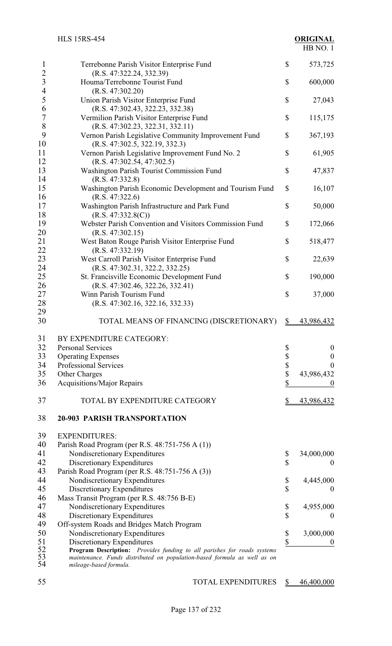| 1                                | Terrebonne Parish Visitor Enterprise Fund                                                          | \$            | 573,725                |
|----------------------------------|----------------------------------------------------------------------------------------------------|---------------|------------------------|
| $\overline{c}$<br>$\overline{3}$ | (R.S. 47:322.24, 332.39)<br>Houma/Terrebonne Tourist Fund                                          | \$            | 600,000                |
| $\overline{\mathcal{L}}$         | (R.S. 47:302.20)                                                                                   |               |                        |
| 5                                | Union Parish Visitor Enterprise Fund                                                               | \$            | 27,043                 |
| 6<br>$\overline{7}$              | (R.S. 47:302.43, 322.23, 332.38)                                                                   |               |                        |
| 8                                | Vermilion Parish Visitor Enterprise Fund<br>(R.S. 47:302.23, 322.31, 332.11)                       | \$            | 115,175                |
| 9                                | Vernon Parish Legislative Community Improvement Fund                                               | \$            | 367,193                |
| 10                               | (R.S. 47:302.5, 322.19, 332.3)                                                                     |               |                        |
| 11                               | Vernon Parish Legislative Improvement Fund No. 2                                                   | \$            | 61,905                 |
| 12                               | (R.S. 47:302.54, 47:302.5)                                                                         |               |                        |
| 13                               | Washington Parish Tourist Commission Fund                                                          | \$            | 47,837                 |
| 14                               | (R.S. 47:332.8)                                                                                    |               |                        |
| 15                               | Washington Parish Economic Development and Tourism Fund                                            | \$            | 16,107                 |
| 16                               | (R.S. 47:322.6)                                                                                    |               |                        |
| 17                               | Washington Parish Infrastructure and Park Fund                                                     | \$            | 50,000                 |
| 18                               | (R.S. 47:332.8(C))                                                                                 |               |                        |
| 19                               | Webster Parish Convention and Visitors Commission Fund                                             | \$            | 172,066                |
| 20                               | (R.S. 47:302.15)                                                                                   |               |                        |
| 21                               | West Baton Rouge Parish Visitor Enterprise Fund                                                    | \$            | 518,477                |
| 22                               | (R.S. 47:332.19)                                                                                   |               |                        |
| 23                               | West Carroll Parish Visitor Enterprise Fund                                                        | \$            | 22,639                 |
| 24                               | (R.S. 47:302.31, 322.2, 332.25)                                                                    |               |                        |
| 25                               | St. Francisville Economic Development Fund                                                         | \$            | 190,000                |
| 26                               | (R.S. 47:302.46, 322.26, 332.41)                                                                   |               |                        |
| 27                               | Winn Parish Tourism Fund                                                                           | \$            | 37,000                 |
| 28                               | (R.S. 47:302.16, 322.16, 332.33)                                                                   |               |                        |
| 29                               |                                                                                                    |               |                        |
| 30                               | TOTAL MEANS OF FINANCING (DISCRETIONARY)                                                           |               |                        |
|                                  |                                                                                                    | $\mathbb{S}$  | 43,986,432             |
|                                  |                                                                                                    |               |                        |
| 31                               | BY EXPENDITURE CATEGORY:                                                                           |               |                        |
| 32                               | <b>Personal Services</b>                                                                           | \$            | $\boldsymbol{0}$       |
| 33                               | <b>Operating Expenses</b>                                                                          |               | $\boldsymbol{0}$       |
| 34                               | Professional Services                                                                              |               | $\boldsymbol{0}$       |
| 35                               | Other Charges                                                                                      | \$<br>\$      | 43,986,432             |
| 36                               | <b>Acquisitions/Major Repairs</b>                                                                  | \$            | $\bf{0}$               |
| 37                               | TOTAL BY EXPENDITURE CATEGORY                                                                      | $\frac{1}{2}$ | 43,986,432             |
| 38                               | <b>20-903 PARISH TRANSPORTATION</b>                                                                |               |                        |
|                                  |                                                                                                    |               |                        |
| 39                               | <b>EXPENDITURES:</b>                                                                               |               |                        |
| 40                               | Parish Road Program (per R.S. 48:751-756 A (1))                                                    |               |                        |
| 41                               | Nondiscretionary Expenditures                                                                      | \$            | 34,000,000<br>$\theta$ |
| 42                               | Discretionary Expenditures                                                                         | \$            |                        |
| 43                               | Parish Road Program (per R.S. 48:751-756 A (3))                                                    |               |                        |
| 44                               | Nondiscretionary Expenditures                                                                      | \$            | 4,445,000              |
| 45                               | Discretionary Expenditures                                                                         | \$            | $\boldsymbol{0}$       |
| 46                               | Mass Transit Program (per R.S. 48:756 B-E)                                                         |               |                        |
| 47<br>48                         | Nondiscretionary Expenditures                                                                      | \$<br>\$      | 4,955,000<br>$\theta$  |
| 49                               | Discretionary Expenditures                                                                         |               |                        |
| 50                               | Off-system Roads and Bridges Match Program<br>Nondiscretionary Expenditures                        |               | 3,000,000              |
| 51                               | Discretionary Expenditures                                                                         | \$<br>\$      | $\boldsymbol{0}$       |
| 52                               | Program Description: Provides funding to all parishes for roads systems                            |               |                        |
| 53<br>54                         | maintenance. Funds distributed on population-based formula as well as on<br>mileage-based formula. |               |                        |

55 TOTAL EXPENDITURES  $\frac{\$}{100000}$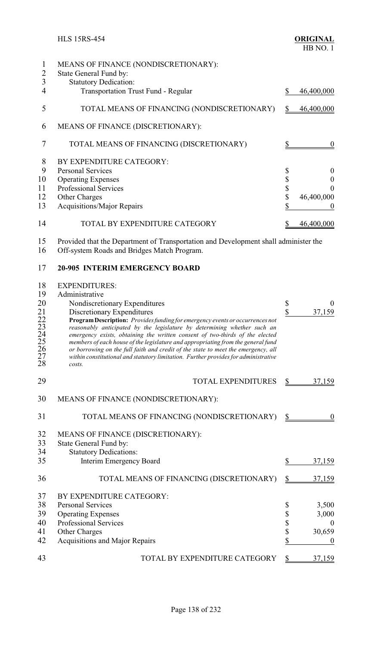|    | MEANS OF FINANCE (NONDISCRETIONARY):        |    |            |
|----|---------------------------------------------|----|------------|
|    | State General Fund by:                      |    |            |
| 3  | <b>Statutory Dedication:</b>                |    |            |
|    | <b>Transportation Trust Fund - Regular</b>  | \$ | 46,400,000 |
| 5  | TOTAL MEANS OF FINANCING (NONDISCRETIONARY) | S  | 46,400,000 |
| 6  | MEANS OF FINANCE (DISCRETIONARY):           |    |            |
|    | TOTAL MEANS OF FINANCING (DISCRETIONARY)    |    |            |
| 8  | BY EXPENDITURE CATEGORY:                    |    |            |
| 9  | <b>Personal Services</b>                    | \$ | $\theta$   |
| 10 | <b>Operating Expenses</b>                   | \$ |            |
| 11 | <b>Professional Services</b>                | \$ |            |
| 12 | Other Charges                               | \$ | 46,400,000 |
| 13 | <b>Acquisitions/Major Repairs</b>           |    |            |
| 14 | TOTAL BY EXPENDITURE CATEGORY               |    | 46,400,000 |

 Provided that the Department of Transportation and Development shall administer the Off-system Roads and Bridges Match Program.

### **20-905 INTERIM EMERGENCY BOARD**

#### EXPENDITURES:

| 19           | Administrative                                                                                                                                           |               |              |
|--------------|----------------------------------------------------------------------------------------------------------------------------------------------------------|---------------|--------------|
| 20           | Nondiscretionary Expenditures                                                                                                                            | \$            | $\theta$     |
| $^{21}_{22}$ | Discretionary Expenditures                                                                                                                               | \$            | 37,159       |
|              | Program Description: Provides funding for emergency events or occurrences not                                                                            |               |              |
| 23           | reasonably anticipated by the legislature by determining whether such an<br>emergency exists, obtaining the written consent of two-thirds of the elected |               |              |
| $^{24}_{25}$ | members of each house of the legislature and appropriating from the general fund                                                                         |               |              |
| 26           | or borrowing on the full faith and credit of the state to meet the emergency, all                                                                        |               |              |
| 27<br>28     | within constitutional and statutory limitation. Further provides for administrative<br>costs.                                                            |               |              |
|              |                                                                                                                                                          |               |              |
| 29           | <b>TOTAL EXPENDITURES</b>                                                                                                                                | $\frac{1}{2}$ | 37,159       |
|              |                                                                                                                                                          |               |              |
| 30           | MEANS OF FINANCE (NONDISCRETIONARY):                                                                                                                     |               |              |
| 31           | TOTAL MEANS OF FINANCING (NONDISCRETIONARY)                                                                                                              | S             |              |
|              |                                                                                                                                                          |               |              |
| 32           | MEANS OF FINANCE (DISCRETIONARY):                                                                                                                        |               |              |
| 33           | State General Fund by:                                                                                                                                   |               |              |
| 34           | <b>Statutory Dedications:</b>                                                                                                                            |               |              |
| 35           | Interim Emergency Board                                                                                                                                  | \$            | 37,159       |
| 36           | TOTAL MEANS OF FINANCING (DISCRETIONARY)                                                                                                                 | \$            | 37,159       |
| 37           | BY EXPENDITURE CATEGORY:                                                                                                                                 |               |              |
| 38           | <b>Personal Services</b>                                                                                                                                 | \$            | 3,500        |
| 39           | <b>Operating Expenses</b>                                                                                                                                | \$            | 3,000        |
| 40           | <b>Professional Services</b>                                                                                                                             | \$            | $\mathbf{0}$ |
| 41           | Other Charges                                                                                                                                            | \$            | 30,659       |
| 42           | Acquisitions and Major Repairs                                                                                                                           | \$            | $\theta$     |
|              |                                                                                                                                                          |               |              |
| 43           | TOTAL BY EXPENDITURE CATEGORY                                                                                                                            | \$            | 37,159       |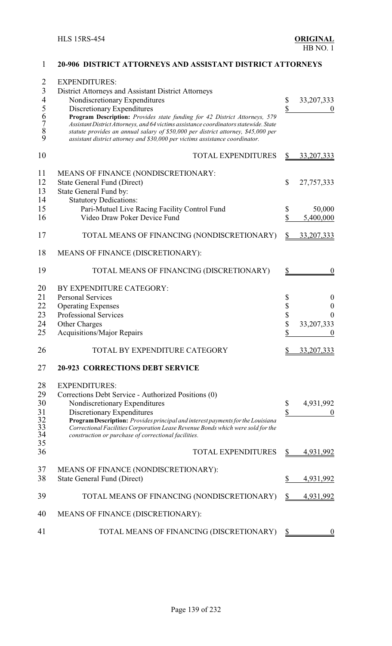| $\overline{2}$<br>$\mathfrak{Z}$<br>$\overline{4}$<br>5 | <b>EXPENDITURES:</b><br>District Attorneys and Assistant District Attorneys<br>Nondiscretionary Expenditures<br>Discretionary Expenditures                                                                                                                                                                                               | \$<br>\$     | 33, 207, 333        |
|---------------------------------------------------------|------------------------------------------------------------------------------------------------------------------------------------------------------------------------------------------------------------------------------------------------------------------------------------------------------------------------------------------|--------------|---------------------|
| $\frac{6}{7}$<br>$\overline{8}$<br>9                    | Program Description: Provides state funding for 42 District Attorneys, 579<br>Assistant District Attorneys, and 64 victims assistance coordinators statewide. State<br>statute provides an annual salary of \$50,000 per district attorney, \$45,000 per<br>assistant district attorney and \$30,000 per victims assistance coordinator. |              |                     |
| 10                                                      | <b>TOTAL EXPENDITURES</b>                                                                                                                                                                                                                                                                                                                | \$           | 33, 207, 333        |
| 11<br>12<br>13<br>14                                    | MEANS OF FINANCE (NONDISCRETIONARY:<br><b>State General Fund (Direct)</b><br>State General Fund by:<br><b>Statutory Dedications:</b>                                                                                                                                                                                                     | $\mathbb{S}$ | 27,757,333          |
| 15<br>16                                                | Pari-Mutuel Live Racing Facility Control Fund<br>Video Draw Poker Device Fund                                                                                                                                                                                                                                                            | \$<br>\$     | 50,000<br>5,400,000 |
| 17                                                      | TOTAL MEANS OF FINANCING (NONDISCRETIONARY)                                                                                                                                                                                                                                                                                              |              | 33, 207, 333        |
| 18                                                      | MEANS OF FINANCE (DISCRETIONARY):                                                                                                                                                                                                                                                                                                        |              |                     |
| 19                                                      | TOTAL MEANS OF FINANCING (DISCRETIONARY)                                                                                                                                                                                                                                                                                                 | S            | $\theta$            |
| 20                                                      | BY EXPENDITURE CATEGORY:                                                                                                                                                                                                                                                                                                                 |              |                     |
| 21                                                      | <b>Personal Services</b>                                                                                                                                                                                                                                                                                                                 | \$           | $\boldsymbol{0}$    |
| 22                                                      | <b>Operating Expenses</b>                                                                                                                                                                                                                                                                                                                | \$           | 0                   |
| 23                                                      | <b>Professional Services</b>                                                                                                                                                                                                                                                                                                             | \$<br>\$     | 0                   |
| 24<br>25                                                | Other Charges<br><b>Acquisitions/Major Repairs</b>                                                                                                                                                                                                                                                                                       | \$           | 33, 207, 333        |
| 26                                                      | TOTAL BY EXPENDITURE CATEGORY                                                                                                                                                                                                                                                                                                            |              | 33, 207, 333        |
| 27                                                      | <b>20-923 CORRECTIONS DEBT SERVICE</b>                                                                                                                                                                                                                                                                                                   |              |                     |
| 28                                                      | <b>EXPENDITURES:</b>                                                                                                                                                                                                                                                                                                                     |              |                     |
| 29                                                      | Corrections Debt Service - Authorized Positions (0)                                                                                                                                                                                                                                                                                      |              |                     |
| 30<br>31                                                | Nondiscretionary Expenditures<br>Discretionary Expenditures                                                                                                                                                                                                                                                                              | \$<br>\$     | 4,931,992           |
| $\frac{32}{33}$<br>34                                   | Program Description: Provides principal and interest payments for the Louisiana<br>Correctional Facilities Corporation Lease Revenue Bonds which were sold for the<br>construction or purchase of correctional facilities.                                                                                                               |              |                     |
| 35<br>36                                                | <b>TOTAL EXPENDITURES</b>                                                                                                                                                                                                                                                                                                                | \$           | 4,931,992           |
| 37                                                      | MEANS OF FINANCE (NONDISCRETIONARY):                                                                                                                                                                                                                                                                                                     |              |                     |
| 38                                                      | <b>State General Fund (Direct)</b>                                                                                                                                                                                                                                                                                                       | \$           | 4,931,992           |
| 39                                                      | TOTAL MEANS OF FINANCING (NONDISCRETIONARY)                                                                                                                                                                                                                                                                                              | \$           | 4,931,992           |
| 40                                                      | MEANS OF FINANCE (DISCRETIONARY):                                                                                                                                                                                                                                                                                                        |              |                     |
| 41                                                      | TOTAL MEANS OF FINANCING (DISCRETIONARY)                                                                                                                                                                                                                                                                                                 | \$           |                     |

#### **20-906 DISTRICT ATTORNEYS AND ASSISTANT DISTRICT ATTORNEYS**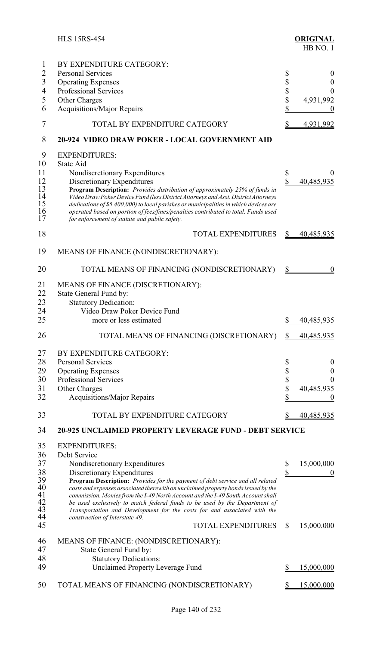|                | <b>HLS 15RS-454</b>                                                                                                                 |                         | <b>ORIGINAL</b><br>HB NO.1 |
|----------------|-------------------------------------------------------------------------------------------------------------------------------------|-------------------------|----------------------------|
| $\mathbf{1}$   | BY EXPENDITURE CATEGORY:                                                                                                            |                         |                            |
| $\overline{2}$ | <b>Personal Services</b>                                                                                                            | \$                      | $\theta$                   |
| $\overline{3}$ | <b>Operating Expenses</b>                                                                                                           | \$                      | $\boldsymbol{0}$           |
| $\overline{4}$ | <b>Professional Services</b>                                                                                                        | \$                      | $\overline{0}$             |
| 5              | Other Charges                                                                                                                       | \$                      | 4,931,992                  |
| 6              | <b>Acquisitions/Major Repairs</b>                                                                                                   | \$                      | $\theta$                   |
| 7              | TOTAL BY EXPENDITURE CATEGORY                                                                                                       | \$                      |                            |
|                |                                                                                                                                     |                         | 4,931,992                  |
| 8              | 20-924 VIDEO DRAW POKER - LOCAL GOVERNMENT AID                                                                                      |                         |                            |
| 9              | <b>EXPENDITURES:</b>                                                                                                                |                         |                            |
| 10             | State Aid                                                                                                                           |                         |                            |
| 11             | Nondiscretionary Expenditures                                                                                                       | \$                      | $\theta$                   |
| 12             | Discretionary Expenditures                                                                                                          | $\overline{\mathbb{S}}$ | 40,485,935                 |
| 13             | <b>Program Description:</b> Provides distribution of approximately 25% of funds in                                                  |                         |                            |
| 14             | Video Draw Poker Device Fund (less District Attorneys and Asst. District Attorneys                                                  |                         |                            |
| 15             | dedications of \$5,400,000) to local parishes or municipalities in which devices are                                                |                         |                            |
| 16<br>17       | operated based on portion of fees/fines/penalties contributed to total. Funds used<br>for enforcement of statute and public safety. |                         |                            |
| 18             | <b>TOTAL EXPENDITURES</b>                                                                                                           | \$                      | 40,485,935                 |
| 19             | MEANS OF FINANCE (NONDISCRETIONARY):                                                                                                |                         |                            |
| 20             | TOTAL MEANS OF FINANCING (NONDISCRETIONARY)                                                                                         | \$                      | $\bf{0}$                   |
|                |                                                                                                                                     |                         |                            |
| 21             | MEANS OF FINANCE (DISCRETIONARY):                                                                                                   |                         |                            |
| 22             | State General Fund by:                                                                                                              |                         |                            |
| 23             | <b>Statutory Dedication:</b>                                                                                                        |                         |                            |
| 24             | Video Draw Poker Device Fund                                                                                                        |                         |                            |
| 25             | more or less estimated                                                                                                              | $\frac{1}{2}$           | 40,485,935                 |
| 26             | TOTAL MEANS OF FINANCING (DISCRETIONARY)                                                                                            | \$                      | 40,485,935                 |
| 27             | BY EXPENDITURE CATEGORY:                                                                                                            |                         |                            |
| 28             | <b>Personal Services</b>                                                                                                            | \$                      | $\theta$                   |
| 29             | <b>Operating Expenses</b>                                                                                                           | \$                      | $\boldsymbol{0}$           |
| 30             | Professional Services                                                                                                               | \$                      | $\overline{0}$             |
| 31             | Other Charges                                                                                                                       | \$                      | 40,485,935                 |
| 32             | <b>Acquisitions/Major Repairs</b>                                                                                                   | \$                      | $\boldsymbol{0}$           |
|                |                                                                                                                                     |                         |                            |
| 33             | TOTAL BY EXPENDITURE CATEGORY                                                                                                       | S                       | 40,485,935                 |
| 34             | <b>20-925 UNCLAIMED PROPERTY LEVERAGE FUND - DEBT SERVICE</b>                                                                       |                         |                            |
| 35             | <b>EXPENDITURES:</b>                                                                                                                |                         |                            |
| 36             | Debt Service                                                                                                                        |                         |                            |
| 37             | Nondiscretionary Expenditures                                                                                                       | \$                      | 15,000,000                 |
| 38             | Discretionary Expenditures                                                                                                          | \$                      | $\boldsymbol{0}$           |
| 39             | Program Description: Provides for the payment of debt service and all related                                                       |                         |                            |
| 40             | costs and expenses associated therewith on unclaimed property bonds issued by the                                                   |                         |                            |
| 41             | commission. Monies from the I-49 North Account and the I-49 South Account shall                                                     |                         |                            |
| 42             | be used exclusively to match federal funds to be used by the Department of                                                          |                         |                            |
| 43<br>44       | Transportation and Development for the costs for and associated with the                                                            |                         |                            |
| 45             | construction of Interstate 49.<br><b>TOTAL EXPENDITURES</b>                                                                         | \$                      | 15,000,000                 |
| 46             | MEANS OF FINANCE: (NONDISCRETIONARY):                                                                                               |                         |                            |
| 47             | State General Fund by:                                                                                                              |                         |                            |
| 48             | <b>Statutory Dedications:</b>                                                                                                       |                         |                            |
| 49             |                                                                                                                                     | \$                      |                            |
|                | <b>Unclaimed Property Leverage Fund</b>                                                                                             |                         | 15,000,000                 |
| 50             | TOTAL MEANS OF FINANCING (NONDISCRETIONARY)                                                                                         | S                       | 15,000,000                 |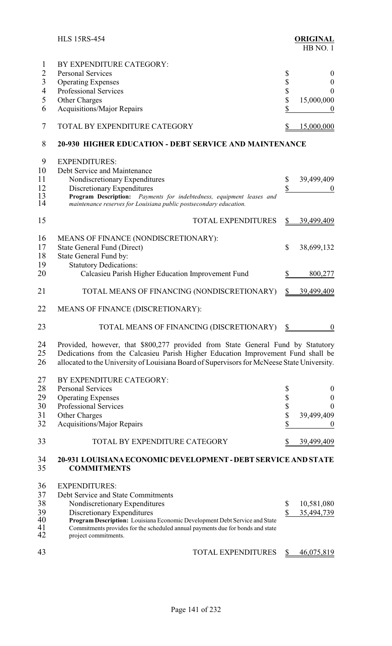|                                        | <b>HLS 15RS-454</b>                                                                                                                                                                                                                                                                                               |          | <b>ORIGINAL</b><br>HB NO.1         |
|----------------------------------------|-------------------------------------------------------------------------------------------------------------------------------------------------------------------------------------------------------------------------------------------------------------------------------------------------------------------|----------|------------------------------------|
| 1<br>$\overline{2}$<br>$\overline{3}$  | BY EXPENDITURE CATEGORY:<br><b>Personal Services</b><br><b>Operating Expenses</b>                                                                                                                                                                                                                                 | \$<br>\$ | $\boldsymbol{0}$<br>$\overline{0}$ |
| $\overline{4}$                         | Professional Services                                                                                                                                                                                                                                                                                             | \$       | $\boldsymbol{0}$                   |
| 5                                      | Other Charges                                                                                                                                                                                                                                                                                                     | \$       | 15,000,000                         |
| 6                                      | <b>Acquisitions/Major Repairs</b>                                                                                                                                                                                                                                                                                 | \$       | $\theta$                           |
| 7                                      | TOTAL BY EXPENDITURE CATEGORY                                                                                                                                                                                                                                                                                     | \$       | 15,000,000                         |
| 8                                      | <b>20-930 HIGHER EDUCATION - DEBT SERVICE AND MAINTENANCE</b>                                                                                                                                                                                                                                                     |          |                                    |
| 9<br>10<br>11<br>12<br>13<br>14        | <b>EXPENDITURES:</b><br>Debt Service and Maintenance<br>Nondiscretionary Expenditures<br>Discretionary Expenditures<br>Program Description: Payments for indebtedness, equipment leases and<br>maintenance reserves for Louisiana public postsecondary education.                                                 | \$<br>\$ | 39,499,409                         |
| 15                                     | <b>TOTAL EXPENDITURES</b>                                                                                                                                                                                                                                                                                         | \$       | 39,499,409                         |
| 16<br>17<br>18<br>19                   | MEANS OF FINANCE (NONDISCRETIONARY):<br>State General Fund (Direct)<br>State General Fund by:<br><b>Statutory Dedications:</b>                                                                                                                                                                                    | \$       | 38,699,132                         |
| 20                                     | Calcasieu Parish Higher Education Improvement Fund                                                                                                                                                                                                                                                                | \$       | 800,277                            |
| 21                                     | TOTAL MEANS OF FINANCING (NONDISCRETIONARY)                                                                                                                                                                                                                                                                       | \$       | 39,499,409                         |
| 22                                     | MEANS OF FINANCE (DISCRETIONARY):                                                                                                                                                                                                                                                                                 |          |                                    |
| 23                                     | TOTAL MEANS OF FINANCING (DISCRETIONARY)                                                                                                                                                                                                                                                                          | \$       | $\mathbf{0}$                       |
| 24<br>25<br>26                         | Provided, however, that \$800,277 provided from State General Fund by Statutory<br>Dedications from the Calcasieu Parish Higher Education Improvement Fund shall be<br>allocated to the University of Louisiana Board of Supervisors for McNeese State University.                                                |          |                                    |
| 27                                     | BY EXPENDITURE CATEGORY:                                                                                                                                                                                                                                                                                          |          |                                    |
| 28                                     | <b>Personal Services</b>                                                                                                                                                                                                                                                                                          | \$       | $\boldsymbol{0}$                   |
| 29                                     | <b>Operating Expenses</b>                                                                                                                                                                                                                                                                                         | \$       | $\boldsymbol{0}$                   |
| 30                                     | <b>Professional Services</b>                                                                                                                                                                                                                                                                                      | \$       | $\theta$                           |
| 31<br>32                               | Other Charges<br><b>Acquisitions/Major Repairs</b>                                                                                                                                                                                                                                                                | \$<br>\$ | 39,499,409<br>0                    |
| 33                                     | TOTAL BY EXPENDITURE CATEGORY                                                                                                                                                                                                                                                                                     |          | 39,499,409                         |
| 34<br>35                               | <b>20-931 LOUISIANA ECONOMIC DEVELOPMENT - DEBT SERVICE AND STATE</b><br><b>COMMITMENTS</b>                                                                                                                                                                                                                       |          |                                    |
| 36<br>37<br>38<br>39<br>40<br>41<br>42 | <b>EXPENDITURES:</b><br>Debt Service and State Commitments<br>Nondiscretionary Expenditures<br>Discretionary Expenditures<br>Program Description: Louisiana Economic Development Debt Service and State<br>Commitments provides for the scheduled annual payments due for bonds and state<br>project commitments. | \$<br>\$ | 10,581,080<br>35,494,739           |
| 43                                     | <b>TOTAL EXPENDITURES</b>                                                                                                                                                                                                                                                                                         | \$       | 46,075,819                         |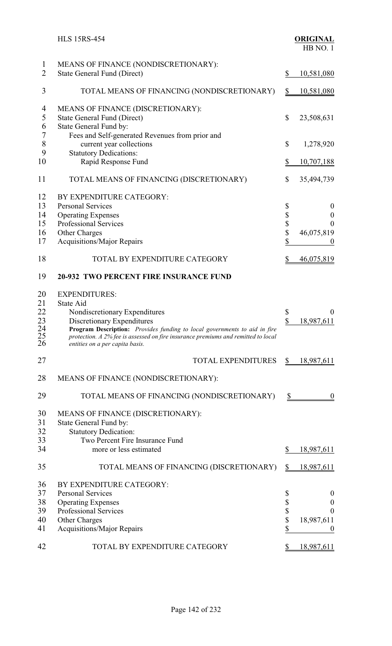|                                        | <b>HLS 15RS-454</b>                                                                                                                                                                                                                                                                                   | <b>ORIGINAL</b><br>HB NO.1                                                                                                                                |
|----------------------------------------|-------------------------------------------------------------------------------------------------------------------------------------------------------------------------------------------------------------------------------------------------------------------------------------------------------|-----------------------------------------------------------------------------------------------------------------------------------------------------------|
| $\mathbf{1}$<br>$\overline{2}$         | MEANS OF FINANCE (NONDISCRETIONARY):<br><b>State General Fund (Direct)</b>                                                                                                                                                                                                                            | \$<br>10,581,080                                                                                                                                          |
| 3                                      | TOTAL MEANS OF FINANCING (NONDISCRETIONARY)                                                                                                                                                                                                                                                           | 10,581,080<br>\$                                                                                                                                          |
| 4<br>5<br>6                            | MEANS OF FINANCE (DISCRETIONARY):<br><b>State General Fund (Direct)</b><br>State General Fund by:                                                                                                                                                                                                     | \$<br>23,508,631                                                                                                                                          |
| $\overline{7}$<br>$8\,$<br>9           | Fees and Self-generated Revenues from prior and<br>current year collections<br><b>Statutory Dedications:</b>                                                                                                                                                                                          | \$<br>1,278,920                                                                                                                                           |
| 10                                     | Rapid Response Fund                                                                                                                                                                                                                                                                                   | \$<br>10,707,188                                                                                                                                          |
| 11                                     | TOTAL MEANS OF FINANCING (DISCRETIONARY)                                                                                                                                                                                                                                                              | \$<br>35,494,739                                                                                                                                          |
| 12<br>13<br>14<br>15<br>16<br>17       | BY EXPENDITURE CATEGORY:<br><b>Personal Services</b><br><b>Operating Expenses</b><br>Professional Services<br>Other Charges<br>Acquisitions/Major Repairs                                                                                                                                             | \$<br>$\mathbf{0}$<br>$\begin{array}{c}\n\mathbb{S} \\ \mathbb{S}\n\end{array}$<br>$\mathbf{0}$<br>$\overline{0}$<br>46,075,819<br>\$<br>$\boldsymbol{0}$ |
| 18                                     | TOTAL BY EXPENDITURE CATEGORY                                                                                                                                                                                                                                                                         | \$<br>46,075,819                                                                                                                                          |
| 19                                     | <b>20-932 TWO PERCENT FIRE INSURANCE FUND</b>                                                                                                                                                                                                                                                         |                                                                                                                                                           |
| 20<br>21<br>22<br>23<br>24<br>25<br>26 | <b>EXPENDITURES:</b><br>State Aid<br>Nondiscretionary Expenditures<br>Discretionary Expenditures<br>Program Description: Provides funding to local governments to aid in fire<br>protection. A 2% fee is assessed on fire insurance premiums and remitted to local<br>entities on a per capita basis. | \$<br>$\boldsymbol{0}$<br>\$<br>18,987,611                                                                                                                |
| 27                                     | <b>TOTAL EXPENDITURES</b>                                                                                                                                                                                                                                                                             | \$<br>18,987,611                                                                                                                                          |
| 28                                     | MEANS OF FINANCE (NONDISCRETIONARY):                                                                                                                                                                                                                                                                  |                                                                                                                                                           |
| 29                                     | TOTAL MEANS OF FINANCING (NONDISCRETIONARY)                                                                                                                                                                                                                                                           | \$<br>$\theta$                                                                                                                                            |
| 30<br>31<br>32<br>33                   | MEANS OF FINANCE (DISCRETIONARY):<br>State General Fund by:<br><b>Statutory Dedication:</b><br>Two Percent Fire Insurance Fund                                                                                                                                                                        |                                                                                                                                                           |
| 34                                     | more or less estimated                                                                                                                                                                                                                                                                                | \$<br>18,987,611                                                                                                                                          |
| 35                                     | TOTAL MEANS OF FINANCING (DISCRETIONARY)                                                                                                                                                                                                                                                              | 18,987,611                                                                                                                                                |
| 36<br>37<br>38<br>39<br>40<br>41       | BY EXPENDITURE CATEGORY:<br><b>Personal Services</b><br><b>Operating Expenses</b><br>Professional Services<br>Other Charges<br>Acquisitions/Major Repairs                                                                                                                                             | \$<br>$\theta$<br>\$<br>\$<br>$\boldsymbol{0}$<br>$\theta$<br>18,987,611<br>\$                                                                            |
| 42                                     | TOTAL BY EXPENDITURE CATEGORY                                                                                                                                                                                                                                                                         | 18,987,611<br>S                                                                                                                                           |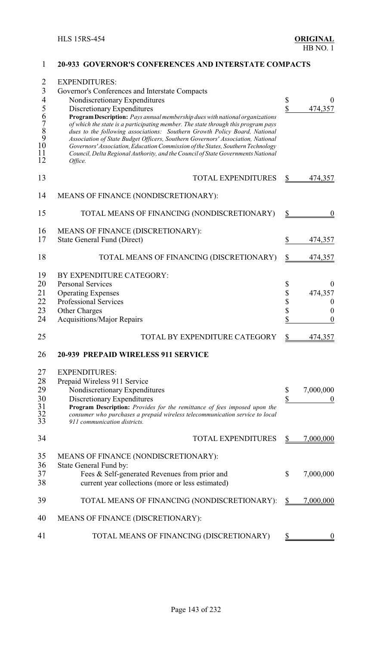| $\overline{2}$<br>3<br>$\overline{4}$<br>56789<br>10<br>11<br>12 | <b>EXPENDITURES:</b><br>Governor's Conferences and Interstate Compacts<br>Nondiscretionary Expenditures<br>Discretionary Expenditures<br>Program Description: Pays annual membership dues with national organizations<br>of which the state is a participating member. The state through this program pays<br>dues to the following associations: Southern Growth Policy Board, National<br>Association of State Budget Officers, Southern Governors' Association, National<br>Governors' Association, Education Commission of the States, Southern Technology<br>Council, Delta Regional Authority, and the Council of State Governments National<br>Office. | \$<br>$\sqrt{\frac{2}{\pi}}$ | $\theta$<br>474,357                                                                     |
|------------------------------------------------------------------|---------------------------------------------------------------------------------------------------------------------------------------------------------------------------------------------------------------------------------------------------------------------------------------------------------------------------------------------------------------------------------------------------------------------------------------------------------------------------------------------------------------------------------------------------------------------------------------------------------------------------------------------------------------|------------------------------|-----------------------------------------------------------------------------------------|
| 13                                                               | <b>TOTAL EXPENDITURES</b>                                                                                                                                                                                                                                                                                                                                                                                                                                                                                                                                                                                                                                     | \$                           | 474,357                                                                                 |
| 14                                                               | MEANS OF FINANCE (NONDISCRETIONARY):                                                                                                                                                                                                                                                                                                                                                                                                                                                                                                                                                                                                                          |                              |                                                                                         |
| 15                                                               | TOTAL MEANS OF FINANCING (NONDISCRETIONARY)                                                                                                                                                                                                                                                                                                                                                                                                                                                                                                                                                                                                                   | \$                           | $\theta$                                                                                |
| 16<br>17                                                         | MEANS OF FINANCE (DISCRETIONARY):<br><b>State General Fund (Direct)</b>                                                                                                                                                                                                                                                                                                                                                                                                                                                                                                                                                                                       | \$                           | 474,357                                                                                 |
| 18                                                               | TOTAL MEANS OF FINANCING (DISCRETIONARY)                                                                                                                                                                                                                                                                                                                                                                                                                                                                                                                                                                                                                      | \$                           | 474,357                                                                                 |
| 19<br>20<br>21<br>22<br>23<br>24                                 | BY EXPENDITURE CATEGORY:<br><b>Personal Services</b><br><b>Operating Expenses</b><br>Professional Services<br>Other Charges<br><b>Acquisitions/Major Repairs</b>                                                                                                                                                                                                                                                                                                                                                                                                                                                                                              | \$<br>\$<br>\$<br>\$<br>\$   | $\boldsymbol{0}$<br>474,357<br>$\boldsymbol{0}$<br>$\boldsymbol{0}$<br>$\boldsymbol{0}$ |
| 25                                                               | TOTAL BY EXPENDITURE CATEGORY                                                                                                                                                                                                                                                                                                                                                                                                                                                                                                                                                                                                                                 | \$                           | 474,357                                                                                 |
| 26                                                               | 20-939 PREPAID WIRELESS 911 SERVICE                                                                                                                                                                                                                                                                                                                                                                                                                                                                                                                                                                                                                           |                              |                                                                                         |
| 27<br>28<br>29<br>30<br>$\frac{31}{32}$<br>33                    | <b>EXPENDITURES:</b><br>Prepaid Wireless 911 Service<br>Nondiscretionary Expenditures<br>Discretionary Expenditures<br>Program Description: Provides for the remittance of fees imposed upon the<br>consumer who purchases a prepaid wireless telecommunication service to local<br>911 communication districts.                                                                                                                                                                                                                                                                                                                                              | \$<br>\$                     | 7,000,000                                                                               |
| 34                                                               | <b>TOTAL EXPENDITURES</b>                                                                                                                                                                                                                                                                                                                                                                                                                                                                                                                                                                                                                                     | \$                           | 7,000,000                                                                               |
| 35<br>36<br>37<br>38                                             | MEANS OF FINANCE (NONDISCRETIONARY):<br>State General Fund by:<br>Fees & Self-generated Revenues from prior and<br>current year collections (more or less estimated)                                                                                                                                                                                                                                                                                                                                                                                                                                                                                          | \$                           | 7,000,000                                                                               |
| 39                                                               | TOTAL MEANS OF FINANCING (NONDISCRETIONARY):                                                                                                                                                                                                                                                                                                                                                                                                                                                                                                                                                                                                                  | \$                           | 7,000,000                                                                               |
| 40                                                               | MEANS OF FINANCE (DISCRETIONARY):                                                                                                                                                                                                                                                                                                                                                                                                                                                                                                                                                                                                                             |                              |                                                                                         |
| 41                                                               | TOTAL MEANS OF FINANCING (DISCRETIONARY)                                                                                                                                                                                                                                                                                                                                                                                                                                                                                                                                                                                                                      |                              |                                                                                         |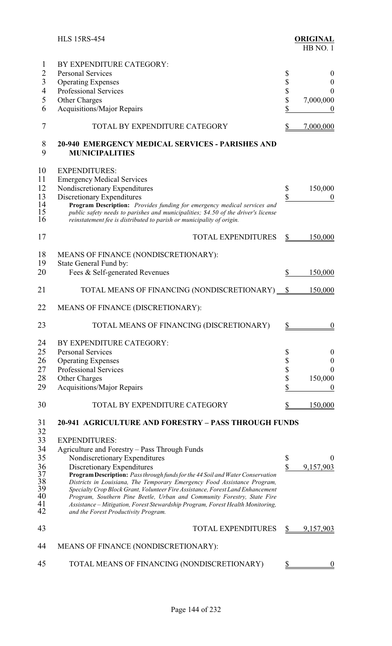|                          | <b>HLS 15RS-454</b>                                                                                                                                                                                                                     |                         | <b>ORIGINAL</b><br>HB NO.1 |
|--------------------------|-----------------------------------------------------------------------------------------------------------------------------------------------------------------------------------------------------------------------------------------|-------------------------|----------------------------|
| 1                        | BY EXPENDITURE CATEGORY:                                                                                                                                                                                                                |                         |                            |
| 2                        | <b>Personal Services</b>                                                                                                                                                                                                                | \$                      | $\theta$                   |
| $\overline{3}$           | <b>Operating Expenses</b>                                                                                                                                                                                                               | \$                      | $\boldsymbol{0}$           |
| $\overline{\mathcal{A}}$ | <b>Professional Services</b>                                                                                                                                                                                                            | \$                      | $\theta$                   |
|                          |                                                                                                                                                                                                                                         |                         |                            |
| 5                        | Other Charges                                                                                                                                                                                                                           | \$                      | 7,000,000                  |
| 6                        | <b>Acquisitions/Major Repairs</b>                                                                                                                                                                                                       | \$                      | $\boldsymbol{0}$           |
| 7                        | TOTAL BY EXPENDITURE CATEGORY                                                                                                                                                                                                           | \$                      | 7,000,000                  |
| 8<br>9                   | <b>20-940 EMERGENCY MEDICAL SERVICES - PARISHES AND</b><br><b>MUNICIPALITIES</b>                                                                                                                                                        |                         |                            |
| 10                       | <b>EXPENDITURES:</b>                                                                                                                                                                                                                    |                         |                            |
| 11                       | <b>Emergency Medical Services</b>                                                                                                                                                                                                       |                         |                            |
| 12                       | Nondiscretionary Expenditures                                                                                                                                                                                                           | \$                      | 150,000                    |
| 13                       | Discretionary Expenditures                                                                                                                                                                                                              | \$                      | $\theta$                   |
| 14                       |                                                                                                                                                                                                                                         |                         |                            |
| 15<br>16                 | Program Description: Provides funding for emergency medical services and<br>public safety needs to parishes and municipalities; \$4.50 of the driver's license<br>reinstatement fee is distributed to parish or municipality of origin. |                         |                            |
| 17                       | <b>TOTAL EXPENDITURES</b>                                                                                                                                                                                                               | $\frac{1}{2}$           | 150,000                    |
| 18                       | MEANS OF FINANCE (NONDISCRETIONARY):                                                                                                                                                                                                    |                         |                            |
| 19                       | State General Fund by:                                                                                                                                                                                                                  |                         |                            |
| 20                       | Fees & Self-generated Revenues                                                                                                                                                                                                          | \$                      | 150,000                    |
| 21                       | TOTAL MEANS OF FINANCING (NONDISCRETIONARY) <u>\$</u>                                                                                                                                                                                   |                         | 150,000                    |
| 22                       | MEANS OF FINANCE (DISCRETIONARY):                                                                                                                                                                                                       |                         |                            |
| 23                       | TOTAL MEANS OF FINANCING (DISCRETIONARY)                                                                                                                                                                                                | \$                      | $\boldsymbol{0}$           |
| 24                       | BY EXPENDITURE CATEGORY:                                                                                                                                                                                                                |                         |                            |
| 25                       | <b>Personal Services</b>                                                                                                                                                                                                                | \$                      | $\boldsymbol{0}$           |
| 26                       | <b>Operating Expenses</b>                                                                                                                                                                                                               | \$                      | $\boldsymbol{0}$           |
| 27                       | Professional Services                                                                                                                                                                                                                   | \$                      | $\theta$                   |
|                          |                                                                                                                                                                                                                                         |                         |                            |
| 28                       | Other Charges                                                                                                                                                                                                                           | \$                      | 150,000                    |
| 29                       | <b>Acquisitions/Major Repairs</b>                                                                                                                                                                                                       | \$                      | $\theta$                   |
| 30                       | TOTAL BY EXPENDITURE CATEGORY                                                                                                                                                                                                           |                         | 150,000                    |
| 31<br>32                 | <b>20-941 AGRICULTURE AND FORESTRY - PASS THROUGH FUNDS</b>                                                                                                                                                                             |                         |                            |
| 33                       | <b>EXPENDITURES:</b>                                                                                                                                                                                                                    |                         |                            |
| 34                       | Agriculture and Forestry - Pass Through Funds                                                                                                                                                                                           |                         |                            |
| 35                       |                                                                                                                                                                                                                                         |                         | 0                          |
|                          | Nondiscretionary Expenditures                                                                                                                                                                                                           | \$                      |                            |
| 36                       | Discretionary Expenditures                                                                                                                                                                                                              | $\overline{\mathbb{S}}$ | 9,157,903                  |
| 37<br>38                 | Program Description: Pass through funds for the 44 Soil and Water Conservation<br>Districts in Louisiana, The Temporary Emergency Food Assistance Program,                                                                              |                         |                            |
| 39                       | Specialty Crop Block Grant, Volunteer Fire Assistance, Forest Land Enhancement                                                                                                                                                          |                         |                            |
| 40                       | Program, Southern Pine Beetle, Urban and Community Forestry, State Fire                                                                                                                                                                 |                         |                            |
| 41                       | Assistance - Mitigation, Forest Stewardship Program, Forest Health Monitoring,                                                                                                                                                          |                         |                            |
| 42                       | and the Forest Productivity Program.                                                                                                                                                                                                    |                         |                            |
| 43                       | <b>TOTAL EXPENDITURES</b>                                                                                                                                                                                                               |                         | 9,157,903                  |
| 44                       | MEANS OF FINANCE (NONDISCRETIONARY):                                                                                                                                                                                                    |                         |                            |
| 45                       | TOTAL MEANS OF FINANCING (NONDISCRETIONARY)                                                                                                                                                                                             |                         |                            |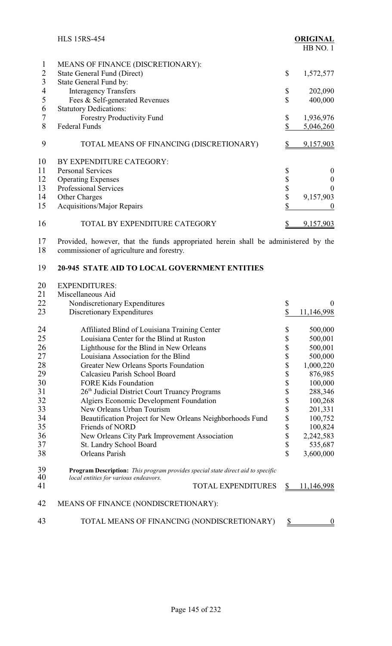|                     | <b>HLS 15RS-454</b>                                                                                                             |               | <b>ORIGINAL</b><br>HB NO.1 |
|---------------------|---------------------------------------------------------------------------------------------------------------------------------|---------------|----------------------------|
| 1<br>$\overline{c}$ | MEANS OF FINANCE (DISCRETIONARY):<br><b>State General Fund (Direct)</b>                                                         | \$            | 1,572,577                  |
| $\overline{3}$      | State General Fund by:                                                                                                          |               |                            |
| 4                   | <b>Interagency Transfers</b>                                                                                                    | \$            | 202,090                    |
| 5                   | Fees & Self-generated Revenues                                                                                                  | \$            | 400,000                    |
| 6                   | <b>Statutory Dedications:</b>                                                                                                   |               |                            |
| 7                   | Forestry Productivity Fund                                                                                                      | \$            | 1,936,976                  |
| 8                   | <b>Federal Funds</b>                                                                                                            | \$            | 5,046,260                  |
| 9                   | TOTAL MEANS OF FINANCING (DISCRETIONARY)                                                                                        | \$            | 9,157,903                  |
| 10                  | BY EXPENDITURE CATEGORY:                                                                                                        |               |                            |
| 11                  | <b>Personal Services</b>                                                                                                        | \$            | $\boldsymbol{0}$           |
| 12                  | <b>Operating Expenses</b>                                                                                                       |               | $\boldsymbol{0}$           |
| 13                  | <b>Professional Services</b>                                                                                                    | $\frac{1}{2}$ | $\theta$                   |
| 14                  | Other Charges                                                                                                                   |               | 9,157,903                  |
| 15                  | <b>Acquisitions/Major Repairs</b>                                                                                               | \$            | $\boldsymbol{0}$           |
| 16                  | TOTAL BY EXPENDITURE CATEGORY                                                                                                   | \$            | 9,157,903                  |
| 17<br>18            | Provided, however, that the funds appropriated herein shall be administered by the<br>commissioner of agriculture and forestry. |               |                            |
| 19                  | 20-945 STATE AID TO LOCAL GOVERNMENT ENTITIES                                                                                   |               |                            |
| 20                  | <b>EXPENDITURES:</b>                                                                                                            |               |                            |
| 21                  | Miscellaneous Aid                                                                                                               |               |                            |
| 22                  | Nondiscretionary Expenditures                                                                                                   | \$            | $\theta$                   |
| 23                  | Discretionary Expenditures                                                                                                      | \$            | 11,146,998                 |
| 24                  | Affiliated Blind of Louisiana Training Center                                                                                   | \$            | 500,000                    |
| 25                  | Louisiana Center for the Blind at Ruston                                                                                        | \$            | 500,001                    |
| 26                  | Lighthouse for the Blind in New Orleans                                                                                         | \$            | 500,001                    |
| 27                  | Louisiana Association for the Blind                                                                                             | \$            | 500,000                    |
| 28                  | <b>Greater New Orleans Sports Foundation</b>                                                                                    | \$            | 1,000,220                  |

 $\frac{31}{32}$ <br> $\frac{33}{11}$ 

| 21       | Miscellaneous Aid                                                                                                        |             |                  |
|----------|--------------------------------------------------------------------------------------------------------------------------|-------------|------------------|
| 22       | Nondiscretionary Expenditures                                                                                            | \$          | $\boldsymbol{0}$ |
| 23       | Discretionary Expenditures                                                                                               | \$          | 11,146,998       |
| 24       | Affiliated Blind of Louisiana Training Center                                                                            | \$          | 500,000          |
| 25       | Louisiana Center for the Blind at Ruston                                                                                 | \$          | 500,001          |
| 26       | Lighthouse for the Blind in New Orleans                                                                                  | \$          | 500,001          |
| 27       | Louisiana Association for the Blind                                                                                      | \$          | 500,000          |
| 28       | Greater New Orleans Sports Foundation                                                                                    | \$          | 1,000,220        |
| 29       | Calcasieu Parish School Board                                                                                            | \$          | 876,985          |
| 30       | <b>FORE Kids Foundation</b>                                                                                              | \$          | 100,000          |
| 31       | 26 <sup>th</sup> Judicial District Court Truancy Programs                                                                | \$          | 288,346          |
| 32       | Algiers Economic Development Foundation                                                                                  | \$          | 100,268          |
| 33       | New Orleans Urban Tourism                                                                                                | \$          | 201,331          |
| 34       | Beautification Project for New Orleans Neighborhoods Fund                                                                | \$          | 100,752          |
| 35       | Friends of NORD                                                                                                          | \$          | 100,824          |
| 36       | New Orleans City Park Improvement Association                                                                            | \$          | 2,242,583        |
| 37       | St. Landry School Board                                                                                                  | \$          | 535,687          |
| 38       | <b>Orleans Parish</b>                                                                                                    | $\mathbf S$ | 3,600,000        |
| 39<br>40 | Program Description: This program provides special state direct aid to specific<br>local entities for various endeavors. |             |                  |
| 41       | TOTAL EXPENDITURES                                                                                                       | \$          | 11,146,998       |
| 42       | MEANS OF FINANCE (NONDISCRETIONARY):                                                                                     |             |                  |
|          | TOTAL MEANS OF FINANCING (NONDISCRETIONARY)                                                                              | \$          | $\boldsymbol{0}$ |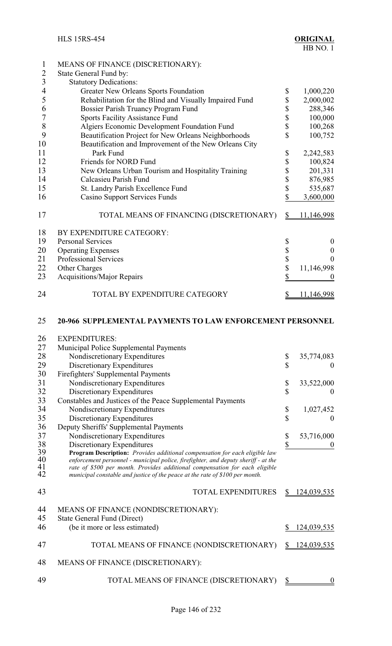| $\mathbf{1}$             | MEANS OF FINANCE (DISCRETIONARY):                                                  |                                    |                    |
|--------------------------|------------------------------------------------------------------------------------|------------------------------------|--------------------|
| $\overline{2}$           | State General Fund by:                                                             |                                    |                    |
| $\overline{3}$           | <b>Statutory Dedications:</b>                                                      |                                    |                    |
| $\overline{\mathcal{A}}$ | Greater New Orleans Sports Foundation                                              | \$                                 | 1,000,220          |
| 5                        | Rehabilitation for the Blind and Visually Impaired Fund                            | \$                                 | 2,000,002          |
| 6                        | Bossier Parish Truancy Program Fund                                                | \$                                 | 288,346            |
| 7                        | <b>Sports Facility Assistance Fund</b>                                             | \$                                 | 100,000            |
| 8                        | Algiers Economic Development Foundation Fund                                       | \$                                 | 100,268            |
| 9                        | Beautification Project for New Orleans Neighborhoods                               | \$                                 | 100,752            |
| 10                       | Beautification and Improvement of the New Orleans City                             |                                    |                    |
| 11                       | Park Fund                                                                          | \$                                 | 2,242,583          |
| 12                       | Friends for NORD Fund                                                              |                                    | 100,824            |
|                          |                                                                                    | \$                                 |                    |
| 13                       | New Orleans Urban Tourism and Hospitality Training                                 | \$                                 | 201,331            |
| 14                       | Calcasieu Parish Fund                                                              | \$                                 | 876,985            |
| 15                       | St. Landry Parish Excellence Fund                                                  | \$                                 | 535,687            |
| 16                       | <b>Casino Support Services Funds</b>                                               | \$                                 | 3,600,000          |
| 17                       | TOTAL MEANS OF FINANCING (DISCRETIONARY)                                           | $\mathbf{\underline{\mathcal{S}}}$ | 11,146,998         |
| 18                       | BY EXPENDITURE CATEGORY:                                                           |                                    |                    |
| 19                       | <b>Personal Services</b>                                                           | \$                                 | $\boldsymbol{0}$   |
| 20                       | <b>Operating Expenses</b>                                                          |                                    | $\boldsymbol{0}$   |
| 21                       | Professional Services                                                              | \$<br>\$                           | $\boldsymbol{0}$   |
| 22                       | Other Charges                                                                      | \$                                 | 11,146,998         |
| 23                       | <b>Acquisitions/Major Repairs</b>                                                  | \$                                 | 0                  |
|                          |                                                                                    |                                    |                    |
| 24                       | TOTAL BY EXPENDITURE CATEGORY                                                      | \$                                 | <u>11,146,998</u>  |
| 26<br>27                 | <b>EXPENDITURES:</b><br>Municipal Police Supplemental Payments                     |                                    |                    |
| 28                       | Nondiscretionary Expenditures                                                      | \$                                 | 35,774,083         |
| 29                       | Discretionary Expenditures                                                         | \$                                 | $\theta$           |
| 30                       | Firefighters' Supplemental Payments                                                |                                    |                    |
| 31                       | Nondiscretionary Expenditures                                                      | \$                                 | 33,522,000         |
| 32                       | Discretionary Expenditures                                                         | \$                                 | $_{0}$             |
| 33                       | Constables and Justices of the Peace Supplemental Payments                         |                                    |                    |
| 34                       | Nondiscretionary Expenditures                                                      | \$                                 | 1,027,452          |
| 35                       | Discretionary Expenditures                                                         | \$                                 | $\theta$           |
| 36                       | Deputy Sheriffs' Supplemental Payments                                             |                                    |                    |
| 37                       | Nondiscretionary Expenditures                                                      | \$                                 | 53,716,000         |
| 38                       | Discretionary Expenditures                                                         | \$                                 | $\theta$           |
| 39                       | Program Description: Provides additional compensation for each eligible law        |                                    |                    |
| 40                       | enforcement personnel - municipal police, firefighter, and deputy sheriff - at the |                                    |                    |
| 41                       | rate of \$500 per month. Provides additional compensation for each eligible        |                                    |                    |
| 42                       | municipal constable and justice of the peace at the rate of \$100 per month.       |                                    |                    |
| 43                       | <b>TOTAL EXPENDITURES</b>                                                          |                                    | <u>24,039,535</u>  |
| 44                       | MEANS OF FINANCE (NONDISCRETIONARY):                                               |                                    |                    |
| 45                       | <b>State General Fund (Direct)</b>                                                 |                                    |                    |
| 46                       | (be it more or less estimated)                                                     | \$                                 | 124,039,535        |
| 47                       | TOTAL MEANS OF FINANCE (NONDISCRETIONARY)                                          | \$                                 | <u>124,039,535</u> |
| 48                       | MEANS OF FINANCE (DISCRETIONARY):                                                  |                                    |                    |
| 49                       | TOTAL MEANS OF FINANCE (DISCRETIONARY)                                             | $\mathcal{S}_{\mathcal{D}}$        | $\boldsymbol{0}$   |
|                          |                                                                                    |                                    |                    |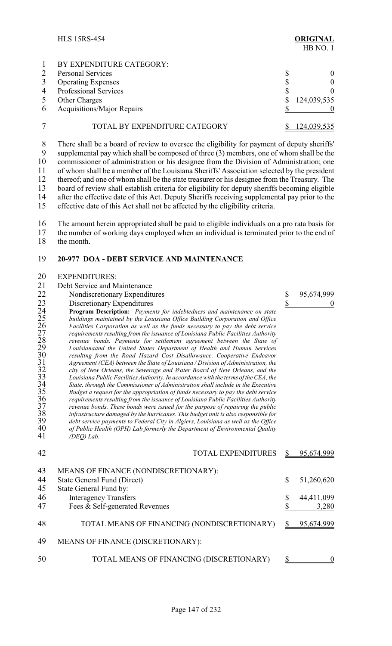|              | <b>HLS 15RS-454</b>                                                                                                                                                                                                                                                               |   | <b>ORIGINAL</b><br>HB NO.1 |
|--------------|-----------------------------------------------------------------------------------------------------------------------------------------------------------------------------------------------------------------------------------------------------------------------------------|---|----------------------------|
|              | BY EXPENDITURE CATEGORY:                                                                                                                                                                                                                                                          |   |                            |
|              | <b>Personal Services</b>                                                                                                                                                                                                                                                          | S |                            |
| 3            | <b>Operating Expenses</b>                                                                                                                                                                                                                                                         |   |                            |
| 4            | <b>Professional Services</b>                                                                                                                                                                                                                                                      |   |                            |
| 5            | <b>Other Charges</b>                                                                                                                                                                                                                                                              |   | 124,039,535                |
| 6            | <b>Acquisitions/Major Repairs</b>                                                                                                                                                                                                                                                 |   |                            |
|              | TOTAL BY EXPENDITURE CATEGORY                                                                                                                                                                                                                                                     |   | 124,039,535                |
| 8<br>9<br>10 | There shall be a board of review to oversee the eligibility for payment of deputy sheriffs'<br>supplemental pay which shall be composed of three (3) members, one of whom shall be the<br>commissioner of administration or his designee from the Division of Administration; one |   |                            |

11 of whom shall be a member of the Louisiana Sheriffs' Association selected by the president 12 thereof; and one of whom shall be the state treasurer or his designee from the Treasury. The 12 thereof; and one of whom shall be the state treasurer or his designee from the Treasury. The board of review shall establish criteria for eligibility for deputy sheriffs becoming eligible 13 board of review shall establish criteria for eligibility for deputy sheriffs becoming eligible<br>14 after the effective date of this Act. Deputy Sheriffs receiving supplemental pay prior to the 14 after the effective date of this Act. Deputy Sheriffs receiving supplemental pay prior to the 15 effective date of this Act shall not be affected by the eligibility criteria. effective date of this Act shall not be affected by the eligibility criteria.

 The amount herein appropriated shall be paid to eligible individuals on a pro rata basis for the number of working days employed when an individual is terminated prior to the end of the month.

#### **20-977 DOA - DEBT SERVICE AND MAINTENANCE**

### 20 EXPENDITURES:<br>21 Debt Service and M

| 21                                                                                                                     | Debt Service and Maintenance                                                                                                                                                                                                                                                                                                                                                                                                                                                                                                                                                                                                                                                                                                                                                                                                                                                                                                                                                                                                                                                                                                                                                                                                                                                                                                                                                                                                               |                         |                  |
|------------------------------------------------------------------------------------------------------------------------|--------------------------------------------------------------------------------------------------------------------------------------------------------------------------------------------------------------------------------------------------------------------------------------------------------------------------------------------------------------------------------------------------------------------------------------------------------------------------------------------------------------------------------------------------------------------------------------------------------------------------------------------------------------------------------------------------------------------------------------------------------------------------------------------------------------------------------------------------------------------------------------------------------------------------------------------------------------------------------------------------------------------------------------------------------------------------------------------------------------------------------------------------------------------------------------------------------------------------------------------------------------------------------------------------------------------------------------------------------------------------------------------------------------------------------------------|-------------------------|------------------|
| 22                                                                                                                     | Nondiscretionary Expenditures                                                                                                                                                                                                                                                                                                                                                                                                                                                                                                                                                                                                                                                                                                                                                                                                                                                                                                                                                                                                                                                                                                                                                                                                                                                                                                                                                                                                              | \$                      | 95,674,999       |
| 23                                                                                                                     | Discretionary Expenditures                                                                                                                                                                                                                                                                                                                                                                                                                                                                                                                                                                                                                                                                                                                                                                                                                                                                                                                                                                                                                                                                                                                                                                                                                                                                                                                                                                                                                 | \$                      | $\theta$         |
| $\frac{24}{25}$<br>$\frac{26}{27}$<br>28<br>29<br>30<br>31<br>32<br>33<br>34<br>35<br>36<br>37<br>38<br>39<br>40<br>41 | Program Description: Payments for indebtedness and maintenance on state<br>buildings maintained by the Louisiana Office Building Corporation and Office<br>Facilities Corporation as well as the funds necessary to pay the debt service<br>requirements resulting from the issuance of Louisiana Public Facilities Authority<br>revenue bonds. Payments for settlement agreement between the State of<br>Louisianaand the United States Department of Health and Human Services<br>resulting from the Road Hazard Cost Disallowance. Cooperative Endeavor<br>Agreement (CEA) between the State of Louisiana / Division of Administration, the<br>city of New Orleans, the Sewerage and Water Board of New Orleans, and the<br>Louisiana Public Facilities Authority. In accordance with the terms of the CEA, the<br>State, through the Commissioner of Administration shall include in the Executive<br>Budget a request for the appropriation of funds necessary to pay the debt service<br>requirements resulting from the issuance of Louisiana Public Facilities Authority<br>revenue bonds. These bonds were issued for the purpose of repairing the public<br>infrastructure damaged by the hurricanes. This budget unit is also responsible for<br>debt service payments to Federal City in Algiers, Louisiana as well as the Office<br>of Public Health (OPH) Lab formerly the Department of Environmental Quality<br>(DEQ) Lab. |                         |                  |
| 42                                                                                                                     | <b>TOTAL EXPENDITURES</b>                                                                                                                                                                                                                                                                                                                                                                                                                                                                                                                                                                                                                                                                                                                                                                                                                                                                                                                                                                                                                                                                                                                                                                                                                                                                                                                                                                                                                  | \$                      | 95,674,999       |
| 43                                                                                                                     | MEANS OF FINANCE (NONDISCRETIONARY):                                                                                                                                                                                                                                                                                                                                                                                                                                                                                                                                                                                                                                                                                                                                                                                                                                                                                                                                                                                                                                                                                                                                                                                                                                                                                                                                                                                                       |                         |                  |
| 44                                                                                                                     | <b>State General Fund (Direct)</b>                                                                                                                                                                                                                                                                                                                                                                                                                                                                                                                                                                                                                                                                                                                                                                                                                                                                                                                                                                                                                                                                                                                                                                                                                                                                                                                                                                                                         | \$                      | 51,260,620       |
| 45                                                                                                                     | State General Fund by:                                                                                                                                                                                                                                                                                                                                                                                                                                                                                                                                                                                                                                                                                                                                                                                                                                                                                                                                                                                                                                                                                                                                                                                                                                                                                                                                                                                                                     |                         |                  |
| 46                                                                                                                     | <b>Interagency Transfers</b>                                                                                                                                                                                                                                                                                                                                                                                                                                                                                                                                                                                                                                                                                                                                                                                                                                                                                                                                                                                                                                                                                                                                                                                                                                                                                                                                                                                                               | \$                      | 44,411,099       |
| 47                                                                                                                     | Fees & Self-generated Revenues                                                                                                                                                                                                                                                                                                                                                                                                                                                                                                                                                                                                                                                                                                                                                                                                                                                                                                                                                                                                                                                                                                                                                                                                                                                                                                                                                                                                             | $\overline{\mathbb{S}}$ | 3,280            |
| 48                                                                                                                     | TOTAL MEANS OF FINANCING (NONDISCRETIONARY)                                                                                                                                                                                                                                                                                                                                                                                                                                                                                                                                                                                                                                                                                                                                                                                                                                                                                                                                                                                                                                                                                                                                                                                                                                                                                                                                                                                                | \$                      | 95,674,999       |
| 49                                                                                                                     | MEANS OF FINANCE (DISCRETIONARY):                                                                                                                                                                                                                                                                                                                                                                                                                                                                                                                                                                                                                                                                                                                                                                                                                                                                                                                                                                                                                                                                                                                                                                                                                                                                                                                                                                                                          |                         |                  |
| 50                                                                                                                     | TOTAL MEANS OF FINANCING (DISCRETIONARY)                                                                                                                                                                                                                                                                                                                                                                                                                                                                                                                                                                                                                                                                                                                                                                                                                                                                                                                                                                                                                                                                                                                                                                                                                                                                                                                                                                                                   | \$                      | $\boldsymbol{0}$ |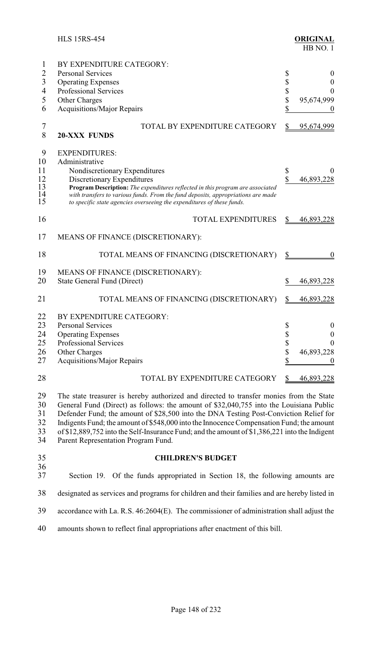|                      | <b>HLS 15RS-454</b>                                                                                                                                                                                                                                                                                                                                                    |    | <b>ORIGINAL</b><br>HB NO. 1 |
|----------------------|------------------------------------------------------------------------------------------------------------------------------------------------------------------------------------------------------------------------------------------------------------------------------------------------------------------------------------------------------------------------|----|-----------------------------|
| 1                    | BY EXPENDITURE CATEGORY:                                                                                                                                                                                                                                                                                                                                               |    |                             |
| $\overline{2}$       | <b>Personal Services</b>                                                                                                                                                                                                                                                                                                                                               | \$ | $\boldsymbol{0}$            |
| $\overline{3}$       | <b>Operating Expenses</b>                                                                                                                                                                                                                                                                                                                                              | \$ | $\boldsymbol{0}$            |
| $\overline{4}$       | <b>Professional Services</b>                                                                                                                                                                                                                                                                                                                                           | \$ | 0                           |
| 5                    | Other Charges                                                                                                                                                                                                                                                                                                                                                          | \$ | 95,674,999                  |
| 6                    | Acquisitions/Major Repairs                                                                                                                                                                                                                                                                                                                                             | \$ | $\boldsymbol{0}$            |
| 7<br>8               | TOTAL BY EXPENDITURE CATEGORY<br><b>20-XXX FUNDS</b>                                                                                                                                                                                                                                                                                                                   |    | 95,674,999                  |
| 9                    | <b>EXPENDITURES:</b>                                                                                                                                                                                                                                                                                                                                                   |    |                             |
| 10                   | Administrative                                                                                                                                                                                                                                                                                                                                                         |    |                             |
| 11                   | Nondiscretionary Expenditures                                                                                                                                                                                                                                                                                                                                          | \$ |                             |
| 12<br>13<br>14<br>15 | Discretionary Expenditures<br>Program Description: The expenditures reflected in this program are associated<br>with transfers to various funds. From the fund deposits, appropriations are made<br>to specific state agencies overseeing the expenditures of these funds.                                                                                             | \$ | 46,893,228                  |
| 16                   | <b>TOTAL EXPENDITURES</b>                                                                                                                                                                                                                                                                                                                                              |    | 46,893,228                  |
| 17                   | MEANS OF FINANCE (DISCRETIONARY):                                                                                                                                                                                                                                                                                                                                      |    |                             |
| 18                   | TOTAL MEANS OF FINANCING (DISCRETIONARY)                                                                                                                                                                                                                                                                                                                               | \$ | $\boldsymbol{0}$            |
| 19                   | MEANS OF FINANCE (DISCRETIONARY):                                                                                                                                                                                                                                                                                                                                      |    |                             |
| 20                   | <b>State General Fund (Direct)</b>                                                                                                                                                                                                                                                                                                                                     | S  | 46,893,228                  |
|                      |                                                                                                                                                                                                                                                                                                                                                                        |    |                             |
| 21                   | TOTAL MEANS OF FINANCING (DISCRETIONARY)                                                                                                                                                                                                                                                                                                                               |    | 46,893,228                  |
| 22                   | BY EXPENDITURE CATEGORY:                                                                                                                                                                                                                                                                                                                                               |    |                             |
| 23                   | Personal Services                                                                                                                                                                                                                                                                                                                                                      | \$ | $\boldsymbol{0}$            |
| 24                   | <b>Operating Expenses</b>                                                                                                                                                                                                                                                                                                                                              | \$ | $\boldsymbol{0}$            |
| 25                   | Professional Services                                                                                                                                                                                                                                                                                                                                                  | \$ | 0                           |
| 26                   | Other Charges                                                                                                                                                                                                                                                                                                                                                          | \$ | 46,893,228                  |
| 27                   | <b>Acquisitions/Major Repairs</b>                                                                                                                                                                                                                                                                                                                                      | \$ | $\theta$                    |
| 28                   | TOTAL BY EXPENDITURE CATEGORY                                                                                                                                                                                                                                                                                                                                          |    | <u>46,893,228</u>           |
| 29<br>30<br>31<br>32 | The state treasurer is hereby authorized and directed to transfer monies from the State<br>General Fund (Direct) as follows: the amount of \$32,040,755 into the Louisiana Public<br>Defender Fund; the amount of \$28,500 into the DNA Testing Post-Conviction Relief for<br>Indigents Fund; the amount of \$548,000 into the Innocence Compensation Fund; the amount |    |                             |

 of \$12,889,752 into the Self-Insurance Fund; and the amount of \$1,386,221 into the Indigent Parent Representation Program Fund.

### **CHILDREN'S BUDGET**

#### 36<br>37 Section 19. Of the funds appropriated in Section 18, the following amounts are

designated as services and programs for children and their families and are hereby listed in

accordance with La. R.S. 46:2604(E). The commissioner of administration shall adjust the

amounts shown to reflect final appropriations after enactment of this bill.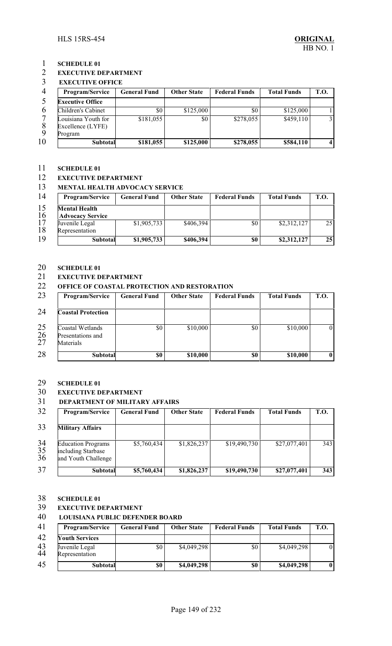### 1 **SCHEDULE 01**<br>2 **EXECUTIVE D**

#### **EXECUTIVE DEPARTMENT**

#### **EXECUTIVE OFFICE**

| Program/Service                          | <b>General Fund</b> | <b>Other State</b> | <b>Federal Funds</b> | <b>Total Funds</b> | <b>T.O.</b> |
|------------------------------------------|---------------------|--------------------|----------------------|--------------------|-------------|
| <b>Executive Office</b>                  |                     |                    |                      |                    |             |
| Children's Cabinet                       | \$0                 | \$125,000          | \$0                  | \$125,000          |             |
| Louisiana Youth for<br>Excellence (LYFE) | \$181,055           | \$0                | \$278,055            | \$459,110          |             |
| Program                                  |                     |                    |                      |                    |             |
| <b>Subtotal</b>                          | \$181,055           | \$125,000          | \$278,055            | \$584,110          |             |

### 11 **SCHEDULE 01**<br>12 **EXECUTIVE D**

#### **EXECUTIVE DEPARTMENT**

#### **MENTAL HEALTH ADVOCACY SERVICE**

| 14 | <b>Program/Service</b>  | <b>General Fund</b> | <b>Other State</b> | <b>Federal Funds</b> | <b>Total Funds</b> | <b>T.O.</b> |
|----|-------------------------|---------------------|--------------------|----------------------|--------------------|-------------|
| 15 | <b>Mental Health</b>    |                     |                    |                      |                    |             |
| 16 | <b>Advocacy Service</b> |                     |                    |                      |                    |             |
| 17 | Juvenile Legal          | \$1,905,733         | \$406,394          | \$0                  | \$2,312,127        | 25          |
| 18 | Representation          |                     |                    |                      |                    |             |
| 19 | <b>Subtotal</b>         | \$1,905,733         | \$406,394          | \$0                  | \$2,312,127        | 25          |

# 20 **SCHEDULE 01**<br>21 **EXECUTIVE D**

### **EXECUTIVE DEPARTMENT**

#### **OFFICE OF COASTAL PROTECTION AND RESTORATION**

| 23             | Program/Service                                    | <b>General Fund</b> | <b>Other State</b> | <b>Federal Funds</b> | <b>Total Funds</b> | T.O.           |
|----------------|----------------------------------------------------|---------------------|--------------------|----------------------|--------------------|----------------|
| 24             | <b>Coastal Protection</b>                          |                     |                    |                      |                    |                |
| 25<br>26<br>27 | Coastal Wetlands<br>Presentations and<br>Materials | \$0                 | \$10,000           | \$0                  | \$10,000           | $\overline{0}$ |
| 28             | <b>Subtotal</b>                                    | \$0                 | \$10,000           | \$0                  | \$10,000           | $\bf{0}$       |

#### **SCHEDULE 01**

### **EXECUTIVE DEPARTMENT**

#### **DEPARTMENT OF MILITARY AFFAIRS**

| 32             | Program/Service                                                        | <b>General Fund</b> | <b>Other State</b> | <b>Federal Funds</b> | <b>Total Funds</b> | <b>T.O.</b> |
|----------------|------------------------------------------------------------------------|---------------------|--------------------|----------------------|--------------------|-------------|
| 33             | <b>Military Affairs</b>                                                |                     |                    |                      |                    |             |
| 34<br>35<br>36 | <b>Education Programs</b><br>including Starbase<br>and Youth Challenge | \$5,760,434         | \$1,826,237        | \$19,490,730         | \$27,077,401       | 343         |
| 37             | <b>Subtotal</b>                                                        | \$5,760,434         | \$1,826,237        | \$19,490,730         | \$27,077,401       | 343         |

#### **SCHEDULE 01**

#### **EXECUTIVE DEPARTMENT**

#### **LOUISIANA PUBLIC DEFENDER BOARD**

| 41       | <b>Program/Service</b>           | <b>General Fund</b> | <b>Other State</b> | <b>Federal Funds</b> | <b>Total Funds</b> | <b>T.O.</b> |
|----------|----------------------------------|---------------------|--------------------|----------------------|--------------------|-------------|
| 42       | <b>Youth Services</b>            |                     |                    |                      |                    |             |
| 43<br>44 | Juvenile Legal<br>Representation | \$0                 | \$4,049,298        | \$0                  | \$4,049,298        | 01          |
| 45       | Subtotal                         | \$0                 | \$4,049,298        | \$0                  | \$4,049,298        |             |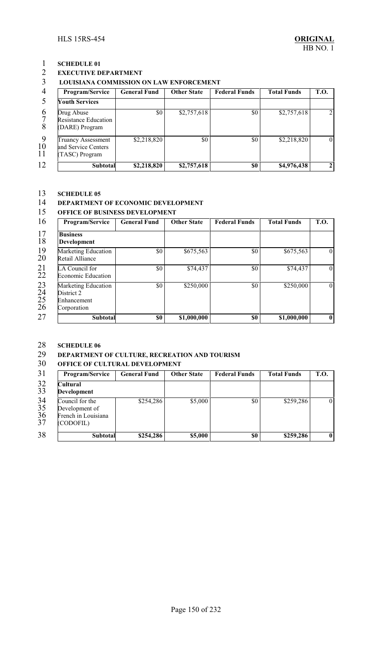# 1 **SCHEDULE 01**<br>2 **EXECUTIVE D**

### **EXECUTIVE DEPARTMENT**

#### **LOUISIANA COMMISSION ON LAW ENFORCEMENT**

|                | Program/Service                                                    | <b>General Fund</b> | <b>Other State</b> | <b>Federal Funds</b> | <b>Total Funds</b> | <b>T.O.</b> |
|----------------|--------------------------------------------------------------------|---------------------|--------------------|----------------------|--------------------|-------------|
|                | <b>Youth Services</b>                                              |                     |                    |                      |                    |             |
| 6              | Drug Abuse<br><b>Resistance Education</b><br>(DARE) Program        | \$0                 | \$2,757,618        | \$0                  | \$2,757,618        |             |
| -9<br>10<br>11 | <b>Truancy Assessment</b><br>and Service Centers<br>(TASC) Program | \$2,218,820         | \$0 <sub>1</sub>   | \$0                  | \$2,218,820        |             |
| 12             | <b>Subtotal</b>                                                    | \$2,218,820         | \$2,757,618        | \$0                  | \$4,976,438        |             |

#### **SCHEDULE 05**

### 14 **DEPARTMENT OF ECONOMIC DEVELOPMENT**<br>15 **OFFICE OF BUSINESS DEVELOPMENT**

#### **OFFICE OF BUSINESS DEVELOPMENT**

| 16 | Program/Service                                                 | <b>General Fund</b> | <b>Other State</b> | <b>Federal Funds</b> | <b>Total Funds</b> | T.O.           |
|----|-----------------------------------------------------------------|---------------------|--------------------|----------------------|--------------------|----------------|
|    | <b>Business</b><br>Development                                  |                     |                    |                      |                    |                |
|    | Marketing Education<br>Retail Alliance                          | \$0                 | \$675,563          | $\$0$                | \$675,563          | $\overline{0}$ |
| 22 | LA Council for<br><b>Economic Education</b>                     | \$0                 | \$74,437           | \$0                  | \$74,437           | $\overline{0}$ |
|    | Marketing Education<br>District 2<br>Enhancement<br>Corporation | \$0                 | \$250,000          | $\$0$                | \$250,000          | $\Omega$       |
|    | Subtotal                                                        | \$0                 | \$1,000,000        | \$0                  | \$1,000,000        | $\mathbf{0}$   |

### **SCHEDULE 06**

### **DEPARTMENT OF CULTURE, RECREATION AND TOURISM**

#### **OFFICE OF CULTURAL DEVELOPMENT**

| 31                          | Program/Service                                                       | <b>General Fund</b> | <b>Other State</b> | <b>Federal Funds</b> | <b>Total Funds</b> | <b>T.O.</b>    |
|-----------------------------|-----------------------------------------------------------------------|---------------------|--------------------|----------------------|--------------------|----------------|
| $\frac{32}{33}$             | Cultural<br><b>Development</b>                                        |                     |                    |                      |                    |                |
| $\frac{34}{35}$<br>36<br>37 | Council for the<br>Development of<br>French in Louisiana<br>(CODOFIL) | \$254,286           | \$5,000            | \$0                  | \$259,286          | $\overline{0}$ |
| 38                          | <b>Subtotal</b>                                                       | \$254,286           | \$5,000            | \$0                  | \$259,286          | $\bf{0}$       |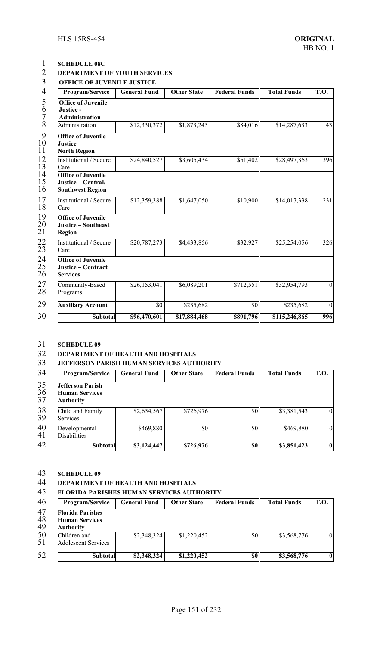### **SCHEDULE 08C DEPARTMENT OF YOUTH SERVICES**

**OFFICE OF JUVENILE JUSTICE** 

| Program/Service                                                            | <b>General Fund</b> | <b>Other State</b> | <b>Federal Funds</b> | <b>Total Funds</b> | <b>T.O.</b>      |
|----------------------------------------------------------------------------|---------------------|--------------------|----------------------|--------------------|------------------|
| <b>Office of Juvenile</b><br>Justice-<br><b>Administration</b>             |                     |                    |                      |                    |                  |
| Administration                                                             | \$12,330,372        | \$1,873,245        | \$84,016             | \$14,287,633       | 43               |
| <b>Office of Juvenile</b><br>Justice –<br><b>North Region</b>              |                     |                    |                      |                    |                  |
| Institutional / Secure<br>Care                                             | \$24,840,527        | \$3,605,434        | \$51,402             | \$28,497,363       | 396              |
| <b>Office of Juvenile</b><br>Justice - Central/<br><b>Southwest Region</b> |                     |                    |                      |                    |                  |
| Institutional / Secure<br>Care                                             | \$12,359,388        | \$1,647,050        | \$10,900             | \$14,017,338       | $\overline{231}$ |
| <b>Office of Juvenile</b><br>Justice - Southeast<br>Region                 |                     |                    |                      |                    |                  |
| Institutional / Secure<br>Care                                             | \$20,787,273        | \$4,433,856        | \$32,927             | \$25,254,056       | $\overline{326}$ |
| <b>Office of Juvenile</b><br>Justice – Contract<br><b>Services</b>         |                     |                    |                      |                    |                  |
| Community-Based<br>Programs                                                | \$26,153,041        | \$6,089,201        | \$712,551            | \$32,954,793       | $\theta$         |
| <b>Auxiliary Account</b>                                                   | $\overline{50}$     | \$235,682          | $\overline{50}$      | \$235,682          | $\mathbf{0}$     |
| Subtotal                                                                   | \$96,470,601        | \$17,884,468       | \$891,796            | \$115,246,865      | 996              |

### **SCHEDULE 09**

#### **DEPARTMENT OF HEALTH AND HOSPITALS**

#### **JEFFERSON PARISH HUMAN SERVICES AUTHORITY**

| 34                    | Program/Service                                               | <b>General Fund</b>     | <b>Other State</b> | <b>Federal Funds</b> | <b>Total Funds</b> | <b>T.O.</b>    |
|-----------------------|---------------------------------------------------------------|-------------------------|--------------------|----------------------|--------------------|----------------|
| $\frac{35}{36}$<br>37 | <b>Jefferson Parish</b><br><b>Human Services</b><br>Authority |                         |                    |                      |                    |                |
| $\frac{38}{39}$       | Child and Family<br>Services                                  | \$2,654,567             | \$726,976          | \$0                  | \$3,381,543        | $\overline{0}$ |
| 40<br>41              | Developmental<br>Disabilities                                 | \$469,880               | \$0                | \$0                  | \$469,880          | $\overline{0}$ |
| 42                    | Subtotal                                                      | $$3,12\overline{4,447}$ | \$726,976          | \$0                  | \$3,851,423        | $\mathbf{0}$   |

# **SCHEDULE 09**

### **DEPARTMENT OF HEALTH AND HOSPITALS**

#### **FLORIDA PARISHES HUMAN SERVICES AUTHORITY**

| 46             | Program/Service                                                      | <b>General Fund</b> | <b>Other State</b> | <b>Federal Funds</b> | <b>Total Funds</b> | <b>T.O.</b> |
|----------------|----------------------------------------------------------------------|---------------------|--------------------|----------------------|--------------------|-------------|
| 47<br>48<br>49 | <b>Florida Parishes</b><br><b>Human Services</b><br><b>Authority</b> |                     |                    |                      |                    |             |
| 50<br>51       | Children and<br><b>Adolescent Services</b>                           | \$2,348,324         | \$1,220,452        | \$0                  | \$3,568,776        | $\theta$    |
| 52             | <b>Subtotal</b>                                                      | \$2,348,324         | \$1,220,452        | \$0                  | \$3,568,776        | $\bf{0}$    |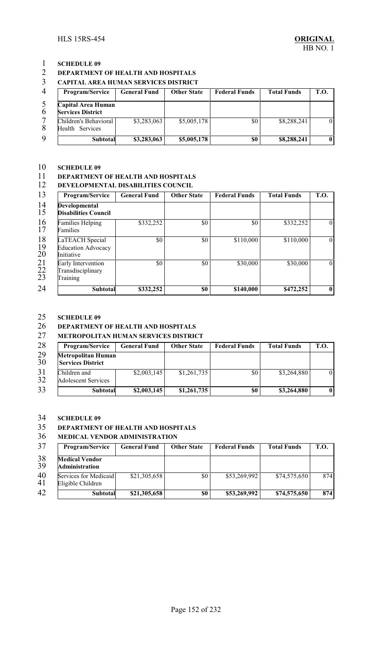#### **DEPARTMENT OF HEALTH AND HOSPITALS**

#### **CAPITAL AREA HUMAN SERVICES DISTRICT**

| $\overline{4}$ | <b>Program/Service</b>                         | <b>General Fund</b> | <b>Other State</b> | <b>Federal Funds</b> | <b>Total Funds</b> | <b>T.O.</b> |
|----------------|------------------------------------------------|---------------------|--------------------|----------------------|--------------------|-------------|
| $\bm{6}$       | Capital Area Human<br><b>Services District</b> |                     |                    |                      |                    |             |
|                | Children's Behavioral I<br>Health Services     | \$3,283,063         | \$5,005,178        | \$0                  | \$8,288,241        |             |
| 9              | Subtotal                                       | \$3,283,063         | \$5,005,178        | \$0                  | \$8,288,241        |             |

### **SCHEDULE 09**

### **DEPARTMENT OF HEALTH AND HOSPITALS**

#### **DEVELOPMENTAL DISABILITIES COUNCIL**

| 13                                         | Program/Service                                            | <b>General Fund</b> | <b>Other State</b> | <b>Federal Funds</b> | <b>Total Funds</b> | T.O.           |
|--------------------------------------------|------------------------------------------------------------|---------------------|--------------------|----------------------|--------------------|----------------|
| 14<br>15                                   | <b>Developmental</b><br><b>Disabilities Council</b>        |                     |                    |                      |                    |                |
| 16<br>17                                   | <b>Families Helping</b><br>Families                        | \$332,252           | \$0                | \$0                  | \$332,252          | $\theta$       |
| 18<br>19<br>20                             | LaTEACH Special<br><b>Education Advocacy</b><br>Initiative | \$0                 | \$0                | \$110,000            | \$110,000          | $\overline{0}$ |
| $^{21}_{22}$<br>$\overline{2}\overline{3}$ | Early Intervention<br>Transdisciplinary<br>Training        | \$0                 | \$0                | \$30,000             | \$30,000           | $\theta$       |
| 24                                         | <b>Subtotal</b>                                            | \$332,252           | \$0                | \$140,000            | \$472,252          | $\mathbf{0}$   |

### 25 **SCHEDULE 09**<br>26 **DEPARTMENT**

### **DEPARTMENT OF HEALTH AND HOSPITALS**

#### **METROPOLITAN HUMAN SERVICES DISTRICT**

| 28              | <b>Program/Service</b>                                | <b>General Fund</b> | <b>Other State</b> | <b>Federal Funds</b> | <b>Total Funds</b> | <b>T.O.</b> |
|-----------------|-------------------------------------------------------|---------------------|--------------------|----------------------|--------------------|-------------|
| $\frac{29}{30}$ | <b>Metropolitan Human</b><br><b>Services District</b> |                     |                    |                      |                    |             |
| 31<br>32        | Children and<br><b>Adolescent Services</b>            | \$2,003,145         | \$1,261,735        | \$0                  | \$3,264,880        | $\Omega$    |
| 33              | <b>Subtotal</b>                                       | \$2,003,145         | \$1,261,735        | \$0                  | \$3,264,880        | $\bf{0}$    |

# **SCHEDULE 09**

#### **DEPARTMENT OF HEALTH AND HOSPITALS**

#### **MEDICAL VENDOR ADMINISTRATION**

| 37       | <b>Program/Service</b>                     | <b>General Fund</b> | <b>Other State</b> | <b>Federal Funds</b> | <b>Total Funds</b> | <b>T.O.</b> |
|----------|--------------------------------------------|---------------------|--------------------|----------------------|--------------------|-------------|
| 38       | <b>Medical Vendor</b>                      |                     |                    |                      |                    |             |
| 39       | <b>Administration</b>                      |                     |                    |                      |                    |             |
| 40<br>41 | Services for Medicaid<br>Eligible Children | \$21,305,658        | \$0                | \$53,269,992         | \$74,575,650       | 874         |
| 42       | <b>Subtotal</b>                            | \$21,305,658        | \$0                | \$53,269,992         | \$74,575,650       | 874         |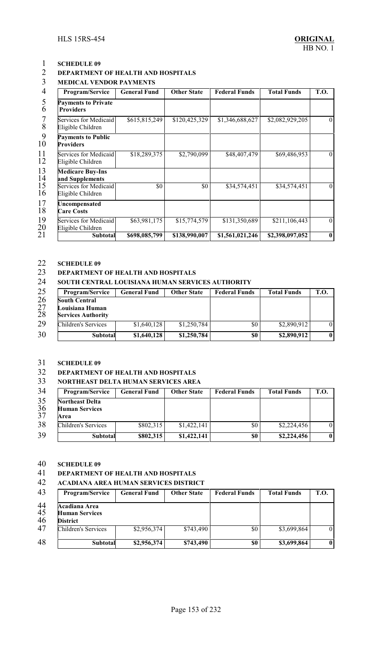#### **DEPARTMENT OF HEALTH AND HOSPITALS**

### **MEDICAL VENDOR PAYMENTS**

| Program/Service                                | <b>General Fund</b> | <b>Other State</b> | <b>Federal Funds</b> | <b>Total Funds</b> | T.O.         |
|------------------------------------------------|---------------------|--------------------|----------------------|--------------------|--------------|
| <b>Payments to Private</b><br><b>Providers</b> |                     |                    |                      |                    |              |
| Services for Medicaid<br>Eligible Children     | \$615,815,249       | \$120,425,329      | \$1,346,688,627      | \$2,082,929,205    | $\theta$     |
| <b>Payments to Public</b><br><b>Providers</b>  |                     |                    |                      |                    |              |
| Services for Medicaid<br>Eligible Children     | \$18,289,375        | \$2,790,099        | \$48,407,479         | \$69,486,953       | $\theta$     |
| <b>Medicare Buy-Ins</b><br>and Supplements     |                     |                    |                      |                    |              |
| Services for Medicaid<br>Eligible Children     | \$0                 | \$0                | \$34,574,451         | \$34,574,451       | $\theta$     |
| Uncompensated<br><b>Care Costs</b>             |                     |                    |                      |                    |              |
| Services for Medicaid<br>Eligible Children     | \$63,981,175        | \$15,774,579       | \$131,350,689        | \$211,106,443      | $\theta$     |
| <b>Subtotal</b>                                | \$698,085,799       | \$138,990,007      | \$1,561,021,246      | \$2,398,097,052    | $\mathbf{0}$ |

### **SCHEDULE 09**

### **DEPARTMENT OF HEALTH AND HOSPITALS**

#### **SOUTH CENTRAL LOUISIANA HUMAN SERVICES AUTHORITY**

| 25             | <b>Program/Service</b>                                        | <b>General Fund</b> | <b>Other State</b> | <b>Federal Funds</b> | <b>Total Funds</b> | <b>T.O.</b> |
|----------------|---------------------------------------------------------------|---------------------|--------------------|----------------------|--------------------|-------------|
| 26<br>27<br>28 | South Central<br>Louisiana Human<br><b>Services Authority</b> |                     |                    |                      |                    |             |
| 29             | Children's Services                                           | \$1,640,128         | \$1,250,784        | \$0                  | \$2,890,912        | $\theta$    |
| 30             | <b>Subtotal</b>                                               | \$1,640,128         | \$1,250,784        | \$0                  | \$2,890,912        | $\bf{0}$    |

#### **SCHEDULE 09**

#### **DEPARTMENT OF HEALTH AND HOSPITALS**

#### **NORTHEAST DELTA HUMAN SERVICES AREA**

| 34                    | <b>Program/Service</b>                                  | <b>General Fund</b> | <b>Other State</b> | <b>Federal Funds</b> | <b>Total Funds</b> | T.O.         |
|-----------------------|---------------------------------------------------------|---------------------|--------------------|----------------------|--------------------|--------------|
| 35<br>$\frac{36}{37}$ | <b>Northeast Delta</b><br><b>Human Services</b><br>Area |                     |                    |                      |                    |              |
| 38                    | Children's Services                                     | \$802,315           | \$1,422,141        | \$0                  | \$2,224,456        | $\theta$     |
| 39                    | Subtotal                                                | \$802,315           | \$1,422,141        | \$0                  | \$2,224,456        | $\mathbf{0}$ |

#### **SCHEDULE 09**

### **DEPARTMENT OF HEALTH AND HOSPITALS**

#### **ACADIANA AREA HUMAN SERVICES DISTRICT**

| 43             | <b>Program/Service</b>                                    | <b>General Fund</b> | <b>Other State</b> | <b>Federal Funds</b> | <b>Total Funds</b> | T.O.         |
|----------------|-----------------------------------------------------------|---------------------|--------------------|----------------------|--------------------|--------------|
| 44<br>45<br>46 | Acadiana Area<br><b>Human Services</b><br><b>District</b> |                     |                    |                      |                    |              |
| 47             | Children's Services                                       | \$2,956,374         | \$743,490          | \$0                  | \$3,699,864        | $\theta$     |
| 48             | Subtotal                                                  | \$2,956,374         | \$743,490          | \$0                  | \$3,699,864        | $\mathbf{0}$ |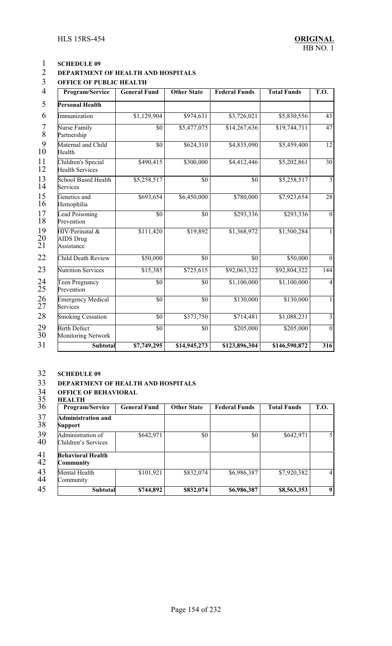### **DEPARTMENT OF HEALTH AND HOSPITALS**

### **OFFICE OF PUBLIC HEALTH**

| 4<br>Program/Service                              | <b>General Fund</b> | <b>Other State</b> | <b>Federal Funds</b> | <b>Total Funds</b> | T.O.            |
|---------------------------------------------------|---------------------|--------------------|----------------------|--------------------|-----------------|
| 5<br>Personal Health                              |                     |                    |                      |                    |                 |
| 6<br><i>mmunization</i>                           | \$1,129,904         | \$974,631          | \$3,726,021          | \$5,830,556        | 43              |
| Nurse Family<br>Partnership                       | $\overline{50}$     | \$5,477,075        | \$14,267,636         | \$19,744,711       | 47              |
| Maternal and Child<br>Health                      | $\overline{50}$     | \$624,310          | \$4,835,090          | \$5,459,400        | 12              |
| Children's Special<br>Health Services             | \$490,415           | \$300,000          | \$4,412,446          | \$5,202,861        | 30              |
| School Based Health<br>Services                   | \$5,258,517         | $\overline{50}$    | \$0                  | \$5,258,517        | $\overline{3}$  |
| Genetics and<br>Hemophilia                        | \$693,654           | \$6,450,000        | \$780,000            | \$7,923,654        | $\overline{28}$ |
| <b>Lead Poisoning</b><br>Prevention               | \$0                 | $\overline{50}$    | \$293,336            | \$293,336          | $\mathbf{0}$    |
| HIV/Perinatal &<br><b>AIDS</b> Drug<br>Assistance | \$111,420           | \$19,892           | \$1,368,972          | \$1,500,284        | 1               |
| Child Death Review                                | \$50,000            | $\overline{50}$    | $\overline{50}$      | \$50,000           | $\mathbf{0}$    |
| <b>Nutrition Services</b>                         | \$15,385            | \$725,615          | \$92,063,322         | \$92,804,322       | 144             |
| <b>Teen Pregnancy</b><br>Prevention               | \$0                 | $\overline{50}$    | \$1,100,000          | \$1,100,000        | $\overline{4}$  |
| <b>Emergency Medical</b><br>Services              | $\overline{50}$     | \$0                | \$130,000            | \$130,000          | 1               |
| <b>Smoking Cessation</b>                          | \$0                 | \$373,750          | \$714,481            | \$1,088,231        | $\overline{3}$  |
| <b>Birth Defect</b><br><b>Monitoring Network</b>  | $\overline{50}$     | \$0                | \$205,000            | \$205,000          | $\overline{0}$  |
| <b>Subtotal</b>                                   | \$7,749,295         | \$14,945,273       | \$123,896,304        | \$146,590,872      | 316             |

# **SCHEDULE 09**

# 33 **DEPARTMENT OF HEALTH AND HOSPITALS**<br>34 **OFFICE OF BEHAVIORAL**<br>35 **HEALTH**

#### **OFFICE OF BEHAVIORAL HEALTH**

| 36           | Program/Service                             | <b>General Fund</b> | <b>Other State</b> | <b>Federal Funds</b> | <b>Total Funds</b> | <b>T.O.</b>    |
|--------------|---------------------------------------------|---------------------|--------------------|----------------------|--------------------|----------------|
| 37<br>38     | <b>Administration and</b><br><b>Support</b> |                     |                    |                      |                    |                |
| 39<br>40     | Administration of<br>Children's Services    | \$642,971           | \$0                | \$0                  | \$642,971          | 5              |
| $^{41}_{42}$ | <b>Behavioral Health</b><br>Community       |                     |                    |                      |                    |                |
| 43<br>44     | Mental Health<br>Community                  | \$101,921           | \$832,074          | \$6,986,387          | \$7,920,382        | $\overline{4}$ |
| 45           | Subtotal                                    | \$744,892           | \$832,074          | \$6,986,387          | \$8,563,353        | 9              |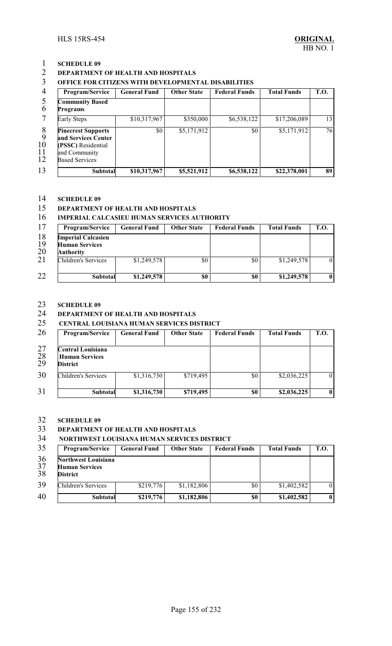#### **DEPARTMENT OF HEALTH AND HOSPITALS**

### **OFFICE FOR CITIZENS WITH DEVELOPMENTAL DISABILITIES**

| Program/Service                                                                                                  | <b>General Fund</b> | <b>Other State</b> | <b>Federal Funds</b> | <b>Total Funds</b> | <b>T.O.</b> |
|------------------------------------------------------------------------------------------------------------------|---------------------|--------------------|----------------------|--------------------|-------------|
| <b>Community Based</b><br><b>Programs</b>                                                                        |                     |                    |                      |                    |             |
| <b>Early Steps</b>                                                                                               | \$10,317,967        | \$350,000          | \$6,538,122          | \$17,206,089       | 13          |
| <b>Pinecrest Supports</b><br>and Services Center<br>(PSSC) Residential<br>and Community<br><b>Based Services</b> | \$0                 | \$5,171,912        | \$0                  | \$5,171,912        | 76          |
| <b>Subtotal</b>                                                                                                  | \$10,317,967        | \$5,521,912        | \$6,538,122          | \$22,378,001       | 89          |

# **SCHEDULE 09**

#### **DEPARTMENT OF HEALTH AND HOSPITALS**

#### **IMPERIAL CALCASIEU HUMAN SERVICES AUTHORITY**

| 17             | <b>Program/Service</b>                                          | <b>General Fund</b> | <b>Other State</b> | <b>Federal Funds</b> | <b>Total Funds</b> | <b>T.O.</b> |
|----------------|-----------------------------------------------------------------|---------------------|--------------------|----------------------|--------------------|-------------|
| 18<br>19<br>20 | <b>Imperial Calcasieu</b><br><b>Human Services</b><br>Authority |                     |                    |                      |                    |             |
| 21             | Children's Services                                             | \$1,249,578         | \$0                | \$0                  | \$1,249,578        | $\theta$    |
| 22             | <b>Subtotal</b>                                                 | \$1,249,578         | \$0                | \$0                  | \$1,249,578        |             |

#### **SCHEDULE 09**

### **DEPARTMENT OF HEALTH AND HOSPITALS**

#### **CENTRAL LOUISIANA HUMAN SERVICES DISTRICT**

| 26             | Program/Service                                               | <b>General Fund</b> | <b>Other State</b> | <b>Federal Funds</b> | <b>Total Funds</b> | <b>T.O.</b>    |
|----------------|---------------------------------------------------------------|---------------------|--------------------|----------------------|--------------------|----------------|
| 27<br>28<br>29 | Central Louisiana<br><b>Human Services</b><br><b>District</b> |                     |                    |                      |                    |                |
| 30             | Children's Services                                           | \$1,316,730         | \$719,495          | \$0                  | \$2,036,225        | $\overline{0}$ |
| 31             | Subtotal                                                      | \$1,316,730         | \$719,495          | \$0                  | \$2,036,225        | $\mathbf{0}$   |

### **SCHEDULE 09**

### **DEPARTMENT OF HEALTH AND HOSPITALS**

#### **NORTHWEST LOUISIANA HUMAN SERVICES DISTRICT**

| 35             | <b>Program/Service</b>                                                 | <b>General Fund</b> | <b>Other State</b> | <b>Federal Funds</b> | <b>Total Funds</b> | <b>T.O.</b> |
|----------------|------------------------------------------------------------------------|---------------------|--------------------|----------------------|--------------------|-------------|
| 36<br>37<br>38 | <b>Northwest Louisiana</b><br><b>Human Services</b><br><b>District</b> |                     |                    |                      |                    |             |
| 39             | Children's Services                                                    | \$219,776           | \$1,182,806        | \$0                  | \$1,402,582        | $\theta$    |
| 40             | <b>Subtotal</b>                                                        | \$219,776           | \$1,182,806        | \$0                  | \$1,402,582        | $\bf{0}$    |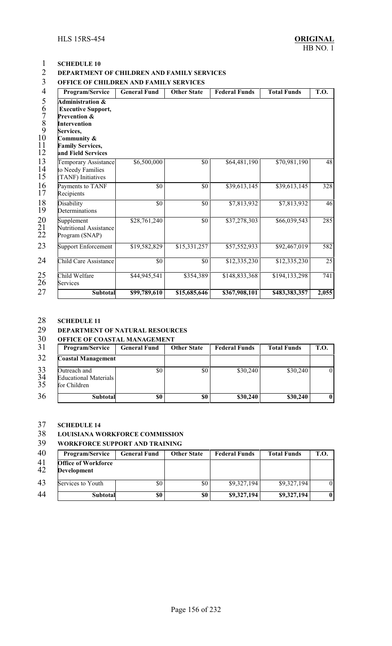### **SCHEDULE 10 DEPARTMENT OF CHILDREN AND FAMILY SERVICES**

#### **OFFICE OF CHILDREN AND FAMILY SERVICES**

| Program/Service                                                                                                                                                                                | <b>General Fund</b> | <b>Other State</b> | <b>Federal Funds</b> | <b>Total Funds</b> | <b>T.O.</b>     |
|------------------------------------------------------------------------------------------------------------------------------------------------------------------------------------------------|---------------------|--------------------|----------------------|--------------------|-----------------|
| <b>Administration &amp;</b><br><b>Executive Support,</b><br><b>Prevention &amp;</b><br><b>Intervention</b><br><b>Services,</b><br>Community &<br><b>Family Services,</b><br>and Field Services |                     |                    |                      |                    |                 |
| <b>Temporary Assistance</b><br>to Needy Families<br>TANF) Initiatives                                                                                                                          | \$6,500,000         | \$0                | \$64,481,190         | \$70,981,190       | 48              |
| Payments to TANF<br>Recipients                                                                                                                                                                 | $\overline{50}$     | $\overline{50}$    | \$39,613,145         | \$39,613,145       | 328             |
| Disability<br>Determinations                                                                                                                                                                   | \$0                 | \$0                | \$7,813,932          | \$7,813,932        | 46              |
| Supplement<br><b>Nutritional Assistance</b><br>Program (SNAP)                                                                                                                                  | \$28,761,240        | \$0                | \$37,278,303         | \$66,039,543       | 285             |
| Support Enforcement                                                                                                                                                                            | \$19,582,829        | \$15,331,257       | \$57,552,933         | \$92,467,019       | 582             |
| <b>Child Care Assistance</b>                                                                                                                                                                   | $\overline{\$0}$    | \$0                | \$12,335,230         | \$12,335,230       | $\overline{25}$ |
| Child Welfare<br>Services                                                                                                                                                                      | \$44,945,541        | \$354,389          | \$148,833,368        | \$194,133,298      | 741             |
| Subtotal                                                                                                                                                                                       | \$99,789,610        | \$15,685,646       | \$367,908,101        | \$483,383,357      | 2,055           |

#### **SCHEDULE 11**

#### **DEPARTMENT OF NATURAL RESOURCES**

### **OFFICE OF COASTAL MANAGEMENT**

| 31             | <b>Program/Service</b>                                       | <b>General Fund</b> | <b>Other State</b> | <b>Federal Funds</b> | <b>Total Funds</b> | <b>T.O.</b>  |
|----------------|--------------------------------------------------------------|---------------------|--------------------|----------------------|--------------------|--------------|
| 32             | <b>Coastal Management</b>                                    |                     |                    |                      |                    |              |
| 33<br>34<br>35 | Outreach and<br><b>Educational Materials</b><br>for Children | \$0                 | \$0                | \$30,240             | \$30,240           | $\Omega$     |
| 36             | <b>Subtotal</b>                                              | \$0                 | \$0                | \$30,240             | \$30,240           | $\mathbf{0}$ |

# **SCHEDULE 14**

### **LOUISIANA WORKFORCE COMMISSION**

#### **WORKFORCE SUPPORT AND TRAINING**

| 40       | <b>Program/Service</b>                           | <b>General Fund</b> | <b>Other State</b> | <b>Federal Funds</b> | <b>Total Funds</b> | <b>T.O.</b> |
|----------|--------------------------------------------------|---------------------|--------------------|----------------------|--------------------|-------------|
| 41<br>42 | <b>Office of Workforce</b><br><b>Development</b> |                     |                    |                      |                    |             |
| 43       | Services to Youth                                | \$0                 | \$0                | \$9,327,194          | \$9,327,194        | 01          |
| 44       | <b>Subtotal</b>                                  | \$0                 | \$0                | \$9,327,194          | \$9,327,194        | $\bf{0}$    |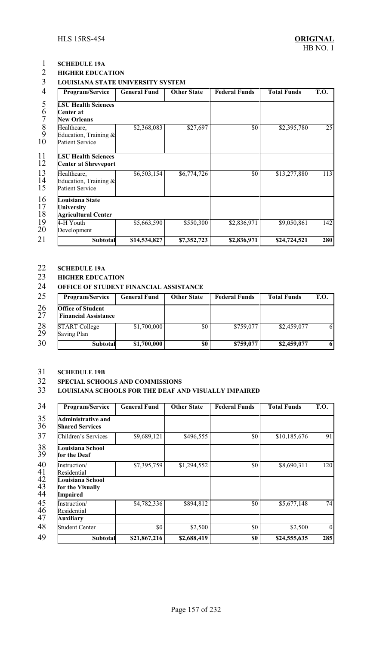### **SCHEDULE 19A HIGHER EDUCATION**

#### **LOUISIANA STATE UNIVERSITY SYSTEM**

| 4<br>Program/Service                                                                                             | <b>General Fund</b> | <b>Other State</b> | <b>Federal Funds</b> | <b>Total Funds</b> | <b>T.O.</b>     |
|------------------------------------------------------------------------------------------------------------------|---------------------|--------------------|----------------------|--------------------|-----------------|
| 5<br><b>LSU Health Sciences</b><br>6<br>Center at<br><b>New Orleans</b>                                          |                     |                    |                      |                    |                 |
| $\begin{array}{c} 8 \\ 9 \end{array}$<br>Healthcare,<br>Education, Training $\&$<br>10<br><b>Patient Service</b> | \$2,368,083         | \$27,697           | \$0                  | \$2,395,780        | $\overline{25}$ |
| 11<br><b>LSU Health Sciences</b><br>12<br><b>Center at Shreveport</b>                                            |                     |                    |                      |                    |                 |
| 13<br>Healthcare,<br>14<br>Education, Training $\&$<br>15<br><b>Patient Service</b>                              | \$6,503,154         | \$6,774,726        | \$0                  | \$13,277,880       | 113             |
| 16<br>Louisiana State<br>17<br>University<br>18<br><b>Agricultural Center</b>                                    |                     |                    |                      |                    |                 |
| 19<br>4-H Youth<br>20<br>Development                                                                             | \$5,663,590         | \$550,300          | \$2,836,971          | \$9,050,861        | 142             |
| 21<br>Subtotal                                                                                                   | \$14,534,827        | \$7,352,723        | \$2,836,971          | \$24,724,521       | 280             |

### **SCHEDULE 19A**

### **HIGHER EDUCATION**

**OFFICE OF STUDENT FINANCIAL ASSISTANCE**

| 25       | <b>Program/Service</b>                                  | <b>General Fund</b> | <b>Other State</b> | <b>Federal Funds</b> | <b>Total Funds</b> | T.O. |
|----------|---------------------------------------------------------|---------------------|--------------------|----------------------|--------------------|------|
| 26<br>27 | <b>Office of Student</b><br><b>Financial Assistance</b> |                     |                    |                      |                    |      |
| 28<br>29 | <b>START College</b><br>Saving Plan                     | \$1,700,000         | \$0                | \$759,077            | \$2,459,077        | 6    |
| 30       | Subtotal                                                | \$1,700,000         | \$0                | \$759,077            | \$2,459,077        | 6    |

#### **SCHEDULE 19B**

#### **SPECIAL SCHOOLS AND COMMISSIONS**

#### **LOUISIANA SCHOOLS FOR THE DEAF AND VISUALLY IMPAIRED**

| 34<br>Program/Service                                           | <b>General Fund</b> | <b>Other State</b> | <b>Federal Funds</b> | <b>Total Funds</b> | <b>T.O.</b> |
|-----------------------------------------------------------------|---------------------|--------------------|----------------------|--------------------|-------------|
| 35<br><b>Administrative and</b><br>36<br><b>Shared Services</b> |                     |                    |                      |                    |             |
| Children's Services                                             | \$9,689,121         | \$496,555          | \$0                  | \$10,185,676       | 91          |
| Louisiana School<br>for the Deaf                                |                     |                    |                      |                    |             |
| Instruction/<br>Residential                                     | \$7,395,759         | \$1,294,552        | \$0                  | \$8,690,311        | 120         |
| Louisiana School<br>for the Visually<br><b>Impaired</b>         |                     |                    |                      |                    |             |
| Instruction/<br>Residential                                     | \$4,782,336         | \$894,812          | \$0                  | \$5,677,148        | 74          |
| <b>Auxiliary</b>                                                |                     |                    |                      |                    |             |
| <b>Student Center</b>                                           | \$0                 | \$2,500            | $\$0$                | \$2,500            | $\vert$ 0   |
| <b>Subtotal</b>                                                 | \$21,867,216        | \$2,688,419        | \$0                  | \$24,555,635       | 285         |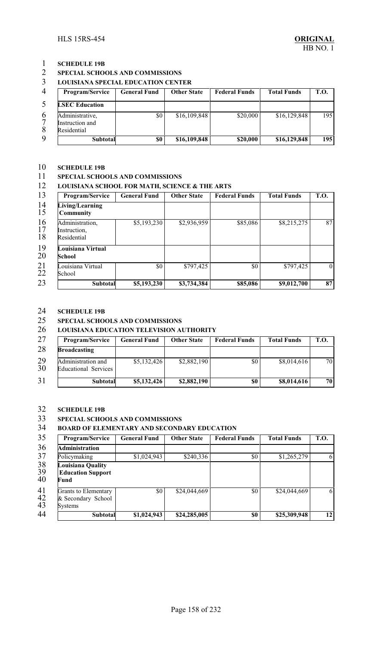### **SCHEDULE 19B**

#### **SPECIAL SCHOOLS AND COMMISSIONS**

#### **LOUISIANA SPECIAL EDUCATION CENTER**

| $\overline{4}$ | <b>Program/Service</b>                            | General Fund | <b>Other State</b> | <b>Federal Funds</b> | <b>Total Funds</b> | <b>T.O.</b> |
|----------------|---------------------------------------------------|--------------|--------------------|----------------------|--------------------|-------------|
|                | <b>LSEC Education</b>                             |              |                    |                      |                    |             |
| 6              | Administrative,<br>Instruction and<br>Residential | \$0          | \$16,109,848       | \$20,000             | \$16,129,848       | 195         |
| $\mathbf Q$    | <b>Subtotal</b>                                   | \$0          | \$16,109,848       | \$20,000             | \$16,129,848       | 195         |

### **SCHEDULE 19B**

#### **SPECIAL SCHOOLS AND COMMISSIONS**

#### **LOUISIANA SCHOOL FOR MATH, SCIENCE & THE ARTS**

| 13             | Program/Service                                | <b>General Fund</b> | <b>Other State</b> | <b>Federal Funds</b> | <b>Total Funds</b> | <b>T.O.</b> |
|----------------|------------------------------------------------|---------------------|--------------------|----------------------|--------------------|-------------|
| 14<br>15       | Living/Learning<br><b>Community</b>            |                     |                    |                      |                    |             |
| 16<br>17<br>18 | Administration,<br>Instruction,<br>Residential | \$5,193,230         | \$2,936,959        | \$85,086             | \$8,215,275        | 87          |
| 19<br>20       | Louisiana Virtual<br>School                    |                     |                    |                      |                    |             |
| 21<br>22       | Louisiana Virtual<br>School                    | \$0                 | \$797,425          | \$0                  | \$797,425          | $\theta$    |
| 23             | Subtotal                                       | \$5,193,230         | \$3,734,384        | \$85,086             | \$9,012,700        | 87          |

### **SCHEDULE 19B**

#### **SPECIAL SCHOOLS AND COMMISSIONS**

#### **LOUISIANA EDUCATION TELEVISION AUTHORITY**

| 27       | <b>Program/Service</b>                            | <b>General Fund</b> | <b>Other State</b> | <b>Federal Funds</b> | <b>Total Funds</b> | T.O. |
|----------|---------------------------------------------------|---------------------|--------------------|----------------------|--------------------|------|
| 28       | <b>Broadcasting</b>                               |                     |                    |                      |                    |      |
| 29<br>30 | Administration and<br><b>Educational Services</b> | \$5,132,426         | \$2,882,190        | \$0                  | \$8,014,616        | 70   |
| 31       | <b>Subtotal</b>                                   | \$5,132,426         | \$2,882,190        | \$0                  | \$8,014,616        | 70   |

### **SCHEDULE 19B**

#### **SPECIAL SCHOOLS AND COMMISSIONS**

#### **BOARD OF ELEMENTARY AND SECONDARY EDUCATION**

| 35                    | Program/Service                                       | <b>General Fund</b> | <b>Other State</b> | <b>Federal Funds</b> | <b>Total Funds</b> | <b>T.O.</b> |
|-----------------------|-------------------------------------------------------|---------------------|--------------------|----------------------|--------------------|-------------|
| 36                    | <b>Administration</b>                                 |                     |                    |                      |                    |             |
| 37                    | Policymaking                                          | \$1,024,943         | \$240,336          | \$0                  | \$1,265,279        | 6           |
| $\frac{38}{39}$<br>40 | Louisiana Quality<br><b>Education Support</b><br>Fund |                     |                    |                      |                    |             |
| 41<br>$rac{42}{43}$   | Grants to Elementary<br>& Secondary School<br>Systems | \$0                 | \$24,044,669       | \$0                  | \$24,044,669       | 6           |
| 44                    | <b>Subtotal</b>                                       | \$1,024,943         | \$24,285,005       | \$0                  | \$25,309,948       | 12          |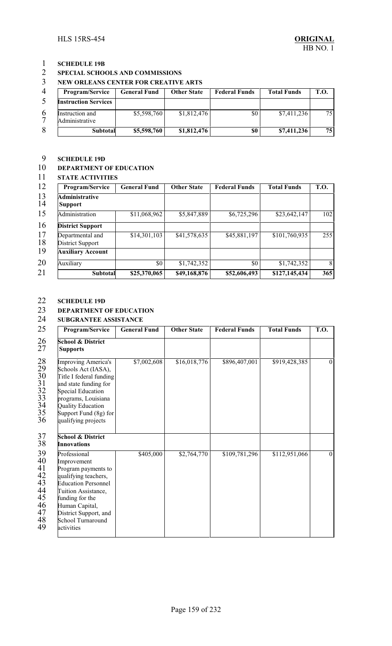# **SCHEDULE 19B**

### **SPECIAL SCHOOLS AND COMMISSIONS**

#### **NEW ORLEANS CENTER FOR CREATIVE ARTS**

| $\Delta$ | <b>Program/Service</b>            | General Fund | <b>Other State</b> | <b>Federal Funds</b> | <b>Total Funds</b> | <b>T.O.</b> |
|----------|-----------------------------------|--------------|--------------------|----------------------|--------------------|-------------|
|          | <b>Instruction Services</b>       |              |                    |                      |                    |             |
|          | Instruction and<br>Administrative | \$5,598,760  | \$1,812,476        | \$0                  | \$7,411,236        | 75          |
| 8        | Subtotal                          | \$5,598,760  | \$1,812,476        | \$0                  | \$7,411,236        | 75          |

# **SCHEDULE 19D**

#### **DEPARTMENT OF EDUCATION**

#### **STATE ACTIVITIES**

| Program/Service                         | <b>General Fund</b> | <b>Other State</b> | <b>Federal Funds</b> | <b>Total Funds</b>     | <b>T.O.</b> |
|-----------------------------------------|---------------------|--------------------|----------------------|------------------------|-------------|
| <b>Administrative</b><br><b>Support</b> |                     |                    |                      |                        |             |
| Administration                          | \$11,068,962        | \$5,847,889        | \$6,725,296          | \$23,642,147           | 102         |
| <b>District Support</b>                 |                     |                    |                      |                        |             |
| Departmental and<br>District Support    | \$14,301,103        | \$41,578,635       | \$45,881,197         | \$101,760,935          | 255         |
| <b>Auxiliary Account</b>                |                     |                    |                      |                        |             |
| <b>Auxiliary</b>                        | \$0                 | \$1,742,352        | \$0                  | $\overline{1,742,352}$ | 8           |
| <b>Subtotal</b>                         | \$25,370,065        | \$49,168,876       | \$52,606,493         | \$127,145,434          | 365         |

### **SCHEDULE 19D**

#### **DEPARTMENT OF EDUCATION**

#### **SUBGRANTEE ASSISTANCE**

| 25                                                                          | Program/Service                                                                                                                                                                                                                  | <b>General Fund</b> | <b>Other State</b> | <b>Federal Funds</b> | <b>Total Funds</b> | <b>T.O.</b> |
|-----------------------------------------------------------------------------|----------------------------------------------------------------------------------------------------------------------------------------------------------------------------------------------------------------------------------|---------------------|--------------------|----------------------|--------------------|-------------|
| 26<br>27                                                                    | <b>School &amp; District</b><br><b>Supports</b>                                                                                                                                                                                  |                     |                    |                      |                    |             |
| $28\,$<br>29<br>30<br>31<br>$rac{32}{33}$<br>34<br>35<br>36                 | Improving America's<br>Schools Act (IASA),<br>Title I federal funding<br>and state funding for<br>Special Education<br>programs, Louisiana<br><b>Quality Education</b><br>Support Fund (8g) for<br>qualifying projects           | \$7,002,608         | \$16,018,776       | \$896,407,001        | \$919,428,385      | $\theta$    |
| 37<br>38                                                                    | <b>School &amp; District</b><br>Innovations                                                                                                                                                                                      |                     |                    |                      |                    |             |
| 39<br>40<br>41<br>42<br>$\overline{43}$<br>44<br>45<br>46<br>47<br>48<br>49 | Professional<br>Improvement<br>Program payments to<br>qualifying teachers,<br><b>Education Personnel</b><br>Tuition Assistance,<br>funding for the<br>Human Capital,<br>District Support, and<br>School Turnaround<br>activities | \$405,000           | \$2,764,770        | \$109,781,296        | \$112,951,066      | $\theta$    |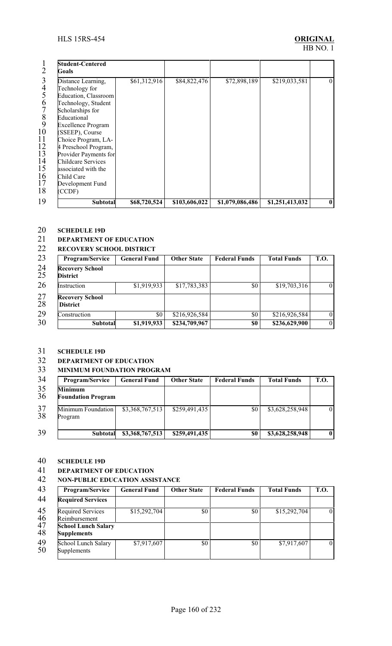|                                                          | <b>Student-Centered</b><br>Goals                                                                                                                                                                                                                                     |              |               |                 |                 |          |
|----------------------------------------------------------|----------------------------------------------------------------------------------------------------------------------------------------------------------------------------------------------------------------------------------------------------------------------|--------------|---------------|-----------------|-----------------|----------|
| 3<br>4<br>5<br>6<br>8<br>9<br>10<br>11<br>12<br>13<br>14 | Distance Learning,<br>Technology for<br>Education, Classroom<br>Technology, Student<br>Scholarships for<br>Educational<br><b>Excellence Program</b><br>(SSEEP), Course<br>Choice Program, LA-<br>4 Preschool Program,<br>Provider Payments for<br>Childcare Services | \$61,312,916 | \$84,822,476  | \$72,898,189    | \$219,033,581   | $\Omega$ |
| 15<br>16<br>17<br>18                                     | associated with the<br>Child Care<br>Development Fund<br>(CCDF)                                                                                                                                                                                                      |              |               |                 |                 |          |
| 19                                                       | Subtotal                                                                                                                                                                                                                                                             | \$68,720,524 | \$103,606,022 | \$1,079,086,486 | \$1,251,413,032 | $\bf{0}$ |

# **SCHEDULE 19D**

### **DEPARTMENT OF EDUCATION**

#### **RECOVERY SCHOOL DISTRICT**

| Program/Service                           | <b>General Fund</b> | <b>Other State</b> | <b>Federal Funds</b> | <b>Total Funds</b> | <b>T.O.</b> |
|-------------------------------------------|---------------------|--------------------|----------------------|--------------------|-------------|
| <b>Recovery School</b><br><b>District</b> |                     |                    |                      |                    |             |
| Instruction                               | \$1,919,933         | \$17,783,383       | \$0                  | \$19,703,316       | $\theta$    |
| <b>Recovery School</b><br><b>District</b> |                     |                    |                      |                    |             |
| Construction                              | \$0                 | \$216,926,584      | \$0                  | \$216,926,584      | $\theta$    |
| Subtotal                                  | \$1,919,933         | \$234,709,967      | \$0                  | \$236,629,900      | $\theta$    |

### **SCHEDULE 19D**

### **DEPARTMENT OF EDUCATION**

#### **MINIMUM FOUNDATION PROGRAM**

| 34       | Program/Service                      | <b>General Fund</b> | <b>Other State</b> | <b>Federal Funds</b> | <b>Total Funds</b> | <b>T.O.</b> |
|----------|--------------------------------------|---------------------|--------------------|----------------------|--------------------|-------------|
| 35<br>36 | Minimum<br><b>Foundation Program</b> |                     |                    |                      |                    |             |
| 37<br>38 | Minimum Foundation<br>Program        | \$3,368,767,513     | \$259,491,435      | \$0                  | \$3,628,258,948    | $\Omega$    |
| 39       | <b>Subtotal</b>                      | \$3,368,767,513     | \$259,491,435      | \$0                  | \$3,628,258,948    | $\bf{0}$    |

# **SCHEDULE 19D**

### **DEPARTMENT OF EDUCATION**

#### **NON-PUBLIC EDUCATION ASSISTANCE**

| 43              | Program/Service                                  | <b>General Fund</b> | <b>Other State</b> | <b>Federal Funds</b> | <b>Total Funds</b> | <b>T.O.</b>    |
|-----------------|--------------------------------------------------|---------------------|--------------------|----------------------|--------------------|----------------|
| 44              | <b>Required Services</b>                         |                     |                    |                      |                    |                |
| $\frac{45}{46}$ | <b>Required Services</b><br>Reimbursement        | \$15,292,704        | \$0                | \$0                  | \$15,292,704       | $\overline{0}$ |
| 47<br>48        | <b>School Lunch Salary</b><br><b>Supplements</b> |                     |                    |                      |                    |                |
| 49<br>50        | School Lunch Salary<br>Supplements               | \$7,917,607         | \$0                | \$0                  | \$7,917,607        | $\overline{0}$ |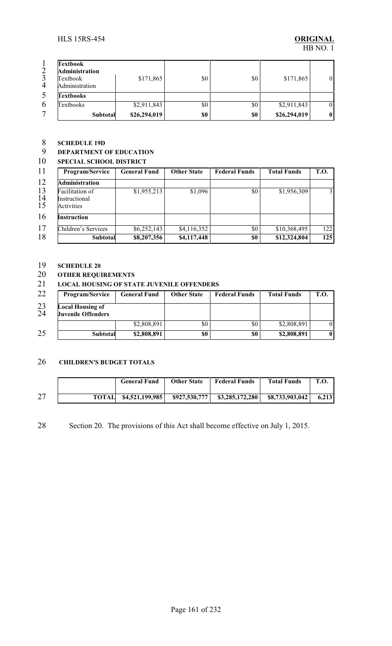| $\overline{2}$ | <b>Textbook</b><br><b>Administration</b> |              |     |     |              |          |
|----------------|------------------------------------------|--------------|-----|-----|--------------|----------|
| 3              | Textbook                                 | \$171,865    | \$0 | \$0 | \$171,865    | $\Omega$ |
| $\overline{4}$ | Administration                           |              |     |     |              |          |
|                | <b>Textbooks</b>                         |              |     |     |              |          |
| 6              | Textbooks                                | \$2,911,843  | \$0 | \$0 | \$2,911,843  | $\Omega$ |
|                | <b>Subtotal</b>                          | \$26,294,019 | \$0 | \$0 | \$26,294,019 | $\bf{0}$ |

### **SCHEDULE 19D**

### **DEPARTMENT OF EDUCATION**

#### **SPECIAL SCHOOL DISTRICT**

| 11<br>Program/Service                                            | <b>General Fund</b> | <b>Other State</b> | <b>Federal Funds</b> | <b>Total Funds</b> | T.O. |
|------------------------------------------------------------------|---------------------|--------------------|----------------------|--------------------|------|
| 12<br><b>Administration</b>                                      |                     |                    |                      |                    |      |
| 13<br>Facilitation of<br>14<br>Instructional<br>15<br>Activities | \$1,955,213         | \$1,096            | \$0                  | \$1,956,309        | 3    |
| Instruction                                                      |                     |                    |                      |                    |      |
| Children's Services                                              | \$6,252,143         | \$4,116,352        | \$0                  | \$10,368,495       | 122  |
| Subtotal                                                         | \$8,207,356         | \$4,117,448        | \$0                  | \$12,324,804       | 125  |

### **SCHEDULE 20**

### **OTHER REQUIREMENTS**

#### **LOCAL HOUSING OF STATE JUVENILE OFFENDERS**

| 22       | <b>Program/Service</b>                               | <b>General Fund</b> | <b>Other State</b> | <b>Federal Funds</b> | <b>Total Funds</b> | T.O.     |
|----------|------------------------------------------------------|---------------------|--------------------|----------------------|--------------------|----------|
| 23<br>24 | <b>Local Housing of</b><br><b>Juvenile Offenders</b> |                     |                    |                      |                    |          |
|          |                                                      | \$2,808,891         | \$0                | \$0                  | \$2,808,891        |          |
| 25       | <b>Subtotal</b>                                      | \$2,808,891         | \$0                | \$0                  | \$2,808,891        | $\bf{0}$ |

#### **CHILDREN'S BUDGET TOTALS**

|    | <b>General Fund</b> | <b>Other State</b> | <b>Federal Funds</b>                                   | <b>Total Funds</b> | <b>T.O.</b> |
|----|---------------------|--------------------|--------------------------------------------------------|--------------------|-------------|
| 27 |                     |                    | TOTAL $$4,521,199,985$ $$927,530,777$ $$3,285,172,280$ | \$8,733,903,042    | 6.213       |

Section 20. The provisions of this Act shall become effective on July 1, 2015.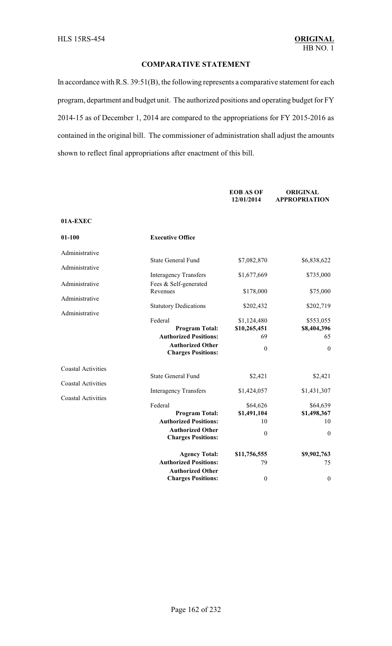#### **COMPARATIVE STATEMENT**

In accordance with R.S. 39:51(B), the following represents a comparative statement for each program, department and budget unit. The authorized positions and operating budget for FY 2014-15 as of December 1, 2014 are compared to the appropriations for FY 2015-2016 as contained in the original bill. The commissioner of administration shall adjust the amounts shown to reflect final appropriations after enactment of this bill.

|                           |                                                         | <b>EOB AS OF</b><br>12/01/2014 | <b>ORIGINAL</b><br><b>APPROPRIATION</b> |
|---------------------------|---------------------------------------------------------|--------------------------------|-----------------------------------------|
| 01A-EXEC                  |                                                         |                                |                                         |
| $01 - 100$                | <b>Executive Office</b>                                 |                                |                                         |
| Administrative            |                                                         |                                |                                         |
| Administrative            | <b>State General Fund</b>                               | \$7,082,870                    | \$6,838,622                             |
| Administrative            | <b>Interagency Transfers</b><br>Fees & Self-generated   | \$1,677,669                    | \$735,000                               |
| Administrative            | Revenues                                                | \$178,000                      | \$75,000                                |
| Administrative            | <b>Statutory Dedications</b>                            | \$202,432                      | \$202,719                               |
|                           | Federal<br><b>Program Total:</b>                        | \$1,124,480<br>\$10,265,451    | \$553,055<br>\$8,404,396                |
|                           | <b>Authorized Positions:</b>                            | 69                             | 65                                      |
|                           | <b>Authorized Other</b><br><b>Charges Positions:</b>    | $\boldsymbol{0}$               | $\boldsymbol{0}$                        |
| <b>Coastal Activities</b> | <b>State General Fund</b>                               | \$2,421                        | \$2,421                                 |
| <b>Coastal Activities</b> |                                                         |                                |                                         |
| <b>Coastal Activities</b> | <b>Interagency Transfers</b>                            | \$1,424,057                    | \$1,431,307                             |
|                           | Federal<br><b>Program Total:</b>                        | \$64,626<br>\$1,491,104        | \$64,639<br>\$1,498,367                 |
|                           | <b>Authorized Positions:</b><br><b>Authorized Other</b> | 10                             | 10                                      |
|                           | <b>Charges Positions:</b>                               | $\boldsymbol{0}$               | $\boldsymbol{0}$                        |
|                           | <b>Agency Total:</b>                                    | \$11,756,555                   | \$9,902,763                             |
|                           | <b>Authorized Positions:</b><br><b>Authorized Other</b> | 79                             | 75                                      |
|                           | <b>Charges Positions:</b>                               | $\boldsymbol{0}$               | $\boldsymbol{0}$                        |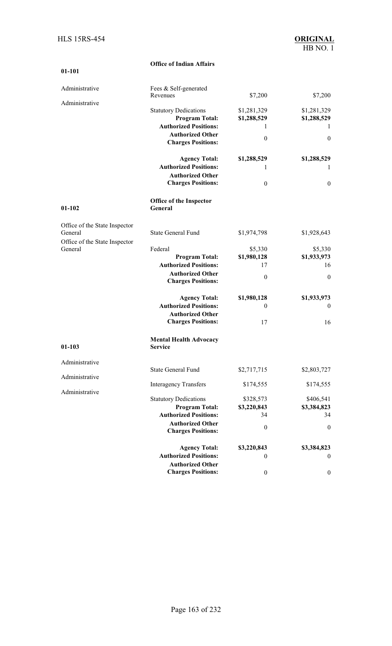|                                          | <b>Office of Indian Affairs</b>                      |                  |                  |
|------------------------------------------|------------------------------------------------------|------------------|------------------|
| 01-101                                   |                                                      |                  |                  |
| Administrative                           | Fees & Self-generated                                |                  |                  |
|                                          | Revenues                                             | \$7,200          | \$7,200          |
| Administrative                           | <b>Statutory Dedications</b>                         | \$1,281,329      | \$1,281,329      |
|                                          | <b>Program Total:</b>                                | \$1,288,529      | \$1,288,529      |
|                                          | <b>Authorized Positions:</b>                         | 1                |                  |
|                                          | <b>Authorized Other</b>                              |                  |                  |
|                                          | <b>Charges Positions:</b>                            | $\mathbf{0}$     | $\boldsymbol{0}$ |
|                                          | <b>Agency Total:</b>                                 | \$1,288,529      | \$1,288,529      |
|                                          | <b>Authorized Positions:</b>                         | 1                | 1                |
|                                          | <b>Authorized Other</b>                              |                  |                  |
|                                          | <b>Charges Positions:</b>                            | $\mathbf{0}$     | $\boldsymbol{0}$ |
| $01 - 102$                               | <b>Office of the Inspector</b><br>General            |                  |                  |
| Office of the State Inspector            |                                                      |                  |                  |
| General<br>Office of the State Inspector | <b>State General Fund</b>                            | \$1,974,798      | \$1,928,643      |
| General                                  | Federal                                              | \$5,330          | \$5,330          |
|                                          | <b>Program Total:</b>                                | \$1,980,128      | \$1,933,973      |
|                                          | <b>Authorized Positions:</b>                         | 17               | 16               |
|                                          | <b>Authorized Other</b><br><b>Charges Positions:</b> | $\mathbf{0}$     | $\boldsymbol{0}$ |
|                                          | <b>Agency Total:</b>                                 | \$1,980,128      | \$1,933,973      |
|                                          | <b>Authorized Positions:</b>                         | $\theta$         | $\boldsymbol{0}$ |
|                                          | <b>Authorized Other</b>                              |                  |                  |
|                                          | <b>Charges Positions:</b>                            | 17               | 16               |
| $01 - 103$                               | <b>Mental Health Advocacy</b><br>Service             |                  |                  |
| Administrative                           |                                                      |                  |                  |
|                                          | <b>State General Fund</b>                            | \$2,717,715      | \$2,803,727      |
| Administrative                           | <b>Interagency Transfers</b>                         | \$174,555        | \$174,555        |
| Administrative                           | <b>Statutory Dedications</b>                         | \$328,573        | \$406,541        |
|                                          | <b>Program Total:</b>                                | \$3,220,843      | \$3,384,823      |
|                                          | <b>Authorized Positions:</b>                         | 34               | 34               |
|                                          | <b>Authorized Other</b>                              | $\mathbf{0}$     | $\boldsymbol{0}$ |
|                                          | <b>Charges Positions:</b>                            |                  |                  |
|                                          | <b>Agency Total:</b>                                 | \$3,220,843      | \$3,384,823      |
|                                          | <b>Authorized Positions:</b>                         | $\bf{0}$         | $\boldsymbol{0}$ |
|                                          | <b>Authorized Other</b>                              |                  |                  |
|                                          | <b>Charges Positions:</b>                            | $\boldsymbol{0}$ | $\boldsymbol{0}$ |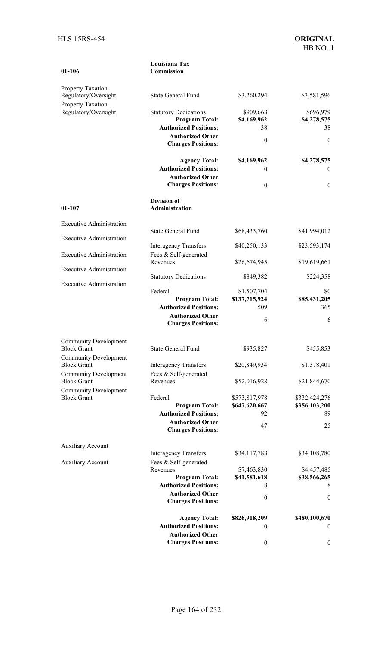| 01-106                                             | Commission                                            |                              |                             |
|----------------------------------------------------|-------------------------------------------------------|------------------------------|-----------------------------|
| Property Taxation                                  |                                                       |                              |                             |
| Regulatory/Oversight<br>Property Taxation          | <b>State General Fund</b>                             | \$3,260,294                  | \$3,581,596                 |
| Regulatory/Oversight                               | <b>Statutory Dedications</b>                          | \$909,668                    | \$696,979                   |
|                                                    | <b>Program Total:</b>                                 | \$4,169,962                  | \$4,278,575                 |
|                                                    | <b>Authorized Positions:</b>                          | 38                           | 38                          |
|                                                    | <b>Authorized Other</b><br><b>Charges Positions:</b>  | $\boldsymbol{0}$             | $\mathbf{0}$                |
|                                                    | <b>Agency Total:</b><br><b>Authorized Positions:</b>  | \$4,169,962<br>$\mathbf{0}$  | \$4,278,575<br>$\mathbf{0}$ |
|                                                    | <b>Authorized Other</b><br><b>Charges Positions:</b>  | $\boldsymbol{0}$             | $\mathbf{0}$                |
|                                                    | <b>Division of</b>                                    |                              |                             |
| $01 - 107$                                         | Administration                                        |                              |                             |
| <b>Executive Administration</b>                    | <b>State General Fund</b>                             | \$68,433,760                 | \$41,994,012                |
| <b>Executive Administration</b>                    | <b>Interagency Transfers</b>                          | \$40,250,133                 | \$23,593,174                |
| <b>Executive Administration</b>                    | Fees & Self-generated<br>Revenues                     | \$26,674,945                 | \$19,619,661                |
| <b>Executive Administration</b>                    | <b>Statutory Dedications</b>                          | \$849,382                    | \$224,358                   |
| <b>Executive Administration</b>                    |                                                       |                              |                             |
|                                                    | Federal<br><b>Program Total:</b>                      | \$1,507,704<br>\$137,715,924 | SO.<br>\$85,431,205         |
|                                                    | <b>Authorized Positions:</b>                          | 509                          | 365                         |
|                                                    | <b>Authorized Other</b>                               |                              |                             |
|                                                    | <b>Charges Positions:</b>                             | 6                            | 6                           |
| <b>Community Development</b>                       |                                                       |                              |                             |
| <b>Block Grant</b>                                 | <b>State General Fund</b>                             | \$935,827                    | \$455,853                   |
| <b>Community Development</b>                       |                                                       |                              |                             |
| <b>Block Grant</b>                                 | <b>Interagency Transfers</b>                          | \$20,849,934                 | \$1,378,401                 |
| <b>Community Development</b><br><b>Block Grant</b> | Fees & Self-generated<br>Revenues                     | \$52,016,928                 | \$21,844,670                |
| <b>Community Development</b>                       |                                                       |                              |                             |
| <b>Block Grant</b>                                 | Federal                                               | \$573,817,978                | \$332,424,276               |
|                                                    | <b>Program Total:</b>                                 | \$647,620,667                | \$356,103,200               |
|                                                    | <b>Authorized Positions:</b>                          | 92                           | 89                          |
|                                                    | <b>Authorized Other</b><br><b>Charges Positions:</b>  | 47                           | 25                          |
| <b>Auxiliary Account</b>                           |                                                       |                              |                             |
|                                                    | <b>Interagency Transfers</b>                          | \$34,117,788                 | \$34,108,780                |
| <b>Auxiliary Account</b>                           | Fees & Self-generated                                 |                              |                             |
|                                                    | Revenues                                              | \$7,463,830                  | \$4,457,485                 |
|                                                    | <b>Program Total:</b><br><b>Authorized Positions:</b> | \$41,581,618                 | \$38,566,265                |
|                                                    | <b>Authorized Other</b>                               | 8                            | 8                           |
|                                                    | <b>Charges Positions:</b>                             | $\boldsymbol{0}$             | $\boldsymbol{0}$            |
|                                                    | <b>Agency Total:</b>                                  | \$826,918,209                | \$480,100,670               |
|                                                    | <b>Authorized Positions:</b>                          | $\boldsymbol{0}$             | $\bf{0}$                    |
|                                                    | <b>Authorized Other</b>                               |                              |                             |
|                                                    | <b>Charges Positions:</b>                             | $\boldsymbol{0}$             | $\boldsymbol{0}$            |

**Louisiana Tax**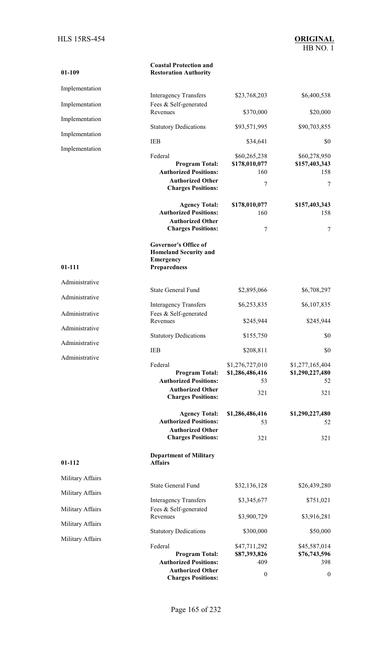**01-109** 

#### **Coastal Protection and Restoration Authority**

| Implementation   | <b>Interagency Transfers</b>                                                                                             | \$23,768,203                                           | \$6,400,538                                     |
|------------------|--------------------------------------------------------------------------------------------------------------------------|--------------------------------------------------------|-------------------------------------------------|
| Implementation   | Fees & Self-generated                                                                                                    |                                                        |                                                 |
| Implementation   | Revenues                                                                                                                 | \$370,000                                              | \$20,000                                        |
| Implementation   | <b>Statutory Dedications</b>                                                                                             | \$93,571,995                                           | \$90,703,855                                    |
| Implementation   | <b>IEB</b>                                                                                                               | \$34,641                                               | \$0                                             |
|                  | Federal<br><b>Program Total:</b><br><b>Authorized Positions:</b><br><b>Authorized Other</b><br><b>Charges Positions:</b> | \$60,265,238<br>\$178,010,077<br>160<br>$\overline{7}$ | \$60,278,950<br>\$157,403,343<br>158<br>7       |
|                  | <b>Agency Total:</b>                                                                                                     | \$178,010,077                                          | \$157,403,343                                   |
|                  | <b>Authorized Positions:</b><br><b>Authorized Other</b><br><b>Charges Positions:</b>                                     | 160<br>7                                               | 158<br>7                                        |
| $01 - 111$       | <b>Governor's Office of</b><br><b>Homeland Security and</b><br><b>Emergency</b><br><b>Preparedness</b>                   |                                                        |                                                 |
| Administrative   | <b>State General Fund</b>                                                                                                | \$2,895,066                                            | \$6,708,297                                     |
| Administrative   |                                                                                                                          | \$6,253,835                                            |                                                 |
| Administrative   | <b>Interagency Transfers</b><br>Fees & Self-generated                                                                    |                                                        | \$6,107,835                                     |
| Administrative   | Revenues                                                                                                                 | \$245,944                                              | \$245,944                                       |
| Administrative   | <b>Statutory Dedications</b>                                                                                             | \$155,750                                              | \$0                                             |
| Administrative   | <b>IEB</b>                                                                                                               | \$208,811                                              | \$0                                             |
|                  | Federal<br><b>Program Total:</b><br><b>Authorized Positions:</b><br><b>Authorized Other</b><br><b>Charges Positions:</b> | \$1,276,727,010<br>\$1,286,486,416<br>53<br>321        | \$1,277,165,404<br>\$1,290,227,480<br>52<br>321 |
|                  | <b>Agency Total:</b><br><b>Authorized Positions:</b><br><b>Authorized Other</b><br><b>Charges Positions:</b>             | \$1,286,486,416<br>53<br>321                           | \$1,290,227,480<br>52<br>321                    |
| $01 - 112$       | <b>Department of Military</b><br><b>Affairs</b>                                                                          |                                                        |                                                 |
| Military Affairs |                                                                                                                          |                                                        |                                                 |
| Military Affairs | <b>State General Fund</b>                                                                                                | \$32,136,128                                           | \$26,439,280                                    |
| Military Affairs | <b>Interagency Transfers</b><br>Fees & Self-generated                                                                    | \$3,345,677                                            | \$751,021                                       |
| Military Affairs | Revenues                                                                                                                 | \$3,900,729                                            | \$3,916,281                                     |
| Military Affairs | <b>Statutory Dedications</b>                                                                                             | \$300,000                                              | \$50,000                                        |
|                  | Federal<br><b>Program Total:</b><br><b>Authorized Positions:</b><br><b>Authorized Other</b>                              | \$47,711,292<br>\$87,393,826<br>409                    | \$45,587,014<br>\$76,743,596<br>398             |
|                  | <b>Charges Positions:</b>                                                                                                | $\boldsymbol{0}$                                       | $\boldsymbol{0}$                                |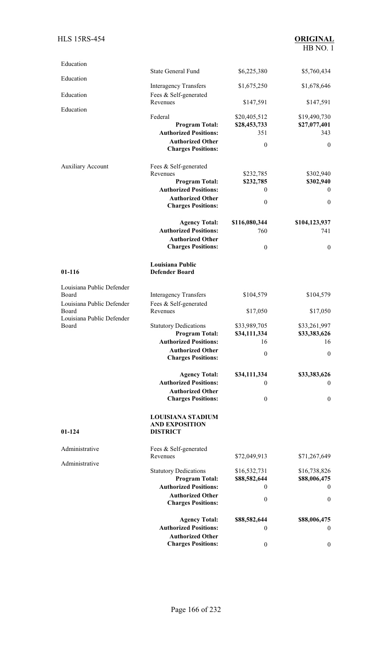| Education                          | <b>State General Fund</b>                             | \$6,225,380         | \$5,760,434         |
|------------------------------------|-------------------------------------------------------|---------------------|---------------------|
| Education                          |                                                       |                     |                     |
|                                    | <b>Interagency Transfers</b>                          | \$1,675,250         | \$1,678,646         |
| Education                          | Fees & Self-generated<br>Revenues                     | \$147,591           | \$147,591           |
| Education                          |                                                       |                     |                     |
|                                    | Federal                                               | \$20,405,512        | \$19,490,730        |
|                                    | <b>Program Total:</b><br><b>Authorized Positions:</b> | \$28,453,733<br>351 | \$27,077,401<br>343 |
|                                    |                                                       |                     |                     |
|                                    | <b>Authorized Other</b><br><b>Charges Positions:</b>  | $\mathbf{0}$        | $\theta$            |
| <b>Auxiliary Account</b>           | Fees & Self-generated                                 |                     |                     |
|                                    | Revenues                                              | \$232,785           | \$302,940           |
|                                    | <b>Program Total:</b>                                 | \$232,785           | \$302,940           |
|                                    | <b>Authorized Positions:</b>                          | $\mathbf{0}$        | $\theta$            |
|                                    | <b>Authorized Other</b>                               |                     |                     |
|                                    | <b>Charges Positions:</b>                             | $\boldsymbol{0}$    | $\mathbf{0}$        |
|                                    | <b>Agency Total:</b>                                  | \$116,080,344       | \$104,123,937       |
|                                    | <b>Authorized Positions:</b>                          | 760                 | 741                 |
|                                    | <b>Authorized Other</b>                               |                     |                     |
|                                    | <b>Charges Positions:</b>                             | $\mathbf{0}$        | $\mathbf{0}$        |
| $01 - 116$                         | Louisiana Public<br><b>Defender Board</b>             |                     |                     |
| Louisiana Public Defender          |                                                       |                     |                     |
| Board                              | <b>Interagency Transfers</b>                          | \$104,579           | \$104,579           |
| Louisiana Public Defender<br>Board | Fees & Self-generated<br>Revenues                     | \$17,050            | \$17,050            |
| Louisiana Public Defender<br>Board | <b>Statutory Dedications</b>                          | \$33,989,705        | \$33,261,997        |
|                                    | <b>Program Total:</b>                                 | \$34,111,334        | \$33,383,626        |
|                                    | <b>Authorized Positions:</b>                          | 16                  | 16                  |
|                                    | <b>Authorized Other</b>                               |                     |                     |
|                                    | <b>Charges Positions:</b>                             | $\boldsymbol{0}$    | $\boldsymbol{0}$    |
|                                    | <b>Agency Total:</b>                                  | \$34,111,334        | \$33,383,626        |
|                                    | <b>Authorized Positions:</b>                          | $\mathbf{0}$        | $\overline{0}$      |
|                                    | <b>Authorized Other</b>                               |                     |                     |
|                                    | <b>Charges Positions:</b>                             | $\boldsymbol{0}$    | $\mathbf{0}$        |
|                                    | <b>LOUISIANA STADIUM</b><br><b>AND EXPOSITION</b>     |                     |                     |
| $01-124$                           | <b>DISTRICT</b>                                       |                     |                     |
| Administrative                     | Fees & Self-generated                                 |                     |                     |
| Administrative                     | Revenues                                              | \$72,049,913        | \$71,267,649        |
|                                    | <b>Statutory Dedications</b>                          | \$16,532,731        | \$16,738,826        |
|                                    | <b>Program Total:</b>                                 | \$88,582,644        | \$88,006,475        |
|                                    | <b>Authorized Positions:</b>                          | $\mathbf{0}$        | $\overline{0}$      |
|                                    | <b>Authorized Other</b><br><b>Charges Positions:</b>  | $\boldsymbol{0}$    | $\boldsymbol{0}$    |
|                                    | <b>Agency Total:</b>                                  | \$88,582,644        | \$88,006,475        |
|                                    | <b>Authorized Positions:</b>                          | $\mathbf{0}$        | $\mathbf{0}$        |
|                                    | <b>Authorized Other</b>                               |                     |                     |
|                                    | <b>Charges Positions:</b>                             | $\boldsymbol{0}$    | $\boldsymbol{0}$    |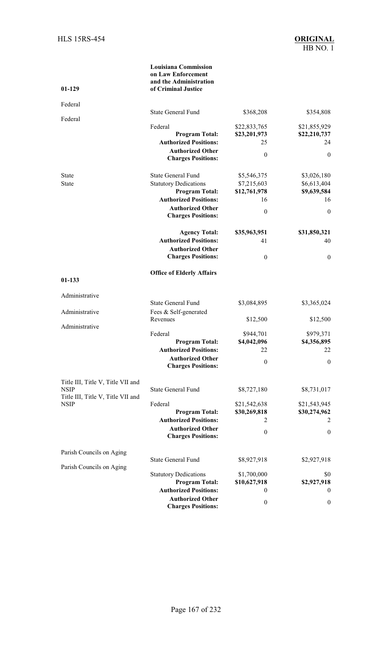| $01 - 129$                                       | <b>Louisiana Commission</b><br>on Law Enforcement<br>and the Administration<br>of Criminal Justice |                              |                              |
|--------------------------------------------------|----------------------------------------------------------------------------------------------------|------------------------------|------------------------------|
| Federal                                          |                                                                                                    |                              |                              |
| Federal                                          | <b>State General Fund</b>                                                                          | \$368,208                    | \$354,808                    |
|                                                  | Federal<br><b>Program Total:</b>                                                                   | \$22,833,765<br>\$23,201,973 | \$21,855,929<br>\$22,210,737 |
|                                                  | <b>Authorized Positions:</b>                                                                       | 25                           | 24                           |
|                                                  | <b>Authorized Other</b><br><b>Charges Positions:</b>                                               | $\mathbf{0}$                 | $\mathbf{0}$                 |
| <b>State</b>                                     | <b>State General Fund</b>                                                                          | \$5,546,375                  | \$3,026,180                  |
| State                                            | <b>Statutory Dedications</b>                                                                       | \$7,215,603                  | \$6,613,404                  |
|                                                  | <b>Program Total:</b><br><b>Authorized Positions:</b>                                              | \$12,761,978<br>16           | \$9,639,584<br>16            |
|                                                  | <b>Authorized Other</b>                                                                            |                              |                              |
|                                                  | <b>Charges Positions:</b>                                                                          | $\boldsymbol{0}$             | $\mathbf{0}$                 |
|                                                  | <b>Agency Total:</b>                                                                               | \$35,963,951                 | \$31,850,321                 |
|                                                  | <b>Authorized Positions:</b>                                                                       | 41                           | 40                           |
|                                                  | <b>Authorized Other</b><br><b>Charges Positions:</b>                                               | $\boldsymbol{0}$             | $\boldsymbol{0}$             |
| 01-133                                           | <b>Office of Elderly Affairs</b>                                                                   |                              |                              |
|                                                  |                                                                                                    |                              |                              |
| Administrative                                   |                                                                                                    |                              |                              |
|                                                  | <b>State General Fund</b>                                                                          | \$3,084,895                  | \$3,365,024                  |
| Administrative                                   | Fees & Self-generated<br>Revenues                                                                  | \$12,500                     | \$12,500                     |
| Administrative                                   | Federal                                                                                            | \$944,701                    | \$979,371                    |
|                                                  | <b>Program Total:</b>                                                                              | \$4,042,096                  | \$4,356,895                  |
|                                                  | <b>Authorized Positions:</b>                                                                       | 22                           | 22                           |
|                                                  | <b>Authorized Other</b><br><b>Charges Positions:</b>                                               | $\mathbf{0}$                 | $\boldsymbol{0}$             |
| Title III, Title V, Title VII and                |                                                                                                    |                              |                              |
| <b>NSIP</b><br>Title III, Title V, Title VII and | <b>State General Fund</b>                                                                          | \$8,727,180                  | \$8,731,017                  |
| <b>NSIP</b>                                      | Federal                                                                                            | \$21,542,638                 | \$21,543,945                 |
|                                                  | <b>Program Total:</b><br><b>Authorized Positions:</b>                                              | \$30,269,818<br>2            | \$30,274,962<br>2            |
|                                                  | <b>Authorized Other</b>                                                                            |                              |                              |
|                                                  | <b>Charges Positions:</b>                                                                          | $\boldsymbol{0}$             | $\boldsymbol{0}$             |
| Parish Councils on Aging                         |                                                                                                    |                              |                              |
| Parish Councils on Aging                         | <b>State General Fund</b>                                                                          | \$8,927,918                  | \$2,927,918                  |
|                                                  | <b>Statutory Dedications</b>                                                                       | \$1,700,000                  | \$0                          |
|                                                  | <b>Program Total:</b>                                                                              | \$10,627,918                 | \$2,927,918                  |
|                                                  | <b>Authorized Positions:</b><br><b>Authorized Other</b>                                            | 0                            | $\boldsymbol{0}$             |
|                                                  | <b>Charges Positions:</b>                                                                          | $\boldsymbol{0}$             | $\boldsymbol{0}$             |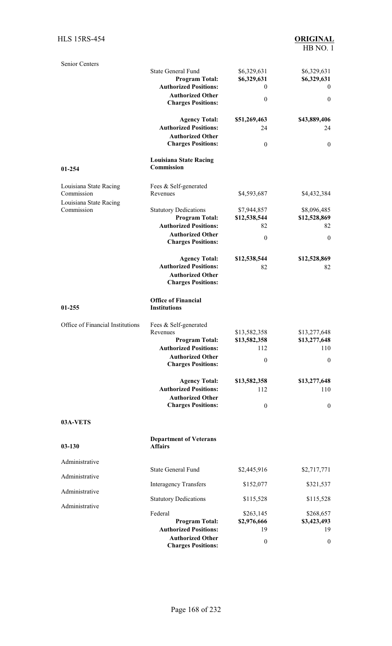| <b>Authorized Other</b><br><b>Charges Positions:</b><br>$\theta$<br><b>Louisiana State Racing</b><br>Commission<br>01-254<br>Louisiana State Racing<br>Fees & Self-generated<br>Commission<br>Revenues<br>\$4,593,687<br>Louisiana State Racing<br>Commission<br><b>Statutory Dedications</b><br>\$7,944,857<br><b>Program Total:</b><br>\$12,538,544<br><b>Authorized Positions:</b><br>82<br><b>Authorized Other</b><br>$\boldsymbol{0}$<br><b>Charges Positions:</b><br><b>Agency Total:</b><br>\$12,538,544<br><b>Authorized Positions:</b><br>82<br><b>Authorized Other</b><br><b>Charges Positions:</b><br><b>Office of Financial</b><br><b>Institutions</b><br>$01 - 255$<br>Office of Financial Institutions<br>Fees & Self-generated<br>\$13,582,358<br>Revenues<br><b>Program Total:</b><br>\$13,582,358<br><b>Authorized Positions:</b><br>112<br><b>Authorized Other</b><br>$\boldsymbol{0}$<br><b>Charges Positions:</b><br><b>Agency Total:</b><br>\$13,582,358<br><b>Authorized Positions:</b><br>112<br><b>Authorized Other</b><br><b>Charges Positions:</b><br>$\boldsymbol{0}$<br>03A-VETS | \$4,432,384<br>\$8,096,485<br>\$12,528,869<br>82<br>$\mathbf{0}$<br>\$12,528,869<br>82<br>\$13,277,648<br>\$13,277,648<br>110<br>$\mathbf{0}$<br>\$13,277,648<br>110<br>$\boldsymbol{0}$ |
|--------------------------------------------------------------------------------------------------------------------------------------------------------------------------------------------------------------------------------------------------------------------------------------------------------------------------------------------------------------------------------------------------------------------------------------------------------------------------------------------------------------------------------------------------------------------------------------------------------------------------------------------------------------------------------------------------------------------------------------------------------------------------------------------------------------------------------------------------------------------------------------------------------------------------------------------------------------------------------------------------------------------------------------------------------------------------------------------------------------|------------------------------------------------------------------------------------------------------------------------------------------------------------------------------------------|
|                                                                                                                                                                                                                                                                                                                                                                                                                                                                                                                                                                                                                                                                                                                                                                                                                                                                                                                                                                                                                                                                                                              |                                                                                                                                                                                          |
|                                                                                                                                                                                                                                                                                                                                                                                                                                                                                                                                                                                                                                                                                                                                                                                                                                                                                                                                                                                                                                                                                                              |                                                                                                                                                                                          |
|                                                                                                                                                                                                                                                                                                                                                                                                                                                                                                                                                                                                                                                                                                                                                                                                                                                                                                                                                                                                                                                                                                              |                                                                                                                                                                                          |
|                                                                                                                                                                                                                                                                                                                                                                                                                                                                                                                                                                                                                                                                                                                                                                                                                                                                                                                                                                                                                                                                                                              |                                                                                                                                                                                          |
|                                                                                                                                                                                                                                                                                                                                                                                                                                                                                                                                                                                                                                                                                                                                                                                                                                                                                                                                                                                                                                                                                                              |                                                                                                                                                                                          |
|                                                                                                                                                                                                                                                                                                                                                                                                                                                                                                                                                                                                                                                                                                                                                                                                                                                                                                                                                                                                                                                                                                              |                                                                                                                                                                                          |
|                                                                                                                                                                                                                                                                                                                                                                                                                                                                                                                                                                                                                                                                                                                                                                                                                                                                                                                                                                                                                                                                                                              |                                                                                                                                                                                          |
|                                                                                                                                                                                                                                                                                                                                                                                                                                                                                                                                                                                                                                                                                                                                                                                                                                                                                                                                                                                                                                                                                                              |                                                                                                                                                                                          |
|                                                                                                                                                                                                                                                                                                                                                                                                                                                                                                                                                                                                                                                                                                                                                                                                                                                                                                                                                                                                                                                                                                              |                                                                                                                                                                                          |
|                                                                                                                                                                                                                                                                                                                                                                                                                                                                                                                                                                                                                                                                                                                                                                                                                                                                                                                                                                                                                                                                                                              |                                                                                                                                                                                          |
|                                                                                                                                                                                                                                                                                                                                                                                                                                                                                                                                                                                                                                                                                                                                                                                                                                                                                                                                                                                                                                                                                                              |                                                                                                                                                                                          |
|                                                                                                                                                                                                                                                                                                                                                                                                                                                                                                                                                                                                                                                                                                                                                                                                                                                                                                                                                                                                                                                                                                              |                                                                                                                                                                                          |
|                                                                                                                                                                                                                                                                                                                                                                                                                                                                                                                                                                                                                                                                                                                                                                                                                                                                                                                                                                                                                                                                                                              |                                                                                                                                                                                          |
|                                                                                                                                                                                                                                                                                                                                                                                                                                                                                                                                                                                                                                                                                                                                                                                                                                                                                                                                                                                                                                                                                                              |                                                                                                                                                                                          |
|                                                                                                                                                                                                                                                                                                                                                                                                                                                                                                                                                                                                                                                                                                                                                                                                                                                                                                                                                                                                                                                                                                              |                                                                                                                                                                                          |
|                                                                                                                                                                                                                                                                                                                                                                                                                                                                                                                                                                                                                                                                                                                                                                                                                                                                                                                                                                                                                                                                                                              |                                                                                                                                                                                          |
|                                                                                                                                                                                                                                                                                                                                                                                                                                                                                                                                                                                                                                                                                                                                                                                                                                                                                                                                                                                                                                                                                                              |                                                                                                                                                                                          |
|                                                                                                                                                                                                                                                                                                                                                                                                                                                                                                                                                                                                                                                                                                                                                                                                                                                                                                                                                                                                                                                                                                              | $\boldsymbol{0}$                                                                                                                                                                         |
| <b>Agency Total:</b><br>\$51,269,463<br><b>Authorized Positions:</b><br>24                                                                                                                                                                                                                                                                                                                                                                                                                                                                                                                                                                                                                                                                                                                                                                                                                                                                                                                                                                                                                                   | \$43,889,406<br>24                                                                                                                                                                       |
| <b>Charges Positions:</b>                                                                                                                                                                                                                                                                                                                                                                                                                                                                                                                                                                                                                                                                                                                                                                                                                                                                                                                                                                                                                                                                                    |                                                                                                                                                                                          |
| <b>Authorized Other</b><br>$\boldsymbol{0}$                                                                                                                                                                                                                                                                                                                                                                                                                                                                                                                                                                                                                                                                                                                                                                                                                                                                                                                                                                                                                                                                  | $\mathbf{0}$                                                                                                                                                                             |
| \$6,329,631<br><b>Program Total:</b><br><b>Authorized Positions:</b><br>$\theta$                                                                                                                                                                                                                                                                                                                                                                                                                                                                                                                                                                                                                                                                                                                                                                                                                                                                                                                                                                                                                             | \$6,329,631<br>$\theta$                                                                                                                                                                  |
| Senior Centers<br><b>State General Fund</b><br>\$6,329,631                                                                                                                                                                                                                                                                                                                                                                                                                                                                                                                                                                                                                                                                                                                                                                                                                                                                                                                                                                                                                                                   | \$6,329,631                                                                                                                                                                              |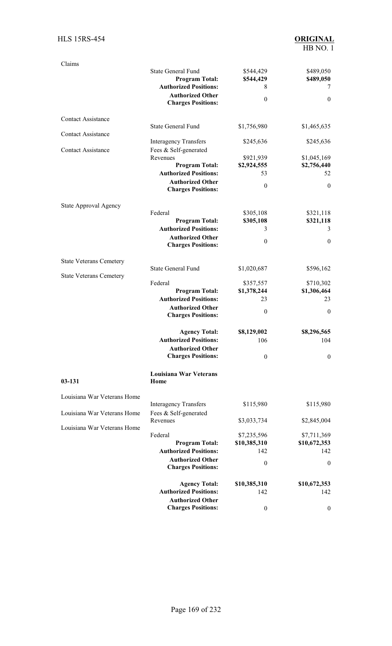### HLS 15RS-454 **ORIGINAL**

| Claims                         |                                                      |                        |                        |
|--------------------------------|------------------------------------------------------|------------------------|------------------------|
|                                | <b>State General Fund</b><br><b>Program Total:</b>   | \$544,429<br>\$544,429 | \$489,050<br>\$489,050 |
|                                | <b>Authorized Positions:</b>                         | 8                      | 7                      |
|                                | <b>Authorized Other</b><br><b>Charges Positions:</b> | $\boldsymbol{0}$       | $\mathbf{0}$           |
| <b>Contact Assistance</b>      | <b>State General Fund</b>                            | \$1,756,980            | \$1,465,635            |
| <b>Contact Assistance</b>      |                                                      |                        |                        |
|                                | <b>Interagency Transfers</b>                         | \$245,636              | \$245,636              |
| <b>Contact Assistance</b>      | Fees & Self-generated                                |                        |                        |
|                                | Revenues                                             | \$921,939              | \$1,045,169            |
|                                | <b>Program Total:</b>                                | \$2,924,555            | \$2,756,440            |
|                                | <b>Authorized Positions:</b>                         | 53                     | 52                     |
|                                | <b>Authorized Other</b><br><b>Charges Positions:</b> | $\boldsymbol{0}$       | $\theta$               |
| State Approval Agency          |                                                      |                        |                        |
|                                | Federal                                              | \$305,108              | \$321,118              |
|                                | <b>Program Total:</b>                                | \$305,108              | \$321,118              |
|                                | <b>Authorized Positions:</b>                         | 3                      | 3                      |
|                                | <b>Authorized Other</b>                              | $\boldsymbol{0}$       | $\boldsymbol{0}$       |
|                                | <b>Charges Positions:</b>                            |                        |                        |
| <b>State Veterans Cemetery</b> |                                                      |                        |                        |
|                                | <b>State General Fund</b>                            | \$1,020,687            | \$596,162              |
| <b>State Veterans Cemetery</b> |                                                      |                        |                        |
|                                | Federal                                              | \$357,557              | \$710,302              |
|                                | <b>Program Total:</b>                                | \$1,378,244            | \$1,306,464            |
|                                | <b>Authorized Positions:</b>                         | 23                     | 23                     |
|                                | <b>Authorized Other</b>                              | $\boldsymbol{0}$       | $\mathbf{0}$           |
|                                | <b>Charges Positions:</b>                            |                        |                        |
|                                | <b>Agency Total:</b>                                 | \$8,129,002            | \$8,296,565            |
|                                | <b>Authorized Positions:</b>                         | 106                    | 104                    |
|                                | <b>Authorized Other</b>                              |                        |                        |
|                                | <b>Charges Positions:</b>                            | $\boldsymbol{0}$       | $\mathbf{0}$           |
|                                | <b>Louisiana War Veterans</b>                        |                        |                        |
| 03-131                         | Home                                                 |                        |                        |
| Louisiana War Veterans Home    |                                                      |                        |                        |
|                                | <b>Interagency Transfers</b>                         | \$115,980              | \$115,980              |
| Louisiana War Veterans Home    | Fees & Self-generated<br>Revenues                    | \$3,033,734            | \$2,845,004            |
| Louisiana War Veterans Home    |                                                      |                        |                        |
|                                | Federal                                              | \$7,235,596            | \$7,711,369            |
|                                | <b>Program Total:</b>                                | \$10,385,310           | \$10,672,353           |
|                                | <b>Authorized Positions:</b>                         | 142                    | 142                    |
|                                | <b>Authorized Other</b><br><b>Charges Positions:</b> | $\boldsymbol{0}$       | $\mathbf{0}$           |
|                                | <b>Agency Total:</b>                                 | \$10,385,310           | \$10,672,353           |
|                                | <b>Authorized Positions:</b>                         | 142                    | 142                    |
|                                | <b>Authorized Other</b>                              |                        |                        |
|                                | <b>Charges Positions:</b>                            | $\boldsymbol{0}$       | $\bf{0}$               |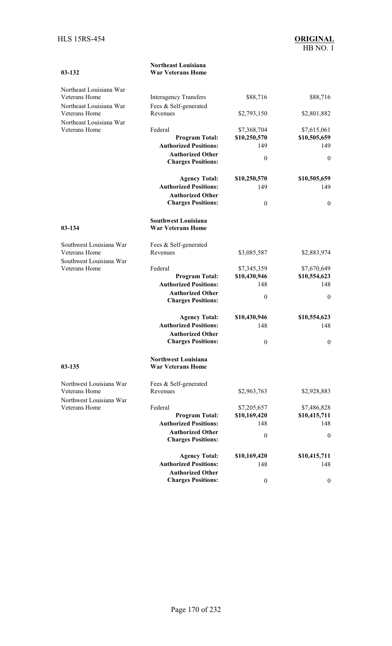| 03-132                  | <b>War Veterans Home</b>                             |                             |                             |
|-------------------------|------------------------------------------------------|-----------------------------|-----------------------------|
| Northeast Louisiana War |                                                      |                             |                             |
| Veterans Home           | <b>Interagency Transfers</b>                         | \$88,716                    | \$88,716                    |
| Northeast Louisiana War | Fees & Self-generated                                |                             |                             |
| Veterans Home           | Revenues                                             | \$2,793,150                 | \$2,801,882                 |
| Northeast Louisiana War |                                                      |                             |                             |
| Veterans Home           | Federal<br><b>Program Total:</b>                     | \$7,368,704<br>\$10,250,570 | \$7,615,061<br>\$10,505,659 |
|                         | <b>Authorized Positions:</b>                         | 149                         | 149                         |
|                         | <b>Authorized Other</b>                              |                             |                             |
|                         | <b>Charges Positions:</b>                            | $\boldsymbol{0}$            | $\theta$                    |
|                         | <b>Agency Total:</b>                                 | \$10,250,570                | \$10,505,659                |
|                         | <b>Authorized Positions:</b>                         | 149                         | 149                         |
|                         | <b>Authorized Other</b>                              |                             |                             |
|                         | <b>Charges Positions:</b>                            | $\boldsymbol{0}$            | $\mathbf{0}$                |
|                         | <b>Southwest Louisiana</b>                           |                             |                             |
| $03 - 134$              | <b>War Veterans Home</b>                             |                             |                             |
| Southwest Louisiana War | Fees & Self-generated                                |                             |                             |
| Veterans Home           | Revenues                                             | \$3,085,587                 | \$2,883,974                 |
| Southwest Louisiana War |                                                      |                             |                             |
| Veterans Home           | Federal                                              | \$7,345,359                 | \$7,670,649                 |
|                         | <b>Program Total:</b>                                | \$10,430,946                | \$10,554,623                |
|                         | <b>Authorized Positions:</b>                         | 148                         | 148                         |
|                         | <b>Authorized Other</b><br><b>Charges Positions:</b> | $\boldsymbol{0}$            | $\mathbf{0}$                |
|                         | <b>Agency Total:</b>                                 | \$10,430,946                | \$10,554,623                |
|                         | <b>Authorized Positions:</b>                         | 148                         | 148                         |
|                         | <b>Authorized Other</b>                              |                             |                             |
|                         | <b>Charges Positions:</b>                            | $\boldsymbol{0}$            | $\mathbf{0}$                |
|                         | <b>Northwest Louisiana</b>                           |                             |                             |
| $03-135$                | <b>War Veterans Home</b>                             |                             |                             |
| Northwest Louisiana War | Fees & Self-generated                                |                             |                             |
| Veterans Home           | Revenues                                             | \$2,963,763                 | \$2,928,883                 |
| Northwest Louisiana War |                                                      |                             |                             |
| Veterans Home           | Federal                                              | \$7,205,657                 | \$7,486,828                 |
|                         | <b>Program Total:</b>                                | \$10,169,420                | \$10,415,711                |
|                         | <b>Authorized Positions:</b>                         | 148                         | 148                         |
|                         | <b>Authorized Other</b><br><b>Charges Positions:</b> | $\boldsymbol{0}$            | $\mathbf{0}$                |
|                         | <b>Agency Total:</b>                                 | \$10,169,420                | \$10,415,711                |
|                         | <b>Authorized Positions:</b>                         | 148                         | 148                         |
|                         | <b>Authorized Other</b>                              |                             |                             |
|                         | <b>Charges Positions:</b>                            | $\boldsymbol{0}$            | $\overline{0}$              |

**Northeast Louisiana**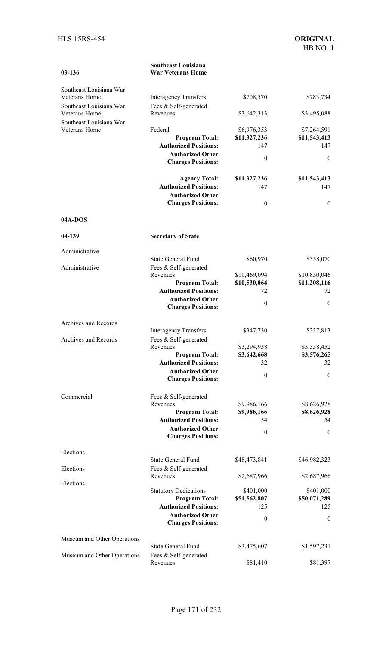| $03-136$                                 | <b>Southeast Louisiana</b><br><b>War Veterans Home</b>  |                            |                            |
|------------------------------------------|---------------------------------------------------------|----------------------------|----------------------------|
| Southeast Louisiana War                  |                                                         |                            |                            |
| Veterans Home                            | <b>Interagency Transfers</b>                            | \$708,570                  | \$783,734                  |
| Southeast Louisiana War<br>Veterans Home | Fees & Self-generated<br>Revenues                       | \$3,642,313                | \$3,495,088                |
| Southeast Louisiana War                  |                                                         |                            |                            |
| <b>Veterans Home</b>                     | Federal                                                 | \$6,976,353                | \$7,264,591                |
|                                          | <b>Program Total:</b><br><b>Authorized Positions:</b>   | \$11,327,236<br>147        | \$11,543,413<br>147        |
|                                          | <b>Authorized Other</b><br><b>Charges Positions:</b>    | $\mathbf{0}$               | $\theta$                   |
|                                          |                                                         |                            |                            |
|                                          | <b>Agency Total:</b><br><b>Authorized Positions:</b>    | \$11,327,236<br>147        | \$11,543,413<br>147        |
|                                          | <b>Authorized Other</b>                                 |                            |                            |
|                                          | <b>Charges Positions:</b>                               | $\mathbf{0}$               | $\mathbf{0}$               |
| 04A-DOS                                  |                                                         |                            |                            |
| 04-139                                   | <b>Secretary of State</b>                               |                            |                            |
| Administrative                           |                                                         |                            |                            |
| Administrative                           | <b>State General Fund</b><br>Fees & Self-generated      | \$60,970                   | \$358,070                  |
|                                          | Revenues                                                | \$10,469,094               | \$10,850,046               |
|                                          | <b>Program Total:</b>                                   | \$10,530,064               | \$11,208,116               |
|                                          | <b>Authorized Positions:</b><br><b>Authorized Other</b> | 72                         | 72                         |
|                                          | <b>Charges Positions:</b>                               | $\mathbf{0}$               | $\mathbf{0}$               |
| Archives and Records                     |                                                         |                            |                            |
|                                          | <b>Interagency Transfers</b>                            | \$347,730                  | \$237,813                  |
| Archives and Records                     | Fees & Self-generated<br>Revenues                       | \$3,294,938                | \$3,338,452                |
|                                          | <b>Program Total:</b>                                   | \$3,642,668                | \$3,576,265                |
|                                          | <b>Authorized Positions:</b><br><b>Authorized Other</b> | 32                         | 32                         |
|                                          | <b>Charges Positions:</b>                               | $\boldsymbol{0}$           | $\boldsymbol{0}$           |
| Commercial                               | Fees & Self-generated                                   |                            |                            |
|                                          | Revenues<br><b>Program Total:</b>                       | \$9,986,166<br>\$9,986,166 | \$8,626,928<br>\$8,626,928 |
|                                          | <b>Authorized Positions:</b>                            | 54                         | 54                         |
|                                          | <b>Authorized Other</b><br><b>Charges Positions:</b>    | $\mathbf{0}$               | $\boldsymbol{0}$           |
| Elections                                |                                                         |                            |                            |
| Elections                                | State General Fund<br>Fees & Self-generated             | \$48,473,841               | \$46,982,323               |
| Elections                                | Revenues                                                | \$2,687,966                | \$2,687,966                |
|                                          | <b>Statutory Dedications</b>                            | \$401,000                  | \$401,000                  |
|                                          | <b>Program Total:</b><br><b>Authorized Positions:</b>   | \$51,562,807<br>125        | \$50,071,289<br>125        |
|                                          | <b>Authorized Other</b>                                 | $\boldsymbol{0}$           | $\boldsymbol{0}$           |
|                                          | <b>Charges Positions:</b>                               |                            |                            |
| Museum and Other Operations              | <b>State General Fund</b>                               | \$3,475,607                | \$1,597,231                |
| Museum and Other Operations              | Fees & Self-generated                                   |                            |                            |
|                                          | Revenues                                                | \$81,410                   | \$81,397                   |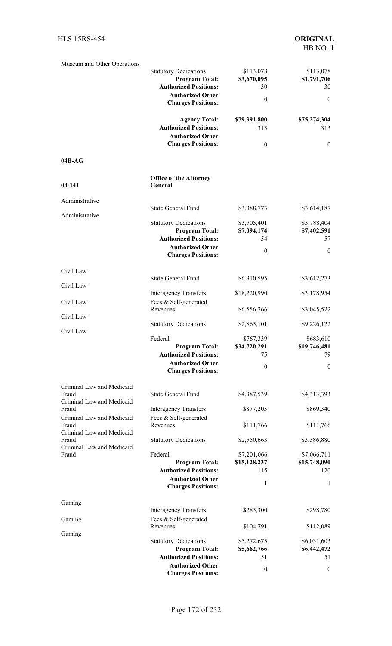| Museum and Other Operations        | <b>Statutory Dedications</b>                            | \$113,078                   | \$113,078                   |
|------------------------------------|---------------------------------------------------------|-----------------------------|-----------------------------|
|                                    | <b>Program Total:</b>                                   | \$3,670,095                 | \$1,791,706                 |
|                                    | <b>Authorized Positions:</b><br><b>Authorized Other</b> | 30                          | 30                          |
|                                    | <b>Charges Positions:</b>                               | $\theta$                    | $\theta$                    |
|                                    | <b>Agency Total:</b>                                    | \$79,391,800                | \$75,274,304                |
|                                    | <b>Authorized Positions:</b><br><b>Authorized Other</b> | 313                         | 313                         |
|                                    | <b>Charges Positions:</b>                               | $\boldsymbol{0}$            | $\boldsymbol{0}$            |
| $04B-AG$                           |                                                         |                             |                             |
| $04 - 141$                         | <b>Office of the Attorney</b><br>General                |                             |                             |
| Administrative                     |                                                         |                             |                             |
| Administrative                     | <b>State General Fund</b>                               | \$3,388,773                 | \$3,614,187                 |
|                                    | <b>Statutory Dedications</b>                            | \$3,705,401                 | \$3,788,404                 |
|                                    | <b>Program Total:</b><br><b>Authorized Positions:</b>   | \$7,094,174<br>54           | \$7,402,591<br>57           |
|                                    | <b>Authorized Other</b><br><b>Charges Positions:</b>    | $\boldsymbol{0}$            | $\mathbf{0}$                |
| Civil Law                          |                                                         |                             |                             |
| Civil Law                          | <b>State General Fund</b>                               | \$6,310,595                 | \$3,612,273                 |
|                                    | <b>Interagency Transfers</b>                            | \$18,220,990                | \$3,178,954                 |
| Civil Law                          | Fees & Self-generated<br>Revenues                       | \$6,556,266                 | \$3,045,522                 |
| Civil Law                          | <b>Statutory Dedications</b>                            | \$2,865,101                 | \$9,226,122                 |
| Civil Law                          |                                                         |                             |                             |
|                                    | Federal<br><b>Program Total:</b>                        | \$767,339<br>\$34,720,291   | \$683,610<br>\$19,746,481   |
|                                    | <b>Authorized Positions:</b><br><b>Authorized Other</b> | 75                          | 79                          |
|                                    | <b>Charges Positions:</b>                               | $\boldsymbol{0}$            | $\boldsymbol{0}$            |
| Criminal Law and Medicaid          |                                                         |                             |                             |
| Fraud<br>Criminal Law and Medicaid | <b>State General Fund</b>                               | \$4,387,539                 | \$4,313,393                 |
| Fraud                              | <b>Interagency Transfers</b>                            | \$877,203                   | \$869,340                   |
| Criminal Law and Medicaid<br>Fraud | Fees & Self-generated<br>Revenues                       | \$111,766                   | \$111,766                   |
| Criminal Law and Medicaid<br>Fraud | <b>Statutory Dedications</b>                            | \$2,550,663                 | \$3,386,880                 |
| Criminal Law and Medicaid<br>Fraud | Federal                                                 |                             |                             |
|                                    | <b>Program Total:</b>                                   | \$7,201,066<br>\$15,128,237 | \$7,066,711<br>\$15,748,090 |
|                                    | <b>Authorized Positions:</b>                            | 115                         | 120                         |
|                                    | <b>Authorized Other</b><br><b>Charges Positions:</b>    | 1                           | $\mathbf{1}$                |
| Gaming                             |                                                         |                             |                             |
| Gaming                             | <b>Interagency Transfers</b><br>Fees & Self-generated   | \$285,300                   | \$298,780                   |
|                                    | Revenues                                                | \$104,791                   | \$112,089                   |
| Gaming                             | <b>Statutory Dedications</b>                            | \$5,272,675                 | \$6,031,603                 |
|                                    | <b>Program Total:</b><br><b>Authorized Positions:</b>   | \$5,662,766<br>51           | \$6,442,472<br>51           |
|                                    | <b>Authorized Other</b>                                 | $\boldsymbol{0}$            | $\mathbf{0}$                |
|                                    | <b>Charges Positions:</b>                               |                             |                             |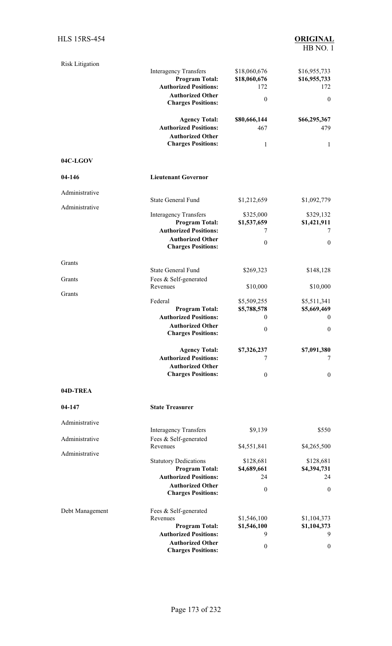| <b>Risk Litigation</b> |                                                       |                          |                          |
|------------------------|-------------------------------------------------------|--------------------------|--------------------------|
|                        | <b>Interagency Transfers</b>                          | \$18,060,676             | \$16,955,733             |
|                        | <b>Program Total:</b><br><b>Authorized Positions:</b> | \$18,060,676<br>172      | \$16,955,733<br>172      |
|                        | <b>Authorized Other</b>                               | $\theta$                 | $\mathbf{0}$             |
|                        | <b>Charges Positions:</b>                             |                          |                          |
|                        | <b>Agency Total:</b>                                  | \$80,666,144             | \$66,295,367             |
|                        | <b>Authorized Positions:</b>                          | 467                      | 479                      |
|                        | <b>Authorized Other</b>                               |                          |                          |
|                        | <b>Charges Positions:</b>                             | 1                        | $\mathbf{1}$             |
| 04C-LGOV               |                                                       |                          |                          |
| 04-146                 | <b>Lieutenant Governor</b>                            |                          |                          |
| Administrative         |                                                       |                          |                          |
|                        | <b>State General Fund</b>                             | \$1,212,659              | \$1,092,779              |
| Administrative         |                                                       |                          |                          |
|                        | <b>Interagency Transfers</b><br><b>Program Total:</b> | \$325,000<br>\$1,537,659 | \$329,132<br>\$1,421,911 |
|                        | <b>Authorized Positions:</b>                          | 7                        | 7                        |
|                        | <b>Authorized Other</b>                               |                          |                          |
|                        | <b>Charges Positions:</b>                             | $\theta$                 | $\mathbf{0}$             |
|                        |                                                       |                          |                          |
| Grants                 | <b>State General Fund</b>                             | \$269,323                | \$148,128                |
| Grants                 | Fees & Self-generated                                 |                          |                          |
|                        | Revenues                                              | \$10,000                 | \$10,000                 |
| Grants                 | Federal                                               | \$5,509,255              | \$5,511,341              |
|                        | <b>Program Total:</b>                                 | \$5,788,578              | \$5,669,469              |
|                        | <b>Authorized Positions:</b>                          | $\mathbf{0}$             | $\boldsymbol{0}$         |
|                        | <b>Authorized Other</b>                               | $\boldsymbol{0}$         | $\boldsymbol{0}$         |
|                        | <b>Charges Positions:</b>                             |                          |                          |
|                        | <b>Agency Total:</b>                                  | \$7,326,237              | \$7,091,380              |
|                        | <b>Authorized Positions:</b>                          | 7                        | 7                        |
|                        | <b>Authorized Other</b>                               |                          |                          |
|                        | <b>Charges Positions:</b>                             | $\mathbf{0}$             | $\boldsymbol{0}$         |
| 04D-TREA               |                                                       |                          |                          |
| 04-147                 | <b>State Treasurer</b>                                |                          |                          |
|                        |                                                       |                          |                          |
| Administrative         | <b>Interagency Transfers</b>                          | \$9,139                  | \$550                    |
| Administrative         | Fees & Self-generated                                 |                          |                          |
|                        | Revenues                                              | \$4,551,841              | \$4,265,500              |
| Administrative         | <b>Statutory Dedications</b>                          | \$128,681                | \$128,681                |
|                        | <b>Program Total:</b>                                 | \$4,689,661              | \$4,394,731              |
|                        | <b>Authorized Positions:</b>                          | 24                       | 24                       |
|                        | <b>Authorized Other</b><br><b>Charges Positions:</b>  | $\boldsymbol{0}$         | $\boldsymbol{0}$         |
|                        |                                                       |                          |                          |
| Debt Management        | Fees & Self-generated<br>Revenues                     | \$1,546,100              | \$1,104,373              |
|                        | <b>Program Total:</b>                                 | \$1,546,100              | \$1,104,373              |
|                        | <b>Authorized Positions:</b>                          | 9                        | 9                        |
|                        | <b>Authorized Other</b>                               | $\boldsymbol{0}$         | 0                        |
|                        | <b>Charges Positions:</b>                             |                          |                          |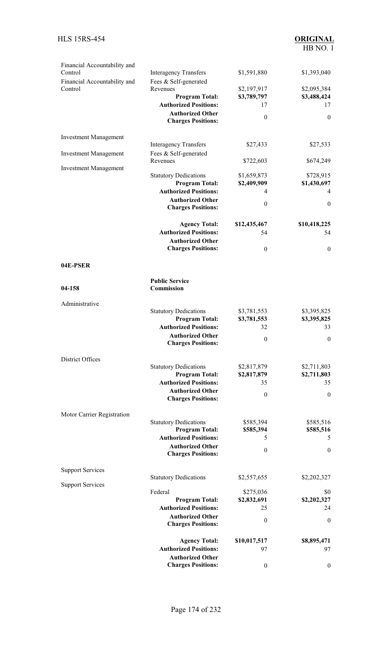| Financial Accountability and<br>Control | <b>Interagency Transfers</b>                          | \$1,591,880                | \$1,393,040              |
|-----------------------------------------|-------------------------------------------------------|----------------------------|--------------------------|
| Financial Accountability and<br>Control | Fees & Self-generated<br>Revenues                     | \$2,197,917                | \$2,095,384              |
|                                         | <b>Program Total:</b>                                 | \$3,789,797                | \$3,488,424              |
|                                         | <b>Authorized Positions:</b>                          | 17                         | 17                       |
|                                         | <b>Authorized Other</b>                               | $\boldsymbol{0}$           | $\theta$                 |
|                                         | <b>Charges Positions:</b>                             |                            |                          |
| <b>Investment Management</b>            |                                                       |                            |                          |
|                                         | <b>Interagency Transfers</b>                          | \$27,433                   | \$27,533                 |
| <b>Investment Management</b>            | Fees & Self-generated<br>Revenues                     | \$722,603                  | \$674,249                |
| <b>Investment Management</b>            |                                                       |                            |                          |
|                                         | <b>Statutory Dedications</b><br><b>Program Total:</b> | \$1,659,873<br>\$2,409,909 | \$728,915<br>\$1,430,697 |
|                                         | <b>Authorized Positions:</b>                          | 4                          | 4                        |
|                                         | <b>Authorized Other</b>                               |                            |                          |
|                                         | <b>Charges Positions:</b>                             | $\boldsymbol{0}$           | $\mathbf{0}$             |
|                                         | <b>Agency Total:</b>                                  | \$12,435,467               | \$10,418,225             |
|                                         | <b>Authorized Positions:</b>                          | 54                         | 54                       |
|                                         | <b>Authorized Other</b>                               |                            |                          |
|                                         | <b>Charges Positions:</b>                             | $\boldsymbol{0}$           | $\mathbf{0}$             |
| 04E-PSER                                |                                                       |                            |                          |
| 04-158                                  | <b>Public Service</b><br><b>Commission</b>            |                            |                          |
|                                         |                                                       |                            |                          |
| Administrative                          |                                                       |                            |                          |
|                                         | <b>Statutory Dedications</b>                          | \$3,781,553                | \$3,395,825              |
|                                         | <b>Program Total:</b><br><b>Authorized Positions:</b> | \$3,781,553<br>32          | \$3,395,825<br>33        |
|                                         | <b>Authorized Other</b>                               |                            |                          |
|                                         | <b>Charges Positions:</b>                             | $\boldsymbol{0}$           | $\theta$                 |
| District Offices                        |                                                       |                            |                          |
|                                         | <b>Statutory Dedications</b>                          | \$2,817,879                | \$2,711,803              |
|                                         | <b>Program Total:</b>                                 | \$2,817,879                | \$2,711,803              |
|                                         | <b>Authorized Positions:</b>                          | 35                         | 35                       |
|                                         | <b>Authorized Other</b>                               | $\boldsymbol{0}$           | $\mathbf{0}$             |
|                                         | <b>Charges Positions:</b>                             |                            |                          |
| Motor Carrier Registration              |                                                       |                            |                          |
|                                         | <b>Statutory Dedications</b><br><b>Program Total:</b> | \$585,394<br>\$585,394     | \$585,516<br>\$585,516   |
|                                         | <b>Authorized Positions:</b>                          | 5                          | 5                        |
|                                         | <b>Authorized Other</b>                               |                            |                          |
|                                         | <b>Charges Positions:</b>                             | $\boldsymbol{0}$           | $\boldsymbol{0}$         |
| <b>Support Services</b>                 |                                                       |                            |                          |
|                                         | <b>Statutory Dedications</b>                          | \$2,557,655                | \$2,202,327              |
| <b>Support Services</b>                 | Federal                                               | \$275,036                  | \$0                      |
|                                         | <b>Program Total:</b>                                 | \$2,832,691                | \$2,202,327              |
|                                         | <b>Authorized Positions:</b>                          | 25                         | 24                       |
|                                         | <b>Authorized Other</b><br><b>Charges Positions:</b>  | $\boldsymbol{0}$           | $\boldsymbol{0}$         |
|                                         |                                                       |                            |                          |
|                                         | <b>Agency Total:</b><br><b>Authorized Positions:</b>  | \$10,017,517<br>97         | \$8,895,471<br>97        |
|                                         | <b>Authorized Other</b>                               |                            |                          |
|                                         | <b>Charges Positions:</b>                             | $\boldsymbol{0}$           | $\boldsymbol{0}$         |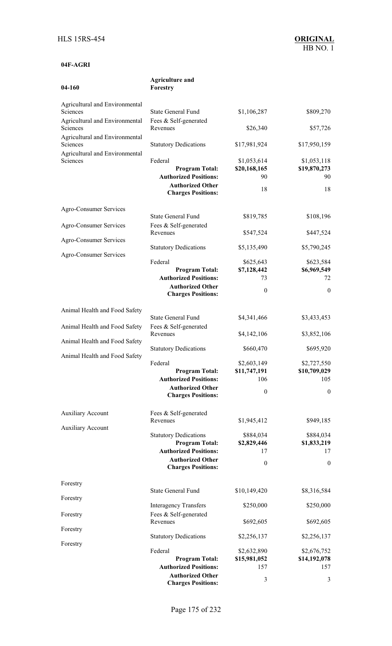| 04-160                                     | Forestry                                              |                    |                    |
|--------------------------------------------|-------------------------------------------------------|--------------------|--------------------|
| Agricultural and Environmental             |                                                       |                    |                    |
| Sciences                                   | <b>State General Fund</b>                             | \$1,106,287        | \$809,270          |
| Agricultural and Environmental             | Fees & Self-generated                                 |                    |                    |
| Sciences                                   | Revenues                                              | \$26,340           | \$57,726           |
| Agricultural and Environmental<br>Sciences | <b>Statutory Dedications</b>                          | \$17,981,924       | \$17,950,159       |
| Agricultural and Environmental<br>Sciences | Federal                                               | \$1,053,614        | \$1,053,118        |
|                                            | <b>Program Total:</b><br><b>Authorized Positions:</b> | \$20,168,165<br>90 | \$19,870,273<br>90 |
|                                            | <b>Authorized Other</b>                               |                    |                    |
|                                            | <b>Charges Positions:</b>                             | 18                 | 18                 |
|                                            |                                                       |                    |                    |
| Agro-Consumer Services                     | <b>State General Fund</b>                             | \$819,785          | \$108,196          |
| Agro-Consumer Services                     | Fees & Self-generated                                 |                    |                    |
|                                            | Revenues                                              | \$547,524          | \$447,524          |
| Agro-Consumer Services                     |                                                       |                    |                    |
|                                            | <b>Statutory Dedications</b>                          | \$5,135,490        | \$5,790,245        |
| Agro-Consumer Services                     | Federal                                               | \$625,643          | \$623,584          |
|                                            | <b>Program Total:</b>                                 | \$7,128,442        | \$6,969,549        |
|                                            | <b>Authorized Positions:</b>                          | 73                 | 72                 |
|                                            | <b>Authorized Other</b>                               | $\mathbf{0}$       | $\theta$           |
|                                            | <b>Charges Positions:</b>                             |                    |                    |
| Animal Health and Food Safety              |                                                       |                    |                    |
|                                            | <b>State General Fund</b>                             | \$4,341,466        | \$3,433,453        |
| Animal Health and Food Safety              | Fees & Self-generated                                 |                    |                    |
|                                            | Revenues                                              | \$4,142,106        | \$3,852,106        |
| Animal Health and Food Safety              | <b>Statutory Dedications</b>                          | \$660,470          | \$695,920          |
| Animal Health and Food Safety              |                                                       |                    |                    |
|                                            | Federal                                               | \$2,603,149        | \$2,727,550        |
|                                            | <b>Program Total:</b>                                 | \$11,747,191       | \$10,709,029       |
|                                            | <b>Authorized Positions:</b>                          | 106                | 105                |
|                                            | <b>Authorized Other</b><br><b>Charges Positions:</b>  | $\boldsymbol{0}$   | $\theta$           |
|                                            |                                                       |                    |                    |
| <b>Auxiliary Account</b>                   | Fees & Self-generated                                 |                    |                    |
|                                            | Revenues                                              | \$1,945,412        | \$949,185          |
| <b>Auxiliary Account</b>                   | <b>Statutory Dedications</b>                          | \$884,034          | \$884,034          |
|                                            | <b>Program Total:</b>                                 | \$2,829,446        | \$1,833,219        |
|                                            | <b>Authorized Positions:</b>                          | 17                 | 17                 |
|                                            | <b>Authorized Other</b>                               | $\mathbf{0}$       | $\boldsymbol{0}$   |
|                                            | <b>Charges Positions:</b>                             |                    |                    |
| Forestry                                   |                                                       |                    |                    |
|                                            | <b>State General Fund</b>                             | \$10,149,420       | \$8,316,584        |
| Forestry                                   |                                                       |                    |                    |
|                                            | <b>Interagency Transfers</b>                          | \$250,000          | \$250,000          |
| Forestry                                   | Fees & Self-generated<br>Revenues                     | \$692,605          | \$692,605          |
| Forestry                                   |                                                       |                    |                    |
|                                            | <b>Statutory Dedications</b>                          | \$2,256,137        | \$2,256,137        |
| Forestry                                   |                                                       |                    |                    |

**Agriculture and**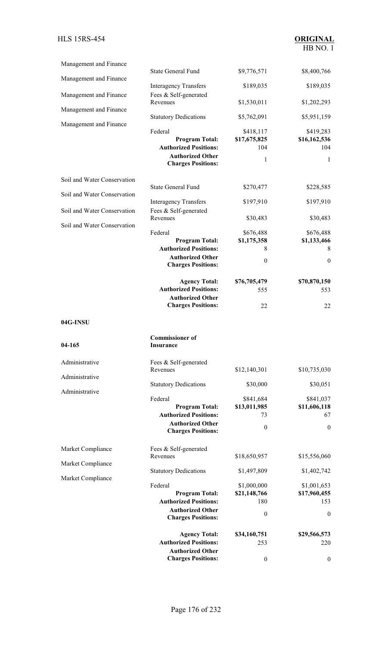| Management and Finance      |                                                                                                                          |                                                        |                                                    |
|-----------------------------|--------------------------------------------------------------------------------------------------------------------------|--------------------------------------------------------|----------------------------------------------------|
| Management and Finance      | <b>State General Fund</b>                                                                                                | \$9,776,571                                            | \$8,400,766                                        |
| Management and Finance      | <b>Interagency Transfers</b><br>Fees & Self-generated                                                                    | \$189,035                                              | \$189,035                                          |
|                             | Revenues                                                                                                                 | \$1,530,011                                            | \$1,202,293                                        |
| Management and Finance      | <b>Statutory Dedications</b>                                                                                             | \$5,762,091                                            | \$5,951,159                                        |
| Management and Finance      | Federal<br><b>Program Total:</b><br><b>Authorized Positions:</b><br><b>Authorized Other</b><br><b>Charges Positions:</b> | \$418,117<br>\$17,675,825<br>104<br>1                  | \$419,283<br>\$16,162,536<br>104<br>$\mathbf{1}$   |
| Soil and Water Conservation |                                                                                                                          |                                                        |                                                    |
| Soil and Water Conservation | <b>State General Fund</b>                                                                                                | \$270,477                                              | \$228,585                                          |
| Soil and Water Conservation | <b>Interagency Transfers</b><br>Fees & Self-generated                                                                    | \$197,910                                              | \$197,910                                          |
| Soil and Water Conservation | Revenues                                                                                                                 | \$30,483                                               | \$30,483                                           |
|                             | Federal<br><b>Program Total:</b><br><b>Authorized Positions:</b><br><b>Authorized Other</b><br><b>Charges Positions:</b> | \$676,488<br>\$1,175,358<br>8<br>$\boldsymbol{0}$      | \$676,488<br>\$1,133,466<br>8<br>$\mathbf{0}$      |
|                             | <b>Agency Total:</b>                                                                                                     | \$76,705,479                                           | \$70,870,150                                       |
|                             | <b>Authorized Positions:</b><br><b>Authorized Other</b>                                                                  | 555                                                    | 553                                                |
|                             | <b>Charges Positions:</b>                                                                                                | 22                                                     | 22                                                 |
| 04G-INSU                    |                                                                                                                          |                                                        |                                                    |
| 04-165                      | <b>Commissioner</b> of<br>Insurance                                                                                      |                                                        |                                                    |
| Administrative              | Fees & Self-generated<br>Revenues                                                                                        | \$12,140,301                                           | \$10,735,030                                       |
| Administrative              | <b>Statutory Dedications</b>                                                                                             | \$30,000                                               | \$30,051                                           |
| Administrative              | Federal<br><b>Program Total:</b><br><b>Authorized Positions:</b><br><b>Authorized Other</b><br><b>Charges Positions:</b> | \$841,684<br>\$13,011,985<br>73<br>$\boldsymbol{0}$    | \$841,037<br>\$11,606,118<br>67<br>$\overline{0}$  |
| Market Compliance           | Fees & Self-generated                                                                                                    |                                                        |                                                    |
| Market Compliance           | Revenues                                                                                                                 | \$18,650,957                                           | \$15,556,060                                       |
| Market Compliance           | <b>Statutory Dedications</b>                                                                                             | \$1,497,809                                            | \$1,402,742                                        |
|                             | Federal<br><b>Program Total:</b><br><b>Authorized Positions:</b><br><b>Authorized Other</b>                              | \$1,000,000<br>\$21,148,766<br>180<br>$\boldsymbol{0}$ | \$1,001,653<br>\$17,960,455<br>153<br>$\mathbf{0}$ |
|                             | <b>Charges Positions:</b><br><b>Agency Total:</b><br><b>Authorized Positions:</b><br><b>Authorized Other</b>             | \$34,160,751<br>253                                    | \$29,566,573<br>220                                |
|                             | <b>Charges Positions:</b>                                                                                                | $\boldsymbol{0}$                                       | $\boldsymbol{0}$                                   |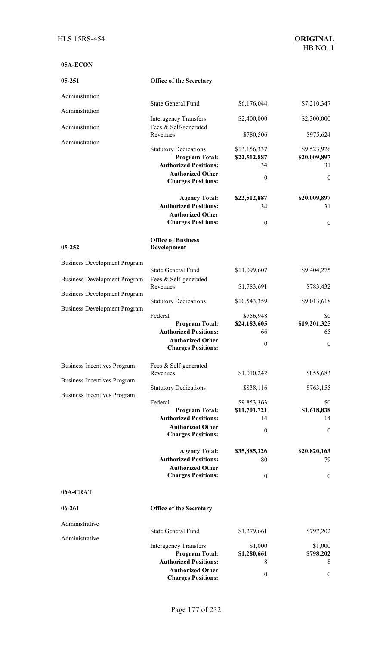### **05A-ECON**

| 05-251                              | <b>Office of the Secretary</b>                                                        |                              |                             |
|-------------------------------------|---------------------------------------------------------------------------------------|------------------------------|-----------------------------|
| Administration                      |                                                                                       |                              |                             |
| Administration                      | <b>State General Fund</b>                                                             | \$6,176,044                  | \$7,210,347                 |
| Administration                      | <b>Interagency Transfers</b><br>Fees & Self-generated                                 | \$2,400,000                  | \$2,300,000                 |
| Administration                      | Revenues                                                                              | \$780,506                    | \$975,624                   |
|                                     | <b>Statutory Dedications</b><br><b>Program Total:</b><br><b>Authorized Positions:</b> | \$13,156,337<br>\$22,512,887 | \$9,523,926<br>\$20,009,897 |
|                                     | <b>Authorized Other</b>                                                               | 34                           | 31                          |
|                                     | <b>Charges Positions:</b>                                                             | $\theta$                     | $\mathbf{0}$                |
|                                     | <b>Agency Total:</b>                                                                  | \$22,512,887                 | \$20,009,897                |
|                                     | <b>Authorized Positions:</b>                                                          | 34                           | 31                          |
|                                     | <b>Authorized Other</b><br><b>Charges Positions:</b>                                  | $\boldsymbol{0}$             | $\boldsymbol{0}$            |
| 05-252                              | <b>Office of Business</b><br>Development                                              |                              |                             |
|                                     |                                                                                       |                              |                             |
| <b>Business Development Program</b> | <b>State General Fund</b>                                                             | \$11,099,607                 | \$9,404,275                 |
| <b>Business Development Program</b> | Fees & Self-generated<br>Revenues                                                     | \$1,783,691                  | \$783,432                   |
| <b>Business Development Program</b> | <b>Statutory Dedications</b>                                                          | \$10,543,359                 | \$9,013,618                 |
| <b>Business Development Program</b> | Federal                                                                               | \$756,948                    | \$0                         |
|                                     | <b>Program Total:</b>                                                                 | \$24,183,605                 | \$19,201,325                |
|                                     | <b>Authorized Positions:</b>                                                          | 66                           | 65                          |
|                                     | <b>Authorized Other</b>                                                               | $\boldsymbol{0}$             | $\mathbf{0}$                |
|                                     | <b>Charges Positions:</b>                                                             |                              |                             |
| <b>Business Incentives Program</b>  | Fees & Self-generated                                                                 |                              |                             |
| <b>Business Incentives Program</b>  | Revenues                                                                              | \$1,010,242                  | \$855,683                   |
| <b>Business Incentives Program</b>  | <b>Statutory Dedications</b>                                                          | \$838,116                    | \$763,155                   |
|                                     | Federal                                                                               | \$9,853,363                  | \$0                         |
|                                     | <b>Program Total:</b>                                                                 | \$11,701,721                 | \$1,618,838                 |
|                                     | <b>Authorized Positions:</b><br><b>Authorized Other</b>                               | 14                           | 14                          |
|                                     | <b>Charges Positions:</b>                                                             | $\boldsymbol{0}$             | $\overline{0}$              |
|                                     | <b>Agency Total:</b>                                                                  | \$35,885,326                 | \$20,820,163                |
|                                     | <b>Authorized Positions:</b>                                                          | 80                           | 79                          |
|                                     | <b>Authorized Other</b><br><b>Charges Positions:</b>                                  |                              |                             |
|                                     |                                                                                       | $\theta$                     | $\mathbf{0}$                |
| 06A-CRAT                            |                                                                                       |                              |                             |
| $06 - 261$                          | <b>Office of the Secretary</b>                                                        |                              |                             |
| Administrative                      | <b>State General Fund</b>                                                             | \$1,279,661                  | \$797,202                   |
| Administrative                      |                                                                                       |                              |                             |
|                                     | <b>Interagency Transfers</b>                                                          | \$1,000                      | \$1,000                     |
|                                     | <b>Program Total:</b><br><b>Authorized Positions:</b>                                 | \$1,280,661<br>8             | \$798,202<br>8              |
|                                     | <b>Authorized Other</b>                                                               |                              |                             |
|                                     | <b>Charges Positions:</b>                                                             | $\boldsymbol{0}$             | $\bf{0}$                    |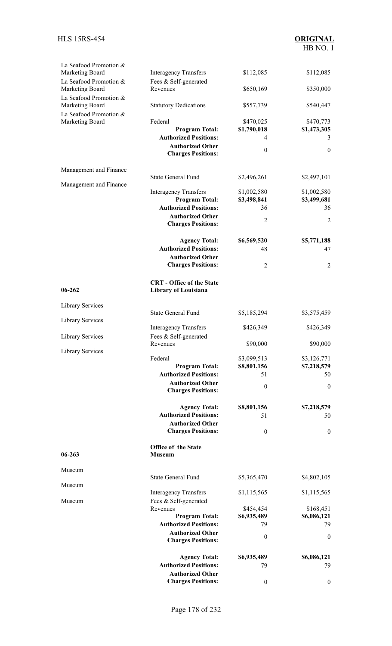| La Seafood Promotion &<br>Marketing Board | <b>Interagency Transfers</b>                             | \$112,085         | \$112,085         |
|-------------------------------------------|----------------------------------------------------------|-------------------|-------------------|
| La Seafood Promotion &                    | Fees & Self-generated                                    |                   |                   |
| Marketing Board<br>La Seafood Promotion & | Revenues                                                 | \$650,169         | \$350,000         |
| Marketing Board                           | <b>Statutory Dedications</b>                             | \$557,739         | \$540,447         |
| La Seafood Promotion &<br>Marketing Board | Federal                                                  | \$470,025         | \$470,773         |
|                                           | <b>Program Total:</b>                                    | \$1,790,018       | \$1,473,305       |
|                                           | <b>Authorized Positions:</b><br><b>Authorized Other</b>  | 4                 | 3                 |
|                                           | <b>Charges Positions:</b>                                | $\boldsymbol{0}$  | $\mathbf{0}$      |
| Management and Finance                    |                                                          |                   |                   |
| Management and Finance                    | <b>State General Fund</b>                                | \$2,496,261       | \$2,497,101       |
|                                           | <b>Interagency Transfers</b>                             | \$1,002,580       | \$1,002,580       |
|                                           | <b>Program Total:</b><br><b>Authorized Positions:</b>    | \$3,498,841<br>36 | \$3,499,681<br>36 |
|                                           | <b>Authorized Other</b>                                  |                   |                   |
|                                           | <b>Charges Positions:</b>                                | 2                 | $\overline{2}$    |
|                                           | <b>Agency Total:</b>                                     | \$6,569,520       | \$5,771,188       |
|                                           | <b>Authorized Positions:</b><br><b>Authorized Other</b>  | 48                | 47                |
|                                           | <b>Charges Positions:</b>                                | $\overline{2}$    | 2                 |
| $06 - 262$                                | <b>CRT</b> - Office of the State<br>Library of Louisiana |                   |                   |
| <b>Library Services</b>                   |                                                          |                   |                   |
| <b>Library Services</b>                   | <b>State General Fund</b>                                | \$5,185,294       | \$3,575,459       |
|                                           | <b>Interagency Transfers</b>                             | \$426,349         | \$426,349         |
| <b>Library Services</b>                   | Fees & Self-generated<br>Revenues                        | \$90,000          | \$90,000          |
| Library Services                          | Federal                                                  | \$3,099,513       | \$3,126,771       |
|                                           | <b>Program Total:</b>                                    | \$8,801,156       | \$7,218,579       |
|                                           | <b>Authorized Positions:</b><br><b>Authorized Other</b>  | 51                | 50                |
|                                           | <b>Charges Positions:</b>                                | $\boldsymbol{0}$  | $\mathbf{0}$      |
|                                           | <b>Agency Total:</b>                                     | \$8,801,156       | \$7,218,579       |
|                                           | <b>Authorized Positions:</b>                             | 51                | 50                |
|                                           | <b>Authorized Other</b><br><b>Charges Positions:</b>     | $\boldsymbol{0}$  | $\boldsymbol{0}$  |
| 06-263                                    | Office of the State<br><b>Museum</b>                     |                   |                   |
| Museum                                    |                                                          |                   |                   |
| Museum                                    | <b>State General Fund</b>                                | \$5,365,470       | \$4,802,105       |
|                                           | <b>Interagency Transfers</b>                             | \$1,115,565       | \$1,115,565       |
| Museum                                    | Fees & Self-generated<br>Revenues                        | \$454,454         | \$168,451         |
|                                           | <b>Program Total:</b>                                    | \$6,935,489       | \$6,086,121       |
|                                           | <b>Authorized Positions:</b>                             | 79                | 79                |
|                                           | <b>Authorized Other</b><br><b>Charges Positions:</b>     | $\theta$          | $\mathbf{0}$      |
|                                           | <b>Agency Total:</b>                                     | \$6,935,489       | \$6,086,121       |
|                                           | <b>Authorized Positions:</b>                             | 79                | 79                |
|                                           | <b>Authorized Other</b>                                  |                   |                   |
|                                           | <b>Charges Positions:</b>                                | $\boldsymbol{0}$  | $\boldsymbol{0}$  |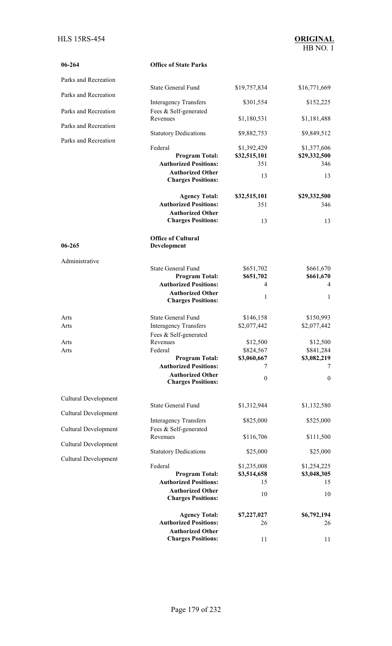| 06-264                      | <b>Office of State Parks</b>                         |                             |                             |
|-----------------------------|------------------------------------------------------|-----------------------------|-----------------------------|
| Parks and Recreation        |                                                      |                             |                             |
|                             | <b>State General Fund</b>                            | \$19,757,834                | \$16,771,669                |
| Parks and Recreation        | <b>Interagency Transfers</b>                         | \$301,554                   | \$152,225                   |
| Parks and Recreation        | Fees & Self-generated                                |                             |                             |
| Parks and Recreation        | Revenues                                             | \$1,180,531                 | \$1,181,488                 |
|                             | <b>Statutory Dedications</b>                         | \$9,882,753                 | \$9,849,512                 |
| Parks and Recreation        | Federal                                              |                             |                             |
|                             | <b>Program Total:</b>                                | \$1,392,429<br>\$32,515,101 | \$1,377,606<br>\$29,332,500 |
|                             | <b>Authorized Positions:</b>                         | 351                         | 346                         |
|                             | <b>Authorized Other</b>                              |                             |                             |
|                             | <b>Charges Positions:</b>                            | 13                          | 13                          |
|                             | <b>Agency Total:</b>                                 | \$32,515,101                | \$29,332,500                |
|                             | <b>Authorized Positions:</b>                         | 351                         | 346                         |
|                             | <b>Authorized Other</b>                              |                             |                             |
|                             | <b>Charges Positions:</b>                            | 13                          | 13                          |
| 06-265                      | <b>Office of Cultural</b><br>Development             |                             |                             |
| Administrative              |                                                      |                             |                             |
|                             | <b>State General Fund</b>                            | \$651,702                   | \$661,670                   |
|                             | <b>Program Total:</b>                                | \$651,702                   | \$661,670                   |
|                             | <b>Authorized Positions:</b>                         | 4                           | 4                           |
|                             | <b>Authorized Other</b>                              | 1                           | $\mathbf{1}$                |
|                             | <b>Charges Positions:</b>                            |                             |                             |
| Arts                        | <b>State General Fund</b>                            | \$146,158                   | \$150,993                   |
| Arts                        | <b>Interagency Transfers</b>                         | \$2,077,442                 | \$2,077,442                 |
|                             | Fees & Self-generated                                |                             |                             |
| Arts                        | Revenues                                             | \$12,500                    | \$12,500                    |
| Arts                        | Federal                                              | \$824,567                   | \$841,284                   |
|                             | <b>Program Total:</b>                                | \$3,060,667                 | \$3,082,219                 |
|                             | <b>Authorized Positions:</b>                         | 7                           | 7                           |
|                             | <b>Authorized Other</b><br><b>Charges Positions:</b> | $\theta$                    | $\boldsymbol{0}$            |
|                             |                                                      |                             |                             |
| <b>Cultural Development</b> | <b>State General Fund</b>                            | \$1,312,944                 | \$1,132,580                 |
| Cultural Development        |                                                      |                             |                             |
|                             | <b>Interagency Transfers</b>                         | \$825,000                   | \$525,000                   |
| <b>Cultural Development</b> | Fees & Self-generated<br>Revenues                    | \$116,706                   | \$111,500                   |
| <b>Cultural Development</b> |                                                      |                             |                             |
| <b>Cultural Development</b> | <b>Statutory Dedications</b>                         | \$25,000                    | \$25,000                    |
|                             | Federal                                              | \$1,235,008                 | \$1,254,225                 |
|                             | <b>Program Total:</b>                                | \$3,514,658                 | \$3,048,305                 |
|                             | <b>Authorized Positions:</b>                         | 15                          | 15                          |
|                             | <b>Authorized Other</b><br><b>Charges Positions:</b> | 10                          | 10                          |
|                             | <b>Agency Total:</b>                                 | \$7,227,027                 | \$6,792,194                 |
|                             | <b>Authorized Positions:</b>                         | 26                          | 26                          |
|                             | <b>Authorized Other</b>                              |                             |                             |
|                             | <b>Charges Positions:</b>                            | 11                          | 11                          |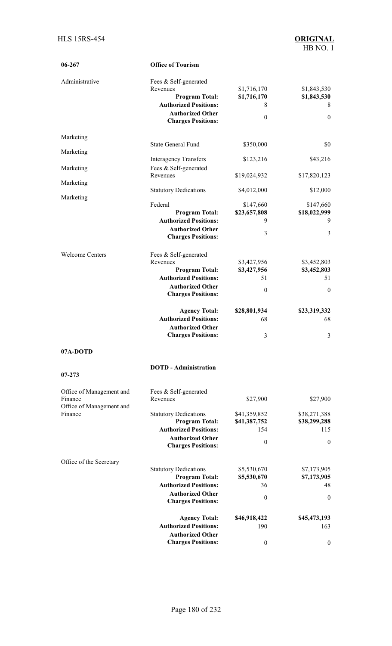| 06-267                                                          | <b>Office of Tourism</b>                                                                                                                           |                                                      |                                                     |
|-----------------------------------------------------------------|----------------------------------------------------------------------------------------------------------------------------------------------------|------------------------------------------------------|-----------------------------------------------------|
| Administrative                                                  | Fees & Self-generated<br>Revenues<br><b>Program Total:</b><br><b>Authorized Positions:</b><br><b>Authorized Other</b><br><b>Charges Positions:</b> | \$1,716,170<br>\$1,716,170<br>8<br>$\mathbf{0}$      | \$1,843,530<br>\$1,843,530<br>8<br>$\mathbf{0}$     |
| Marketing                                                       |                                                                                                                                                    |                                                      |                                                     |
| Marketing                                                       | <b>State General Fund</b>                                                                                                                          | \$350,000                                            | \$0                                                 |
| Marketing                                                       | <b>Interagency Transfers</b><br>Fees & Self-generated                                                                                              | \$123,216                                            | \$43,216                                            |
| Marketing                                                       | Revenues                                                                                                                                           | \$19,024,932                                         | \$17,820,123                                        |
| Marketing                                                       | <b>Statutory Dedications</b>                                                                                                                       | \$4,012,000                                          | \$12,000                                            |
|                                                                 | Federal<br><b>Program Total:</b><br><b>Authorized Positions:</b><br><b>Authorized Other</b><br><b>Charges Positions:</b>                           | \$147,660<br>\$23,657,808<br>9<br>3                  | \$147,660<br>\$18,022,999<br>9<br>3                 |
| <b>Welcome Centers</b>                                          | Fees & Self-generated<br>Revenues<br><b>Program Total:</b><br><b>Authorized Positions:</b><br><b>Authorized Other</b><br><b>Charges Positions:</b> | \$3,427,956<br>\$3,427,956<br>51<br>$\boldsymbol{0}$ | \$3,452,803<br>\$3,452,803<br>51<br>$\theta$        |
|                                                                 | <b>Agency Total:</b><br><b>Authorized Positions:</b><br><b>Authorized Other</b><br><b>Charges Positions:</b>                                       | \$28,801,934<br>68<br>3                              | \$23,319,332<br>68<br>3                             |
| 07A-DOTD                                                        |                                                                                                                                                    |                                                      |                                                     |
| $07 - 273$                                                      | <b>DOTD</b> - Administration                                                                                                                       |                                                      |                                                     |
| Office of Management and<br>Finance<br>Office of Management and | Fees & Self-generated<br>Revenues                                                                                                                  | \$27,900                                             | \$27,900                                            |
| Finance                                                         | <b>Statutory Dedications</b><br><b>Program Total:</b><br><b>Authorized Positions:</b><br><b>Authorized Other</b><br><b>Charges Positions:</b>      | \$41,359,852<br>\$41,387,752<br>154<br>$\mathbf{0}$  | \$38,271,388<br>\$38,299,288<br>115<br>$\mathbf{0}$ |
| Office of the Secretary                                         |                                                                                                                                                    |                                                      |                                                     |
|                                                                 | <b>Statutory Dedications</b><br><b>Program Total:</b><br><b>Authorized Positions:</b><br><b>Authorized Other</b><br><b>Charges Positions:</b>      | \$5,530,670<br>\$5,530,670<br>36<br>$\mathbf{0}$     | \$7,173,905<br>\$7,173,905<br>48<br>$\mathbf{0}$    |
|                                                                 | <b>Agency Total:</b><br><b>Authorized Positions:</b><br><b>Authorized Other</b><br><b>Charges Positions:</b>                                       | \$46,918,422<br>190<br>$\boldsymbol{0}$              | \$45,473,193<br>163<br>$\mathbf{0}$                 |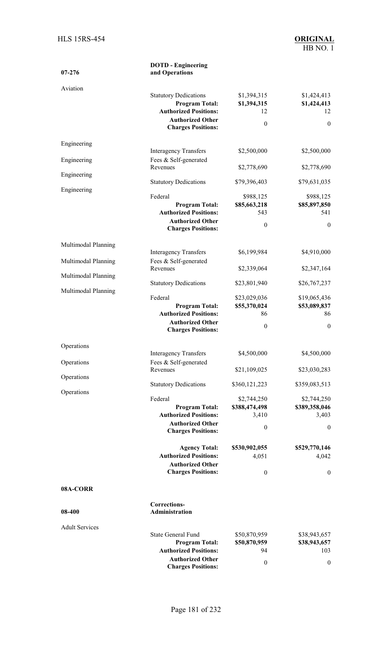| $07 - 276$            | <b>DOTD</b> - Engineering<br>and Operations                                                                                                   |                                                      |                                                      |
|-----------------------|-----------------------------------------------------------------------------------------------------------------------------------------------|------------------------------------------------------|------------------------------------------------------|
| Aviation              | <b>Statutory Dedications</b><br><b>Program Total:</b><br><b>Authorized Positions:</b><br><b>Authorized Other</b><br><b>Charges Positions:</b> | \$1,394,315<br>\$1,394,315<br>12<br>$\boldsymbol{0}$ | \$1,424,413<br>\$1,424,413<br>12<br>$\boldsymbol{0}$ |
| Engineering           | <b>Interagency Transfers</b>                                                                                                                  | \$2,500,000                                          | \$2,500,000                                          |
| Engineering           | Fees & Self-generated<br>Revenues                                                                                                             |                                                      |                                                      |
| Engineering           |                                                                                                                                               | \$2,778,690                                          | \$2,778,690                                          |
| Engineering           | <b>Statutory Dedications</b>                                                                                                                  | \$79,396,403                                         | \$79,631,035                                         |
|                       | Federal<br><b>Program Total:</b><br><b>Authorized Positions:</b><br><b>Authorized Other</b><br><b>Charges Positions:</b>                      | \$988,125<br>\$85,663,218<br>543<br>$\mathbf{0}$     | \$988,125<br>\$85,897,850<br>541<br>$\boldsymbol{0}$ |
| Multimodal Planning   |                                                                                                                                               |                                                      |                                                      |
| Multimodal Planning   | <b>Interagency Transfers</b><br>Fees & Self-generated<br>Revenues                                                                             | \$6,199,984<br>\$2,339,064                           | \$4,910,000<br>\$2,347,164                           |
| Multimodal Planning   |                                                                                                                                               |                                                      |                                                      |
| Multimodal Planning   | <b>Statutory Dedications</b><br>Federal                                                                                                       | \$23,801,940<br>\$23,029,036                         | \$26,767,237<br>\$19,065,436                         |
|                       | <b>Program Total:</b><br><b>Authorized Positions:</b>                                                                                         | \$55,370,024<br>86                                   | \$53,089,837<br>86                                   |
|                       | <b>Authorized Other</b><br><b>Charges Positions:</b>                                                                                          | $\boldsymbol{0}$                                     | $\boldsymbol{0}$                                     |
| Operations            |                                                                                                                                               |                                                      |                                                      |
| Operations            | <b>Interagency Transfers</b><br>Fees & Self-generated                                                                                         | \$4,500,000                                          | \$4,500,000                                          |
| Operations            | Revenues                                                                                                                                      | \$21,109,025                                         | \$23,030,283                                         |
| Operations            | <b>Statutory Dedications</b>                                                                                                                  | \$360,121,223                                        | \$359,083,513                                        |
|                       | Federal<br><b>Program Total:</b><br><b>Authorized Positions:</b>                                                                              | \$2,744,250<br>\$388,474,498<br>3,410                | \$2,744,250<br>\$389,358,046<br>3,403                |
|                       | <b>Authorized Other</b><br><b>Charges Positions:</b>                                                                                          | $\boldsymbol{0}$                                     | $\mathbf{0}$                                         |
|                       | <b>Agency Total:</b><br><b>Authorized Positions:</b>                                                                                          | \$530,902,055<br>4,051                               | \$529,770,146<br>4,042                               |
|                       | <b>Authorized Other</b>                                                                                                                       |                                                      |                                                      |
| 08A-CORR              | <b>Charges Positions:</b>                                                                                                                     | $\boldsymbol{0}$                                     | $\boldsymbol{0}$                                     |
|                       |                                                                                                                                               |                                                      |                                                      |
| 08-400                | Corrections-<br>Administration                                                                                                                |                                                      |                                                      |
| <b>Adult Services</b> |                                                                                                                                               |                                                      |                                                      |
|                       | State General Fund<br><b>Program Total:</b><br><b>Authorized Positions:</b><br><b>Authorized Other</b>                                        | \$50,870,959<br>\$50,870,959<br>94                   | \$38,943,657<br>\$38,943,657<br>103                  |
|                       | <b>Charges Positions:</b>                                                                                                                     | $\boldsymbol{0}$                                     | $\boldsymbol{0}$                                     |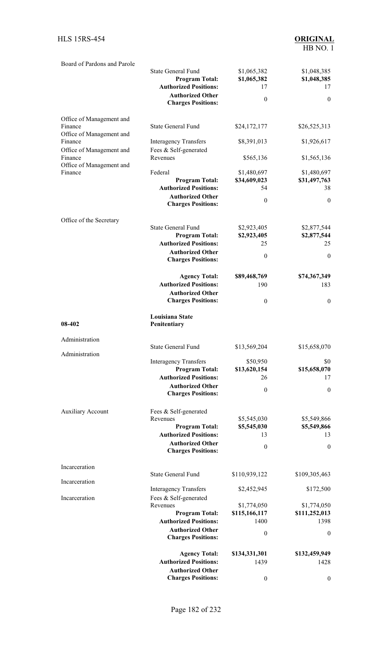| Board of Pardons and Parole                                     | <b>State General Fund</b><br><b>Program Total:</b>                                   | \$1,065,382<br>\$1,065,382        | \$1,048,385<br>\$1,048,385        |
|-----------------------------------------------------------------|--------------------------------------------------------------------------------------|-----------------------------------|-----------------------------------|
|                                                                 | <b>Authorized Positions:</b><br><b>Authorized Other</b><br><b>Charges Positions:</b> | 17<br>$\boldsymbol{0}$            | 17<br>$\boldsymbol{0}$            |
| Office of Management and<br>Finance                             | <b>State General Fund</b>                                                            | \$24,172,177                      | \$26,525,313                      |
| Office of Management and<br>Finance                             | <b>Interagency Transfers</b>                                                         | \$8,391,013                       | \$1,926,617                       |
| Office of Management and<br>Finance<br>Office of Management and | Fees & Self-generated<br>Revenues                                                    | \$565,136                         | \$1,565,136                       |
| Finance                                                         | Federal<br><b>Program Total:</b><br><b>Authorized Positions:</b>                     | \$1,480,697<br>\$34,609,023<br>54 | \$1,480,697<br>\$31,497,763<br>38 |
|                                                                 | <b>Authorized Other</b><br><b>Charges Positions:</b>                                 | $\boldsymbol{0}$                  | $\boldsymbol{0}$                  |
| Office of the Secretary                                         | <b>State General Fund</b>                                                            | \$2,923,405                       | \$2,877,544                       |
|                                                                 | <b>Program Total:</b>                                                                | \$2,923,405                       | \$2,877,544                       |
|                                                                 | <b>Authorized Positions:</b>                                                         | 25                                | 25                                |
|                                                                 | <b>Authorized Other</b><br><b>Charges Positions:</b>                                 | $\mathbf{0}$                      | $\mathbf{0}$                      |
|                                                                 | <b>Agency Total:</b>                                                                 | \$89,468,769                      | \$74,367,349                      |
|                                                                 | <b>Authorized Positions:</b><br><b>Authorized Other</b>                              | 190                               | 183                               |
|                                                                 | <b>Charges Positions:</b>                                                            | $\mathbf{0}$                      | $\boldsymbol{0}$                  |
| 08-402                                                          | Louisiana State<br>Penitentiary                                                      |                                   |                                   |
| Administration                                                  |                                                                                      |                                   |                                   |
| Administration                                                  | State General Fund                                                                   | \$13,569,204                      | \$15,658,070                      |
|                                                                 | <b>Interagency Transfers</b>                                                         | \$50,950                          | \$0                               |
|                                                                 | <b>Program Total:</b><br><b>Authorized Positions:</b>                                | \$13,620,154<br>26                | \$15,658,070<br>17                |
|                                                                 | <b>Authorized Other</b><br><b>Charges Positions:</b>                                 | $\boldsymbol{0}$                  | $\boldsymbol{0}$                  |
| <b>Auxiliary Account</b>                                        | Fees & Self-generated                                                                |                                   |                                   |
|                                                                 | Revenues<br><b>Program Total:</b>                                                    | \$5,545,030<br>\$5,545,030        | \$5,549,866<br>\$5,549,866        |
|                                                                 | <b>Authorized Positions:</b>                                                         | 13                                | 13                                |
|                                                                 | <b>Authorized Other</b><br><b>Charges Positions:</b>                                 | $\boldsymbol{0}$                  | $\boldsymbol{0}$                  |
| Incarceration                                                   |                                                                                      |                                   |                                   |
| Incarceration                                                   | <b>State General Fund</b>                                                            | \$110,939,122                     | \$109,305,463                     |
| Incarceration                                                   | <b>Interagency Transfers</b><br>Fees & Self-generated                                | \$2,452,945                       | \$172,500                         |
|                                                                 | Revenues                                                                             | \$1,774,050                       | \$1,774,050                       |
|                                                                 | <b>Program Total:</b><br><b>Authorized Positions:</b>                                | \$115,166,117<br>1400             | \$111,252,013<br>1398             |
|                                                                 | <b>Authorized Other</b><br><b>Charges Positions:</b>                                 | $\boldsymbol{0}$                  | $\boldsymbol{0}$                  |
|                                                                 | <b>Agency Total:</b>                                                                 | \$134,331,301                     | \$132,459,949                     |
|                                                                 | <b>Authorized Positions:</b>                                                         | 1439                              | 1428                              |
|                                                                 | <b>Authorized Other</b><br><b>Charges Positions:</b>                                 | $\boldsymbol{0}$                  | $\boldsymbol{0}$                  |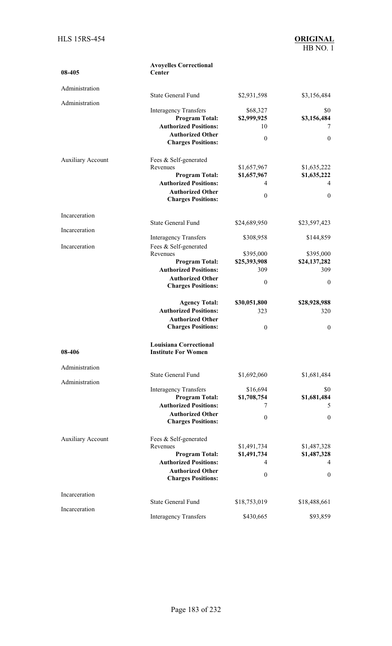| 08-405                   | <b>Avoyelles Correctional</b><br>Center                 |                            |                            |
|--------------------------|---------------------------------------------------------|----------------------------|----------------------------|
| Administration           |                                                         |                            |                            |
|                          | <b>State General Fund</b>                               | \$2,931,598                | \$3,156,484                |
| Administration           | <b>Interagency Transfers</b><br><b>Program Total:</b>   | \$68,327<br>\$2,999,925    | \$0<br>\$3,156,484         |
|                          | <b>Authorized Positions:</b><br><b>Authorized Other</b> | 10                         | 7                          |
|                          | <b>Charges Positions:</b>                               | $\boldsymbol{0}$           | $\mathbf{0}$               |
| <b>Auxiliary Account</b> | Fees & Self-generated                                   |                            |                            |
|                          | Revenues<br><b>Program Total:</b>                       | \$1,657,967<br>\$1,657,967 | \$1,635,222<br>\$1,635,222 |
|                          | <b>Authorized Positions:</b>                            | $\overline{4}$             | 4                          |
|                          | <b>Authorized Other</b><br><b>Charges Positions:</b>    | $\theta$                   | $\mathbf{0}$               |
| Incarceration            |                                                         |                            |                            |
| Incarceration            | <b>State General Fund</b>                               | \$24,689,950               | \$23,597,423               |
| Incarceration            | <b>Interagency Transfers</b><br>Fees & Self-generated   | \$308,958                  | \$144,859                  |
|                          | Revenues                                                | \$395,000                  | \$395,000                  |
|                          | <b>Program Total:</b><br><b>Authorized Positions:</b>   | \$25,393,908<br>309        | \$24,137,282<br>309        |
|                          | <b>Authorized Other</b>                                 |                            |                            |
|                          | <b>Charges Positions:</b>                               | $\boldsymbol{0}$           | $\boldsymbol{0}$           |
|                          | <b>Agency Total:</b>                                    | \$30,051,800               | \$28,928,988               |
|                          | <b>Authorized Positions:</b>                            | 323                        | 320                        |
|                          | <b>Authorized Other</b><br><b>Charges Positions:</b>    | $\theta$                   | $\mathbf{0}$               |
| 08-406                   | Louisiana Correctional<br><b>Institute For Women</b>    |                            |                            |
| Administration           | <b>State General Fund</b>                               | \$1,692,060                | \$1,681,484                |
| Administration           | <b>Interagency Transfers</b>                            | \$16,694                   | \$0                        |
|                          | <b>Program Total:</b>                                   | \$1,708,754                | \$1,681,484                |
|                          | <b>Authorized Positions:</b>                            | 7                          | 5                          |
|                          | <b>Authorized Other</b><br><b>Charges Positions:</b>    | $\theta$                   | $\mathbf{0}$               |
| <b>Auxiliary Account</b> | Fees & Self-generated                                   |                            |                            |
|                          | Revenues<br><b>Program Total:</b>                       | \$1,491,734<br>\$1,491,734 | \$1,487,328<br>\$1,487,328 |
|                          | <b>Authorized Positions:</b>                            | 4                          | 4                          |
|                          | <b>Authorized Other</b><br><b>Charges Positions:</b>    | $\boldsymbol{0}$           | $\boldsymbol{0}$           |
| Incarceration            | <b>State General Fund</b>                               | \$18,753,019               | \$18,488,661               |
| Incarceration            |                                                         |                            |                            |
|                          | <b>Interagency Transfers</b>                            | \$430,665                  | \$93,859                   |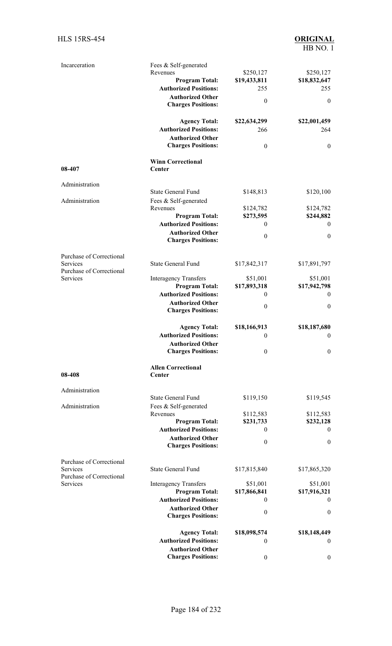| Incarceration                                                    | Fees & Self-generated<br>Revenues<br><b>Program Total:</b><br><b>Authorized Positions:</b><br><b>Authorized Other</b><br><b>Charges Positions:</b> | \$250,127<br>\$19,433,811<br>255<br>$\boldsymbol{0}$ | \$250,127<br>\$18,832,647<br>255<br>$\mathbf{0}$ |
|------------------------------------------------------------------|----------------------------------------------------------------------------------------------------------------------------------------------------|------------------------------------------------------|--------------------------------------------------|
|                                                                  | <b>Agency Total:</b><br><b>Authorized Positions:</b><br><b>Authorized Other</b><br><b>Charges Positions:</b>                                       | \$22,634,299<br>266<br>$\boldsymbol{0}$              | \$22,001,459<br>264<br>$\mathbf{0}$              |
| 08-407                                                           | <b>Winn Correctional</b><br>Center                                                                                                                 |                                                      |                                                  |
| Administration                                                   |                                                                                                                                                    |                                                      |                                                  |
| Administration                                                   | <b>State General Fund</b><br>Fees & Self-generated                                                                                                 | \$148,813                                            | \$120,100                                        |
|                                                                  | Revenues<br><b>Program Total:</b>                                                                                                                  | \$124,782<br>\$273,595                               | \$124,782<br>\$244,882                           |
|                                                                  | <b>Authorized Positions:</b>                                                                                                                       | $\boldsymbol{0}$                                     | $\mathbf{0}$                                     |
|                                                                  | <b>Authorized Other</b><br><b>Charges Positions:</b>                                                                                               | $\boldsymbol{0}$                                     | $\boldsymbol{0}$                                 |
|                                                                  |                                                                                                                                                    |                                                      |                                                  |
| Purchase of Correctional<br>Services<br>Purchase of Correctional | <b>State General Fund</b>                                                                                                                          | \$17,842,317                                         | \$17,891,797                                     |
| Services                                                         | <b>Interagency Transfers</b>                                                                                                                       | \$51,001                                             | \$51,001                                         |
|                                                                  | <b>Program Total:</b><br><b>Authorized Positions:</b>                                                                                              | \$17,893,318                                         | \$17,942,798                                     |
|                                                                  | <b>Authorized Other</b>                                                                                                                            | $\boldsymbol{0}$                                     | $\theta$                                         |
|                                                                  | <b>Charges Positions:</b>                                                                                                                          | $\boldsymbol{0}$                                     | $\mathbf{0}$                                     |
|                                                                  | <b>Agency Total:</b>                                                                                                                               | \$18,166,913                                         | \$18,187,680                                     |
|                                                                  | <b>Authorized Positions:</b>                                                                                                                       | $\boldsymbol{0}$                                     | $\boldsymbol{0}$                                 |
|                                                                  | <b>Authorized Other</b><br><b>Charges Positions:</b>                                                                                               | $\boldsymbol{0}$                                     | $\boldsymbol{0}$                                 |
| 08-408                                                           | <b>Allen Correctional</b><br>Center                                                                                                                |                                                      |                                                  |
| Administration                                                   |                                                                                                                                                    |                                                      |                                                  |
| Administration                                                   | <b>State General Fund</b><br>Fees & Self-generated                                                                                                 | \$119,150                                            | \$119,545                                        |
|                                                                  | Revenues<br><b>Program Total:</b>                                                                                                                  | \$112,583<br>\$231,733                               | \$112,583<br>\$232,128                           |
|                                                                  | <b>Authorized Positions:</b>                                                                                                                       | $\boldsymbol{0}$                                     | $\theta$                                         |
|                                                                  | <b>Authorized Other</b><br><b>Charges Positions:</b>                                                                                               | $\boldsymbol{0}$                                     | $\mathbf{0}$                                     |
| Purchase of Correctional<br>Services                             | <b>State General Fund</b>                                                                                                                          | \$17,815,840                                         | \$17,865,320                                     |
| Purchase of Correctional                                         |                                                                                                                                                    |                                                      |                                                  |
| <b>Services</b>                                                  | <b>Interagency Transfers</b><br><b>Program Total:</b>                                                                                              | \$51,001<br>\$17,866,841                             | \$51,001<br>\$17,916,321                         |
|                                                                  | <b>Authorized Positions:</b>                                                                                                                       | $\boldsymbol{0}$                                     | $\mathbf{0}$                                     |
|                                                                  | <b>Authorized Other</b><br><b>Charges Positions:</b>                                                                                               | $\theta$                                             | $\theta$                                         |
|                                                                  | <b>Agency Total:</b><br><b>Authorized Positions:</b>                                                                                               | \$18,098,574<br>$\theta$                             | \$18,148,449<br>$\mathbf{0}$                     |
|                                                                  | <b>Authorized Other</b>                                                                                                                            |                                                      |                                                  |
|                                                                  | <b>Charges Positions:</b>                                                                                                                          | $\boldsymbol{0}$                                     | $\boldsymbol{0}$                                 |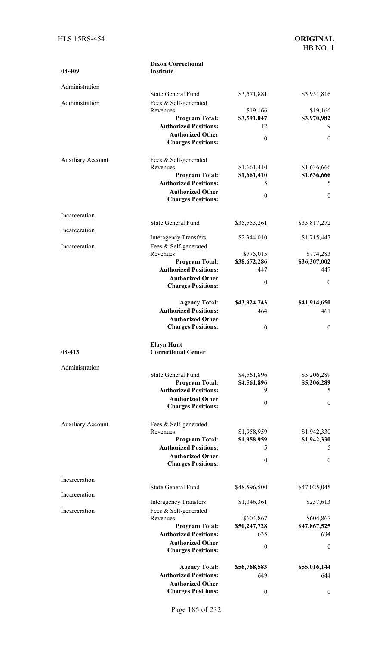| 08-409                   | <b>Dixon Correctional</b><br><b>Institute</b>           |                     |                     |
|--------------------------|---------------------------------------------------------|---------------------|---------------------|
| Administration           |                                                         |                     |                     |
|                          | <b>State General Fund</b>                               | \$3,571,881         | \$3,951,816         |
| Administration           | Fees & Self-generated<br>Revenues                       | \$19,166            | \$19,166            |
|                          | <b>Program Total:</b>                                   | \$3,591,047         | \$3,970,982         |
|                          | <b>Authorized Positions:</b>                            | 12                  | 9                   |
|                          | <b>Authorized Other</b>                                 | $\theta$            | $\boldsymbol{0}$    |
|                          | <b>Charges Positions:</b>                               |                     |                     |
| <b>Auxiliary Account</b> | Fees & Self-generated                                   |                     |                     |
|                          | Revenues                                                | \$1,661,410         | \$1,636,666         |
|                          | <b>Program Total:</b>                                   | \$1,661,410         | \$1,636,666         |
|                          | <b>Authorized Positions:</b><br><b>Authorized Other</b> | 5                   | 5                   |
|                          | <b>Charges Positions:</b>                               | $\mathbf{0}$        | $\boldsymbol{0}$    |
| Incarceration            |                                                         |                     |                     |
|                          | <b>State General Fund</b>                               | \$35,553,261        | \$33,817,272        |
| Incarceration            |                                                         |                     |                     |
| Incarceration            | <b>Interagency Transfers</b><br>Fees & Self-generated   | \$2,344,010         | \$1,715,447         |
|                          | Revenues                                                | \$775,015           | \$774,283           |
|                          | <b>Program Total:</b>                                   | \$38,672,286        | \$36,307,002        |
|                          | <b>Authorized Positions:</b>                            | 447                 | 447                 |
|                          | <b>Authorized Other</b>                                 | $\boldsymbol{0}$    | $\mathbf{0}$        |
|                          | <b>Charges Positions:</b>                               |                     |                     |
|                          | <b>Agency Total:</b>                                    | \$43,924,743        | \$41,914,650        |
|                          | <b>Authorized Positions:</b>                            | 464                 | 461                 |
|                          | <b>Authorized Other</b>                                 |                     |                     |
|                          | <b>Charges Positions:</b>                               | $\boldsymbol{0}$    | $\boldsymbol{0}$    |
|                          | Elavn Hunt                                              |                     |                     |
| 08-413                   | <b>Correctional Center</b>                              |                     |                     |
| Administration           |                                                         |                     |                     |
|                          | <b>State General Fund</b>                               | \$4,561,896         | \$5,206,289         |
|                          | <b>Program Total:</b>                                   | \$4,561,896         | \$5,206,289         |
|                          | <b>Authorized Positions:</b>                            | 9                   | 5                   |
|                          | <b>Authorized Other</b><br><b>Charges Positions:</b>    | $\boldsymbol{0}$    | $\boldsymbol{0}$    |
|                          |                                                         |                     |                     |
| <b>Auxiliary Account</b> | Fees & Self-generated                                   |                     |                     |
|                          | Revenues                                                | \$1,958,959         | \$1,942,330         |
|                          | <b>Program Total:</b><br><b>Authorized Positions:</b>   | \$1,958,959<br>5    | \$1,942,330<br>5    |
|                          | <b>Authorized Other</b>                                 |                     |                     |
|                          | <b>Charges Positions:</b>                               | $\boldsymbol{0}$    | $\boldsymbol{0}$    |
| Incarceration            |                                                         |                     |                     |
|                          | <b>State General Fund</b>                               | \$48,596,500        | \$47,025,045        |
| Incarceration            | <b>Interagency Transfers</b>                            | \$1,046,361         | \$237,613           |
| Incarceration            | Fees & Self-generated                                   |                     |                     |
|                          | Revenues                                                | \$604,867           | \$604,867           |
|                          | <b>Program Total:</b>                                   | \$50,247,728        | \$47,867,525        |
|                          | <b>Authorized Positions:</b><br><b>Authorized Other</b> | 635                 | 634                 |
|                          | <b>Charges Positions:</b>                               | $\boldsymbol{0}$    | $\boldsymbol{0}$    |
|                          |                                                         |                     |                     |
|                          | <b>Agency Total:</b><br><b>Authorized Positions:</b>    | \$56,768,583<br>649 | \$55,016,144<br>644 |
|                          | <b>Authorized Other</b>                                 |                     |                     |
|                          | <b>Charges Positions:</b>                               | $\boldsymbol{0}$    | $\boldsymbol{0}$    |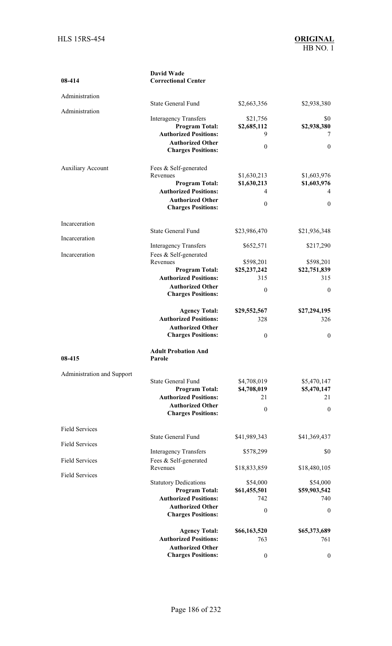| 08-414                     | <b>David Wade</b><br><b>Correctional Center</b>       |                            |                            |
|----------------------------|-------------------------------------------------------|----------------------------|----------------------------|
| Administration             |                                                       |                            |                            |
| Administration             | <b>State General Fund</b>                             | \$2,663,356                | \$2,938,380                |
|                            | <b>Interagency Transfers</b><br><b>Program Total:</b> | \$21,756<br>\$2,685,112    | \$0<br>\$2,938,380         |
|                            | <b>Authorized Positions:</b>                          | 9                          | 7                          |
|                            | <b>Authorized Other</b>                               | $\theta$                   | $\boldsymbol{0}$           |
|                            | <b>Charges Positions:</b>                             |                            |                            |
| <b>Auxiliary Account</b>   | Fees & Self-generated                                 |                            |                            |
|                            | Revenues<br><b>Program Total:</b>                     | \$1,630,213<br>\$1,630,213 | \$1,603,976<br>\$1,603,976 |
|                            | <b>Authorized Positions:</b>                          | 4                          | 4                          |
|                            | <b>Authorized Other</b>                               | $\boldsymbol{0}$           | $\boldsymbol{0}$           |
|                            | <b>Charges Positions:</b>                             |                            |                            |
| Incarceration              | <b>State General Fund</b>                             |                            | \$21,936,348               |
| Incarceration              |                                                       | \$23,986,470               |                            |
|                            | <b>Interagency Transfers</b>                          | \$652,571                  | \$217,290                  |
| Incarceration              | Fees & Self-generated<br>Revenues                     | \$598,201                  | \$598,201                  |
|                            | <b>Program Total:</b>                                 | \$25,237,242               | \$22,751,839               |
|                            | <b>Authorized Positions:</b>                          | 315                        | 315                        |
|                            | <b>Authorized Other</b>                               | $\theta$                   | $\mathbf{0}$               |
|                            | <b>Charges Positions:</b>                             |                            |                            |
|                            | <b>Agency Total:</b>                                  | \$29,552,567               | \$27,294,195               |
|                            | <b>Authorized Positions:</b>                          | 328                        | 326                        |
|                            | <b>Authorized Other</b><br><b>Charges Positions:</b>  | $\boldsymbol{0}$           | $\boldsymbol{0}$           |
| 08-415                     | <b>Adult Probation And</b><br>Parole                  |                            |                            |
| Administration and Support |                                                       |                            |                            |
|                            | <b>State General Fund</b><br><b>Program Total:</b>    | \$4,708,019<br>\$4,708,019 | \$5,470,147<br>\$5,470,147 |
|                            | <b>Authorized Positions:</b>                          | 21                         | 21                         |
|                            | <b>Authorized Other</b>                               | $\boldsymbol{0}$           | $\boldsymbol{0}$           |
|                            | <b>Charges Positions:</b>                             |                            |                            |
| <b>Field Services</b>      | <b>State General Fund</b>                             | \$41,989,343               | \$41,369,437               |
| <b>Field Services</b>      |                                                       |                            |                            |
| <b>Field Services</b>      | <b>Interagency Transfers</b><br>Fees & Self-generated | \$578,299                  | \$0                        |
|                            | Revenues                                              | \$18,833,859               | \$18,480,105               |
| <b>Field Services</b>      | <b>Statutory Dedications</b>                          | \$54,000                   | \$54,000                   |
|                            | <b>Program Total:</b>                                 | \$61,455,501               | \$59,903,542               |
|                            | <b>Authorized Positions:</b>                          | 742                        | 740                        |
|                            | <b>Authorized Other</b><br><b>Charges Positions:</b>  | $\theta$                   | $\mathbf{0}$               |
|                            | <b>Agency Total:</b>                                  | \$66,163,520               | \$65,373,689               |
|                            | <b>Authorized Positions:</b>                          | 763                        | 761                        |
|                            | <b>Authorized Other</b>                               |                            |                            |
|                            | <b>Charges Positions:</b>                             | $\boldsymbol{0}$           | $\boldsymbol{0}$           |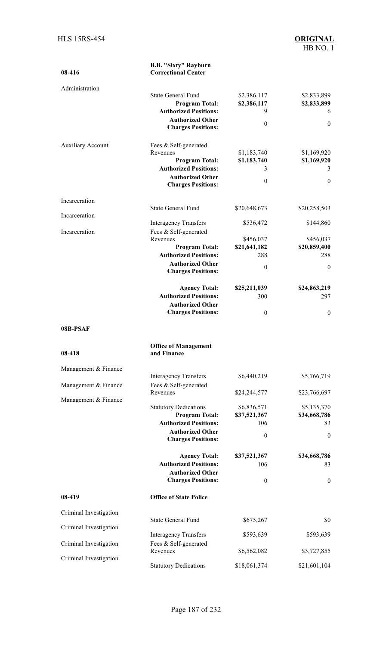| 08-416                   | <b>B.B. "Sixty" Rayburn</b><br><b>Correctional Center</b> |                     |                     |
|--------------------------|-----------------------------------------------------------|---------------------|---------------------|
| Administration           |                                                           |                     |                     |
|                          | <b>State General Fund</b>                                 | \$2,386,117         | \$2,833,899         |
|                          | <b>Program Total:</b><br><b>Authorized Positions:</b>     | \$2,386,117<br>9    | \$2,833,899<br>6    |
|                          | <b>Authorized Other</b>                                   | $\boldsymbol{0}$    | $\boldsymbol{0}$    |
|                          | <b>Charges Positions:</b>                                 |                     |                     |
| <b>Auxiliary Account</b> | Fees & Self-generated                                     |                     |                     |
|                          | Revenues                                                  | \$1,183,740         | \$1,169,920         |
|                          | <b>Program Total:</b><br><b>Authorized Positions:</b>     | \$1,183,740<br>3    | \$1,169,920<br>3    |
|                          | <b>Authorized Other</b>                                   |                     |                     |
|                          | <b>Charges Positions:</b>                                 | $\boldsymbol{0}$    | $\mathbf{0}$        |
| Incarceration            |                                                           |                     |                     |
| Incarceration            | <b>State General Fund</b>                                 | \$20,648,673        | \$20,258,503        |
|                          | <b>Interagency Transfers</b>                              | \$536,472           | \$144,860           |
| Incarceration            | Fees & Self-generated                                     |                     |                     |
|                          | Revenues                                                  | \$456,037           | \$456,037           |
|                          | <b>Program Total:</b><br><b>Authorized Positions:</b>     | \$21,641,182<br>288 | \$20,859,400<br>288 |
|                          | <b>Authorized Other</b>                                   |                     |                     |
|                          | <b>Charges Positions:</b>                                 | $\boldsymbol{0}$    | $\boldsymbol{0}$    |
|                          | <b>Agency Total:</b>                                      | \$25,211,039        | \$24,863,219        |
|                          | <b>Authorized Positions:</b>                              | 300                 | 297                 |
|                          | <b>Authorized Other</b><br><b>Charges Positions:</b>      | $\boldsymbol{0}$    | $\mathbf{0}$        |
|                          |                                                           |                     |                     |
| 08B-PSAF                 |                                                           |                     |                     |
| 08-418                   | <b>Office of Management</b><br>and Finance                |                     |                     |
| Management & Finance     |                                                           |                     |                     |
| Management & Finance     | <b>Interagency Transfers</b><br>Fees & Self-generated     | \$6,440,219         | \$5,766,719         |
| Management & Finance     | Revenues                                                  | \$24,244,577        | \$23,766,697        |
|                          | <b>Statutory Dedications</b>                              | \$6,836,571         | \$5,135,370         |
|                          | <b>Program Total:</b>                                     | \$37,521,367        | \$34,668,786        |
|                          | <b>Authorized Positions:</b>                              | 106                 | 83                  |
|                          | <b>Authorized Other</b><br><b>Charges Positions:</b>      | $\boldsymbol{0}$    | $\boldsymbol{0}$    |
|                          | <b>Agency Total:</b>                                      | \$37,521,367        | \$34,668,786        |
|                          | <b>Authorized Positions:</b>                              | 106                 | 83                  |
|                          | <b>Authorized Other</b><br><b>Charges Positions:</b>      | $\boldsymbol{0}$    | $\boldsymbol{0}$    |
| 08-419                   | <b>Office of State Police</b>                             |                     |                     |
|                          |                                                           |                     |                     |
| Criminal Investigation   | <b>State General Fund</b>                                 | \$675,267           | \$0                 |
| Criminal Investigation   | <b>Interagency Transfers</b>                              | \$593,639           | \$593,639           |
| Criminal Investigation   | Fees & Self-generated                                     |                     |                     |
| Criminal Investigation   | Revenues                                                  | \$6,562,082         | \$3,727,855         |
|                          | <b>Statutory Dedications</b>                              | \$18,061,374        | \$21,601,104        |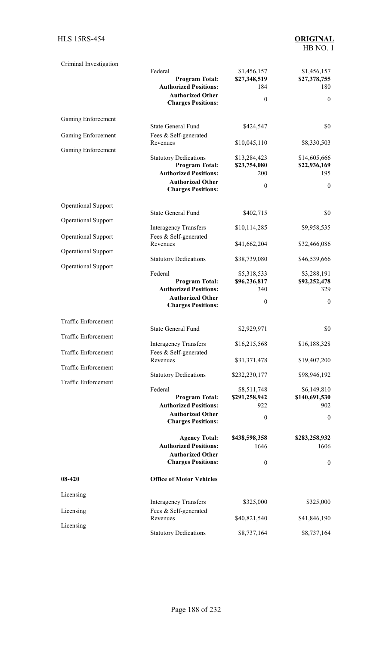| Criminal Investigation     |                                                       |                      |                      |
|----------------------------|-------------------------------------------------------|----------------------|----------------------|
|                            | Federal                                               | \$1,456,157          | \$1,456,157          |
|                            | <b>Program Total:</b><br><b>Authorized Positions:</b> | \$27,348,519<br>184  | \$27,378,755<br>180  |
|                            | <b>Authorized Other</b>                               |                      |                      |
|                            | <b>Charges Positions:</b>                             | $\theta$             | $\boldsymbol{0}$     |
| Gaming Enforcement         |                                                       |                      |                      |
|                            | <b>State General Fund</b>                             | \$424,547            | \$0                  |
| Gaming Enforcement         | Fees & Self-generated<br>Revenues                     | \$10,045,110         | \$8,330,503          |
| Gaming Enforcement         | <b>Statutory Dedications</b>                          | \$13,284,423         | \$14,605,666         |
|                            | <b>Program Total:</b>                                 | \$23,754,080         | \$22,936,169         |
|                            | <b>Authorized Positions:</b>                          | 200                  | 195                  |
|                            | <b>Authorized Other</b>                               | $\theta$             | $\mathbf{0}$         |
|                            | <b>Charges Positions:</b>                             |                      |                      |
| <b>Operational Support</b> |                                                       |                      |                      |
| <b>Operational Support</b> | <b>State General Fund</b>                             | \$402,715            | \$0                  |
|                            | <b>Interagency Transfers</b>                          | \$10,114,285         | \$9,958,535          |
| <b>Operational Support</b> | Fees & Self-generated                                 |                      |                      |
| <b>Operational Support</b> | Revenues                                              | \$41,662,204         | \$32,466,086         |
| <b>Operational Support</b> | <b>Statutory Dedications</b>                          | \$38,739,080         | \$46,539,666         |
|                            | Federal                                               | \$5,318,533          | \$3,288,191          |
|                            | <b>Program Total:</b>                                 | \$96,236,817         | \$92,252,478         |
|                            | <b>Authorized Positions:</b>                          | 340                  | 329                  |
|                            | <b>Authorized Other</b><br><b>Charges Positions:</b>  | $\mathbf{0}$         | $\mathbf{0}$         |
| <b>Traffic Enforcement</b> |                                                       |                      |                      |
|                            | <b>State General Fund</b>                             | \$2,929,971          | \$0                  |
| <b>Traffic Enforcement</b> | <b>Interagency Transfers</b>                          | \$16,215,568         | \$16,188,328         |
| <b>Traffic Enforcement</b> | Fees & Self-generated                                 |                      |                      |
|                            | Revenues                                              | \$31,371,478         | \$19,407,200         |
| Traffic Enforcement        | <b>Statutory Dedications</b>                          | \$232,230,177        | \$98,946,192         |
| Traffic Enforcement        |                                                       |                      |                      |
|                            | Federal                                               | \$8,511,748          | \$6,149,810          |
|                            | <b>Program Total:</b><br><b>Authorized Positions:</b> | \$291,258,942<br>922 | \$140,691,530<br>902 |
|                            | <b>Authorized Other</b>                               |                      |                      |
|                            | <b>Charges Positions:</b>                             | $\boldsymbol{0}$     | $\boldsymbol{0}$     |
|                            | <b>Agency Total:</b>                                  | \$438,598,358        | \$283,258,932        |
|                            | <b>Authorized Positions:</b>                          | 1646                 | 1606                 |
|                            | <b>Authorized Other</b>                               |                      |                      |
|                            | <b>Charges Positions:</b>                             | $\boldsymbol{0}$     | $\boldsymbol{0}$     |
| 08-420                     | <b>Office of Motor Vehicles</b>                       |                      |                      |
| Licensing                  |                                                       |                      |                      |
| Licensing                  | <b>Interagency Transfers</b><br>Fees & Self-generated | \$325,000            | \$325,000            |
|                            | Revenues                                              | \$40,821,540         | \$41,846,190         |
| Licensing                  | <b>Statutory Dedications</b>                          | \$8,737,164          | \$8,737,164          |
|                            |                                                       |                      |                      |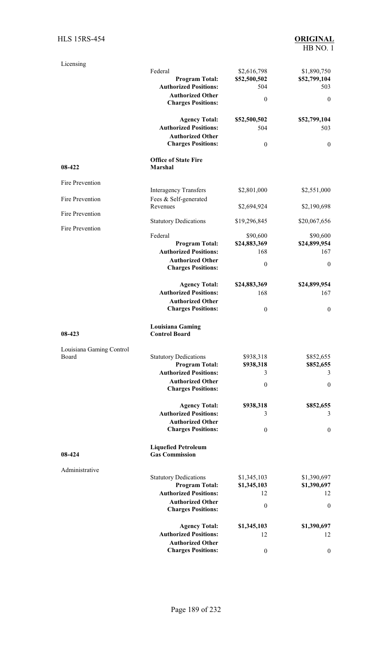| Licensing                |                                                       |                   |                   |
|--------------------------|-------------------------------------------------------|-------------------|-------------------|
|                          | Federal                                               | \$2,616,798       | \$1,890,750       |
|                          | <b>Program Total:</b><br><b>Authorized Positions:</b> | \$52,500,502      | \$52,799,104      |
|                          | <b>Authorized Other</b>                               | 504               | 503               |
|                          | <b>Charges Positions:</b>                             | $\boldsymbol{0}$  | $\mathbf{0}$      |
|                          | <b>Agency Total:</b>                                  | \$52,500,502      | \$52,799,104      |
|                          | <b>Authorized Positions:</b>                          | 504               | 503               |
|                          | <b>Authorized Other</b>                               |                   |                   |
|                          | <b>Charges Positions:</b>                             | $\boldsymbol{0}$  | $\mathbf{0}$      |
| 08-422                   | <b>Office of State Fire</b><br>Marshal                |                   |                   |
| Fire Prevention          |                                                       |                   |                   |
|                          | <b>Interagency Transfers</b>                          | \$2,801,000       | \$2,551,000       |
| Fire Prevention          | Fees & Self-generated<br>Revenues                     | \$2,694,924       | \$2,190,698       |
| Fire Prevention          |                                                       |                   |                   |
|                          | <b>Statutory Dedications</b>                          | \$19,296,845      | \$20,067,656      |
| Fire Prevention          | Federal                                               | \$90,600          | \$90,600          |
|                          | <b>Program Total:</b>                                 | \$24,883,369      | \$24,899,954      |
|                          | <b>Authorized Positions:</b>                          | 168               | 167               |
|                          | <b>Authorized Other</b>                               |                   |                   |
|                          | <b>Charges Positions:</b>                             | $\boldsymbol{0}$  | $\boldsymbol{0}$  |
|                          | <b>Agency Total:</b>                                  | \$24,883,369      | \$24,899,954      |
|                          | <b>Authorized Positions:</b>                          | 168               | 167               |
|                          | <b>Authorized Other</b>                               |                   |                   |
|                          | <b>Charges Positions:</b>                             | $\boldsymbol{0}$  | $\boldsymbol{0}$  |
| 08-423                   | <b>Louisiana Gaming</b><br><b>Control Board</b>       |                   |                   |
| Louisiana Gaming Control |                                                       |                   |                   |
| Board                    | <b>Statutory Dedications</b>                          | \$938,318         | \$852,655         |
|                          | <b>Program Total:</b>                                 | \$938,318         | \$852,655         |
|                          | <b>Authorized Positions:</b>                          | 3                 | 3                 |
|                          | <b>Authorized Other</b><br><b>Charges Positions:</b>  | $\boldsymbol{0}$  | $\boldsymbol{0}$  |
|                          |                                                       |                   |                   |
|                          | <b>Agency Total:</b><br><b>Authorized Positions:</b>  | \$938,318         | \$852,655         |
|                          | <b>Authorized Other</b>                               | 3                 | 3                 |
|                          | <b>Charges Positions:</b>                             | $\boldsymbol{0}$  | $\boldsymbol{0}$  |
|                          | <b>Liquefied Petroleum</b>                            |                   |                   |
| 08-424                   | <b>Gas Commission</b>                                 |                   |                   |
| Administrative           |                                                       |                   |                   |
|                          | <b>Statutory Dedications</b>                          | \$1,345,103       | \$1,390,697       |
|                          | <b>Program Total:</b>                                 | \$1,345,103       | \$1,390,697       |
|                          | <b>Authorized Positions:</b>                          | 12                | 12                |
|                          | <b>Authorized Other</b><br><b>Charges Positions:</b>  | $\boldsymbol{0}$  | $\boldsymbol{0}$  |
|                          |                                                       |                   |                   |
|                          | <b>Agency Total:</b><br><b>Authorized Positions:</b>  | \$1,345,103<br>12 | \$1,390,697<br>12 |
|                          | <b>Authorized Other</b>                               |                   |                   |
|                          | <b>Charges Positions:</b>                             | $\boldsymbol{0}$  | $\bf{0}$          |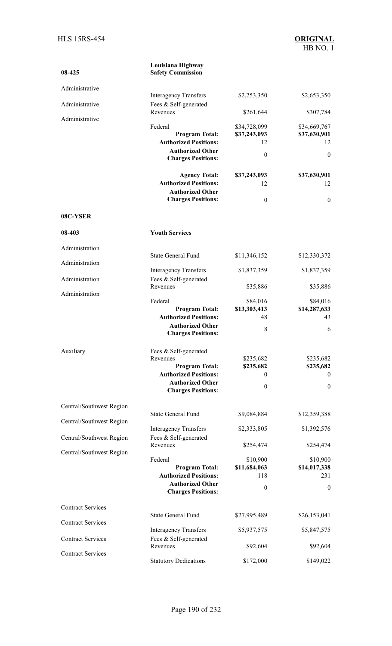| 08-425                   | Louisiana Highway<br><b>Safety Commission</b>           |                  |                  |
|--------------------------|---------------------------------------------------------|------------------|------------------|
| Administrative           |                                                         |                  |                  |
| Administrative           | <b>Interagency Transfers</b><br>Fees & Self-generated   | \$2,253,350      | \$2,653,350      |
| Administrative           | Revenues                                                | \$261,644        | \$307,784        |
|                          | Federal                                                 | \$34,728,099     | \$34,669,767     |
|                          | <b>Program Total:</b>                                   | \$37,243,093     | \$37,630,901     |
|                          | <b>Authorized Positions:</b>                            | 12               | 12               |
|                          | <b>Authorized Other</b><br><b>Charges Positions:</b>    | $\boldsymbol{0}$ | $\mathbf{0}$     |
|                          | <b>Agency Total:</b>                                    | \$37,243,093     | \$37,630,901     |
|                          | <b>Authorized Positions:</b>                            | 12               | 12               |
|                          | <b>Authorized Other</b><br><b>Charges Positions:</b>    | $\boldsymbol{0}$ | $\mathbf{0}$     |
| 08C-YSER                 |                                                         |                  |                  |
| 08-403                   | <b>Youth Services</b>                                   |                  |                  |
| Administration           |                                                         |                  |                  |
| Administration           | <b>State General Fund</b>                               | \$11,346,152     | \$12,330,372     |
|                          | <b>Interagency Transfers</b>                            | \$1,837,359      | \$1,837,359      |
| Administration           | Fees & Self-generated<br>Revenues                       | \$35,886         | \$35,886         |
| Administration           | Federal                                                 | \$84,016         | \$84,016         |
|                          | <b>Program Total:</b>                                   | \$13,303,413     | \$14,287,633     |
|                          | <b>Authorized Positions:</b>                            | 48               | 43               |
|                          | <b>Authorized Other</b><br><b>Charges Positions:</b>    | 8                | 6                |
| Auxiliary                | Fees & Self-generated                                   |                  |                  |
|                          | Revenues                                                | \$235,682        | \$235,682        |
|                          | <b>Program Total:</b>                                   | \$235,682        | \$235,682        |
|                          | <b>Authorized Positions:</b><br><b>Authorized Other</b> | $\theta$         | $\overline{0}$   |
|                          | <b>Charges Positions:</b>                               | $\boldsymbol{0}$ | $\boldsymbol{0}$ |
| Central/Southwest Region |                                                         |                  |                  |
| Central/Southwest Region | <b>State General Fund</b>                               | \$9,084,884      | \$12,359,388     |
|                          | <b>Interagency Transfers</b>                            | \$2,333,805      | \$1,392,576      |
| Central/Southwest Region | Fees & Self-generated<br>Revenues                       | \$254,474        | \$254,474        |
| Central/Southwest Region | Federal                                                 | \$10,900         | \$10,900         |
|                          | <b>Program Total:</b>                                   | \$11,684,063     | \$14,017,338     |
|                          | <b>Authorized Positions:</b>                            | 118              | 231              |
|                          | <b>Authorized Other</b><br><b>Charges Positions:</b>    | $\boldsymbol{0}$ | $\boldsymbol{0}$ |
| <b>Contract Services</b> |                                                         |                  |                  |
| <b>Contract Services</b> | <b>State General Fund</b>                               | \$27,995,489     | \$26,153,041     |
|                          | <b>Interagency Transfers</b>                            | \$5,937,575      | \$5,847,575      |
| <b>Contract Services</b> | Fees & Self-generated<br>Revenues                       | \$92,604         | \$92,604         |
| <b>Contract Services</b> | <b>Statutory Dedications</b>                            | \$172,000        | \$149,022        |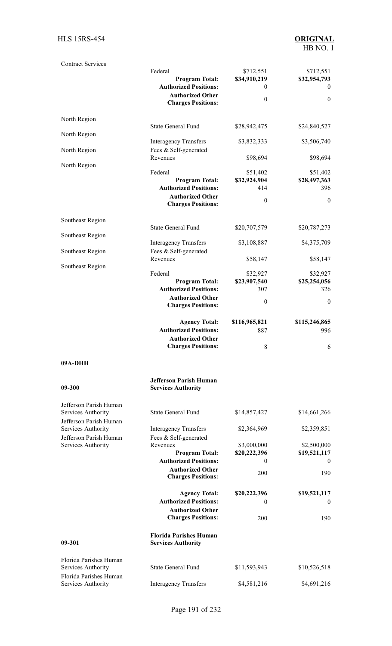| <b>Contract Services</b>                                               | Federal<br><b>Program Total:</b><br><b>Authorized Positions:</b><br><b>Authorized Other</b><br><b>Charges Positions:</b> | \$712,551<br>\$34,910,219<br>$\theta$<br>$\boldsymbol{0}$ | \$712,551<br>\$32,954,793<br>$\theta$<br>$\mathbf{0}$ |
|------------------------------------------------------------------------|--------------------------------------------------------------------------------------------------------------------------|-----------------------------------------------------------|-------------------------------------------------------|
| North Region                                                           |                                                                                                                          |                                                           |                                                       |
| North Region                                                           | <b>State General Fund</b>                                                                                                | \$28,942,475                                              | \$24,840,527                                          |
| North Region                                                           | <b>Interagency Transfers</b><br>Fees & Self-generated                                                                    | \$3,832,333                                               | \$3,506,740                                           |
| North Region                                                           | Revenues                                                                                                                 | \$98,694                                                  | \$98,694                                              |
|                                                                        | Federal<br><b>Program Total:</b><br><b>Authorized Positions:</b><br><b>Authorized Other</b><br><b>Charges Positions:</b> | \$51,402<br>\$32,924,904<br>414<br>$\boldsymbol{0}$       | \$51,402<br>\$28,497,363<br>396<br>$\mathbf{0}$       |
| Southeast Region                                                       | <b>State General Fund</b>                                                                                                | \$20,707,579                                              | \$20,787,273                                          |
| Southeast Region                                                       | <b>Interagency Transfers</b>                                                                                             | \$3,108,887                                               | \$4,375,709                                           |
| Southeast Region                                                       | Fees & Self-generated                                                                                                    |                                                           |                                                       |
| Southeast Region                                                       | Revenues                                                                                                                 | \$58,147                                                  | \$58,147                                              |
|                                                                        | Federal<br><b>Program Total:</b><br><b>Authorized Positions:</b><br><b>Authorized Other</b><br><b>Charges Positions:</b> | \$32,927<br>\$23,907,540<br>307<br>$\boldsymbol{0}$       | \$32,927<br>\$25,254,056<br>326<br>$\mathbf{0}$       |
|                                                                        | <b>Agency Total:</b>                                                                                                     | \$116,965,821                                             | \$115,246,865                                         |
|                                                                        | <b>Authorized Positions:</b><br><b>Authorized Other</b><br><b>Charges Positions:</b>                                     | 887<br>8                                                  | 996<br>6                                              |
| 09A-DHH                                                                |                                                                                                                          |                                                           |                                                       |
| 09-300                                                                 | <b>Jefferson Parish Human</b><br><b>Services Authority</b>                                                               |                                                           |                                                       |
| Jefferson Parish Human<br>Services Authority<br>Jefferson Parish Human | <b>State General Fund</b>                                                                                                | \$14,857,427                                              | \$14,661,266                                          |
| Services Authority<br>Jefferson Parish Human                           | <b>Interagency Transfers</b><br>Fees & Self-generated                                                                    | \$2,364,969                                               | \$2,359,851                                           |
| Services Authority                                                     | Revenues<br><b>Program Total:</b><br><b>Authorized Positions:</b>                                                        | \$3,000,000<br>\$20,222,396<br>$\mathbf{0}$               | \$2,500,000<br>\$19,521,117<br>$\overline{0}$         |
|                                                                        | <b>Authorized Other</b><br><b>Charges Positions:</b>                                                                     | 200                                                       | 190                                                   |
|                                                                        | <b>Agency Total:</b><br><b>Authorized Positions:</b>                                                                     | \$20,222,396<br>$\mathbf{0}$                              | \$19,521,117<br>$\overline{0}$                        |
|                                                                        | <b>Authorized Other</b><br><b>Charges Positions:</b>                                                                     | 200                                                       | 190                                                   |
| 09-301                                                                 | <b>Florida Parishes Human</b><br><b>Services Authority</b>                                                               |                                                           |                                                       |
| Florida Parishes Human<br>Services Authority<br>Florida Parishes Human | <b>State General Fund</b>                                                                                                | \$11,593,943                                              | \$10,526,518                                          |
| Services Authority                                                     | <b>Interagency Transfers</b>                                                                                             | \$4,581,216                                               | \$4,691,216                                           |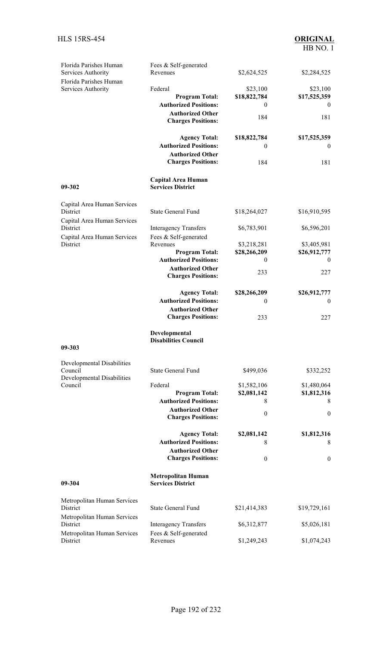| Florida Parishes Human<br>Services Authority | Fees & Self-generated<br>Revenues                     | \$2,624,525      | \$2,284,525      |
|----------------------------------------------|-------------------------------------------------------|------------------|------------------|
| Florida Parishes Human                       |                                                       |                  |                  |
| Services Authority                           | Federal                                               | \$23,100         | \$23,100         |
|                                              | <b>Program Total:</b>                                 | \$18,822,784     | \$17,525,359     |
|                                              | <b>Authorized Positions:</b>                          | $\theta$         | $\theta$         |
|                                              | <b>Authorized Other</b>                               | 184              | 181              |
|                                              | <b>Charges Positions:</b>                             |                  |                  |
|                                              | <b>Agency Total:</b>                                  | \$18,822,784     | \$17,525,359     |
|                                              | <b>Authorized Positions:</b>                          | $\bf{0}$         | $\bf{0}$         |
|                                              | <b>Authorized Other</b><br><b>Charges Positions:</b>  | 184              | 181              |
| 09-302                                       | <b>Capital Area Human</b><br><b>Services District</b> |                  |                  |
| Capital Area Human Services                  |                                                       |                  |                  |
| District<br>Capital Area Human Services      | <b>State General Fund</b>                             | \$18,264,027     | \$16,910,595     |
| District                                     | <b>Interagency Transfers</b><br>Fees & Self-generated | \$6,783,901      | \$6,596,201      |
| Capital Area Human Services<br>District      | Revenues                                              | \$3,218,281      | \$3,405,981      |
|                                              | <b>Program Total:</b>                                 | \$28,266,209     | \$26,912,777     |
|                                              | <b>Authorized Positions:</b>                          | $\theta$         | $\theta$         |
|                                              | <b>Authorized Other</b><br><b>Charges Positions:</b>  | 233              | 227              |
|                                              |                                                       |                  |                  |
|                                              | <b>Agency Total:</b>                                  | \$28,266,209     | \$26,912,777     |
|                                              | <b>Authorized Positions:</b>                          | $\theta$         | $\boldsymbol{0}$ |
|                                              | <b>Authorized Other</b><br><b>Charges Positions:</b>  | 233              | 227              |
| 09-303                                       | Developmental<br><b>Disabilities Council</b>          |                  |                  |
|                                              |                                                       |                  |                  |
| Developmental Disabilities<br>Council        | <b>State General Fund</b>                             | \$499,036        | \$332,252        |
| <b>Developmental Disabilities</b>            |                                                       |                  |                  |
| Council                                      | Federal                                               | \$1,582,106      | \$1,480,064      |
|                                              | <b>Program Total:</b><br><b>Authorized Positions:</b> | \$2,081,142<br>8 | \$1,812,316<br>8 |
|                                              | <b>Authorized Other</b>                               |                  |                  |
|                                              | <b>Charges Positions:</b>                             | $\theta$         | $\theta$         |
|                                              | <b>Agency Total:</b>                                  | \$2,081,142      | \$1,812,316      |
|                                              | <b>Authorized Positions:</b>                          | 8                | 8                |
|                                              | <b>Authorized Other</b>                               |                  |                  |
|                                              | <b>Charges Positions:</b>                             | $\theta$         | $\mathbf{0}$     |
| 09-304                                       | <b>Metropolitan Human</b><br><b>Services District</b> |                  |                  |
| Metropolitan Human Services<br>District      | <b>State General Fund</b>                             | \$21,414,383     | \$19,729,161     |
| Metropolitan Human Services                  |                                                       |                  |                  |
| District                                     | <b>Interagency Transfers</b>                          | \$6,312,877      | \$5,026,181      |
| Metropolitan Human Services<br>District      | Fees & Self-generated<br>Revenues                     | \$1,249,243      | \$1,074,243      |
|                                              |                                                       |                  |                  |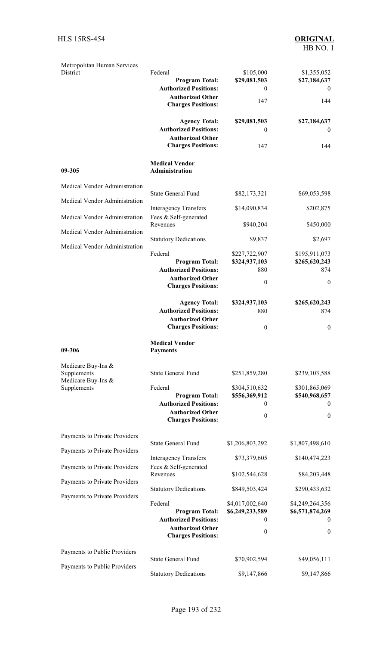| Metropolitan Human Services<br>District                                                         | Federal<br><b>Program Total:</b><br><b>Authorized Positions:</b><br><b>Authorized Other</b><br><b>Charges Positions:</b> | \$105,000<br>\$29,081,503<br>$\mathbf{0}$<br>147            | \$1,355,052<br>\$27,184,637<br>$\mathbf{0}$<br>144                 |
|-------------------------------------------------------------------------------------------------|--------------------------------------------------------------------------------------------------------------------------|-------------------------------------------------------------|--------------------------------------------------------------------|
|                                                                                                 | <b>Agency Total:</b><br><b>Authorized Positions:</b><br><b>Authorized Other</b><br><b>Charges Positions:</b>             | \$29,081,503<br>$\theta$<br>147                             | \$27,184,637<br>$\overline{0}$<br>144                              |
| 09-305                                                                                          | <b>Medical Vendor</b><br>Administration                                                                                  |                                                             |                                                                    |
| Medical Vendor Administration                                                                   |                                                                                                                          |                                                             |                                                                    |
| Medical Vendor Administration                                                                   | <b>State General Fund</b>                                                                                                | \$82,173,321                                                | \$69,053,598                                                       |
|                                                                                                 | <b>Interagency Transfers</b>                                                                                             | \$14,090,834                                                | \$202,875                                                          |
| Medical Vendor Administration                                                                   | Fees & Self-generated<br>Revenues                                                                                        | \$940,204                                                   | \$450,000                                                          |
| Medical Vendor Administration                                                                   | <b>Statutory Dedications</b>                                                                                             | \$9,837                                                     | \$2,697                                                            |
| Medical Vendor Administration                                                                   | Federal<br><b>Program Total:</b><br><b>Authorized Positions:</b><br><b>Authorized Other</b><br><b>Charges Positions:</b> | \$227,722,907<br>\$324,937,103<br>880<br>$\boldsymbol{0}$   | \$195,911,073<br>\$265,620,243<br>874<br>$\mathbf{0}$              |
|                                                                                                 | <b>Agency Total:</b><br><b>Authorized Positions:</b><br><b>Authorized Other</b><br><b>Charges Positions:</b>             | \$324,937,103<br>880<br>$\boldsymbol{0}$                    | \$265,620,243<br>874<br>$\boldsymbol{0}$                           |
| 09-306                                                                                          | <b>Medical Vendor</b><br><b>Payments</b>                                                                                 |                                                             |                                                                    |
| Medicare Buy-Ins &<br>Supplements<br>Medicare Buy-Ins &<br>Supplements                          | <b>State General Fund</b><br>Federal<br><b>Program Total:</b>                                                            | \$251,859,280<br>\$304,510,632<br>\$556,369,912             | \$239,103,588<br>\$301,865,069<br>\$540,968,657                    |
|                                                                                                 | <b>Authorized Positions:</b><br><b>Authorized Other</b>                                                                  | 0                                                           | $\theta$                                                           |
|                                                                                                 | <b>Charges Positions:</b>                                                                                                | $\boldsymbol{0}$                                            | $\boldsymbol{0}$                                                   |
| Payments to Private Providers<br>Payments to Private Providers<br>Payments to Private Providers | <b>State General Fund</b><br><b>Interagency Transfers</b><br>Fees & Self-generated                                       | \$1,206,803,292<br>\$73,379,605                             | \$1,807,498,610<br>\$140,474,223                                   |
| Payments to Private Providers                                                                   | Revenues                                                                                                                 | \$102,544,628                                               | \$84,203,448                                                       |
| Payments to Private Providers                                                                   | <b>Statutory Dedications</b>                                                                                             | \$849,503,424                                               | \$290,433,632                                                      |
|                                                                                                 | Federal<br><b>Program Total:</b><br><b>Authorized Positions:</b><br><b>Authorized Other</b><br><b>Charges Positions:</b> | \$4,017,002,640<br>\$6,249,233,589<br>0<br>$\boldsymbol{0}$ | \$4,249,264,356<br>\$6,571,874,269<br>$\theta$<br>$\boldsymbol{0}$ |
| Payments to Public Providers                                                                    |                                                                                                                          |                                                             |                                                                    |
| Payments to Public Providers                                                                    | <b>State General Fund</b>                                                                                                | \$70,902,594                                                | \$49,056,111                                                       |
|                                                                                                 | <b>Statutory Dedications</b>                                                                                             | \$9,147,866                                                 | \$9,147,866                                                        |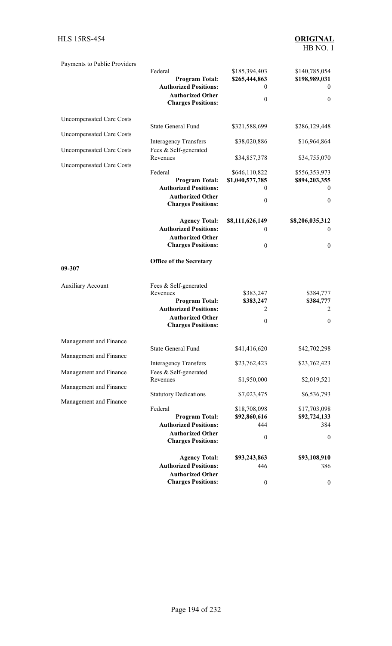| Payments to Public Providers                                       | Federal<br><b>Program Total:</b><br><b>Authorized Positions:</b><br><b>Authorized Other</b>                                                        | \$185,394,403<br>\$265,444,863<br>0<br>$\theta$ | \$140,785,054<br>\$198,989,031<br>$\overline{0}$<br>$\boldsymbol{0}$ |
|--------------------------------------------------------------------|----------------------------------------------------------------------------------------------------------------------------------------------------|-------------------------------------------------|----------------------------------------------------------------------|
|                                                                    | <b>Charges Positions:</b>                                                                                                                          |                                                 |                                                                      |
| <b>Uncompensated Care Costs</b><br><b>Uncompensated Care Costs</b> | <b>State General Fund</b>                                                                                                                          | \$321,588,699                                   | \$286,129,448                                                        |
| <b>Uncompensated Care Costs</b>                                    | <b>Interagency Transfers</b><br>Fees & Self-generated                                                                                              | \$38,020,886                                    | \$16,964,864                                                         |
| <b>Uncompensated Care Costs</b>                                    | Revenues                                                                                                                                           | \$34,857,378                                    | \$34,755,070                                                         |
|                                                                    | Federal<br><b>Program Total:</b><br><b>Authorized Positions:</b>                                                                                   | \$646,110,822<br>\$1,040,577,785<br>0           | \$556,353,973<br>\$894,203,355<br>$\theta$                           |
|                                                                    | <b>Authorized Other</b><br><b>Charges Positions:</b>                                                                                               | $\boldsymbol{0}$                                | $\boldsymbol{0}$                                                     |
|                                                                    | <b>Agency Total:</b><br><b>Authorized Positions:</b><br><b>Authorized Other</b>                                                                    | \$8,111,626,149<br>$\mathbf{0}$                 | \$8,206,035,312<br>$\boldsymbol{0}$                                  |
|                                                                    | <b>Charges Positions:</b>                                                                                                                          | $\boldsymbol{0}$                                | $\boldsymbol{0}$                                                     |
| 09-307                                                             | Office of the Secretary                                                                                                                            |                                                 |                                                                      |
| <b>Auxiliary Account</b>                                           | Fees & Self-generated<br>Revenues<br><b>Program Total:</b><br><b>Authorized Positions:</b><br><b>Authorized Other</b><br><b>Charges Positions:</b> | \$383,247<br>\$383,247<br>2<br>$\boldsymbol{0}$ | \$384,777<br>\$384,777<br>2<br>$\boldsymbol{0}$                      |
| Management and Finance                                             |                                                                                                                                                    |                                                 |                                                                      |
| Management and Finance                                             | State General Fund                                                                                                                                 | \$41,416,620                                    | \$42,702,298                                                         |
| Management and Finance                                             | <b>Interagency Transfers</b><br>Fees & Self-generated                                                                                              | \$23,762,423                                    | \$23,762,423                                                         |
| Management and Finance                                             | Revenues                                                                                                                                           | \$1,950,000                                     | \$2,019,521                                                          |
| Management and Finance                                             | <b>Statutory Dedications</b>                                                                                                                       | \$7,023,475                                     | \$6,536,793                                                          |
|                                                                    | Federal                                                                                                                                            | \$18,708,098                                    | \$17,703,098                                                         |
|                                                                    | <b>Program Total:</b><br><b>Authorized Positions:</b>                                                                                              | \$92,860,616<br>444                             | \$92,724,133<br>384                                                  |
|                                                                    | <b>Authorized Other</b><br><b>Charges Positions:</b>                                                                                               | $\boldsymbol{0}$                                | $\boldsymbol{0}$                                                     |
|                                                                    | <b>Agency Total:</b>                                                                                                                               | \$93,243,863                                    | \$93,108,910                                                         |
|                                                                    | <b>Authorized Positions:</b><br><b>Authorized Other</b>                                                                                            | 446                                             | 386                                                                  |
|                                                                    | <b>Charges Positions:</b>                                                                                                                          | $\boldsymbol{0}$                                | $\boldsymbol{0}$                                                     |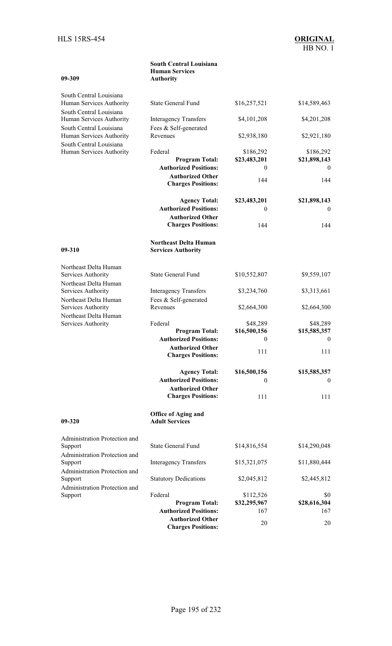| 09-309                                              | <b>South Central Louisiana</b><br><b>Human Services</b><br><b>Authority</b> |                     |                          |
|-----------------------------------------------------|-----------------------------------------------------------------------------|---------------------|--------------------------|
| South Central Louisiana                             |                                                                             |                     |                          |
| Human Services Authority<br>South Central Louisiana | <b>State General Fund</b>                                                   | \$16,257,521        | \$14,589,463             |
| Human Services Authority<br>South Central Louisiana | <b>Interagency Transfers</b><br>Fees & Self-generated                       | \$4,101,208         | \$4,201,208              |
| Human Services Authority                            | Revenues                                                                    | \$2,938,180         | \$2,921,180              |
| South Central Louisiana<br>Human Services Authority | Federal                                                                     | \$186,292           | \$186,292                |
|                                                     | <b>Program Total:</b><br><b>Authorized Positions:</b>                       | \$23,483,201<br>0   | \$21,898,143<br>$\theta$ |
|                                                     | <b>Authorized Other</b><br><b>Charges Positions:</b>                        | 144                 | 144                      |
|                                                     | <b>Agency Total:</b>                                                        | \$23,483,201        | \$21,898,143             |
|                                                     | <b>Authorized Positions:</b>                                                | 0                   | $\theta$                 |
|                                                     | <b>Authorized Other</b><br><b>Charges Positions:</b>                        | 144                 | 144                      |
| 09-310                                              | <b>Northeast Delta Human</b><br><b>Services Authority</b>                   |                     |                          |
| Northeast Delta Human                               |                                                                             |                     |                          |
| Services Authority<br>Northeast Delta Human         | <b>State General Fund</b>                                                   | \$10,552,807        | \$9,559,107              |
| Services Authority                                  | <b>Interagency Transfers</b>                                                | \$3,234,760         | \$3,313,661              |
| Northeast Delta Human<br>Services Authority         | Fees & Self-generated<br>Revenues                                           | \$2,664,300         | \$2,664,300              |
| Northeast Delta Human<br>Services Authority         | Federal                                                                     | \$48,289            | \$48,289                 |
|                                                     | <b>Program Total:</b>                                                       | \$16,500,156        | \$15,585,357             |
|                                                     | <b>Authorized Positions:</b>                                                | $\boldsymbol{0}$    | $\mathbf{0}$             |
|                                                     | <b>Authorized Other</b><br><b>Charges Positions:</b>                        | 111                 | 111                      |
|                                                     | <b>Agency Total:</b><br><b>Authorized Positions:</b>                        | \$16,500,156        | \$15,585,357             |
|                                                     | <b>Authorized Other</b>                                                     | 0                   | $\theta$                 |
|                                                     | <b>Charges Positions:</b>                                                   | 111                 | 111                      |
| 09-320                                              | <b>Office of Aging and</b><br><b>Adult Services</b>                         |                     |                          |
| Administration Protection and<br>Support            | <b>State General Fund</b>                                                   | \$14,816,554        | \$14,290,048             |
| Administration Protection and                       |                                                                             |                     |                          |
| Support<br>Administration Protection and            | <b>Interagency Transfers</b>                                                | \$15,321,075        | \$11,880,444             |
| Support<br>Administration Protection and            | <b>Statutory Dedications</b>                                                | \$2,045,812         | \$2,445,812              |
| Support                                             | Federal                                                                     | \$112,526           | \$0                      |
|                                                     | <b>Program Total:</b><br><b>Authorized Positions:</b>                       | \$32,295,967<br>167 | \$28,616,304<br>167      |
|                                                     | <b>Authorized Other</b>                                                     |                     |                          |
|                                                     | angas Dasitianas                                                            | 20                  | 20                       |

**Charges Positions:**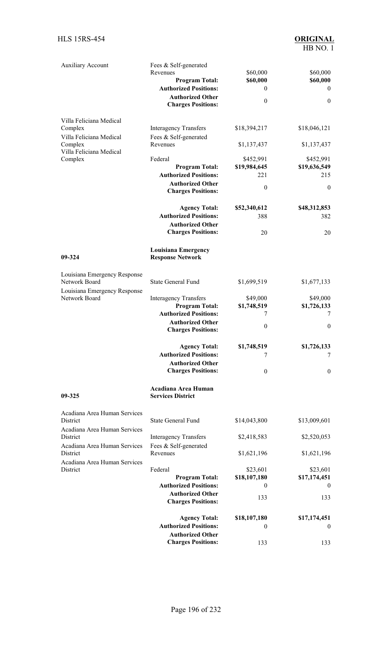| <b>Auxiliary Account</b>                                                             | Fees & Self-generated<br>Revenues<br><b>Program Total:</b><br><b>Authorized Positions:</b><br><b>Authorized Other</b><br><b>Charges Positions:</b> | \$60,000<br>\$60,000<br>$\theta$<br>$\theta$ | \$60,000<br>\$60,000<br>$\bf{0}$<br>$\boldsymbol{0}$ |
|--------------------------------------------------------------------------------------|----------------------------------------------------------------------------------------------------------------------------------------------------|----------------------------------------------|------------------------------------------------------|
| Villa Feliciana Medical                                                              |                                                                                                                                                    |                                              |                                                      |
| Complex<br>Villa Feliciana Medical                                                   | <b>Interagency Transfers</b><br>Fees & Self-generated                                                                                              | \$18,394,217                                 | \$18,046,121                                         |
| Complex<br>Villa Feliciana Medical                                                   | Revenues                                                                                                                                           | \$1,137,437                                  | \$1,137,437                                          |
| Complex                                                                              | Federal                                                                                                                                            | \$452,991                                    | \$452,991                                            |
|                                                                                      | <b>Program Total:</b><br><b>Authorized Positions:</b>                                                                                              | \$19,984,645<br>221                          | \$19,636,549<br>215                                  |
|                                                                                      | <b>Authorized Other</b><br><b>Charges Positions:</b>                                                                                               | $\boldsymbol{0}$                             | $\boldsymbol{0}$                                     |
|                                                                                      | <b>Agency Total:</b>                                                                                                                               | \$52,340,612                                 | \$48,312,853                                         |
|                                                                                      | <b>Authorized Positions:</b>                                                                                                                       | 388                                          | 382                                                  |
|                                                                                      | <b>Authorized Other</b>                                                                                                                            |                                              |                                                      |
|                                                                                      | <b>Charges Positions:</b>                                                                                                                          | 20                                           | 20                                                   |
| 09-324                                                                               | <b>Louisiana Emergency</b><br><b>Response Network</b>                                                                                              |                                              |                                                      |
| Louisiana Emergency Response<br>Network Board                                        | <b>State General Fund</b>                                                                                                                          | \$1,699,519                                  | \$1,677,133                                          |
| Louisiana Emergency Response<br>Network Board                                        | <b>Interagency Transfers</b>                                                                                                                       | \$49,000                                     | \$49,000                                             |
|                                                                                      | <b>Program Total:</b>                                                                                                                              | \$1,748,519                                  | \$1,726,133                                          |
|                                                                                      | <b>Authorized Positions:</b>                                                                                                                       | 7                                            | 7                                                    |
|                                                                                      | <b>Authorized Other</b><br><b>Charges Positions:</b>                                                                                               | $\boldsymbol{0}$                             | $\boldsymbol{0}$                                     |
|                                                                                      | <b>Agency Total:</b>                                                                                                                               | \$1,748,519                                  | \$1,726,133                                          |
|                                                                                      | <b>Authorized Positions:</b>                                                                                                                       | 7                                            | 7                                                    |
|                                                                                      | <b>Authorized Other</b><br><b>Charges Positions:</b>                                                                                               | $\theta$                                     | 0                                                    |
| 09-325                                                                               | Acadiana Area Human<br><b>Services District</b>                                                                                                    |                                              |                                                      |
| Acadiana Area Human Services<br>District                                             | <b>State General Fund</b>                                                                                                                          | \$14,043,800                                 | \$13,009,601                                         |
| Acadiana Area Human Services<br>District<br>Acadiana Area Human Services<br>District | <b>Interagency Transfers</b>                                                                                                                       | \$2,418,583                                  | \$2,520,053                                          |
|                                                                                      | Fees & Self-generated<br>Revenues                                                                                                                  | \$1,621,196                                  | \$1,621,196                                          |
| Acadiana Area Human Services<br>District                                             | Federal                                                                                                                                            | \$23,601                                     | \$23,601                                             |
|                                                                                      | <b>Program Total:</b>                                                                                                                              | \$18,107,180                                 | \$17,174,451                                         |
|                                                                                      | <b>Authorized Positions:</b><br><b>Authorized Other</b><br><b>Charges Positions:</b>                                                               | $\theta$<br>133                              | $\theta$<br>133                                      |
|                                                                                      | <b>Agency Total:</b><br><b>Authorized Positions:</b>                                                                                               | \$18,107,180<br>$\mathbf{0}$                 | \$17,174,451<br>$\boldsymbol{0}$                     |
|                                                                                      | <b>Authorized Other</b>                                                                                                                            |                                              |                                                      |
|                                                                                      | <b>Charges Positions:</b>                                                                                                                          | 133                                          | 133                                                  |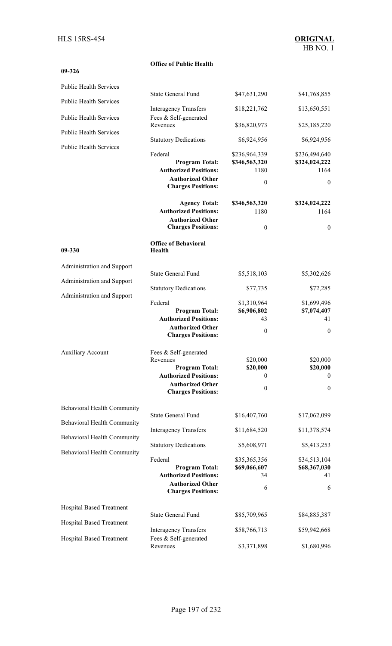**09-326** 

### **Office of Public Health**

| <b>Public Health Services</b>      |                                                                                                                                                    |                                                                     |                                                                             |
|------------------------------------|----------------------------------------------------------------------------------------------------------------------------------------------------|---------------------------------------------------------------------|-----------------------------------------------------------------------------|
| <b>Public Health Services</b>      | <b>State General Fund</b>                                                                                                                          | \$47,631,290                                                        | \$41,768,855                                                                |
| <b>Public Health Services</b>      | <b>Interagency Transfers</b>                                                                                                                       | \$18,221,762                                                        | \$13,650,551                                                                |
|                                    | Fees & Self-generated<br>Revenues                                                                                                                  | \$36,820,973                                                        | \$25,185,220                                                                |
| <b>Public Health Services</b>      | <b>Statutory Dedications</b>                                                                                                                       | \$6,924,956                                                         | \$6,924,956                                                                 |
| <b>Public Health Services</b>      | Federal<br><b>Program Total:</b><br><b>Authorized Positions:</b><br><b>Authorized Other</b><br><b>Charges Positions:</b><br><b>Agency Total:</b>   | \$236,964,339<br>\$346,563,320<br>1180<br>$\theta$<br>\$346,563,320 | \$236,494,640<br>\$324,024,222<br>1164<br>$\boldsymbol{0}$<br>\$324,024,222 |
|                                    | <b>Authorized Positions:</b>                                                                                                                       | 1180                                                                | 1164                                                                        |
|                                    | <b>Authorized Other</b><br><b>Charges Positions:</b>                                                                                               | $\boldsymbol{0}$                                                    | $\boldsymbol{0}$                                                            |
| 09-330                             | <b>Office of Behavioral</b><br>Health                                                                                                              |                                                                     |                                                                             |
| Administration and Support         |                                                                                                                                                    |                                                                     |                                                                             |
| Administration and Support         | <b>State General Fund</b>                                                                                                                          | \$5,518,103                                                         | \$5,302,626                                                                 |
| Administration and Support         | <b>Statutory Dedications</b>                                                                                                                       | \$77,735                                                            | \$72,285                                                                    |
|                                    | Federal<br><b>Program Total:</b><br><b>Authorized Positions:</b><br><b>Authorized Other</b><br><b>Charges Positions:</b>                           | \$1,310,964<br>\$6,906,802<br>43<br>$\theta$                        | \$1,699,496<br>\$7,074,407<br>41<br>$\boldsymbol{0}$                        |
| <b>Auxiliary Account</b>           | Fees & Self-generated<br>Revenues<br><b>Program Total:</b><br><b>Authorized Positions:</b><br><b>Authorized Other</b><br><b>Charges Positions:</b> | \$20,000<br>\$20,000<br>$\mathbf{0}$<br>$\boldsymbol{0}$            | \$20,000<br>\$20,000<br>$\boldsymbol{0}$<br>$\boldsymbol{0}$                |
| <b>Behavioral Health Community</b> |                                                                                                                                                    |                                                                     |                                                                             |
| Behavioral Health Community        | <b>State General Fund</b>                                                                                                                          | \$16,407,760                                                        | \$17,062,099                                                                |
| Behavioral Health Community        | <b>Interagency Transfers</b>                                                                                                                       | \$11,684,520                                                        | \$11,378,574                                                                |
| Behavioral Health Community        | <b>Statutory Dedications</b>                                                                                                                       | \$5,608,971                                                         | \$5,413,253                                                                 |
|                                    | Federal<br><b>Program Total:</b><br><b>Authorized Positions:</b><br><b>Authorized Other</b><br><b>Charges Positions:</b>                           | \$35,365,356<br>\$69,066,607<br>34<br>6                             | \$34,513,104<br>\$68,367,030<br>41<br>6                                     |
| Hospital Based Treatment           |                                                                                                                                                    |                                                                     |                                                                             |
| <b>Hospital Based Treatment</b>    | <b>State General Fund</b>                                                                                                                          | \$85,709,965                                                        | \$84,885,387                                                                |
|                                    | <b>Interagency Transfers</b>                                                                                                                       | \$58,766,713                                                        | \$59,942,668                                                                |
| Hospital Based Treatment           | Fees & Self-generated<br>Revenues                                                                                                                  | \$3,371,898                                                         | \$1,680,996                                                                 |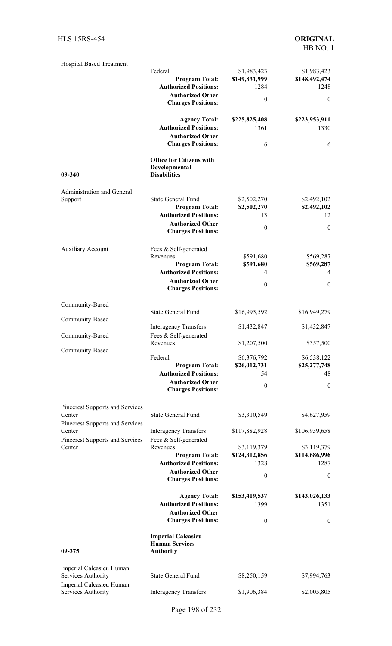| <b>Hospital Based Treatment</b>                | Federal<br><b>Program Total:</b>                                                                                                                   | \$1,983,423<br>\$149,831,999                             | \$1,983,423<br>\$148,492,474                                       |
|------------------------------------------------|----------------------------------------------------------------------------------------------------------------------------------------------------|----------------------------------------------------------|--------------------------------------------------------------------|
|                                                | <b>Authorized Positions:</b><br><b>Authorized Other</b><br><b>Charges Positions:</b>                                                               | 1284<br>$\boldsymbol{0}$                                 | 1248<br>$\mathbf{0}$                                               |
|                                                | <b>Agency Total:</b><br><b>Authorized Positions:</b><br><b>Authorized Other</b>                                                                    | \$225,825,408<br>1361                                    | \$223,953,911<br>1330                                              |
|                                                | <b>Charges Positions:</b><br><b>Office for Citizens with</b><br>Developmental                                                                      | 6                                                        | 6                                                                  |
| 09-340                                         | <b>Disabilities</b>                                                                                                                                |                                                          |                                                                    |
| Administration and General<br>Support          | <b>State General Fund</b><br><b>Program Total:</b><br><b>Authorized Positions:</b><br><b>Authorized Other</b><br><b>Charges Positions:</b>         | \$2,502,270<br>\$2,502,270<br>13<br>$\boldsymbol{0}$     | \$2,492,102<br>\$2,492,102<br>12<br>$\theta$                       |
| <b>Auxiliary Account</b>                       | Fees & Self-generated<br>Revenues<br><b>Program Total:</b><br><b>Authorized Positions:</b><br><b>Authorized Other</b><br><b>Charges Positions:</b> | \$591,680<br>\$591,680<br>4<br>$\boldsymbol{0}$          | \$569,287<br>\$569,287<br>4<br>$\boldsymbol{0}$                    |
| Community-Based                                | <b>State General Fund</b>                                                                                                                          |                                                          |                                                                    |
| Community-Based                                | <b>Interagency Transfers</b>                                                                                                                       | \$16,995,592<br>\$1,432,847                              | \$16,949,279<br>\$1,432,847                                        |
| Community-Based                                | Fees & Self-generated                                                                                                                              | \$1,207,500                                              |                                                                    |
| Community-Based                                | Revenues<br>Federal<br><b>Program Total:</b><br><b>Authorized Positions:</b><br><b>Authorized Other</b><br><b>Charges Positions:</b>               | \$6,376,792<br>\$26,012,731<br>54<br>$\boldsymbol{0}$    | \$357,500<br>\$6,538,122<br>\$25,277,748<br>48<br>$\boldsymbol{0}$ |
| Pinecrest Supports and Services<br>Center      | <b>State General Fund</b>                                                                                                                          | \$3,310,549                                              | \$4,627,959                                                        |
| Pinecrest Supports and Services<br>Center      | <b>Interagency Transfers</b>                                                                                                                       | \$117,882,928                                            | \$106,939,658                                                      |
| Pinecrest Supports and Services<br>Center      | Fees & Self-generated<br>Revenues<br><b>Program Total:</b><br><b>Authorized Positions:</b><br><b>Authorized Other</b><br><b>Charges Positions:</b> | \$3,119,379<br>\$124,312,856<br>1328<br>$\boldsymbol{0}$ | \$3,119,379<br>\$114,686,996<br>1287<br>$\boldsymbol{0}$           |
|                                                | <b>Agency Total:</b><br><b>Authorized Positions:</b><br><b>Authorized Other</b><br><b>Charges Positions:</b>                                       | \$153,419,537<br>1399<br>$\mathbf{0}$                    | \$143,026,133<br>1351<br>$\boldsymbol{0}$                          |
| 09-375                                         | <b>Imperial Calcasieu</b><br><b>Human Services</b><br><b>Authority</b>                                                                             |                                                          |                                                                    |
| Imperial Calcasieu Human<br>Services Authority | <b>State General Fund</b>                                                                                                                          | \$8,250,159                                              | \$7,994,763                                                        |
| Imperial Calcasieu Human<br>Services Authority | <b>Interagency Transfers</b>                                                                                                                       | \$1,906,384                                              | \$2,005,805                                                        |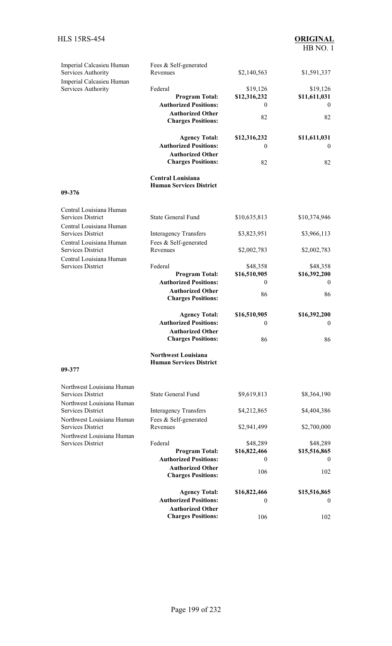| Imperial Calcasieu Human                              | Fees & Self-generated<br>Revenues                            |                  |                  |
|-------------------------------------------------------|--------------------------------------------------------------|------------------|------------------|
| Services Authority<br>Imperial Calcasieu Human        |                                                              | \$2,140,563      | \$1,591,337      |
| Services Authority                                    | Federal                                                      | \$19,126         | \$19,126         |
|                                                       | <b>Program Total:</b>                                        | \$12,316,232     | \$11,611,031     |
|                                                       | <b>Authorized Positions:</b>                                 | 0                | $\bf{0}$         |
|                                                       | <b>Authorized Other</b><br><b>Charges Positions:</b>         | 82               | 82               |
|                                                       | <b>Agency Total:</b>                                         | \$12,316,232     | \$11,611,031     |
|                                                       | <b>Authorized Positions:</b>                                 | 0                | $\boldsymbol{0}$ |
|                                                       | <b>Authorized Other</b><br><b>Charges Positions:</b>         | 82               | 82               |
|                                                       | <b>Central Louisiana</b><br><b>Human Services District</b>   |                  |                  |
| 09-376                                                |                                                              |                  |                  |
| Central Louisiana Human                               |                                                              |                  |                  |
| <b>Services District</b><br>Central Louisiana Human   | <b>State General Fund</b>                                    | \$10,635,813     | \$10,374,946     |
| <b>Services District</b>                              | <b>Interagency Transfers</b>                                 | \$3,823,951      | \$3,966,113      |
| Central Louisiana Human<br><b>Services District</b>   | Fees & Self-generated<br>Revenues                            | \$2,002,783      | \$2,002,783      |
| Central Louisiana Human                               |                                                              |                  |                  |
| <b>Services District</b>                              | Federal                                                      | \$48,358         | \$48,358         |
|                                                       | <b>Program Total:</b>                                        | \$16,510,905     | \$16,392,200     |
|                                                       | <b>Authorized Positions:</b>                                 | 0                | $\theta$         |
|                                                       | <b>Authorized Other</b><br><b>Charges Positions:</b>         | 86               | 86               |
|                                                       | <b>Agency Total:</b>                                         | \$16,510,905     | \$16,392,200     |
|                                                       | <b>Authorized Positions:</b>                                 | $\boldsymbol{0}$ | $\boldsymbol{0}$ |
|                                                       | <b>Authorized Other</b>                                      |                  |                  |
|                                                       | <b>Charges Positions:</b>                                    | 86               | 86               |
|                                                       | <b>Northwest Louisiana</b><br><b>Human Services District</b> |                  |                  |
| 09-377                                                |                                                              |                  |                  |
| Northwest Louisiana Human<br><b>Services District</b> | <b>State General Fund</b>                                    | \$9,619,813      | \$8,364,190      |
| Northwest Louisiana Human                             |                                                              |                  |                  |
| <b>Services District</b>                              | <b>Interagency Transfers</b>                                 | \$4,212,865      | \$4,404,386      |
| Northwest Louisiana Human                             | Fees & Self-generated                                        |                  |                  |
| Services District<br>Northwest Louisiana Human        | Revenues                                                     | \$2,941,499      | \$2,700,000      |
| <b>Services District</b>                              | Federal                                                      | \$48,289         | \$48,289         |
|                                                       | <b>Program Total:</b>                                        | \$16,822,466     | \$15,516,865     |
|                                                       | <b>Authorized Positions:</b>                                 | $\theta$         | $\overline{0}$   |
|                                                       | <b>Authorized Other</b><br><b>Charges Positions:</b>         | 106              | 102              |
|                                                       | <b>Agency Total:</b>                                         | \$16,822,466     | \$15,516,865     |
|                                                       | <b>Authorized Positions:</b>                                 | 0                | $\mathbf{0}$     |
|                                                       | <b>Authorized Other</b>                                      |                  |                  |
|                                                       | <b>Charges Positions:</b>                                    | 106              | 102              |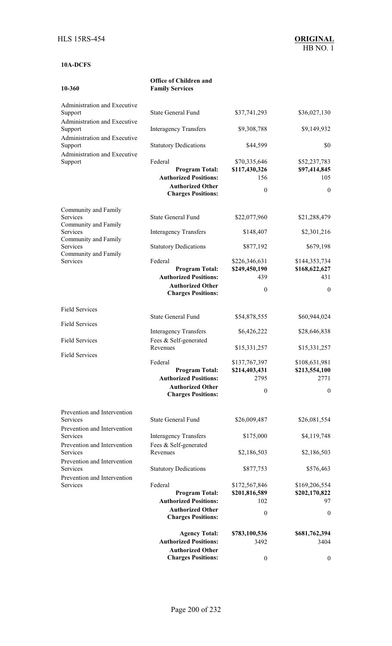### **10A-DCFS**

**10-360** 

#### **Office of Children and Family Services**

| Administration and Executive<br>Support                                 | <b>State General Fund</b>                                                                                                | \$37,741,293                                               | \$36,027,130                                               |
|-------------------------------------------------------------------------|--------------------------------------------------------------------------------------------------------------------------|------------------------------------------------------------|------------------------------------------------------------|
| Administration and Executive<br>Support                                 | <b>Interagency Transfers</b>                                                                                             | \$9,308,788                                                | \$9,149,932                                                |
| Administration and Executive<br>Support<br>Administration and Executive | <b>Statutory Dedications</b>                                                                                             | \$44,599                                                   | \$0                                                        |
| Support                                                                 | Federal<br><b>Program Total:</b><br><b>Authorized Positions:</b><br><b>Authorized Other</b><br><b>Charges Positions:</b> | \$70,335,646<br>\$117,430,326<br>156<br>$\mathbf{0}$       | \$52,237,783<br>\$97,414,845<br>105<br>$\mathbf{0}$        |
| Community and Family<br><b>Services</b>                                 | <b>State General Fund</b>                                                                                                | \$22,077,960                                               | \$21,288,479                                               |
| Community and Family<br>Services                                        | <b>Interagency Transfers</b>                                                                                             | \$148,407                                                  | \$2,301,216                                                |
| Community and Family<br>Services                                        | <b>Statutory Dedications</b>                                                                                             | \$877,192                                                  | \$679,198                                                  |
| Community and Family<br>Services                                        | Federal<br><b>Program Total:</b><br><b>Authorized Positions:</b><br><b>Authorized Other</b><br><b>Charges Positions:</b> | \$226,346,631<br>\$249,450,190<br>439<br>$\mathbf{0}$      | \$144,353,734<br>\$168,622,627<br>431<br>$\mathbf{0}$      |
| <b>Field Services</b>                                                   | <b>State General Fund</b>                                                                                                |                                                            |                                                            |
| <b>Field Services</b>                                                   |                                                                                                                          | \$54,878,555                                               | \$60,944,024                                               |
| <b>Field Services</b>                                                   | <b>Interagency Transfers</b><br>Fees & Self-generated<br>Revenues                                                        | \$6,426,222<br>\$15,331,257                                | \$28,646,838<br>\$15,331,257                               |
| <b>Field Services</b>                                                   | Federal<br><b>Program Total:</b><br><b>Authorized Positions:</b><br><b>Authorized Other</b><br><b>Charges Positions:</b> | \$137,767,397<br>\$214,403,431<br>2795<br>$\boldsymbol{0}$ | \$108,631,981<br>\$213,554,100<br>2771<br>$\boldsymbol{0}$ |
| Prevention and Intervention<br>Services                                 | <b>State General Fund</b>                                                                                                | \$26,009,487                                               | \$26,081,554                                               |
| Prevention and Intervention<br>Services                                 | <b>Interagency Transfers</b>                                                                                             | \$175,000                                                  | \$4,119,748                                                |
| Prevention and Intervention<br>Services                                 | Fees & Self-generated<br>Revenues                                                                                        | \$2,186,503                                                | \$2,186,503                                                |
| Prevention and Intervention<br>Services                                 | <b>Statutory Dedications</b>                                                                                             | \$877,753                                                  | \$576,463                                                  |
| Prevention and Intervention<br>Services                                 | Federal<br><b>Program Total:</b><br><b>Authorized Positions:</b><br><b>Authorized Other</b><br><b>Charges Positions:</b> | \$172,567,846<br>\$201,816,589<br>102<br>$\boldsymbol{0}$  | \$169,206,554<br>\$202,170,822<br>97<br>$\mathbf{0}$       |
|                                                                         | <b>Agency Total:</b>                                                                                                     | \$783,100,536                                              | \$681,762,394                                              |
|                                                                         | <b>Authorized Positions:</b><br><b>Authorized Other</b><br><b>Charges Positions:</b>                                     | 3492<br>$\boldsymbol{0}$                                   | 3404<br>$\boldsymbol{0}$                                   |
|                                                                         |                                                                                                                          |                                                            |                                                            |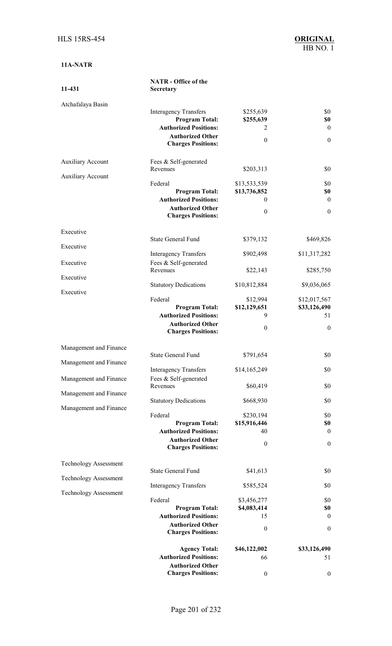| 11-431                                               | <b>NATR</b> - Office of the<br>Secretary                                                                                                      |                                                          |                                                    |
|------------------------------------------------------|-----------------------------------------------------------------------------------------------------------------------------------------------|----------------------------------------------------------|----------------------------------------------------|
| Atchafalaya Basin                                    | <b>Interagency Transfers</b><br><b>Program Total:</b><br><b>Authorized Positions:</b><br><b>Authorized Other</b><br><b>Charges Positions:</b> | \$255,639<br>\$255,639<br>2<br>$\boldsymbol{0}$          | \$0<br>\$0<br>$\mathbf{0}$<br>$\boldsymbol{0}$     |
| <b>Auxiliary Account</b><br><b>Auxiliary Account</b> | Fees & Self-generated<br>Revenues                                                                                                             | \$203,313                                                | \$0                                                |
|                                                      | Federal<br><b>Program Total:</b><br><b>Authorized Positions:</b><br><b>Authorized Other</b><br><b>Charges Positions:</b>                      | \$13,533,539<br>\$13,736,852<br>$\mathbf{0}$<br>$\theta$ | \$0<br>\$0<br>$\theta$<br>$\mathbf{0}$             |
| Executive<br>Executive                               | <b>State General Fund</b>                                                                                                                     | \$379,132                                                | \$469,826                                          |
| Executive                                            | <b>Interagency Transfers</b><br>Fees & Self-generated<br>Revenues                                                                             | \$902,498                                                | \$11,317,282                                       |
| Executive                                            | <b>Statutory Dedications</b>                                                                                                                  | \$22,143<br>\$10,812,884                                 | \$285,750<br>\$9,036,065                           |
| Executive                                            | Federal<br><b>Program Total:</b><br><b>Authorized Positions:</b><br><b>Authorized Other</b><br><b>Charges Positions:</b>                      | \$12,994<br>\$12,129,651<br>9<br>$\boldsymbol{0}$        | \$12,017,567<br>\$33,126,490<br>51<br>$\mathbf{0}$ |
| Management and Finance                               | <b>State General Fund</b>                                                                                                                     | \$791,654                                                | \$0                                                |
| Management and Finance                               | <b>Interagency Transfers</b>                                                                                                                  | \$14,165,249                                             | \$0                                                |
| Management and Finance                               | Fees & Self-generated<br>Revenues                                                                                                             | \$60,419                                                 | \$0                                                |
| Management and Finance<br>Management and Finance     | <b>Statutory Dedications</b>                                                                                                                  | \$668,930                                                | \$0                                                |
|                                                      | Federal<br><b>Program Total:</b><br><b>Authorized Positions:</b><br><b>Authorized Other</b><br><b>Charges Positions:</b>                      | \$230,194<br>\$15,916,446<br>40<br>$\boldsymbol{0}$      | \$0<br>\$0<br>$\mathbf{0}$<br>$\boldsymbol{0}$     |
| <b>Technology Assessment</b>                         | <b>State General Fund</b>                                                                                                                     | \$41,613                                                 | \$0                                                |
| <b>Technology Assessment</b>                         | <b>Interagency Transfers</b>                                                                                                                  | \$585,524                                                | \$0                                                |
| <b>Technology Assessment</b>                         | Federal<br><b>Program Total:</b><br><b>Authorized Positions:</b><br><b>Authorized Other</b><br><b>Charges Positions:</b>                      | \$3,456,277<br>\$4,083,414<br>15<br>$\boldsymbol{0}$     | \$0<br>\$0<br>$\mathbf{0}$<br>$\boldsymbol{0}$     |
|                                                      | <b>Agency Total:</b><br><b>Authorized Positions:</b><br><b>Authorized Other</b><br><b>Charges Positions:</b>                                  | \$46,122,002<br>66<br>$\boldsymbol{0}$                   | \$33,126,490<br>51<br>$\boldsymbol{0}$             |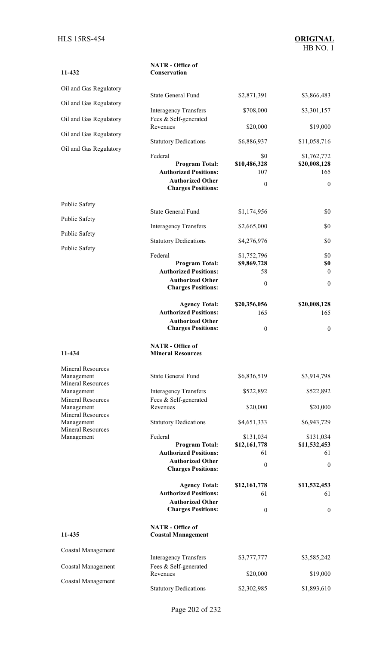| 11-432                                 | <b>NATR</b> - Office of<br>Conservation                                                                                  |                                                      |                                                        |
|----------------------------------------|--------------------------------------------------------------------------------------------------------------------------|------------------------------------------------------|--------------------------------------------------------|
| Oil and Gas Regulatory                 | <b>State General Fund</b>                                                                                                |                                                      |                                                        |
| Oil and Gas Regulatory                 |                                                                                                                          | \$2,871,391                                          | \$3,866,483                                            |
| Oil and Gas Regulatory                 | <b>Interagency Transfers</b><br>Fees & Self-generated<br>Revenues                                                        | \$708,000<br>\$20,000                                | \$3,301,157<br>\$19,000                                |
| Oil and Gas Regulatory                 |                                                                                                                          |                                                      |                                                        |
| Oil and Gas Regulatory                 | <b>Statutory Dedications</b>                                                                                             | \$6,886,937                                          | \$11,058,716                                           |
|                                        | Federal<br><b>Program Total:</b><br><b>Authorized Positions:</b><br><b>Authorized Other</b><br><b>Charges Positions:</b> | \$0<br>\$10,486,328<br>107<br>$\boldsymbol{0}$       | \$1,762,772<br>\$20,008,128<br>165<br>$\boldsymbol{0}$ |
| Public Safety                          |                                                                                                                          |                                                      |                                                        |
| Public Safety                          | <b>State General Fund</b>                                                                                                | \$1,174,956                                          | \$0                                                    |
| Public Safety                          | <b>Interagency Transfers</b>                                                                                             | \$2,665,000                                          | \$0                                                    |
| Public Safety                          | <b>Statutory Dedications</b>                                                                                             | \$4,276,976                                          | \$0                                                    |
|                                        | Federal<br><b>Program Total:</b><br><b>Authorized Positions:</b><br><b>Authorized Other</b><br><b>Charges Positions:</b> | \$1,752,796<br>\$9,869,728<br>58<br>$\boldsymbol{0}$ | \$0<br>\$0<br>$\theta$<br>$\boldsymbol{0}$             |
|                                        | <b>Agency Total:</b><br><b>Authorized Positions:</b><br><b>Authorized Other</b><br><b>Charges Positions:</b>             | \$20,356,056<br>165<br>$\boldsymbol{0}$              | \$20,008,128<br>165<br>$\boldsymbol{0}$                |
| 11-434                                 | <b>NATR</b> - Office of<br><b>Mineral Resources</b>                                                                      |                                                      |                                                        |
| <b>Mineral Resources</b>               |                                                                                                                          |                                                      |                                                        |
| Management<br><b>Mineral Resources</b> | <b>State General Fund</b>                                                                                                | \$6,836,519                                          | \$3,914,798                                            |
| Management<br><b>Mineral Resources</b> | <b>Interagency Transfers</b><br>Fees & Self-generated                                                                    | \$522,892                                            | \$522,892                                              |
| Management<br><b>Mineral Resources</b> | Revenues                                                                                                                 | \$20,000                                             | \$20,000                                               |
| Management                             | <b>Statutory Dedications</b>                                                                                             | \$4,651,333                                          | \$6,943,729                                            |
| <b>Mineral Resources</b><br>Management | Federal<br><b>Program Total:</b><br><b>Authorized Positions:</b><br><b>Authorized Other</b><br><b>Charges Positions:</b> | \$131,034<br>\$12,161,778<br>61<br>$\boldsymbol{0}$  | \$131,034<br>\$11,532,453<br>61<br>$\boldsymbol{0}$    |
|                                        | <b>Agency Total:</b><br><b>Authorized Positions:</b><br><b>Authorized Other</b><br><b>Charges Positions:</b>             | \$12,161,778<br>61<br>$\theta$                       | \$11,532,453<br>61<br>$\boldsymbol{0}$                 |
| 11-435                                 | <b>NATR</b> - Office of<br><b>Coastal Management</b>                                                                     |                                                      |                                                        |
| Coastal Management                     |                                                                                                                          |                                                      |                                                        |
| Coastal Management                     | <b>Interagency Transfers</b><br>Fees & Self-generated                                                                    | \$3,777,777                                          | \$3,585,242                                            |
| Coastal Management                     | Revenues                                                                                                                 | \$20,000                                             | \$19,000                                               |
|                                        | <b>Statutory Dedications</b>                                                                                             | \$2,302,985                                          | \$1,893,610                                            |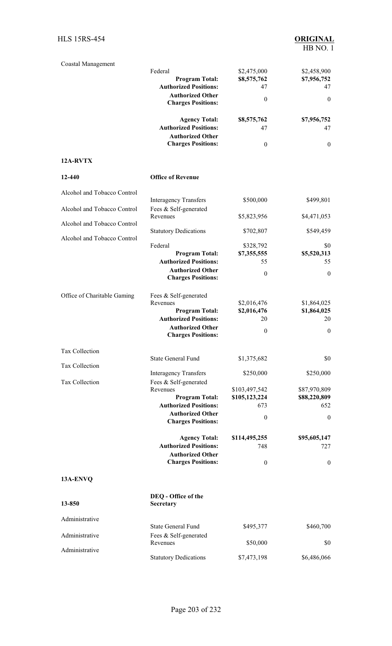| Coastal Management          |                                                      |                      |                     |
|-----------------------------|------------------------------------------------------|----------------------|---------------------|
|                             | Federal                                              | \$2,475,000          | \$2,458,900         |
|                             | <b>Program Total:</b>                                | \$8,575,762          | \$7,956,752         |
|                             | <b>Authorized Positions:</b>                         | 47                   | 47                  |
|                             | <b>Authorized Other</b><br><b>Charges Positions:</b> | $\boldsymbol{0}$     | $\mathbf{0}$        |
|                             | <b>Agency Total:</b>                                 | \$8,575,762          | \$7,956,752         |
|                             | <b>Authorized Positions:</b>                         | 47                   | 47                  |
|                             | <b>Authorized Other</b>                              |                      |                     |
|                             | <b>Charges Positions:</b>                            | $\boldsymbol{0}$     | $\mathbf{0}$        |
| 12A-RVTX                    |                                                      |                      |                     |
| 12-440                      | <b>Office of Revenue</b>                             |                      |                     |
| Alcohol and Tobacco Control |                                                      |                      |                     |
|                             | <b>Interagency Transfers</b>                         | \$500,000            | \$499,801           |
| Alcohol and Tobacco Control | Fees & Self-generated                                |                      |                     |
| Alcohol and Tobacco Control | Revenues                                             | \$5,823,956          | \$4,471,053         |
|                             | <b>Statutory Dedications</b>                         | \$702,807            | \$549,459           |
| Alcohol and Tobacco Control | Federal                                              | \$328,792            | \$0                 |
|                             | <b>Program Total:</b>                                | \$7,355,555          | \$5,520,313         |
|                             | <b>Authorized Positions:</b>                         | 55                   | 55                  |
|                             | <b>Authorized Other</b>                              | $\boldsymbol{0}$     | $\boldsymbol{0}$    |
|                             | <b>Charges Positions:</b>                            |                      |                     |
| Office of Charitable Gaming | Fees & Self-generated                                |                      |                     |
|                             | Revenues                                             | \$2,016,476          | \$1,864,025         |
|                             | <b>Program Total:</b>                                | \$2,016,476          | \$1,864,025         |
|                             | <b>Authorized Positions:</b>                         | 20                   | 20                  |
|                             | <b>Authorized Other</b>                              | $\boldsymbol{0}$     | $\boldsymbol{0}$    |
|                             | <b>Charges Positions:</b>                            |                      |                     |
| Tax Collection              |                                                      |                      |                     |
| Tax Collection              | <b>State General Fund</b>                            | \$1,375,682          | \$0                 |
|                             | <b>Interagency Transfers</b>                         | \$250,000            | \$250,000           |
| Tax Collection              | Fees & Self-generated                                |                      |                     |
|                             | Revenues                                             | \$103,497,542        | \$87,970,809        |
|                             | <b>Program Total:</b>                                | \$105,123,224        | \$88,220,809        |
|                             | <b>Authorized Positions:</b>                         | 673                  | 652                 |
|                             | <b>Authorized Other</b><br><b>Charges Positions:</b> | $\boldsymbol{0}$     | $\boldsymbol{0}$    |
|                             |                                                      |                      |                     |
|                             | <b>Agency Total:</b><br><b>Authorized Positions:</b> | \$114,495,255<br>748 | \$95,605,147<br>727 |
|                             | <b>Authorized Other</b>                              |                      |                     |
|                             | <b>Charges Positions:</b>                            | $\boldsymbol{0}$     | $\boldsymbol{0}$    |
| 13A-ENVQ                    |                                                      |                      |                     |
|                             | DEQ - Office of the                                  |                      |                     |
| 13-850                      | Secretary                                            |                      |                     |
|                             |                                                      |                      |                     |
| Administrative              | <b>State General Fund</b>                            | \$495,377            | \$460,700           |
| Administrative              | Fees & Self-generated                                |                      |                     |
|                             | Revenues                                             | \$50,000             | \$0                 |
| Administrative              | <b>Statutory Dedications</b>                         | \$7,473,198          | \$6,486,066         |
|                             |                                                      |                      |                     |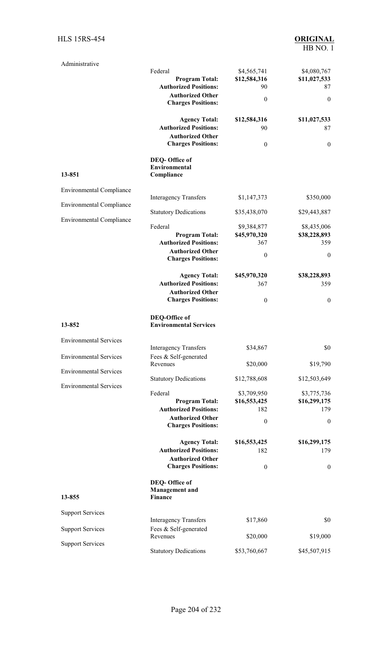| Administrative                  | Federal<br><b>Program Total:</b><br><b>Authorized Positions:</b><br><b>Authorized Other</b><br><b>Charges Positions:</b> | \$4,565,741<br>\$12,584,316<br>90<br>$\boldsymbol{0}$  | \$4,080,767<br>\$11,027,533<br>87<br>$\boldsymbol{0}$  |
|---------------------------------|--------------------------------------------------------------------------------------------------------------------------|--------------------------------------------------------|--------------------------------------------------------|
|                                 | <b>Agency Total:</b><br><b>Authorized Positions:</b><br><b>Authorized Other</b><br><b>Charges Positions:</b>             | \$12,584,316<br>90<br>$\boldsymbol{0}$                 | \$11,027,533<br>87<br>$\boldsymbol{0}$                 |
| 13-851                          | DEQ-Office of<br>Environmental<br>Compliance                                                                             |                                                        |                                                        |
| <b>Environmental Compliance</b> | <b>Interagency Transfers</b>                                                                                             | \$1,147,373                                            | \$350,000                                              |
| <b>Environmental Compliance</b> | <b>Statutory Dedications</b>                                                                                             | \$35,438,070                                           | \$29,443,887                                           |
| <b>Environmental Compliance</b> | Federal<br><b>Program Total:</b><br><b>Authorized Positions:</b><br><b>Authorized Other</b><br><b>Charges Positions:</b> | \$9,384,877<br>\$45,970,320<br>367<br>$\boldsymbol{0}$ | \$8,435,006<br>\$38,228,893<br>359<br>$\boldsymbol{0}$ |
|                                 | <b>Agency Total:</b><br><b>Authorized Positions:</b><br><b>Authorized Other</b><br><b>Charges Positions:</b>             | \$45,970,320<br>367<br>$\boldsymbol{0}$                | \$38,228,893<br>359<br>$\mathbf{0}$                    |
| 13-852                          | DEQ-Office of<br><b>Environmental Services</b>                                                                           |                                                        |                                                        |
| <b>Environmental Services</b>   |                                                                                                                          |                                                        |                                                        |
| <b>Environmental Services</b>   | <b>Interagency Transfers</b><br>Fees & Self-generated                                                                    | \$34,867                                               | \$0                                                    |
| <b>Environmental Services</b>   | Revenues                                                                                                                 | \$20,000                                               | \$19,790                                               |
| <b>Environmental Services</b>   | <b>Statutory Dedications</b>                                                                                             | \$12,788,608                                           | \$12,503,649                                           |
|                                 | Federal<br><b>Program Total:</b><br><b>Authorized Positions:</b><br><b>Authorized Other</b><br><b>Charges Positions:</b> | \$3,709,950<br>\$16,553,425<br>182<br>$\boldsymbol{0}$ | \$3,775,736<br>\$16,299,175<br>179<br>$\boldsymbol{0}$ |
|                                 | <b>Agency Total:</b>                                                                                                     | \$16,553,425                                           | \$16,299,175                                           |
|                                 | <b>Authorized Positions:</b><br><b>Authorized Other</b><br><b>Charges Positions:</b>                                     | 182<br>$\boldsymbol{0}$                                | 179<br>$\boldsymbol{0}$                                |
| 13-855                          | DEQ-Office of<br><b>Management</b> and<br><b>Finance</b>                                                                 |                                                        |                                                        |
| <b>Support Services</b>         |                                                                                                                          |                                                        |                                                        |
| <b>Support Services</b>         | <b>Interagency Transfers</b><br>Fees & Self-generated<br>Revenues                                                        | \$17,860<br>\$20,000                                   | \$0<br>\$19,000                                        |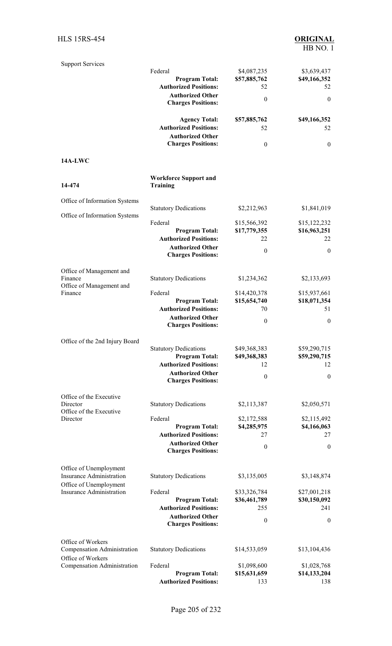| <b>Support Services</b>                                   |                                                       |                              |                              |
|-----------------------------------------------------------|-------------------------------------------------------|------------------------------|------------------------------|
|                                                           | Federal                                               | \$4,087,235                  | \$3,639,437                  |
|                                                           | <b>Program Total:</b>                                 | \$57,885,762                 | \$49,166,352                 |
|                                                           | <b>Authorized Positions:</b>                          | 52                           | 52                           |
|                                                           | <b>Authorized Other</b><br><b>Charges Positions:</b>  | $\boldsymbol{0}$             | $\mathbf{0}$                 |
|                                                           | <b>Agency Total:</b>                                  | \$57,885,762                 | \$49,166,352                 |
|                                                           | <b>Authorized Positions:</b>                          | 52                           | 52                           |
|                                                           | <b>Authorized Other</b>                               |                              |                              |
|                                                           | <b>Charges Positions:</b>                             | $\boldsymbol{0}$             | $\mathbf{0}$                 |
| 14A-LWC                                                   |                                                       |                              |                              |
| 14-474                                                    | <b>Workforce Support and</b><br><b>Training</b>       |                              |                              |
| Office of Information Systems                             |                                                       |                              |                              |
|                                                           | <b>Statutory Dedications</b>                          | \$2,212,963                  | \$1,841,019                  |
| Office of Information Systems                             | Federal                                               | \$15,566,392                 | \$15,122,232                 |
|                                                           | <b>Program Total:</b>                                 | \$17,779,355                 | \$16,963,251                 |
|                                                           | <b>Authorized Positions:</b>                          | 22                           | 22                           |
|                                                           | <b>Authorized Other</b>                               | $\theta$                     | $\theta$                     |
|                                                           | <b>Charges Positions:</b>                             |                              |                              |
| Office of Management and                                  |                                                       |                              |                              |
| Finance                                                   | <b>Statutory Dedications</b>                          | \$1,234,362                  | \$2,133,693                  |
| Office of Management and<br>Finance                       | Federal                                               | \$14,420,378                 | \$15,937,661                 |
|                                                           | <b>Program Total:</b>                                 | \$15,654,740                 | \$18,071,354                 |
|                                                           | <b>Authorized Positions:</b>                          | 70                           | 51                           |
|                                                           | <b>Authorized Other</b>                               | $\theta$                     | $\mathbf{0}$                 |
|                                                           | <b>Charges Positions:</b>                             |                              |                              |
| Office of the 2nd Injury Board                            |                                                       |                              |                              |
|                                                           | <b>Statutory Dedications</b>                          | \$49,368,383                 | \$59,290,715                 |
|                                                           | <b>Program Total:</b>                                 | \$49,368,383                 | \$59,290,715                 |
|                                                           | <b>Authorized Positions:</b>                          | 12                           | 12                           |
|                                                           | <b>Authorized Other</b><br><b>Charges Positions:</b>  | $\boldsymbol{0}$             | $\boldsymbol{0}$             |
| Office of the Executive                                   |                                                       |                              |                              |
| Director                                                  | <b>Statutory Dedications</b>                          | \$2,113,387                  | \$2,050,571                  |
| Office of the Executive<br>Director                       | Federal                                               | \$2,172,588                  | \$2,115,492                  |
|                                                           | <b>Program Total:</b>                                 | \$4,285,975                  | \$4,166,063                  |
|                                                           | <b>Authorized Positions:</b>                          | 27                           | 27                           |
|                                                           | <b>Authorized Other</b><br><b>Charges Positions:</b>  | $\boldsymbol{0}$             | $\theta$                     |
|                                                           |                                                       |                              |                              |
| Office of Unemployment<br><b>Insurance Administration</b> | <b>Statutory Dedications</b>                          | \$3,135,005                  | \$3,148,874                  |
| Office of Unemployment                                    |                                                       |                              |                              |
| <b>Insurance Administration</b>                           | Federal<br><b>Program Total:</b>                      | \$33,326,784<br>\$36,461,789 | \$27,001,218<br>\$30,150,092 |
|                                                           | <b>Authorized Positions:</b>                          | 255                          | 241                          |
|                                                           | <b>Authorized Other</b>                               |                              |                              |
|                                                           | <b>Charges Positions:</b>                             | $\boldsymbol{0}$             | $\mathbf{0}$                 |
| Office of Workers                                         |                                                       |                              |                              |
| Compensation Administration                               | <b>Statutory Dedications</b>                          | \$14,533,059                 | \$13,104,436                 |
| Office of Workers                                         |                                                       |                              |                              |
| Compensation Administration                               | Federal                                               | \$1,098,600                  | \$1,028,768                  |
|                                                           | <b>Program Total:</b><br><b>Authorized Positions:</b> | \$15,631,659<br>133          | \$14,133,204<br>138          |
|                                                           |                                                       |                              |                              |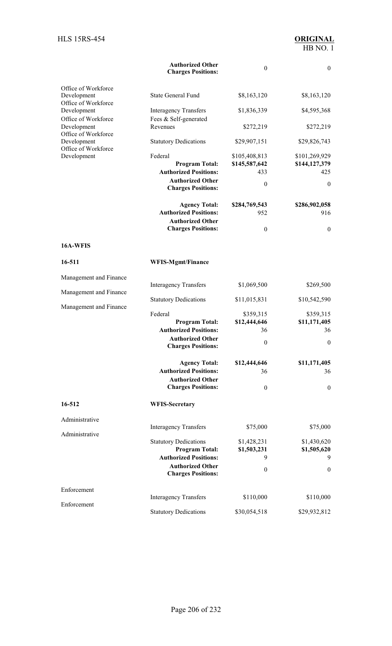|                                    | <b>Authorized Other</b><br><b>Charges Positions:</b>  | $\boldsymbol{0}$               | $\boldsymbol{0}$               |
|------------------------------------|-------------------------------------------------------|--------------------------------|--------------------------------|
| Office of Workforce<br>Development | <b>State General Fund</b>                             | \$8,163,120                    | \$8,163,120                    |
| Office of Workforce<br>Development | <b>Interagency Transfers</b>                          | \$1,836,339                    | \$4,595,368                    |
| Office of Workforce<br>Development | Fees & Self-generated<br>Revenues                     | \$272,219                      | \$272,219                      |
| Office of Workforce<br>Development | <b>Statutory Dedications</b>                          | \$29,907,151                   | \$29,826,743                   |
| Office of Workforce<br>Development | Federal<br><b>Program Total:</b>                      | \$105,408,813<br>\$145,587,642 | \$101,269,929<br>\$144,127,379 |
|                                    | <b>Authorized Positions:</b>                          | 433                            | 425                            |
|                                    | <b>Authorized Other</b><br><b>Charges Positions:</b>  | $\boldsymbol{0}$               | $\mathbf{0}$                   |
|                                    | <b>Agency Total:</b>                                  | \$284,769,543                  | \$286,902,058                  |
|                                    | <b>Authorized Positions:</b>                          | 952                            | 916                            |
|                                    | <b>Authorized Other</b><br><b>Charges Positions:</b>  | $\boldsymbol{0}$               | $\boldsymbol{0}$               |
| 16A-WFIS                           |                                                       |                                |                                |
| 16-511                             | <b>WFIS-Mgmt/Finance</b>                              |                                |                                |
| Management and Finance             |                                                       |                                |                                |
| Management and Finance             | <b>Interagency Transfers</b>                          | \$1,069,500                    | \$269,500                      |
| Management and Finance             | <b>Statutory Dedications</b>                          | \$11,015,831                   | \$10,542,590                   |
|                                    | Federal                                               | \$359,315                      | \$359,315                      |
|                                    | <b>Program Total:</b><br><b>Authorized Positions:</b> | \$12,444,646<br>36             | \$11,171,405<br>36             |
|                                    | <b>Authorized Other</b><br><b>Charges Positions:</b>  | $\boldsymbol{0}$               | $\boldsymbol{0}$               |
|                                    |                                                       | \$12,444,646                   | \$11,171,405                   |
|                                    | <b>Agency Total:</b><br><b>Authorized Positions:</b>  | 36                             | 36                             |
|                                    | <b>Authorized Other</b><br><b>Charges Positions:</b>  | $\theta$                       | $\boldsymbol{0}$               |
|                                    |                                                       |                                |                                |
| 16-512                             | <b>WFIS-Secretary</b>                                 |                                |                                |
| Administrative                     | <b>Interagency Transfers</b>                          | \$75,000                       | \$75,000                       |
| Administrative                     |                                                       |                                |                                |
|                                    | <b>Statutory Dedications</b><br><b>Program Total:</b> | \$1,428,231<br>\$1,503,231     | \$1,430,620<br>\$1,505,620     |
|                                    | <b>Authorized Positions:</b>                          | 9                              | 9                              |
|                                    | <b>Authorized Other</b><br><b>Charges Positions:</b>  | $\boldsymbol{0}$               | $\boldsymbol{0}$               |
| Enforcement                        | <b>Interagency Transfers</b>                          | \$110,000                      | \$110,000                      |
| Enforcement                        |                                                       |                                |                                |
|                                    | <b>Statutory Dedications</b>                          | \$30,054,518                   | \$29,932,812                   |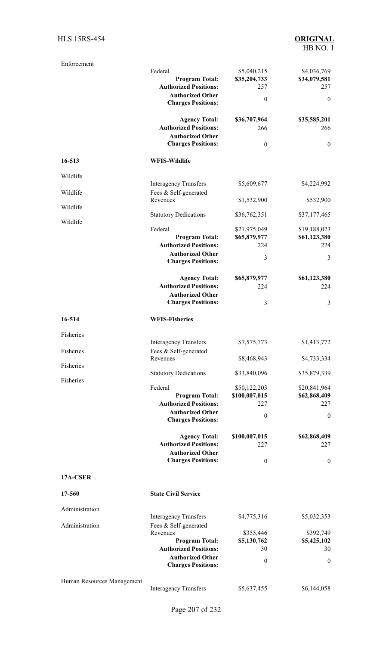| Enforcement                |                                                         |                               |                              |
|----------------------------|---------------------------------------------------------|-------------------------------|------------------------------|
|                            | Federal                                                 | \$5,040,215                   | \$4,036,769                  |
|                            | <b>Program Total:</b><br><b>Authorized Positions:</b>   | \$35,204,733<br>257           | \$34,079,581<br>257          |
|                            | <b>Authorized Other</b>                                 |                               |                              |
|                            | <b>Charges Positions:</b>                               | $\boldsymbol{0}$              | $\mathbf{0}$                 |
|                            | <b>Agency Total:</b>                                    | \$36,707,964                  | \$35,585,201                 |
|                            | <b>Authorized Positions:</b>                            | 266                           | 266                          |
|                            | <b>Authorized Other</b>                                 |                               |                              |
|                            | <b>Charges Positions:</b>                               | $\boldsymbol{0}$              | $\boldsymbol{0}$             |
| 16-513                     | <b>WFIS-Wildlife</b>                                    |                               |                              |
| Wildlife                   | <b>Interagency Transfers</b>                            | \$5,609,677                   | \$4,224,992                  |
| Wildlife                   | Fees & Self-generated                                   |                               |                              |
| Wildlife                   | Revenues                                                | \$1,532,900                   | \$532,900                    |
| Wildlife                   | <b>Statutory Dedications</b>                            | \$36,762,351                  | \$37,177,465                 |
|                            | Federal                                                 | \$21,975,049                  | \$19,188,023                 |
|                            | <b>Program Total:</b>                                   | \$65,879,977                  | \$61,123,380                 |
|                            | <b>Authorized Positions:</b><br><b>Authorized Other</b> | 224                           | 224                          |
|                            | <b>Charges Positions:</b>                               | 3                             | 3                            |
|                            | <b>Agency Total:</b>                                    | \$65,879,977                  | \$61,123,380                 |
|                            | <b>Authorized Positions:</b>                            | 224                           | 224                          |
|                            | <b>Authorized Other</b><br><b>Charges Positions:</b>    | 3                             | 3                            |
| 16-514                     | <b>WFIS-Fisheries</b>                                   |                               |                              |
| Fisheries                  |                                                         |                               |                              |
|                            | <b>Interagency Transfers</b>                            | \$7,575,773                   | \$1,413,772                  |
| Fisheries                  | Fees & Self-generated<br>Revenues                       | \$8,468,943                   | \$4,733,334                  |
| Fisheries                  | <b>Statutory Dedications</b>                            | \$33,840,096                  | \$35,879,339                 |
| Fisheries                  |                                                         |                               |                              |
|                            | Federal<br><b>Program Total:</b>                        | \$50,122,203<br>\$100,007,015 | \$20,841,964<br>\$62,868,409 |
|                            | <b>Authorized Positions:</b>                            | 227                           | 227                          |
|                            | <b>Authorized Other</b><br><b>Charges Positions:</b>    | $\boldsymbol{0}$              | $\boldsymbol{0}$             |
|                            |                                                         |                               |                              |
|                            | <b>Agency Total:</b><br><b>Authorized Positions:</b>    | \$100,007,015<br>227          | \$62,868,409<br>227          |
|                            | <b>Authorized Other</b>                                 |                               |                              |
|                            | <b>Charges Positions:</b>                               | $\boldsymbol{0}$              | $\boldsymbol{0}$             |
| 17A-CSER                   |                                                         |                               |                              |
| 17-560                     | <b>State Civil Service</b>                              |                               |                              |
| Administration             |                                                         |                               |                              |
|                            | <b>Interagency Transfers</b>                            | \$4,775,316                   | \$5,032,353                  |
| Administration             | Fees & Self-generated                                   |                               |                              |
|                            | Revenues                                                | \$355,446                     | \$392,749                    |
|                            | <b>Program Total:</b><br><b>Authorized Positions:</b>   | \$5,130,762<br>30             | \$5,425,102<br>30            |
|                            | <b>Authorized Other</b>                                 |                               |                              |
|                            | <b>Charges Positions:</b>                               | $\boldsymbol{0}$              | $\boldsymbol{0}$             |
| Human Resources Management |                                                         |                               |                              |
|                            | <b>Interagency Transfers</b>                            | \$5,637,455                   | \$6,144,058                  |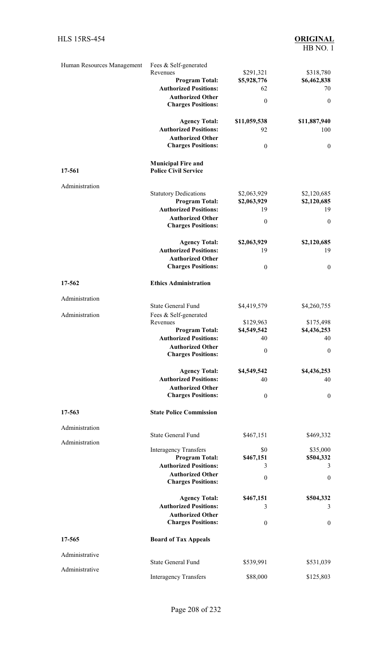| Human Resources Management | Fees & Self-generated          |                  |                  |
|----------------------------|--------------------------------|------------------|------------------|
|                            | Revenues                       | \$291,321        | \$318,780        |
|                            | <b>Program Total:</b>          | \$5,928,776      | \$6,462,838      |
|                            | <b>Authorized Positions:</b>   | 62               | 70               |
|                            | <b>Authorized Other</b>        |                  |                  |
|                            | <b>Charges Positions:</b>      | $\boldsymbol{0}$ | $\boldsymbol{0}$ |
|                            |                                |                  |                  |
|                            |                                |                  |                  |
|                            | <b>Agency Total:</b>           | \$11,059,538     | \$11,887,940     |
|                            | <b>Authorized Positions:</b>   | 92               | 100              |
|                            | <b>Authorized Other</b>        |                  |                  |
|                            | <b>Charges Positions:</b>      | $\boldsymbol{0}$ | $\mathbf{0}$     |
|                            |                                |                  |                  |
|                            | <b>Municipal Fire and</b>      |                  |                  |
| 17-561                     | <b>Police Civil Service</b>    |                  |                  |
|                            |                                |                  |                  |
| Administration             |                                |                  |                  |
|                            | <b>Statutory Dedications</b>   | \$2,063,929      | \$2,120,685      |
|                            | <b>Program Total:</b>          | \$2,063,929      | \$2,120,685      |
|                            | <b>Authorized Positions:</b>   | 19               | 19               |
|                            | <b>Authorized Other</b>        |                  |                  |
|                            |                                | $\theta$         | $\mathbf{0}$     |
|                            | <b>Charges Positions:</b>      |                  |                  |
|                            |                                |                  |                  |
|                            | <b>Agency Total:</b>           | \$2,063,929      | \$2,120,685      |
|                            | <b>Authorized Positions:</b>   | 19               | 19               |
|                            | <b>Authorized Other</b>        |                  |                  |
|                            | <b>Charges Positions:</b>      | $\boldsymbol{0}$ | $\boldsymbol{0}$ |
|                            |                                |                  |                  |
|                            |                                |                  |                  |
| 17-562                     | <b>Ethics Administration</b>   |                  |                  |
|                            |                                |                  |                  |
| Administration             |                                |                  |                  |
|                            | <b>State General Fund</b>      | \$4,419,579      | \$4,260,755      |
| Administration             | Fees & Self-generated          |                  |                  |
|                            | Revenues                       | \$129,963        | \$175,498        |
|                            | <b>Program Total:</b>          | \$4,549,542      | \$4,436,253      |
|                            | <b>Authorized Positions:</b>   | 40               | 40               |
|                            | <b>Authorized Other</b>        |                  |                  |
|                            | <b>Charges Positions:</b>      | $\boldsymbol{0}$ | $\boldsymbol{0}$ |
|                            |                                |                  |                  |
|                            |                                |                  |                  |
|                            | <b>Agency Total:</b>           | \$4,549,542      | \$4,436,253      |
|                            | <b>Authorized Positions:</b>   | 40               | 40               |
|                            | <b>Authorized Other</b>        |                  |                  |
|                            | <b>Charges Positions:</b>      | $\boldsymbol{0}$ | $\mathbf{0}$     |
|                            |                                |                  |                  |
| 17-563                     | <b>State Police Commission</b> |                  |                  |
|                            |                                |                  |                  |
|                            |                                |                  |                  |
| Administration             |                                |                  |                  |
|                            | <b>State General Fund</b>      | \$467,151        | \$469,332        |
| Administration             |                                |                  |                  |
|                            | <b>Interagency Transfers</b>   | \$0              | \$35,000         |
|                            | <b>Program Total:</b>          | \$467,151        | \$504,332        |
|                            | <b>Authorized Positions:</b>   | 3                | 3                |
|                            | <b>Authorized Other</b>        |                  | $\mathbf{0}$     |
|                            | <b>Charges Positions:</b>      | $\boldsymbol{0}$ |                  |
|                            |                                |                  |                  |
|                            | <b>Agency Total:</b>           | \$467,151        | \$504,332        |
|                            | <b>Authorized Positions:</b>   |                  |                  |
|                            |                                | 3                | 3                |
|                            | <b>Authorized Other</b>        |                  |                  |
|                            | <b>Charges Positions:</b>      | $\boldsymbol{0}$ | $\mathbf{0}$     |
|                            |                                |                  |                  |
| 17-565                     | <b>Board of Tax Appeals</b>    |                  |                  |
|                            |                                |                  |                  |
| Administrative             |                                |                  |                  |
|                            | <b>State General Fund</b>      | \$539,991        | \$531,039        |
| Administrative             |                                |                  |                  |
|                            | <b>Interagency Transfers</b>   | \$88,000         | \$125,803        |
|                            |                                |                  |                  |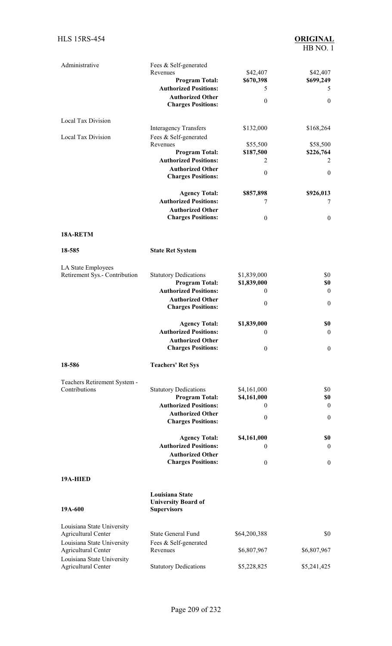| Administrative                | Fees & Self-generated        |                  |                  |
|-------------------------------|------------------------------|------------------|------------------|
|                               | Revenues                     | \$42,407         | \$42,407         |
|                               | <b>Program Total:</b>        | \$670,398        | \$699,249        |
|                               | <b>Authorized Positions:</b> | 5                | 5                |
|                               | <b>Authorized Other</b>      | $\boldsymbol{0}$ | $\boldsymbol{0}$ |
|                               | <b>Charges Positions:</b>    |                  |                  |
| Local Tax Division            |                              |                  |                  |
|                               | <b>Interagency Transfers</b> | \$132,000        | \$168,264        |
| Local Tax Division            | Fees & Self-generated        |                  |                  |
|                               | Revenues                     | \$55,500         | \$58,500         |
|                               | <b>Program Total:</b>        | \$187,500        | \$226,764        |
|                               | <b>Authorized Positions:</b> | 2                | 2                |
|                               | <b>Authorized Other</b>      | $\boldsymbol{0}$ | $\boldsymbol{0}$ |
|                               | <b>Charges Positions:</b>    |                  |                  |
|                               | <b>Agency Total:</b>         | \$857,898        | \$926,013        |
|                               | <b>Authorized Positions:</b> | 7                | 7                |
|                               | <b>Authorized Other</b>      |                  |                  |
|                               | <b>Charges Positions:</b>    | $\mathbf{0}$     | $\boldsymbol{0}$ |
|                               |                              |                  |                  |
| 18A-RETM                      |                              |                  |                  |
| 18-585                        | <b>State Ret System</b>      |                  |                  |
| LA State Employees            |                              |                  |                  |
| Retirement Sys.- Contribution | <b>Statutory Dedications</b> | \$1,839,000      | \$0              |
|                               | <b>Program Total:</b>        | \$1,839,000      | \$0              |
|                               | <b>Authorized Positions:</b> | 0                | $\boldsymbol{0}$ |
|                               | <b>Authorized Other</b>      |                  |                  |
|                               | <b>Charges Positions:</b>    | $\boldsymbol{0}$ | $\boldsymbol{0}$ |
|                               | <b>Agency Total:</b>         | \$1,839,000      | \$0              |
|                               | <b>Authorized Positions:</b> | 0                | $\boldsymbol{0}$ |
|                               | <b>Authorized Other</b>      |                  |                  |
|                               | <b>Charges Positions:</b>    | $\boldsymbol{0}$ | $\boldsymbol{0}$ |
| 18-586                        | <b>Teachers' Ret Sys</b>     |                  |                  |
| Teachers Retirement System -  |                              |                  |                  |
| Contributions                 | <b>Statutory Dedications</b> | \$4,161,000      | \$0              |
|                               | <b>Program Total:</b>        | \$4,161,000      | \$0              |
|                               | <b>Authorized Positions:</b> | 0                | $\boldsymbol{0}$ |
|                               | <b>Authorized Other</b>      | $\boldsymbol{0}$ | $\boldsymbol{0}$ |
|                               | <b>Charges Positions:</b>    |                  |                  |
|                               | <b>Agency Total:</b>         | \$4,161,000      | \$0              |
|                               | <b>Authorized Positions:</b> | 0                | $\boldsymbol{0}$ |
|                               | <b>Authorized Other</b>      |                  |                  |
|                               | <b>Charges Positions:</b>    | $\boldsymbol{0}$ | $\boldsymbol{0}$ |
| 19A-HIED                      |                              |                  |                  |
|                               | Louisiana State              |                  |                  |
|                               | <b>University Board of</b>   |                  |                  |
| 19A-600                       | <b>Supervisors</b>           |                  |                  |
| Louisiana State University    |                              |                  |                  |
| <b>Agricultural Center</b>    | <b>State General Fund</b>    | \$64,200,388     | \$0              |
| Louisiana State University    | Fees & Self-generated        |                  |                  |
| <b>Agricultural Center</b>    | Revenues                     | \$6,807,967      | \$6,807,967      |
| Louisiana State University    |                              |                  |                  |
| <b>Agricultural Center</b>    | <b>Statutory Dedications</b> | \$5,228,825      | \$5,241,425      |
|                               |                              |                  |                  |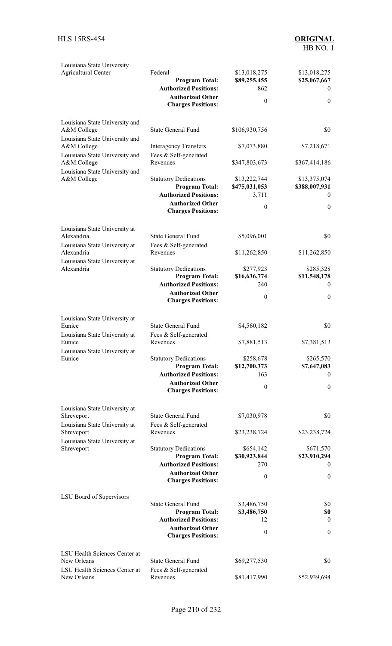| Louisiana State University<br><b>Agricultural Center</b>  | Federal<br><b>Program Total:</b><br><b>Authorized Positions:</b><br><b>Authorized Other</b><br><b>Charges Positions:</b> | \$13,018,275<br>\$89,255,455<br>862<br>$\boldsymbol{0}$ | \$13,018,275<br>\$25,067,667<br>$\theta$<br>$\mathbf{0}$ |
|-----------------------------------------------------------|--------------------------------------------------------------------------------------------------------------------------|---------------------------------------------------------|----------------------------------------------------------|
| Louisiana State University and<br>A&M College             | <b>State General Fund</b>                                                                                                | \$106,930,756                                           | \$0                                                      |
| Louisiana State University and<br>A&M College             | <b>Interagency Transfers</b>                                                                                             | \$7,073,880                                             | \$7,218,671                                              |
| Louisiana State University and<br>A&M College             | Fees & Self-generated<br>Revenues                                                                                        | \$347,803,673                                           | \$367,414,186                                            |
| Louisiana State University and<br>A&M College             | <b>Statutory Dedications</b><br><b>Program Total:</b>                                                                    | \$13,222,744<br>\$475,031,053                           | \$13,375,074<br>\$388,007,931                            |
|                                                           | <b>Authorized Positions:</b><br><b>Authorized Other</b><br><b>Charges Positions:</b>                                     | 3,711<br>$\theta$                                       | $\bf{0}$<br>$\mathbf{0}$                                 |
| Louisiana State University at                             |                                                                                                                          |                                                         |                                                          |
| Alexandria<br>Louisiana State University at               | <b>State General Fund</b><br>Fees & Self-generated                                                                       | \$5,096,001                                             | \$0                                                      |
| Alexandria<br>Louisiana State University at               | Revenues                                                                                                                 | \$11,262,850                                            | \$11,262,850                                             |
| Alexandria                                                | <b>Statutory Dedications</b><br><b>Program Total:</b>                                                                    | \$277,923<br>\$16,636,774                               | \$285,328<br>\$11,548,178                                |
|                                                           | <b>Authorized Positions:</b><br><b>Authorized Other</b><br><b>Charges Positions:</b>                                     | 240<br>$\theta$                                         | $\overline{0}$<br>$\boldsymbol{0}$                       |
| Louisiana State University at                             |                                                                                                                          |                                                         |                                                          |
| Eunice<br>Louisiana State University at                   | <b>State General Fund</b><br>Fees & Self-generated                                                                       | \$4,560,182                                             | \$0                                                      |
| Eunice<br>Louisiana State University at                   | Revenues                                                                                                                 | \$7,881,513                                             | \$7,381,513                                              |
| Eunice                                                    | <b>Statutory Dedications</b><br><b>Program Total:</b><br><b>Authorized Positions:</b>                                    | \$258,678<br>\$12,700,373<br>163                        | \$265,570<br>\$7,647,083<br>$\theta$                     |
|                                                           | <b>Authorized Other</b><br><b>Charges Positions:</b>                                                                     | $\theta$                                                | $\mathbf{0}$                                             |
| Louisiana State University at                             | <b>State General Fund</b>                                                                                                | \$7,030,978                                             | \$0                                                      |
| Shreveport<br>Louisiana State University at<br>Shreveport | Fees & Self-generated<br>Revenues                                                                                        | \$23,238,724                                            | \$23,238,724                                             |
| Louisiana State University at                             |                                                                                                                          |                                                         |                                                          |
| Shreveport                                                | <b>Statutory Dedications</b><br><b>Program Total:</b><br><b>Authorized Positions:</b>                                    | \$654,142<br>\$30,923,844                               | \$671,570<br>\$23,910,294                                |
|                                                           | <b>Authorized Other</b><br><b>Charges Positions:</b>                                                                     | 270<br>$\theta$                                         | $\bf{0}$<br>$\mathbf{0}$                                 |
| LSU Board of Supervisors                                  |                                                                                                                          |                                                         |                                                          |
|                                                           | <b>State General Fund</b><br><b>Program Total:</b>                                                                       | \$3,486,750<br>\$3,486,750                              | \$0<br>\$0                                               |
|                                                           | <b>Authorized Positions:</b>                                                                                             | 12                                                      | $\theta$                                                 |
|                                                           | <b>Authorized Other</b><br><b>Charges Positions:</b>                                                                     | $\theta$                                                | $\boldsymbol{0}$                                         |
| LSU Health Sciences Center at<br>New Orleans              | <b>State General Fund</b>                                                                                                |                                                         | \$0                                                      |
| LSU Health Sciences Center at                             | Fees & Self-generated                                                                                                    | \$69,277,530                                            |                                                          |
| New Orleans                                               | Revenues                                                                                                                 | \$81,417,990                                            | \$52,939,694                                             |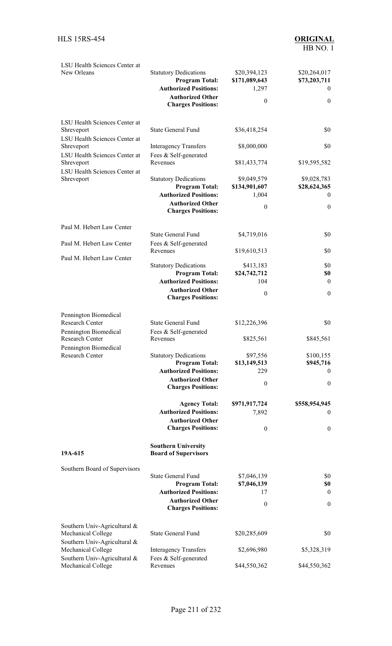| LSU Health Sciences Center at<br>New Orleans                                 | <b>Statutory Dedications</b><br><b>Program Total:</b><br><b>Authorized Positions:</b><br><b>Authorized Other</b><br><b>Charges Positions:</b> | \$20,394,123<br>\$171,089,643<br>1,297<br>$\mathbf{0}$ | \$20,264,017<br>\$73,203,711<br>$\bf{0}$<br>$\mathbf{0}$ |
|------------------------------------------------------------------------------|-----------------------------------------------------------------------------------------------------------------------------------------------|--------------------------------------------------------|----------------------------------------------------------|
| LSU Health Sciences Center at<br>Shreveport                                  | <b>State General Fund</b>                                                                                                                     | \$36,418,254                                           | \$0                                                      |
| LSU Health Sciences Center at<br>Shreveport<br>LSU Health Sciences Center at | <b>Interagency Transfers</b><br>Fees & Self-generated                                                                                         | \$8,000,000                                            | \$0                                                      |
| Shreveport<br>LSU Health Sciences Center at                                  | Revenues                                                                                                                                      | \$81,433,774                                           | \$19,595,582                                             |
| Shreveport                                                                   | <b>Statutory Dedications</b><br><b>Program Total:</b><br><b>Authorized Positions:</b>                                                         | \$9,049,579<br>\$134,901,607<br>1,004                  | \$9,028,783<br>\$28,624,365<br>$\theta$                  |
|                                                                              | <b>Authorized Other</b><br><b>Charges Positions:</b>                                                                                          | $\boldsymbol{0}$                                       | $\boldsymbol{0}$                                         |
| Paul M. Hebert Law Center                                                    |                                                                                                                                               |                                                        |                                                          |
| Paul M. Hebert Law Center                                                    | State General Fund<br>Fees & Self-generated                                                                                                   | \$4,719,016                                            | \$0                                                      |
| Paul M. Hebert Law Center                                                    | Revenues                                                                                                                                      | \$19,610,513                                           | \$0                                                      |
|                                                                              | <b>Statutory Dedications</b>                                                                                                                  | \$413,183                                              | \$0                                                      |
|                                                                              | <b>Program Total:</b><br><b>Authorized Positions:</b>                                                                                         | \$24,742,712<br>104                                    | \$0<br>$\boldsymbol{0}$                                  |
|                                                                              | <b>Authorized Other</b><br><b>Charges Positions:</b>                                                                                          | $\mathbf{0}$                                           | $\boldsymbol{0}$                                         |
| Pennington Biomedical                                                        |                                                                                                                                               |                                                        |                                                          |
| <b>Research Center</b><br>Pennington Biomedical                              | <b>State General Fund</b><br>Fees & Self-generated                                                                                            | \$12,226,396                                           | \$0                                                      |
| Research Center<br>Pennington Biomedical                                     | Revenues                                                                                                                                      | \$825,561                                              | \$845,561                                                |
| <b>Research Center</b>                                                       | <b>Statutory Dedications</b>                                                                                                                  | \$97,556                                               | \$100,155                                                |
|                                                                              | <b>Program Total:</b><br><b>Authorized Positions:</b>                                                                                         | \$13,149,513<br>229                                    | \$945,716<br>$\theta$                                    |
|                                                                              | <b>Authorized Other</b><br><b>Charges Positions:</b>                                                                                          | $\mathbf{0}$                                           | $\boldsymbol{0}$                                         |
|                                                                              | <b>Agency Total:</b>                                                                                                                          | \$971,917,724                                          | \$558,954,945                                            |
|                                                                              | <b>Authorized Positions:</b>                                                                                                                  | 7,892                                                  | $\bf{0}$                                                 |
|                                                                              | <b>Authorized Other</b><br><b>Charges Positions:</b>                                                                                          | $\theta$                                               | $\overline{0}$                                           |
| 19A-615                                                                      | <b>Southern University</b><br><b>Board of Supervisors</b>                                                                                     |                                                        |                                                          |
| Southern Board of Supervisors                                                |                                                                                                                                               |                                                        |                                                          |
|                                                                              | <b>State General Fund</b>                                                                                                                     | \$7,046,139                                            | \$0                                                      |
|                                                                              | <b>Program Total:</b><br><b>Authorized Positions:</b>                                                                                         | \$7,046,139<br>17                                      | \$0<br>$\bf{0}$                                          |
|                                                                              | <b>Authorized Other</b><br><b>Charges Positions:</b>                                                                                          | $\mathbf{0}$                                           | $\boldsymbol{0}$                                         |
| Southern Univ-Agricultural &<br>Mechanical College                           | <b>State General Fund</b>                                                                                                                     | \$20,285,609                                           | \$0                                                      |
| Southern Univ-Agricultural &<br>Mechanical College                           | <b>Interagency Transfers</b>                                                                                                                  | \$2,696,980                                            | \$5,328,319                                              |
| Southern Univ-Agricultural &<br>Mechanical College                           | Fees & Self-generated<br>Revenues                                                                                                             | \$44,550,362                                           | \$44,550,362                                             |
|                                                                              |                                                                                                                                               |                                                        |                                                          |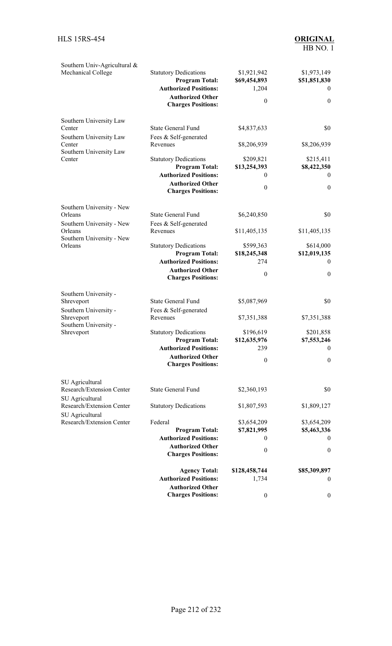| Southern Univ-Agricultural &<br>Mechanical College                                                                | <b>Statutory Dedications</b><br><b>Program Total:</b><br><b>Authorized Positions:</b><br><b>Authorized Other</b><br><b>Charges Positions:</b>           | \$1,921,942<br>\$69,454,893<br>1,204<br>$\theta$               | \$1,973,149<br>\$51,851,830<br>$\theta$<br>$\mathbf{0}$    |
|-------------------------------------------------------------------------------------------------------------------|---------------------------------------------------------------------------------------------------------------------------------------------------------|----------------------------------------------------------------|------------------------------------------------------------|
| Southern University Law<br>Center<br>Southern University Law<br>Center<br>Southern University Law<br>Center       | <b>State General Fund</b><br>Fees & Self-generated<br>Revenues<br><b>Statutory Dedications</b>                                                          | \$4,837,633<br>\$8,206,939<br>\$209,821                        | \$0<br>\$8,206,939<br>\$215,411                            |
|                                                                                                                   | <b>Program Total:</b><br><b>Authorized Positions:</b><br><b>Authorized Other</b><br><b>Charges Positions:</b>                                           | \$13,254,393<br>0<br>$\theta$                                  | \$8,422,350<br>$\overline{0}$<br>$\mathbf{0}$              |
| Southern University - New<br>Orleans<br>Southern University - New                                                 | <b>State General Fund</b><br>Fees & Self-generated                                                                                                      | \$6,240,850                                                    | \$0                                                        |
| Orleans<br>Southern University - New<br>Orleans                                                                   | Revenues<br><b>Statutory Dedications</b>                                                                                                                | \$11,405,135<br>\$599,363                                      | \$11,405,135<br>\$614,000                                  |
|                                                                                                                   | <b>Program Total:</b><br><b>Authorized Positions:</b><br><b>Authorized Other</b><br><b>Charges Positions:</b>                                           | \$18,245,348<br>274<br>$\theta$                                | \$12,019,135<br>$\theta$<br>$\boldsymbol{0}$               |
| Southern University -<br>Shreveport<br>Southern University -<br>Shreveport<br>Southern University -<br>Shreveport | <b>State General Fund</b><br>Fees & Self-generated<br>Revenues<br><b>Statutory Dedications</b><br><b>Program Total:</b><br><b>Authorized Positions:</b> | \$5,087,969<br>\$7,351,388<br>\$196,619<br>\$12,635,976<br>239 | \$0<br>\$7,351,388<br>\$201,858<br>\$7,553,246<br>$\bf{0}$ |
|                                                                                                                   | <b>Authorized Other</b><br><b>Charges Positions:</b>                                                                                                    | $\boldsymbol{0}$                                               | $\mathbf{0}$                                               |
| SU Agricultural<br>Research/Extension Center<br>SU Agricultural                                                   | <b>State General Fund</b>                                                                                                                               | \$2,360,193                                                    | \$0                                                        |
| Research/Extension Center<br>SU Agricultural                                                                      | <b>Statutory Dedications</b>                                                                                                                            | \$1,807,593                                                    | \$1,809,127                                                |
| Research/Extension Center                                                                                         | Federal<br><b>Program Total:</b><br><b>Authorized Positions:</b><br><b>Authorized Other</b><br><b>Charges Positions:</b>                                | \$3,654,209<br>\$7,821,995<br>0<br>$\boldsymbol{0}$            | \$3,654,209<br>\$5,463,336<br>$\bf{0}$<br>$\boldsymbol{0}$ |
|                                                                                                                   | <b>Agency Total:</b><br><b>Authorized Positions:</b><br><b>Authorized Other</b><br><b>Charges Positions:</b>                                            | \$128,458,744<br>1,734<br>$\boldsymbol{0}$                     | \$85,309,897<br>$\mathbf{0}$<br>$\boldsymbol{0}$           |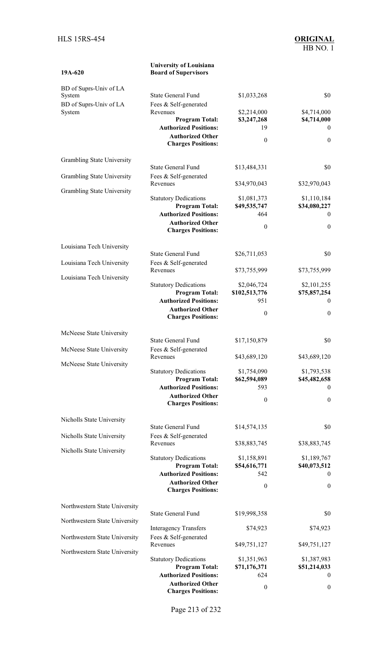| 19A-620                           | <b>University of Louisiana</b><br><b>Board of Supervisors</b>                         |                                    |                                         |
|-----------------------------------|---------------------------------------------------------------------------------------|------------------------------------|-----------------------------------------|
| BD of Suprs-Univ of LA<br>System  | <b>State General Fund</b>                                                             | \$1,033,268                        | \$0                                     |
| BD of Suprs-Univ of LA<br>System  | Fees & Self-generated<br>Revenues<br><b>Program Total:</b>                            | \$2,214,000<br>\$3,247,268         | \$4,714,000<br>\$4,714,000              |
|                                   | <b>Authorized Positions:</b><br><b>Authorized Other</b><br><b>Charges Positions:</b>  | 19<br>$\mathbf{0}$                 | $\mathbf{0}$<br>$\boldsymbol{0}$        |
| Grambling State University        |                                                                                       |                                    |                                         |
| Grambling State University        | <b>State General Fund</b><br>Fees & Self-generated<br>Revenues                        | \$13,484,331<br>\$34,970,043       | \$0<br>\$32,970,043                     |
| <b>Grambling State University</b> | <b>Statutory Dedications</b>                                                          | \$1,081,373                        | \$1,110,184                             |
|                                   | <b>Program Total:</b><br><b>Authorized Positions:</b>                                 | \$49,535,747<br>464                | \$34,080,227<br>$\theta$                |
|                                   | <b>Authorized Other</b><br><b>Charges Positions:</b>                                  | $\mathbf{0}$                       | $\boldsymbol{0}$                        |
| Louisiana Tech University         | <b>State General Fund</b>                                                             | \$26,711,053                       | \$0                                     |
| Louisiana Tech University         | Fees & Self-generated<br>Revenues                                                     | \$73,755,999                       | \$73,755,999                            |
| Louisiana Tech University         | <b>Statutory Dedications</b>                                                          | \$2,046,724                        | \$2,101,255                             |
|                                   | <b>Program Total:</b><br><b>Authorized Positions:</b>                                 | \$102,513,776<br>951               | \$75,857,254<br>$\theta$                |
|                                   | <b>Authorized Other</b><br><b>Charges Positions:</b>                                  | $\boldsymbol{0}$                   | $\boldsymbol{0}$                        |
| McNeese State University          | <b>State General Fund</b>                                                             | \$17,150,879                       | \$0                                     |
| McNeese State University          | Fees & Self-generated<br>Revenues                                                     | \$43,689,120                       | \$43,689,120                            |
| McNeese State University          | <b>Statutory Dedications</b>                                                          | \$1,754,090                        | \$1,793,538                             |
|                                   | <b>Program Total:</b><br><b>Authorized Positions:</b>                                 | \$62,594,089<br>593                | \$45,482,658<br>$\mathbf{0}$            |
|                                   | <b>Authorized Other</b><br><b>Charges Positions:</b>                                  | $\mathbf{0}$                       | $\boldsymbol{0}$                        |
| Nicholls State University         |                                                                                       |                                    |                                         |
| Nicholls State University         | <b>State General Fund</b><br>Fees & Self-generated                                    | \$14,574,135                       | \$0                                     |
| Nicholls State University         | Revenues                                                                              | \$38,883,745                       | \$38,883,745                            |
|                                   | <b>Statutory Dedications</b><br><b>Program Total:</b><br><b>Authorized Positions:</b> | \$1,158,891<br>\$54,616,771<br>542 | \$1,189,767<br>\$40,073,512<br>$\theta$ |
|                                   | <b>Authorized Other</b><br><b>Charges Positions:</b>                                  | $\mathbf{0}$                       | $\boldsymbol{0}$                        |
| Northwestern State University     |                                                                                       |                                    |                                         |
| Northwestern State University     | <b>State General Fund</b>                                                             | \$19,998,358                       | \$0                                     |
| Northwestern State University     | <b>Interagency Transfers</b><br>Fees & Self-generated                                 | \$74,923                           | \$74,923                                |
| Northwestern State University     | Revenues                                                                              | \$49,751,127                       | \$49,751,127                            |
|                                   | <b>Statutory Dedications</b><br><b>Program Total:</b><br><b>Authorized Positions:</b> | \$1,351,963<br>\$71,176,371<br>624 | \$1,387,983<br>\$51,214,033<br>$\theta$ |
|                                   | <b>Authorized Other</b><br><b>Charges Positions:</b>                                  | $\boldsymbol{0}$                   | $\boldsymbol{0}$                        |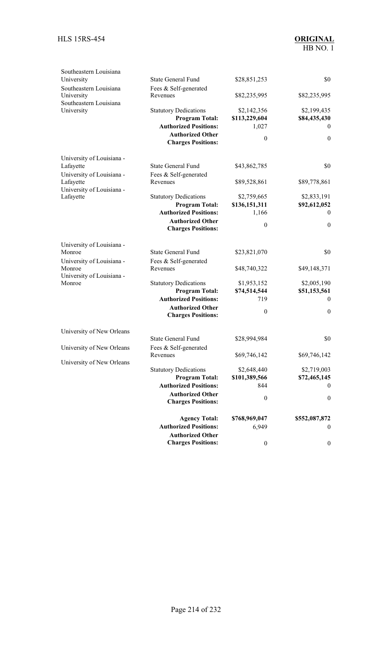| Southeastern Louisiana<br>University<br>Southeastern Louisiana      | <b>State General Fund</b>                                                             | \$28,851,253                          | \$0                              |
|---------------------------------------------------------------------|---------------------------------------------------------------------------------------|---------------------------------------|----------------------------------|
| University<br>Southeastern Louisiana                                | Fees & Self-generated<br>Revenues                                                     | \$82,235,995                          | \$82,235,995                     |
| University                                                          | <b>Statutory Dedications</b><br><b>Program Total:</b><br><b>Authorized Positions:</b> | \$2,142,356<br>\$113,229,604<br>1,027 | \$2,199,435<br>\$84,435,430<br>0 |
|                                                                     | <b>Authorized Other</b><br><b>Charges Positions:</b>                                  | $\mathbf{0}$                          | $\mathbf{0}$                     |
| University of Louisiana -                                           |                                                                                       |                                       |                                  |
| Lafayette                                                           | <b>State General Fund</b>                                                             | \$43,862,785                          | \$0                              |
| University of Louisiana -<br>Lafayette<br>University of Louisiana - | Fees & Self-generated<br>Revenues                                                     | \$89,528,861                          | \$89,778,861                     |
| Lafayette                                                           | <b>Statutory Dedications</b><br><b>Program Total:</b>                                 | \$2,759,665<br>\$136,151,311          | \$2,833,191<br>\$92,612,052      |
|                                                                     | <b>Authorized Positions:</b>                                                          | 1,166                                 | $\mathbf{0}$                     |
|                                                                     | <b>Authorized Other</b><br><b>Charges Positions:</b>                                  | $\mathbf{0}$                          | $\boldsymbol{0}$                 |
| University of Louisiana -                                           |                                                                                       |                                       |                                  |
| Monroe                                                              | <b>State General Fund</b>                                                             | \$23,821,070                          | \$0                              |
| University of Louisiana -<br>Monroe<br>University of Louisiana -    | Fees & Self-generated<br>Revenues                                                     | \$48,740,322                          | \$49,148,371                     |
| Monroe                                                              | <b>Statutory Dedications</b>                                                          | \$1,953,152                           | \$2,005,190                      |
|                                                                     | <b>Program Total:</b>                                                                 | \$74,514,544                          | \$51,153,561                     |
|                                                                     | <b>Authorized Positions:</b>                                                          | 719                                   | $\theta$                         |
|                                                                     | <b>Authorized Other</b><br><b>Charges Positions:</b>                                  | $\mathbf{0}$                          | $\boldsymbol{0}$                 |
| University of New Orleans                                           |                                                                                       |                                       |                                  |
|                                                                     | <b>State General Fund</b>                                                             | \$28,994,984                          | \$0                              |
| University of New Orleans                                           | Fees & Self-generated                                                                 |                                       |                                  |
| University of New Orleans                                           | Revenues                                                                              | \$69,746,142                          | \$69,746,142                     |
|                                                                     | <b>Statutory Dedications</b>                                                          | \$2,648,440                           | \$2,719,003                      |
|                                                                     | <b>Program Total:</b>                                                                 | \$101,389,566                         | \$72,465,145                     |
|                                                                     | <b>Authorized Positions:</b>                                                          | 844                                   | $\boldsymbol{0}$                 |
|                                                                     | <b>Authorized Other</b><br><b>Charges Positions:</b>                                  | $\boldsymbol{0}$                      | $\boldsymbol{0}$                 |
|                                                                     | <b>Agency Total:</b>                                                                  | \$768,969,047                         | \$552,087,872                    |
|                                                                     | <b>Authorized Positions:</b><br><b>Authorized Other</b>                               | 6,949                                 | 0                                |
|                                                                     | <b>Charges Positions:</b>                                                             | $\boldsymbol{0}$                      | 0                                |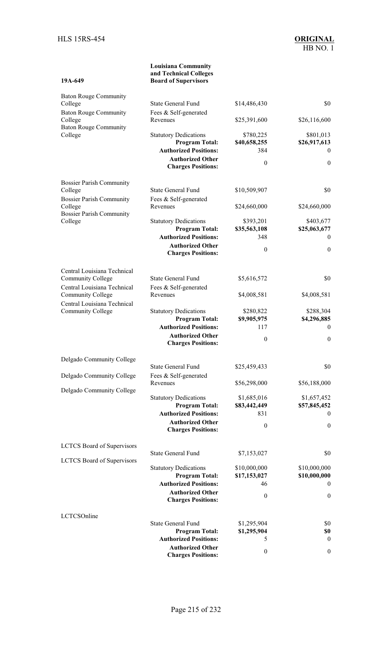**19A-649** 

#### **Louisiana Community and Technical Colleges Board of Supervisors**

| <b>Baton Rouge Community</b><br>College                 | <b>State General Fund</b>                               | \$14,486,430     | \$0              |
|---------------------------------------------------------|---------------------------------------------------------|------------------|------------------|
| <b>Baton Rouge Community</b>                            | Fees & Self-generated                                   |                  |                  |
| College                                                 | Revenues                                                | \$25,391,600     | \$26,116,600     |
| <b>Baton Rouge Community</b><br>College                 | <b>Statutory Dedications</b>                            | \$780,225        | \$801,013        |
|                                                         | <b>Program Total:</b>                                   | \$40,658,255     | \$26,917,613     |
|                                                         | <b>Authorized Positions:</b>                            | 384              | $\bf{0}$         |
|                                                         | <b>Authorized Other</b><br><b>Charges Positions:</b>    | $\boldsymbol{0}$ | $\boldsymbol{0}$ |
| <b>Bossier Parish Community</b>                         |                                                         |                  |                  |
| College                                                 | <b>State General Fund</b>                               | \$10,509,907     | \$0              |
| <b>Bossier Parish Community</b>                         | Fees & Self-generated                                   |                  |                  |
| College<br><b>Bossier Parish Community</b>              | Revenues                                                | \$24,660,000     | \$24,660,000     |
| College                                                 | <b>Statutory Dedications</b>                            | \$393,201        | \$403,677        |
|                                                         | <b>Program Total:</b>                                   | \$35,563,108     | \$25,063,677     |
|                                                         | <b>Authorized Positions:</b>                            | 348              | $\theta$         |
|                                                         | <b>Authorized Other</b><br><b>Charges Positions:</b>    | $\boldsymbol{0}$ | $\mathbf{0}$     |
| Central Louisiana Technical                             |                                                         |                  |                  |
| Community College                                       | <b>State General Fund</b>                               | \$5,616,572      | \$0              |
| Central Louisiana Technical                             | Fees & Self-generated                                   |                  |                  |
| <b>Community College</b><br>Central Louisiana Technical | Revenues                                                | \$4,008,581      | \$4,008,581      |
| Community College                                       | <b>Statutory Dedications</b>                            | \$280,822        | \$288,304        |
|                                                         | <b>Program Total:</b>                                   | \$9,905,975      | \$4,296,885      |
|                                                         | <b>Authorized Positions:</b>                            | 117              | $\mathbf{0}$     |
|                                                         | <b>Authorized Other</b>                                 | $\boldsymbol{0}$ | $\boldsymbol{0}$ |
|                                                         | <b>Charges Positions:</b>                               |                  |                  |
| Delgado Community College                               | <b>State General Fund</b>                               |                  | \$0              |
|                                                         | Fees & Self-generated                                   | \$25,459,433     |                  |
| Delgado Community College                               | Revenues                                                | \$56,298,000     | \$56,188,000     |
| Delgado Community College                               |                                                         |                  |                  |
|                                                         | <b>Statutory Dedications</b>                            | \$1,685,016      | \$1,657,452      |
|                                                         | <b>Program Total:</b>                                   | \$83,442,449     | \$57,845,452     |
|                                                         | <b>Authorized Positions:</b><br><b>Authorized Other</b> | 831              | $\boldsymbol{0}$ |
|                                                         | <b>Charges Positions:</b>                               | $\theta$         | $\boldsymbol{0}$ |
| <b>LCTCS</b> Board of Supervisors                       |                                                         |                  |                  |
| <b>LCTCS</b> Board of Supervisors                       | <b>State General Fund</b>                               | \$7,153,027      | \$0              |
|                                                         | <b>Statutory Dedications</b>                            | \$10,000,000     | \$10,000,000     |
|                                                         | <b>Program Total:</b>                                   | \$17,153,027     | \$10,000,000     |
|                                                         | <b>Authorized Positions:</b>                            | 46               | $\overline{0}$   |
|                                                         | <b>Authorized Other</b><br><b>Charges Positions:</b>    | $\mathbf{0}$     | $\boldsymbol{0}$ |
| LCTCSOnline                                             |                                                         |                  |                  |
|                                                         | <b>State General Fund</b>                               | \$1,295,904      | \$0              |
|                                                         | <b>Program Total:</b>                                   | \$1,295,904      | \$0              |
|                                                         | <b>Authorized Positions:</b>                            | 5                | $\mathbf{0}$     |
|                                                         | <b>Authorized Other</b><br><b>Charges Positions:</b>    | $\boldsymbol{0}$ | $\boldsymbol{0}$ |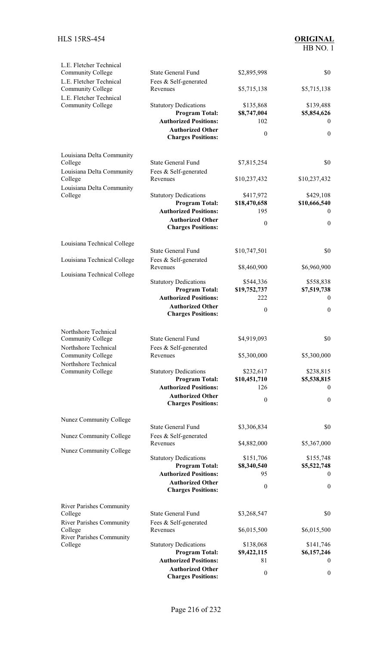| L.E. Fletcher Technical<br>Community College<br>L.E. Fletcher Technical | <b>State General Fund</b><br>Fees & Self-generated      | \$2,895,998               | \$0                           |
|-------------------------------------------------------------------------|---------------------------------------------------------|---------------------------|-------------------------------|
| Community College<br>L.E. Fletcher Technical                            | Revenues                                                | \$5,715,138               | \$5,715,138                   |
| Community College                                                       | <b>Statutory Dedications</b><br><b>Program Total:</b>   | \$135,868<br>\$8,747,004  | \$139,488<br>\$5,854,626      |
|                                                                         | <b>Authorized Positions:</b><br><b>Authorized Other</b> | 102                       | $\theta$                      |
|                                                                         | <b>Charges Positions:</b>                               | $\mathbf{0}$              | $\mathbf{0}$                  |
| Louisiana Delta Community<br>College                                    | <b>State General Fund</b>                               | \$7,815,254               | \$0                           |
| Louisiana Delta Community                                               | Fees & Self-generated                                   |                           |                               |
| College<br>Louisiana Delta Community                                    | Revenues                                                | \$10,237,432              | \$10,237,432                  |
| College                                                                 | <b>Statutory Dedications</b><br><b>Program Total:</b>   | \$417,972<br>\$18,470,658 | \$429,108<br>\$10,666,540     |
|                                                                         | <b>Authorized Positions:</b>                            | 195                       | $\overline{0}$                |
|                                                                         | <b>Authorized Other</b><br><b>Charges Positions:</b>    | $\mathbf{0}$              | $\mathbf{0}$                  |
| Louisiana Technical College                                             |                                                         |                           | \$0                           |
| Louisiana Technical College                                             | <b>State General Fund</b><br>Fees & Self-generated      | \$10,747,501              |                               |
| Louisiana Technical College                                             | Revenues                                                | \$8,460,900               | \$6,960,900                   |
|                                                                         | <b>Statutory Dedications</b>                            | \$544,336                 | \$558,838                     |
|                                                                         | <b>Program Total:</b><br><b>Authorized Positions:</b>   | \$19,752,737<br>222       | \$7,519,738<br>$\overline{0}$ |
|                                                                         | <b>Authorized Other</b><br><b>Charges Positions:</b>    | $\mathbf{0}$              | $\boldsymbol{0}$              |
| Northshore Technical<br>Community College                               | <b>State General Fund</b>                               | \$4,919,093               | \$0                           |
| Northshore Technical                                                    | Fees & Self-generated                                   |                           |                               |
| Community College<br>Northshore Technical                               | Revenues                                                | \$5,300,000               | \$5,300,000                   |
| Community College                                                       | <b>Statutory Dedications</b>                            | \$232,617                 | \$238,815                     |
|                                                                         | <b>Program Total:</b><br><b>Authorized Positions:</b>   | \$10,451,710<br>126       | \$5,538,815<br>$\theta$       |
|                                                                         | <b>Authorized Other</b><br><b>Charges Positions:</b>    | $\boldsymbol{0}$          | $\mathbf{0}$                  |
| Nunez Community College                                                 |                                                         |                           |                               |
| Nunez Community College                                                 | <b>State General Fund</b><br>Fees & Self-generated      | \$3,306,834               | \$0                           |
| Nunez Community College                                                 | Revenues                                                | \$4,882,000               | \$5,367,000                   |
|                                                                         | <b>Statutory Dedications</b><br><b>Program Total:</b>   | \$151,706<br>\$8,340,540  | \$155,748<br>\$5,522,748      |
|                                                                         | <b>Authorized Positions:</b>                            | 95                        | $\theta$                      |
|                                                                         | <b>Authorized Other</b><br><b>Charges Positions:</b>    | $\mathbf{0}$              | $\boldsymbol{0}$              |
| <b>River Parishes Community</b>                                         |                                                         |                           |                               |
| College<br><b>River Parishes Community</b>                              | <b>State General Fund</b><br>Fees & Self-generated      | \$3,268,547               | \$0                           |
| College<br><b>River Parishes Community</b>                              | Revenues                                                | \$6,015,500               | \$6,015,500                   |
| College                                                                 | <b>Statutory Dedications</b>                            | \$138,068                 | \$141,746                     |
|                                                                         | <b>Program Total:</b><br><b>Authorized Positions:</b>   | \$9,422,115<br>81         | \$6,157,246<br>$\bf{0}$       |
|                                                                         | <b>Authorized Other</b><br><b>Charges Positions:</b>    | $\mathbf{0}$              | $\boldsymbol{0}$              |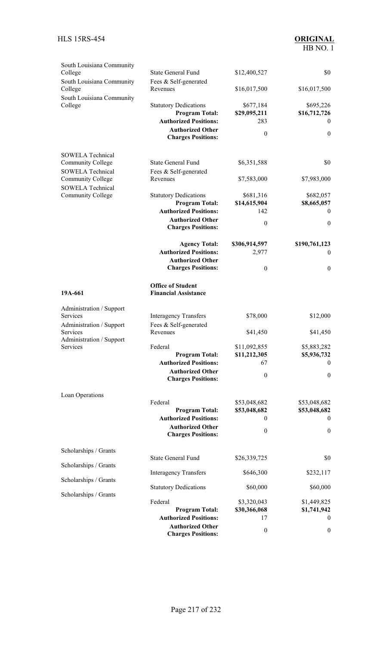# HB NO. 1

| South Louisiana Community<br>College<br>South Louisiana Community                   | <b>State General Fund</b><br>Fees & Self-generated                                                               | \$12,400,527                             | \$0                                            |
|-------------------------------------------------------------------------------------|------------------------------------------------------------------------------------------------------------------|------------------------------------------|------------------------------------------------|
| College<br>South Louisiana Community                                                | Revenues                                                                                                         | \$16,017,500                             | \$16,017,500                                   |
| College                                                                             | <b>Statutory Dedications</b><br><b>Program Total:</b><br><b>Authorized Positions:</b><br><b>Authorized Other</b> | \$677,184<br>\$29,095,211<br>283         | \$695,226<br>\$16,712,726<br>$\bf{0}$          |
|                                                                                     | <b>Charges Positions:</b>                                                                                        | $\theta$                                 | $\mathbf{0}$                                   |
| <b>SOWELA Technical</b>                                                             |                                                                                                                  |                                          |                                                |
| <b>Community College</b><br><b>SOWELA Technical</b>                                 | <b>State General Fund</b><br>Fees & Self-generated                                                               | \$6,351,588                              | \$0                                            |
| <b>Community College</b><br><b>SOWELA Technical</b>                                 | Revenues                                                                                                         | \$7,583,000                              | \$7,983,000                                    |
| <b>Community College</b>                                                            | <b>Statutory Dedications</b><br><b>Program Total:</b><br><b>Authorized Positions:</b><br><b>Authorized Other</b> | \$681,316<br>\$14,615,904<br>142         | \$682,057<br>\$8,665,057<br>$\overline{0}$     |
|                                                                                     | <b>Charges Positions:</b>                                                                                        | $\theta$                                 | $\mathbf{0}$                                   |
|                                                                                     | <b>Agency Total:</b><br><b>Authorized Positions:</b><br><b>Authorized Other</b>                                  | \$306,914,597<br>2,977                   | \$190,761,123<br>$\overline{0}$                |
|                                                                                     | <b>Charges Positions:</b>                                                                                        | $\mathbf{0}$                             | $\boldsymbol{0}$                               |
| 19A-661                                                                             | <b>Office of Student</b><br><b>Financial Assistance</b>                                                          |                                          |                                                |
| Administration / Support<br>Services<br>Administration / Support<br><b>Services</b> | <b>Interagency Transfers</b><br>Fees & Self-generated<br>Revenues                                                | \$78,000<br>\$41,450                     | \$12,000<br>\$41,450                           |
| Administration / Support<br>Services                                                | Federal<br><b>Program Total:</b>                                                                                 | \$11,092,855<br>\$11,212,305             | \$5,883,282<br>\$5,936,732                     |
|                                                                                     | <b>Authorized Positions:</b><br><b>Authorized Other</b>                                                          | 67<br>$\theta$                           | $\bf{0}$<br>$\boldsymbol{0}$                   |
|                                                                                     | <b>Charges Positions:</b>                                                                                        |                                          |                                                |
| Loan Operations                                                                     | Federal<br><b>Program Total:</b><br><b>Authorized Positions:</b>                                                 | \$53,048,682<br>\$53,048,682<br>$\theta$ | \$53,048,682<br>\$53,048,682<br>$\overline{0}$ |
|                                                                                     | <b>Authorized Other</b><br><b>Charges Positions:</b>                                                             | $\theta$                                 | $\boldsymbol{0}$                               |
| Scholarships / Grants                                                               | State General Fund                                                                                               | \$26,339,725                             | \$0                                            |
| Scholarships / Grants                                                               | <b>Interagency Transfers</b>                                                                                     | \$646,300                                | \$232,117                                      |
| Scholarships / Grants                                                               | <b>Statutory Dedications</b>                                                                                     | \$60,000                                 | \$60,000                                       |
| Scholarships / Grants                                                               | Federal<br><b>Program Total:</b>                                                                                 | \$3,320,043<br>\$30,366,068              | \$1,449,825<br>\$1,741,942                     |
|                                                                                     | <b>Authorized Positions:</b><br><b>Authorized Other</b><br><b>Charges Positions:</b>                             | 17<br>$\boldsymbol{0}$                   | $\overline{0}$<br>$\boldsymbol{0}$             |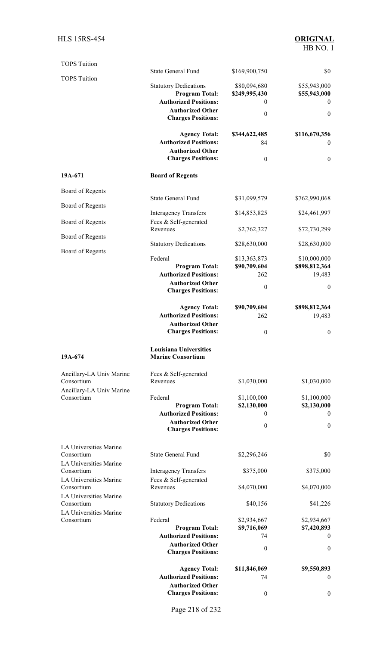## HB NO. 1

| <b>TOPS Tuition</b>                    |                                                           |                    |                              |
|----------------------------------------|-----------------------------------------------------------|--------------------|------------------------------|
| <b>TOPS Tuition</b>                    | <b>State General Fund</b>                                 | \$169,900,750      | \$0                          |
|                                        | <b>Statutory Dedications</b>                              | \$80,094,680       | \$55,943,000                 |
|                                        | <b>Program Total:</b><br><b>Authorized Positions:</b>     | \$249,995,430<br>0 | \$55,943,000<br>$\mathbf{0}$ |
|                                        | <b>Authorized Other</b><br><b>Charges Positions:</b>      | $\boldsymbol{0}$   | $\mathbf{0}$                 |
|                                        | <b>Agency Total:</b>                                      | \$344,622,485      | \$116,670,356                |
|                                        | <b>Authorized Positions:</b><br><b>Authorized Other</b>   | 84                 | $\mathbf{0}$                 |
|                                        | <b>Charges Positions:</b>                                 | $\boldsymbol{0}$   | $\boldsymbol{0}$             |
| 19A-671                                | <b>Board of Regents</b>                                   |                    |                              |
| Board of Regents                       |                                                           |                    |                              |
| Board of Regents                       | <b>State General Fund</b>                                 | \$31,099,579       | \$762,990,068                |
| Board of Regents                       | <b>Interagency Transfers</b><br>Fees & Self-generated     | \$14,853,825       | \$24,461,997                 |
|                                        | Revenues                                                  | \$2,762,327        | \$72,730,299                 |
| Board of Regents                       | <b>Statutory Dedications</b>                              | \$28,630,000       | \$28,630,000                 |
| Board of Regents                       | Federal                                                   | \$13,363,873       | \$10,000,000                 |
|                                        | <b>Program Total:</b>                                     | \$90,709,604       | \$898,812,364                |
|                                        | <b>Authorized Positions:</b><br><b>Authorized Other</b>   | 262                | 19,483                       |
|                                        | <b>Charges Positions:</b>                                 | $\boldsymbol{0}$   | $\theta$                     |
|                                        | <b>Agency Total:</b>                                      | \$90,709,604       | \$898,812,364                |
|                                        | <b>Authorized Positions:</b>                              | 262                | 19,483                       |
|                                        | <b>Authorized Other</b><br><b>Charges Positions:</b>      | $\boldsymbol{0}$   | $\boldsymbol{0}$             |
|                                        |                                                           |                    |                              |
| 19A-674                                | <b>Louisiana Universities</b><br><b>Marine Consortium</b> |                    |                              |
| Ancillary-LA Univ Marine<br>Consortium | Fees & Self-generated<br>Revenues                         | \$1,030,000        | \$1,030,000                  |
| Ancillary-LA Univ Marine               |                                                           |                    |                              |
| Consortium                             | Federal                                                   | \$1,100,000        | \$1,100,000                  |
|                                        | <b>Program Total:</b><br><b>Authorized Positions:</b>     | \$2,130,000<br>0   | \$2,130,000<br>$\bf{0}$      |
|                                        | <b>Authorized Other</b>                                   | $\boldsymbol{0}$   | $\boldsymbol{0}$             |
|                                        | <b>Charges Positions:</b>                                 |                    |                              |
| LA Universities Marine                 |                                                           |                    |                              |
| Consortium<br>LA Universities Marine   | <b>State General Fund</b>                                 | \$2,296,246        | \$0                          |
| Consortium                             | <b>Interagency Transfers</b>                              | \$375,000          | \$375,000                    |
| LA Universities Marine                 | Fees & Self-generated                                     |                    |                              |
| Consortium<br>LA Universities Marine   | Revenues                                                  | \$4,070,000        | \$4,070,000                  |
| Consortium                             | <b>Statutory Dedications</b>                              | \$40,156           | \$41,226                     |
| LA Universities Marine<br>Consortium   | Federal                                                   | \$2,934,667        | \$2,934,667                  |
|                                        | <b>Program Total:</b>                                     | \$9,716,069        | \$7,420,893                  |
|                                        | <b>Authorized Positions:</b>                              | 74                 | $\overline{0}$               |
|                                        | <b>Authorized Other</b><br><b>Charges Positions:</b>      | $\boldsymbol{0}$   | $\mathbf{0}$                 |
|                                        | <b>Agency Total:</b>                                      | \$11,846,069       | \$9,550,893                  |
|                                        | <b>Authorized Positions:</b>                              | 74                 | $\mathbf{0}$                 |
|                                        | <b>Authorized Other</b>                                   |                    |                              |
|                                        | <b>Charges Positions:</b>                                 | $\boldsymbol{0}$   | $\boldsymbol{0}$             |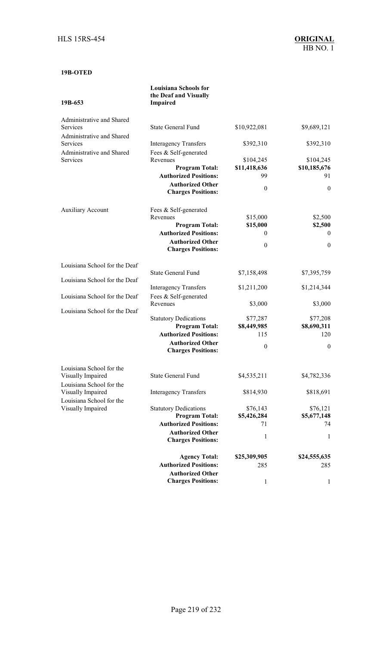## **19B-OTED**

**19B-653** 

#### **Louisiana Schools for the Deaf and Visually Impaired**

| Administrative and Shared<br>Services         | <b>State General Fund</b>                               | \$10,922,081         | \$9,689,121             |
|-----------------------------------------------|---------------------------------------------------------|----------------------|-------------------------|
| Administrative and Shared                     |                                                         |                      |                         |
| <b>Services</b>                               | <b>Interagency Transfers</b>                            | \$392,310            | \$392,310               |
| Administrative and Shared                     | Fees & Self-generated                                   |                      |                         |
| Services                                      | Revenues                                                | \$104,245            | \$104,245               |
|                                               | <b>Program Total:</b>                                   | \$11,418,636         | \$10,185,676            |
|                                               | <b>Authorized Positions:</b>                            | 99                   | 91                      |
|                                               | <b>Authorized Other</b><br><b>Charges Positions:</b>    | $\boldsymbol{0}$     | $\mathbf{0}$            |
| <b>Auxiliary Account</b>                      | Fees & Self-generated                                   |                      |                         |
|                                               | Revenues<br><b>Program Total:</b>                       | \$15,000<br>\$15,000 | \$2,500                 |
|                                               | <b>Authorized Positions:</b>                            | $\mathbf{0}$         | \$2,500<br>$\mathbf{0}$ |
|                                               | <b>Authorized Other</b>                                 |                      |                         |
|                                               | <b>Charges Positions:</b>                               | $\theta$             | $\mathbf{0}$            |
| Louisiana School for the Deaf                 |                                                         |                      |                         |
| Louisiana School for the Deaf                 | <b>State General Fund</b>                               | \$7,158,498          | \$7,395,759             |
|                                               | <b>Interagency Transfers</b>                            | \$1,211,200          | \$1,214,344             |
| Louisiana School for the Deaf                 | Fees & Self-generated                                   |                      |                         |
|                                               | Revenues                                                | \$3,000              | \$3,000                 |
| Louisiana School for the Deaf                 | <b>Statutory Dedications</b>                            | \$77,287             | \$77,208                |
|                                               | <b>Program Total:</b>                                   | \$8,449,985          | \$8,690,311             |
|                                               | <b>Authorized Positions:</b>                            | 115                  | 120                     |
|                                               | <b>Authorized Other</b>                                 |                      | $\mathbf{0}$            |
|                                               | <b>Charges Positions:</b>                               | $\boldsymbol{0}$     |                         |
| Louisiana School for the                      |                                                         |                      |                         |
| Visually Impaired<br>Louisiana School for the | <b>State General Fund</b>                               | \$4,535,211          | \$4,782,336             |
| Visually Impaired                             | <b>Interagency Transfers</b>                            | \$814,930            | \$818,691               |
| Louisiana School for the<br>Visually Impaired | <b>Statutory Dedications</b>                            | \$76,143             | \$76,121                |
|                                               | <b>Program Total:</b>                                   | \$5,426,284          | \$5,677,148             |
|                                               | <b>Authorized Positions:</b>                            | 71                   | 74                      |
|                                               | <b>Authorized Other</b><br><b>Charges Positions:</b>    | 1                    | $\mathbf{1}$            |
|                                               | <b>Agency Total:</b>                                    | \$25,309,905         | \$24,555,635            |
|                                               | <b>Authorized Positions:</b><br><b>Authorized Other</b> | 285                  | 285                     |
|                                               | <b>Charges Positions:</b>                               | $\mathbf{1}$         | 1                       |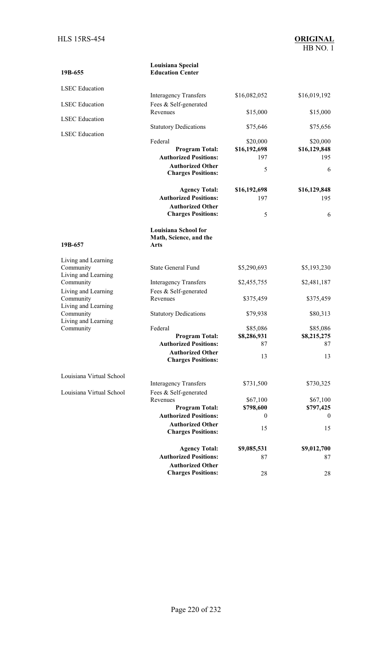| 19B-655                          | Louisiana Special<br><b>Education Center</b>                  |                          |                          |
|----------------------------------|---------------------------------------------------------------|--------------------------|--------------------------|
| <b>LSEC</b> Education            |                                                               |                          |                          |
|                                  | <b>Interagency Transfers</b>                                  | \$16,082,052             | \$16,019,192             |
| <b>LSEC</b> Education            | Fees & Self-generated<br>Revenues                             | \$15,000                 | \$15,000                 |
| <b>LSEC</b> Education            | <b>Statutory Dedications</b>                                  | \$75,646                 | \$75,656                 |
| <b>LSEC</b> Education            |                                                               |                          |                          |
|                                  | Federal<br><b>Program Total:</b>                              | \$20,000<br>\$16,192,698 | \$20,000<br>\$16,129,848 |
|                                  | <b>Authorized Positions:</b>                                  | 197                      | 195                      |
|                                  | <b>Authorized Other</b><br><b>Charges Positions:</b>          | 5                        | 6                        |
|                                  | <b>Agency Total:</b>                                          | \$16,192,698             | \$16,129,848             |
|                                  | <b>Authorized Positions:</b>                                  | 197                      | 195                      |
|                                  | <b>Authorized Other</b><br><b>Charges Positions:</b>          | 5                        | 6                        |
| 19B-657                          | <b>Louisiana School for</b><br>Math, Science, and the<br>Arts |                          |                          |
| Living and Learning              |                                                               |                          |                          |
| Community<br>Living and Learning | <b>State General Fund</b>                                     | \$5,290,693              | \$5,193,230              |
| Community                        | <b>Interagency Transfers</b>                                  | \$2,455,755              | \$2,481,187              |
| Living and Learning<br>Community | Fees & Self-generated<br>Revenues                             | \$375,459                | \$375,459                |
| Living and Learning              |                                                               |                          |                          |
| Community<br>Living and Learning | <b>Statutory Dedications</b>                                  | \$79,938                 | \$80,313                 |
| Community                        | Federal                                                       | \$85,086                 | \$85,086                 |
|                                  | <b>Program Total:</b><br><b>Authorized Positions:</b>         | \$8,286,931<br>87        | \$8,215,275<br>87        |
|                                  | <b>Authorized Other</b><br><b>Charges Positions:</b>          | 13                       | 13                       |
| Louisiana Virtual School         |                                                               |                          |                          |
|                                  | <b>Interagency Transfers</b>                                  | \$731,500                | \$730,325                |
| Louisiana Virtual School         | Fees & Self-generated                                         |                          |                          |
|                                  | Revenues<br><b>Program Total:</b>                             | \$67,100<br>\$798,600    | \$67,100<br>\$797,425    |
|                                  | <b>Authorized Positions:</b>                                  | $\theta$                 | $\theta$                 |
|                                  | <b>Authorized Other</b><br><b>Charges Positions:</b>          | 15                       | 15                       |
|                                  | <b>Agency Total:</b>                                          | \$9,085,531              | \$9,012,700              |
|                                  | <b>Authorized Positions:</b>                                  | 87                       | 87                       |
|                                  | <b>Authorized Other</b>                                       |                          |                          |
|                                  | <b>Charges Positions:</b>                                     | 28                       | 28                       |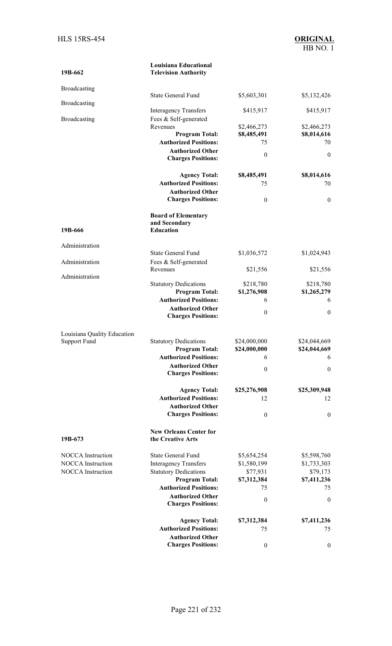| 19B-662                                            | <b>Louisiana Educational</b><br><b>Television Authority</b>     |                            |                            |
|----------------------------------------------------|-----------------------------------------------------------------|----------------------------|----------------------------|
| Broadcasting                                       |                                                                 |                            |                            |
|                                                    | <b>State General Fund</b>                                       | \$5,603,301                | \$5,132,426                |
| Broadcasting                                       | <b>Interagency Transfers</b>                                    | \$415,917                  | \$415,917                  |
| Broadcasting                                       | Fees & Self-generated                                           |                            |                            |
|                                                    | Revenues<br><b>Program Total:</b>                               | \$2,466,273<br>\$8,485,491 | \$2,466,273<br>\$8,014,616 |
|                                                    | <b>Authorized Positions:</b>                                    | 75                         | 70                         |
|                                                    | <b>Authorized Other</b><br><b>Charges Positions:</b>            | $\boldsymbol{0}$           | $\mathbf{0}$               |
|                                                    | <b>Agency Total:</b>                                            | \$8,485,491                | \$8,014,616                |
|                                                    | <b>Authorized Positions:</b>                                    | 75                         | 70                         |
|                                                    | <b>Authorized Other</b><br><b>Charges Positions:</b>            | $\boldsymbol{0}$           | $\boldsymbol{0}$           |
| 19B-666                                            | <b>Board of Elementary</b><br>and Secondary<br><b>Education</b> |                            |                            |
|                                                    |                                                                 |                            |                            |
| Administration                                     | <b>State General Fund</b>                                       | \$1,036,572                | \$1,024,943                |
| Administration                                     | Fees & Self-generated                                           |                            |                            |
| Administration                                     | Revenues                                                        | \$21,556                   | \$21,556                   |
|                                                    | <b>Statutory Dedications</b>                                    | \$218,780                  | \$218,780                  |
|                                                    | <b>Program Total:</b>                                           | \$1,276,908                | \$1,265,279                |
|                                                    | <b>Authorized Positions:</b><br><b>Authorized Other</b>         | 6                          | 6                          |
|                                                    | <b>Charges Positions:</b>                                       | $\boldsymbol{0}$           | $\theta$                   |
|                                                    |                                                                 |                            |                            |
| Louisiana Quality Education<br><b>Support Fund</b> | <b>Statutory Dedications</b>                                    | \$24,000,000               | \$24,044,669               |
|                                                    | <b>Program Total:</b>                                           | \$24,000,000               | \$24,044,669               |
|                                                    | <b>Authorized Positions:</b>                                    | 6                          | 6                          |
|                                                    | <b>Authorized Other</b><br><b>Charges Positions:</b>            | $\boldsymbol{0}$           | $\boldsymbol{0}$           |
|                                                    | <b>Agency Total:</b>                                            | \$25,276,908               | \$25,309,948               |
|                                                    | <b>Authorized Positions:</b>                                    | 12                         | 12                         |
|                                                    | <b>Authorized Other</b>                                         |                            |                            |
|                                                    | <b>Charges Positions:</b>                                       | $\boldsymbol{0}$           | $\mathbf{0}$               |
| 19B-673                                            | <b>New Orleans Center for</b><br>the Creative Arts              |                            |                            |
| <b>NOCCA</b> Instruction                           | <b>State General Fund</b>                                       | \$5,654,254                | \$5,598,760                |
| <b>NOCCA</b> Instruction                           | <b>Interagency Transfers</b>                                    | \$1,580,199                | \$1,733,303                |
| <b>NOCCA</b> Instruction                           | <b>Statutory Dedications</b>                                    | \$77,931                   | \$79,173                   |
|                                                    | <b>Program Total:</b><br><b>Authorized Positions:</b>           | \$7,312,384<br>75          | \$7,411,236<br>75          |
|                                                    | <b>Authorized Other</b>                                         |                            |                            |
|                                                    | <b>Charges Positions:</b>                                       | $\boldsymbol{0}$           | $\boldsymbol{0}$           |
|                                                    | <b>Agency Total:</b>                                            | \$7,312,384                | \$7,411,236                |
|                                                    | <b>Authorized Positions:</b>                                    | 75                         | 75                         |
|                                                    | <b>Authorized Other</b><br><b>Charges Positions:</b>            |                            |                            |
|                                                    |                                                                 | $\boldsymbol{0}$           | $\boldsymbol{0}$           |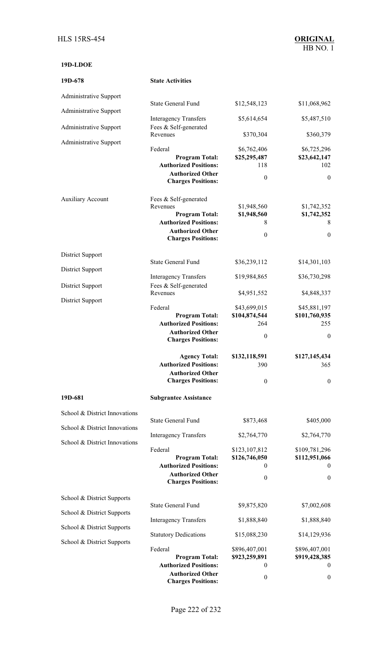### **19D-LDOE**

| 19D-678                                                  | <b>State Activities</b>                                                                                                                            |                                                                      |                                                                    |
|----------------------------------------------------------|----------------------------------------------------------------------------------------------------------------------------------------------------|----------------------------------------------------------------------|--------------------------------------------------------------------|
| <b>Administrative Support</b>                            |                                                                                                                                                    |                                                                      |                                                                    |
| Administrative Support                                   | <b>State General Fund</b>                                                                                                                          | \$12,548,123                                                         | \$11,068,962                                                       |
| <b>Administrative Support</b>                            | <b>Interagency Transfers</b><br>Fees & Self-generated                                                                                              | \$5,614,654                                                          | \$5,487,510                                                        |
|                                                          | Revenues                                                                                                                                           | \$370,304                                                            | \$360,379                                                          |
| Administrative Support                                   | Federal<br><b>Program Total:</b><br><b>Authorized Positions:</b><br><b>Authorized Other</b><br><b>Charges Positions:</b>                           | \$6,762,406<br>\$25,295,487<br>118<br>$\boldsymbol{0}$               | \$6,725,296<br>\$23,642,147<br>102<br>$\boldsymbol{0}$             |
| <b>Auxiliary Account</b>                                 | Fees & Self-generated<br>Revenues<br><b>Program Total:</b><br><b>Authorized Positions:</b><br><b>Authorized Other</b><br><b>Charges Positions:</b> | \$1,948,560<br>\$1,948,560<br>8<br>$\boldsymbol{0}$                  | \$1,742,352<br>\$1,742,352<br>8<br>$\boldsymbol{0}$                |
| <b>District Support</b>                                  |                                                                                                                                                    |                                                                      |                                                                    |
| District Support                                         | <b>State General Fund</b>                                                                                                                          | \$36,239,112                                                         | \$14,301,103                                                       |
| <b>District Support</b>                                  | <b>Interagency Transfers</b><br>Fees & Self-generated                                                                                              | \$19,984,865                                                         | \$36,730,298                                                       |
| <b>District Support</b>                                  | Revenues                                                                                                                                           | \$4,951,552                                                          | \$4,848,337                                                        |
|                                                          | Federal<br><b>Program Total:</b><br><b>Authorized Positions:</b><br><b>Authorized Other</b><br><b>Charges Positions:</b>                           | \$43,699,015<br>\$104,874,544<br>264<br>$\mathbf{0}$                 | \$45,881,197<br>\$101,760,935<br>255<br>$\mathbf{0}$               |
|                                                          | <b>Agency Total:</b><br><b>Authorized Positions:</b><br><b>Authorized Other</b><br><b>Charges Positions:</b>                                       | \$132,118,591<br>390<br>$\boldsymbol{0}$                             | \$127,145,434<br>365<br>$\theta$                                   |
| 19D-681                                                  | <b>Subgrantee Assistance</b>                                                                                                                       |                                                                      |                                                                    |
| School & District Innovations                            |                                                                                                                                                    |                                                                      |                                                                    |
| School & District Innovations                            | <b>State General Fund</b>                                                                                                                          | \$873,468                                                            | \$405,000                                                          |
| School & District Innovations                            | <b>Interagency Transfers</b>                                                                                                                       | \$2,764,770                                                          | \$2,764,770                                                        |
|                                                          | Federal<br><b>Program Total:</b><br><b>Authorized Positions:</b><br><b>Authorized Other</b><br><b>Charges Positions:</b>                           | \$123,107,812<br>\$126,746,050<br>$\overline{0}$<br>$\boldsymbol{0}$ | \$109,781,296<br>\$112,951,066<br>$\mathbf{0}$<br>$\boldsymbol{0}$ |
| School & District Supports                               | <b>State General Fund</b>                                                                                                                          | \$9,875,820                                                          | \$7,002,608                                                        |
| School & District Supports<br>School & District Supports | <b>Interagency Transfers</b>                                                                                                                       | \$1,888,840                                                          | \$1,888,840                                                        |
|                                                          |                                                                                                                                                    |                                                                      |                                                                    |
| School & District Supports                               | <b>Statutory Dedications</b><br>Federal<br><b>Program Total:</b><br><b>Authorized Positions:</b><br><b>Authorized Other</b>                        | \$15,088,230<br>\$896,407,001<br>\$923,259,891<br>$\boldsymbol{0}$   | \$14,129,936<br>\$896,407,001<br>\$919,428,385<br>$\boldsymbol{0}$ |
|                                                          | Andrea Darlinger                                                                                                                                   | $\mathbf{0}$                                                         | 0                                                                  |

**Charges Positions:**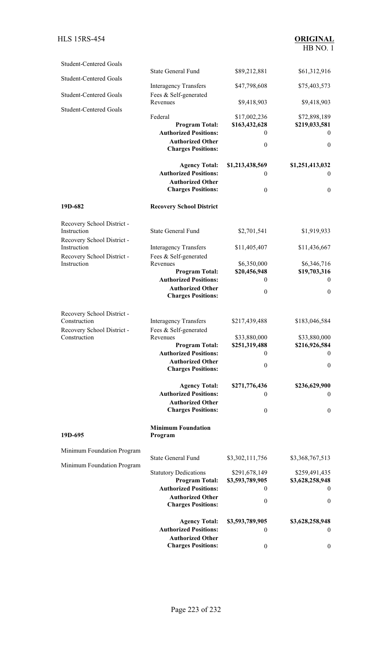# HB NO. 1

| <b>Student-Centered Goals</b>              |                                                         |                    |                                     |
|--------------------------------------------|---------------------------------------------------------|--------------------|-------------------------------------|
| <b>Student-Centered Goals</b>              | <b>State General Fund</b>                               | \$89,212,881       | \$61,312,916                        |
|                                            | <b>Interagency Transfers</b>                            | \$47,798,608       | \$75,403,573                        |
| <b>Student-Centered Goals</b>              | Fees & Self-generated<br>Revenues                       | \$9,418,903        | \$9,418,903                         |
| <b>Student-Centered Goals</b>              |                                                         |                    |                                     |
|                                            | Federal                                                 | \$17,002,236       | \$72,898,189                        |
|                                            | <b>Program Total:</b><br><b>Authorized Positions:</b>   | \$163,432,628<br>0 | \$219,033,581<br>$\left( 0 \right)$ |
|                                            | <b>Authorized Other</b>                                 |                    |                                     |
|                                            | <b>Charges Positions:</b>                               | $\boldsymbol{0}$   | $\mathbf{0}$                        |
|                                            | <b>Agency Total:</b>                                    | \$1,213,438,569    | \$1,251,413,032                     |
|                                            | <b>Authorized Positions:</b>                            | 0                  | $\theta$                            |
|                                            | <b>Authorized Other</b>                                 |                    |                                     |
|                                            | <b>Charges Positions:</b>                               | $\boldsymbol{0}$   | $\mathbf{0}$                        |
| 19D-682                                    | <b>Recovery School District</b>                         |                    |                                     |
| Recovery School District -                 |                                                         |                    |                                     |
| Instruction                                | <b>State General Fund</b>                               | \$2,701,541        | \$1,919,933                         |
| Recovery School District -<br>Instruction  | <b>Interagency Transfers</b>                            | \$11,405,407       | \$11,436,667                        |
| Recovery School District -                 | Fees & Self-generated                                   |                    |                                     |
| Instruction                                | Revenues                                                | \$6,350,000        | \$6,346,716                         |
|                                            | <b>Program Total:</b>                                   | \$20,456,948       | \$19,703,316                        |
|                                            | <b>Authorized Positions:</b>                            | 0                  | $\theta$                            |
|                                            | <b>Authorized Other</b><br><b>Charges Positions:</b>    | $\boldsymbol{0}$   | $\boldsymbol{0}$                    |
|                                            |                                                         |                    |                                     |
| Recovery School District -                 |                                                         |                    |                                     |
| Construction                               | <b>Interagency Transfers</b>                            | \$217,439,488      | \$183,046,584                       |
| Recovery School District -<br>Construction | Fees & Self-generated<br>Revenues                       | \$33,880,000       | \$33,880,000                        |
|                                            | <b>Program Total:</b>                                   | \$251,319,488      | \$216,926,584                       |
|                                            | <b>Authorized Positions:</b>                            | $\boldsymbol{0}$   | $\boldsymbol{0}$                    |
|                                            | <b>Authorized Other</b>                                 | $\boldsymbol{0}$   | $\boldsymbol{0}$                    |
|                                            | <b>Charges Positions:</b>                               |                    |                                     |
|                                            | <b>Agency Total:</b>                                    | \$271,776,436      | \$236,629,900                       |
|                                            | <b>Authorized Positions:</b>                            | 0                  | $\overline{0}$                      |
|                                            | <b>Authorized Other</b>                                 |                    |                                     |
|                                            | <b>Charges Positions:</b>                               | $\boldsymbol{0}$   | $\mathbf{0}$                        |
| 19D-695                                    | <b>Minimum Foundation</b><br>Program                    |                    |                                     |
| Minimum Foundation Program                 |                                                         |                    |                                     |
| Minimum Foundation Program                 | <b>State General Fund</b>                               | \$3,302,111,756    | \$3,368,767,513                     |
|                                            | <b>Statutory Dedications</b>                            | \$291,678,149      | \$259,491,435                       |
|                                            | <b>Program Total:</b>                                   | \$3,593,789,905    | \$3,628,258,948                     |
|                                            | <b>Authorized Positions:</b><br><b>Authorized Other</b> | $\boldsymbol{0}$   | $\overline{0}$                      |
|                                            | <b>Charges Positions:</b>                               | $\boldsymbol{0}$   | $\overline{0}$                      |
|                                            | <b>Agency Total:</b>                                    | \$3,593,789,905    | \$3,628,258,948                     |
|                                            | <b>Authorized Positions:</b>                            | $\mathbf{0}$       | $\bf{0}$                            |
|                                            | <b>Authorized Other</b>                                 |                    |                                     |
|                                            | <b>Charges Positions:</b>                               | $\boldsymbol{0}$   | $\boldsymbol{0}$                    |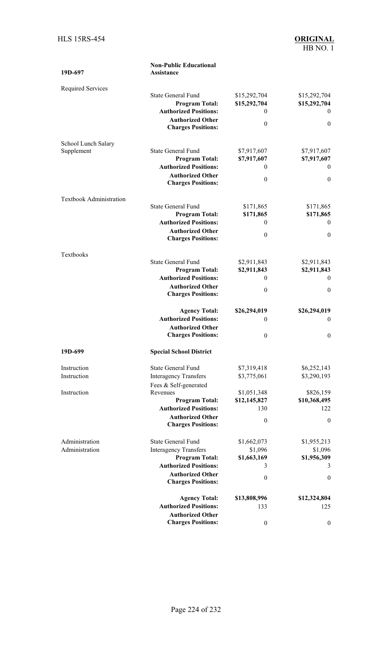| 19D-697                        | <b>Non-Public Educational</b><br>Assistance           |                              |                               |
|--------------------------------|-------------------------------------------------------|------------------------------|-------------------------------|
| <b>Required Services</b>       |                                                       |                              |                               |
|                                | <b>State General Fund</b><br><b>Program Total:</b>    | \$15,292,704<br>\$15,292,704 | \$15,292,704<br>\$15,292,704  |
|                                | <b>Authorized Positions:</b>                          | $\theta$                     | $\theta$                      |
|                                | <b>Authorized Other</b>                               | $\mathbf{0}$                 | $\boldsymbol{0}$              |
|                                | <b>Charges Positions:</b>                             |                              |                               |
| School Lunch Salary            |                                                       |                              |                               |
| Supplement                     | <b>State General Fund</b>                             | \$7,917,607                  | \$7,917,607                   |
|                                | <b>Program Total:</b><br><b>Authorized Positions:</b> | \$7,917,607<br>$\theta$      | \$7,917,607<br>0              |
|                                | <b>Authorized Other</b>                               |                              |                               |
|                                | <b>Charges Positions:</b>                             | $\mathbf{0}$                 | $\boldsymbol{0}$              |
| <b>Textbook Administration</b> |                                                       |                              |                               |
|                                | <b>State General Fund</b>                             | \$171,865                    | \$171,865                     |
|                                | <b>Program Total:</b><br><b>Authorized Positions:</b> | \$171,865<br>$\theta$        | \$171,865<br>$\boldsymbol{0}$ |
|                                | <b>Authorized Other</b>                               |                              |                               |
|                                | <b>Charges Positions:</b>                             | $\mathbf{0}$                 | $\boldsymbol{0}$              |
| Textbooks                      |                                                       |                              |                               |
|                                | <b>State General Fund</b>                             | \$2,911,843                  | \$2,911,843                   |
|                                | <b>Program Total:</b><br><b>Authorized Positions:</b> | \$2,911,843<br>$\mathbf{0}$  | \$2,911,843<br>$\mathbf{0}$   |
|                                | <b>Authorized Other</b>                               |                              |                               |
|                                | <b>Charges Positions:</b>                             | $\mathbf{0}$                 | $\theta$                      |
|                                | <b>Agency Total:</b>                                  | \$26,294,019                 | \$26,294,019                  |
|                                | <b>Authorized Positions:</b>                          | $\theta$                     | 0                             |
|                                | <b>Authorized Other</b>                               |                              |                               |
|                                | <b>Charges Positions:</b>                             | $\mathbf{0}$                 | 0                             |
| 19D-699                        | <b>Special School District</b>                        |                              |                               |
| Instruction                    | <b>State General Fund</b>                             | \$7,319,418                  | \$6,252,143                   |
| Instruction                    | <b>Interagency Transfers</b>                          | \$3,775,061                  | \$3,290,193                   |
| Instruction                    | Fees & Self-generated<br>Revenues                     | \$1,051,348                  | \$826,159                     |
|                                | <b>Program Total:</b>                                 | \$12,145,827                 | \$10,368,495                  |
|                                | <b>Authorized Positions:</b>                          | 130                          | 122                           |
|                                | <b>Authorized Other</b>                               | $\boldsymbol{0}$             | $\boldsymbol{0}$              |
|                                | <b>Charges Positions:</b>                             |                              |                               |
| Administration                 | <b>State General Fund</b>                             | \$1,662,073                  | \$1,955,213                   |
| Administration                 | <b>Interagency Transfers</b>                          | \$1,096                      | \$1,096                       |
|                                | <b>Program Total:</b><br><b>Authorized Positions:</b> | \$1,663,169<br>3             | \$1,956,309<br>3              |
|                                | <b>Authorized Other</b>                               |                              |                               |
|                                | <b>Charges Positions:</b>                             | $\boldsymbol{0}$             | $\boldsymbol{0}$              |
|                                | <b>Agency Total:</b>                                  | \$13,808,996                 | \$12,324,804                  |
|                                | <b>Authorized Positions:</b>                          | 133                          | 125                           |
|                                | <b>Authorized Other</b>                               |                              |                               |
|                                | <b>Charges Positions:</b>                             | $\boldsymbol{0}$             | $\boldsymbol{0}$              |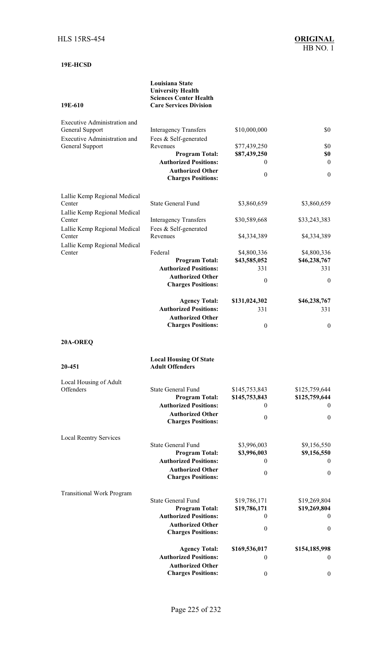### **19E-HCSD**

#### **Louisiana State University Health Sciences Center Health Care Services Division**

### **19E-610**

| <b>Executive Administration and</b><br>Fees & Self-generated<br>General Support<br>Revenues<br>\$77,439,250<br>\$0<br>\$0<br><b>Program Total:</b><br>\$87,439,250<br><b>Authorized Positions:</b><br>$\mathbf{0}$<br>$\theta$<br><b>Authorized Other</b><br>$\boldsymbol{0}$<br>$\boldsymbol{0}$<br><b>Charges Positions:</b><br><b>State General Fund</b><br>\$3,860,659<br>\$3,860,659<br>Center<br>Lallie Kemp Regional Medical<br>Center<br>\$30,589,668<br>\$33,243,383<br><b>Interagency Transfers</b><br>Fees & Self-generated<br>Lallie Kemp Regional Medical<br>Center<br>Revenues<br>\$4,334,389<br>\$4,334,389<br>Lallie Kemp Regional Medical<br>Federal<br>Center<br>\$4,800,336<br>\$4,800,336<br><b>Program Total:</b><br>\$43,585,052<br>\$46,238,767<br><b>Authorized Positions:</b><br>331<br>331<br><b>Authorized Other</b><br>$\boldsymbol{0}$<br>$\mathbf{0}$<br><b>Charges Positions:</b><br><b>Agency Total:</b><br>\$131,024,302<br>\$46,238,767<br><b>Authorized Positions:</b><br>331<br>331<br><b>Authorized Other</b><br><b>Charges Positions:</b><br>$\boldsymbol{0}$<br>$\boldsymbol{0}$<br>20A-OREQ<br><b>Local Housing Of State</b><br><b>Adult Offenders</b><br>Local Housing of Adult<br>Offenders<br><b>State General Fund</b><br>\$145,753,843<br>\$125,759,644<br><b>Program Total:</b><br>\$145,753,843<br>\$125,759,644<br><b>Authorized Positions:</b><br>$\sim$ 0<br>$\sim$ 0<br><b>Authorized Other</b><br>$\boldsymbol{0}$<br>$\boldsymbol{0}$<br><b>Charges Positions:</b><br><b>Local Reentry Services</b><br><b>State General Fund</b><br>\$3,996,003<br>\$9,156,550<br><b>Program Total:</b><br>\$3,996,003<br>\$9,156,550<br><b>Authorized Positions:</b><br>$\theta$<br>$\overline{0}$<br><b>Authorized Other</b><br>$\theta$<br>$\boldsymbol{0}$<br><b>Charges Positions:</b><br><b>Transitional Work Program</b><br><b>State General Fund</b><br>\$19,786,171<br>\$19,269,804<br><b>Program Total:</b><br>\$19,786,171<br>\$19,269,804<br><b>Authorized Positions:</b><br>0<br>$\theta$<br><b>Authorized Other</b><br>$\theta$<br>$\boldsymbol{0}$<br><b>Charges Positions:</b><br><b>Agency Total:</b><br>\$169,536,017<br>\$154,185,998<br><b>Authorized Positions:</b><br>$\mathbf{0}$<br>$\theta$<br><b>Authorized Other</b><br><b>Charges Positions:</b><br>$\boldsymbol{0}$<br>$\boldsymbol{0}$ | <b>Executive Administration and</b><br>General Support | <b>Interagency Transfers</b> | \$10,000,000 | \$0 |
|-----------------------------------------------------------------------------------------------------------------------------------------------------------------------------------------------------------------------------------------------------------------------------------------------------------------------------------------------------------------------------------------------------------------------------------------------------------------------------------------------------------------------------------------------------------------------------------------------------------------------------------------------------------------------------------------------------------------------------------------------------------------------------------------------------------------------------------------------------------------------------------------------------------------------------------------------------------------------------------------------------------------------------------------------------------------------------------------------------------------------------------------------------------------------------------------------------------------------------------------------------------------------------------------------------------------------------------------------------------------------------------------------------------------------------------------------------------------------------------------------------------------------------------------------------------------------------------------------------------------------------------------------------------------------------------------------------------------------------------------------------------------------------------------------------------------------------------------------------------------------------------------------------------------------------------------------------------------------------------------------------------------------------------------------------------------------------------------------------------------------------------------------------------------------------------------------------------------------------------------------------------------------------------------------------------------------------------------------------------|--------------------------------------------------------|------------------------------|--------------|-----|
|                                                                                                                                                                                                                                                                                                                                                                                                                                                                                                                                                                                                                                                                                                                                                                                                                                                                                                                                                                                                                                                                                                                                                                                                                                                                                                                                                                                                                                                                                                                                                                                                                                                                                                                                                                                                                                                                                                                                                                                                                                                                                                                                                                                                                                                                                                                                                           |                                                        |                              |              |     |
|                                                                                                                                                                                                                                                                                                                                                                                                                                                                                                                                                                                                                                                                                                                                                                                                                                                                                                                                                                                                                                                                                                                                                                                                                                                                                                                                                                                                                                                                                                                                                                                                                                                                                                                                                                                                                                                                                                                                                                                                                                                                                                                                                                                                                                                                                                                                                           |                                                        |                              |              |     |
|                                                                                                                                                                                                                                                                                                                                                                                                                                                                                                                                                                                                                                                                                                                                                                                                                                                                                                                                                                                                                                                                                                                                                                                                                                                                                                                                                                                                                                                                                                                                                                                                                                                                                                                                                                                                                                                                                                                                                                                                                                                                                                                                                                                                                                                                                                                                                           |                                                        |                              |              |     |
|                                                                                                                                                                                                                                                                                                                                                                                                                                                                                                                                                                                                                                                                                                                                                                                                                                                                                                                                                                                                                                                                                                                                                                                                                                                                                                                                                                                                                                                                                                                                                                                                                                                                                                                                                                                                                                                                                                                                                                                                                                                                                                                                                                                                                                                                                                                                                           |                                                        |                              |              |     |
|                                                                                                                                                                                                                                                                                                                                                                                                                                                                                                                                                                                                                                                                                                                                                                                                                                                                                                                                                                                                                                                                                                                                                                                                                                                                                                                                                                                                                                                                                                                                                                                                                                                                                                                                                                                                                                                                                                                                                                                                                                                                                                                                                                                                                                                                                                                                                           |                                                        |                              |              |     |
|                                                                                                                                                                                                                                                                                                                                                                                                                                                                                                                                                                                                                                                                                                                                                                                                                                                                                                                                                                                                                                                                                                                                                                                                                                                                                                                                                                                                                                                                                                                                                                                                                                                                                                                                                                                                                                                                                                                                                                                                                                                                                                                                                                                                                                                                                                                                                           | Lallie Kemp Regional Medical                           |                              |              |     |
|                                                                                                                                                                                                                                                                                                                                                                                                                                                                                                                                                                                                                                                                                                                                                                                                                                                                                                                                                                                                                                                                                                                                                                                                                                                                                                                                                                                                                                                                                                                                                                                                                                                                                                                                                                                                                                                                                                                                                                                                                                                                                                                                                                                                                                                                                                                                                           |                                                        |                              |              |     |
|                                                                                                                                                                                                                                                                                                                                                                                                                                                                                                                                                                                                                                                                                                                                                                                                                                                                                                                                                                                                                                                                                                                                                                                                                                                                                                                                                                                                                                                                                                                                                                                                                                                                                                                                                                                                                                                                                                                                                                                                                                                                                                                                                                                                                                                                                                                                                           |                                                        |                              |              |     |
|                                                                                                                                                                                                                                                                                                                                                                                                                                                                                                                                                                                                                                                                                                                                                                                                                                                                                                                                                                                                                                                                                                                                                                                                                                                                                                                                                                                                                                                                                                                                                                                                                                                                                                                                                                                                                                                                                                                                                                                                                                                                                                                                                                                                                                                                                                                                                           |                                                        |                              |              |     |
|                                                                                                                                                                                                                                                                                                                                                                                                                                                                                                                                                                                                                                                                                                                                                                                                                                                                                                                                                                                                                                                                                                                                                                                                                                                                                                                                                                                                                                                                                                                                                                                                                                                                                                                                                                                                                                                                                                                                                                                                                                                                                                                                                                                                                                                                                                                                                           |                                                        |                              |              |     |
|                                                                                                                                                                                                                                                                                                                                                                                                                                                                                                                                                                                                                                                                                                                                                                                                                                                                                                                                                                                                                                                                                                                                                                                                                                                                                                                                                                                                                                                                                                                                                                                                                                                                                                                                                                                                                                                                                                                                                                                                                                                                                                                                                                                                                                                                                                                                                           |                                                        |                              |              |     |
|                                                                                                                                                                                                                                                                                                                                                                                                                                                                                                                                                                                                                                                                                                                                                                                                                                                                                                                                                                                                                                                                                                                                                                                                                                                                                                                                                                                                                                                                                                                                                                                                                                                                                                                                                                                                                                                                                                                                                                                                                                                                                                                                                                                                                                                                                                                                                           |                                                        |                              |              |     |
|                                                                                                                                                                                                                                                                                                                                                                                                                                                                                                                                                                                                                                                                                                                                                                                                                                                                                                                                                                                                                                                                                                                                                                                                                                                                                                                                                                                                                                                                                                                                                                                                                                                                                                                                                                                                                                                                                                                                                                                                                                                                                                                                                                                                                                                                                                                                                           |                                                        |                              |              |     |
|                                                                                                                                                                                                                                                                                                                                                                                                                                                                                                                                                                                                                                                                                                                                                                                                                                                                                                                                                                                                                                                                                                                                                                                                                                                                                                                                                                                                                                                                                                                                                                                                                                                                                                                                                                                                                                                                                                                                                                                                                                                                                                                                                                                                                                                                                                                                                           |                                                        |                              |              |     |
|                                                                                                                                                                                                                                                                                                                                                                                                                                                                                                                                                                                                                                                                                                                                                                                                                                                                                                                                                                                                                                                                                                                                                                                                                                                                                                                                                                                                                                                                                                                                                                                                                                                                                                                                                                                                                                                                                                                                                                                                                                                                                                                                                                                                                                                                                                                                                           |                                                        |                              |              |     |
|                                                                                                                                                                                                                                                                                                                                                                                                                                                                                                                                                                                                                                                                                                                                                                                                                                                                                                                                                                                                                                                                                                                                                                                                                                                                                                                                                                                                                                                                                                                                                                                                                                                                                                                                                                                                                                                                                                                                                                                                                                                                                                                                                                                                                                                                                                                                                           |                                                        |                              |              |     |
|                                                                                                                                                                                                                                                                                                                                                                                                                                                                                                                                                                                                                                                                                                                                                                                                                                                                                                                                                                                                                                                                                                                                                                                                                                                                                                                                                                                                                                                                                                                                                                                                                                                                                                                                                                                                                                                                                                                                                                                                                                                                                                                                                                                                                                                                                                                                                           |                                                        |                              |              |     |
|                                                                                                                                                                                                                                                                                                                                                                                                                                                                                                                                                                                                                                                                                                                                                                                                                                                                                                                                                                                                                                                                                                                                                                                                                                                                                                                                                                                                                                                                                                                                                                                                                                                                                                                                                                                                                                                                                                                                                                                                                                                                                                                                                                                                                                                                                                                                                           |                                                        |                              |              |     |
|                                                                                                                                                                                                                                                                                                                                                                                                                                                                                                                                                                                                                                                                                                                                                                                                                                                                                                                                                                                                                                                                                                                                                                                                                                                                                                                                                                                                                                                                                                                                                                                                                                                                                                                                                                                                                                                                                                                                                                                                                                                                                                                                                                                                                                                                                                                                                           |                                                        |                              |              |     |
|                                                                                                                                                                                                                                                                                                                                                                                                                                                                                                                                                                                                                                                                                                                                                                                                                                                                                                                                                                                                                                                                                                                                                                                                                                                                                                                                                                                                                                                                                                                                                                                                                                                                                                                                                                                                                                                                                                                                                                                                                                                                                                                                                                                                                                                                                                                                                           |                                                        |                              |              |     |
|                                                                                                                                                                                                                                                                                                                                                                                                                                                                                                                                                                                                                                                                                                                                                                                                                                                                                                                                                                                                                                                                                                                                                                                                                                                                                                                                                                                                                                                                                                                                                                                                                                                                                                                                                                                                                                                                                                                                                                                                                                                                                                                                                                                                                                                                                                                                                           |                                                        |                              |              |     |
|                                                                                                                                                                                                                                                                                                                                                                                                                                                                                                                                                                                                                                                                                                                                                                                                                                                                                                                                                                                                                                                                                                                                                                                                                                                                                                                                                                                                                                                                                                                                                                                                                                                                                                                                                                                                                                                                                                                                                                                                                                                                                                                                                                                                                                                                                                                                                           | 20-451                                                 |                              |              |     |
|                                                                                                                                                                                                                                                                                                                                                                                                                                                                                                                                                                                                                                                                                                                                                                                                                                                                                                                                                                                                                                                                                                                                                                                                                                                                                                                                                                                                                                                                                                                                                                                                                                                                                                                                                                                                                                                                                                                                                                                                                                                                                                                                                                                                                                                                                                                                                           |                                                        |                              |              |     |
|                                                                                                                                                                                                                                                                                                                                                                                                                                                                                                                                                                                                                                                                                                                                                                                                                                                                                                                                                                                                                                                                                                                                                                                                                                                                                                                                                                                                                                                                                                                                                                                                                                                                                                                                                                                                                                                                                                                                                                                                                                                                                                                                                                                                                                                                                                                                                           |                                                        |                              |              |     |
|                                                                                                                                                                                                                                                                                                                                                                                                                                                                                                                                                                                                                                                                                                                                                                                                                                                                                                                                                                                                                                                                                                                                                                                                                                                                                                                                                                                                                                                                                                                                                                                                                                                                                                                                                                                                                                                                                                                                                                                                                                                                                                                                                                                                                                                                                                                                                           |                                                        |                              |              |     |
|                                                                                                                                                                                                                                                                                                                                                                                                                                                                                                                                                                                                                                                                                                                                                                                                                                                                                                                                                                                                                                                                                                                                                                                                                                                                                                                                                                                                                                                                                                                                                                                                                                                                                                                                                                                                                                                                                                                                                                                                                                                                                                                                                                                                                                                                                                                                                           |                                                        |                              |              |     |
|                                                                                                                                                                                                                                                                                                                                                                                                                                                                                                                                                                                                                                                                                                                                                                                                                                                                                                                                                                                                                                                                                                                                                                                                                                                                                                                                                                                                                                                                                                                                                                                                                                                                                                                                                                                                                                                                                                                                                                                                                                                                                                                                                                                                                                                                                                                                                           |                                                        |                              |              |     |
|                                                                                                                                                                                                                                                                                                                                                                                                                                                                                                                                                                                                                                                                                                                                                                                                                                                                                                                                                                                                                                                                                                                                                                                                                                                                                                                                                                                                                                                                                                                                                                                                                                                                                                                                                                                                                                                                                                                                                                                                                                                                                                                                                                                                                                                                                                                                                           |                                                        |                              |              |     |
|                                                                                                                                                                                                                                                                                                                                                                                                                                                                                                                                                                                                                                                                                                                                                                                                                                                                                                                                                                                                                                                                                                                                                                                                                                                                                                                                                                                                                                                                                                                                                                                                                                                                                                                                                                                                                                                                                                                                                                                                                                                                                                                                                                                                                                                                                                                                                           |                                                        |                              |              |     |
|                                                                                                                                                                                                                                                                                                                                                                                                                                                                                                                                                                                                                                                                                                                                                                                                                                                                                                                                                                                                                                                                                                                                                                                                                                                                                                                                                                                                                                                                                                                                                                                                                                                                                                                                                                                                                                                                                                                                                                                                                                                                                                                                                                                                                                                                                                                                                           |                                                        |                              |              |     |
|                                                                                                                                                                                                                                                                                                                                                                                                                                                                                                                                                                                                                                                                                                                                                                                                                                                                                                                                                                                                                                                                                                                                                                                                                                                                                                                                                                                                                                                                                                                                                                                                                                                                                                                                                                                                                                                                                                                                                                                                                                                                                                                                                                                                                                                                                                                                                           |                                                        |                              |              |     |
|                                                                                                                                                                                                                                                                                                                                                                                                                                                                                                                                                                                                                                                                                                                                                                                                                                                                                                                                                                                                                                                                                                                                                                                                                                                                                                                                                                                                                                                                                                                                                                                                                                                                                                                                                                                                                                                                                                                                                                                                                                                                                                                                                                                                                                                                                                                                                           |                                                        |                              |              |     |
|                                                                                                                                                                                                                                                                                                                                                                                                                                                                                                                                                                                                                                                                                                                                                                                                                                                                                                                                                                                                                                                                                                                                                                                                                                                                                                                                                                                                                                                                                                                                                                                                                                                                                                                                                                                                                                                                                                                                                                                                                                                                                                                                                                                                                                                                                                                                                           |                                                        |                              |              |     |
|                                                                                                                                                                                                                                                                                                                                                                                                                                                                                                                                                                                                                                                                                                                                                                                                                                                                                                                                                                                                                                                                                                                                                                                                                                                                                                                                                                                                                                                                                                                                                                                                                                                                                                                                                                                                                                                                                                                                                                                                                                                                                                                                                                                                                                                                                                                                                           |                                                        |                              |              |     |
|                                                                                                                                                                                                                                                                                                                                                                                                                                                                                                                                                                                                                                                                                                                                                                                                                                                                                                                                                                                                                                                                                                                                                                                                                                                                                                                                                                                                                                                                                                                                                                                                                                                                                                                                                                                                                                                                                                                                                                                                                                                                                                                                                                                                                                                                                                                                                           |                                                        |                              |              |     |
|                                                                                                                                                                                                                                                                                                                                                                                                                                                                                                                                                                                                                                                                                                                                                                                                                                                                                                                                                                                                                                                                                                                                                                                                                                                                                                                                                                                                                                                                                                                                                                                                                                                                                                                                                                                                                                                                                                                                                                                                                                                                                                                                                                                                                                                                                                                                                           |                                                        |                              |              |     |
|                                                                                                                                                                                                                                                                                                                                                                                                                                                                                                                                                                                                                                                                                                                                                                                                                                                                                                                                                                                                                                                                                                                                                                                                                                                                                                                                                                                                                                                                                                                                                                                                                                                                                                                                                                                                                                                                                                                                                                                                                                                                                                                                                                                                                                                                                                                                                           |                                                        |                              |              |     |
|                                                                                                                                                                                                                                                                                                                                                                                                                                                                                                                                                                                                                                                                                                                                                                                                                                                                                                                                                                                                                                                                                                                                                                                                                                                                                                                                                                                                                                                                                                                                                                                                                                                                                                                                                                                                                                                                                                                                                                                                                                                                                                                                                                                                                                                                                                                                                           |                                                        |                              |              |     |
|                                                                                                                                                                                                                                                                                                                                                                                                                                                                                                                                                                                                                                                                                                                                                                                                                                                                                                                                                                                                                                                                                                                                                                                                                                                                                                                                                                                                                                                                                                                                                                                                                                                                                                                                                                                                                                                                                                                                                                                                                                                                                                                                                                                                                                                                                                                                                           |                                                        |                              |              |     |
|                                                                                                                                                                                                                                                                                                                                                                                                                                                                                                                                                                                                                                                                                                                                                                                                                                                                                                                                                                                                                                                                                                                                                                                                                                                                                                                                                                                                                                                                                                                                                                                                                                                                                                                                                                                                                                                                                                                                                                                                                                                                                                                                                                                                                                                                                                                                                           |                                                        |                              |              |     |
|                                                                                                                                                                                                                                                                                                                                                                                                                                                                                                                                                                                                                                                                                                                                                                                                                                                                                                                                                                                                                                                                                                                                                                                                                                                                                                                                                                                                                                                                                                                                                                                                                                                                                                                                                                                                                                                                                                                                                                                                                                                                                                                                                                                                                                                                                                                                                           |                                                        |                              |              |     |
|                                                                                                                                                                                                                                                                                                                                                                                                                                                                                                                                                                                                                                                                                                                                                                                                                                                                                                                                                                                                                                                                                                                                                                                                                                                                                                                                                                                                                                                                                                                                                                                                                                                                                                                                                                                                                                                                                                                                                                                                                                                                                                                                                                                                                                                                                                                                                           |                                                        |                              |              |     |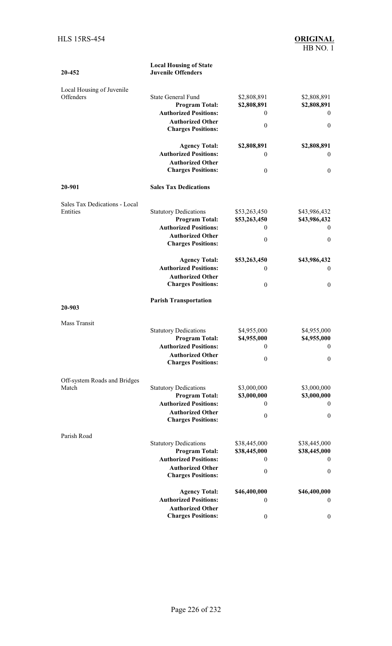| 20-452                                 | <b>Local Housing of State</b><br><b>Juvenile Offenders</b>                                                    |                                                    |                                                                    |
|----------------------------------------|---------------------------------------------------------------------------------------------------------------|----------------------------------------------------|--------------------------------------------------------------------|
| Local Housing of Juvenile<br>Offenders | <b>State General Fund</b><br><b>Program Total:</b><br><b>Authorized Positions:</b><br><b>Authorized Other</b> | \$2,808,891<br>\$2,808,891<br>$\theta$<br>$\theta$ | \$2,808,891<br>\$2,808,891<br>$\boldsymbol{0}$<br>$\boldsymbol{0}$ |
|                                        | <b>Charges Positions:</b>                                                                                     |                                                    |                                                                    |
|                                        | <b>Agency Total:</b>                                                                                          | \$2,808,891                                        | \$2,808,891                                                        |
|                                        | <b>Authorized Positions:</b>                                                                                  | $\theta$                                           | $\mathbf{0}$                                                       |
|                                        | <b>Authorized Other</b><br><b>Charges Positions:</b>                                                          | $\mathbf{0}$                                       | $\boldsymbol{0}$                                                   |
| 20-901                                 | <b>Sales Tax Dedications</b>                                                                                  |                                                    |                                                                    |
| Sales Tax Dedications - Local          |                                                                                                               |                                                    |                                                                    |
| Entities                               | <b>Statutory Dedications</b><br><b>Program Total:</b>                                                         | \$53,263,450<br>\$53,263,450                       | \$43,986,432<br>\$43,986,432                                       |
|                                        | <b>Authorized Positions:</b>                                                                                  | $\theta$                                           | 0                                                                  |
|                                        | <b>Authorized Other</b><br><b>Charges Positions:</b>                                                          | $\boldsymbol{0}$                                   | $\boldsymbol{0}$                                                   |
|                                        | <b>Agency Total:</b>                                                                                          | \$53,263,450                                       | \$43,986,432                                                       |
|                                        | <b>Authorized Positions:</b>                                                                                  | $\theta$                                           | $\mathbf{0}$                                                       |
|                                        | <b>Authorized Other</b><br><b>Charges Positions:</b>                                                          | $\mathbf{0}$                                       | $\boldsymbol{0}$                                                   |
| 20-903                                 | <b>Parish Transportation</b>                                                                                  |                                                    |                                                                    |
|                                        |                                                                                                               |                                                    |                                                                    |
| Mass Transit                           | <b>Statutory Dedications</b><br><b>Program Total:</b>                                                         | \$4,955,000<br>\$4,955,000                         | \$4,955,000<br>\$4,955,000                                         |
|                                        | <b>Authorized Positions:</b><br><b>Authorized Other</b>                                                       | $\boldsymbol{0}$                                   | $\boldsymbol{0}$                                                   |
|                                        | <b>Charges Positions:</b>                                                                                     | $\theta$                                           | $\boldsymbol{0}$                                                   |
| Off-system Roads and Bridges           |                                                                                                               |                                                    |                                                                    |
| Match                                  | <b>Statutory Dedications</b><br><b>Program Total:</b>                                                         | \$3,000,000<br>\$3,000,000                         | \$3,000,000<br>\$3,000,000                                         |
|                                        | <b>Authorized Positions:</b>                                                                                  | $\theta$                                           | $\boldsymbol{0}$                                                   |
|                                        | <b>Authorized Other</b><br><b>Charges Positions:</b>                                                          | $\mathbf{0}$                                       | $\boldsymbol{0}$                                                   |
|                                        |                                                                                                               |                                                    |                                                                    |
| Parish Road                            | <b>Statutory Dedications</b>                                                                                  | \$38,445,000                                       | \$38,445,000                                                       |
|                                        | <b>Program Total:</b>                                                                                         | \$38,445,000                                       | \$38,445,000                                                       |
|                                        | <b>Authorized Positions:</b>                                                                                  | $\mathbf{0}$                                       | $\boldsymbol{0}$                                                   |
|                                        | <b>Authorized Other</b><br><b>Charges Positions:</b>                                                          | $\boldsymbol{0}$                                   | $\boldsymbol{0}$                                                   |
|                                        | <b>Agency Total:</b>                                                                                          | \$46,400,000                                       | \$46,400,000                                                       |
|                                        | <b>Authorized Positions:</b>                                                                                  | $\theta$                                           | $\boldsymbol{0}$                                                   |
|                                        | <b>Authorized Other</b>                                                                                       |                                                    |                                                                    |
|                                        | <b>Charges Positions:</b>                                                                                     | $\boldsymbol{0}$                                   | $\boldsymbol{0}$                                                   |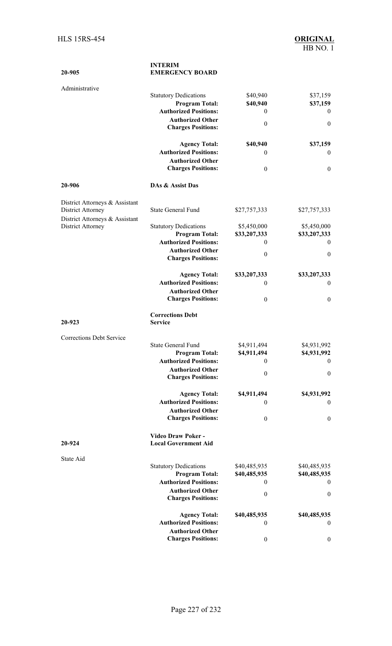| 20-905                                                     | <b>INTERIM</b><br><b>EMERGENCY BOARD</b>              |                             |                             |
|------------------------------------------------------------|-------------------------------------------------------|-----------------------------|-----------------------------|
| Administrative                                             |                                                       |                             |                             |
|                                                            | <b>Statutory Dedications</b>                          | \$40,940                    | \$37,159                    |
|                                                            | <b>Program Total:</b><br><b>Authorized Positions:</b> | \$40,940<br>$\theta$        | \$37,159<br>$\theta$        |
|                                                            | <b>Authorized Other</b>                               |                             |                             |
|                                                            | <b>Charges Positions:</b>                             | $\boldsymbol{0}$            | $\boldsymbol{0}$            |
|                                                            | <b>Agency Total:</b>                                  | \$40,940                    | \$37,159                    |
|                                                            | <b>Authorized Positions:</b>                          | $\mathbf{0}$                | $\boldsymbol{0}$            |
|                                                            | <b>Authorized Other</b><br><b>Charges Positions:</b>  | $\boldsymbol{0}$            | $\boldsymbol{0}$            |
| 20-906                                                     | DAs & Assist Das                                      |                             |                             |
| District Attorneys & Assistant<br><b>District Attorney</b> | <b>State General Fund</b>                             | \$27,757,333                | \$27,757,333                |
| District Attorneys & Assistant                             |                                                       |                             |                             |
| District Attorney                                          | <b>Statutory Dedications</b><br><b>Program Total:</b> | \$5,450,000<br>\$33,207,333 | \$5,450,000<br>\$33,207,333 |
|                                                            | <b>Authorized Positions:</b>                          | $\theta$                    | $\theta$                    |
|                                                            | <b>Authorized Other</b>                               | $\boldsymbol{0}$            | $\mathbf{0}$                |
|                                                            | <b>Charges Positions:</b>                             |                             |                             |
|                                                            | <b>Agency Total:</b>                                  | \$33,207,333                | \$33,207,333                |
|                                                            | <b>Authorized Positions:</b>                          | $\theta$                    | $\boldsymbol{0}$            |
|                                                            | <b>Authorized Other</b><br><b>Charges Positions:</b>  | $\boldsymbol{0}$            | $\boldsymbol{0}$            |
| 20-923                                                     | <b>Corrections Debt</b><br><b>Service</b>             |                             |                             |
| <b>Corrections Debt Service</b>                            |                                                       |                             |                             |
|                                                            | <b>State General Fund</b>                             | \$4,911,494                 | \$4,931,992                 |
|                                                            | <b>Program Total:</b>                                 | \$4,911,494                 | \$4,931,992                 |
|                                                            | <b>Authorized Positions:</b>                          | $\theta$                    | $\theta$                    |
|                                                            | <b>Authorized Other</b><br><b>Charges Positions:</b>  | $\boldsymbol{0}$            | $\boldsymbol{0}$            |
|                                                            | <b>Agency Total:</b>                                  | \$4,911,494                 | \$4,931,992                 |
|                                                            | <b>Authorized Positions:</b>                          | $\mathbf{0}$                | $\boldsymbol{0}$            |
|                                                            | <b>Authorized Other</b><br><b>Charges Positions:</b>  | $\boldsymbol{0}$            | $\boldsymbol{0}$            |
| 20-924                                                     | Video Draw Poker -<br><b>Local Government Aid</b>     |                             |                             |
| State Aid                                                  |                                                       |                             |                             |
|                                                            | <b>Statutory Dedications</b>                          | \$40,485,935                | \$40,485,935                |
|                                                            | <b>Program Total:</b>                                 | \$40,485,935                | \$40,485,935                |
|                                                            | <b>Authorized Positions:</b>                          | $\mathbf{0}$                | $\boldsymbol{0}$            |
|                                                            | <b>Authorized Other</b><br><b>Charges Positions:</b>  | $\boldsymbol{0}$            | $\boldsymbol{0}$            |
|                                                            | <b>Agency Total:</b>                                  | \$40,485,935                | \$40,485,935                |
|                                                            | <b>Authorized Positions:</b>                          | $\boldsymbol{0}$            | $\bf{0}$                    |
|                                                            | <b>Authorized Other</b>                               |                             |                             |
|                                                            | <b>Charges Positions:</b>                             | $\boldsymbol{0}$            | $\boldsymbol{0}$            |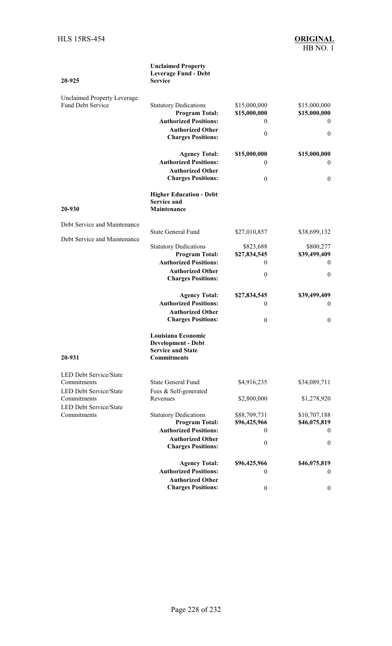#### **20-925 Unclaimed Property Leverage Fund - Debt Service** Unclaimed Property Leverage Statutory Dedications \$15,000,000 \$15,000,000 **Program Total: \$15,000,000 \$15,000,000 Authorized Positions:** 0 0 **Authorized Other Charges Positions:** 0 0 **Agency Total: \$15,000,000 \$15,000,000 Authorized Positions:** 0 0 **Authorized Other Charges Positions:** 0 0 **20-930 Higher Education - Debt Service and Maintenance** Debt Service and Maintenance State General Fund \$27,010,857 \$38,699,132 Debt Service and Maintenance Statutory Dedications \$823,688 \$800,277 **Program Total: \$27,834,545 \$39,499,409 Authorized Positions:** 0 0 **Authorized Other Charges Positions:** 0 0 **Agency Total: \$27,834,545 \$39,499,409 Authorized Positions:** 0 0 **Authorized Other Charges Positions:** 0 0 **20-931 Louisiana Economic Development - Debt Service and State Commitments** LED Debt Service/State Commitments State General Fund \$4,916,235 \$34,089,711 LED Debt Service/State Commitments Fees & Self-generated \$2,800,000 \$1,278,920 LED Debt Service/State Statutory Dedications \$88,709,731 \$10,707,188<br> **Program Total:** \$96,425,966 \$46,075,819  $Program Total:$ **Authorized Positions:** 0 0 **Authorized Other Charges Positions:** 0 0 **Agency Total: \$96,425,966 \$46,075,819 Authorized Positions:** 0 0 **Authorized Other Charges Positions:** 0 0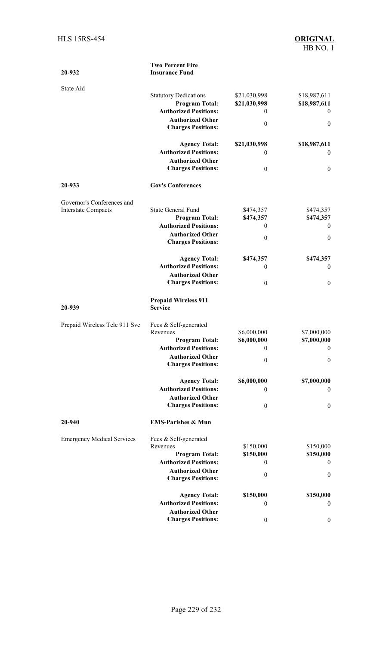| 20-932                            | <b>Two Percent Fire</b><br><b>Insurance Fund</b>     |                         |                  |
|-----------------------------------|------------------------------------------------------|-------------------------|------------------|
| State Aid                         |                                                      |                         |                  |
|                                   | <b>Statutory Dedications</b>                         | \$21,030,998            | \$18,987,611     |
|                                   | <b>Program Total:</b>                                | \$21,030,998            | \$18,987,611     |
|                                   | <b>Authorized Positions:</b>                         | $\theta$                | $\overline{0}$   |
|                                   | <b>Authorized Other</b><br><b>Charges Positions:</b> | $\boldsymbol{0}$        | $\boldsymbol{0}$ |
|                                   | <b>Agency Total:</b>                                 | \$21,030,998            | \$18,987,611     |
|                                   | <b>Authorized Positions:</b>                         | $\mathbf{0}$            | $\boldsymbol{0}$ |
|                                   | <b>Authorized Other</b>                              |                         |                  |
|                                   | <b>Charges Positions:</b>                            | $\boldsymbol{0}$        | $\boldsymbol{0}$ |
| 20-933                            | <b>Gov's Conferences</b>                             |                         |                  |
| Governor's Conferences and        |                                                      |                         |                  |
| <b>Interstate Compacts</b>        | <b>State General Fund</b>                            | \$474,357               | \$474,357        |
|                                   | <b>Program Total:</b>                                | \$474,357               | \$474,357        |
|                                   | <b>Authorized Positions:</b>                         | $\mathbf{0}$            | $\overline{0}$   |
|                                   | <b>Authorized Other</b><br><b>Charges Positions:</b> | $\boldsymbol{0}$        | $\boldsymbol{0}$ |
|                                   | <b>Agency Total:</b>                                 | \$474,357               | \$474,357        |
|                                   | <b>Authorized Positions:</b>                         | $\mathbf{0}$            | $\boldsymbol{0}$ |
|                                   | <b>Authorized Other</b><br><b>Charges Positions:</b> | $\boldsymbol{0}$        | $\boldsymbol{0}$ |
| 20-939                            | <b>Prepaid Wireless 911</b><br><b>Service</b>        |                         |                  |
| Prepaid Wireless Tele 911 Svc     | Fees & Self-generated                                |                         |                  |
|                                   | Revenues                                             | \$6,000,000             | \$7,000,000      |
|                                   | <b>Program Total:</b>                                | \$6,000,000             | \$7,000,000      |
|                                   | <b>Authorized Positions:</b>                         | $\overline{\mathbf{0}}$ | $\sim$ 0         |
|                                   | <b>Authorized Other</b><br><b>Charges Positions:</b> | $\boldsymbol{0}$        | $\boldsymbol{0}$ |
|                                   | <b>Agency Total:</b>                                 | \$6,000,000             | \$7,000,000      |
|                                   | <b>Authorized Positions:</b>                         | $\mathbf{0}$            | $\bf{0}$         |
|                                   | <b>Authorized Other</b>                              |                         |                  |
|                                   | <b>Charges Positions:</b>                            | $\boldsymbol{0}$        | $\boldsymbol{0}$ |
|                                   |                                                      |                         |                  |
| 20-940                            | <b>EMS-Parishes &amp; Mun</b>                        |                         |                  |
|                                   |                                                      |                         |                  |
| <b>Emergency Medical Services</b> | Fees & Self-generated<br>Revenues                    | \$150,000               | \$150,000        |
|                                   | <b>Program Total:</b>                                | \$150,000               | \$150,000        |
|                                   | <b>Authorized Positions:</b>                         | $\mathbf{0}$            | $\bf{0}$         |
|                                   | <b>Authorized Other</b><br><b>Charges Positions:</b> | $\boldsymbol{0}$        | $\boldsymbol{0}$ |
|                                   |                                                      |                         |                  |
|                                   | <b>Agency Total:</b><br><b>Authorized Positions:</b> | \$150,000<br>$\theta$   | \$150,000        |
|                                   | <b>Authorized Other</b>                              |                         | $\boldsymbol{0}$ |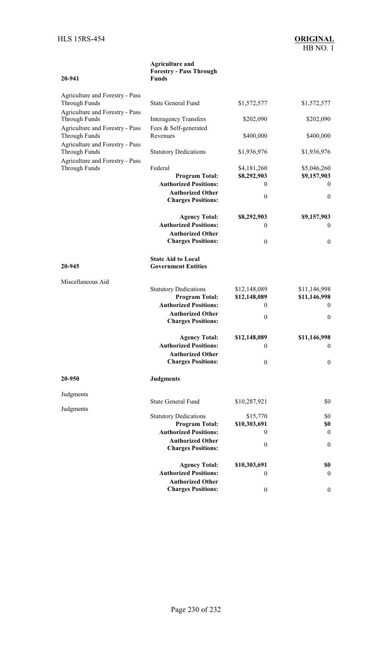**20-941** 

0 0

#### **Agriculture and Forestry - Pass Through Funds**  Agriculture and Forestry - Pass Through Funds State General Fund \$1,572,577 \$1,572,577 Agriculture and Forestry - Pass Interagency Transfers \$202,090 \$202,090 Agriculture and Forestry - Pass Through Funds Fees & Self-generated \$400,000 \$400,000 Agriculture and Forestry - Pass Through Funds Statutory Dedications \$1,936,976 \$1,936,976 Agriculture and Forestry - Pass Through Funds Federal \$4,181,260 \$5,046,260 **Program Total: \$8,292,903 \$9,157,903 Authorized Positions:** 0 0

**Authorized Other**

|                   | <b>Charges Positions:</b>                             | V                | V                |
|-------------------|-------------------------------------------------------|------------------|------------------|
|                   | <b>Agency Total:</b>                                  | \$8,292,903      | \$9,157,903      |
|                   | <b>Authorized Positions:</b>                          | $\mathbf{0}$     | $\mathbf{0}$     |
|                   | <b>Authorized Other</b>                               |                  |                  |
|                   | <b>Charges Positions:</b>                             | $\boldsymbol{0}$ | $\boldsymbol{0}$ |
|                   | <b>State Aid to Local</b>                             |                  |                  |
| 20-945            | <b>Government Entities</b>                            |                  |                  |
| Miscellaneous Aid |                                                       |                  |                  |
|                   | <b>Statutory Dedications</b>                          | \$12,148,089     | \$11,146,998     |
|                   | <b>Program Total:</b><br><b>Authorized Positions:</b> | \$12,148,089     | \$11,146,998     |
|                   |                                                       | $\theta$         | $\mathbf{0}$     |
|                   | <b>Authorized Other</b><br><b>Charges Positions:</b>  | $\boldsymbol{0}$ | $\boldsymbol{0}$ |
|                   | <b>Agency Total:</b>                                  | \$12,148,089     | \$11,146,998     |
|                   | <b>Authorized Positions:</b>                          | $\boldsymbol{0}$ | $\boldsymbol{0}$ |
|                   | <b>Authorized Other</b>                               |                  |                  |
|                   | <b>Charges Positions:</b>                             | $\boldsymbol{0}$ | $\boldsymbol{0}$ |
| 20-950            | <b>Judgments</b>                                      |                  |                  |
| Judgments         |                                                       |                  |                  |
| Judgments         | <b>State General Fund</b>                             | \$10,287,921     | \$0              |
|                   | <b>Statutory Dedications</b>                          | \$15,770         | \$0              |
|                   | <b>Program Total:</b>                                 | \$10,303,691     | \$0              |
|                   | <b>Authorized Positions:</b>                          | $\mathbf{0}$     | $\boldsymbol{0}$ |
|                   | <b>Authorized Other</b>                               | $\boldsymbol{0}$ | $\boldsymbol{0}$ |
|                   | <b>Charges Positions:</b>                             |                  |                  |
|                   | <b>Agency Total:</b>                                  | \$10,303,691     | \$0              |
|                   | <b>Authorized Positions:</b>                          | $\mathbf{0}$     | $\boldsymbol{0}$ |
|                   | <b>Authorized Other</b>                               |                  |                  |
|                   | <b>Charges Positions:</b>                             | $\boldsymbol{0}$ | $\boldsymbol{0}$ |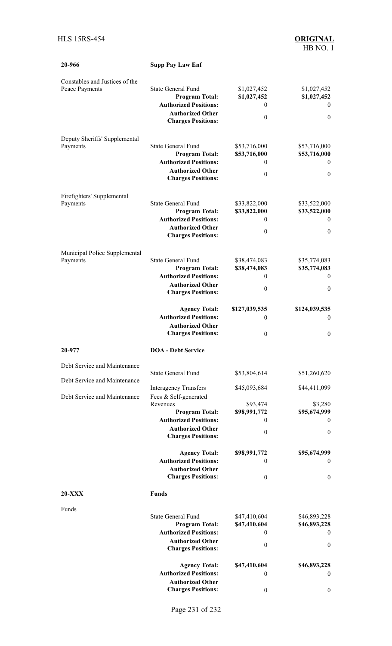| 20-966                                           | <b>Supp Pay Law Enf</b>                                 |                              |                                  |
|--------------------------------------------------|---------------------------------------------------------|------------------------------|----------------------------------|
| Constables and Justices of the<br>Peace Payments | <b>State General Fund</b><br><b>Program Total:</b>      | \$1,027,452<br>\$1,027,452   | \$1,027,452<br>\$1,027,452       |
|                                                  | <b>Authorized Positions:</b>                            | $\theta$                     | $\boldsymbol{0}$                 |
|                                                  | <b>Authorized Other</b><br><b>Charges Positions:</b>    | $\theta$                     | $\boldsymbol{0}$                 |
| Deputy Sheriffs' Supplemental                    | <b>State General Fund</b>                               |                              |                                  |
| Payments                                         | <b>Program Total:</b>                                   | \$53,716,000<br>\$53,716,000 | \$53,716,000<br>\$53,716,000     |
|                                                  | <b>Authorized Positions:</b>                            | $\theta$                     | $\boldsymbol{0}$                 |
|                                                  | <b>Authorized Other</b><br><b>Charges Positions:</b>    | $\theta$                     | $\boldsymbol{0}$                 |
| Firefighters' Supplemental<br>Payments           | <b>State General Fund</b>                               | \$33,822,000                 | \$33,522,000                     |
|                                                  | <b>Program Total:</b>                                   | \$33,822,000                 | \$33,522,000                     |
|                                                  | <b>Authorized Positions:</b>                            | $\theta$                     | $\theta$                         |
|                                                  | <b>Authorized Other</b><br><b>Charges Positions:</b>    | $\theta$                     | $\boldsymbol{0}$                 |
| Municipal Police Supplemental<br>Payments        | <b>State General Fund</b>                               | \$38,474,083                 | \$35,774,083                     |
|                                                  | <b>Program Total:</b>                                   | \$38,474,083                 | \$35,774,083                     |
|                                                  | <b>Authorized Positions:</b>                            | $\theta$                     | $\boldsymbol{0}$                 |
|                                                  | <b>Authorized Other</b><br><b>Charges Positions:</b>    | $\theta$                     | $\boldsymbol{0}$                 |
|                                                  | <b>Agency Total:</b>                                    | \$127,039,535                | \$124,039,535                    |
|                                                  | <b>Authorized Positions:</b>                            | $\mathbf{0}$                 | $\theta$                         |
|                                                  | <b>Authorized Other</b><br><b>Charges Positions:</b>    | $\theta$                     | $\boldsymbol{0}$                 |
| 20-977                                           | <b>DOA</b> - Debt Service                               |                              |                                  |
| Debt Service and Maintenance                     | <b>State General Fund</b>                               | \$53,804,614                 |                                  |
| Debt Service and Maintenance                     |                                                         |                              | \$51,260,620                     |
| Debt Service and Maintenance                     | <b>Interagency Transfers</b><br>Fees & Self-generated   | \$45,093,684                 | \$44,411,099                     |
|                                                  | Revenues                                                | \$93,474                     | \$3,280                          |
|                                                  | <b>Program Total:</b><br><b>Authorized Positions:</b>   | \$98,991,772<br>$\mathbf{0}$ | \$95,674,999<br>$\boldsymbol{0}$ |
|                                                  | <b>Authorized Other</b>                                 | $\theta$                     | $\boldsymbol{0}$                 |
|                                                  | <b>Charges Positions:</b>                               |                              |                                  |
|                                                  | <b>Agency Total:</b>                                    | \$98,991,772                 | \$95,674,999                     |
|                                                  | <b>Authorized Positions:</b><br><b>Authorized Other</b> | $\theta$                     | $\theta$                         |
|                                                  | <b>Charges Positions:</b>                               | $\theta$                     | $\boldsymbol{0}$                 |
| <b>20-XXX</b>                                    | <b>Funds</b>                                            |                              |                                  |
| Funds                                            | <b>State General Fund</b>                               |                              |                                  |
|                                                  | <b>Program Total:</b>                                   | \$47,410,604<br>\$47,410,604 | \$46,893,228<br>\$46,893,228     |
|                                                  | <b>Authorized Positions:</b>                            | $\mathbf{0}$                 | $\boldsymbol{0}$                 |
|                                                  | <b>Authorized Other</b><br><b>Charges Positions:</b>    | $\theta$                     | $\boldsymbol{0}$                 |
|                                                  | <b>Agency Total:</b>                                    | \$47,410,604                 | \$46,893,228                     |
|                                                  | <b>Authorized Positions:</b>                            | $\theta$                     | $\boldsymbol{0}$                 |
|                                                  | <b>Authorized Other</b>                                 |                              |                                  |
|                                                  | <b>Charges Positions:</b>                               | $\boldsymbol{0}$             | $\boldsymbol{0}$                 |